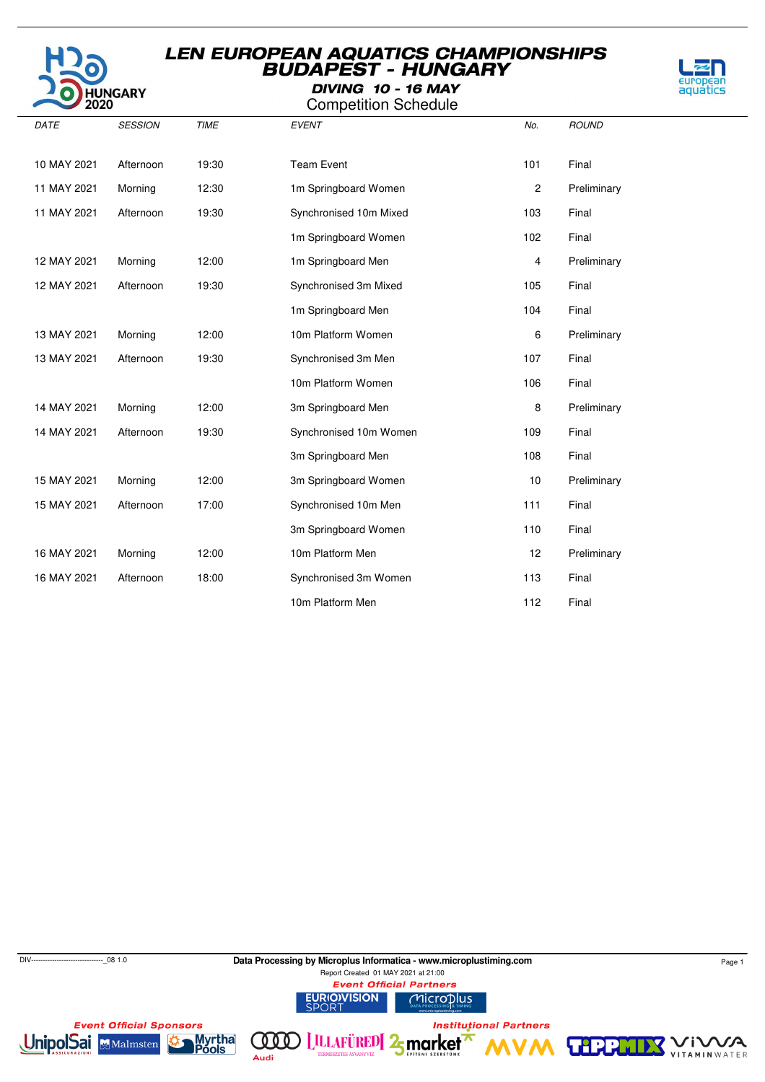

### DIVING 10 - 16 MAY



Competition Schedule

| DATE        | <b>SESSION</b> | <b>TIME</b> | <b>EVENT</b>           | No.            | <b>ROUND</b> |
|-------------|----------------|-------------|------------------------|----------------|--------------|
| 10 MAY 2021 | Afternoon      | 19:30       | <b>Team Event</b>      | 101            | Final        |
| 11 MAY 2021 | Morning        | 12:30       | 1m Springboard Women   | $\overline{c}$ | Preliminary  |
| 11 MAY 2021 | Afternoon      | 19:30       | Synchronised 10m Mixed | 103            | Final        |
|             |                |             | 1m Springboard Women   | 102            | Final        |
| 12 MAY 2021 | Morning        | 12:00       | 1m Springboard Men     | 4              | Preliminary  |
| 12 MAY 2021 | Afternoon      | 19:30       | Synchronised 3m Mixed  | 105            | Final        |
|             |                |             | 1m Springboard Men     | 104            | Final        |
| 13 MAY 2021 | Morning        | 12:00       | 10m Platform Women     | 6              | Preliminary  |
| 13 MAY 2021 | Afternoon      | 19:30       | Synchronised 3m Men    | 107            | Final        |
|             |                |             | 10m Platform Women     | 106            | Final        |
| 14 MAY 2021 | Morning        | 12:00       | 3m Springboard Men     | 8              | Preliminary  |
| 14 MAY 2021 | Afternoon      | 19:30       | Synchronised 10m Women | 109            | Final        |
|             |                |             | 3m Springboard Men     | 108            | Final        |
| 15 MAY 2021 | Morning        | 12:00       | 3m Springboard Women   | 10             | Preliminary  |
| 15 MAY 2021 | Afternoon      | 17:00       | Synchronised 10m Men   | 111            | Final        |
|             |                |             | 3m Springboard Women   | 110            | Final        |
| 16 MAY 2021 | Morning        | 12:00       | 10m Platform Men       | 12             | Preliminary  |
| 16 MAY 2021 | Afternoon      | 18:00       | Synchronised 3m Women  | 113            | Final        |
|             |                |             | 10m Platform Men       | 112            | Final        |

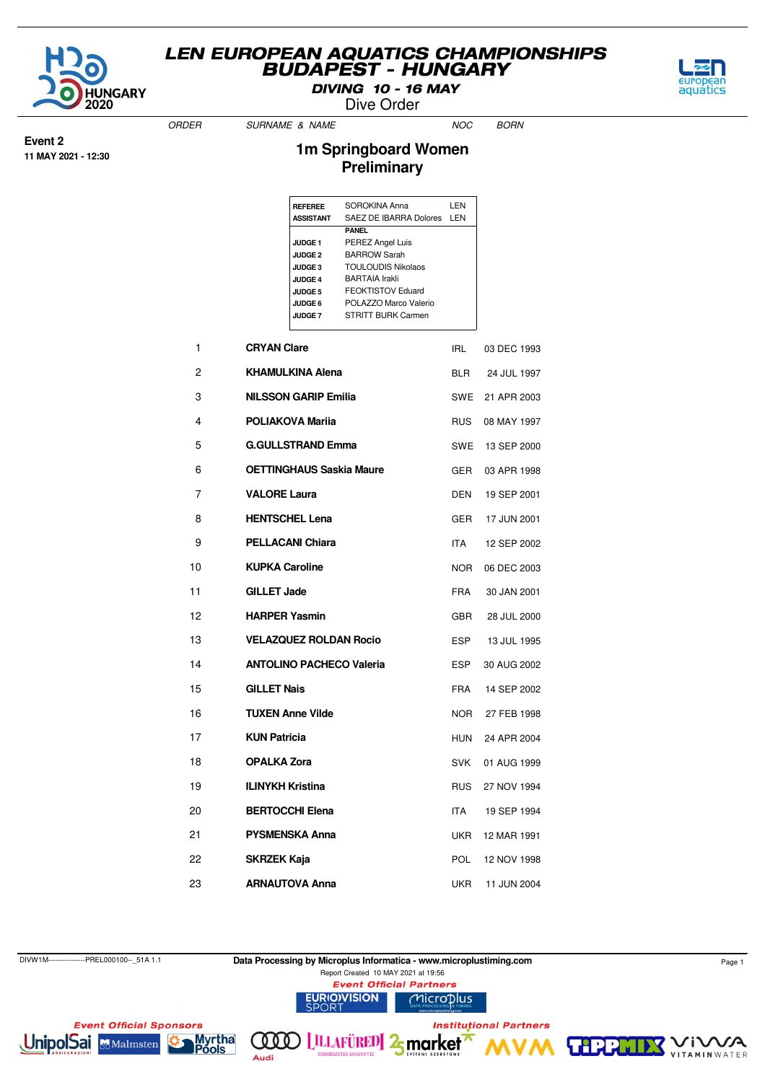

DIVING 10 - 16 MAY

Dive Order

ORDER SURNAME & NAME NOC BORN

aquatics

**Event 2 11 MAY 2021 - 12:30**

**1m Springboard Women Preliminary**

| <b>RFFFRFF</b><br><b>ASSISTANT</b> | SOROKINA Anna<br>SAEZ DE IBARRA Dolores | I FN<br>I FN |
|------------------------------------|-----------------------------------------|--------------|
|                                    | PANFI                                   |              |
| <b>JUDGE 1</b>                     | PEREZ Angel Luis                        |              |
| <b>JUDGE 2</b>                     | <b>BARROW Sarah</b>                     |              |
| <b>JUDGE 3</b>                     | <b>TOULOUDIS Nikolaos</b>               |              |
| <b>JUDGE 4</b>                     | <b>BARTAIA Irakli</b>                   |              |
| JUDGE <sub>5</sub>                 | FFOKTISTOV Fduard                       |              |
| <b>JUDGE 6</b>                     | POLAZZO Marco Valerio                   |              |
| <b>JUDGE 7</b>                     | <b>STRITT BURK Carmen</b>               |              |
|                                    |                                         |              |

| 1  | <b>CRYAN Clare</b>              | IRL.       | 03 DEC 1993     |
|----|---------------------------------|------------|-----------------|
| 2  | <b>KHAMULKINA Alena</b>         |            | BLR 24 JUL 1997 |
| 3  | <b>NILSSON GARIP Emilia</b>     |            | SWE 21 APR 2003 |
| 4  | <b>POLIAKOVA Marija</b>         |            | RUS 08 MAY 1997 |
| 5  | <b>G.GULLSTRAND Emma</b>        | SWE        | 13 SEP 2000     |
| 6  | <b>OETTINGHAUS Saskia Maure</b> |            | GER 03 APR 1998 |
| 7  | <b>VALORE Laura</b>             |            | DEN 19 SEP 2001 |
| 8  | <b>HENTSCHEL Lena</b>           | GER        | 17 JUN 2001     |
| 9  | <b>PELLACANI Chiara</b>         | ITA        | 12 SEP 2002     |
| 10 | <b>KUPKA Caroline</b>           | <b>NOR</b> | 06 DEC 2003     |
| 11 | <b>GILLET Jade</b>              | FRA        | 30 JAN 2001     |
| 12 | <b>HARPER Yasmin</b>            | GBR        | 28 JUL 2000     |
| 13 | <b>VELAZQUEZ ROLDAN Rocio</b>   | ESP        | 13 JUL 1995     |
| 14 | <b>ANTOLINO PACHECO Valeria</b> | ESP        | 30 AUG 2002     |
| 15 | <b>GILLET Nais</b>              |            | FRA 14 SEP 2002 |
| 16 | <b>TUXEN Anne Vilde</b>         |            | NOR 27 FEB 1998 |
| 17 | <b>KUN Patricia</b>             |            | HUN 24 APR 2004 |
| 18 | <b>OPALKA Zora</b>              | SVK        | 01 AUG 1999     |
| 19 | <b>ILINYKH Kristina</b>         | <b>RUS</b> | 27 NOV 1994     |
| 20 | <b>BERTOCCHI Elena</b>          | <b>ITA</b> | 19 SEP 1994     |
| 21 | <b>PYSMENSKA Anna</b>           | UKR        | 12 MAR 1991     |
| 22 | <b>SKRZEK Kaja</b>              | POL        | 12 NOV 1998     |
| 23 | <b>ARNAUTOVA Anna</b>           | UKR        | 11 JUN 2004     |



DIVW1M---------------PREL000100--\_51A 1.1 **Data Processing by Microplus Informatica - www.microplustiming.com** Page 1 Report Created 10 MAY 2021 at 19:56**Event Official Partners RIOVISION** Microplus

**COOD [ILLAFÜRED] 25 market** 



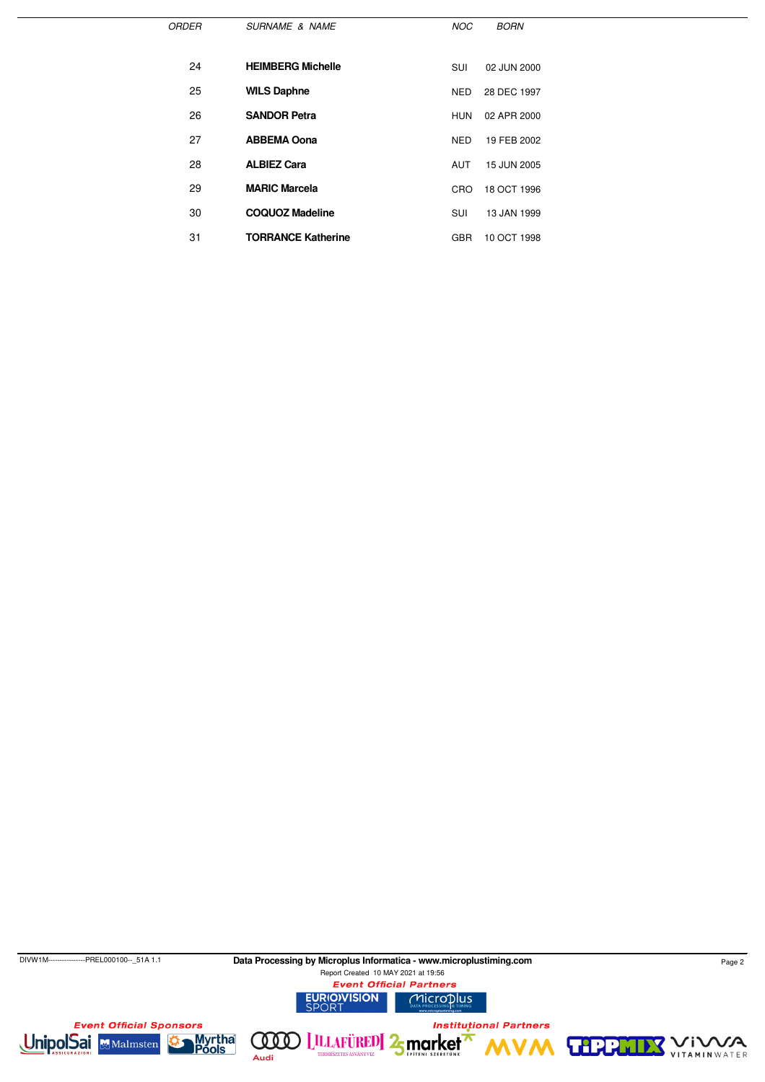| <b>ORDER</b> | <b>SURNAME &amp; NAME</b> | <b>NOC</b> | <b>BORN</b> |
|--------------|---------------------------|------------|-------------|
|              |                           |            |             |
| 24           | <b>HEIMBERG Michelle</b>  | SUI        | 02 JUN 2000 |
| 25           | <b>WILS Daphne</b>        | <b>NED</b> | 28 DEC 1997 |
| 26           | <b>SANDOR Petra</b>       | HUN        | 02 APR 2000 |
| 27           | <b>ABBEMA Oona</b>        | NED.       | 19 FEB 2002 |
| 28           | <b>ALBIEZ Cara</b>        | <b>AUT</b> | 15 JUN 2005 |
| 29           | <b>MARIC Marcela</b>      | CRO        | 18 OCT 1996 |
| 30           | <b>COQUOZ Madeline</b>    | SUI        | 13 JAN 1999 |
| 31           | <b>TORRANCE Katherine</b> | <b>GBR</b> | 10 OCT 1998 |
|              |                           |            |             |

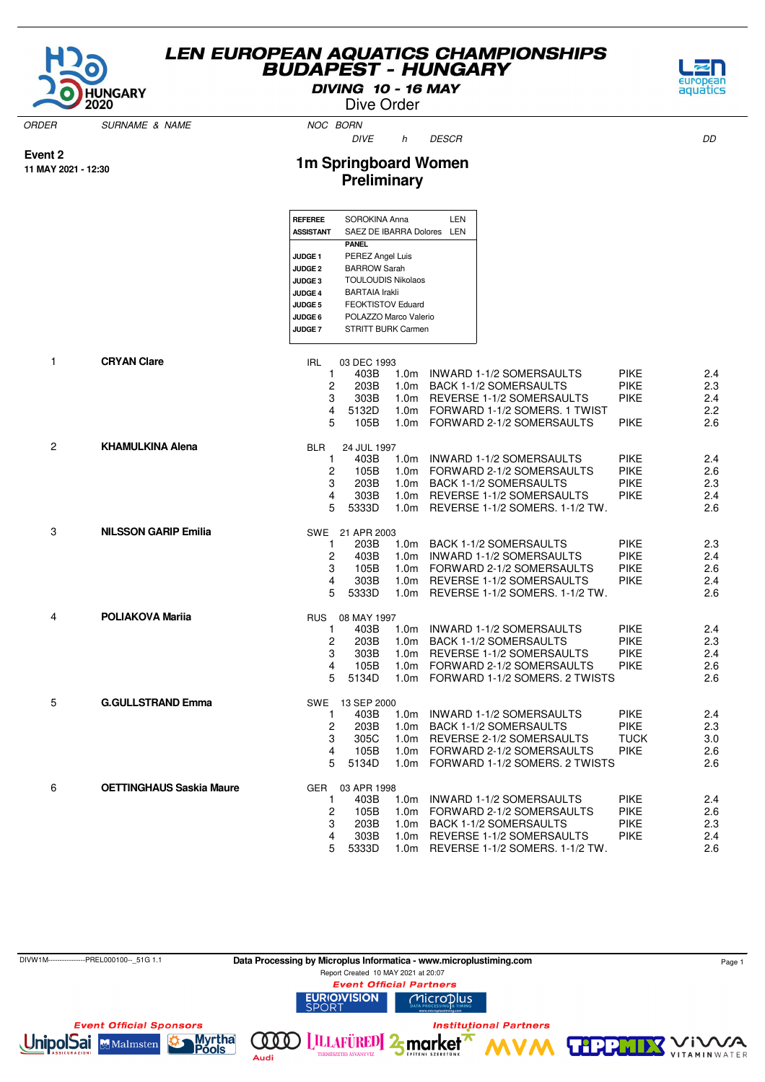

DIVING 10 - 16 MAY

Dive Order

**1m Springboard Women**



ORDER SURNAME & NAME NOC BORN

**Event 2**

**11 MAY 2021 - 12:30**

DIVE h DESCR DD

**Preliminary REFEREE** SOROKINA Anna LEN **ASSISTANT** SAEZ DE IBARRA Dolores LEN **PANEL JUDGE 1** PEREZ Angel Luis **JUDGE 2** BARROW Sarah **JUDGE 3** TOULOUDIS Nikolaos<br>**JUDGE 4** BARTAIA Irakli

**BARTAIA Irakli JUDGE 5** FEOKTISTOV Eduard

|                |                                 | JUDGE 5<br><b>FEURISIOV EQUATO</b><br>POLAZZO Marco Valerio<br><b>JUDGE 6</b><br>STRITT BURK Carmen<br><b>JUDGE 7</b>                                                                                                                                                                                                           |                                                          |                                 |
|----------------|---------------------------------|---------------------------------------------------------------------------------------------------------------------------------------------------------------------------------------------------------------------------------------------------------------------------------------------------------------------------------|----------------------------------------------------------|---------------------------------|
| 1              | <b>CRYAN Clare</b>              | <b>IRL</b><br>03 DEC 1993<br>403B<br>$\mathbf{1}$<br>1.0 <sub>m</sub><br>INWARD 1-1/2 SOMERSAULTS<br>203B<br>$\overline{2}$<br>1.0m BACK 1-1/2 SOMERSAULTS<br>1.0m REVERSE 1-1/2 SOMERSAULTS<br>3<br>303B<br>5132D<br>FORWARD 1-1/2 SOMERS, 1 TWIST<br>4<br>1.0 <sub>m</sub><br>105B<br>1.0m FORWARD 2-1/2 SOMERSAULTS<br>5     | <b>PIKE</b><br><b>PIKE</b><br><b>PIKE</b><br><b>PIKE</b> | 2.4<br>2.3<br>2.4<br>2.2<br>2.6 |
| $\overline{c}$ | <b>KHAMULKINA Alena</b>         | 24 JUL 1997<br><b>BLR</b><br>403B<br>1.0 <sub>m</sub><br>INWARD 1-1/2 SOMERSAULTS<br>$\mathbf{1}$<br>2<br>105B<br>FORWARD 2-1/2 SOMERSAULTS<br>1.0 <sub>m</sub><br>3<br>203B<br>1.0m BACK 1-1/2 SOMERSAULTS<br>303B<br>1.0m REVERSE 1-1/2 SOMERSAULTS<br>4<br>5333D<br>REVERSE 1-1/2 SOMERS, 1-1/2 TW.<br>5<br>1.0 <sub>m</sub> | <b>PIKE</b><br><b>PIKE</b><br><b>PIKE</b><br><b>PIKE</b> | 2.4<br>2.6<br>2.3<br>2.4<br>2.6 |
| 3              | <b>NILSSON GARIP Emilia</b>     | SWE 21 APR 2003<br>203B<br>BACK 1-1/2 SOMERSAULTS<br>1.0 <sub>m</sub><br>1<br>$\overline{c}$<br>403B<br>1.0m INWARD 1-1/2 SOMERSAULTS<br>3<br>105B<br>FORWARD 2-1/2 SOMERSAULTS<br>1.0 <sub>m</sub><br>303B<br>4<br>1.0m REVERSE 1-1/2 SOMERSAULTS<br>5<br>5333D<br>REVERSE 1-1/2 SOMERS, 1-1/2 TW.<br>1.0 <sub>m</sub>         | <b>PIKE</b><br><b>PIKE</b><br><b>PIKE</b><br><b>PIKE</b> | 2.3<br>2.4<br>2.6<br>2.4<br>2.6 |
| 4              | <b>POLIAKOVA Marija</b>         | RUS 08 MAY 1997<br>403B<br>1.0 <sub>m</sub><br>INWARD 1-1/2 SOMERSAULTS<br>1<br>203B<br>2<br>1.0m BACK 1-1/2 SOMERSAULTS<br>1.0m REVERSE 1-1/2 SOMERSAULTS<br>3<br>303B<br>105B<br>FORWARD 2-1/2 SOMERSAULTS<br>4<br>1.0 <sub>m</sub><br>5<br>5134D<br>1.0m FORWARD 1-1/2 SOMERS, 2 TWISTS                                      | <b>PIKE</b><br><b>PIKE</b><br><b>PIKE</b><br><b>PIKE</b> | 2.4<br>2.3<br>2.4<br>2.6<br>2.6 |
| 5              | <b>G.GULLSTRAND Emma</b>        | SWE 13 SEP 2000<br>403B<br>INWARD 1-1/2 SOMERSAULTS<br>$\mathbf{1}$<br>1.0 <sub>m</sub><br>$\overline{2}$<br>203B<br>1.0m BACK 1-1/2 SOMERSAULTS<br>3<br>305C<br>1.0m REVERSE 2-1/2 SOMERSAULTS<br>105B<br>1.0m FORWARD 2-1/2 SOMERSAULTS<br>4<br>5134D<br>5<br>1.0 <sub>m</sub><br>FORWARD 1-1/2 SOMERS, 2 TWISTS              | <b>PIKE</b><br><b>PIKE</b><br><b>TUCK</b><br><b>PIKE</b> | 2.4<br>2.3<br>3.0<br>2.6<br>2.6 |
| 6              | <b>OETTINGHAUS Saskia Maure</b> | GER 03 APR 1998<br>403B<br>INWARD 1-1/2 SOMERSAULTS<br>1.0 <sub>m</sub><br>1<br>$\overline{c}$<br>105B<br>1.0m FORWARD 2-1/2 SOMERSAULTS<br>3<br>203B<br><b>BACK 1-1/2 SOMERSAULTS</b><br>1.0 <sub>m</sub><br>303B<br>1.0m REVERSE 1-1/2 SOMERSAULTS<br>4<br>5<br>5333D<br>1.0m REVERSE 1-1/2 SOMERS, 1-1/2 TW.                 | <b>PIKE</b><br><b>PIKE</b><br><b>PIKE</b><br><b>PIKE</b> | 2.4<br>2.6<br>2.3<br>2.4<br>2.6 |

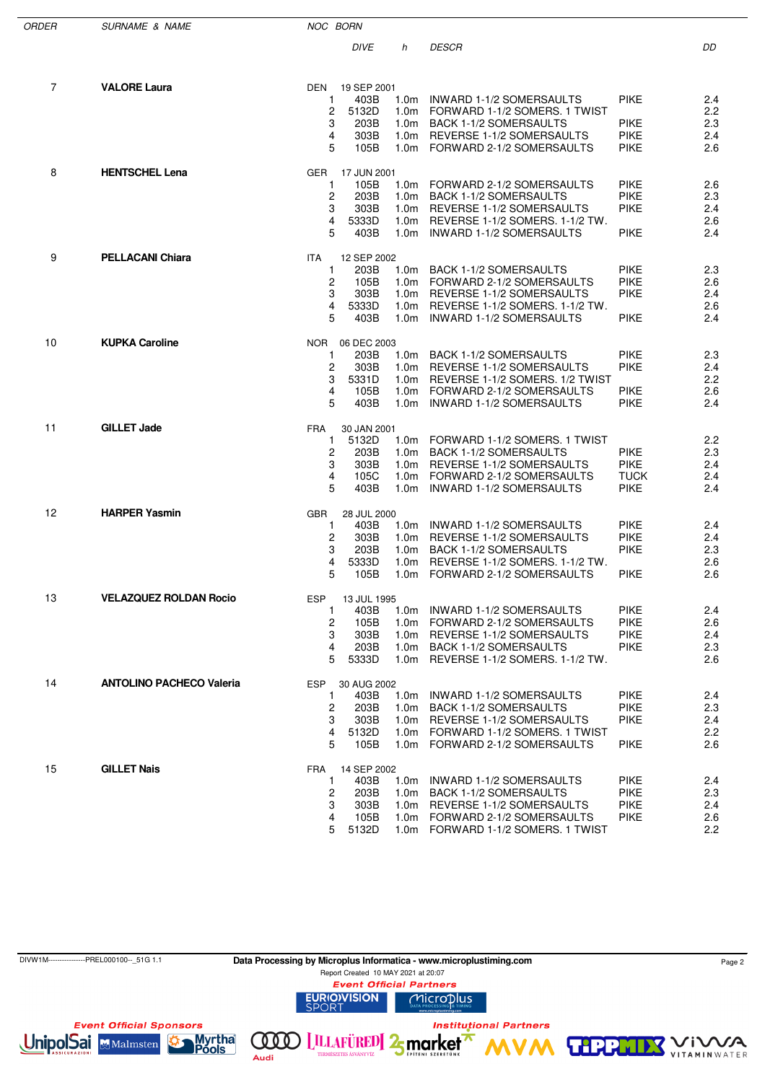| <i>ORDER</i>   | <b>SURNAME &amp; NAME</b>       | NOC BORN                                                                                                                                                                                                                                                                                          |                                                                                             |
|----------------|---------------------------------|---------------------------------------------------------------------------------------------------------------------------------------------------------------------------------------------------------------------------------------------------------------------------------------------------|---------------------------------------------------------------------------------------------|
|                |                                 | <b>DIVE</b><br><i>DESCR</i><br>h                                                                                                                                                                                                                                                                  | DD                                                                                          |
| $\overline{7}$ | <b>VALORE Laura</b>             | 19 SEP 2001<br>DEN<br>403B<br>1.0m INWARD 1-1/2 SOMERSAULTS<br>1<br>5132D<br>2<br>1.0m FORWARD 1-1/2 SOMERS. 1 TWIST<br>3<br>1.0m BACK 1-1/2 SOMERSAULTS<br>203B<br>1.0m REVERSE 1-1/2 SOMERSAULTS<br>4<br>303B<br>5<br>105B<br>1.0m FORWARD 2-1/2 SOMERSAULTS                                    | <b>PIKE</b><br>2.4<br>2.2<br><b>PIKE</b><br>2.3<br><b>PIKE</b><br>2.4<br><b>PIKE</b><br>2.6 |
| 8              | <b>HENTSCHEL Lena</b>           | GER 17 JUN 2001<br>105B<br>1.0m FORWARD 2-1/2 SOMERSAULTS<br>1<br>2<br>203B<br>1.0m BACK 1-1/2 SOMERSAULTS<br>303B<br>1.0m REVERSE 1-1/2 SOMERSAULTS<br>3<br>5333D<br>1.0m REVERSE 1-1/2 SOMERS. 1-1/2 TW.<br>4<br>5<br>403B<br>1.0m INWARD 1-1/2 SOMERSAULTS                                     | <b>PIKE</b><br>2.6<br><b>PIKE</b><br>2.3<br>2.4<br><b>PIKE</b><br>2.6<br>2.4<br><b>PIKE</b> |
| 9              | <b>PELLACANI Chiara</b>         | 12 SEP 2002<br>ITA<br>203B<br>1.0m BACK 1-1/2 SOMERSAULTS<br>1<br>2<br>105B<br>1.0m FORWARD 2-1/2 SOMERSAULTS<br>1.0m REVERSE 1-1/2 SOMERSAULTS<br>3<br>303B<br>5333D<br>1.0m REVERSE 1-1/2 SOMERS. 1-1/2 TW.<br>4<br>403B<br>1.0m INWARD 1-1/2 SOMERSAULTS<br>5                                  | <b>PIKE</b><br>2.3<br><b>PIKE</b><br>2.6<br><b>PIKE</b><br>2.4<br>2.6<br><b>PIKE</b><br>2.4 |
| 10             | <b>KUPKA Caroline</b>           | NOR 06 DEC 2003<br>203B<br>1.0m BACK 1-1/2 SOMERSAULTS<br>$\mathbf{1}$<br>1.0m REVERSE 1-1/2 SOMERSAULTS<br>2<br>303B<br>1.0m REVERSE 1-1/2 SOMERS, 1/2 TWIST<br>3<br>5331D<br>105B<br>1.0m FORWARD 2-1/2 SOMERSAULTS<br>4<br>5<br>403B<br>1.0m INWARD 1-1/2 SOMERSAULTS                          | 2.3<br><b>PIKE</b><br><b>PIKE</b><br>2.4<br>2.2<br>2.6<br><b>PIKE</b><br><b>PIKE</b><br>2.4 |
| 11             | <b>GILLET Jade</b>              | <b>FRA</b><br>30 JAN 2001<br>5132D<br>1.0m FORWARD 1-1/2 SOMERS. 1 TWIST<br>1.<br>203B<br>1.0m BACK 1-1/2 SOMERSAULTS<br>2<br>3<br>303B<br>1.0m REVERSE 1-1/2 SOMERSAULTS<br>105C<br>1.0m FORWARD 2-1/2 SOMERSAULTS<br>4<br>5<br>403B<br>1.0m INWARD 1-1/2 SOMERSAULTS                            | 2.2<br>2.3<br><b>PIKE</b><br><b>PIKE</b><br>2.4<br><b>TUCK</b><br>2.4<br><b>PIKE</b><br>2.4 |
| 12             | <b>HARPER Yasmin</b>            | <b>GBR</b><br>28 JUL 2000<br>403B<br>1.0m INWARD 1-1/2 SOMERSAULTS<br>1<br>303B<br>1.0m REVERSE 1-1/2 SOMERSAULTS<br>2<br>1.0m BACK 1-1/2 SOMERSAULTS<br>203B<br>3<br>5333D<br>1.0m REVERSE 1-1/2 SOMERS, 1-1/2 TW.<br>4<br>5<br>105B<br>1.0m FORWARD 2-1/2 SOMERSAULTS                           | <b>PIKE</b><br>2.4<br><b>PIKE</b><br>2.4<br><b>PIKE</b><br>2.3<br>2.6<br>2.6<br><b>PIKE</b> |
| 13             | <b>VELAZQUEZ ROLDAN Rocio</b>   | <b>ESP</b><br>13 JUL 1995<br>403B<br>1.0m INWARD 1-1/2 SOMERSAULTS<br>1<br>2<br>105B<br>FORWARD 2-1/2 SOMERSAULTS<br>1.0m<br>3<br>303B<br>1.0 <sub>m</sub><br>REVERSE 1-1/2 SOMERSAULTS<br>203B<br>1.0m BACK 1-1/2 SOMERSAULTS<br>4<br>5<br>5333D<br>REVERSE 1-1/2 SOMERS, 1-1/2 TW.<br>1.0m      | PIKE<br>2.4<br><b>PIKE</b><br>2.6<br><b>PIKE</b><br>2.4<br><b>PIKE</b><br>2.3<br>2.6        |
| 14             | <b>ANTOLINO PACHECO Valeria</b> | ESP<br>30 AUG 2002<br>403B<br>INWARD 1-1/2 SOMERSAULTS<br>1.0m<br>1<br>2<br>203B<br><b>BACK 1-1/2 SOMERSAULTS</b><br>1.0m<br>3<br>303B<br>1.0 <sub>m</sub><br><b>REVERSE 1-1/2 SOMERSAULTS</b><br>1.0m FORWARD 1-1/2 SOMERS. 1 TWIST<br>4<br>5132D<br>5<br>105B<br>1.0m FORWARD 2-1/2 SOMERSAULTS | PIKE<br>2.4<br><b>PIKE</b><br>2.3<br><b>PIKE</b><br>2.4<br>2.2<br>PIKE<br>2.6               |
| 15             | <b>GILLET Nais</b>              | <b>FRA</b><br>14 SEP 2002<br>1.0m INWARD 1-1/2 SOMERSAULTS<br>403B<br>1<br>2<br>203B<br><b>BACK 1-1/2 SOMERSAULTS</b><br>1.0m<br>303B<br>1.0m REVERSE 1-1/2 SOMERSAULTS<br>3<br>105B<br>1.0m FORWARD 2-1/2 SOMERSAULTS<br>4<br>5132D<br>1.0m FORWARD 1-1/2 SOMERS. 1 TWIST<br>5                   | PIKE<br>2.4<br>PIKE<br>2.3<br><b>PIKE</b><br>2.4<br>PIKE<br>2.6<br>2.2                      |

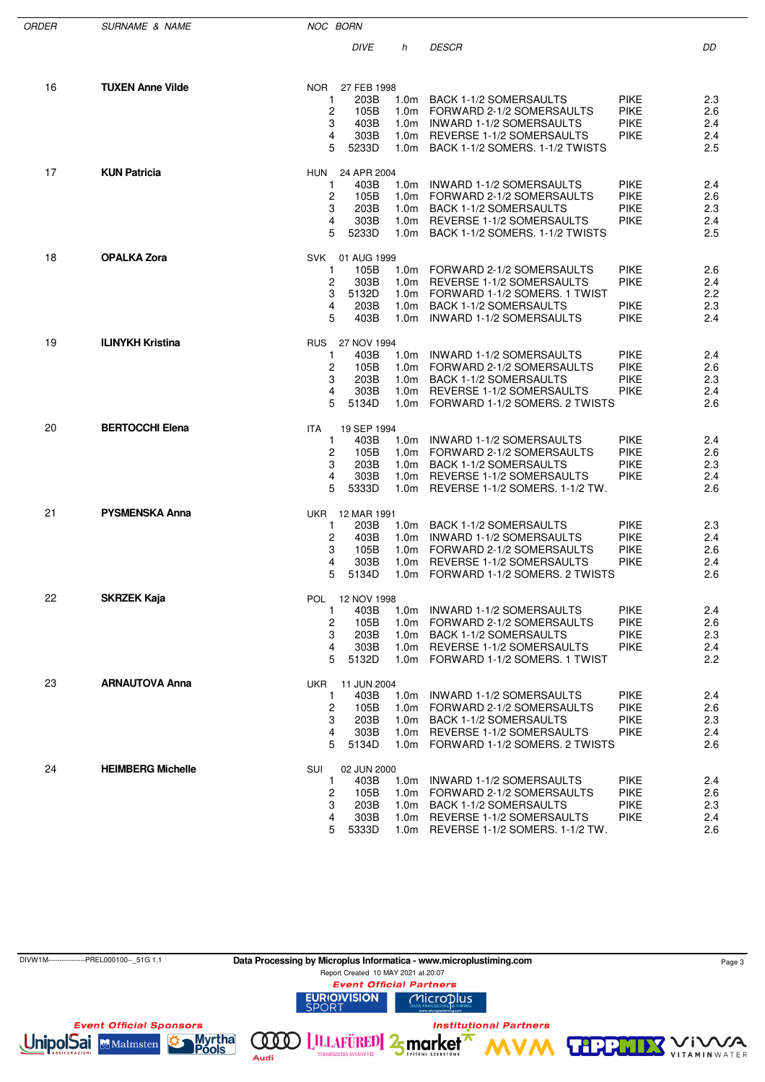| <i>ORDER</i> | <b>SURNAME &amp; NAME</b> | NOC BORN                                                                                                                                                                                                                                                                                                                            |                                 |
|--------------|---------------------------|-------------------------------------------------------------------------------------------------------------------------------------------------------------------------------------------------------------------------------------------------------------------------------------------------------------------------------------|---------------------------------|
|              |                           | <b>DIVE</b><br><b>DESCR</b><br>h                                                                                                                                                                                                                                                                                                    | DD                              |
| 16           | <b>TUXEN Anne Vilde</b>   | 27 FEB 1998<br><b>NOR</b><br>203B<br>1.0m BACK 1-1/2 SOMERSAULTS<br><b>PIKE</b><br>1<br>2<br>105B<br>1.0m FORWARD 2-1/2 SOMERSAULTS<br><b>PIKE</b><br>3<br>403B<br>1.0m INWARD 1-1/2 SOMERSAULTS<br><b>PIKE</b><br>303B<br>1.0m REVERSE 1-1/2 SOMERSAULTS<br><b>PIKE</b><br>4<br>1.0m BACK 1-1/2 SOMERS. 1-1/2 TWISTS<br>5<br>5233D | 2.3<br>2.6<br>2.4<br>2.4<br>2.5 |
| 17           | <b>KUN Patricia</b>       | 24 APR 2004<br><b>HUN</b><br><b>PIKE</b><br>403B<br>1.0m INWARD 1-1/2 SOMERSAULTS<br>1<br>2<br>105B<br>1.0m FORWARD 2-1/2 SOMERSAULTS<br><b>PIKE</b><br>1.0m BACK 1-1/2 SOMERSAULTS<br>3<br>203B<br><b>PIKE</b><br>303B<br>1.0m REVERSE 1-1/2 SOMERSAULTS<br><b>PIKE</b><br>4<br>1.0m BACK 1-1/2 SOMERS. 1-1/2 TWISTS<br>5<br>5233D | 2.4<br>2.6<br>2.3<br>2.4<br>2.5 |
| 18           | <b>OPALKA Zora</b>        | SVK 01 AUG 1999<br><b>PIKE</b><br>$\mathbf{1}$<br>105B<br>1.0m FORWARD 2-1/2 SOMERSAULTS<br>1.0m REVERSE 1-1/2 SOMERSAULTS<br>2<br>303B<br><b>PIKE</b><br>5132D<br>3<br>1.0m FORWARD 1-1/2 SOMERS, 1 TWIST<br>203B<br>1.0m BACK 1-1/2 SOMERSAULTS<br>PIKE<br>4<br>5<br>403B<br>1.0m INWARD 1-1/2 SOMERSAULTS<br><b>PIKE</b>         | 2.6<br>2.4<br>2.2<br>2.3<br>2.4 |
| 19           | <b>ILINYKH Kristina</b>   | RUS 27 NOV 1994<br>1.0m INWARD 1-1/2 SOMERSAULTS<br><b>PIKE</b><br>1<br>403B<br>2<br>1.0m FORWARD 2-1/2 SOMERSAULTS<br>105B<br><b>PIKE</b><br>1.0m BACK 1-1/2 SOMERSAULTS<br>3<br>203B<br><b>PIKE</b><br>303B<br>1.0m REVERSE 1-1/2 SOMERSAULTS<br><b>PIKE</b><br>4<br>5<br>5134D<br>1.0m FORWARD 1-1/2 SOMERS. 2 TWISTS            | 2.4<br>2.6<br>2.3<br>2.4<br>2.6 |
| 20           | <b>BERTOCCHI Elena</b>    | 19 SEP 1994<br>ITA<br>1.0m INWARD 1-1/2 SOMERSAULTS<br><b>PIKE</b><br>403B<br>1<br>2<br>105B<br>1.0m FORWARD 2-1/2 SOMERSAULTS<br><b>PIKE</b><br>3<br>203B<br>1.0m BACK 1-1/2 SOMERSAULTS<br><b>PIKE</b><br>303B<br>1.0m REVERSE 1-1/2 SOMERSAULTS<br><b>PIKE</b><br>4<br>5<br>5333D<br>1.0m REVERSE 1-1/2 SOMERS. 1-1/2 TW.        | 2.4<br>2.6<br>2.3<br>2.4<br>2.6 |
| 21           | <b>PYSMENSKA Anna</b>     | UKR 12 MAR 1991<br>203B<br>1.0m BACK 1-1/2 SOMERSAULTS<br><b>PIKE</b><br>1.<br>2<br>403B<br>1.0m INWARD 1-1/2 SOMERSAULTS<br><b>PIKE</b><br>1.0m FORWARD 2-1/2 SOMERSAULTS<br><b>PIKE</b><br>3<br>105B<br>303B<br>1.0m REVERSE 1-1/2 SOMERSAULTS<br><b>PIKE</b><br>4<br>5<br>5134D<br>1.0m FORWARD 1-1/2 SOMERS. 2 TWISTS           | 2.3<br>2.4<br>2.6<br>2.4<br>2.6 |
| 22           | <b>SKRZEK Kaja</b>        | <b>POL</b><br>12 NOV 1998<br>PIKE<br>403B<br>1.0m INWARD 1-1/2 SOMERSAULTS<br>1<br>2<br>105B<br><b>PIKE</b><br>FORWARD 2-1/2 SOMERSAULTS<br>1.0m<br><b>PIKE</b><br>3<br>203B<br>1.0m<br>BACK 1-1/2 SOMERSAULTS<br>303B<br>1.0m REVERSE 1-1/2 SOMERSAULTS<br>PIKE<br>4<br>5<br>5132D<br>1.0m FORWARD 1-1/2 SOMERS, 1 TWIST           | 2.4<br>2.6<br>2.3<br>2.4<br>2.2 |
| 23           | <b>ARNAUTOVA Anna</b>     | UKR<br>11 JUN 2004<br>403B<br>INWARD 1-1/2 SOMERSAULTS<br>PIKE<br>1.0m<br>1<br>2<br>105B<br>FORWARD 2-1/2 SOMERSAULTS<br><b>PIKE</b><br>1.0m<br>3<br>203B<br>1.0m<br>BACK 1-1/2 SOMERSAULTS<br>PIKE<br>303B<br>1.0m REVERSE 1-1/2 SOMERSAULTS<br><b>PIKE</b><br>4<br>5<br>5134D<br>1.0m FORWARD 1-1/2 SOMERS, 2 TWISTS              | 2.4<br>2.6<br>2.3<br>2.4<br>2.6 |
| 24           | <b>HEIMBERG Michelle</b>  | 02 JUN 2000<br>SUI<br>403B<br>INWARD 1-1/2 SOMERSAULTS<br>PIKE<br>1.0m<br>1<br>2<br>105B<br>1.0m FORWARD 2-1/2 SOMERSAULTS<br><b>PIKE</b><br>203B<br>1.0m BACK 1-1/2 SOMERSAULTS<br>PIKE<br>3<br>1.0m REVERSE 1-1/2 SOMERSAULTS<br>303B<br><b>PIKE</b><br>4<br>1.0m REVERSE 1-1/2 SOMERS. 1-1/2 TW.<br>5<br>5333D                   | 2.4<br>2.6<br>2.3<br>2.4<br>2.6 |

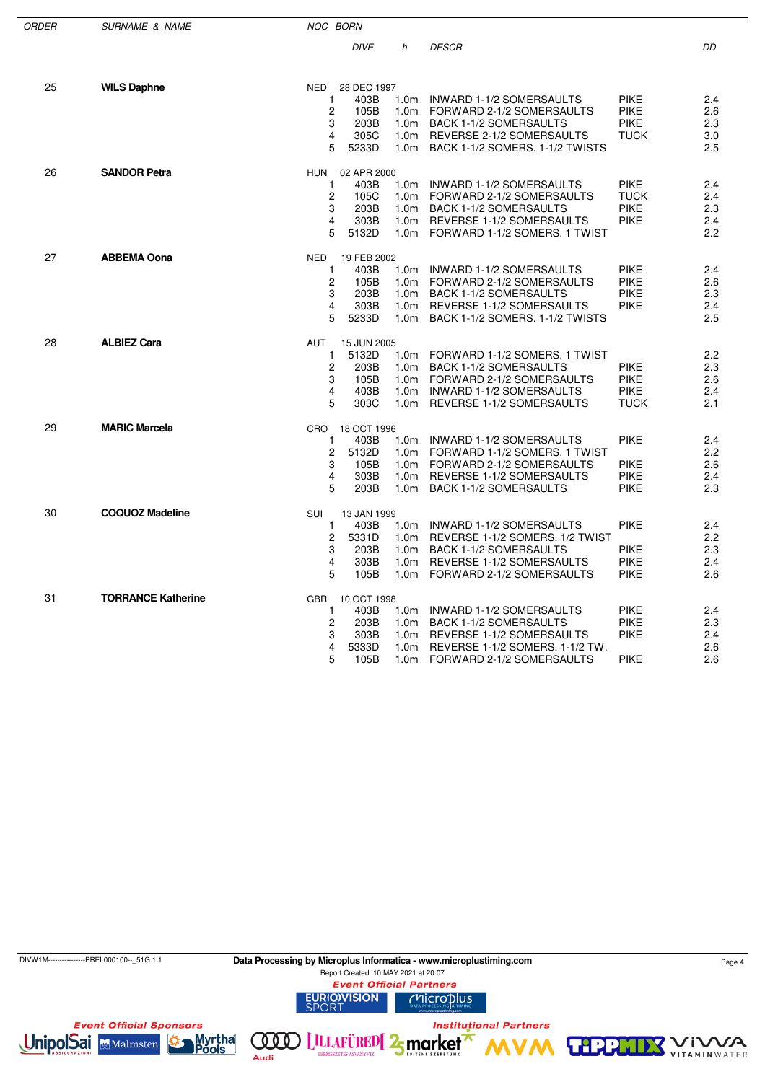| ORDER | <b>SURNAME &amp; NAME</b> | NOC BORN       |                 |                                      |                                                                        |             |            |
|-------|---------------------------|----------------|-----------------|--------------------------------------|------------------------------------------------------------------------|-------------|------------|
|       |                           |                | <b>DIVE</b>     | h                                    | <b>DESCR</b>                                                           |             | DD         |
| 25    | <b>WILS Daphne</b>        | <b>NED</b>     | 28 DEC 1997     |                                      |                                                                        |             |            |
|       |                           | 1              | 403B            | 1.0 <sub>m</sub>                     | INWARD 1-1/2 SOMERSAULTS                                               | <b>PIKE</b> | 2.4        |
|       |                           | $\overline{2}$ | 105B            | 1.0 <sub>m</sub>                     | FORWARD 2-1/2 SOMERSAULTS                                              | <b>PIKE</b> | 2.6        |
|       |                           | 3              | 203B            | 1.0 <sub>m</sub>                     | BACK 1-1/2 SOMERSAULTS                                                 | <b>PIKE</b> | 2.3        |
|       |                           | 4<br>5         | 305C<br>5233D   | 1.0 <sub>m</sub><br>1.0 <sub>m</sub> | REVERSE 2-1/2 SOMERSAULTS<br>BACK 1-1/2 SOMERS. 1-1/2 TWISTS           | <b>TUCK</b> | 3.0<br>2.5 |
| 26    | <b>SANDOR Petra</b>       |                | HUN 02 APR 2000 |                                      |                                                                        |             |            |
|       |                           | 1              | 403B            | 1.0 <sub>m</sub>                     | INWARD 1-1/2 SOMERSAULTS                                               | <b>PIKE</b> | 2.4        |
|       |                           | 2              | 105C            | 1.0 <sub>m</sub>                     | FORWARD 2-1/2 SOMERSAULTS                                              | <b>TUCK</b> | 2.4        |
|       |                           | 3              | 203B            | 1.0 <sub>m</sub>                     | <b>BACK 1-1/2 SOMERSAULTS</b>                                          | <b>PIKE</b> | 2.3        |
|       |                           | 4<br>5         | 303B<br>5132D   | 1.0 <sub>m</sub>                     | <b>REVERSE 1-1/2 SOMERSAULTS</b><br>1.0m FORWARD 1-1/2 SOMERS, 1 TWIST | <b>PIKE</b> | 2.4<br>2.2 |
| 27    | <b>ABBEMA Oona</b>        | <b>NED</b>     | 19 FEB 2002     |                                      |                                                                        |             |            |
|       |                           | 1              | 403B            | 1.0 <sub>m</sub>                     | INWARD 1-1/2 SOMERSAULTS                                               | <b>PIKE</b> | 2.4        |
|       |                           | 2              | 105B            | 1.0 <sub>m</sub>                     | FORWARD 2-1/2 SOMERSAULTS                                              | <b>PIKE</b> | 2.6        |
|       |                           | 3              | 203B            | 1.0 <sub>m</sub>                     | <b>BACK 1-1/2 SOMERSAULTS</b>                                          | <b>PIKE</b> | 2.3        |
|       |                           | 4              | 303B            | 1.0 <sub>m</sub>                     | REVERSE 1-1/2 SOMERSAULTS                                              | <b>PIKE</b> | 2.4        |
|       |                           | 5              | 5233D           | 1.0 <sub>m</sub>                     | BACK 1-1/2 SOMERS. 1-1/2 TWISTS                                        |             | 2.5        |
| 28    | <b>ALBIEZ Cara</b>        | AUT            | 15 JUN 2005     |                                      |                                                                        |             |            |
|       |                           | 1              | 5132D           |                                      | 1.0m FORWARD 1-1/2 SOMERS. 1 TWIST                                     |             | 2.2        |
|       |                           | 2              | 203B            |                                      | 1.0m BACK 1-1/2 SOMERSAULTS                                            | <b>PIKE</b> | 2.3        |
|       |                           | 3              | 105B            |                                      | 1.0m FORWARD 2-1/2 SOMERSAULTS                                         | <b>PIKE</b> | 2.6        |
|       |                           | 4              | 403B            |                                      | 1.0m INWARD 1-1/2 SOMERSAULTS                                          | <b>PIKE</b> | 2.4        |
|       |                           | 5              | 303C            | 1.0 <sub>m</sub>                     | REVERSE 1-1/2 SOMERSAULTS                                              | <b>TUCK</b> | 2.1        |
| 29    | <b>MARIC Marcela</b>      |                | CRO 18 OCT 1996 |                                      |                                                                        |             |            |
|       |                           | 1              | 403B            |                                      | 1.0m INWARD 1-1/2 SOMERSAULTS                                          | <b>PIKE</b> | 2.4        |
|       |                           | 2<br>3         | 5132D<br>105B   |                                      | 1.0m FORWARD 1-1/2 SOMERS. 1 TWIST<br>1.0m FORWARD 2-1/2 SOMERSAULTS   | <b>PIKE</b> | 2.2<br>2.6 |
|       |                           | 4              | 303B            |                                      | 1.0m REVERSE 1-1/2 SOMERSAULTS                                         | <b>PIKE</b> | 2.4        |
|       |                           | 5              | 203B            |                                      | 1.0m BACK 1-1/2 SOMERSAULTS                                            | <b>PIKE</b> | 2.3        |
| 30    | <b>COQUOZ Madeline</b>    | <b>SUI</b>     | 13 JAN 1999     |                                      |                                                                        |             |            |
|       |                           | 1              | 403B            | 1.0 <sub>m</sub>                     | INWARD 1-1/2 SOMERSAULTS                                               | <b>PIKE</b> | 2.4        |
|       |                           | $\overline{2}$ | 5331D           | 1.0 <sub>m</sub>                     | REVERSE 1-1/2 SOMERS, 1/2 TWIST                                        |             | 2.2        |
|       |                           | 3              | 203B            | 1.0 <sub>m</sub>                     | <b>BACK 1-1/2 SOMERSAULTS</b>                                          | <b>PIKE</b> | 2.3        |
|       |                           | 4              | 303B            | 1.0 <sub>m</sub>                     | REVERSE 1-1/2 SOMERSAULTS                                              | <b>PIKE</b> | 2.4        |
|       |                           | 5              | 105B            |                                      | 1.0m FORWARD 2-1/2 SOMERSAULTS                                         | <b>PIKE</b> | 2.6        |
| 31    | <b>TORRANCE Katherine</b> |                | GBR 10 OCT 1998 |                                      |                                                                        |             |            |
|       |                           | $\mathbf{1}$   | 403B            | 1.0 <sub>m</sub>                     | INWARD 1-1/2 SOMERSAULTS                                               | <b>PIKE</b> | 2.4        |
|       |                           | 2              | 203B            | 1.0 <sub>m</sub>                     | <b>BACK 1-1/2 SOMERSAULTS</b>                                          | <b>PIKE</b> | 2.3        |
|       |                           | 3<br>4         | 303B<br>5333D   | 1.0 <sub>m</sub><br>1.0 <sub>m</sub> | REVERSE 1-1/2 SOMERSAULTS<br>REVERSE 1-1/2 SOMERS. 1-1/2 TW.           | <b>PIKE</b> | 2.4<br>2.6 |
|       |                           | 5              | 105B            |                                      | 1.0m FORWARD 2-1/2 SOMERSAULTS                                         | <b>PIKE</b> | 2.6        |
|       |                           |                |                 |                                      |                                                                        |             |            |

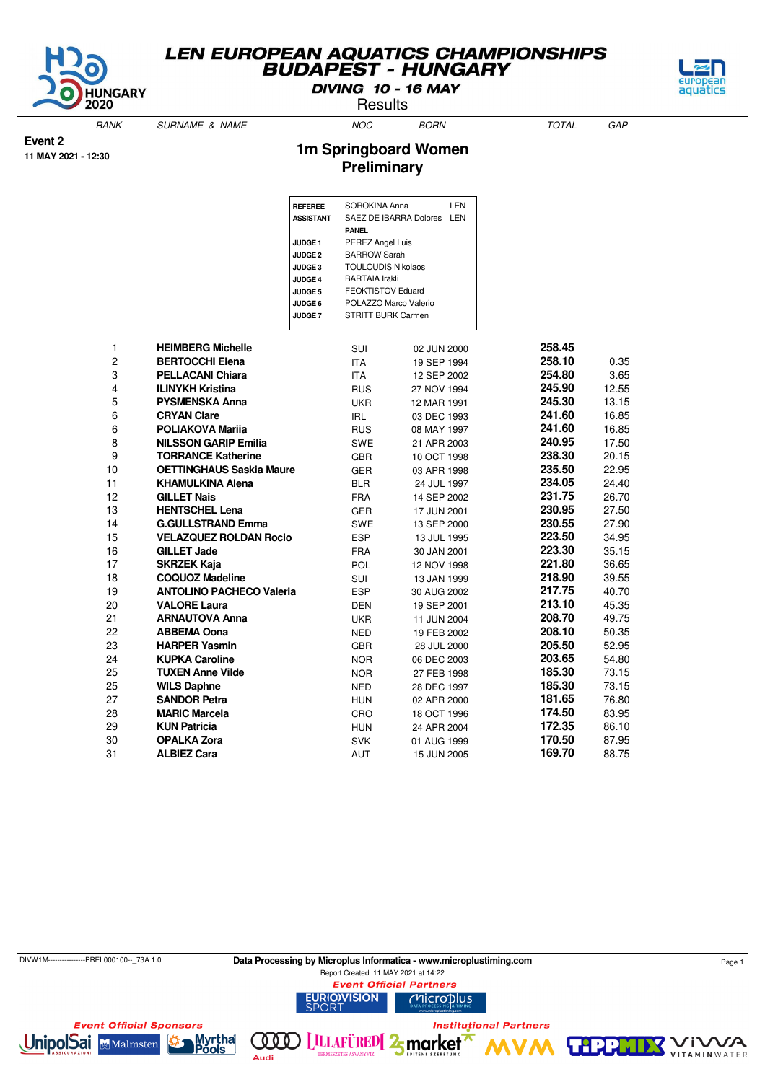

DIVING 10 - 16 MAY

**Results** 

**Event 2**

RANK SURNAME & NAME NOC BORN TOTAL GAP

**1m Springboard Women Preliminary**

aquatics

**11 MAY 2021 - 12:30**

|                |                                 | <b>REFEREE</b>            | SOROKINA Anna                                     | LEN                        |        |       |
|----------------|---------------------------------|---------------------------|---------------------------------------------------|----------------------------|--------|-------|
|                |                                 | <b>ASSISTANT</b>          |                                                   | SAEZ DE IBARRA Dolores LEN |        |       |
|                |                                 |                           | <b>PANEL</b>                                      |                            |        |       |
|                |                                 | JUDGE <sub>1</sub>        | PEREZ Angel Luis                                  |                            |        |       |
|                |                                 | <b>JUDGE 2</b>            | <b>BARROW Sarah</b>                               |                            |        |       |
|                |                                 | <b>JUDGE 3</b>            | <b>TOULOUDIS Nikolaos</b>                         |                            |        |       |
|                |                                 | <b>JUDGE 4</b>            | <b>BARTAIA Irakli</b><br><b>FEOKTISTOV Eduard</b> |                            |        |       |
|                |                                 | JUDGE 5<br><b>JUDGE 6</b> | POLAZZO Marco Valerio                             |                            |        |       |
|                |                                 | <b>JUDGE 7</b>            | STRITT BURK Carmen                                |                            |        |       |
|                |                                 |                           |                                                   |                            |        |       |
| 1              | <b>HEIMBERG Michelle</b>        |                           | SUI                                               | 02 JUN 2000                | 258.45 |       |
| $\overline{c}$ | <b>BERTOCCHI Elena</b>          |                           | <b>ITA</b>                                        | 19 SEP 1994                | 258.10 | 0.35  |
| 3              | <b>PELLACANI Chiara</b>         |                           | ITA                                               | 12 SEP 2002                | 254.80 | 3.65  |
| 4              | <b>ILINYKH Kristina</b>         |                           | <b>RUS</b>                                        | 27 NOV 1994                | 245.90 | 12.55 |
| 5              | <b>PYSMENSKA Anna</b>           |                           | <b>UKR</b>                                        | 12 MAR 1991                | 245.30 | 13.15 |
| 6              | <b>CRYAN Clare</b>              |                           | <b>IRL</b>                                        | 03 DEC 1993                | 241.60 | 16.85 |
| 6              | <b>POLIAKOVA Marija</b>         |                           | <b>RUS</b>                                        | 08 MAY 1997                | 241.60 | 16.85 |
| 8              | <b>NILSSON GARIP Emilia</b>     |                           | SWE                                               | 21 APR 2003                | 240.95 | 17.50 |
| 9              | <b>TORRANCE Katherine</b>       |                           | <b>GBR</b>                                        | 10 OCT 1998                | 238.30 | 20.15 |
| 10             | <b>OETTINGHAUS Saskia Maure</b> |                           | <b>GER</b>                                        | 03 APR 1998                | 235.50 | 22.95 |
| 11             | <b>KHAMULKINA Alena</b>         |                           | <b>BLR</b>                                        | 24 JUL 1997                | 234.05 | 24.40 |
| 12             | <b>GILLET Nais</b>              |                           | <b>FRA</b>                                        | 14 SEP 2002                | 231.75 | 26.70 |
| 13             | <b>HENTSCHEL Lena</b>           |                           | <b>GER</b>                                        | 17 JUN 2001                | 230.95 | 27.50 |
| 14             | <b>G.GULLSTRAND Emma</b>        |                           | <b>SWE</b>                                        | 13 SEP 2000                | 230.55 | 27.90 |
| 15             | <b>VELAZQUEZ ROLDAN Rocio</b>   |                           | <b>ESP</b>                                        | 13 JUL 1995                | 223.50 | 34.95 |
| 16             | <b>GILLET Jade</b>              |                           | <b>FRA</b>                                        | 30 JAN 2001                | 223.30 | 35.15 |
| 17             | <b>SKRZEK Kaja</b>              |                           | <b>POL</b>                                        | 12 NOV 1998                | 221.80 | 36.65 |
| 18             | <b>COQUOZ Madeline</b>          |                           | <b>SUI</b>                                        | 13 JAN 1999                | 218.90 | 39.55 |
| 19             | <b>ANTOLINO PACHECO Valeria</b> |                           | <b>ESP</b>                                        | 30 AUG 2002                | 217.75 | 40.70 |
| 20             | <b>VALORE Laura</b>             |                           | <b>DEN</b>                                        | 19 SEP 2001                | 213.10 | 45.35 |
| 21             | <b>ARNAUTOVA Anna</b>           |                           | <b>UKR</b>                                        | 11 JUN 2004                | 208.70 | 49.75 |
| 22             | <b>ABBEMA Oona</b>              |                           | <b>NED</b>                                        | 19 FEB 2002                | 208.10 | 50.35 |
| 23             | <b>HARPER Yasmin</b>            |                           | <b>GBR</b>                                        | 28 JUL 2000                | 205.50 | 52.95 |
| 24             | <b>KUPKA Caroline</b>           |                           | <b>NOR</b>                                        | 06 DEC 2003                | 203.65 | 54.80 |
| 25             | <b>TUXEN Anne Vilde</b>         |                           | <b>NOR</b>                                        | 27 FEB 1998                | 185.30 | 73.15 |
| 25             | <b>WILS Daphne</b>              |                           | <b>NED</b>                                        | 28 DEC 1997                | 185.30 | 73.15 |
| 27             | <b>SANDOR Petra</b>             |                           | <b>HUN</b>                                        | 02 APR 2000                | 181.65 | 76.80 |
| 28             | <b>MARIC Marcela</b>            |                           | CRO                                               | 18 OCT 1996                | 174.50 | 83.95 |
| 29             | <b>KUN Patricia</b>             |                           | <b>HUN</b>                                        | 24 APR 2004                | 172.35 | 86.10 |
| 30             | <b>OPALKA Zora</b>              |                           | <b>SVK</b>                                        | 01 AUG 1999                | 170.50 | 87.95 |
| 31             | <b>ALBIEZ Cara</b>              |                           | <b>AUT</b>                                        | 15 JUN 2005                | 169.70 | 88.75 |
|                |                                 |                           |                                                   |                            |        |       |



31 **ALBIEZ Cara** AUT 15 JUN 2005 **169.70** 88.75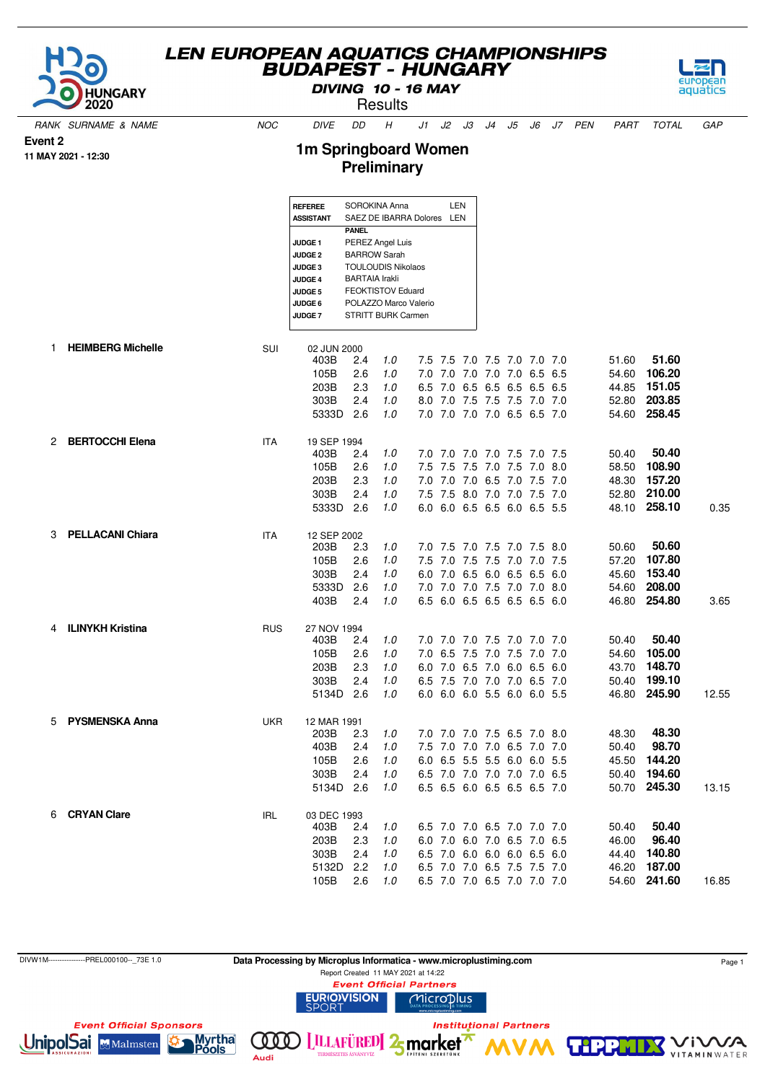



**VITAMIN** WATER

DIVING 10 - 16 MAY

**Results** 

**Event 2 11 MAY 2021 - 12:30**

RANK SURNAME & NAME TO THE ROOC DIVE DD H J1 J2 J3 J4 J5 J6 J7 PEN PART TOTAL GAP

#### **1m Springboard Women Preliminary**

|    |                          |            | <b>REFEREE</b><br><b>ASSISTANT</b>                                                                                  |                                       | SOROKINA Anna<br>SAEZ DE IBARRA Dolores LEN                                                                                              |                                     | <b>LEN</b> |                                                                                                                                                         |             |         |                                           |                                                          |       |
|----|--------------------------|------------|---------------------------------------------------------------------------------------------------------------------|---------------------------------------|------------------------------------------------------------------------------------------------------------------------------------------|-------------------------------------|------------|---------------------------------------------------------------------------------------------------------------------------------------------------------|-------------|---------|-------------------------------------------|----------------------------------------------------------|-------|
|    |                          |            | <b>JUDGE 1</b><br><b>JUDGE 2</b><br>JUDGE 3<br><b>JUDGE 4</b><br><b>JUDGE 5</b><br><b>JUDGE 6</b><br><b>JUDGE 7</b> | <b>PANEL</b><br><b>BARTAIA Irakli</b> | PEREZ Angel Luis<br><b>BARROW Sarah</b><br><b>TOULOUDIS Nikolaos</b><br>FEOKTISTOV Eduard<br>POLAZZO Marco Valerio<br>STRITT BURK Carmen |                                     |            |                                                                                                                                                         |             |         |                                           |                                                          |       |
| 1. | <b>HEIMBERG Michelle</b> | SUI        | 02 JUN 2000<br>403B<br>105B<br>203B<br>303B                                                                         | 2.4<br>2.6<br>2.3<br>2.4              | 1.0<br>1.0<br>1.0<br>1.0                                                                                                                 | 7.0<br>6.5<br>8.0                   |            | 7.5 7.5 7.0 7.5 7.0 7.0 7.0<br>7.0 7.0 7.0 7.0 6.5 6.5<br>7.0 6.5 6.5<br>7.0 7.5 7.5 7.5 7.0 7.0                                                        | 6.5         | 6.5 6.5 | 51.60<br>54.60<br>44.85<br>52.80          | 51.60<br>106.20<br>151.05<br>203.85                      |       |
| 2  | <b>BERTOCCHI Elena</b>   |            | 5333D                                                                                                               | 2.6                                   | 1.0                                                                                                                                      |                                     |            | 7.0 7.0 7.0 7.0 6.5 6.5 7.0                                                                                                                             |             |         | 54.60                                     | 258.45                                                   |       |
|    |                          | <b>ITA</b> | 19 SEP 1994<br>403B<br>105B<br>203B<br>303B<br>5333D                                                                | 2.4<br>2.6<br>2.3<br>2.4<br>2.6       | 1.0<br>1.0<br>1.0<br>1.0<br>1.0                                                                                                          | 7.5<br>7.0<br>7.5                   |            | 7.0 7.0 7.0 7.0 7.5 7.0 7.5<br>7.5 7.5 7.0 7.5 7.0 8.0<br>7.0 7.0 6.5<br>7.5 8.0 7.0 7.0 7.5 7.0<br>6.0 6.0 6.5 6.5 6.0 6.5 5.5                         | 7.0 7.5 7.0 |         | 50.40<br>58.50<br>48.30<br>52.80          | 50.40<br>108.90<br>157.20<br>210.00<br>48.10 258.10      | 0.35  |
| 3  | <b>PELLACANI Chiara</b>  | <b>ITA</b> | 12 SEP 2002<br>203B<br>105B<br>303B<br>5333D<br>403B                                                                | 2.3<br>2.6<br>2.4<br>2.6<br>2.4       | 1.0<br>1.0<br>1.0<br>1.0<br>1.0                                                                                                          | 7.0 7.5<br>7.5<br>6.0<br>7.0<br>6.5 | 7.0        | 7.0 7.5 7.0 7.5 8.0<br>7.0 7.5 7.5 7.0 7.0 7.5<br>6.5 6.0 6.5<br>7.0 7.0 7.5 7.0 7.0 8.0<br>6.0 6.5 6.5 6.5 6.5 6.0                                     |             | 6.5 6.0 | 50.60<br>57.20<br>45.60<br>54.60<br>46.80 | 50.60<br>107.80<br>153.40<br>208.00<br>254.80            | 3.65  |
| 4  | <b>ILINYKH Kristina</b>  | <b>RUS</b> | 27 NOV 1994<br>403B<br>105B<br>203B<br>303B<br>5134D                                                                | 2.4<br>2.6<br>2.3<br>2.4<br>2.6       | 1.0<br>1.0<br>1.0<br>1.0<br>1.0                                                                                                          | 7.0<br>7.0<br>6.0<br>6.5<br>6.0     | 6.5<br>7.5 | 7.0 7.0 7.5 7.0 7.0 7.0<br>7.5 7.0 7.5 7.0 7.0<br>7.0 6.5 7.0 6.0 6.5 6.0<br>7.0 7.0 7.0 6.5 7.0<br>6.0 6.0 5.5 6.0 6.0 5.5                             |             |         | 50.40<br>54.60<br>43.70<br>50.40<br>46.80 | 50.40<br>105.00<br>148.70<br>199.10<br>245.90            | 12.55 |
| 5  | <b>PYSMENSKA Anna</b>    | <b>UKR</b> | 12 MAR 1991<br>203B<br>403B<br>105B<br>303B<br>5134D 2.6                                                            | 2.3<br>2.4<br>2.6<br>2.4              | 1.0<br>1.0<br>1.0<br>1.0<br>1.0                                                                                                          | 7.0<br>7.5                          | 7.0 7.0    | 7.0 7.0 7.5 6.5 7.0 8.0<br>7.0 6.5 7.0 7.0<br>6.0 6.5 5.5 5.5 6.0 6.0 5.5<br>6.5 7.0 7.0 7.0 7.0 7.0 6.5<br>6.5 6.5 6.0 6.5 6.5 6.5 7.0                 |             |         | 48.30<br>50.40<br>45.50                   | 48.30<br>98.70<br>144.20<br>50.40 194.60<br>50.70 245.30 | 13.15 |
|    | 6 CRYAN Clare            | IRL        | 03 DEC 1993<br>403B<br>203B<br>303B<br>5132D<br>105B                                                                | 2.4<br>2.3<br>2.4<br>2.2<br>2.6       | 1.0<br>1.0<br>1.0<br>1.0<br>1.0                                                                                                          |                                     |            | 6.5 7.0 7.0 6.5 7.0 7.0 7.0<br>6.0 7.0 6.0 7.0 6.5 7.0 6.5<br>6.5 7.0 6.0 6.0 6.0 6.5 6.0<br>6.5 7.0 7.0 6.5 7.5 7.5 7.0<br>6.5 7.0 7.0 6.5 7.0 7.0 7.0 |             |         | 50.40<br>46.00<br>46.20                   | 50.40<br>96.40<br>44.40 140.80<br>187.00<br>54.60 241.60 | 16.85 |

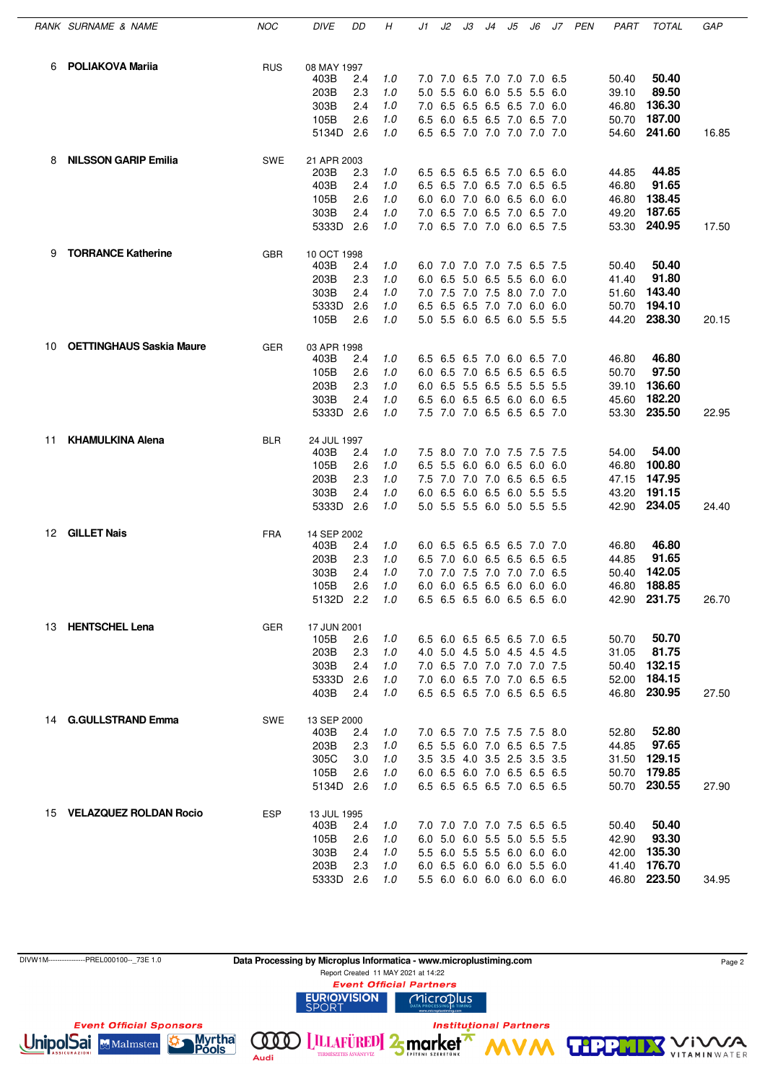|    | <i>RANK SURNAME &amp; NAME</i>  | <b>NOC</b> | <b>DIVE</b>  | DD         | Η          | J1  | J2 | JЗ | J4                  | J5 | J6                                                         | J7 PEN | PART           | <b>TOTAL</b>    | GAP   |
|----|---------------------------------|------------|--------------|------------|------------|-----|----|----|---------------------|----|------------------------------------------------------------|--------|----------------|-----------------|-------|
| 6  | <b>POLIAKOVA Marija</b>         | <b>RUS</b> | 08 MAY 1997  |            |            |     |    |    |                     |    |                                                            |        |                |                 |       |
|    |                                 |            | 403B         | 2.4        | 1.0        |     |    |    |                     |    | 7.0 7.0 6.5 7.0 7.0 7.0 6.5                                |        | 50.40          | 50.40           |       |
|    |                                 |            | 203B         | 2.3        | 1.0        |     |    |    |                     |    | 5.0 5.5 6.0 6.0 5.5 5.5 6.0                                |        | 39.10          | 89.50           |       |
|    |                                 |            | 303B         | 2.4        | 1.0        |     |    |    | 7.0 6.5 6.5 6.5 6.5 |    | 7.0 6.0                                                    |        | 46.80          | 136.30          |       |
|    |                                 |            | 105B         | 2.6        | 1.0        | 6.5 |    |    |                     |    | 6.0 6.5 6.5 7.0 6.5 7.0                                    |        | 50.70          | 187.00          |       |
|    |                                 |            | 5134D 2.6    |            | 1.0        |     |    |    |                     |    | 6.5 6.5 7.0 7.0 7.0 7.0 7.0                                |        | 54.60          | 241.60          | 16.85 |
| 8  | <b>NILSSON GARIP Emilia</b>     | SWE        | 21 APR 2003  |            |            |     |    |    |                     |    |                                                            |        |                | 44.85           |       |
|    |                                 |            | 203B<br>403B | 2.3<br>2.4 | 1.0<br>1.0 |     |    |    |                     |    | 6.5 6.5 6.5 6.5 7.0 6.5 6.0<br>6.5 6.5 7.0 6.5 7.0 6.5 6.5 |        | 44.85<br>46.80 | 91.65           |       |
|    |                                 |            | 105B         | 2.6        | 1.0        |     |    |    |                     |    | 6.0 6.0 7.0 6.0 6.5 6.0 6.0                                |        | 46.80          | 138.45          |       |
|    |                                 |            | 303B         | 2.4        | 1.0        |     |    |    |                     |    | 7.0 6.5 7.0 6.5 7.0 6.5 7.0                                |        | 49.20          | 187.65          |       |
|    |                                 |            | 5333D        | 2.6        | 1.0        |     |    |    |                     |    | 7.0 6.5 7.0 7.0 6.0 6.5 7.5                                |        | 53.30          | 240.95          | 17.50 |
| 9  | <b>TORRANCE Katherine</b>       | <b>GBR</b> | 10 OCT 1998  |            |            |     |    |    |                     |    |                                                            |        |                |                 |       |
|    |                                 |            | 403B         | 2.4        | 1.0        |     |    |    |                     |    | 6.0 7.0 7.0 7.0 7.5 6.5 7.5                                |        | 50.40          | 50.40           |       |
|    |                                 |            | 203B         | 2.3        | 1.0        |     |    |    |                     |    | 6.0 6.5 5.0 6.5 5.5 6.0 6.0                                |        | 41.40          | 91.80           |       |
|    |                                 |            | 303B         | 2.4        | 1.0        |     |    |    |                     |    | 7.0 7.5 7.0 7.5 8.0 7.0 7.0                                |        | 51.60          | 143.40          |       |
|    |                                 |            | 5333D        | 2.6        | 1.0        | 6.5 |    |    |                     |    | 6.5 6.5 7.0 7.0 6.0 6.0                                    |        | 50.70          | 194.10          |       |
|    |                                 |            | 105B         | 2.6        | 1.0        |     |    |    |                     |    | 5.0 5.5 6.0 6.5 6.0 5.5 5.5                                |        | 44.20          | 238.30          | 20.15 |
| 10 | <b>OETTINGHAUS Saskia Maure</b> | <b>GER</b> | 03 APR 1998  |            |            |     |    |    |                     |    |                                                            |        |                |                 |       |
|    |                                 |            | 403B         | 2.4        | 1.0        |     |    |    |                     |    | 6.5 6.5 6.5 7.0 6.0 6.5 7.0                                |        | 46.80          | 46.80           |       |
|    |                                 |            | 105B<br>203B | 2.6<br>2.3 | 1.0        |     |    |    | 6.0 6.5 7.0 6.5     |    | 6.5 6.5 6.5                                                |        | 50.70          | 97.50<br>136.60 |       |
|    |                                 |            | 303B         | 2.4        | 1.0<br>1.0 | 6.5 |    |    |                     |    | 6.0 6.5 5.5 6.5 5.5 5.5 5.5<br>6.0 6.5 6.5 6.0 6.0 6.5     |        | 39.10<br>45.60 | 182.20          |       |
|    |                                 |            | 5333D 2.6    |            | 1.0        |     |    |    |                     |    | 7.5 7.0 7.0 6.5 6.5 6.5 7.0                                |        |                | 53.30 235.50    | 22.95 |
| 11 | <b>KHAMULKINA Alena</b>         | <b>BLR</b> | 24 JUL 1997  |            |            |     |    |    |                     |    |                                                            |        |                |                 |       |
|    |                                 |            | 403B         | 2.4        | 1.0        |     |    |    |                     |    | 7.5 8.0 7.0 7.0 7.5 7.5 7.5                                |        | 54.00          | 54.00           |       |
|    |                                 |            | 105B         | 2.6        | 1.0        |     |    |    |                     |    | 6.5 5.5 6.0 6.0 6.5 6.0 6.0                                |        | 46.80          | 100.80          |       |
|    |                                 |            | 203B         | 2.3        | 1.0        |     |    |    |                     |    | 7.5 7.0 7.0 7.0 6.5 6.5 6.5                                |        | 47.15          | 147.95          |       |
|    |                                 |            | 303B         | 2.4        | 1.0        |     |    |    |                     |    | 6.0 6.5 6.0 6.5 6.0 5.5 5.5                                |        | 43.20          | 191.15          |       |
|    |                                 |            | 5333D        | 2.6        | 1.0        |     |    |    |                     |    | 5.0 5.5 5.5 6.0 5.0 5.5 5.5                                |        | 42.90          | 234.05          | 24.40 |
| 12 | <b>GILLET Nais</b>              | <b>FRA</b> | 14 SEP 2002  |            |            |     |    |    |                     |    | 6.0 6.5 6.5 6.5 6.5 7.0 7.0                                |        |                | 46.80           |       |
|    |                                 |            | 403B<br>203B | 2.4<br>2.3 | 1.0<br>1.0 | 6.5 |    |    | 7.0 6.0 6.5 6.5     |    | 6.5 6.5                                                    |        | 46.80<br>44.85 | 91.65           |       |
|    |                                 |            | 303B         | 2.4        | 1.0        | 7.0 |    |    |                     |    | 7.0 7.5 7.0 7.0 7.0 6.5                                    |        | 50.40          | 142.05          |       |
|    |                                 |            | 105B         | 2.6        | 1.0        |     |    |    |                     |    | 6.0 6.0 6.5 6.5 6.0 6.0 6.0                                |        | 46.80          | 188.85          |       |
|    |                                 |            | 5132D 2.2    |            | 1.0        |     |    |    |                     |    | 6.5 6.5 6.5 6.0 6.5 6.5 6.0                                |        |                | 42.90 231.75    | 26.70 |
|    | 13 HENTSCHEL Lena               | <b>GER</b> | 17 JUN 2001  |            |            |     |    |    |                     |    |                                                            |        |                |                 |       |
|    |                                 |            | 105B         | 2.6        | 1.0        |     |    |    |                     |    | 6.5 6.0 6.5 6.5 6.5 7.0 6.5                                |        | 50.70          | 50.70           |       |
|    |                                 |            | 203B         | 2.3        | 1.0        |     |    |    |                     |    | 4.0 5.0 4.5 5.0 4.5 4.5 4.5                                |        | 31.05          | 81.75           |       |
|    |                                 |            | 303B         | 2.4        | 1.0        |     |    |    |                     |    | 7.0 6.5 7.0 7.0 7.0 7.0 7.5                                |        | 50.40          | 132.15          |       |
|    |                                 |            | 5333D        | 2.6        | 1.0        |     |    |    |                     |    | 7.0 6.0 6.5 7.0 7.0 6.5 6.5                                |        | 52.00          | 184.15          |       |
|    |                                 |            | 403B         | 2.4        | 1.0        |     |    |    |                     |    | 6.5 6.5 6.5 7.0 6.5 6.5 6.5                                |        | 46.80          | 230.95          | 27.50 |
|    | 14 G.GULLSTRAND Emma            | SWE        | 13 SEP 2000  |            |            |     |    |    |                     |    |                                                            |        |                |                 |       |
|    |                                 |            | 403B         | 2.4        | 1.0        |     |    |    |                     |    | 7.0 6.5 7.0 7.5 7.5 7.5 8.0                                |        | 52.80          | 52.80<br>97.65  |       |
|    |                                 |            | 203B         | 2.3        | 1.0        |     |    |    |                     |    | 6.5 5.5 6.0 7.0 6.5 6.5 7.5                                |        | 44.85          | 31.50 129.15    |       |
|    |                                 |            | 305C<br>105B | 3.0<br>2.6 | 1.0<br>1.0 |     |    |    |                     |    | 3.5 3.5 4.0 3.5 2.5 3.5 3.5<br>6.0 6.5 6.0 7.0 6.5 6.5 6.5 |        |                | 50.70 179.85    |       |
|    |                                 |            | 5134D 2.6    |            | 1.0        |     |    |    |                     |    | 6.5 6.5 6.5 6.5 7.0 6.5 6.5                                |        |                | 50.70 230.55    | 27.90 |
|    | 15 VELAZQUEZ ROLDAN Rocio       | <b>ESP</b> | 13 JUL 1995  |            |            |     |    |    |                     |    |                                                            |        |                |                 |       |
|    |                                 |            | 403B         | 2.4        | 1.0        |     |    |    |                     |    | 7.0 7.0 7.0 7.0 7.5 6.5 6.5                                |        | 50.40          | 50.40           |       |
|    |                                 |            | 105B         | 2.6        | 1.0        |     |    |    |                     |    | 6.0 5.0 6.0 5.5 5.0 5.5 5.5                                |        | 42.90          | 93.30           |       |
|    |                                 |            | 303B         | 2.4        | 1.0        | 5.5 |    |    |                     |    | 6.0 5.5 5.5 6.0 6.0 6.0                                    |        |                | 42.00 135.30    |       |
|    |                                 |            | 203B         | 2.3        | 1.0        |     |    |    |                     |    | 6.0 6.5 6.0 6.0 6.0 5.5 6.0                                |        | 41.40          | 176.70          |       |
|    |                                 |            | 5333D 2.6    |            | 1.0        |     |    |    |                     |    | 5.5 6.0 6.0 6.0 6.0 6.0 6.0                                |        |                | 46.80 223.50    | 34.95 |



 $\underset{\text{Audi}}{\text{QQQ}} \underset{\text{The  
classians isosymptotic}}{\text{LILLAFIREDI}} \underset{\text{Bulaxians}}{\text{B}} \underset{\text{Bulaxian}}{\text{maxket}} \dot{\uparrow}$ 



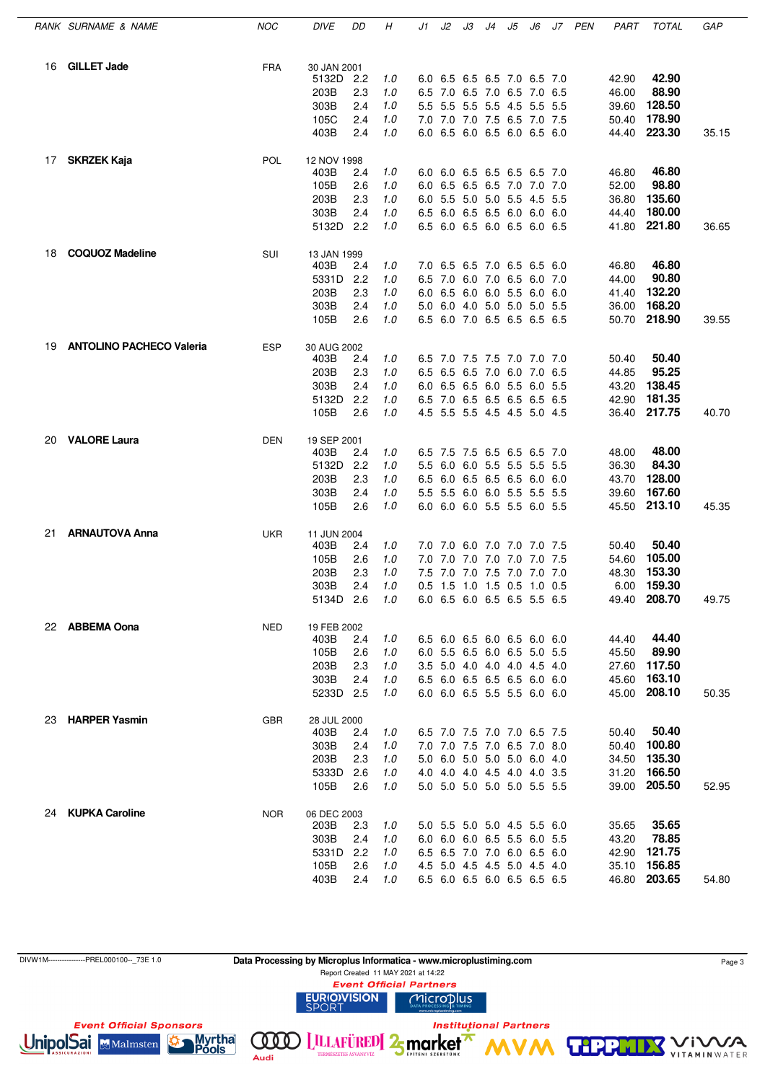|    | RANK SURNAME & NAME             | <b>NOC</b> | <b>DIVE</b>   | DD         | Η          | J1  | J2 | JЗ | J4                                                         | J5 | J6 | J7 | PEN | PART           | TOTAL                 | <b>GAP</b> |
|----|---------------------------------|------------|---------------|------------|------------|-----|----|----|------------------------------------------------------------|----|----|----|-----|----------------|-----------------------|------------|
| 16 | <b>GILLET Jade</b>              | <b>FRA</b> | 30 JAN 2001   |            |            |     |    |    |                                                            |    |    |    |     |                |                       |            |
|    |                                 |            | 5132D         | 2.2        | 1.0        |     |    |    | 6.0 6.5 6.5 6.5 7.0 6.5 7.0                                |    |    |    |     | 42.90          | 42.90                 |            |
|    |                                 |            | 203B          | 2.3        | 1.0        |     |    |    | 6.5 7.0 6.5 7.0 6.5 7.0 6.5                                |    |    |    |     | 46.00          | 88.90                 |            |
|    |                                 |            | 303B          | 2.4        | 1.0        |     |    |    | 5.5 5.5 5.5 5.5 4.5 5.5 5.5                                |    |    |    |     | 39.60          | 128.50                |            |
|    |                                 |            | 105C          | 2.4        | 1.0        |     |    |    | 7.0 7.0 7.0 7.5 6.5 7.0 7.5                                |    |    |    |     | 50.40          | 178.90                |            |
|    |                                 |            | 403B          | 2.4        | 1.0        |     |    |    | 6.0 6.5 6.0 6.5 6.0 6.5 6.0                                |    |    |    |     | 44.40          | 223.30                | 35.15      |
| 17 | <b>SKRZEK Kaja</b>              | <b>POL</b> | 12 NOV 1998   |            |            |     |    |    |                                                            |    |    |    |     |                |                       |            |
|    |                                 |            | 403B          | 2.4        | 1.0        |     |    |    | 6.0 6.0 6.5 6.5 6.5 6.5 7.0                                |    |    |    |     | 46.80          | 46.80                 |            |
|    |                                 |            | 105B          | 2.6        | 1.0        |     |    |    | 6.0 6.5 6.5 6.5 7.0 7.0 7.0                                |    |    |    |     | 52.00          | 98.80                 |            |
|    |                                 |            | 203B          | 2.3        | 1.0        |     |    |    | 6.0 5.5 5.0 5.0 5.5 4.5 5.5                                |    |    |    |     | 36.80          | 135.60<br>180.00      |            |
|    |                                 |            | 303B<br>5132D | 2.4<br>2.2 | 1.0<br>1.0 | 6.5 |    |    | 6.0 6.5 6.5 6.0 6.0 6.0<br>6.5 6.0 6.5 6.0 6.5 6.0 6.5     |    |    |    |     | 44.40          | 41.80 221.80          | 36.65      |
| 18 | <b>COQUOZ Madeline</b>          | <b>SUI</b> | 13 JAN 1999   |            |            |     |    |    |                                                            |    |    |    |     |                |                       |            |
|    |                                 |            | 403B          | 2.4        | 1.0        |     |    |    | 7.0 6.5 6.5 7.0 6.5 6.5 6.0                                |    |    |    |     | 46.80          | 46.80                 |            |
|    |                                 |            | 5331D         | 2.2        | 1.0        |     |    |    | 6.5 7.0 6.0 7.0 6.5 6.0 7.0                                |    |    |    |     | 44.00          | 90.80                 |            |
|    |                                 |            | 203B          | 2.3        | 1.0        |     |    |    | 6.0 6.5 6.0 6.0 5.5 6.0 6.0                                |    |    |    |     | 41.40          | 132.20                |            |
|    |                                 |            | 303B          | 2.4        | 1.0        | 5.0 |    |    | 6.0 4.0 5.0 5.0 5.0 5.5                                    |    |    |    |     | 36.00          | 168.20                |            |
|    |                                 |            | 105B          | 2.6        | 1.0        |     |    |    | 6.5 6.0 7.0 6.5 6.5 6.5 6.5                                |    |    |    |     | 50.70          | 218.90                | 39.55      |
| 19 | <b>ANTOLINO PACHECO Valeria</b> | <b>ESP</b> | 30 AUG 2002   |            |            |     |    |    |                                                            |    |    |    |     |                |                       |            |
|    |                                 |            | 403B          | 2.4        | 1.0        |     |    |    | 6.5 7.0 7.5 7.5 7.0 7.0 7.0                                |    |    |    |     | 50.40          | 50.40                 |            |
|    |                                 |            | 203B          | 2.3        | 1.0        |     |    |    | 6.5 6.5 6.5 7.0 6.0 7.0 6.5                                |    |    |    |     | 44.85          | 95.25                 |            |
|    |                                 |            | 303B          | 2.4        | 1.0        |     |    |    | 6.0 6.5 6.5 6.0 5.5 6.0 5.5                                |    |    |    |     | 43.20          | 138.45                |            |
|    |                                 |            | 5132D         | 2.2        | 1.0        |     |    |    | 6.5 7.0 6.5 6.5 6.5 6.5 6.5                                |    |    |    |     | 42.90          | 181.35                |            |
|    |                                 |            | 105B          | 2.6        | 1.0        | 4.5 |    |    | 5.5 5.5 4.5 4.5 5.0 4.5                                    |    |    |    |     | 36.40          | 217.75                | 40.70      |
| 20 | <b>VALORE Laura</b>             | <b>DEN</b> | 19 SEP 2001   |            |            |     |    |    |                                                            |    |    |    |     |                | 48.00                 |            |
|    |                                 |            | 403B          | 2.4<br>2.2 | 1.0<br>1.0 |     |    |    | 6.5 7.5 7.5 6.5 6.5 6.5 7.0<br>6.0 6.0 5.5 5.5 5.5 5.5     |    |    |    |     | 48.00          | 84.30                 |            |
|    |                                 |            | 5132D<br>203B | 2.3        | 1.0        | 5.5 |    |    | 6.5 6.0 6.5 6.5 6.5 6.0 6.0                                |    |    |    |     | 36.30<br>43.70 | 128.00                |            |
|    |                                 |            | 303B          | 2.4        | 1.0        |     |    |    | 5.5 5.5 6.0 6.0 5.5 5.5 5.5                                |    |    |    |     | 39.60          | 167.60                |            |
|    |                                 |            | 105B          | 2.6        | 1.0        |     |    |    | 6.0 6.0 6.0 5.5 5.5 6.0 5.5                                |    |    |    |     | 45.50          | 213.10                | 45.35      |
| 21 | <b>ARNAUTOVA Anna</b>           | <b>UKR</b> | 11 JUN 2004   |            |            |     |    |    |                                                            |    |    |    |     |                |                       |            |
|    |                                 |            | 403B          | 2.4        | 1.0        |     |    |    | 7.0 7.0 6.0 7.0 7.0 7.0 7.5                                |    |    |    |     | 50.40          | 50.40                 |            |
|    |                                 |            | 105B          | 2.6        | 1.0        | 7.0 |    |    | 7.0 7.0 7.0 7.0 7.0 7.5                                    |    |    |    |     | 54.60          | 105.00                |            |
|    |                                 |            | 203B          | 2.3        | 1.0        | 7.5 |    |    | 7.0 7.0 7.5 7.0 7.0 7.0                                    |    |    |    |     | 48.30          | 153.30                |            |
|    |                                 |            | 303B          | 2.4        | 1.0        |     |    |    | 0.5 1.5 1.0 1.5 0.5 1.0 0.5                                |    |    |    |     |                | 6.00 159.30           |            |
|    |                                 |            | 5134D 2.6     |            | 1.0        |     |    |    | 6.0 6.5 6.0 6.5 6.5 5.5 6.5                                |    |    |    |     |                | 49.40 208.70          | 49.75      |
|    | 22 ABBEMA Oona                  | <b>NED</b> | 19 FEB 2002   |            |            |     |    |    |                                                            |    |    |    |     |                |                       |            |
|    |                                 |            | 403B          | 2.4        | 1.0        |     |    |    | 6.5 6.0 6.5 6.0 6.5 6.0 6.0                                |    |    |    |     | 44.40          | 44.40                 |            |
|    |                                 |            | 105B<br>203B  | 2.6<br>2.3 | 1.0<br>1.0 |     |    |    | 6.0 5.5 6.5 6.0 6.5 5.0 5.5<br>3.5 5.0 4.0 4.0 4.0 4.5 4.0 |    |    |    |     | 45.50          | 89.90<br>27.60 117.50 |            |
|    |                                 |            | 303B          | 2.4        | 1.0        |     |    |    | 6.5 6.0 6.5 6.5 6.5 6.0 6.0                                |    |    |    |     | 45.60          | 163.10                |            |
|    |                                 |            | 5233D 2.5     |            | 1.0        |     |    |    | 6.0 6.0 6.5 5.5 5.5 6.0 6.0                                |    |    |    |     | 45.00          | 208.10                | 50.35      |
| 23 | <b>HARPER Yasmin</b>            | <b>GBR</b> | 28 JUL 2000   |            |            |     |    |    |                                                            |    |    |    |     |                |                       |            |
|    |                                 |            | 403B          | 2.4        | 1.0        |     |    |    | 6.5 7.0 7.5 7.0 7.0 6.5 7.5                                |    |    |    |     | 50.40          | 50.40                 |            |
|    |                                 |            | 303B          | 2.4        | 1.0        |     |    |    | 7.0 7.0 7.5 7.0 6.5 7.0 8.0                                |    |    |    |     |                | 50.40 100.80          |            |
|    |                                 |            | 203B          | 2.3        | 1.0        | 5.0 |    |    | 6.0 5.0 5.0 5.0 6.0 4.0                                    |    |    |    |     |                | 34.50 135.30          |            |
|    |                                 |            | 5333D         | 2.6        | 1.0        |     |    |    | 4.0 4.0 4.0 4.5 4.0 4.0 3.5                                |    |    |    |     |                | 31.20 166.50          |            |
|    |                                 |            | 105B          | 2.6        | 1.0        |     |    |    | 5.0 5.0 5.0 5.0 5.0 5.5 5.5                                |    |    |    |     | 39.00          | 205.50                | 52.95      |
| 24 | <b>KUPKA Caroline</b>           | <b>NOR</b> | 06 DEC 2003   |            |            |     |    |    |                                                            |    |    |    |     |                |                       |            |
|    |                                 |            | 203B          | 2.3        | 1.0        |     |    |    | 5.0 5.5 5.0 5.0 4.5 5.5 6.0                                |    |    |    |     | 35.65          | 35.65                 |            |
|    |                                 |            | 303B          | 2.4        | 1.0        |     |    |    | 6.0 6.0 6.0 6.5 5.5 6.0 5.5                                |    |    |    |     | 43.20          | 78.85                 |            |
|    |                                 |            | 5331D         | 2.2        | 1.0        |     |    |    | 6.5 6.5 7.0 7.0 6.0 6.5 6.0                                |    |    |    |     | 42.90          | 121.75                |            |
|    |                                 |            | 105B          | 2.6        | 1.0        |     |    |    | 4.5 5.0 4.5 4.5 5.0 4.5 4.0                                |    |    |    |     | 35.10          | 156.85                |            |
|    |                                 |            | 403B          | 2.4        | 1.0        |     |    |    | 6.5 6.0 6.5 6.0 6.5 6.5 6.5                                |    |    |    |     | 46.80          | 203.65                | 54.80      |

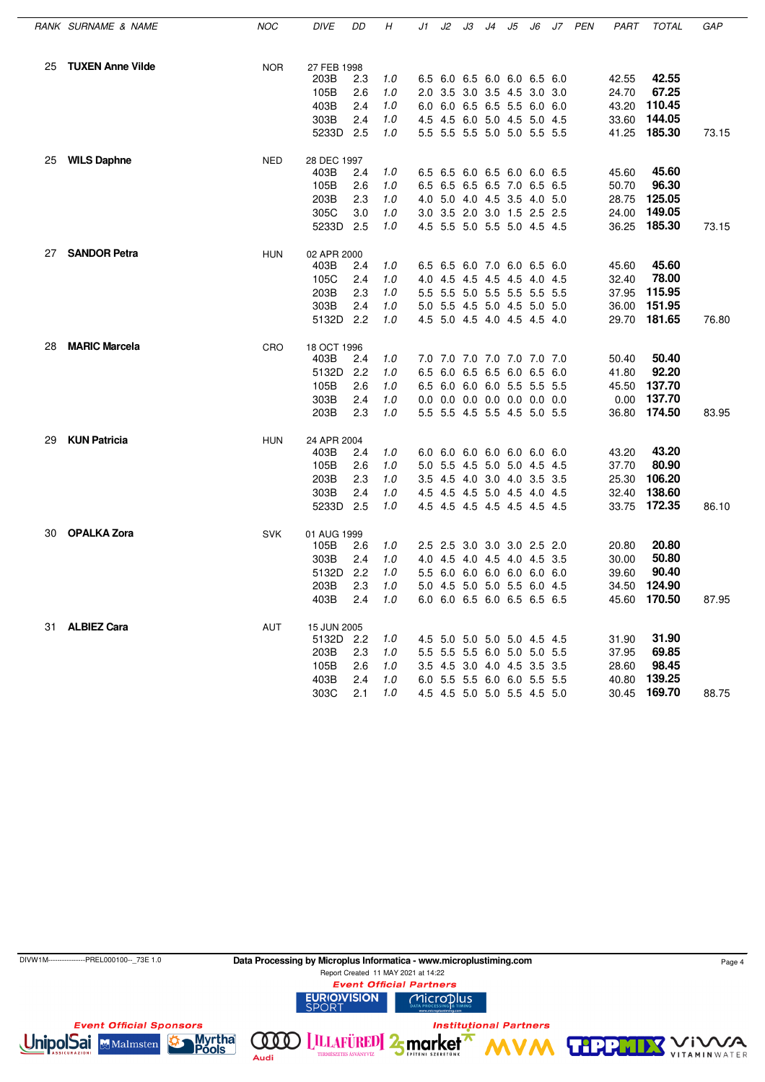|    | RANK SURNAME & NAME     | <b>NOC</b> | <b>DIVE</b>   | DD         | Η          | J1  | J2 | JЗ | J4                                                         | J5 | J6 | J7 PEN | PART           | TOTAL        | GAP   |
|----|-------------------------|------------|---------------|------------|------------|-----|----|----|------------------------------------------------------------|----|----|--------|----------------|--------------|-------|
| 25 | <b>TUXEN Anne Vilde</b> | <b>NOR</b> | 27 FEB 1998   |            |            |     |    |    |                                                            |    |    |        |                |              |       |
|    |                         |            | 203B          | 2.3        | 1.0        |     |    |    | 6.5 6.0 6.5 6.0 6.0 6.5 6.0                                |    |    |        | 42.55          | 42.55        |       |
|    |                         |            | 105B          | 2.6        | 1.0        |     |    |    | 2.0 3.5 3.0 3.5 4.5 3.0 3.0                                |    |    |        | 24.70          | 67.25        |       |
|    |                         |            | 403B          | 2.4        | 1.0        |     |    |    | 6.0 6.0 6.5 6.5 5.5 6.0 6.0                                |    |    |        | 43.20          | 110.45       |       |
|    |                         |            | 303B          | 2.4        | 1.0        |     |    |    | 4.5 4.5 6.0 5.0 4.5 5.0 4.5                                |    |    |        | 33.60          | 144.05       |       |
|    |                         |            | 5233D 2.5     |            | 1.0        |     |    |    | 5.5 5.5 5.5 5.0 5.0 5.5 5.5                                |    |    |        |                | 41.25 185.30 | 73.15 |
| 25 | <b>WILS Daphne</b>      | <b>NED</b> | 28 DEC 1997   |            |            |     |    |    |                                                            |    |    |        |                |              |       |
|    |                         |            | 403B          | 2.4        | 1.0        |     |    |    | 6.5 6.5 6.0 6.5 6.0 6.0 6.5                                |    |    |        | 45.60          | 45.60        |       |
|    |                         |            | 105B          | 2.6        | 1.0        |     |    |    | 6.5 6.5 6.5 6.5 7.0 6.5 6.5                                |    |    |        | 50.70          | 96.30        |       |
|    |                         |            | 203B          | 2.3        | 1.0        |     |    |    | 4.0 5.0 4.0 4.5 3.5 4.0 5.0                                |    |    |        | 28.75          | 125.05       |       |
|    |                         |            | 305C          | 3.0        | 1.0        |     |    |    | 3.0 3.5 2.0 3.0 1.5 2.5 2.5                                |    |    |        | 24.00          | 149.05       |       |
|    |                         |            | 5233D         | 2.5        | 1.0        |     |    |    | 4.5 5.5 5.0 5.5 5.0 4.5 4.5                                |    |    |        | 36.25          | 185.30       | 73.15 |
| 27 | <b>SANDOR Petra</b>     | <b>HUN</b> | 02 APR 2000   |            |            |     |    |    |                                                            |    |    |        |                | 45.60        |       |
|    |                         |            | 403B<br>105C  | 2.4<br>2.4 | 1.0<br>1.0 |     |    |    | 6.5 6.5 6.0 7.0 6.0 6.5 6.0<br>4.0 4.5 4.5 4.5 4.5 4.0 4.5 |    |    |        | 45.60<br>32.40 | 78.00        |       |
|    |                         |            |               | 2.3        | 1.0        |     |    |    |                                                            |    |    |        |                | 115.95       |       |
|    |                         |            | 203B<br>303B  | 2.4        | 1.0        | 5.0 |    |    | 5.5 5.5 5.0 5.5 5.5 5.5 5.5<br>5.5 4.5 5.0 4.5 5.0 5.0     |    |    |        | 37.95<br>36.00 | 151.95       |       |
|    |                         |            | 5132D         | 2.2        | 1.0        |     |    |    | 4.5 5.0 4.5 4.0 4.5 4.5 4.0                                |    |    |        |                | 29.70 181.65 | 76.80 |
|    |                         |            |               |            |            |     |    |    |                                                            |    |    |        |                |              |       |
| 28 | <b>MARIC Marcela</b>    | <b>CRO</b> | 18 OCT 1996   |            |            |     |    |    | 7.0 7.0 7.0 7.0 7.0 7.0 7.0                                |    |    |        |                | 50.40        |       |
|    |                         |            | 403B<br>5132D | 2.4<br>2.2 | 1.0<br>1.0 |     |    |    | 6.5 6.0 6.5 6.5 6.0 6.5 6.0                                |    |    |        | 50.40<br>41.80 | 92.20        |       |
|    |                         |            | 105B          | 2.6        | 1.0        |     |    |    | 6.5 6.0 6.0 6.0 5.5 5.5 5.5                                |    |    |        | 45.50          | 137.70       |       |
|    |                         |            | 303B          | 2.4        | 1.0        |     |    |    | $0.0$ $0.0$ $0.0$ $0.0$ $0.0$ $0.0$ $0.0$ $0.0$            |    |    |        | 0.00           | 137.70       |       |
|    |                         |            | 203B          | 2.3        | 1.0        |     |    |    | 5.5 5.5 4.5 5.5 4.5 5.0 5.5                                |    |    |        |                | 36.80 174.50 | 83.95 |
|    |                         |            |               |            |            |     |    |    |                                                            |    |    |        |                |              |       |
| 29 | <b>KUN Patricia</b>     | <b>HUN</b> | 24 APR 2004   |            |            |     |    |    |                                                            |    |    |        |                |              |       |
|    |                         |            | 403B          | 2.4        | 1.0        |     |    |    | 6.0 6.0 6.0 6.0 6.0 6.0 6.0                                |    |    |        | 43.20          | 43.20        |       |
|    |                         |            | 105B          | 2.6        | 1.0        |     |    |    | 5.0 5.5 4.5 5.0 5.0 4.5 4.5                                |    |    |        | 37.70          | 80.90        |       |
|    |                         |            | 203B          | 2.3        | 1.0        |     |    |    | 3.5 4.5 4.0 3.0 4.0 3.5 3.5                                |    |    |        | 25.30          | 106.20       |       |
|    |                         |            | 303B          | 2.4        | 1.0        |     |    |    | 4.5 4.5 4.5 5.0 4.5 4.0 4.5                                |    |    |        | 32.40          | 138.60       |       |
|    |                         |            | 5233D         | 2.5        | 1.0        |     |    |    | 4.5 4.5 4.5 4.5 4.5 4.5 4.5                                |    |    |        |                | 33.75 172.35 | 86.10 |
| 30 | <b>OPALKA Zora</b>      | <b>SVK</b> | 01 AUG 1999   |            |            |     |    |    |                                                            |    |    |        |                |              |       |
|    |                         |            | 105B          | 2.6        | 1.0        |     |    |    | 2.5 2.5 3.0 3.0 3.0 2.5 2.0                                |    |    |        | 20.80          | 20.80        |       |
|    |                         |            | 303B          | 2.4        | 1.0        | 4.0 |    |    | 4.5 4.0 4.5 4.0 4.5 3.5                                    |    |    |        | 30.00          | 50.80        |       |
|    |                         |            | 5132D         | 2.2        | 1.0        |     |    |    | 5.5 6.0 6.0 6.0 6.0 6.0 6.0                                |    |    |        | 39.60          | 90.40        |       |
|    |                         |            | 203B          | 2.3        | 1.0        |     |    |    | 5.0 4.5 5.0 5.0 5.5 6.0 4.5                                |    |    |        | 34.50          | 124.90       |       |
|    |                         |            | 403B          | 2.4        | 1.0        |     |    |    | 6.0 6.0 6.5 6.0 6.5 6.5 6.5                                |    |    |        |                | 45.60 170.50 | 87.95 |
|    | 31 ALBIEZ Cara          | AUT        | 15 JUN 2005   |            |            |     |    |    |                                                            |    |    |        |                |              |       |
|    |                         |            | 5132D 2.2     |            | 1.0        |     |    |    | 4.5 5.0 5.0 5.0 5.0 4.5 4.5                                |    |    |        | 31.90          | 31.90        |       |
|    |                         |            | 203B          | 2.3        | 1.0        |     |    |    | 5.5 5.5 5.5 6.0 5.0 5.0 5.5                                |    |    |        | 37.95          | 69.85        |       |
|    |                         |            | 105B          | 2.6        | 1.0        |     |    |    | 3.5 4.5 3.0 4.0 4.5 3.5 3.5                                |    |    |        | 28.60          | 98.45        |       |
|    |                         |            | 403B          | 2.4        | 1.0        |     |    |    | 6.0 5.5 5.5 6.0 6.0 5.5 5.5                                |    |    |        |                | 40.80 139.25 |       |
|    |                         |            | 303C          | 2.1        | 1.0        |     |    |    | 4.5 4.5 5.0 5.0 5.5 4.5 5.0                                |    |    |        | 30.45          | 169.70       | 88.75 |

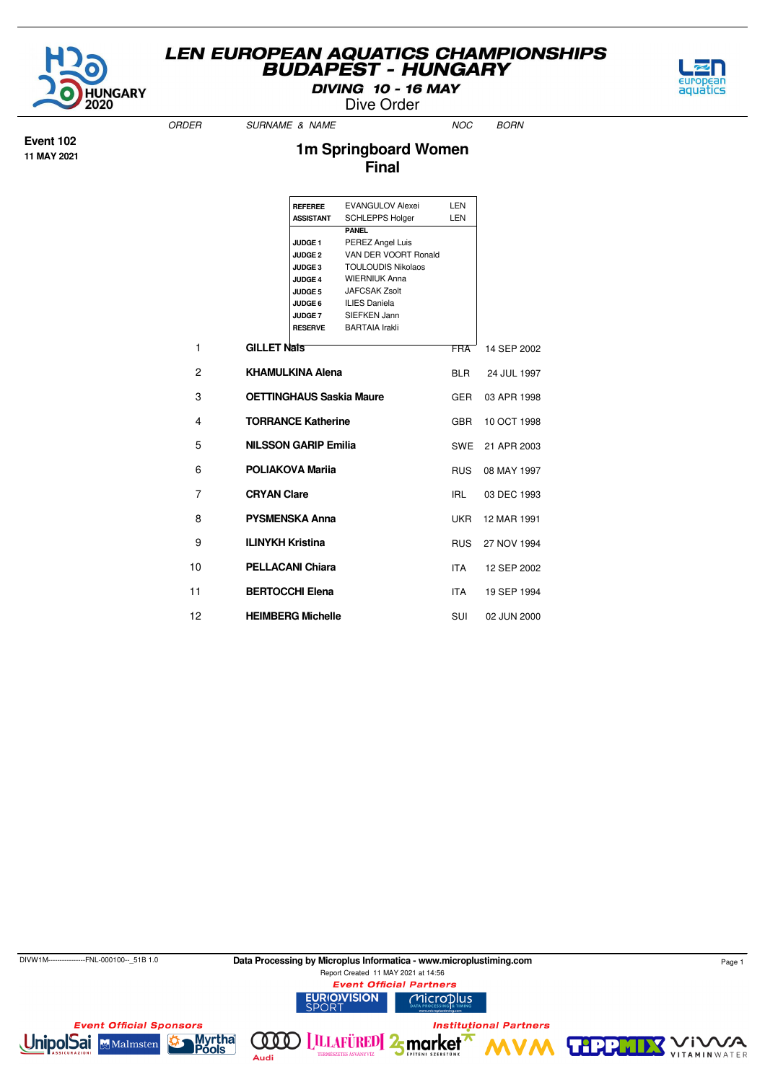

DIVING 10 - 16 MAY

Dive Order

ORDER SURNAME & NAME NOC BORN

**Event 102 11 MAY 2021**

**1m Springboard Women Final**

|    |                         | <b>REFEREE</b>                  | <b>EVANGULOV Alexei</b>                        | LEN        |             |
|----|-------------------------|---------------------------------|------------------------------------------------|------------|-------------|
|    |                         | ASSISTANT                       | <b>SCHLEPPS Holger</b>                         | LEN        |             |
|    |                         |                                 | <b>PANEL</b>                                   |            |             |
|    |                         | JUDGE 1                         | PEREZ Angel Luis                               |            |             |
|    |                         | JUDGE 2                         | VAN DER VOORT Ronald                           |            |             |
|    |                         | <b>JUDGE 3</b>                  | <b>TOULOUDIS Nikolaos</b>                      |            |             |
|    |                         | <b>JUDGE 4</b>                  | <b>WIERNIUK Anna</b>                           |            |             |
|    |                         |                                 | JUDGE 5 JAFCSAK Zsolt<br>JUDGE 6 ILIES Daniela |            |             |
|    |                         |                                 | JUDGE 7 SIEFKEN Jann                           |            |             |
|    |                         |                                 | RESERVE BARTAIA Irakli                         |            |             |
|    |                         |                                 |                                                |            |             |
| 1  | <b>GILLET Nais</b>      |                                 |                                                | <b>FRA</b> | 14 SEP 2002 |
| 2  |                         | <b>KHAMULKINA Alena</b>         |                                                | <b>BLR</b> | 24 JUL 1997 |
| 3  |                         | <b>OETTINGHAUS Saskia Maure</b> |                                                | GER        | 03 APR 1998 |
| 4  |                         | <b>TORRANCE Katherine</b>       |                                                | <b>GBR</b> | 10 OCT 1998 |
| 5  |                         | <b>NILSSON GARIP Emilia</b>     |                                                | SWE        | 21 APR 2003 |
| 6  |                         | <b>POLIAKOVA Marija</b>         |                                                | <b>RUS</b> | 08 MAY 1997 |
| 7  | <b>CRYAN Clare</b>      |                                 |                                                | IRL        | 03 DEC 1993 |
| 8  |                         | <b>PYSMENSKA Anna</b>           |                                                | UKR        | 12 MAR 1991 |
| 9  | <b>ILINYKH Kristina</b> |                                 |                                                | <b>RUS</b> | 27 NOV 1994 |
| 10 |                         | <b>PELLACANI Chiara</b>         |                                                | <b>ITA</b> | 12 SEP 2002 |
| 11 |                         | <b>BERTOCCHI Elena</b>          |                                                | <b>ITA</b> | 19 SEP 1994 |
| 12 |                         | <b>HEIMBERG Michelle</b>        |                                                | SUI        | 02 JUN 2000 |



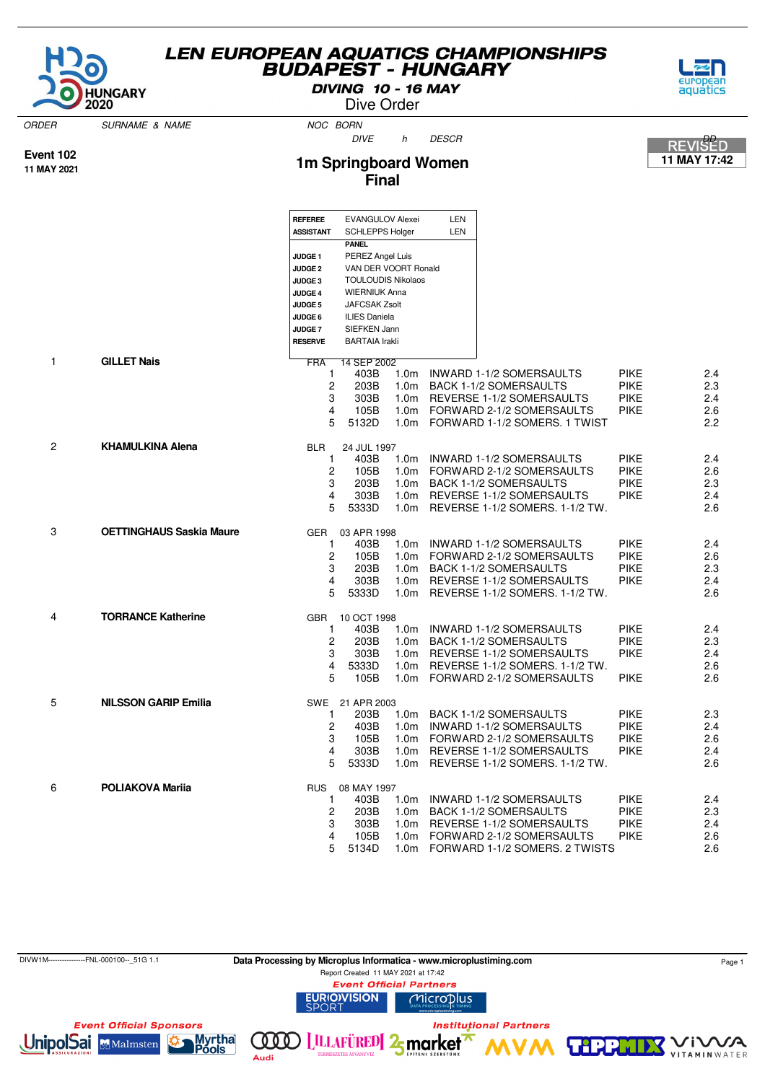

**Event 102 11 MAY 2021**

# **LEN EUROPEAN AQUATICS CHAMPIONSHIPS<br>BUDAPEST - HUNGARY**

DIVING 10 - 16 MAY



Dive Order

**11 MAY 17:42** DIVE h DESCR NOW REVISED

#### **1m Springboard Women Final**

|                |                                 | <b>REFEREE</b>     | <b>EVANGULOV Alexei</b>   |                  | LEN        |                                 |             |     |
|----------------|---------------------------------|--------------------|---------------------------|------------------|------------|---------------------------------|-------------|-----|
|                |                                 | <b>ASSISTANT</b>   | <b>SCHLEPPS Holger</b>    |                  | <b>LEN</b> |                                 |             |     |
|                |                                 |                    | <b>PANEL</b>              |                  |            |                                 |             |     |
|                |                                 | JUDGE <sub>1</sub> | PEREZ Angel Luis          |                  |            |                                 |             |     |
|                |                                 | JUDGE <sub>2</sub> | VAN DER VOORT Ronald      |                  |            |                                 |             |     |
|                |                                 | JUDGE 3            | <b>TOULOUDIS Nikolaos</b> |                  |            |                                 |             |     |
|                |                                 | JUDGE 4            | <b>WIERNIUK Anna</b>      |                  |            |                                 |             |     |
|                |                                 | <b>JUDGE 5</b>     | JAFCSAK Zsolt             |                  |            |                                 |             |     |
|                |                                 | <b>JUDGE 6</b>     | <b>ILIES Daniela</b>      |                  |            |                                 |             |     |
|                |                                 | JUDGE 7            | SIEFKEN Jann              |                  |            |                                 |             |     |
|                |                                 | <b>RESERVE</b>     | <b>BARTAIA Irakli</b>     |                  |            |                                 |             |     |
|                |                                 |                    |                           |                  |            |                                 |             |     |
| $\mathbf{1}$   | <b>GILLET Nais</b>              | <b>FRA</b>         | 14 SEP 2002               |                  |            |                                 |             |     |
|                |                                 | 1                  | 403B                      | 1.0 <sub>m</sub> |            | INWARD 1-1/2 SOMERSAULTS        | <b>PIKE</b> | 2.4 |
|                |                                 | $\overline{c}$     | 203B                      | 1.0 <sub>m</sub> |            | <b>BACK 1-1/2 SOMERSAULTS</b>   | <b>PIKE</b> | 2.3 |
|                |                                 | 3                  | 303B                      | 1.0 <sub>m</sub> |            | REVERSE 1-1/2 SOMERSAULTS       | PIKE        | 2.4 |
|                |                                 | 4                  | 105B                      | 1.0 <sub>m</sub> |            | FORWARD 2-1/2 SOMERSAULTS       | PIKE        | 2.6 |
|                |                                 | 5                  | 5132D                     | 1.0 <sub>m</sub> |            | FORWARD 1-1/2 SOMERS. 1 TWIST   |             | 2.2 |
|                |                                 |                    |                           |                  |            |                                 |             |     |
| $\overline{2}$ | <b>KHAMULKINA Alena</b>         | <b>BLR</b>         | 24 JUL 1997               |                  |            |                                 |             |     |
|                |                                 | 1                  | 403B                      | 1.0 <sub>m</sub> |            | INWARD 1-1/2 SOMERSAULTS        | <b>PIKE</b> | 2.4 |
|                |                                 | $\overline{2}$     | 105B                      | 1.0 <sub>m</sub> |            | FORWARD 2-1/2 SOMERSAULTS       | <b>PIKE</b> | 2.6 |
|                |                                 | 3                  | 203B                      | 1.0 <sub>m</sub> |            | <b>BACK 1-1/2 SOMERSAULTS</b>   | <b>PIKE</b> | 2.3 |
|                |                                 | 4                  | 303B                      | 1.0 <sub>m</sub> |            | REVERSE 1-1/2 SOMERSAULTS       | <b>PIKE</b> | 2.4 |
|                |                                 | 5                  | 5333D                     | 1.0 <sub>m</sub> |            | REVERSE 1-1/2 SOMERS. 1-1/2 TW. |             | 2.6 |
|                |                                 |                    |                           |                  |            |                                 |             |     |
| 3              | <b>OETTINGHAUS Saskia Maure</b> | <b>GER</b>         | 03 APR 1998               |                  |            |                                 |             |     |
|                |                                 | 1                  | 403B                      | 1.0 <sub>m</sub> |            | INWARD 1-1/2 SOMERSAULTS        | <b>PIKE</b> | 2.4 |
|                |                                 | 2                  | 105B                      | 1.0 <sub>m</sub> |            | FORWARD 2-1/2 SOMERSAULTS       | <b>PIKE</b> | 2.6 |
|                |                                 | 3                  | 203B                      | 1.0 <sub>m</sub> |            | <b>BACK 1-1/2 SOMERSAULTS</b>   | <b>PIKE</b> | 2.3 |
|                |                                 |                    |                           |                  |            |                                 |             |     |
|                |                                 | 4<br>5             | 303B                      | 1.0 <sub>m</sub> |            | REVERSE 1-1/2 SOMERSAULTS       | <b>PIKE</b> | 2.4 |
|                |                                 |                    | 5333D                     | 1.0 <sub>m</sub> |            | REVERSE 1-1/2 SOMERS, 1-1/2 TW. |             | 2.6 |
| 4              | <b>TORRANCE Katherine</b>       |                    |                           |                  |            |                                 |             |     |
|                |                                 | 1                  | GBR 10 OCT 1998<br>403B   | 1.0 <sub>m</sub> |            | INWARD 1-1/2 SOMERSAULTS        | <b>PIKE</b> | 2.4 |
|                |                                 | $\overline{2}$     | 203B                      | 1.0 <sub>m</sub> |            | <b>BACK 1-1/2 SOMERSAULTS</b>   | <b>PIKE</b> |     |
|                |                                 |                    |                           |                  |            |                                 |             | 2.3 |
|                |                                 | 3<br>4             | 303B                      | 1.0 <sub>m</sub> |            | REVERSE 1-1/2 SOMERSAULTS       | <b>PIKE</b> | 2.4 |
|                |                                 |                    | 5333D                     | 1.0 <sub>m</sub> |            | REVERSE 1-1/2 SOMERS, 1-1/2 TW. |             | 2.6 |
|                |                                 | 5                  | 105B                      | 1.0 <sub>m</sub> |            | FORWARD 2-1/2 SOMERSAULTS       | <b>PIKE</b> | 2.6 |
|                |                                 |                    |                           |                  |            |                                 |             |     |
| 5              | <b>NILSSON GARIP Emilia</b>     | SWE                | 21 APR 2003               |                  |            |                                 |             |     |
|                |                                 | 1                  | 203B                      | 1.0 <sub>m</sub> |            | <b>BACK 1-1/2 SOMERSAULTS</b>   | <b>PIKE</b> | 2.3 |
|                |                                 | 2                  | 403B                      | 1.0 <sub>m</sub> |            | INWARD 1-1/2 SOMERSAULTS        | <b>PIKE</b> | 2.4 |
|                |                                 | 3                  | 105B                      | 1.0 <sub>m</sub> |            | FORWARD 2-1/2 SOMERSAULTS       | <b>PIKE</b> | 2.6 |
|                |                                 | 4                  | 303B                      | 1.0 <sub>m</sub> |            | REVERSE 1-1/2 SOMERSAULTS       | <b>PIKE</b> | 2.4 |
|                |                                 | 5                  | 5333D                     | 1.0 <sub>m</sub> |            | REVERSE 1-1/2 SOMERS. 1-1/2 TW. |             | 2.6 |
|                |                                 |                    |                           |                  |            |                                 |             |     |
| 6              | <b>POLIAKOVA Marija</b>         | <b>RUS</b>         | 08 MAY 1997               |                  |            |                                 |             |     |
|                |                                 | 1                  | 403B                      | 1.0 <sub>m</sub> |            | INWARD 1-1/2 SOMERSAULTS        | <b>PIKE</b> | 2.4 |
|                |                                 | $\overline{2}$     | 203B                      | 1.0 <sub>m</sub> |            | <b>BACK 1-1/2 SOMERSAULTS</b>   | <b>PIKE</b> | 2.3 |
|                |                                 | 3                  | 303B                      | 1.0 <sub>m</sub> |            | REVERSE 1-1/2 SOMERSAULTS       | <b>PIKE</b> | 2.4 |
|                |                                 | 4                  | 105B                      | 1.0 <sub>m</sub> |            | FORWARD 2-1/2 SOMERSAULTS       | PIKE        | 2.6 |
|                |                                 | 5                  | 5134D                     | 1.0 <sub>m</sub> |            | FORWARD 1-1/2 SOMERS. 2 TWISTS  |             | 2.6 |
|                |                                 |                    |                           |                  |            |                                 |             |     |

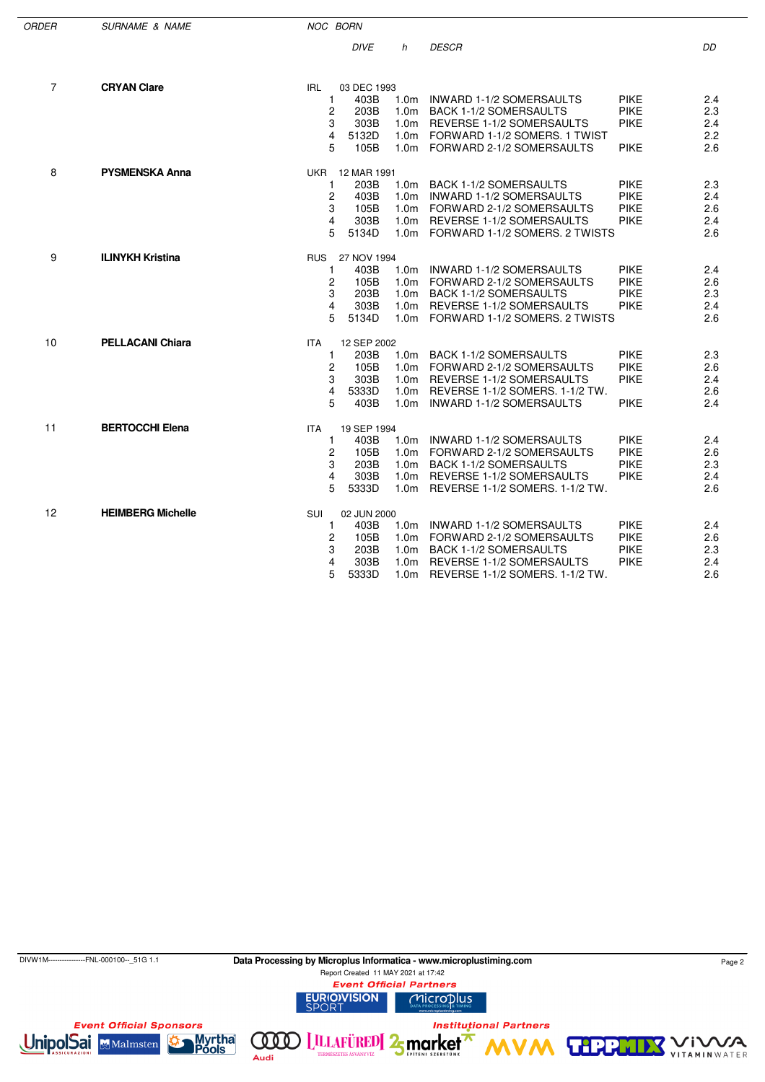| ORDER          | <b>SURNAME &amp; NAME</b> | NOC BORN                                                                                         |                                   |
|----------------|---------------------------|--------------------------------------------------------------------------------------------------|-----------------------------------|
|                |                           | <b>DIVE</b><br><b>DESCR</b><br>$\mathsf{h}$                                                      | DD                                |
| $\overline{7}$ | <b>CRYAN Clare</b>        | <b>IRL</b><br>03 DEC 1993                                                                        |                                   |
|                |                           | 403B<br>1.0m INWARD 1-1/2 SOMERSAULTS<br>$\mathbf{1}$                                            | <b>PIKE</b><br>2.4                |
|                |                           | $\overline{2}$<br>203B<br>1.0m BACK 1-1/2 SOMERSAULTS                                            | <b>PIKE</b><br>2.3                |
|                |                           | 303B<br>1.0m REVERSE 1-1/2 SOMERSAULTS<br>3                                                      | 2.4<br><b>PIKE</b>                |
|                |                           | 5132D<br>1.0m FORWARD 1-1/2 SOMERS, 1 TWIST<br>4<br>5<br>105B<br>1.0m FORWARD 2-1/2 SOMERSAULTS  | 2.2<br><b>PIKE</b><br>2.6         |
|                |                           |                                                                                                  |                                   |
| 8              | <b>PYSMENSKA Anna</b>     | UKR 12 MAR 1991                                                                                  |                                   |
|                |                           | 203B<br>1.0m BACK 1-1/2 SOMERSAULTS<br>1<br>$\overline{2}$                                       | <b>PIKE</b><br>2.3<br><b>PIKE</b> |
|                |                           | 403B<br>1.0m INWARD 1-1/2 SOMERSAULTS<br>3<br>105B<br>1.0m FORWARD 2-1/2 SOMERSAULTS             | 2.4<br><b>PIKE</b><br>2.6         |
|                |                           | 303B<br>1.0m REVERSE 1-1/2 SOMERSAULTS<br>4                                                      | 2.4<br><b>PIKE</b>                |
|                |                           | 5134D<br>1.0m FORWARD 1-1/2 SOMERS, 2 TWISTS<br>5                                                | 2.6                               |
|                |                           |                                                                                                  |                                   |
| 9              | <b>ILINYKH Kristina</b>   | RUS 27 NOV 1994                                                                                  |                                   |
|                |                           | 403B<br>INWARD 1-1/2 SOMERSAULTS<br>1<br>1.0 <sub>m</sub>                                        | <b>PIKE</b><br>2.4                |
|                |                           | 2<br>105B<br>1.0m FORWARD 2-1/2 SOMERSAULTS                                                      | 2.6<br><b>PIKE</b>                |
|                |                           | 3<br>203B<br>1.0m BACK 1-1/2 SOMERSAULTS                                                         | 2.3<br><b>PIKE</b>                |
|                |                           | 303B<br>1.0m REVERSE 1-1/2 SOMERSAULTS<br>4<br>5<br>5134D<br>1.0m FORWARD 1-1/2 SOMERS, 2 TWISTS | <b>PIKE</b><br>2.4<br>2.6         |
|                |                           |                                                                                                  |                                   |
| 10             | <b>PELLACANI Chiara</b>   | <b>ITA</b><br>12 SEP 2002                                                                        |                                   |
|                |                           | 203B<br>1.0m BACK 1-1/2 SOMERSAULTS<br>1                                                         | <b>PIKE</b><br>2.3                |
|                |                           | $\overline{2}$<br>105B<br>1.0m FORWARD 2-1/2 SOMERSAULTS                                         | <b>PIKE</b><br>2.6                |
|                |                           | 3<br>303B<br>1.0m REVERSE 1-1/2 SOMERSAULTS                                                      | <b>PIKE</b><br>2.4                |
|                |                           | REVERSE 1-1/2 SOMERS, 1-1/2 TW.<br>4<br>5333D<br>1.0 <sub>m</sub>                                | 2.6                               |
|                |                           | 5<br>403B<br>1.0 <sub>m</sub><br>INWARD 1-1/2 SOMERSAULTS                                        | 2.4<br><b>PIKE</b>                |
| 11             | <b>BERTOCCHI Elena</b>    | 19 SEP 1994<br><b>ITA</b>                                                                        |                                   |
|                |                           | 403B<br>1.0 <sub>m</sub><br>INWARD 1-1/2 SOMERSAULTS<br>$\mathbf{1}$                             | 2.4<br><b>PIKE</b>                |
|                |                           | 105B<br>1.0m FORWARD 2-1/2 SOMERSAULTS<br>2                                                      | <b>PIKE</b><br>2.6                |
|                |                           | BACK 1-1/2 SOMERSAULTS<br>3<br>203B<br>1.0m                                                      | <b>PIKE</b><br>2.3                |
|                |                           | 1.0m REVERSE 1-1/2 SOMERSAULTS<br>303B<br>4                                                      | <b>PIKE</b><br>2.4                |
|                |                           | 5<br>5333D<br>1.0 <sub>m</sub><br>REVERSE 1-1/2 SOMERS, 1-1/2 TW.                                | 2.6                               |
| 12             | <b>HEIMBERG Michelle</b>  | SUI<br>02 JUN 2000                                                                               |                                   |
|                |                           | 403B<br>INWARD 1-1/2 SOMERSAULTS<br>1.0 <sub>m</sub><br>1                                        | <b>PIKE</b><br>2.4                |
|                |                           | 1.0m FORWARD 2-1/2 SOMERSAULTS<br>2<br>105B                                                      | <b>PIKE</b><br>2.6                |
|                |                           | 3<br>203B<br>1.0 <sub>m</sub><br><b>BACK 1-1/2 SOMERSAULTS</b>                                   | <b>PIKE</b><br>2.3                |
|                |                           | 4<br>303B<br>1.0 <sub>m</sub><br>REVERSE 1-1/2 SOMERSAULTS                                       | <b>PIKE</b><br>2.4                |
|                |                           | 5<br>5333D<br>1.0m REVERSE 1-1/2 SOMERS. 1-1/2 TW.                                               | 2.6                               |

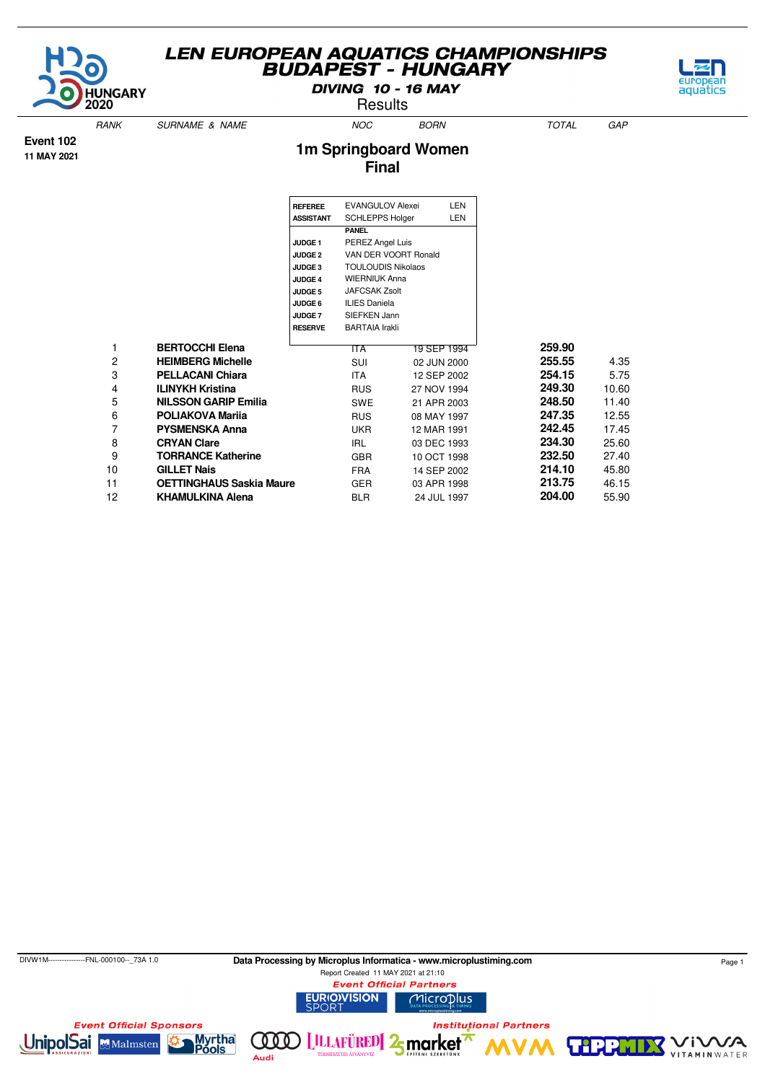

DIVING 10 - 16 MAY

**Results** 

aquatics

RANK SURNAME & NAME NOC BORN TOTAL GAP

**Event 102 11 MAY 2021**

#### **1m Springboard Women Final**

 $\overline{1}$ 

|                |                                 | <b>REFEREE</b>     | <b>EVANGULOV Alexei</b>   |             | <b>LEN</b> |        |       |
|----------------|---------------------------------|--------------------|---------------------------|-------------|------------|--------|-------|
|                |                                 | <b>ASSISTANT</b>   | SCHLEPPS Holger           |             | <b>LEN</b> |        |       |
|                |                                 |                    | <b>PANEL</b>              |             |            |        |       |
|                |                                 | JUDGE <sub>1</sub> | PEREZ Angel Luis          |             |            |        |       |
|                |                                 | <b>JUDGE 2</b>     | VAN DER VOORT Ronald      |             |            |        |       |
|                |                                 | JUDGE <sub>3</sub> | <b>TOULOUDIS Nikolaos</b> |             |            |        |       |
|                |                                 | <b>JUDGE 4</b>     | <b>WIERNIUK Anna</b>      |             |            |        |       |
|                |                                 | <b>JUDGE 5</b>     | <b>JAFCSAK Zsolt</b>      |             |            |        |       |
|                |                                 | <b>JUDGE 6</b>     | <b>ILIES Daniela</b>      |             |            |        |       |
|                |                                 | JUDGE 7            | SIEFKEN Jann              |             |            |        |       |
|                |                                 | <b>RESERVE</b>     | <b>BARTAIA Irakli</b>     |             |            |        |       |
|                | <b>BERTOCCHI Elena</b>          |                    | <b>ITA</b>                | 19 SEP 1994 |            | 259.90 |       |
| 2              | <b>HEIMBERG Michelle</b>        |                    | SUI                       | 02 JUN 2000 |            | 255.55 | 4.35  |
| 3              | <b>PELLACANI Chiara</b>         |                    | <b>ITA</b>                | 12 SEP 2002 |            | 254.15 | 5.75  |
| 4              | <b>ILINYKH Kristina</b>         |                    | <b>RUS</b>                | 27 NOV 1994 |            | 249.30 | 10.60 |
| 5              | <b>NILSSON GARIP Emilia</b>     |                    | <b>SWE</b>                | 21 APR 2003 |            | 248.50 | 11.40 |
| 6              | <b>POLIAKOVA Marija</b>         |                    | <b>RUS</b>                | 08 MAY 1997 |            | 247.35 | 12.55 |
| $\overline{7}$ | <b>PYSMENSKA Anna</b>           |                    | <b>UKR</b>                | 12 MAR 1991 |            | 242.45 | 17.45 |
| 8              | <b>CRYAN Clare</b>              |                    | <b>IRL</b>                | 03 DEC 1993 |            | 234.30 | 25.60 |
| 9              | <b>TORRANCE Katherine</b>       |                    | <b>GBR</b>                | 10 OCT 1998 |            | 232.50 | 27.40 |
| 10             | <b>GILLET Nais</b>              |                    | <b>FRA</b>                | 14 SEP 2002 |            | 214.10 | 45.80 |
| 11             | <b>OETTINGHAUS Saskia Maure</b> |                    | <b>GER</b>                | 03 APR 1998 |            | 213.75 | 46.15 |
| 12             | <b>KHAMULKINA Alena</b>         |                    | <b>BLR</b>                | 24 JUL 1997 |            | 204.00 | 55.90 |

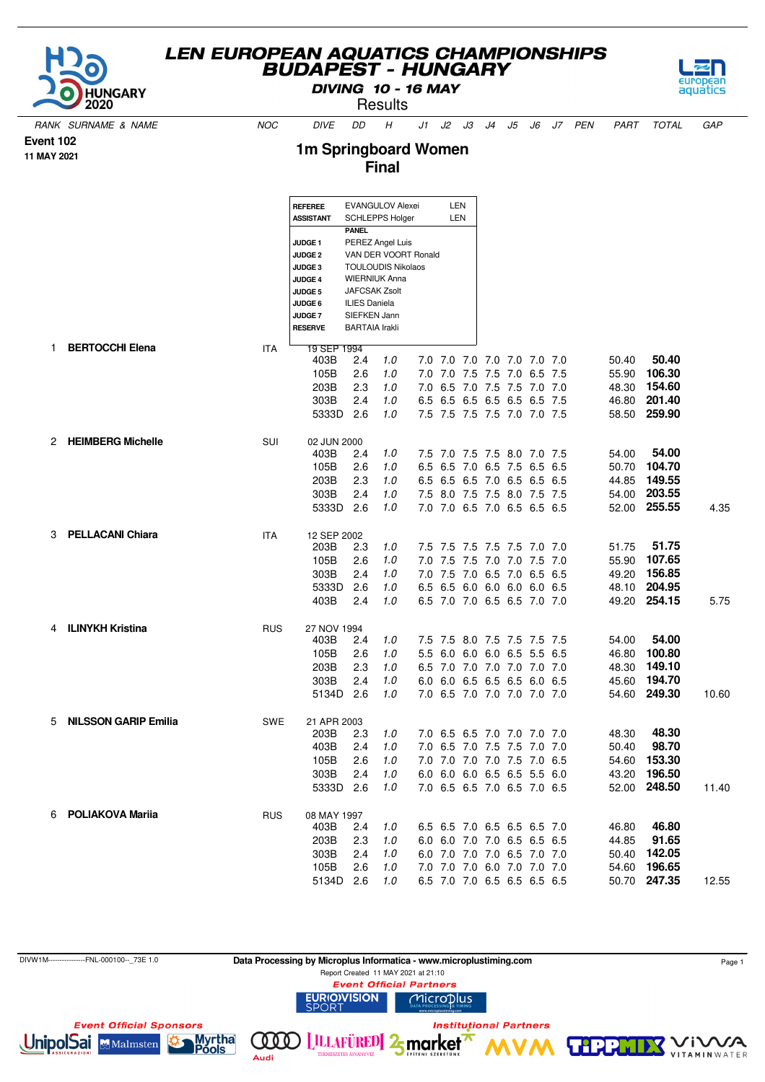



**VITAMIN** WATER

DIVING 10 - 16 MAY **Results** 

RANK SURNAME & NAME TOTAL GAP NOC DIVE DD H J1 J2 J3 J4 J5 J6 J7 PEN PART TOTAL GAP

**Event 102 11 MAY 2021**

#### **1m Springboard Women Final**

|    |                             |            | <b>REFEREE</b><br><b>ASSISTANT</b>                                                                                                    |                                                                                                       | <b>EVANGULOV Alexei</b><br><b>SCHLEPPS Holger</b>                                             |            | LEN<br>LEN         |         |                                                                                                                                                         |     |                    |                                           |                                                          |       |
|----|-----------------------------|------------|---------------------------------------------------------------------------------------------------------------------------------------|-------------------------------------------------------------------------------------------------------|-----------------------------------------------------------------------------------------------|------------|--------------------|---------|---------------------------------------------------------------------------------------------------------------------------------------------------------|-----|--------------------|-------------------------------------------|----------------------------------------------------------|-------|
|    |                             |            | <b>JUDGE 1</b><br><b>JUDGE 2</b><br>JUDGE 3<br><b>JUDGE 4</b><br><b>JUDGE 5</b><br><b>JUDGE 6</b><br><b>JUDGE 7</b><br><b>RESERVE</b> | <b>PANEL</b><br><b>JAFCSAK Zsolt</b><br><b>ILIES Daniela</b><br>SIEFKEN Jann<br><b>BARTAIA</b> Irakli | PEREZ Angel Luis<br>VAN DER VOORT Ronald<br><b>TOULOUDIS Nikolaos</b><br><b>WIERNIUK Anna</b> |            |                    |         |                                                                                                                                                         |     |                    |                                           |                                                          |       |
| 1. | <b>BERTOCCHI Elena</b>      | <b>ITA</b> | 19 SEP 1994<br>403B<br>105B<br>203B<br>303B<br>5333D                                                                                  | 2.4<br>2.6<br>2.3<br>2.4<br>2.6                                                                       | 1.0<br>1.0<br>1.0<br>1.0<br>1.0                                                               |            | 7.0 7.0<br>7.0 6.5 |         | 7.0 7.0 7.0 7.0 7.0 7.0 7.0<br>7.5 7.5 7.0<br>7.0 7.5 7.5<br>6.5 6.5 6.5 6.5 6.5 6.5 7.5<br>7.5 7.5 7.5 7.5 7.0 7.0 7.5                                 |     | 6.5 7.5<br>7.0 7.0 | 50.40<br>55.90<br>48.30<br>46.80<br>58.50 | 50.40<br>106.30<br>154.60<br>201.40<br>259.90            |       |
| 2  | <b>HEIMBERG Michelle</b>    | <b>SUI</b> | 02 JUN 2000<br>403B<br>105B<br>203B<br>303B<br>5333D                                                                                  | 2.4<br>2.6<br>2.3<br>2.4<br>2.6                                                                       | 1.0<br>1.0<br>1.0<br>1.0<br>1.0                                                               | 6.5<br>6.5 | 6.5                |         | 7.5 7.0 7.5 7.5 8.0 7.0 7.5<br>6.5 7.0 6.5 7.5 6.5 6.5<br>6.5 7.0 6.5<br>7.5 8.0 7.5 7.5 8.0 7.5 7.5<br>7.0 7.0 6.5 7.0 6.5 6.5 6.5                     |     | 6.5 6.5            | 54.00<br>50.70<br>44.85<br>54.00<br>52.00 | 54.00<br>104.70<br>149.55<br>203.55<br>255.55            | 4.35  |
| 3  | <b>PELLACANI Chiara</b>     | <b>ITA</b> | 12 SEP 2002<br>203B<br>105B<br>303B<br>5333D<br>403B                                                                                  | 2.3<br>2.6<br>2.4<br>2.6<br>2.4                                                                       | 1.0<br>1.0<br>1.0<br>1.0<br>1.0                                                               |            | 7.0 7.5<br>6.5 6.5 |         | 7.5 7.5 7.5 7.5 7.5 7.0 7.0<br>7.5 7.0 7.0<br>7.0 7.5 7.0 6.5 7.0<br>6.0 6.0 6.0 6.0 6.5<br>6.5 7.0 7.0 6.5 6.5 7.0 7.0                                 |     | 7.5 7.0<br>6.5 6.5 | 51.75<br>55.90<br>49.20<br>48.10<br>49.20 | 51.75<br>107.65<br>156.85<br>204.95<br>254.15            | 5.75  |
| 4  | <b>ILINYKH Kristina</b>     | <b>RUS</b> | 27 NOV 1994<br>403B<br>105B<br>203B<br>303B<br>5134D                                                                                  | 2.4<br>2.6<br>2.3<br>2.4<br>2.6                                                                       | 1.0<br>1.0<br>1.0<br>1.0<br>1.0                                                               |            |                    |         | 7.5 7.5 8.0 7.5 7.5 7.5 7.5<br>5.5 6.0 6.0 6.0 6.5<br>6.5 7.0 7.0 7.0 7.0 7.0 7.0<br>6.0 6.0 6.5 6.5 6.5<br>7.0 6.5 7.0 7.0 7.0 7.0 7.0                 |     | 5.5 6.5<br>6.0 6.5 | 54.00<br>46.80<br>48.30<br>45.60<br>54.60 | 54.00<br>100.80<br>149.10<br>194.70<br>249.30            | 10.60 |
| 5  | <b>NILSSON GARIP Emilia</b> | <b>SWE</b> | 21 APR 2003<br>203B<br>403B<br>105B<br>303B<br>5333D 2.6                                                                              | 2.3<br>2.4<br>2.6<br>2.4                                                                              | 1.0<br>1.0<br>1.0<br>1.0<br>1.0                                                               |            | $7.0\;6.5$         | 7.0 7.5 | 7.0 6.5 6.5 7.0 7.0<br>7.0 7.0 7.0 7.0 7.5 7.0 6.5<br>6.0 6.0 6.0 6.5 6.5 5.5 6.0<br>7.0 6.5 6.5 7.0 6.5 7.0 6.5                                        | 7.5 | 7.0 7.0<br>7.0 7.0 | 48.30<br>50.40<br>54.60                   | 48.30<br>98.70<br>153.30<br>43.20 196.50<br>52.00 248.50 | 11.40 |
|    | 6 POLIAKOVA Mariia          | <b>RUS</b> | 08 MAY 1997<br>403B<br>203B<br>303B<br>105B<br>5134D 2.6                                                                              | 2.4<br>2.3<br>2.4<br>2.6                                                                              | 1.0<br>1.0<br>1.0<br>1.0<br>1.0                                                               |            |                    |         | 6.5 6.5 7.0 6.5 6.5 6.5 7.0<br>6.0 6.0 7.0 7.0 6.5 6.5 6.5<br>6.0 7.0 7.0 7.0 6.5 7.0 7.0<br>7.0 7.0 7.0 6.0 7.0 7.0 7.0<br>6.5 7.0 7.0 6.5 6.5 6.5 6.5 |     |                    | 46.80<br>44.85<br>50.40<br>54.60          | 46.80<br>91.65<br>142.05<br>196.65<br>50.70 247.35       | 12.55 |



 $\frac{30}{100}$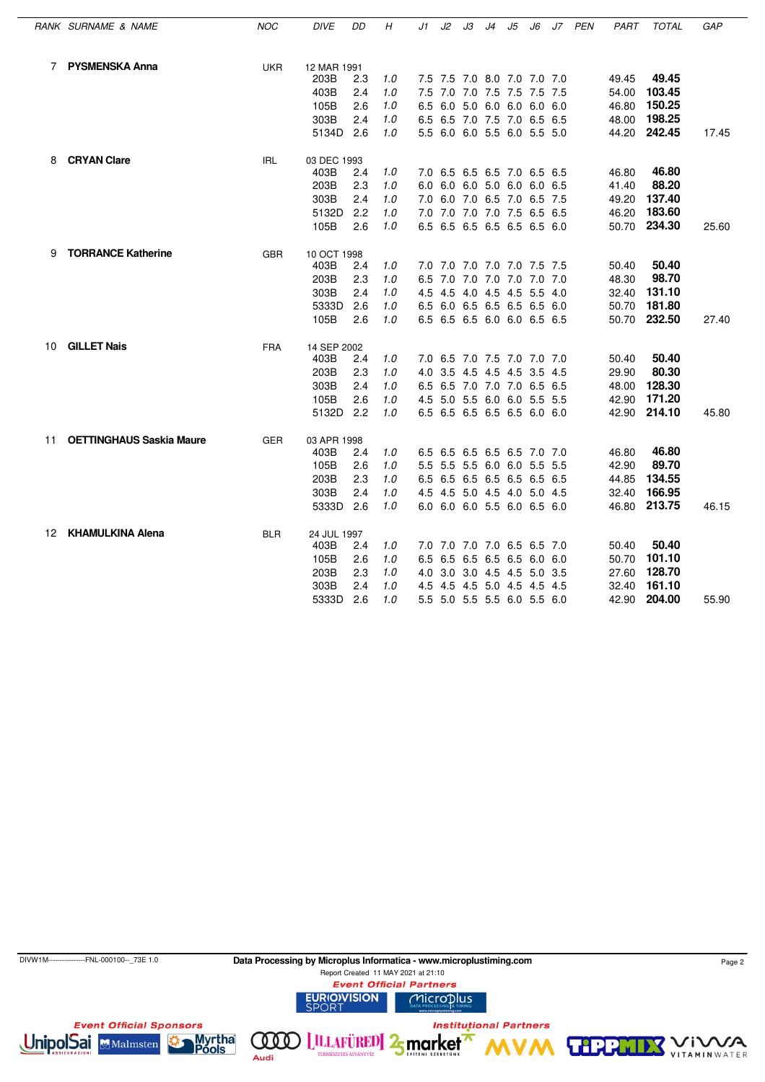|    | RANK SURNAME & NAME             | <b>NOC</b> | <b>DIVE</b> | DD  | Η   | J1  | J2 | JЗ                | J4                          | J5   | J6        | J7 | PEN | PART  | <b>TOTAL</b> | <b>GAP</b> |
|----|---------------------------------|------------|-------------|-----|-----|-----|----|-------------------|-----------------------------|------|-----------|----|-----|-------|--------------|------------|
| 7  | <b>PYSMENSKA Anna</b>           | <b>UKR</b> | 12 MAR 1991 |     |     |     |    |                   |                             |      |           |    |     |       |              |            |
|    |                                 |            | 203B        | 2.3 | 1.0 |     |    |                   | 7.5 7.5 7.0 8.0 7.0 7.0 7.0 |      |           |    |     | 49.45 | 49.45        |            |
|    |                                 |            | 403B        | 2.4 | 1.0 | 7.5 |    | 7.0 7.0 7.5       |                             | 7.5  | 7.5 7.5   |    |     | 54.00 | 103.45       |            |
|    |                                 |            | 105B        | 2.6 | 1.0 | 6.5 |    |                   | $6.0$ 5.0 6.0 6.0           |      | 6.0 6.0   |    |     | 46.80 | 150.25       |            |
|    |                                 |            | 303B        | 2.4 | 1.0 |     |    |                   | 6.5 6.5 7.0 7.5 7.0 6.5 6.5 |      |           |    |     | 48.00 | 198.25       |            |
|    |                                 |            | 5134D       | 2.6 | 1.0 |     |    |                   | 5.5 6.0 6.0 5.5 6.0 5.5 5.0 |      |           |    |     | 44.20 | 242.45       | 17.45      |
| 8  | <b>CRYAN Clare</b>              | <b>IRL</b> | 03 DEC 1993 |     |     |     |    |                   |                             |      |           |    |     |       |              |            |
|    |                                 |            | 403B        | 2.4 | 1.0 |     |    |                   | 7.0 6.5 6.5 6.5 7.0 6.5 6.5 |      |           |    |     | 46.80 | 46.80        |            |
|    |                                 |            | 203B        | 2.3 | 1.0 | 6.0 |    |                   | 6.0 6.0 5.0 6.0             |      | 6.0 6.5   |    |     | 41.40 | 88.20        |            |
|    |                                 |            | 303B        | 2.4 | 1.0 | 7.0 |    |                   | 6.0 7.0 6.5 7.0 6.5 7.5     |      |           |    |     | 49.20 | 137.40       |            |
|    |                                 |            | 5132D       | 2.2 | 1.0 |     |    |                   | 7.0 7.0 7.0 7.0 7.5 6.5 6.5 |      |           |    |     | 46.20 | 183.60       |            |
|    |                                 |            | 105B        | 2.6 | 1.0 |     |    |                   | 6.5 6.5 6.5 6.5 6.5 6.5 6.0 |      |           |    |     | 50.70 | 234.30       | 25.60      |
| 9  | <b>TORRANCE Katherine</b>       | <b>GBR</b> | 10 OCT 1998 |     |     |     |    |                   |                             |      |           |    |     |       |              |            |
|    |                                 |            | 403B        | 2.4 | 1.0 |     |    |                   | 7.0 7.0 7.0 7.0 7.0 7.5 7.5 |      |           |    |     | 50.40 | 50.40        |            |
|    |                                 |            | 203B        | 2.3 | 1.0 | 6.5 |    |                   | 7.0 7.0 7.0 7.0             |      | 7.0 7.0   |    |     | 48.30 | 98.70        |            |
|    |                                 |            | 303B        | 2.4 | 1.0 |     |    |                   | 4.5 4.5 4.0 4.5 4.5 5.5 4.0 |      |           |    |     | 32.40 | 131.10       |            |
|    |                                 |            | 5333D       | 2.6 | 1.0 |     |    |                   | 6.5 6.0 6.5 6.5 6.5 6.5 6.0 |      |           |    |     | 50.70 | 181.80       |            |
|    |                                 |            | 105B        | 2.6 | 1.0 |     |    |                   | 6.5 6.5 6.5 6.0 6.0 6.5 6.5 |      |           |    |     | 50.70 | 232.50       | 27.40      |
| 10 | <b>GILLET Nais</b>              | <b>FRA</b> | 14 SEP 2002 |     |     |     |    |                   |                             |      |           |    |     |       |              |            |
|    |                                 |            | 403B        | 2.4 | 1.0 |     |    |                   | 7.0 6.5 7.0 7.5 7.0 7.0 7.0 |      |           |    |     | 50.40 | 50.40        |            |
|    |                                 |            | 203B        | 2.3 | 1.0 | 4.0 |    | 3.5 4.5 4.5       |                             | 4.5  | $3.5$ 4.5 |    |     | 29.90 | 80.30        |            |
|    |                                 |            | 303B        | 2.4 | 1.0 |     |    |                   | 6.5 6.5 7.0 7.0 7.0 6.5 6.5 |      |           |    |     | 48.00 | 128.30       |            |
|    |                                 |            | 105B        | 2.6 | 1.0 | 4.5 |    |                   | 5.0 5.5 6.0 6.0 5.5 5.5     |      |           |    |     | 42.90 | 171.20       |            |
|    |                                 |            | 5132D       | 2.2 | 1.0 |     |    |                   | 6.5 6.5 6.5 6.5 6.5 6.0 6.0 |      |           |    |     | 42.90 | 214.10       | 45.80      |
| 11 | <b>OETTINGHAUS Saskia Maure</b> | <b>GER</b> | 03 APR 1998 |     |     |     |    |                   |                             |      |           |    |     |       |              |            |
|    |                                 |            | 403B        | 2.4 | 1.0 |     |    |                   | 6.5 6.5 6.5 6.5 6.5 7.0 7.0 |      |           |    |     | 46.80 | 46.80        |            |
|    |                                 |            | 105B        | 2.6 | 1.0 |     |    |                   | 5.5 5.5 5.5 6.0 6.0 5.5 5.5 |      |           |    |     | 42.90 | 89.70        |            |
|    |                                 |            | 203B        | 2.3 | 1.0 |     |    |                   | 6.5 6.5 6.5 6.5 6.5 6.5 6.5 |      |           |    |     | 44.85 | 134.55       |            |
|    |                                 |            | 303B        | 2.4 | 1.0 | 4.5 |    |                   | 4.5 5.0 4.5 4.0 5.0 4.5     |      |           |    |     | 32.40 | 166.95       |            |
|    |                                 |            | 5333D       | 2.6 | 1.0 |     |    |                   | 6.0 6.0 6.0 5.5 6.0 6.5 6.0 |      |           |    |     | 46.80 | 213.75       | 46.15      |
| 12 | <b>KHAMULKINA Alena</b>         | <b>BLR</b> | 24 JUL 1997 |     |     |     |    |                   |                             |      |           |    |     |       |              |            |
|    |                                 |            | 403B        | 2.4 | 1.0 |     |    |                   | 7.0 7.0 7.0 7.0 6.5 6.5 7.0 |      |           |    |     | 50.40 | 50.40        |            |
|    |                                 |            | 105B        | 2.6 | 1.0 | 6.5 |    |                   | 6.5 6.5 6.5 6.5 6.0 6.0     |      |           |    |     | 50.70 | 101.10       |            |
|    |                                 |            | 203B        | 2.3 | 1.0 | 4.0 |    | $3.0$ $3.0$ $4.5$ |                             | -4.5 | 5.0 3.5   |    |     | 27.60 | 128.70       |            |
|    |                                 |            | 303B        | 2.4 | 1.0 | 4.5 |    |                   | 4.5 4.5 5.0 4.5             |      | 4.5 4.5   |    |     | 32.40 | 161.10       |            |
|    |                                 |            | 5333D       | 2.6 | 1.0 |     |    |                   | 5.5 5.0 5.5 5.5 6.0 5.5 6.0 |      |           |    |     | 42.90 | 204.00       | 55.90      |

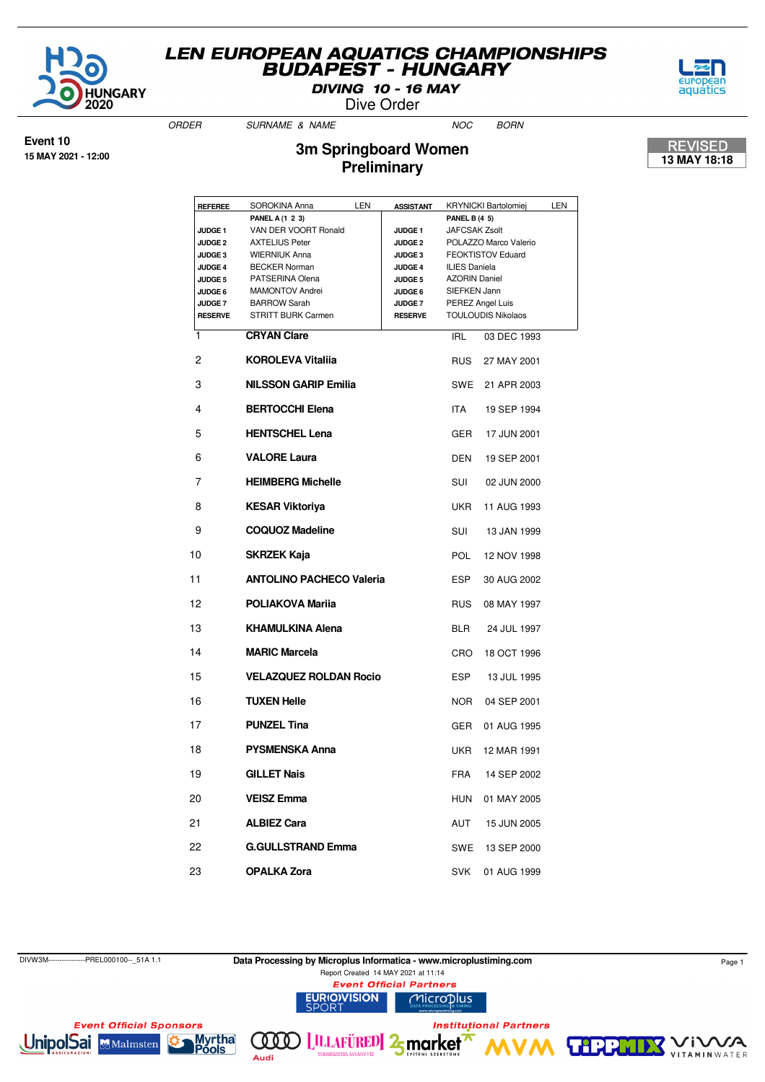

DIVING 10 - 16 MAY

Dive Order

ORDER SURNAME & NAME NOC BORN

**Event 10 15 MAY 2021 - 12:00**

#### **3m Springboard Women Preliminary**



**REVISED 13 MAY 18:18**

| <b>REFEREE</b>                   | SOROKINA Anna                                 | LEN | <b>ASSISTANT</b>                 |                      | <b>KRYNICKI Bartolomiej</b>                | LEN |
|----------------------------------|-----------------------------------------------|-----|----------------------------------|----------------------|--------------------------------------------|-----|
|                                  | <b>PANEL A (1 2 3)</b>                        |     |                                  | <b>PANEL B (4 5)</b> |                                            |     |
| <b>JUDGE 1</b>                   | VAN DER VOORT Ronald                          |     | <b>JUDGE 1</b>                   | <b>JAFCSAK Zsolt</b> |                                            |     |
| <b>JUDGE 2</b><br><b>JUDGE 3</b> | <b>AXTELIUS Peter</b><br><b>WIERNIUK Anna</b> |     | <b>JUDGE 2</b><br><b>JUDGE 3</b> |                      | POLAZZO Marco Valerio<br>FEOKTISTOV Eduard |     |
| <b>JUDGE 4</b>                   | <b>BECKER Norman</b>                          |     | <b>JUDGE 4</b>                   | <b>ILIES Daniela</b> |                                            |     |
| <b>JUDGE 5</b>                   | PATSERINA Olena                               |     | <b>JUDGE 5</b>                   | <b>AZORIN Daniel</b> |                                            |     |
| <b>JUDGE 6</b>                   | <b>MAMONTOV Andrei</b>                        |     | <b>JUDGE 6</b>                   | SIEFKEN Jann         |                                            |     |
| <b>JUDGE 7</b>                   | <b>BARROW Sarah</b>                           |     | <b>JUDGE 7</b>                   |                      | PEREZ Angel Luis                           |     |
| <b>RESERVE</b>                   | STRITT BURK Carmen                            |     | <b>RESERVE</b>                   |                      | <b>TOULOUDIS Nikolaos</b>                  |     |
| 1                                | <b>CRYAN Clare</b>                            |     |                                  | IRL.                 | 03 DEC 1993                                |     |
| 2                                | <b>KOROLEVA Vitalija</b>                      |     |                                  | <b>RUS</b>           | 27 MAY 2001                                |     |
| 3                                | <b>NILSSON GARIP Emilia</b>                   |     |                                  | SWE                  | 21 APR 2003                                |     |
| 4                                | <b>BERTOCCHI Elena</b>                        |     |                                  | ITA                  | 19 SEP 1994                                |     |
| 5                                | <b>HENTSCHEL Lena</b>                         |     |                                  | GER                  | 17 JUN 2001                                |     |
| 6                                | <b>VALORE Laura</b>                           |     |                                  | DEN                  | 19 SEP 2001                                |     |
| 7                                | <b>HEIMBERG Michelle</b>                      |     |                                  | SUI                  | 02 JUN 2000                                |     |
| 8                                | <b>KESAR Viktoriya</b>                        |     |                                  | UKR                  | 11 AUG 1993                                |     |
| 9                                | <b>COQUOZ Madeline</b>                        |     |                                  | SUI                  | 13 JAN 1999                                |     |
| 10                               | <b>SKRZEK Kaja</b>                            |     |                                  | POL                  | 12 NOV 1998                                |     |
| 11                               | <b>ANTOLINO PACHECO Valeria</b>               |     |                                  | ESP                  | 30 AUG 2002                                |     |
| 12                               | <b>POLIAKOVA Marija</b>                       |     |                                  | <b>RUS</b>           | 08 MAY 1997                                |     |
| 13                               | <b>KHAMULKINA Alena</b>                       |     |                                  | <b>BLR</b>           | 24 JUL 1997                                |     |
| 14                               | <b>MARIC Marcela</b>                          |     |                                  | CRO                  | 18 OCT 1996                                |     |
| 15                               | <b>VELAZQUEZ ROLDAN Rocio</b>                 |     |                                  | ESP                  | 13 JUL 1995                                |     |
| 16                               | <b>TUXEN Helle</b>                            |     |                                  | <b>NOR</b>           | 04 SEP 2001                                |     |
| 17                               | <b>PUNZEL Tina</b>                            |     |                                  | GER                  | 01 AUG 1995                                |     |
| 18                               | <b>PYSMENSKA Anna</b>                         |     |                                  | UKR                  | 12 MAR 1991                                |     |
| 19                               | <b>GILLET Nais</b>                            |     |                                  | FRA                  | 14 SEP 2002                                |     |
| 20                               | <b>VEISZ Emma</b>                             |     |                                  | HUN                  | 01 MAY 2005                                |     |
| 21                               | <b>ALBIEZ Cara</b>                            |     |                                  | AUT                  | 15 JUN 2005                                |     |
| 22                               | <b>G.GULLSTRAND Emma</b>                      |     |                                  |                      | SWE 13 SEP 2000                            |     |
| 23                               | <b>OPALKA Zora</b>                            |     |                                  | SVK                  | 01 AUG 1999                                |     |

DIVW3M---------------PREL000100--\_51A 1.1 **Data Processing by Microplus Informatica - www.microplustiming.com** Page 1 Report Created 14 MAY 2021 at 11:14**Event Official Partners RIOWISION** Microplus

[JLLAFÜRED] 2 market





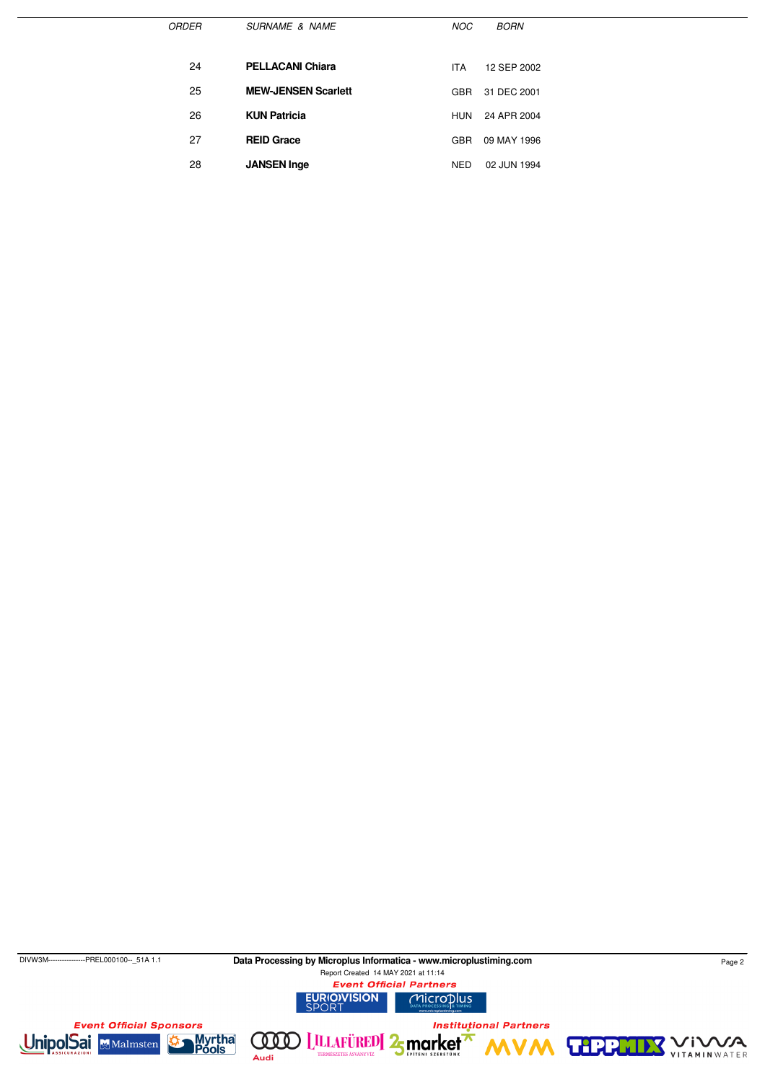| <b>ORDER</b> | SURNAME & NAME             | <b>NOC</b><br><b>BORN</b> |
|--------------|----------------------------|---------------------------|
|              |                            |                           |
| 24           | <b>PELLACANI Chiara</b>    | 12 SEP 2002<br><b>ITA</b> |
| 25           | <b>MEW-JENSEN Scarlett</b> | 31 DEC 2001<br><b>GBR</b> |
| 26           | <b>KUN Patricia</b>        | 24 APR 2004<br><b>HUN</b> |
| 27           | <b>REID Grace</b>          | <b>GBR</b><br>09 MAY 1996 |
| 28           | <b>JANSEN Inge</b>         | <b>NED</b><br>02 JUN 1994 |

<u>.</u>

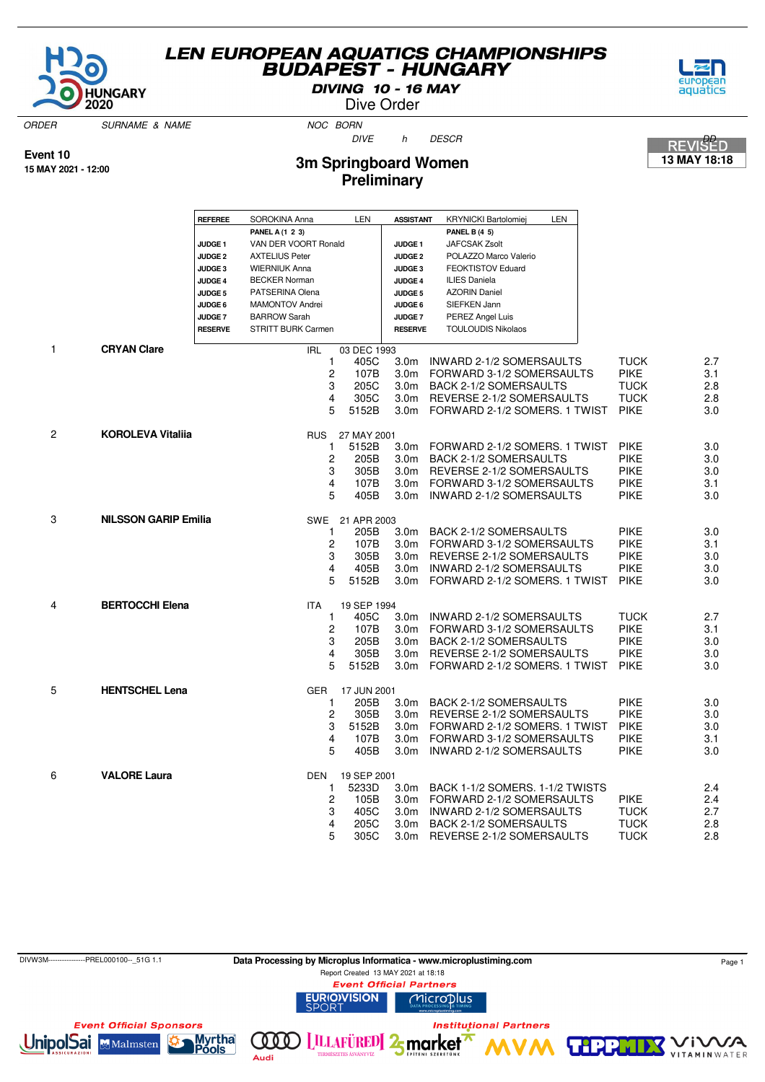

DIVING 10 - 16 MAY

Dive Order



**13 MAY 18:18**

ORDER SURNAME & NAME NOC BORN

DIVE h DESCR NEWSPAPER

**Event 10 15 MAY 2021 - 12:00**

#### **3m Springboard Women Preliminary**



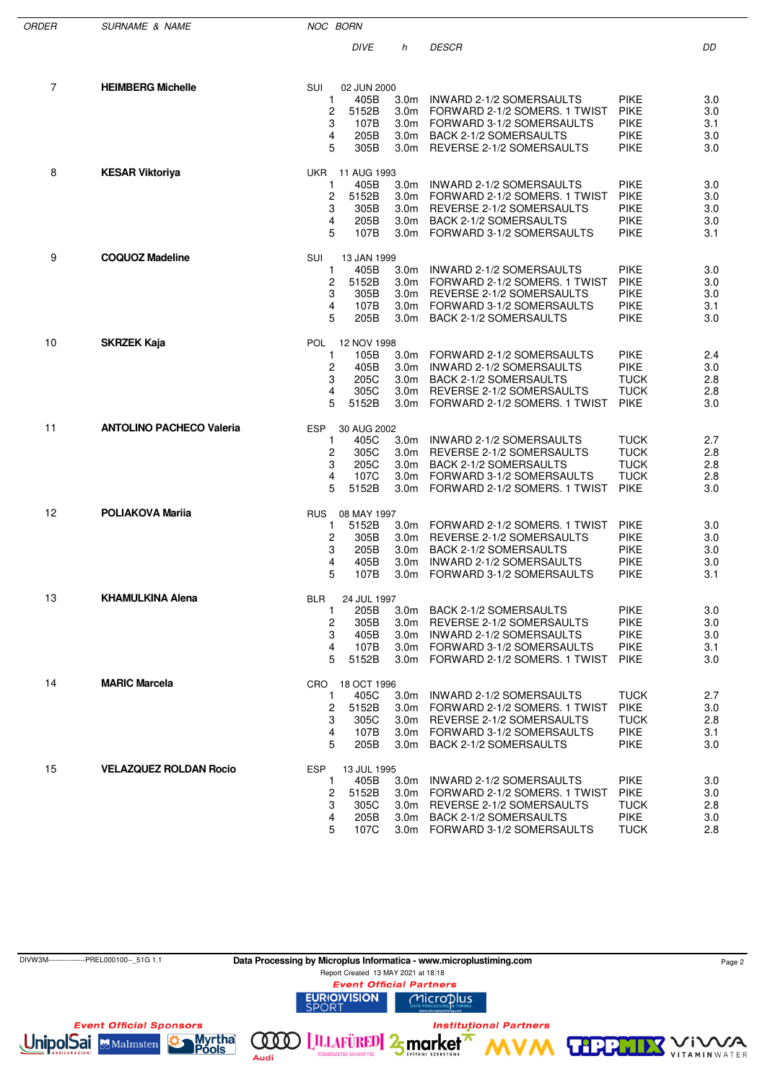| <i>ORDER</i>   | <b>SURNAME &amp; NAME</b>       | NOC BORN                                                                                                                                                                                                                                                                                               |                                                                         |                                 |
|----------------|---------------------------------|--------------------------------------------------------------------------------------------------------------------------------------------------------------------------------------------------------------------------------------------------------------------------------------------------------|-------------------------------------------------------------------------|---------------------------------|
|                |                                 | <b>DIVE</b><br><b>DESCR</b><br>h                                                                                                                                                                                                                                                                       |                                                                         | DD                              |
| $\overline{7}$ | <b>HEIMBERG Michelle</b>        | 02 JUN 2000<br>SUI<br>405B<br>INWARD 2-1/2 SOMERSAULTS<br>3.0 <sub>m</sub><br>1<br>5152B<br>2<br>3.0 <sub>m</sub><br>FORWARD 2-1/2 SOMERS. 1 TWIST<br>3<br>107B<br>3.0m FORWARD 3-1/2 SOMERSAULTS<br>3.0m BACK 2-1/2 SOMERSAULTS<br>4<br>205B<br>305B<br>3.0m REVERSE 2-1/2 SOMERSAULTS<br>5           | <b>PIKE</b><br><b>PIKE</b><br><b>PIKE</b><br><b>PIKE</b><br><b>PIKE</b> | 3.0<br>3.0<br>3.1<br>3.0<br>3.0 |
| 8              | <b>KESAR Viktoriya</b>          | UKR 11 AUG 1993<br>405B<br>INWARD 2-1/2 SOMERSAULTS<br>3.0 <sub>m</sub><br>1.<br>2<br>5152B<br>3.0m<br>FORWARD 2-1/2 SOMERS. 1 TWIST<br>3<br>305B<br>3.0m REVERSE 2-1/2 SOMERSAULTS<br>205B<br><b>BACK 2-1/2 SOMERSAULTS</b><br>4<br>3.0m<br>5<br>107B<br>3.0m FORWARD 3-1/2 SOMERSAULTS               | <b>PIKE</b><br><b>PIKE</b><br><b>PIKE</b><br><b>PIKE</b><br><b>PIKE</b> | 3.0<br>3.0<br>3.0<br>3.0<br>3.1 |
| 9              | <b>COQUOZ Madeline</b>          | 13 JAN 1999<br>SUI<br>INWARD 2-1/2 SOMERSAULTS<br>$\mathbf{1}$<br>405B<br>3.0m<br>2<br>5152B<br>3.0m FORWARD 2-1/2 SOMERS. 1 TWIST<br>3<br>3.0m REVERSE 2-1/2 SOMERSAULTS<br>305B<br>3.0m FORWARD 3-1/2 SOMERSAULTS<br>4<br>107B<br>5<br>205B<br>3.0m BACK 2-1/2 SOMERSAULTS                           | <b>PIKE</b><br><b>PIKE</b><br><b>PIKE</b><br><b>PIKE</b><br><b>PIKE</b> | 3.0<br>3.0<br>3.0<br>3.1<br>3.0 |
| 10             | <b>SKRZEK Kaja</b>              | POL 12 NOV 1998<br>105B<br>3.0m FORWARD 2-1/2 SOMERSAULTS<br>1<br>2<br>INWARD 2-1/2 SOMERSAULTS<br>405B<br>3.0 <sub>m</sub><br>3<br>205C<br>3.0m BACK 2-1/2 SOMERSAULTS<br>305C<br>3.0m REVERSE 2-1/2 SOMERSAULTS<br>4<br>5<br>5152B<br>FORWARD 2-1/2 SOMERS. 1 TWIST<br>3.0 <sub>m</sub>              | <b>PIKE</b><br><b>PIKE</b><br><b>TUCK</b><br><b>TUCK</b><br><b>PIKE</b> | 2.4<br>3.0<br>2.8<br>2.8<br>3.0 |
| 11             | <b>ANTOLINO PACHECO Valeria</b> | <b>ESP</b><br>30 AUG 2002<br>405C<br>INWARD 2-1/2 SOMERSAULTS<br>1<br>3.0m<br>305C<br>3.0 <sub>m</sub><br>REVERSE 2-1/2 SOMERSAULTS<br>2<br>3<br>205C<br>3.0 <sub>m</sub><br>BACK 2-1/2 SOMERSAULTS<br>107C<br>4<br>3.0m FORWARD 3-1/2 SOMERSAULTS<br>5<br>5152B<br>3.0m FORWARD 2-1/2 SOMERS. 1 TWIST | <b>TUCK</b><br><b>TUCK</b><br><b>TUCK</b><br><b>TUCK</b><br><b>PIKE</b> | 2.7<br>2.8<br>2.8<br>2.8<br>3.0 |
| 12             | <b>POLIAKOVA Marija</b>         | RUS 08 MAY 1997<br>5152B<br>3.0m FORWARD 2-1/2 SOMERS. 1 TWIST<br>1<br>3.0m REVERSE 2-1/2 SOMERSAULTS<br>2<br>305B<br>205B<br><b>BACK 2-1/2 SOMERSAULTS</b><br>3<br>3.0m<br>405B<br>3.0m INWARD 2-1/2 SOMERSAULTS<br>4<br>5<br>107B<br>3.0m<br>FORWARD 3-1/2 SOMERSAULTS                               | <b>PIKE</b><br><b>PIKE</b><br><b>PIKE</b><br><b>PIKE</b><br><b>PIKE</b> | 3.0<br>3.0<br>3.0<br>3.0<br>3.1 |
| 13             | <b>KHAMULKINA Alena</b>         | 24 JUL 1997<br><b>BLR</b><br>205B<br>3.0m BACK 2-1/2 SOMERSAULTS<br>1<br>2<br>305B<br>3.0m<br>REVERSE 2-1/2 SOMERSAULTS<br>3<br>405B<br>3.0 <sub>m</sub><br>INWARD 2-1/2 SOMERSAULTS<br>107B<br>3.0m FORWARD 3-1/2 SOMERSAULTS<br>4<br>5<br>5152B<br>3.0m FORWARD 2-1/2 SOMERS. 1 TWIST                | PIKE<br>PIKE<br><b>PIKE</b><br><b>PIKE</b><br><b>PIKE</b>               | 3.0<br>3.0<br>3.0<br>3.1<br>3.0 |
| 14             | <b>MARIC Marcela</b>            | CRO 18 OCT 1996<br>405C<br>INWARD 2-1/2 SOMERSAULTS<br>3.0m<br>1<br>2<br>5152B<br>3.0 <sub>m</sub><br>FORWARD 2-1/2 SOMERS. 1 TWIST<br>3<br>305C<br>3.0m<br>REVERSE 2-1/2 SOMERSAULTS<br>3.0m FORWARD 3-1/2 SOMERSAULTS<br>4<br>107B<br>5<br>205B<br>BACK 2-1/2 SOMERSAULTS<br>3.0m                    | <b>TUCK</b><br><b>PIKE</b><br><b>TUCK</b><br><b>PIKE</b><br>PIKE        | 2.7<br>3.0<br>2.8<br>3.1<br>3.0 |
| 15             | <b>VELAZQUEZ ROLDAN Rocio</b>   | <b>ESP</b><br>13 JUL 1995<br>405B<br>3.0m INWARD 2-1/2 SOMERSAULTS<br>1<br>2<br>5152B<br>3.0 <sub>m</sub><br>FORWARD 2-1/2 SOMERS. 1 TWIST<br>305C<br>3.0m REVERSE 2-1/2 SOMERSAULTS<br>3<br>205B<br>3.0m BACK 2-1/2 SOMERSAULTS<br>4<br>107C<br>3.0m FORWARD 3-1/2 SOMERSAULTS<br>5                   | PIKE<br><b>PIKE</b><br><b>TUCK</b><br><b>PIKE</b><br><b>TUCK</b>        | 3.0<br>3.0<br>2.8<br>3.0<br>2.8 |

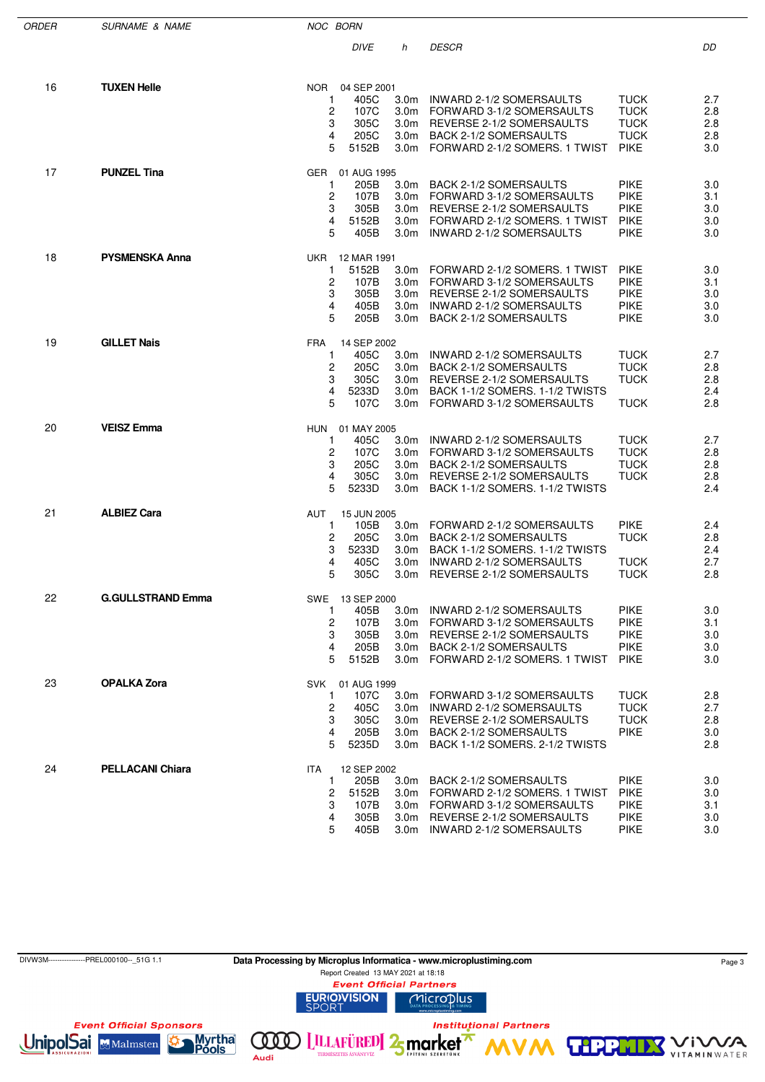| <i>ORDER</i> | <b>SURNAME &amp; NAME</b> | NOC BORN                                                                                                                                                                                                                                                                                                                                                           |                                 |
|--------------|---------------------------|--------------------------------------------------------------------------------------------------------------------------------------------------------------------------------------------------------------------------------------------------------------------------------------------------------------------------------------------------------------------|---------------------------------|
|              |                           | <b>DIVE</b><br><b>DESCR</b><br>h                                                                                                                                                                                                                                                                                                                                   | DD                              |
| 16           | <b>TUXEN Helle</b>        | NOR 04 SEP 2001<br><b>TUCK</b><br>405C<br>3.0 <sub>m</sub><br>INWARD 2-1/2 SOMERSAULTS<br>1<br>2<br><b>TUCK</b><br>107C<br>3.0m FORWARD 3-1/2 SOMERSAULTS<br>3<br>305C<br>3.0m REVERSE 2-1/2 SOMERSAULTS<br><b>TUCK</b><br>3.0m BACK 2-1/2 SOMERSAULTS<br><b>TUCK</b><br>4<br>205C<br>3.0m FORWARD 2-1/2 SOMERS, 1 TWIST<br><b>PIKE</b><br>5<br>5152B              | 2.7<br>2.8<br>2.8<br>2.8<br>3.0 |
| 17           | <b>PUNZEL Tina</b>        | GER 01 AUG 1995<br><b>PIKE</b><br>205B<br>3.0m BACK 2-1/2 SOMERSAULTS<br>1<br>2<br>107B<br>3.0m FORWARD 3-1/2 SOMERSAULTS<br><b>PIKE</b><br>3.0m REVERSE 2-1/2 SOMERSAULTS<br>3<br>305B<br><b>PIKE</b><br>3.0m FORWARD 2-1/2 SOMERS. 1 TWIST<br><b>PIKE</b><br>4<br>5152B<br>3.0m INWARD 2-1/2 SOMERSAULTS<br>5<br>405B<br>PIKE                                    | 3.0<br>3.1<br>3.0<br>3.0<br>3.0 |
| 18           | <b>PYSMENSKA Anna</b>     | UKR 12 MAR 1991<br><b>PIKE</b><br>5152B<br>3.0m FORWARD 2-1/2 SOMERS, 1 TWIST<br>1<br>$\overline{c}$<br>107B<br>3.0m FORWARD 3-1/2 SOMERSAULTS<br><b>PIKE</b><br>305B<br><b>PIKE</b><br>3<br>3.0m REVERSE 2-1/2 SOMERSAULTS<br><b>PIKE</b><br>405B<br>3.0m INWARD 2-1/2 SOMERSAULTS<br>4<br>5<br>205B<br>BACK 2-1/2 SOMERSAULTS<br><b>PIKE</b><br>3.0 <sub>m</sub> | 3.0<br>3.1<br>3.0<br>3.0<br>3.0 |
| 19           | <b>GILLET Nais</b>        | 14 SEP 2002<br><b>FRA</b><br><b>TUCK</b><br>1<br>405C<br>3.0m INWARD 2-1/2 SOMERSAULTS<br>2<br>205C<br>BACK 2-1/2 SOMERSAULTS<br><b>TUCK</b><br>3.0m<br>3.0m REVERSE 2-1/2 SOMERSAULTS<br><b>TUCK</b><br>3<br>305C<br>3.0m BACK 1-1/2 SOMERS. 1-1/2 TWISTS<br>5233D<br>4<br>5<br>107C<br>FORWARD 3-1/2 SOMERSAULTS<br>3.0m<br><b>TUCK</b>                          | 2.7<br>2.8<br>2.8<br>2.4<br>2.8 |
| 20           | <b>VEISZ Emma</b>         | HUN 01 MAY 2005<br>3.0m INWARD 2-1/2 SOMERSAULTS<br><b>TUCK</b><br>405C<br>1<br><b>TUCK</b><br>2<br>107C<br>3.0m FORWARD 3-1/2 SOMERSAULTS<br><b>TUCK</b><br>3<br>205C<br>3.0m BACK 2-1/2 SOMERSAULTS<br>305C<br>3.0m REVERSE 2-1/2 SOMERSAULTS<br><b>TUCK</b><br>4<br>5<br>5233D<br>3.0 <sub>m</sub><br>BACK 1-1/2 SOMERS. 1-1/2 TWISTS                           | 2.7<br>2.8<br>2.8<br>2.8<br>2.4 |
| 21           | <b>ALBIEZ Cara</b>        | AUT<br>15 JUN 2005<br>105B<br>3.0m FORWARD 2-1/2 SOMERSAULTS<br><b>PIKE</b><br>1<br>2<br>205C<br>3.0m BACK 2-1/2 SOMERSAULTS<br><b>TUCK</b><br>5233D<br>3.0m BACK 1-1/2 SOMERS. 1-1/2 TWISTS<br>3<br>405C<br>3.0m INWARD 2-1/2 SOMERSAULTS<br>4<br><b>TUCK</b><br>5<br>305C<br>3.0 <sub>m</sub><br>REVERSE 2-1/2 SOMERSAULTS<br><b>TUCK</b>                        | 2.4<br>2.8<br>2.4<br>2.7<br>2.8 |
| 22           | <b>G.GULLSTRAND Emma</b>  | SWE 13 SEP 2000<br>405B<br>3.0m INWARD 2-1/2 SOMERSAULTS<br>PIKE<br>1<br>2<br><b>PIKE</b><br>107B<br>3.0 <sub>m</sub><br>FORWARD 3-1/2 SOMERSAULTS<br><b>PIKE</b><br>3<br>305B<br>3.0 <sub>m</sub><br>REVERSE 2-1/2 SOMERSAULTS<br>3.0m BACK 2-1/2 SOMERSAULTS<br>PIKE<br>4<br>205B<br>5<br>5152B<br>3.0m FORWARD 2-1/2 SOMERS, 1 TWIST<br><b>PIKE</b>             | 3.0<br>3.1<br>3.0<br>3.0<br>3.0 |
| 23           | <b>OPALKA Zora</b>        | SVK 01 AUG 1999<br>107C<br>3.0m FORWARD 3-1/2 SOMERSAULTS<br><b>TUCK</b><br>1<br><b>TUCK</b><br>2<br>405C<br>3.0m INWARD 2-1/2 SOMERSAULTS<br>3<br>305C<br>3.0 <sub>m</sub><br>REVERSE 2-1/2 SOMERSAULTS<br><b>TUCK</b><br>205B<br>3.0m BACK 2-1/2 SOMERSAULTS<br>PIKE<br>4<br>5235D<br>3.0m BACK 1-1/2 SOMERS. 2-1/2 TWISTS<br>5                                  | 2.8<br>2.7<br>2.8<br>3.0<br>2.8 |
| 24           | <b>PELLACANI Chiara</b>   | 12 SEP 2002<br><b>ITA</b><br>205B<br>3.0m BACK 2-1/2 SOMERSAULTS<br>PIKE<br>1<br>2<br>5152B<br>3.0m FORWARD 2-1/2 SOMERS. 1 TWIST<br><b>PIKE</b><br>107B<br>3.0m FORWARD 3-1/2 SOMERSAULTS<br>PIKE<br>3<br>305B<br>3.0m REVERSE 2-1/2 SOMERSAULTS<br><b>PIKE</b><br>4<br>405B<br>3.0m<br>INWARD 2-1/2 SOMERSAULTS<br><b>PIKE</b><br>5                              | 3.0<br>3.0<br>3.1<br>3.0<br>3.0 |

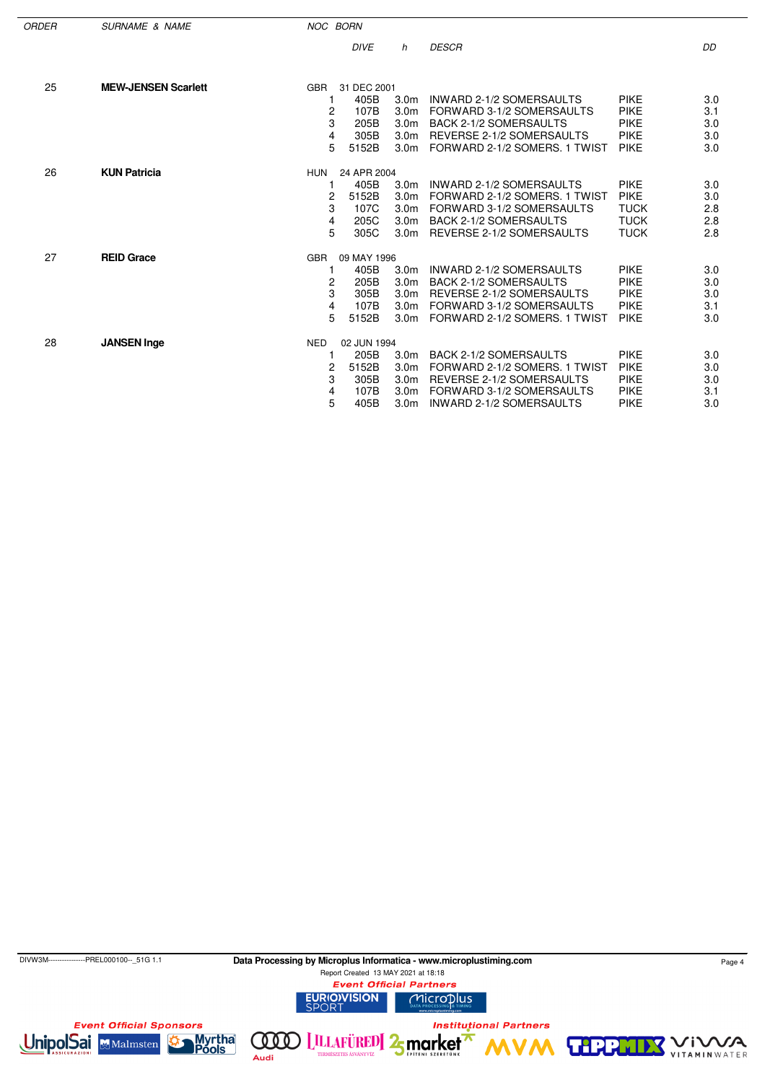| <b>ORDER</b> | <b>SURNAME &amp; NAME</b>  | <b>NOC BORN</b> |             |                  |                               |             |     |
|--------------|----------------------------|-----------------|-------------|------------------|-------------------------------|-------------|-----|
|              |                            |                 | <b>DIVE</b> | h                | <b>DESCR</b>                  |             | DD  |
| 25           | <b>MEW-JENSEN Scarlett</b> | <b>GBR</b>      | 31 DEC 2001 |                  |                               |             |     |
|              |                            |                 | 405B        | 3.0 <sub>m</sub> | INWARD 2-1/2 SOMERSAULTS      | <b>PIKE</b> | 3.0 |
|              |                            | 2               | 107B        | 3.0 <sub>m</sub> | FORWARD 3-1/2 SOMERSAULTS     | <b>PIKE</b> | 3.1 |
|              |                            | 3               | 205B        | 3.0 <sub>m</sub> | <b>BACK 2-1/2 SOMERSAULTS</b> | <b>PIKE</b> | 3.0 |
|              |                            | 4               | 305B        | 3.0 <sub>m</sub> | REVERSE 2-1/2 SOMERSAULTS     | <b>PIKE</b> | 3.0 |
|              |                            | 5               | 5152B       | 3.0 <sub>m</sub> | FORWARD 2-1/2 SOMERS, 1 TWIST | <b>PIKE</b> | 3.0 |
| 26           | <b>KUN Patricia</b>        | <b>HUN</b>      | 24 APR 2004 |                  |                               |             |     |
|              |                            |                 | 405B        | 3.0 <sub>m</sub> | INWARD 2-1/2 SOMERSAULTS      | <b>PIKE</b> | 3.0 |
|              |                            |                 | 5152B       | 3.0 <sub>m</sub> | FORWARD 2-1/2 SOMERS, 1 TWIST | <b>PIKE</b> | 3.0 |
|              |                            | 3               | 107C        | 3.0 <sub>m</sub> | FORWARD 3-1/2 SOMERSAULTS     | <b>TUCK</b> | 2.8 |
|              |                            | 4               | 205C        | 3.0 <sub>m</sub> | BACK 2-1/2 SOMERSAULTS        | <b>TUCK</b> | 2.8 |
|              |                            | 5               | 305C        | 3.0 <sub>m</sub> | REVERSE 2-1/2 SOMERSAULTS     | <b>TUCK</b> | 2.8 |
| 27           | <b>REID Grace</b>          | <b>GBR</b>      | 09 MAY 1996 |                  |                               |             |     |
|              |                            |                 | 405B        | 3.0 <sub>m</sub> | INWARD 2-1/2 SOMERSAULTS      | <b>PIKE</b> | 3.0 |
|              |                            | 2               | 205B        | 3.0 <sub>m</sub> | <b>BACK 2-1/2 SOMERSAULTS</b> | <b>PIKE</b> | 3.0 |
|              |                            | 3               | 305B        | 3.0 <sub>m</sub> | REVERSE 2-1/2 SOMERSAULTS     | <b>PIKE</b> | 3.0 |
|              |                            | 4               | 107B        | 3.0 <sub>m</sub> | FORWARD 3-1/2 SOMERSAULTS     | <b>PIKE</b> | 3.1 |
|              |                            | 5               | 5152B       | 3.0 <sub>m</sub> | FORWARD 2-1/2 SOMERS, 1 TWIST | <b>PIKE</b> | 3.0 |
| 28           | <b>JANSEN Inge</b>         | <b>NED</b>      | 02 JUN 1994 |                  |                               |             |     |
|              |                            |                 | 205B        | 3.0 <sub>m</sub> | <b>BACK 2-1/2 SOMERSAULTS</b> | <b>PIKE</b> | 3.0 |
|              |                            | 2               | 5152B       | 3.0 <sub>m</sub> | FORWARD 2-1/2 SOMERS, 1 TWIST | <b>PIKE</b> | 3.0 |
|              |                            | 3               | 305B        | 3.0 <sub>m</sub> | REVERSE 2-1/2 SOMERSAULTS     | <b>PIKE</b> | 3.0 |
|              |                            | 4               | 107B        | 3.0 <sub>m</sub> | FORWARD 3-1/2 SOMERSAULTS     | <b>PIKE</b> | 3.1 |
|              |                            | 5               | 405B        | 3.0 <sub>m</sub> | INWARD 2-1/2 SOMERSAULTS      | <b>PIKE</b> | 3.0 |
|              |                            |                 |             |                  |                               |             |     |

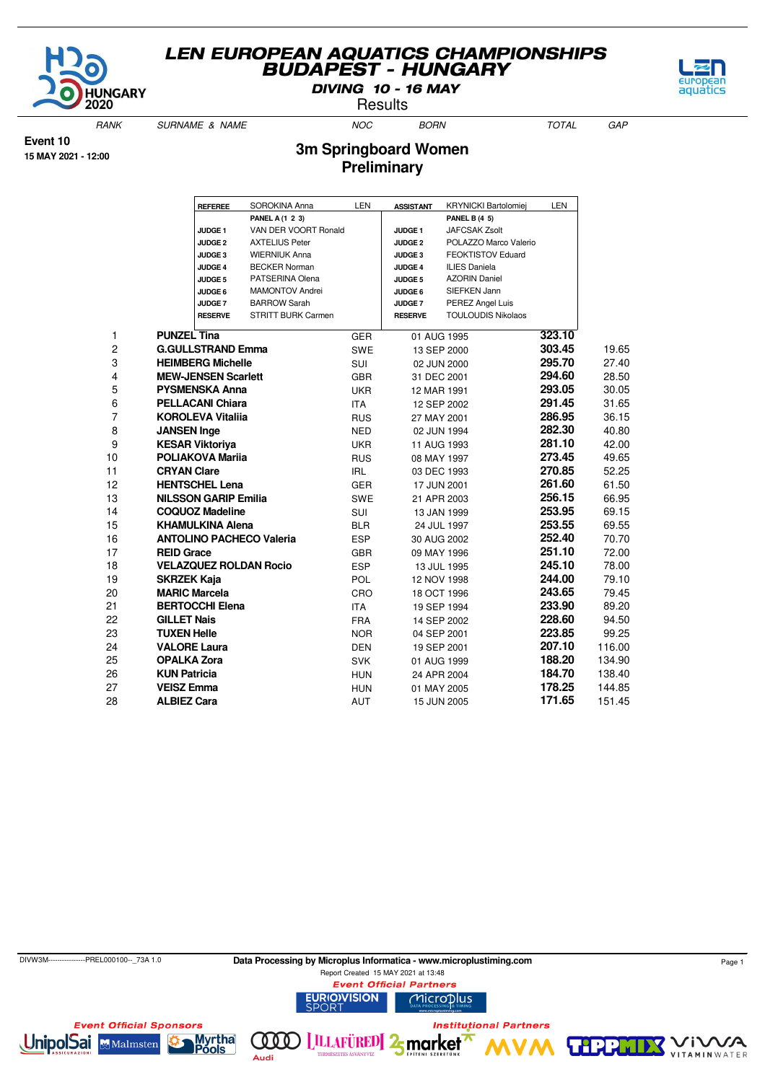

DIVING 10 - 16 MAY

**Results** 

RANK SURNAME & NAME NOC BORN TOTAL GAP

**Event 10 15 MAY 2021 - 12:00**

**3m Springboard Women Preliminary**

|                |                      | <b>REFEREE</b>                  | SOROKINA Anna             | LEN        | <b>ASSISTANT</b>   | <b>KRYNICKI Bartolomiej</b> | LEN    |        |
|----------------|----------------------|---------------------------------|---------------------------|------------|--------------------|-----------------------------|--------|--------|
|                |                      |                                 | <b>PANEL A (1 2 3)</b>    |            |                    | <b>PANEL B (4 5)</b>        |        |        |
|                |                      | JUDGE <sub>1</sub>              | VAN DER VOORT Ronald      |            | JUDGE <sub>1</sub> | <b>JAFCSAK Zsolt</b>        |        |        |
|                |                      | <b>JUDGE 2</b>                  | <b>AXTELIUS Peter</b>     |            | <b>JUDGE 2</b>     | POLAZZO Marco Valerio       |        |        |
|                |                      | JUDGE <sub>3</sub>              | <b>WIERNIUK Anna</b>      |            | <b>JUDGE 3</b>     | FEOKTISTOV Eduard           |        |        |
|                |                      | <b>JUDGE 4</b>                  | <b>BECKER Norman</b>      |            | <b>JUDGE 4</b>     | <b>ILIES Daniela</b>        |        |        |
|                |                      | <b>JUDGE 5</b>                  | PATSERINA Olena           |            | <b>JUDGE 5</b>     | <b>AZORIN Daniel</b>        |        |        |
|                |                      | <b>JUDGE 6</b>                  | MAMONTOV Andrei           |            | <b>JUDGE 6</b>     | SIEFKEN Jann                |        |        |
|                |                      | <b>JUDGE 7</b>                  | <b>BARROW Sarah</b>       |            | <b>JUDGE 7</b>     | PEREZ Angel Luis            |        |        |
|                |                      | <b>RESERVE</b>                  | <b>STRITT BURK Carmen</b> |            | <b>RESERVE</b>     | <b>TOULOUDIS Nikolaos</b>   |        |        |
| 1              | <b>PUNZEL Tina</b>   |                                 |                           | <b>GER</b> | 01 AUG 1995        |                             | 323.10 |        |
| $\overline{c}$ |                      | <b>G.GULLSTRAND Emma</b>        |                           | <b>SWE</b> | 13 SEP 2000        |                             | 303.45 | 19.65  |
| 3              |                      | <b>HEIMBERG Michelle</b>        |                           | SUI        | 02 JUN 2000        |                             | 295.70 | 27.40  |
| $\overline{4}$ |                      | <b>MEW-JENSEN Scarlett</b>      |                           | <b>GBR</b> | 31 DEC 2001        |                             | 294.60 | 28.50  |
| 5              |                      | <b>PYSMENSKA Anna</b>           |                           | <b>UKR</b> | 12 MAR 1991        |                             | 293.05 | 30.05  |
| 6              |                      | <b>PELLACANI Chiara</b>         |                           | <b>ITA</b> | 12 SEP 2002        |                             | 291.45 | 31.65  |
| $\overline{7}$ |                      | <b>KOROLEVA Vitalija</b>        |                           | <b>RUS</b> | 27 MAY 2001        |                             | 286.95 | 36.15  |
| 8              | <b>JANSEN Inge</b>   |                                 |                           | <b>NED</b> | 02 JUN 1994        |                             | 282.30 | 40.80  |
| 9              |                      | <b>KESAR Viktoriya</b>          |                           | <b>UKR</b> | 11 AUG 1993        |                             | 281.10 | 42.00  |
| 10             |                      | <b>POLIAKOVA Marija</b>         |                           | <b>RUS</b> | 08 MAY 1997        |                             | 273.45 | 49.65  |
| 11             | <b>CRYAN Clare</b>   |                                 |                           | <b>IRL</b> | 03 DEC 1993        |                             | 270.85 | 52.25  |
| 12             |                      | <b>HENTSCHEL Lena</b>           |                           | <b>GER</b> | 17 JUN 2001        |                             | 261.60 | 61.50  |
| 13             |                      | <b>NILSSON GARIP Emilia</b>     |                           | SWE        | 21 APR 2003        |                             | 256.15 | 66.95  |
| 14             |                      | <b>COQUOZ Madeline</b>          |                           | SUI        | 13 JAN 1999        |                             | 253.95 | 69.15  |
| 15             |                      | <b>KHAMULKINA Alena</b>         |                           | <b>BLR</b> | 24 JUL 1997        |                             | 253.55 | 69.55  |
| 16             |                      | <b>ANTOLINO PACHECO Valeria</b> |                           | <b>ESP</b> | 30 AUG 2002        |                             | 252.40 | 70.70  |
| 17             | <b>REID Grace</b>    |                                 |                           | <b>GBR</b> | 09 MAY 1996        |                             | 251.10 | 72.00  |
| 18             |                      | <b>VELAZQUEZ ROLDAN Rocio</b>   |                           | <b>ESP</b> | 13 JUL 1995        |                             | 245.10 | 78.00  |
| 19             | <b>SKRZEK Kaja</b>   |                                 |                           | <b>POL</b> | 12 NOV 1998        |                             | 244.00 | 79.10  |
| 20             | <b>MARIC Marcela</b> |                                 |                           | CRO        | 18 OCT 1996        |                             | 243.65 | 79.45  |
| 21             |                      | <b>BERTOCCHI Elena</b>          |                           | <b>ITA</b> | 19 SEP 1994        |                             | 233.90 | 89.20  |
| 22             | <b>GILLET Nais</b>   |                                 |                           | <b>FRA</b> | 14 SEP 2002        |                             | 228.60 | 94.50  |
| 23             | <b>TUXEN Helle</b>   |                                 |                           | <b>NOR</b> | 04 SEP 2001        |                             | 223.85 | 99.25  |
| 24             | <b>VALORE Laura</b>  |                                 |                           | <b>DEN</b> | 19 SEP 2001        |                             | 207.10 | 116.00 |
| 25             | <b>OPALKA Zora</b>   |                                 |                           | <b>SVK</b> | 01 AUG 1999        |                             | 188.20 | 134.90 |
| 26             | <b>KUN Patricia</b>  |                                 |                           | <b>HUN</b> | 24 APR 2004        |                             | 184.70 | 138.40 |
| 27             | <b>VEISZ Emma</b>    |                                 |                           | <b>HUN</b> | 01 MAY 2005        |                             | 178.25 | 144.85 |
| 28             | <b>ALBIEZ Cara</b>   |                                 |                           | <b>AUT</b> | 15 JUN 2005        |                             | 171.65 | 151.45 |
|                |                      |                                 |                           |            |                    |                             |        |        |



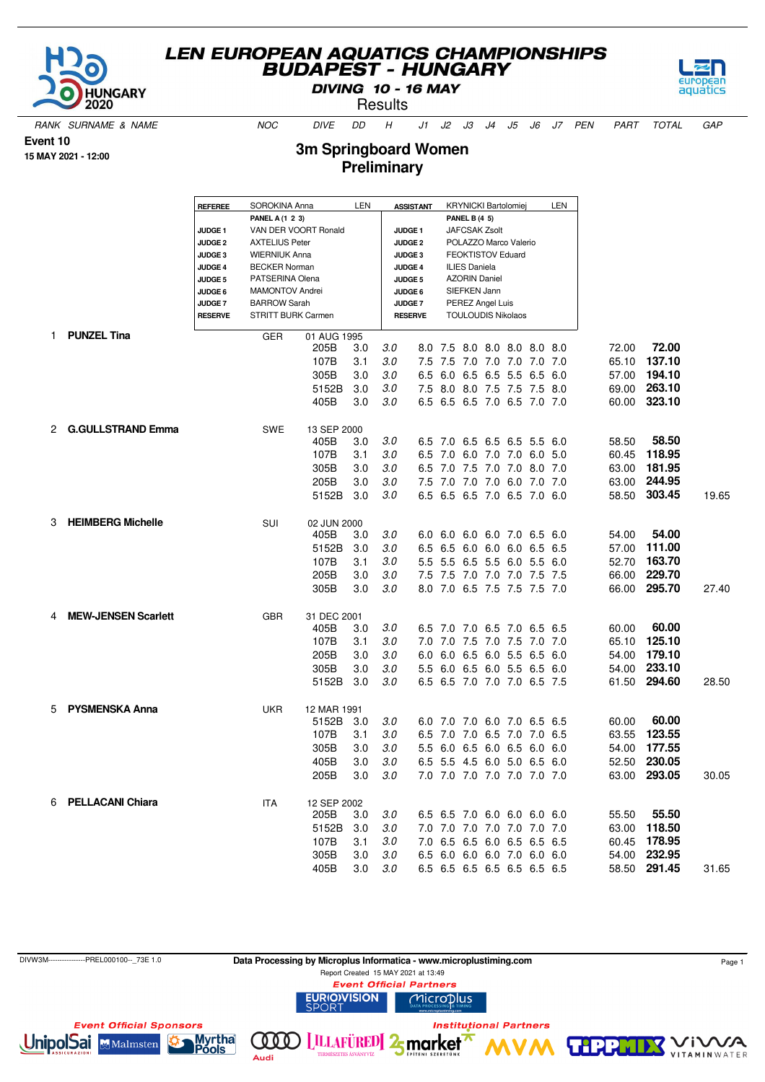

DIVING 10 - 16 MAY



**Results** 

**Event 10 15 MAY 2021 - 12:00**

RANK SURNAME & NAME TOTAL GAP NOC DIVE DD H J1 J2 J3 J4 J5 J6 J7 PEN PART TOTAL GAP

**3m Springboard Women Preliminary**

|    |                            |  | <b>REFEREE</b><br>SOROKINA Anna<br><b>PANEL A (1 2 3)</b><br>VAN DER VOORT Ronald<br><b>JUDGE 1</b><br><b>JUDGE 2</b><br><b>AXTELIUS Peter</b><br><b>JUDGE 3</b><br><b>WIERNIUK Anna</b><br><b>JUDGE 4</b><br><b>BECKER Norman</b><br>PATSERINA Olena<br>JUDGE 5<br>JUDGE 6<br><b>MAMONTOV Andrei</b><br><b>BARROW Sarah</b><br><b>JUDGE 7</b><br>STRITT BURK Carmen<br><b>RESERVE</b> |                     |     |         | <b>ASSISTANT</b><br><b>JUDGE1</b><br><b>JUDGE 2</b><br><b>JUDGE 3</b><br><b>JUDGE 4</b><br>JUDGE <sub>5</sub><br><b>JUDGE 6</b><br><b>JUDGE 7</b><br><b>RESERVE</b> |     | <b>KRYNICKI Bartolomiej</b><br><b>PANEL B (4 5)</b><br><b>JAFCSAK Zsolt</b><br>POLAZZO Marco Valerio<br>FEOKTISTOV Eduard<br><b>ILIES Daniela</b><br><b>AZORIN Daniel</b><br>SIEFKEN Jann<br>PEREZ Angel Luis<br><b>TOULOUDIS Nikolaos</b><br>8.0 7.5 8.0 8.0 8.0 8.0 8.0<br>7.5 7.5 7.0 7.0 7.0 7.0 7.0 |                             |  |  | LEN |       |              |       |
|----|----------------------------|--|----------------------------------------------------------------------------------------------------------------------------------------------------------------------------------------------------------------------------------------------------------------------------------------------------------------------------------------------------------------------------------------|---------------------|-----|---------|---------------------------------------------------------------------------------------------------------------------------------------------------------------------|-----|----------------------------------------------------------------------------------------------------------------------------------------------------------------------------------------------------------------------------------------------------------------------------------------------------------|-----------------------------|--|--|-----|-------|--------------|-------|
| 1. | <b>PUNZEL Tina</b>         |  | GER                                                                                                                                                                                                                                                                                                                                                                                    | 01 AUG 1995<br>205B | 3.0 | 3.0     |                                                                                                                                                                     |     |                                                                                                                                                                                                                                                                                                          |                             |  |  |     | 72.00 | 72.00        |       |
|    |                            |  |                                                                                                                                                                                                                                                                                                                                                                                        | 107B                | 3.1 | 3.0     |                                                                                                                                                                     |     |                                                                                                                                                                                                                                                                                                          |                             |  |  |     | 65.10 | 137.10       |       |
|    |                            |  |                                                                                                                                                                                                                                                                                                                                                                                        | 305B                | 3.0 | 3.0     | 6.5                                                                                                                                                                 |     |                                                                                                                                                                                                                                                                                                          | 6.0 6.5 6.5 5.5 6.5 6.0     |  |  |     | 57.00 | 194.10       |       |
|    |                            |  |                                                                                                                                                                                                                                                                                                                                                                                        | 5152B               | 3.0 | 3.0     | 7.5                                                                                                                                                                 |     |                                                                                                                                                                                                                                                                                                          | 8.0 8.0 7.5 7.5 7.5 8.0     |  |  |     | 69.00 | 263.10       |       |
|    |                            |  |                                                                                                                                                                                                                                                                                                                                                                                        | 405B                | 3.0 | 3.0     |                                                                                                                                                                     |     |                                                                                                                                                                                                                                                                                                          | 6.5 6.5 6.5 7.0 6.5 7.0 7.0 |  |  |     | 60.00 | 323.10       |       |
|    |                            |  |                                                                                                                                                                                                                                                                                                                                                                                        |                     |     |         |                                                                                                                                                                     |     |                                                                                                                                                                                                                                                                                                          |                             |  |  |     |       |              |       |
| 2  | <b>G.GULLSTRAND Emma</b>   |  | <b>SWE</b>                                                                                                                                                                                                                                                                                                                                                                             | 13 SEP 2000         |     |         |                                                                                                                                                                     |     |                                                                                                                                                                                                                                                                                                          |                             |  |  |     |       |              |       |
|    |                            |  |                                                                                                                                                                                                                                                                                                                                                                                        | 405B                | 3.0 | 3.0     |                                                                                                                                                                     |     |                                                                                                                                                                                                                                                                                                          | 6.5 7.0 6.5 6.5 6.5 5.5 6.0 |  |  |     | 58.50 | 58.50        |       |
|    |                            |  |                                                                                                                                                                                                                                                                                                                                                                                        | 107B                | 3.1 | 3.0     | 6.5                                                                                                                                                                 |     |                                                                                                                                                                                                                                                                                                          | 7.0 6.0 7.0 7.0 6.0 5.0     |  |  |     | 60.45 | 118.95       |       |
|    |                            |  |                                                                                                                                                                                                                                                                                                                                                                                        | 305B                | 3.0 | 3.0     | 6.5                                                                                                                                                                 |     |                                                                                                                                                                                                                                                                                                          | 7.0 7.5 7.0 7.0 8.0 7.0     |  |  |     | 63.00 | 181.95       |       |
|    |                            |  |                                                                                                                                                                                                                                                                                                                                                                                        | 205B                | 3.0 | 3.0     | 7.5                                                                                                                                                                 |     |                                                                                                                                                                                                                                                                                                          | 7.0 7.0 7.0 6.0 7.0 7.0     |  |  |     | 63.00 | 244.95       |       |
|    |                            |  |                                                                                                                                                                                                                                                                                                                                                                                        | 5152B               | 3.0 | 3.0     |                                                                                                                                                                     |     |                                                                                                                                                                                                                                                                                                          | 6.5 6.5 6.5 7.0 6.5 7.0 6.0 |  |  |     | 58.50 | 303.45       | 19.65 |
| 3  | <b>HEIMBERG Michelle</b>   |  |                                                                                                                                                                                                                                                                                                                                                                                        |                     |     |         |                                                                                                                                                                     |     |                                                                                                                                                                                                                                                                                                          |                             |  |  |     |       |              |       |
|    |                            |  | SUI                                                                                                                                                                                                                                                                                                                                                                                    | 02 JUN 2000<br>405B | 3.0 | 3.0     | 6.0                                                                                                                                                                 |     |                                                                                                                                                                                                                                                                                                          | 6.0 6.0 6.0 7.0 6.5 6.0     |  |  |     | 54.00 | 54.00        |       |
|    |                            |  |                                                                                                                                                                                                                                                                                                                                                                                        | 5152B               | 3.0 | 3.0     | 6.5                                                                                                                                                                 | 6.5 |                                                                                                                                                                                                                                                                                                          | 6.0 6.0 6.0 6.5 6.5         |  |  |     | 57.00 | 111.00       |       |
|    |                            |  |                                                                                                                                                                                                                                                                                                                                                                                        | 107B                | 3.1 | 3.0     | $5.5\,$                                                                                                                                                             |     |                                                                                                                                                                                                                                                                                                          | 5.5 6.5 5.5 6.0 5.5 6.0     |  |  |     | 52.70 | 163.70       |       |
|    |                            |  |                                                                                                                                                                                                                                                                                                                                                                                        | 205B                | 3.0 | 3.0     | 7.5 7.5                                                                                                                                                             |     |                                                                                                                                                                                                                                                                                                          | 7.0 7.0 7.0 7.5 7.5         |  |  |     | 66.00 | 229.70       |       |
|    |                            |  |                                                                                                                                                                                                                                                                                                                                                                                        | 305B                | 3.0 | 3.0     |                                                                                                                                                                     |     |                                                                                                                                                                                                                                                                                                          | 8.0 7.0 6.5 7.5 7.5 7.5 7.0 |  |  |     | 66.00 | 295.70       | 27.40 |
|    |                            |  |                                                                                                                                                                                                                                                                                                                                                                                        |                     |     |         |                                                                                                                                                                     |     |                                                                                                                                                                                                                                                                                                          |                             |  |  |     |       |              |       |
| 4  | <b>MEW-JENSEN Scarlett</b> |  | <b>GBR</b>                                                                                                                                                                                                                                                                                                                                                                             | 31 DEC 2001         |     |         |                                                                                                                                                                     |     |                                                                                                                                                                                                                                                                                                          |                             |  |  |     |       |              |       |
|    |                            |  |                                                                                                                                                                                                                                                                                                                                                                                        | 405B                | 3.0 | 3.0     |                                                                                                                                                                     |     |                                                                                                                                                                                                                                                                                                          | 6.5 7.0 7.0 6.5 7.0 6.5 6.5 |  |  |     | 60.00 | 60.00        |       |
|    |                            |  |                                                                                                                                                                                                                                                                                                                                                                                        | 107B                | 3.1 | 3.0     | 7.0                                                                                                                                                                 |     |                                                                                                                                                                                                                                                                                                          | 7.0 7.5 7.0 7.5 7.0 7.0     |  |  |     | 65.10 | 125.10       |       |
|    |                            |  |                                                                                                                                                                                                                                                                                                                                                                                        | 205B                | 3.0 | 3.0     | 6.0                                                                                                                                                                 |     |                                                                                                                                                                                                                                                                                                          | 6.0 6.5 6.0 5.5 6.5 6.0     |  |  |     | 54.00 | 179.10       |       |
|    |                            |  |                                                                                                                                                                                                                                                                                                                                                                                        | 305B                | 3.0 | 3.0     | 5.5                                                                                                                                                                 |     |                                                                                                                                                                                                                                                                                                          | 6.0 6.5 6.0 5.5 6.5 6.0     |  |  |     | 54.00 | 233.10       |       |
|    |                            |  |                                                                                                                                                                                                                                                                                                                                                                                        | 5152B               | 3.0 | 3.0     | 6.5                                                                                                                                                                 |     |                                                                                                                                                                                                                                                                                                          | 6.5 7.0 7.0 7.0 6.5 7.5     |  |  |     | 61.50 | 294.60       | 28.50 |
| 5  | <b>PYSMENSKA Anna</b>      |  | <b>UKR</b>                                                                                                                                                                                                                                                                                                                                                                             | 12 MAR 1991         |     |         |                                                                                                                                                                     |     |                                                                                                                                                                                                                                                                                                          |                             |  |  |     |       |              |       |
|    |                            |  |                                                                                                                                                                                                                                                                                                                                                                                        | 5152B               | 3.0 | 3.0     |                                                                                                                                                                     |     |                                                                                                                                                                                                                                                                                                          | 6.0 7.0 7.0 6.0 7.0 6.5 6.5 |  |  |     | 60.00 | 60.00        |       |
|    |                            |  |                                                                                                                                                                                                                                                                                                                                                                                        | 107B                | 3.1 | 3.0     | 6.5                                                                                                                                                                 |     | 7.0 7.0                                                                                                                                                                                                                                                                                                  | 6.5 7.0 7.0 6.5             |  |  |     | 63.55 | 123.55       |       |
|    |                            |  |                                                                                                                                                                                                                                                                                                                                                                                        | 305B                | 3.0 | 3.0     | 5.5                                                                                                                                                                 |     |                                                                                                                                                                                                                                                                                                          | 6.0 6.5 6.0 6.5 6.0 6.0     |  |  |     | 54.00 | 177.55       |       |
|    |                            |  |                                                                                                                                                                                                                                                                                                                                                                                        | 405B                | 3.0 | 3.0     |                                                                                                                                                                     |     |                                                                                                                                                                                                                                                                                                          | 6.5 5.5 4.5 6.0 5.0 6.5 6.0 |  |  |     | 52.50 | 230.05       |       |
|    |                            |  |                                                                                                                                                                                                                                                                                                                                                                                        | 205B                | 3.0 | $3.0\,$ |                                                                                                                                                                     |     |                                                                                                                                                                                                                                                                                                          | 7.0 7.0 7.0 7.0 7.0 7.0 7.0 |  |  |     |       | 63.00 293.05 | 30.05 |
|    |                            |  |                                                                                                                                                                                                                                                                                                                                                                                        |                     |     |         |                                                                                                                                                                     |     |                                                                                                                                                                                                                                                                                                          |                             |  |  |     |       |              |       |
|    | 6 PELLACANI Chiara         |  | <b>ITA</b>                                                                                                                                                                                                                                                                                                                                                                             | 12 SEP 2002         |     |         |                                                                                                                                                                     |     |                                                                                                                                                                                                                                                                                                          |                             |  |  |     |       |              |       |
|    |                            |  |                                                                                                                                                                                                                                                                                                                                                                                        | 205B                | 3.0 | 3.0     |                                                                                                                                                                     |     |                                                                                                                                                                                                                                                                                                          | 6.5 6.5 7.0 6.0 6.0 6.0 6.0 |  |  |     | 55.50 | 55.50        |       |
|    |                            |  |                                                                                                                                                                                                                                                                                                                                                                                        | 5152B               | 3.0 | 3.0     |                                                                                                                                                                     |     |                                                                                                                                                                                                                                                                                                          | 7.0 7.0 7.0 7.0 7.0 7.0 7.0 |  |  |     |       | 63.00 118.50 |       |
|    |                            |  |                                                                                                                                                                                                                                                                                                                                                                                        | 107B                | 3.1 | 3.0     |                                                                                                                                                                     |     |                                                                                                                                                                                                                                                                                                          | 7.0 6.5 6.5 6.0 6.5 6.5 6.5 |  |  |     |       | 60.45 178.95 |       |
|    |                            |  |                                                                                                                                                                                                                                                                                                                                                                                        | 305B                | 3.0 | 3.0     |                                                                                                                                                                     |     |                                                                                                                                                                                                                                                                                                          | 6.5 6.0 6.0 6.0 7.0 6.0 6.0 |  |  |     |       | 54.00 232.95 |       |
|    |                            |  |                                                                                                                                                                                                                                                                                                                                                                                        | 405B                | 3.0 | 3.0     |                                                                                                                                                                     |     |                                                                                                                                                                                                                                                                                                          | 6.5 6.5 6.5 6.5 6.5 6.5 6.5 |  |  |     |       | 58.50 291.45 | 31.65 |

DIVW3M---------------PREL000100--\_73E 1.0 **Data Processing by Microplus Informatica - www.microplustiming.com** Page 1 Report Created 15 MAY 2021 at 13:49

Microplus

**Institutional Partners** 

**VM** 

**Event Official Partners RIOVISION** 

**CCCO [ILLAFÜRED] 25 market** 

Audi



**TIPP MWA**  $\mathbf X$ **VITAMIN** WATER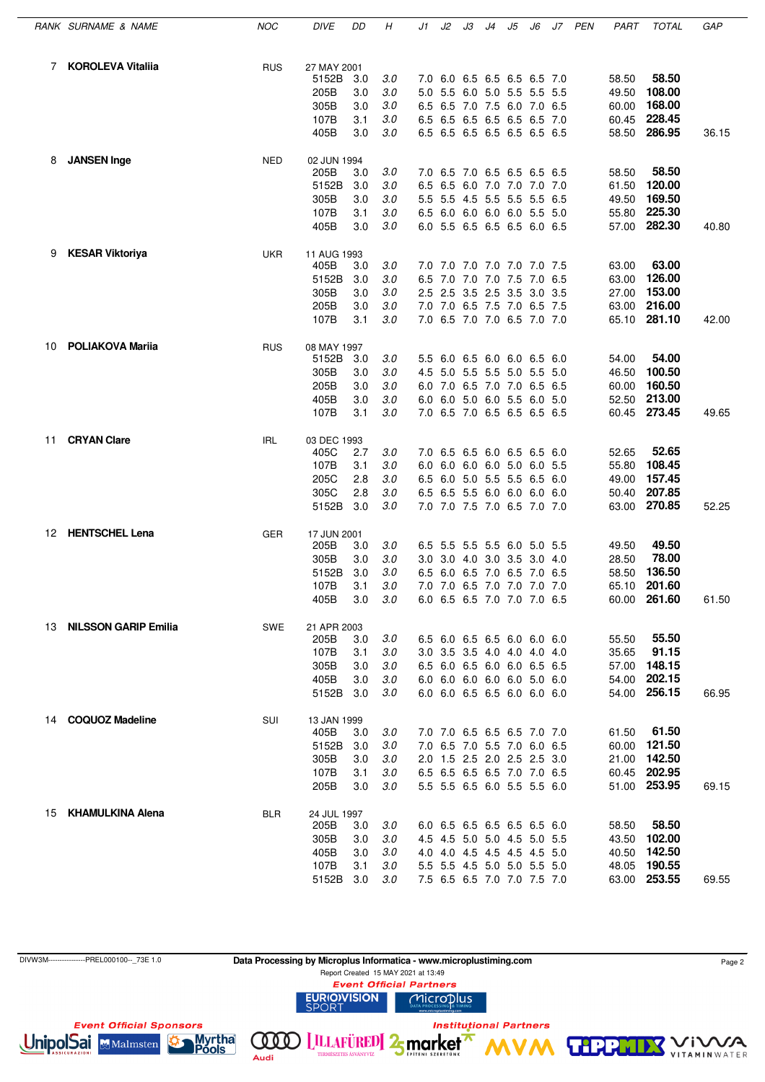|    | RANK SURNAME & NAME      | <b>NOC</b> | <b>DIVE</b>         | DD         | Η          | J1  | J2 | JЗ              | J4                  | J5 | J6                                                         | J7 | PEN | PART           | <b>TOTAL</b>                 | <b>GAP</b> |
|----|--------------------------|------------|---------------------|------------|------------|-----|----|-----------------|---------------------|----|------------------------------------------------------------|----|-----|----------------|------------------------------|------------|
| 7  | <b>KOROLEVA Vitalija</b> | <b>RUS</b> | 27 MAY 2001         |            |            |     |    |                 |                     |    |                                                            |    |     |                |                              |            |
|    |                          |            | 5152B               | 3.0        | 3.0        |     |    |                 |                     |    | 7.0 6.0 6.5 6.5 6.5 6.5 7.0                                |    |     | 58.50          | 58.50                        |            |
|    |                          |            | 205B                | 3.0        | 3.0        | 5.0 |    |                 |                     |    | 5.5 6.0 5.0 5.5 5.5 5.5                                    |    |     | 49.50          | 108.00                       |            |
|    |                          |            | 305B                | 3.0        | 3.0        |     |    | 6.5 6.5 7.0 7.5 |                     |    | 6.0 7.0 6.5                                                |    |     | 60.00          | 168.00                       |            |
|    |                          |            | 107B                | 3.1        | 3.0        | 6.5 |    |                 |                     |    | 6.5 6.5 6.5 6.5 6.5 7.0                                    |    |     | 60.45          | 228.45                       |            |
|    |                          |            | 405B                | 3.0        | 3.0        |     |    |                 |                     |    | 6.5 6.5 6.5 6.5 6.5 6.5 6.5                                |    |     | 58.50          | 286.95                       | 36.15      |
| 8  | <b>JANSEN Inge</b>       | <b>NED</b> | 02 JUN 1994         |            |            |     |    |                 |                     |    |                                                            |    |     |                | 58.50                        |            |
|    |                          |            | 205B<br>5152B       | 3.0<br>3.0 | 3.0<br>3.0 |     |    |                 |                     |    | 7.0 6.5 7.0 6.5 6.5 6.5 6.5<br>6.5 6.5 6.0 7.0 7.0 7.0 7.0 |    |     | 58.50<br>61.50 | 120.00                       |            |
|    |                          |            | 305B                | 3.0        | 3.0        |     |    |                 |                     |    | 5.5 5.5 4.5 5.5 5.5 5.5 6.5                                |    |     | 49.50          | 169.50                       |            |
|    |                          |            | 107B                | 3.1        | 3.0        | 6.5 |    |                 |                     |    | 6.0 6.0 6.0 6.0 5.5 5.0                                    |    |     | 55.80          | 225.30                       |            |
|    |                          |            | 405B                | 3.0        | 3.0        |     |    |                 |                     |    | 6.0 5.5 6.5 6.5 6.5 6.0 6.5                                |    |     | 57.00          | 282.30                       | 40.80      |
| 9  | <b>KESAR Viktoriya</b>   | <b>UKR</b> | 11 AUG 1993         |            |            |     |    |                 |                     |    |                                                            |    |     |                |                              |            |
|    |                          |            | 405B                | 3.0        | 3.0        |     |    |                 |                     |    | 7.0 7.0 7.0 7.0 7.0 7.0 7.5                                |    |     | 63.00          | 63.00                        |            |
|    |                          |            | 5152B               | 3.0        | 3.0        |     |    |                 | 6.5 7.0 7.0 7.0 7.5 |    | 7.0 6.5                                                    |    |     | 63.00          | 126.00                       |            |
|    |                          |            | 305B                | 3.0        | 3.0        |     |    |                 |                     |    | 2.5 2.5 3.5 2.5 3.5 3.0 3.5                                |    |     | 27.00          | 153.00                       |            |
|    |                          |            | 205B                | 3.0<br>3.1 | 3.0        | 7.0 |    |                 |                     |    | 7.0 6.5 7.5 7.0 6.5 7.5                                    |    |     | 63.00          | 216.00<br>281.10             |            |
|    |                          |            | 107B                |            | 3.0        |     |    |                 |                     |    | 7.0 6.5 7.0 7.0 6.5 7.0 7.0                                |    |     | 65.10          |                              | 42.00      |
| 10 | <b>POLIAKOVA Mariia</b>  | <b>RUS</b> | 08 MAY 1997         |            |            |     |    |                 |                     |    |                                                            |    |     |                |                              |            |
|    |                          |            | 5152B               | 3.0        | 3.0        |     |    |                 |                     |    | 5.5 6.0 6.5 6.0 6.0 6.5 6.0                                |    |     | 54.00          | 54.00                        |            |
|    |                          |            | 305B<br>205B        | 3.0<br>3.0 | 3.0        | 4.5 |    |                 | $5.0$ 5.5 5.5 5.0   |    | 5.5 5.0                                                    |    |     | 46.50          | 100.50<br>160.50             |            |
|    |                          |            | 405B                | 3.0        | 3.0<br>3.0 | 6.0 |    |                 |                     |    | 6.0 7.0 6.5 7.0 7.0 6.5 6.5<br>6.0 5.0 6.0 5.5 6.0 5.0     |    |     | 60.00<br>52.50 | 213.00                       |            |
|    |                          |            | 107B                | 3.1        | 3.0        |     |    |                 |                     |    | 7.0 6.5 7.0 6.5 6.5 6.5 6.5                                |    |     |                | 60.45 273.45                 | 49.65      |
| 11 | <b>CRYAN Clare</b>       | <b>IRL</b> | 03 DEC 1993         |            |            |     |    |                 |                     |    |                                                            |    |     |                |                              |            |
|    |                          |            | 405C                | 2.7        | 3.0        |     |    |                 |                     |    | 7.0 6.5 6.5 6.0 6.5 6.5 6.0                                |    |     | 52.65          | 52.65                        |            |
|    |                          |            | 107B                | 3.1        | 3.0        | 6.0 |    |                 | 6.0 6.0 6.0 5.0     |    | 6.0 5.5                                                    |    |     | 55.80          | 108.45                       |            |
|    |                          |            | 205C                | 2.8        | 3.0        |     |    |                 |                     |    | 6.5 6.0 5.0 5.5 5.5 6.5 6.0                                |    |     | 49.00          | 157.45                       |            |
|    |                          |            | 305C<br>5152B       | 2.8<br>3.0 | 3.0<br>3.0 | 6.5 |    |                 |                     |    | 6.5 5.5 6.0 6.0 6.0 6.0<br>7.0 7.0 7.5 7.0 6.5 7.0 7.0     |    |     | 50.40          | 207.85<br>63.00 270.85       | 52.25      |
| 12 | <b>HENTSCHEL Lena</b>    | <b>GER</b> | 17 JUN 2001         |            |            |     |    |                 |                     |    |                                                            |    |     |                |                              |            |
|    |                          |            | 205B                | 3.0        | 3.0        |     |    |                 |                     |    | 6.5 5.5 5.5 5.5 6.0 5.0 5.5                                |    |     | 49.50          | 49.50                        |            |
|    |                          |            | 305B                | 3.0        | 3.0        | 3.0 |    |                 | 3.0 4.0 3.0 3.5     |    | $3.0\;4.0$                                                 |    |     | 28.50          | 78.00                        |            |
|    |                          |            | 5152B               | 3.0        | 3.0        | 6.5 |    |                 |                     |    | 6.0 6.5 7.0 6.5 7.0 6.5                                    |    |     | 58.50          | 136.50                       |            |
|    |                          |            | 107B                | 3.1        | 3.0        |     |    |                 |                     |    | 7.0 7.0 6.5 7.0 7.0 7.0 7.0                                |    |     | 65.10          | 201.60                       |            |
|    |                          |            | 405B                | 3.0        | 3.0        |     |    |                 |                     |    | 6.0 6.5 6.5 7.0 7.0 7.0 6.5                                |    |     |                | 60.00 261.60                 | 61.50      |
|    | 13 NILSSON GARIP Emilia  | SWE        | 21 APR 2003         |            |            |     |    |                 |                     |    |                                                            |    |     |                |                              |            |
|    |                          |            | 205B<br>107B        | 3.0<br>3.1 | 3.0<br>3.0 |     |    |                 |                     |    | 6.5 6.0 6.5 6.5 6.0 6.0 6.0<br>3.0 3.5 3.5 4.0 4.0 4.0 4.0 |    |     | 55.50<br>35.65 | 55.50<br>91.15               |            |
|    |                          |            | 305B                | 3.0        | 3.0        |     |    |                 |                     |    | 6.5 6.0 6.5 6.0 6.0 6.5 6.5                                |    |     | 57.00          | 148.15                       |            |
|    |                          |            | 405B                | 3.0        | 3.0        |     |    |                 |                     |    | 6.0 6.0 6.0 6.0 6.0 5.0 6.0                                |    |     | 54.00          | 202.15                       |            |
|    |                          |            | 5152B 3.0           |            | 3.0        |     |    |                 |                     |    | 6.0 6.0 6.5 6.5 6.0 6.0 6.0                                |    |     |                | 54.00 256.15                 | 66.95      |
| 14 | <b>COQUOZ Madeline</b>   | SUI        | 13 JAN 1999         |            |            |     |    |                 |                     |    |                                                            |    |     |                |                              |            |
|    |                          |            | 405B                | 3.0        | 3.0        |     |    |                 |                     |    | 7.0 7.0 6.5 6.5 6.5 7.0 7.0                                |    |     | 61.50          | 61.50                        |            |
|    |                          |            | 5152B               | 3.0        | 3.0        |     |    |                 |                     |    | 7.0 6.5 7.0 5.5 7.0 6.0 6.5                                |    |     | 60.00          | 121.50                       |            |
|    |                          |            | 305B                | 3.0        | 3.0        |     |    |                 |                     |    | 2.0 1.5 2.5 2.0 2.5 2.5 3.0                                |    |     |                | 21.00 142.50                 |            |
|    |                          |            | 107B<br>205B        | 3.1<br>3.0 | 3.0<br>3.0 |     |    |                 |                     |    | 6.5 6.5 6.5 6.5 7.0 7.0 6.5<br>5.5 5.5 6.5 6.0 5.5 5.5 6.0 |    |     |                | 60.45 202.95<br>51.00 253.95 | 69.15      |
| 15 | KHAMULKINA Alena         |            |                     |            |            |     |    |                 |                     |    |                                                            |    |     |                |                              |            |
|    |                          | <b>BLR</b> | 24 JUL 1997<br>205B | 3.0        | 3.0        |     |    |                 |                     |    | 6.0 6.5 6.5 6.5 6.5 6.5 6.0                                |    |     | 58.50          | 58.50                        |            |
|    |                          |            | 305B                | 3.0        | 3.0        |     |    |                 |                     |    | 4.5 4.5 5.0 5.0 4.5 5.0 5.5                                |    |     | 43.50          | 102.00                       |            |
|    |                          |            | 405B                | 3.0        | 3.0        |     |    |                 |                     |    | 4.0 4.0 4.5 4.5 4.5 4.5 5.0                                |    |     | 40.50          | 142.50                       |            |
|    |                          |            | 107B                | 3.1        | 3.0        |     |    |                 |                     |    | 5.5 5.5 4.5 5.0 5.0 5.5 5.0                                |    |     |                | 48.05 190.55                 |            |
|    |                          |            | 5152B               | 3.0        | 3.0        |     |    |                 |                     |    | 7.5 6.5 6.5 7.0 7.0 7.5 7.0                                |    |     |                | 63.00 253.55                 | 69.55      |



 $\underset{\text{Audi}}{\text{QQQ}} \underset{\text{The  
classians isosymptotic}}{\text{LILLAFIREDI}} \underset{\text{Bulaxians}}{\text{B}} \underset{\text{Bulaxian}}{\text{maxket}} \dot{\uparrow}$ 

Audi



**VIWWATER**  $\mathbf Z$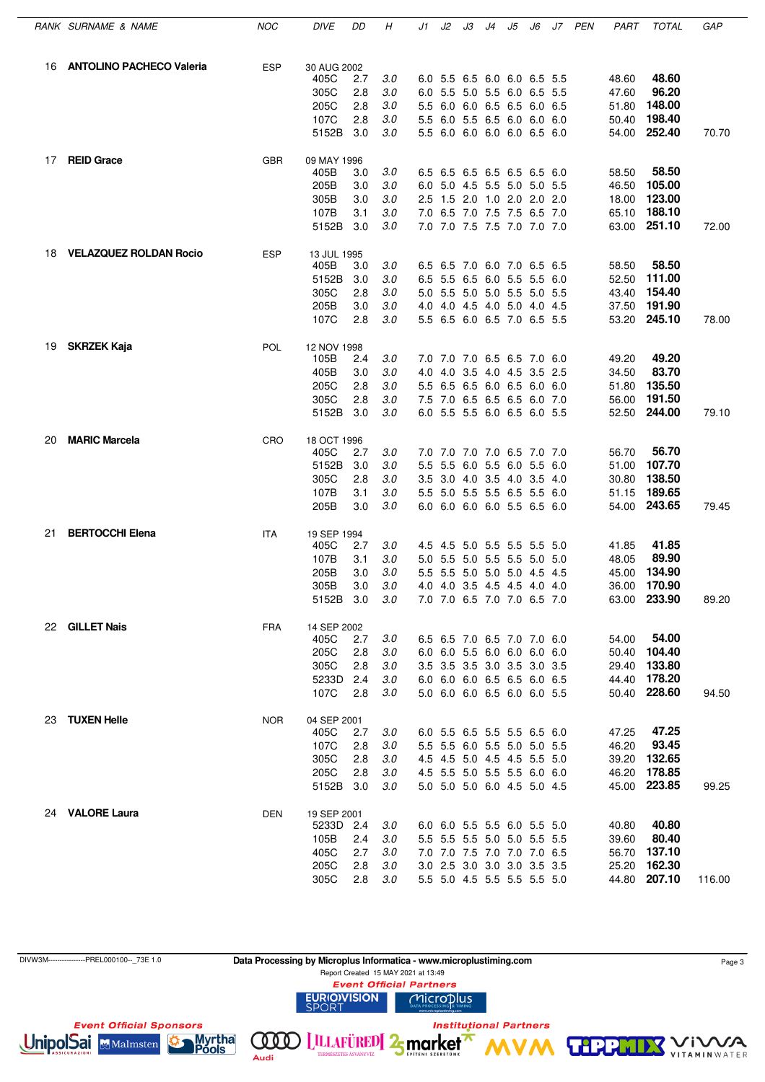|    | RANK SURNAME & NAME             | <b>NOC</b> | <b>DIVE</b>                                              | DD                              | Η                               | J1         | J2 | JЗ | J4                                                                                                                                                      | J5 | J6           | J7 | PEN | PART                                      | TOTAL                                                                 | <b>GAP</b> |
|----|---------------------------------|------------|----------------------------------------------------------|---------------------------------|---------------------------------|------------|----|----|---------------------------------------------------------------------------------------------------------------------------------------------------------|----|--------------|----|-----|-------------------------------------------|-----------------------------------------------------------------------|------------|
| 16 | <b>ANTOLINO PACHECO Valeria</b> | <b>ESP</b> | 30 AUG 2002<br>405C<br>305C<br>205C<br>107C<br>5152B     | 2.7<br>2.8<br>2.8<br>2.8<br>3.0 | 3.0<br>3.0<br>3.0<br>3.0<br>3.0 | 6.0<br>5.5 |    |    | 6.0 5.5 6.5 6.0 6.0 6.5 5.5<br>5.5 5.0 5.5 6.0 6.5 5.5<br>5.5 6.0 6.0 6.5 6.5 6.0 6.5<br>6.0 5.5 6.5 6.0 6.0 6.0<br>5.5 6.0 6.0 6.0 6.0 6.5 6.0         |    |              |    |     | 48.60<br>47.60<br>51.80<br>50.40<br>54.00 | 48.60<br>96.20<br>148.00<br>198.40<br>252.40                          | 70.70      |
| 17 | <b>REID Grace</b>               | <b>GBR</b> | 09 MAY 1996<br>405B<br>205B<br>305B<br>107B<br>5152B     | 3.0<br>3.0<br>3.0<br>3.1<br>3.0 | 3.0<br>3.0<br>3.0<br>3.0<br>3.0 |            |    |    | 6.5 6.5 6.5 6.5 6.5 6.0<br>6.0 5.0 4.5 5.5 5.0 5.0 5.5<br>2.5 1.5 2.0 1.0 2.0 2.0 2.0<br>7.0 6.5 7.0 7.5 7.5 6.5 7.0<br>7.0 7.0 7.5 7.5 7.0 7.0 7.0     |    |              |    |     | 58.50<br>46.50<br>18.00                   | 58.50<br>105.00<br>123.00<br>65.10 188.10<br>63.00 251.10             | 72.00      |
| 18 | <b>VELAZQUEZ ROLDAN Rocio</b>   | <b>ESP</b> | 13 JUL 1995<br>405B<br>5152B<br>305C<br>205B<br>107C     | 3.0<br>3.0<br>2.8<br>3.0<br>2.8 | 3.0<br>3.0<br>3.0<br>3.0<br>3.0 | 5.5        |    |    | 6.5 6.5 7.0 6.0 7.0 6.5 6.5<br>6.5 5.5 6.5 6.0 5.5 5.5 6.0<br>5.0 5.5 5.0 5.0 5.5 5.0 5.5<br>4.0 4.0 4.5 4.0 5.0 4.0 4.5<br>6.5 6.0 6.5 7.0 6.5 5.5     |    |              |    |     | 58.50<br>52.50<br>43.40<br>37.50<br>53.20 | 58.50<br>111.00<br>154.40<br>191.90<br>245.10                         | 78.00      |
| 19 | <b>SKRZEK Kaja</b>              | <b>POL</b> | 12 NOV 1998<br>105B<br>405B<br>205C<br>305C<br>5152B     | 2.4<br>3.0<br>2.8<br>2.8<br>3.0 | 3.0<br>3.0<br>3.0<br>3.0<br>3.0 |            |    |    | 7.0 7.0 7.0 6.5 6.5 7.0 6.0<br>4.0 4.0 3.5 4.0 4.5 3.5 2.5<br>5.5 6.5 6.5 6.0 6.5 6.0 6.0<br>7.5 7.0 6.5 6.5 6.5 6.0 7.0<br>6.0 5.5 5.5 6.0 6.5 6.0 5.5 |    |              |    |     | 49.20<br>34.50<br>51.80<br>56.00<br>52.50 | 49.20<br>83.70<br>135.50<br>191.50<br>244.00                          | 79.10      |
| 20 | <b>MARIC Marcela</b>            | CRO        | 18 OCT 1996<br>405C<br>5152B<br>305C<br>107B<br>205B     | 2.7<br>3.0<br>2.8<br>3.1<br>3.0 | 3.0<br>3.0<br>3.0<br>3.0<br>3.0 | 5.5        |    |    | 7.0 7.0 7.0 7.0 6.5 7.0 7.0<br>5.5 6.0 5.5 6.0 5.5 6.0<br>3.5 3.0 4.0 3.5 4.0 3.5 4.0<br>5.5 5.0 5.5 5.5 6.5 5.5 6.0<br>6.0 6.0 6.0 6.0 5.5 6.5 6.0     |    |              |    |     | 56.70<br>51.00<br>30.80<br>51.15<br>54.00 | 56.70<br>107.70<br>138.50<br>189.65<br>243.65                         | 79.45      |
| 21 | <b>BERTOCCHI Elena</b>          | <b>ITA</b> | 19 SEP 1994<br>405C<br>107B<br>205B<br>305B<br>5152B 3.0 | 2.7<br>3.1<br>3.0<br>3.0        | 3.0<br>3.0<br>3.0<br>3.0<br>3.0 | 5.0<br>5.5 |    |    | 4.5 4.5 5.0 5.5 5.5 5.5 5.0<br>5.5 5.0 5.5 5.5<br>5.5 5.0 5.0 5.0 4.5 4.5<br>4.0 4.0 3.5 4.5 4.5 4.0 4.0<br>7.0 7.0 6.5 7.0 7.0 6.5 7.0                 |    | $5.0\;\;5.0$ |    |     | 41.85<br>48.05<br>45.00                   | 41.85<br>89.90<br>134.90<br>36.00 170.90<br>63.00 233.90              | 89.20      |
|    | 22 GILLET Nais                  | <b>FRA</b> | 14 SEP 2002<br>405C<br>205C<br>305C<br>5233D<br>107C     | 2.7<br>2.8<br>2.8<br>2.4<br>2.8 | 3.0<br>3.0<br>3.0<br>3.0<br>3.0 |            |    |    | 6.5 6.5 7.0 6.5 7.0 7.0 6.0<br>6.0 6.0 5.5 6.0 6.0 6.0 6.0<br>3.5 3.5 3.5 3.0 3.5 3.0 3.5<br>6.0 6.0 6.0 6.5 6.5 6.0 6.5<br>5.0 6.0 6.0 6.5 6.0 6.0 5.5 |    |              |    |     | 54.00                                     | 54.00<br>50.40 104.40<br>29.40 133.80<br>44.40 178.20<br>50.40 228.60 | 94.50      |
| 23 | <b>TUXEN Helle</b>              | <b>NOR</b> | 04 SEP 2001<br>405C<br>107C<br>305C<br>205C<br>5152B 3.0 | 2.7<br>2.8<br>2.8<br>2.8        | 3.0<br>3.0<br>3.0<br>3.0<br>3.0 |            |    |    | 6.0 5.5 6.5 5.5 5.5 6.5 6.0<br>5.5 5.5 6.0 5.5 5.0 5.0 5.5<br>4.5 4.5 5.0 4.5 4.5 5.5 5.0<br>4.5 5.5 5.0 5.5 5.5 6.0 6.0<br>5.0 5.0 5.0 6.0 4.5 5.0 4.5 |    |              |    |     | 47.25<br>46.20                            | 47.25<br>93.45<br>39.20 132.65<br>46.20 178.85<br>45.00 223.85        | 99.25      |
|    | 24 VALORE Laura                 | DEN        | 19 SEP 2001<br>5233D 2.4<br>105B<br>405C<br>205C<br>305C | 2.4<br>2.7<br>2.8<br>2.8        | 3.0<br>3.0<br>3.0<br>3.0<br>3.0 |            |    |    | 6.0 6.0 5.5 5.5 6.0 5.5 5.0<br>5.5 5.5 5.5 5.0 5.0 5.5 5.5<br>7.0 7.0 7.5 7.0 7.0 7.0 6.5<br>3.0 2.5 3.0 3.0 3.0 3.5 3.5<br>5.5 5.0 4.5 5.5 5.5 5.5 5.0 |    |              |    |     | 40.80<br>39.60<br>25.20<br>44.80          | 40.80<br>80.40<br>56.70 137.10<br>162.30<br>207.10                    | 116.00     |

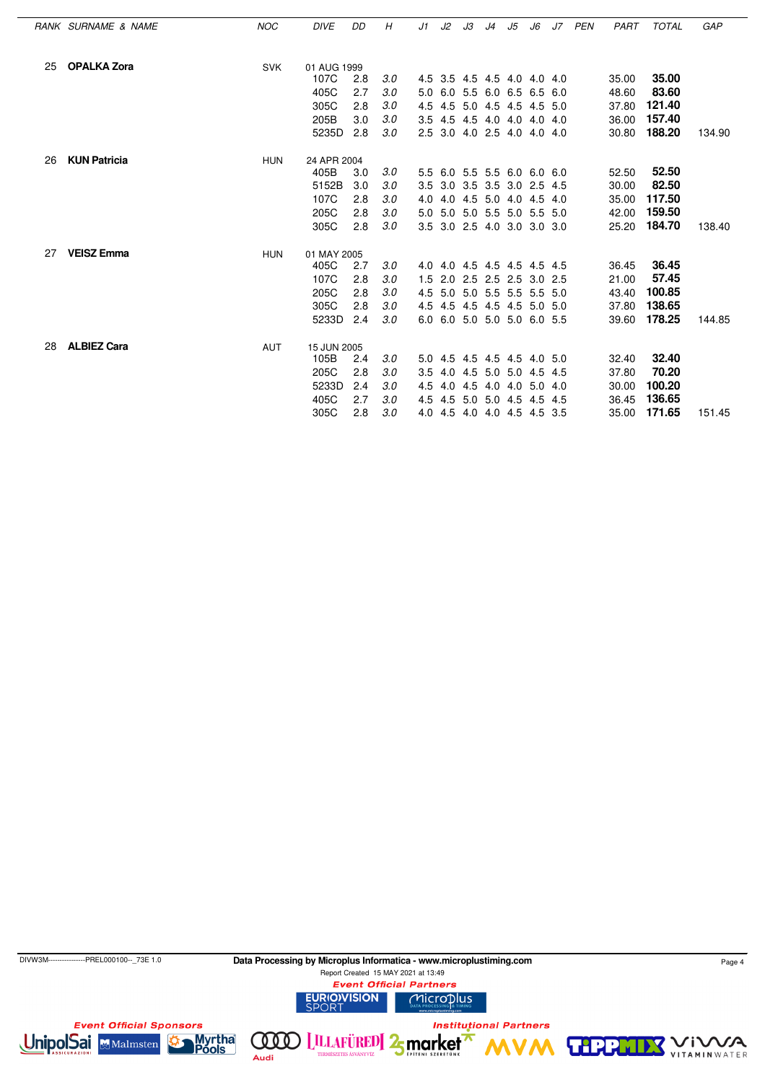| <b>NOC</b>                                                                                                  | <b>DIVE</b> | DD  | Н                                                        | J1  | J2 | JЗ | J4 | J5 | J6 | J7 | <b>PEN</b>                                                                                                                                                                                                                                                                                                                                                                                                                                                                                                                                                                                           | PART  | <b>TOTAL</b> | GAP                                       |
|-------------------------------------------------------------------------------------------------------------|-------------|-----|----------------------------------------------------------|-----|----|----|----|----|----|----|------------------------------------------------------------------------------------------------------------------------------------------------------------------------------------------------------------------------------------------------------------------------------------------------------------------------------------------------------------------------------------------------------------------------------------------------------------------------------------------------------------------------------------------------------------------------------------------------------|-------|--------------|-------------------------------------------|
| <b>SVK</b>                                                                                                  |             |     |                                                          |     |    |    |    |    |    |    |                                                                                                                                                                                                                                                                                                                                                                                                                                                                                                                                                                                                      |       |              |                                           |
|                                                                                                             | 107C        | 2.8 | 3.0                                                      |     |    |    |    |    |    |    |                                                                                                                                                                                                                                                                                                                                                                                                                                                                                                                                                                                                      | 35.00 |              |                                           |
|                                                                                                             | 405C        | 2.7 | 3.0                                                      | 5.0 |    |    |    |    |    |    |                                                                                                                                                                                                                                                                                                                                                                                                                                                                                                                                                                                                      | 48.60 |              |                                           |
|                                                                                                             | 305C        | 2.8 | 3.0                                                      | 4.5 |    |    |    |    |    |    |                                                                                                                                                                                                                                                                                                                                                                                                                                                                                                                                                                                                      | 37.80 | 121.40       |                                           |
|                                                                                                             | 205B        | 3.0 | 3.0                                                      |     |    |    |    |    |    |    |                                                                                                                                                                                                                                                                                                                                                                                                                                                                                                                                                                                                      | 36.00 | 157.40       |                                           |
|                                                                                                             | 5235D       | 2.8 | 3.0                                                      | 2.5 |    |    |    |    |    |    |                                                                                                                                                                                                                                                                                                                                                                                                                                                                                                                                                                                                      | 30.80 | 188.20       | 134.90                                    |
| <b>HUN</b>                                                                                                  |             |     |                                                          |     |    |    |    |    |    |    |                                                                                                                                                                                                                                                                                                                                                                                                                                                                                                                                                                                                      |       |              |                                           |
|                                                                                                             | 405B        | 3.0 | 3.0                                                      |     |    |    |    |    |    |    |                                                                                                                                                                                                                                                                                                                                                                                                                                                                                                                                                                                                      | 52.50 | 52.50        |                                           |
|                                                                                                             | 5152B       | 3.0 | 3.0                                                      | 3.5 |    |    |    |    |    |    |                                                                                                                                                                                                                                                                                                                                                                                                                                                                                                                                                                                                      | 30.00 | 82.50        |                                           |
|                                                                                                             | 107C        | 2.8 | 3.0                                                      |     |    |    |    |    |    |    |                                                                                                                                                                                                                                                                                                                                                                                                                                                                                                                                                                                                      | 35.00 | 117.50       |                                           |
|                                                                                                             | 205C        | 2.8 | 3.0                                                      |     |    |    |    |    |    |    |                                                                                                                                                                                                                                                                                                                                                                                                                                                                                                                                                                                                      | 42.00 | 159.50       |                                           |
|                                                                                                             | 305C        | 2.8 | 3.0                                                      |     |    |    |    |    |    |    |                                                                                                                                                                                                                                                                                                                                                                                                                                                                                                                                                                                                      | 25.20 | 184.70       | 138.40                                    |
| <b>HUN</b>                                                                                                  |             |     |                                                          |     |    |    |    |    |    |    |                                                                                                                                                                                                                                                                                                                                                                                                                                                                                                                                                                                                      |       |              |                                           |
|                                                                                                             | 405C        | 2.7 | 3.0                                                      |     |    |    |    |    |    |    |                                                                                                                                                                                                                                                                                                                                                                                                                                                                                                                                                                                                      | 36.45 |              |                                           |
|                                                                                                             | 107C        | 2.8 | 3.0                                                      | 1.5 |    |    |    |    |    |    |                                                                                                                                                                                                                                                                                                                                                                                                                                                                                                                                                                                                      | 21.00 | 57.45        |                                           |
|                                                                                                             | 205C        | 2.8 | 3.0                                                      | 4.5 |    |    |    |    |    |    |                                                                                                                                                                                                                                                                                                                                                                                                                                                                                                                                                                                                      | 43.40 | 100.85       |                                           |
|                                                                                                             | 305C        | 2.8 | 3.0                                                      |     |    |    |    |    |    |    |                                                                                                                                                                                                                                                                                                                                                                                                                                                                                                                                                                                                      | 37.80 | 138.65       |                                           |
|                                                                                                             | 5233D       | 2.4 | 3.0                                                      |     |    |    |    |    |    |    |                                                                                                                                                                                                                                                                                                                                                                                                                                                                                                                                                                                                      | 39.60 | 178.25       | 144.85                                    |
| <b>AUT</b>                                                                                                  |             |     |                                                          |     |    |    |    |    |    |    |                                                                                                                                                                                                                                                                                                                                                                                                                                                                                                                                                                                                      |       |              |                                           |
|                                                                                                             | 105B        | 2.4 | 3.0                                                      |     |    |    |    |    |    |    |                                                                                                                                                                                                                                                                                                                                                                                                                                                                                                                                                                                                      | 32.40 |              |                                           |
|                                                                                                             | 205C        | 2.8 | 3.0                                                      | 3.5 |    |    |    |    |    |    |                                                                                                                                                                                                                                                                                                                                                                                                                                                                                                                                                                                                      | 37.80 |              |                                           |
|                                                                                                             | 5233D       | 2.4 | 3.0                                                      | 4.5 |    |    |    |    |    |    |                                                                                                                                                                                                                                                                                                                                                                                                                                                                                                                                                                                                      | 30.00 | 100.20       |                                           |
|                                                                                                             | 405C        | 2.7 | 3.0                                                      | 4.5 |    |    |    |    |    |    |                                                                                                                                                                                                                                                                                                                                                                                                                                                                                                                                                                                                      | 36.45 | 136.65       |                                           |
|                                                                                                             | 305C        | 2.8 | 3.0                                                      |     |    |    |    |    |    |    |                                                                                                                                                                                                                                                                                                                                                                                                                                                                                                                                                                                                      | 35.00 | 171.65       | 151.45                                    |
| RANK SURNAME & NAME<br><b>OPALKA Zora</b><br><b>KUN Patricia</b><br><b>VEISZ Emma</b><br><b>ALBIEZ Cara</b> |             |     | 01 AUG 1999<br>24 APR 2004<br>01 MAY 2005<br>15 JUN 2005 |     |    |    |    |    |    |    | 4.5 3.5 4.5 4.5 4.0 4.0 4.0<br>6.0 5.5 6.0 6.5 6.5 6.0<br>4.5 5.0 4.5 4.5 4.5 5.0<br>3.5 4.5 4.5 4.0 4.0 4.0 4.0<br>3.0 4.0 2.5 4.0 4.0 4.0<br>5.5 6.0 5.5 5.5 6.0 6.0 6.0<br>3.0 3.5 3.5 3.0 2.5 4.5<br>4.0 4.0 4.5 5.0 4.0 4.5 4.0<br>5.0 5.0 5.0 5.5 5.0 5.5 5.0<br>3.5 3.0 2.5 4.0 3.0 3.0 3.0<br>4.0 4.0 4.5 4.5 4.5 4.5 4.5<br>2.0 2.5 2.5 2.5 3.0 2.5<br>5.0 5.0 5.5 5.5 5.5 5.0<br>4.5 4.5 4.5 4.5 4.5 5.0 5.0<br>6.0 6.0 5.0 5.0 5.0 6.0 5.5<br>5.0 4.5 4.5 4.5 4.5 4.0 5.0<br>4.0 4.5 5.0 5.0 4.5 4.5<br>4.0 4.5 4.0 4.0 5.0 4.0<br>4.5 5.0 5.0 4.5 4.5 4.5<br>4.0 4.5 4.0 4.0 4.5 4.5 3.5 |       |              | 35.00<br>83.60<br>36.45<br>32.40<br>70.20 |

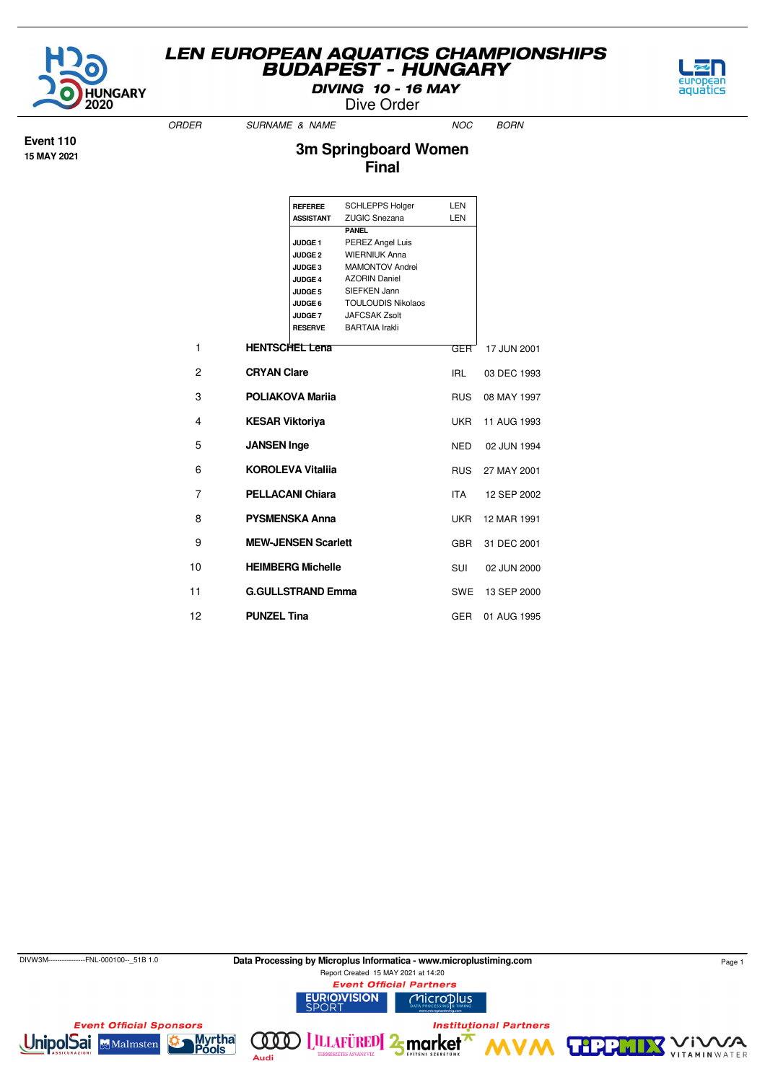

DIVING 10 - 16 MAY

Dive Order

ORDER SURNAME & NAME NOC BORN

aquatics

**Event 110 15 MAY 2021**

**3m Springboard Women Final**

|                | <b>REFEREE</b>             | <b>SCHLEPPS Holger</b>                        | LEN        |             |
|----------------|----------------------------|-----------------------------------------------|------------|-------------|
|                | ASSISTANT                  | <b>ZUGIC Snezana</b>                          | LEN        |             |
|                |                            | <b>PANEL</b>                                  |            |             |
|                | <b>JUDGE 1</b>             | PEREZ Angel Luis                              |            |             |
|                | <b>JUDGE 2</b>             | <b>WIERNIUK Anna</b>                          |            |             |
|                | <b>JUDGE 3</b>             | <b>MAMONTOV Andrei</b>                        |            |             |
|                |                            | JUDGE 4 AZORIN Daniel<br>JUDGE 5 SIEFKEN Jann |            |             |
|                |                            | JUDGE 6 TOULOUDIS Nikolaos                    |            |             |
|                |                            | JUDGE 7 JAFCSAK Zsolt                         |            |             |
|                |                            | RESERVE BARTAIA Irakli                        |            |             |
| 1              | <b>HENTSCHEL Lena</b>      |                                               | <b>GER</b> | 17 JUN 2001 |
|                |                            |                                               |            |             |
| $\overline{c}$ | <b>CRYAN Clare</b>         |                                               | <b>IRL</b> | 03 DEC 1993 |
| 3              | <b>POLIAKOVA Marija</b>    |                                               | <b>RUS</b> | 08 MAY 1997 |
| 4              | <b>KESAR Viktoriya</b>     |                                               | <b>UKR</b> | 11 AUG 1993 |
| 5              | <b>JANSEN Inge</b>         |                                               | <b>NED</b> | 02 JUN 1994 |
| 6              | <b>KOROLEVA Vitalija</b>   |                                               | <b>RUS</b> | 27 MAY 2001 |
| 7              | <b>PELLACANI Chiara</b>    |                                               | <b>ITA</b> | 12 SEP 2002 |
| 8              | <b>PYSMENSKA Anna</b>      |                                               | UKR        | 12 MAR 1991 |
| 9              | <b>MEW-JENSEN Scarlett</b> |                                               | GBR        | 31 DEC 2001 |
| 10             | <b>HEIMBERG Michelle</b>   |                                               | SUI        | 02 JUN 2000 |
| 11             | <b>G.GULLSTRAND Emma</b>   |                                               | SWE        | 13 SEP 2000 |
| 12             | <b>PUNZEL Tina</b>         |                                               | <b>GER</b> | 01 AUG 1995 |

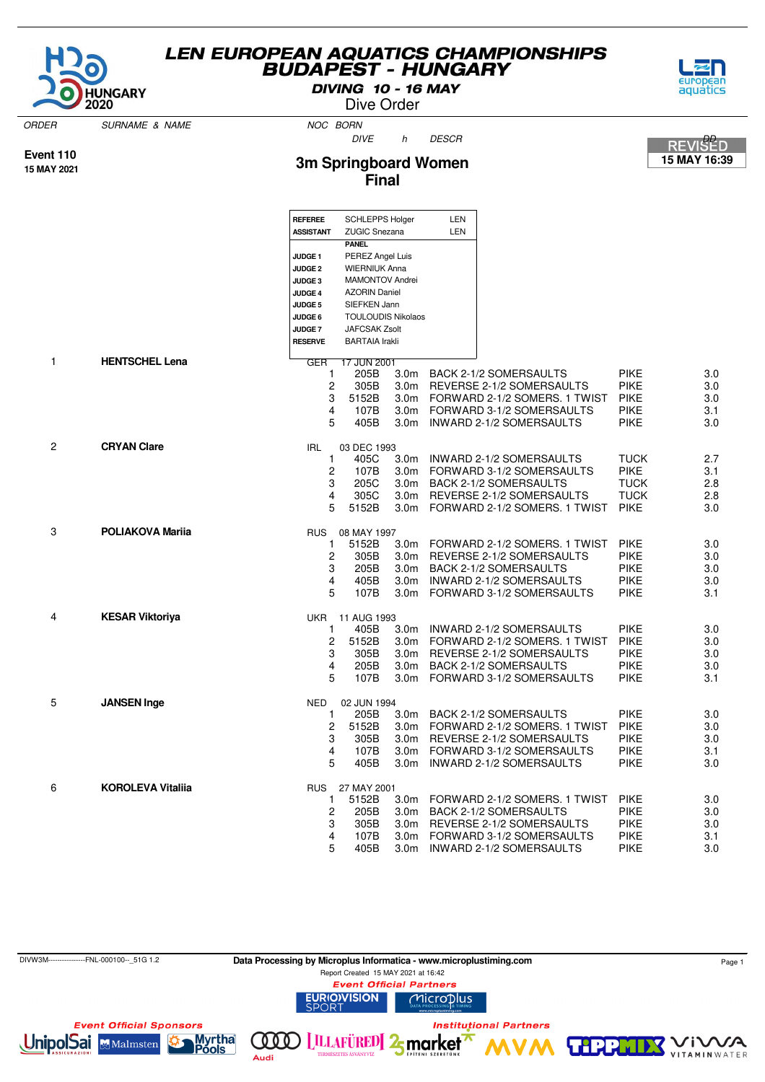

DIVING 10 - 16 MAY

Dive Order



ORDER SURNAME & NAME NOC BORN

**Event 110**

**15 MAY 2021**

**3m Springboard Women Final**



**VITAMIN** WATER

|                |                          | <b>REFEREE</b>                | <b>SCHLEPPS Holger</b>                  |                  | LEN |                               |             |     |
|----------------|--------------------------|-------------------------------|-----------------------------------------|------------------|-----|-------------------------------|-------------|-----|
|                |                          | <b>ASSISTANT</b>              | ZUGIC Snezana                           |                  | LEN |                               |             |     |
|                |                          |                               | <b>PANEL</b>                            |                  |     |                               |             |     |
|                |                          | JUDGE <sub>1</sub>            | PEREZ Angel Luis                        |                  |     |                               |             |     |
|                |                          | <b>JUDGE 2</b>                | <b>WIERNIUK Anna</b><br>MAMONTOV Andrei |                  |     |                               |             |     |
|                |                          | JUDGE <sub>3</sub><br>JUDGE 4 | <b>AZORIN Daniel</b>                    |                  |     |                               |             |     |
|                |                          | JUDGE 5                       | SIEFKEN Jann                            |                  |     |                               |             |     |
|                |                          | JUDGE 6                       | <b>TOULOUDIS Nikolaos</b>               |                  |     |                               |             |     |
|                |                          | <b>JUDGE 7</b>                | <b>JAFCSAK Zsolt</b>                    |                  |     |                               |             |     |
|                |                          | <b>RESERVE</b>                | <b>BARTAIA</b> Irakli                   |                  |     |                               |             |     |
| $\mathbf{1}$   | <b>HENTSCHEL Lena</b>    | <b>GER</b>                    | 17 JUN 2001                             |                  |     |                               |             |     |
|                |                          | $\mathbf{1}$                  | 205B                                    | 3.0 <sub>m</sub> |     | BACK 2-1/2 SOMERSAULTS        | <b>PIKE</b> | 3.0 |
|                |                          | $\overline{2}$                | 305B                                    | 3.0 <sub>m</sub> |     | REVERSE 2-1/2 SOMERSAULTS     | <b>PIKE</b> | 3.0 |
|                |                          | 3                             | 5152B                                   | 3.0 <sub>m</sub> |     | FORWARD 2-1/2 SOMERS. 1 TWIST | <b>PIKE</b> | 3.0 |
|                |                          | 4                             | 107B                                    | 3.0 <sub>m</sub> |     | FORWARD 3-1/2 SOMERSAULTS     | <b>PIKE</b> | 3.1 |
|                |                          | 5                             | 405B                                    | 3.0 <sub>m</sub> |     | INWARD 2-1/2 SOMERSAULTS      | <b>PIKE</b> | 3.0 |
| $\overline{c}$ | <b>CRYAN Clare</b>       | <b>IRL</b>                    | 03 DEC 1993                             |                  |     |                               |             |     |
|                |                          | 1                             | 405C                                    | 3.0 <sub>m</sub> |     | INWARD 2-1/2 SOMERSAULTS      | <b>TUCK</b> | 2.7 |
|                |                          | 2                             | 107B                                    | 3.0 <sub>m</sub> |     | FORWARD 3-1/2 SOMERSAULTS     | <b>PIKE</b> | 3.1 |
|                |                          | 3                             | 205C                                    |                  |     | 3.0m BACK 2-1/2 SOMERSAULTS   | <b>TUCK</b> | 2.8 |
|                |                          | 4                             | 305C                                    | 3.0 <sub>m</sub> |     | REVERSE 2-1/2 SOMERSAULTS     | <b>TUCK</b> | 2.8 |
|                |                          | 5                             | 5152B                                   | 3.0 <sub>m</sub> |     | FORWARD 2-1/2 SOMERS. 1 TWIST | <b>PIKE</b> | 3.0 |
| 3              | <b>POLIAKOVA Marija</b>  | <b>RUS</b>                    | 08 MAY 1997                             |                  |     |                               |             |     |
|                |                          | 1                             | 5152B                                   | 3.0 <sub>m</sub> |     | FORWARD 2-1/2 SOMERS, 1 TWIST | <b>PIKE</b> | 3.0 |
|                |                          | $\overline{c}$                | 305B                                    | 3.0 <sub>m</sub> |     | REVERSE 2-1/2 SOMERSAULTS     | <b>PIKE</b> | 3.0 |
|                |                          | 3                             | 205B                                    | 3.0m             |     | <b>BACK 2-1/2 SOMERSAULTS</b> | <b>PIKE</b> | 3.0 |
|                |                          | 4                             | 405B                                    | 3.0 <sub>m</sub> |     | INWARD 2-1/2 SOMERSAULTS      | <b>PIKE</b> | 3.0 |
|                |                          | 5                             | 107B                                    | 3.0m             |     | FORWARD 3-1/2 SOMERSAULTS     | <b>PIKE</b> | 3.1 |
| 4              | <b>KESAR Viktoriya</b>   | <b>UKR</b>                    | 11 AUG 1993                             |                  |     |                               |             |     |
|                |                          | 1                             | 405B                                    | 3.0 <sub>m</sub> |     | INWARD 2-1/2 SOMERSAULTS      | <b>PIKE</b> | 3.0 |
|                |                          | $\overline{c}$                | 5152B                                   | 3.0 <sub>m</sub> |     | FORWARD 2-1/2 SOMERS. 1 TWIST | <b>PIKE</b> | 3.0 |
|                |                          | 3                             | 305B                                    | 3.0 <sub>m</sub> |     | REVERSE 2-1/2 SOMERSAULTS     | <b>PIKE</b> | 3.0 |
|                |                          | 4                             | 205B                                    | 3.0 <sub>m</sub> |     | BACK 2-1/2 SOMERSAULTS        | <b>PIKE</b> | 3.0 |
|                |                          | 5                             | 107B                                    | 3.0 <sub>m</sub> |     | FORWARD 3-1/2 SOMERSAULTS     | <b>PIKE</b> | 3.1 |
| 5              | <b>JANSEN Inge</b>       | <b>NED</b>                    | 02 JUN 1994                             |                  |     |                               |             |     |
|                |                          | $\mathbf{1}$                  | 205B                                    | 3.0 <sub>m</sub> |     | <b>BACK 2-1/2 SOMERSAULTS</b> | <b>PIKE</b> | 3.0 |
|                |                          | 2                             | 5152B                                   | 3.0 <sub>m</sub> |     | FORWARD 2-1/2 SOMERS. 1 TWIST | <b>PIKE</b> | 3.0 |
|                |                          | 3                             | 305B                                    | 3.0 <sub>m</sub> |     | REVERSE 2-1/2 SOMERSAULTS     | <b>PIKE</b> | 3.0 |
|                |                          | 4                             | 107B                                    | 3.0m             |     | FORWARD 3-1/2 SOMERSAULTS     | PIKE        | 3.1 |
|                |                          | 5                             | 405B                                    | 3.0 <sub>m</sub> |     | INWARD 2-1/2 SOMERSAULTS      | <b>PIKE</b> | 3.0 |
| 6              | <b>KOROLEVA Vitaliia</b> | <b>RUS</b>                    | 27 MAY 2001                             |                  |     |                               |             |     |
|                |                          | 1                             | 5152B                                   | 3.0 <sub>m</sub> |     | FORWARD 2-1/2 SOMERS. 1 TWIST | <b>PIKE</b> | 3.0 |
|                |                          | 2                             | 205B                                    | 3.0 <sub>m</sub> |     | BACK 2-1/2 SOMERSAULTS        | PIKE        | 3.0 |
|                |                          | 3                             | 305B                                    | 3.0 <sub>m</sub> |     | REVERSE 2-1/2 SOMERSAULTS     | <b>PIKE</b> | 3.0 |
|                |                          | 4                             | 107B                                    | 3.0 <sub>m</sub> |     | FORWARD 3-1/2 SOMERSAULTS     | <b>PIKE</b> | 3.1 |
|                |                          | 5                             | 405B                                    | 3.0m             |     | INWARD 2-1/2 SOMERSAULTS      | <b>PIKE</b> | 3.0 |

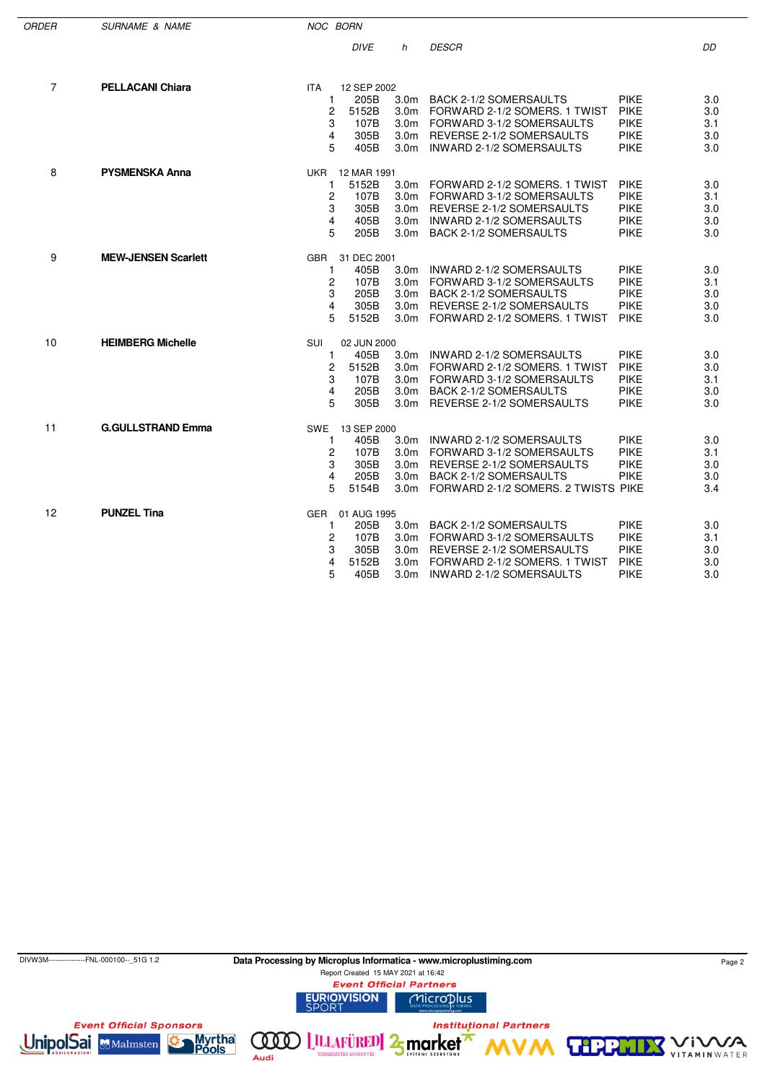| <b>ORDER</b>   | <b>SURNAME &amp; NAME</b>  | NOC BORN          |                 |                                      |                                                                         |                            |            |
|----------------|----------------------------|-------------------|-----------------|--------------------------------------|-------------------------------------------------------------------------|----------------------------|------------|
|                |                            |                   | <b>DIVE</b>     | $\mathsf{h}$                         | <b>DESCR</b>                                                            |                            | <b>DD</b>  |
| $\overline{7}$ | <b>PELLACANI Chiara</b>    | <b>ITA</b>        | 12 SEP 2002     |                                      |                                                                         |                            |            |
|                |                            | $\mathbf{1}$      | 205B            | 3.0 <sub>m</sub>                     | <b>BACK 2-1/2 SOMERSAULTS</b>                                           | <b>PIKE</b>                | 3.0        |
|                |                            | 2                 | 5152B           |                                      | 3.0m FORWARD 2-1/2 SOMERS, 1 TWIST                                      | <b>PIKE</b>                | 3.0        |
|                |                            | 3                 | 107B            |                                      | 3.0m FORWARD 3-1/2 SOMERSAULTS                                          | <b>PIKE</b><br><b>PIKE</b> | 3.1        |
|                |                            | 4<br>5            | 305B<br>405B    | 3.0 <sub>m</sub><br>3.0 <sub>m</sub> | REVERSE 2-1/2 SOMERSAULTS<br>INWARD 2-1/2 SOMERSAULTS                   | <b>PIKE</b>                | 3.0<br>3.0 |
| 8              | <b>PYSMENSKA Anna</b>      |                   | UKR 12 MAR 1991 |                                      |                                                                         |                            |            |
|                |                            | 1                 | 5152B           |                                      | 3.0m FORWARD 2-1/2 SOMERS, 1 TWIST                                      | <b>PIKE</b>                | 3.0        |
|                |                            | $\mathbf{2}$      | 107B            |                                      | 3.0m FORWARD 3-1/2 SOMERSAULTS                                          | <b>PIKE</b>                | 3.1        |
|                |                            | 3                 | 305B            |                                      | 3.0m REVERSE 2-1/2 SOMERSAULTS                                          | <b>PIKE</b>                | 3.0        |
|                |                            | 4                 | 405B            |                                      | 3.0m INWARD 2-1/2 SOMERSAULTS                                           | <b>PIKE</b>                | 3.0        |
|                |                            | 5                 | 205B            |                                      | 3.0m BACK 2-1/2 SOMERSAULTS                                             | <b>PIKE</b>                | 3.0        |
| 9              | <b>MEW-JENSEN Scarlett</b> |                   | GBR 31 DEC 2001 |                                      |                                                                         |                            |            |
|                |                            | 1<br>$\mathbf{2}$ | 405B<br>107B    | 3.0 <sub>m</sub>                     | INWARD 2-1/2 SOMERSAULTS<br>3.0m FORWARD 3-1/2 SOMERSAULTS              | <b>PIKE</b><br><b>PIKE</b> | 3.0<br>3.1 |
|                |                            | 3                 | 205B            |                                      | 3.0m BACK 2-1/2 SOMERSAULTS                                             | <b>PIKE</b>                | 3.0        |
|                |                            | 4                 | 305B            |                                      | 3.0m REVERSE 2-1/2 SOMERSAULTS                                          | <b>PIKE</b>                | 3.0        |
|                |                            | 5                 | 5152B           |                                      | 3.0m FORWARD 2-1/2 SOMERS, 1 TWIST                                      | <b>PIKE</b>                | 3.0        |
| 10             | <b>HEIMBERG Michelle</b>   | SUI               | 02 JUN 2000     |                                      |                                                                         |                            |            |
|                |                            | 1                 | 405B            | 3.0 <sub>m</sub>                     | INWARD 2-1/2 SOMERSAULTS                                                | <b>PIKE</b>                | 3.0        |
|                |                            | 2                 | 5152B           |                                      | 3.0m FORWARD 2-1/2 SOMERS, 1 TWIST                                      | <b>PIKE</b>                | 3.0        |
|                |                            | 3                 | 107B            |                                      | 3.0m FORWARD 3-1/2 SOMERSAULTS                                          | <b>PIKE</b>                | 3.1        |
|                |                            | 4                 | 205B            | 3.0 <sub>m</sub>                     | BACK 2-1/2 SOMERSAULTS                                                  | <b>PIKE</b>                | 3.0        |
|                |                            | 5                 | 305B            | 3.0 <sub>m</sub>                     | REVERSE 2-1/2 SOMERSAULTS                                               | <b>PIKE</b>                | 3.0        |
| 11             | <b>G.GULLSTRAND Emma</b>   |                   | SWE 13 SEP 2000 |                                      |                                                                         |                            |            |
|                |                            | 1                 | 405B            |                                      | 3.0m INWARD 2-1/2 SOMERSAULTS                                           | <b>PIKE</b>                | 3.0        |
|                |                            | 2                 | 107B            |                                      | 3.0m FORWARD 3-1/2 SOMERSAULTS                                          | PIKE                       | 3.1        |
|                |                            | 3                 | 305B            | 3.0 <sub>m</sub>                     | REVERSE 2-1/2 SOMERSAULTS                                               | <b>PIKE</b>                | 3.0        |
|                |                            | 4<br>5            | 205B<br>5154B   |                                      | 3.0m BACK 2-1/2 SOMERSAULTS<br>3.0m FORWARD 2-1/2 SOMERS, 2 TWISTS PIKE | <b>PIKE</b>                | 3.0<br>3.4 |
|                |                            |                   |                 |                                      |                                                                         |                            |            |
| 12             | <b>PUNZEL Tina</b>         |                   | GER 01 AUG 1995 |                                      |                                                                         |                            |            |
|                |                            | 1                 | 205B            |                                      | 3.0m BACK 2-1/2 SOMERSAULTS                                             | <b>PIKE</b>                | 3.0        |
|                |                            | 2                 | 107B            |                                      | 3.0m FORWARD 3-1/2 SOMERSAULTS                                          | <b>PIKE</b>                | 3.1        |
|                |                            | 3                 | 305B            | 3.0 <sub>m</sub>                     | REVERSE 2-1/2 SOMERSAULTS                                               | <b>PIKE</b>                | 3.0        |
|                |                            | 4                 | 5152B           | 3.0 <sub>m</sub>                     | FORWARD 2-1/2 SOMERS, 1 TWIST                                           | <b>PIKE</b>                | 3.0        |
|                |                            | 5                 | 405B            | 3.0 <sub>m</sub>                     | INWARD 2-1/2 SOMERSAULTS                                                | <b>PIKE</b>                | 3.0        |

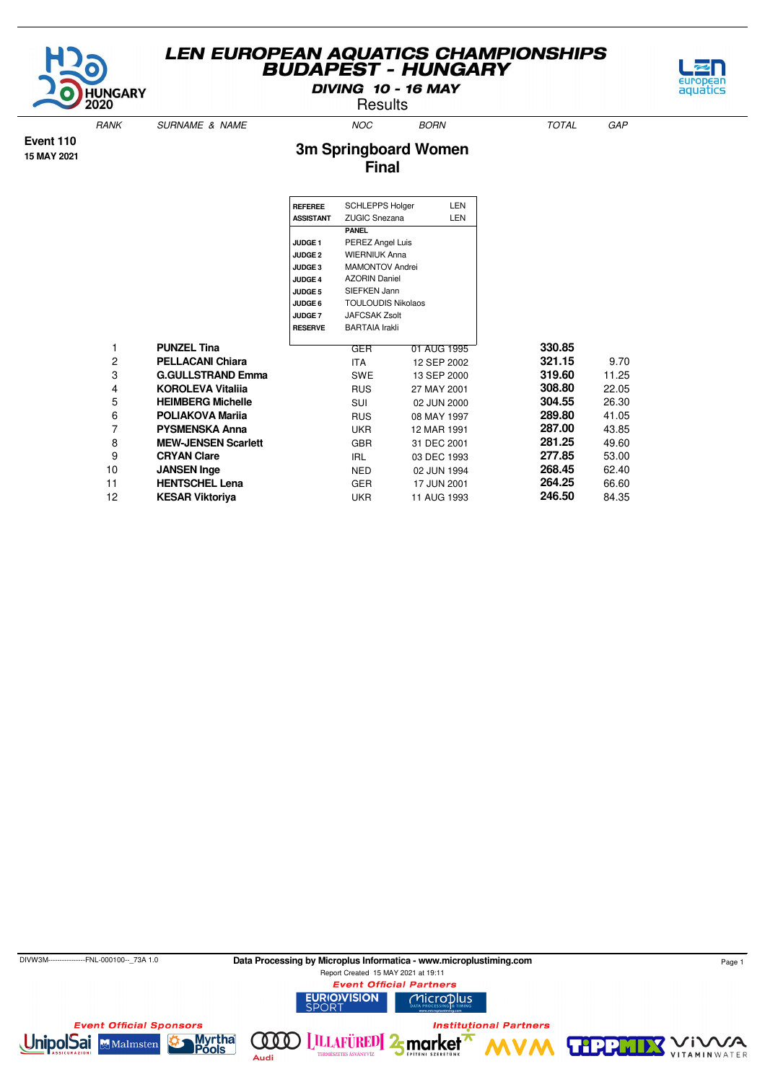

DIVING 10 - 16 MAY

**Results** 

aquatics

RANK SURNAME & NAME NOC BORN TOTAL GAP

**Event 110 15 MAY 2021**

#### **3m Springboard Women Final**

 $\overline{1}$ 

|    |                            | <b>REFEREE</b>     | <b>SCHLEPPS Holger</b>    | <b>LEN</b>  |        |       |
|----|----------------------------|--------------------|---------------------------|-------------|--------|-------|
|    |                            | <b>ASSISTANT</b>   | <b>ZUGIC Snezana</b>      | LEN         |        |       |
|    |                            |                    | <b>PANEL</b>              |             |        |       |
|    |                            | JUDGE <sub>1</sub> | PEREZ Angel Luis          |             |        |       |
|    |                            | <b>JUDGE 2</b>     | <b>WIERNIUK Anna</b>      |             |        |       |
|    |                            | JUDGE <sub>3</sub> | <b>MAMONTOV Andrei</b>    |             |        |       |
|    |                            | <b>JUDGE 4</b>     | <b>AZORIN Daniel</b>      |             |        |       |
|    |                            | <b>JUDGE 5</b>     | SIEFKEN Jann              |             |        |       |
|    |                            | JUDGE 6            | <b>TOULOUDIS Nikolaos</b> |             |        |       |
|    |                            | <b>JUDGE 7</b>     | <b>JAFCSAK Zsolt</b>      |             |        |       |
|    |                            | <b>RESERVE</b>     | <b>BARTAIA Irakli</b>     |             |        |       |
|    | <b>PUNZEL Tina</b>         |                    | <b>GER</b>                | 01 AUG 1995 | 330.85 |       |
| 2  | <b>PELLACANI Chiara</b>    |                    | <b>ITA</b>                | 12 SEP 2002 | 321.15 | 9.70  |
| 3  | <b>G.GULLSTRAND Emma</b>   |                    | <b>SWE</b>                | 13 SEP 2000 | 319.60 | 11.25 |
| 4  | <b>KOROLEVA Vitalija</b>   |                    | <b>RUS</b>                | 27 MAY 2001 | 308.80 | 22.05 |
| 5  | <b>HEIMBERG Michelle</b>   |                    | SUI                       | 02 JUN 2000 | 304.55 | 26.30 |
| 6  | <b>POLIAKOVA Marija</b>    |                    | <b>RUS</b>                | 08 MAY 1997 | 289.80 | 41.05 |
| 7  | <b>PYSMENSKA Anna</b>      |                    | <b>UKR</b>                | 12 MAR 1991 | 287.00 | 43.85 |
| 8  | <b>MEW-JENSEN Scarlett</b> |                    | <b>GBR</b>                | 31 DEC 2001 | 281.25 | 49.60 |
| 9  | <b>CRYAN Clare</b>         |                    | IRL                       | 03 DEC 1993 | 277.85 | 53.00 |
| 10 | <b>JANSEN Inge</b>         |                    | <b>NED</b>                | 02 JUN 1994 | 268.45 | 62.40 |
| 11 | <b>HENTSCHEL Lena</b>      |                    | <b>GER</b>                | 17 JUN 2001 | 264.25 | 66.60 |
| 12 | <b>KESAR Viktoriya</b>     |                    | <b>UKR</b>                | 11 AUG 1993 | 246.50 | 84.35 |
|    |                            |                    |                           |             |        |       |

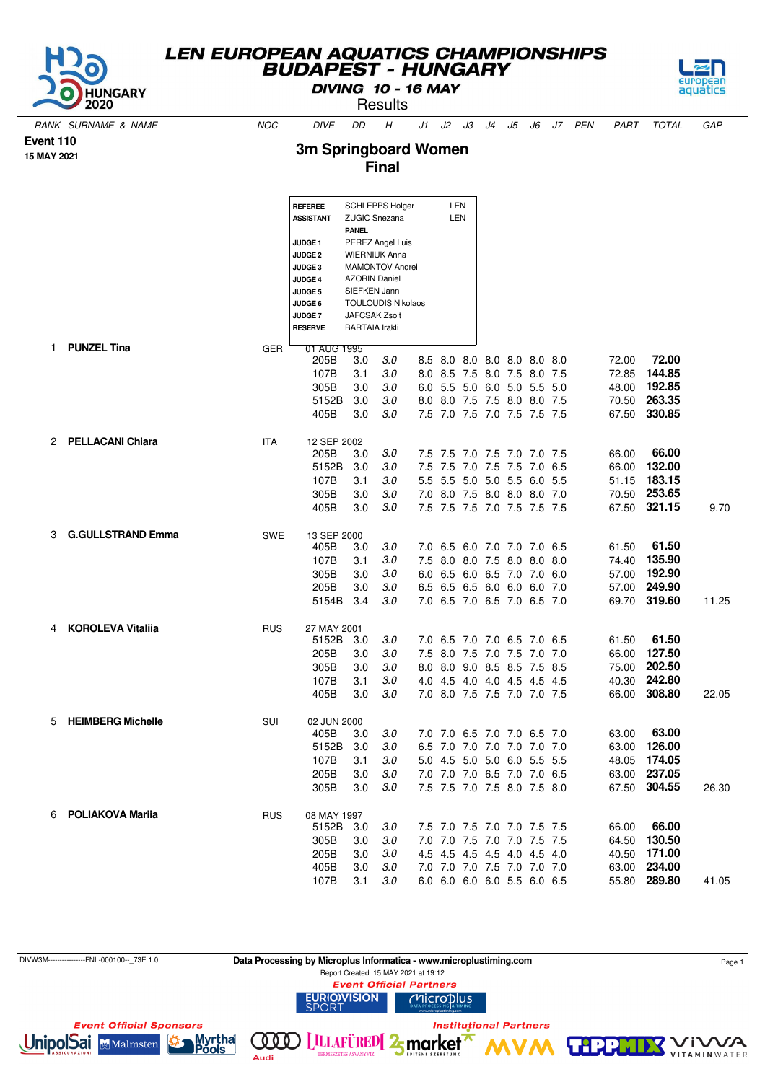



DIVING 10 - 16 MAY **Results** 

RANK SURNAME & NAME TOTAL GAP NOC DIVE DD H J1 J2 J3 J4 J5 J6 J7 PEN PART TOTAL GAP

**Event 110 15 MAY 2021**

### **3m Springboard Women**

**Final**

|    |                                        | <b>REFEREE</b>                   |                    | <b>SCHLEPPS Holger</b>                   |               |             | LEN |                             |         |       |              |       |
|----|----------------------------------------|----------------------------------|--------------------|------------------------------------------|---------------|-------------|-----|-----------------------------|---------|-------|--------------|-------|
|    |                                        | <b>ASSISTANT</b>                 |                    | <b>ZUGIC Snezana</b>                     |               |             | LEN |                             |         |       |              |       |
|    |                                        |                                  | <b>PANEL</b>       |                                          |               |             |     |                             |         |       |              |       |
|    |                                        | <b>JUDGE 1</b><br><b>JUDGE 2</b> |                    | PEREZ Angel Luis<br><b>WIERNIUK Anna</b> |               |             |     |                             |         |       |              |       |
|    |                                        | <b>JUDGE 3</b>                   |                    | <b>MAMONTOV Andrei</b>                   |               |             |     |                             |         |       |              |       |
|    |                                        | <b>JUDGE 4</b>                   |                    | <b>AZORIN Daniel</b>                     |               |             |     |                             |         |       |              |       |
|    |                                        | <b>JUDGE 5</b>                   |                    | SIEFKEN Jann                             |               |             |     |                             |         |       |              |       |
|    |                                        | JUDGE 6                          |                    | <b>TOULOUDIS Nikolaos</b>                |               |             |     |                             |         |       |              |       |
|    |                                        | <b>JUDGE 7</b>                   |                    | <b>JAFCSAK Zsolt</b>                     |               |             |     |                             |         |       |              |       |
|    |                                        | <b>RESERVE</b>                   |                    | <b>BARTAIA Irakli</b>                    |               |             |     |                             |         |       |              |       |
| 1. | <b>PUNZEL Tina</b><br><b>GER</b>       | 01 AUG 1995                      |                    |                                          |               |             |     |                             |         |       |              |       |
|    |                                        | 205B                             | 3.0                | 3.0                                      |               |             |     | 8.5 8.0 8.0 8.0 8.0 8.0 8.0 |         | 72.00 | 72.00        |       |
|    |                                        | 107B                             | 3.1                | 3.0                                      |               | 8.0 8.5 7.5 |     | 8.0 7.5                     | 8.0 7.5 | 72.85 | 144.85       |       |
|    |                                        | 305B                             | 3.0                | 3.0                                      | 6.0           |             |     | 5.5 5.0 6.0 5.0 5.5 5.0     |         | 48.00 | 192.85       |       |
|    |                                        | 5152B                            | 3.0                | 3.0                                      | 8.0           |             |     | 8.0 7.5 7.5 8.0 8.0 7.5     |         | 70.50 | 263.35       |       |
|    |                                        | 405B                             | 3.0                | 3.0                                      |               |             |     | 7.5 7.0 7.5 7.0 7.5 7.5 7.5 |         | 67.50 | 330.85       |       |
|    |                                        |                                  |                    |                                          |               |             |     |                             |         |       |              |       |
| 2  | <b>PELLACANI Chiara</b><br><b>ITA</b>  | 205B                             | 12 SEP 2002<br>3.0 | 3.0                                      |               |             |     | 7.5 7.5 7.0 7.5 7.0 7.0 7.5 |         | 66.00 | 66.00        |       |
|    |                                        | 5152B                            | 3.0                | 3.0                                      | 7.5           | 7.5         |     | 7.0 7.5 7.5 7.0 6.5         |         | 66.00 | 132.00       |       |
|    |                                        | 107B                             | 3.1                | 3.0                                      | $5.5^{\circ}$ | 5.5         | 5.0 | 5.0 5.5 6.0 5.5             |         | 51.15 | 183.15       |       |
|    |                                        | 305B                             | 3.0                | 3.0                                      |               |             |     | 7.0 8.0 7.5 8.0 8.0 8.0 7.0 |         | 70.50 | 253.65       |       |
|    |                                        | 405B                             | 3.0                | 3.0                                      |               |             |     | 7.5 7.5 7.5 7.0 7.5 7.5 7.5 |         |       | 67.50 321.15 | 9.70  |
|    |                                        |                                  |                    |                                          |               |             |     |                             |         |       |              |       |
| З  | <b>G.GULLSTRAND Emma</b>               | <b>SWE</b>                       | 13 SEP 2000        |                                          |               |             |     |                             |         |       |              |       |
|    |                                        | 405B                             | 3.0                | 3.0                                      |               |             |     | 7.0 6.5 6.0 7.0 7.0 7.0 6.5 |         | 61.50 | 61.50        |       |
|    |                                        | 107B                             | 3.1                | 3.0                                      | 7.5           |             |     | 8.0 8.0 7.5 8.0 8.0 8.0     |         | 74.40 | 135.90       |       |
|    |                                        | 305B                             | 3.0                | 3.0                                      | 6.0           |             |     | 6.5 6.0 6.5 7.0 7.0 6.0     |         | 57.00 | 192.90       |       |
|    |                                        | 205B                             | 3.0                | 3.0                                      | 6.5           |             |     | 6.5 6.5 6.0 6.0 6.0 7.0     |         | 57.00 | 249.90       |       |
|    |                                        | 5154B                            | 3.4                | 3.0                                      |               |             |     | 7.0 6.5 7.0 6.5 7.0 6.5 7.0 |         |       | 69.70 319.60 | 11.25 |
| 4  | <b>KOROLEVA Vitalija</b><br><b>RUS</b> | 27 MAY 2001                      |                    |                                          |               |             |     |                             |         |       |              |       |
|    |                                        | 5152B                            | 3.0                | 3.0                                      |               |             |     | 7.0 6.5 7.0 7.0 6.5 7.0 6.5 |         | 61.50 | 61.50        |       |
|    |                                        | 205B                             | 3.0                | 3.0                                      | 7.5           |             |     | 8.0 7.5 7.0 7.5 7.0 7.0     |         | 66.00 | 127.50       |       |
|    |                                        | 305B                             | 3.0                | 3.0                                      | 8.0           |             |     | 8.0 9.0 8.5 8.5 7.5 8.5     |         | 75.00 | 202.50       |       |
|    |                                        | 107B                             | 3.1                | 3.0                                      | 4.0           |             |     | 4.5 4.0 4.0 4.5 4.5 4.5     |         | 40.30 | 242.80       |       |
|    |                                        | 405B                             | 3.0                | 3.0                                      |               |             |     | 7.0 8.0 7.5 7.5 7.0 7.0 7.5 |         | 66.00 | 308.80       | 22.05 |
|    |                                        |                                  |                    |                                          |               |             |     |                             |         |       |              |       |
| 5. | <b>HEIMBERG Michelle</b><br>SUI        |                                  | 02 JUN 2000        |                                          |               |             |     |                             |         |       |              |       |
|    |                                        | 405B                             | 3.0                | 3.0                                      |               |             |     | 7.0 7.0 6.5 7.0 7.0 6.5 7.0 |         | 63.00 | 63.00        |       |
|    |                                        | 5152B                            | 3.0                | 3.0                                      |               |             |     | 6.5 7.0 7.0 7.0 7.0 7.0 7.0 |         | 63.00 | 126.00       |       |
|    |                                        | 107B                             | 3.1                | 3.0                                      |               |             |     | 5.0 4.5 5.0 5.0 6.0 5.5 5.5 |         | 48.05 | 174.05       |       |
|    |                                        | 205B                             | 3.0                | $3.0\,$                                  |               |             |     | 7.0 7.0 7.0 6.5 7.0 7.0 6.5 |         |       | 63.00 237.05 |       |
|    |                                        | 305B                             |                    | $3.0 \quad 3.0$                          |               |             |     | 7.5 7.5 7.0 7.5 8.0 7.5 8.0 |         |       | 67.50 304.55 | 26.30 |
|    | 6 POLIAKOVA Mariia                     |                                  |                    |                                          |               |             |     |                             |         |       |              |       |
|    | <b>RUS</b>                             | 08 MAY 1997                      | 5152B 3.0          | 3.0                                      |               |             |     | 7.5 7.0 7.5 7.0 7.0 7.5 7.5 |         | 66.00 | 66.00        |       |
|    |                                        | 305B                             | 3.0                | 3.0                                      |               |             |     | 7.0 7.0 7.5 7.0 7.0 7.5 7.5 |         |       | 64.50 130.50 |       |
|    |                                        | 205B                             | 3.0                | 3.0                                      |               |             |     | 4.5 4.5 4.5 4.5 4.0 4.5 4.0 |         |       | 40.50 171.00 |       |
|    |                                        | 405B                             | 3.0                | 3.0                                      |               |             |     | 7.0 7.0 7.0 7.5 7.0 7.0 7.0 |         |       | 63.00 234.00 |       |
|    |                                        | 107B                             | 3.1                | 3.0                                      |               |             |     | 6.0 6.0 6.0 6.0 5.5 6.0 6.5 |         |       | 55.80 289.80 | 41.05 |
|    |                                        |                                  |                    |                                          |               |             |     |                             |         |       |              |       |

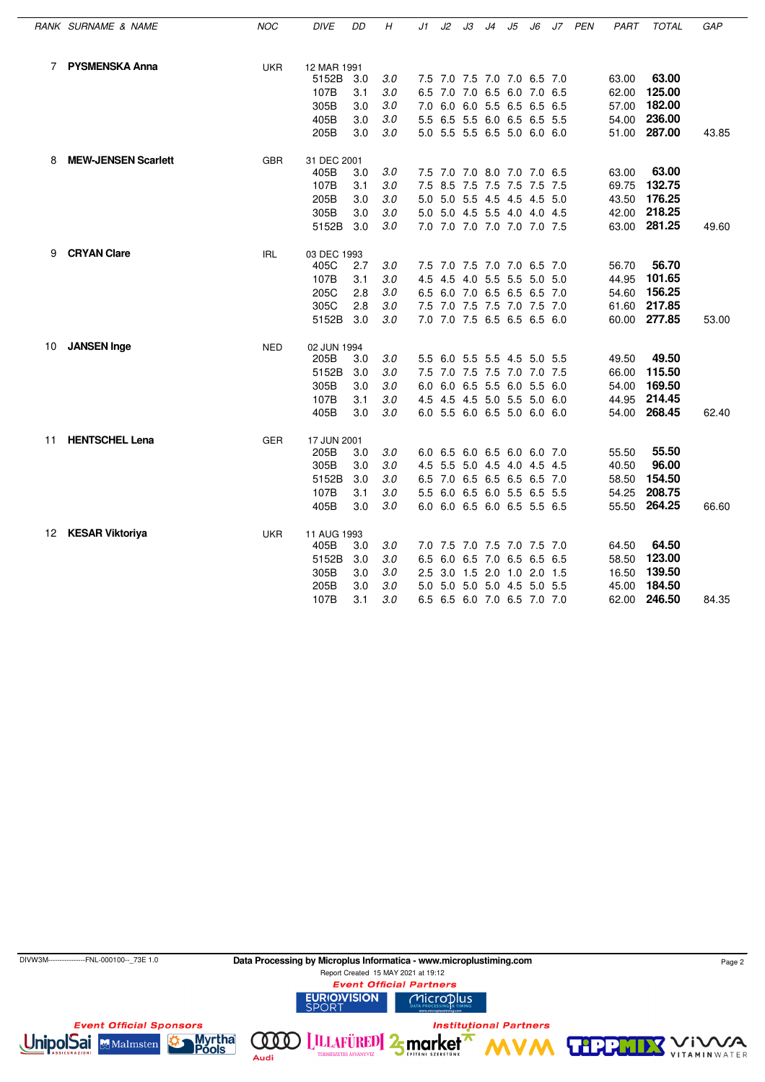|    | RANK SURNAME & NAME        | <b>NOC</b> | <b>DIVE</b> | DD  | Η   | J1  | J2  | JЗ          | J4                          | J5  | J6          | J7 | PEN | PART  | <b>TOTAL</b> | <b>GAP</b> |
|----|----------------------------|------------|-------------|-----|-----|-----|-----|-------------|-----------------------------|-----|-------------|----|-----|-------|--------------|------------|
| 7  | <b>PYSMENSKA Anna</b>      | <b>UKR</b> | 12 MAR 1991 |     |     |     |     |             |                             |     |             |    |     |       |              |            |
|    |                            |            | 5152B       | 3.0 | 3.0 |     |     |             | 7.5 7.0 7.5 7.0 7.0 6.5 7.0 |     |             |    |     | 63.00 | 63.00        |            |
|    |                            |            | 107B        | 3.1 | 3.0 | 6.5 |     | 7.0 7.0 6.5 |                             |     | 6.0 7.0 6.5 |    |     | 62.00 | 125.00       |            |
|    |                            |            | 305B        | 3.0 | 3.0 | 7.0 |     |             | 6.0 6.0 5.5 6.5 6.5 6.5     |     |             |    |     | 57.00 | 182.00       |            |
|    |                            |            | 405B        | 3.0 | 3.0 |     |     |             | 5.5 6.5 5.5 6.0 6.5 6.5 5.5 |     |             |    |     | 54.00 | 236.00       |            |
|    |                            |            | 205B        | 3.0 | 3.0 |     |     |             | 5.0 5.5 5.5 6.5 5.0 6.0 6.0 |     |             |    |     | 51.00 | 287.00       | 43.85      |
| 8  | <b>MEW-JENSEN Scarlett</b> | <b>GBR</b> | 31 DEC 2001 |     |     |     |     |             |                             |     |             |    |     |       |              |            |
|    |                            |            | 405B        | 3.0 | 3.0 |     |     |             | 7.5 7.0 7.0 8.0 7.0 7.0 6.5 |     |             |    |     | 63.00 | 63.00        |            |
|    |                            |            | 107B        | 3.1 | 3.0 | 7.5 | 8.5 | 7.5 7.5     |                             | 7.5 | 7.5 7.5     |    |     | 69.75 | 132.75       |            |
|    |                            |            | 205B        | 3.0 | 3.0 |     |     |             | 5.0 5.0 5.5 4.5 4.5 4.5 5.0 |     |             |    |     | 43.50 | 176.25       |            |
|    |                            |            | 305B        | 3.0 | 3.0 |     |     |             | 5.0 5.0 4.5 5.5 4.0 4.0 4.5 |     |             |    |     | 42.00 | 218.25       |            |
|    |                            |            | 5152B       | 3.0 | 3.0 |     |     |             | 7.0 7.0 7.0 7.0 7.0 7.0 7.5 |     |             |    |     | 63.00 | 281.25       | 49.60      |
| 9  | <b>CRYAN Clare</b>         | <b>IRL</b> | 03 DEC 1993 |     |     |     |     |             |                             |     |             |    |     |       |              |            |
|    |                            |            | 405C        | 2.7 | 3.0 |     |     |             | 7.5 7.0 7.5 7.0 7.0 6.5 7.0 |     |             |    |     | 56.70 | 56.70        |            |
|    |                            |            | 107B        | 3.1 | 3.0 | 4.5 |     |             | 4.5 4.0 5.5 5.5 5.0 5.0     |     |             |    |     | 44.95 | 101.65       |            |
|    |                            |            | 205C        | 2.8 | 3.0 |     |     |             | 6.5 6.0 7.0 6.5 6.5 6.5 7.0 |     |             |    |     | 54.60 | 156.25       |            |
|    |                            |            | 305C        | 2.8 | 3.0 | 7.5 |     |             | 7.0 7.5 7.5 7.0 7.5 7.0     |     |             |    |     | 61.60 | 217.85       |            |
|    |                            |            | 5152B       | 3.0 | 3.0 |     |     |             | 7.0 7.0 7.5 6.5 6.5 6.5 6.0 |     |             |    |     | 60.00 | 277.85       | 53.00      |
| 10 | <b>JANSEN Inge</b>         | <b>NED</b> | 02 JUN 1994 |     |     |     |     |             |                             |     |             |    |     |       |              |            |
|    |                            |            | 205B        | 3.0 | 3.0 | 5.5 |     |             | 6.0 5.5 5.5 4.5             |     | 5.0 5.5     |    |     | 49.50 | 49.50        |            |
|    |                            |            | 5152B       | 3.0 | 3.0 | 7.5 |     | 7.0 7.5 7.5 |                             |     | 7.0 7.0 7.5 |    |     | 66.00 | 115.50       |            |
|    |                            |            | 305B        | 3.0 | 3.0 |     |     |             | 6.0 6.0 6.5 5.5 6.0 5.5 6.0 |     |             |    |     | 54.00 | 169.50       |            |
|    |                            |            | 107B        | 3.1 | 3.0 | 4.5 |     |             | 4.5 4.5 5.0 5.5             |     | $5.0\;6.0$  |    |     | 44.95 | 214.45       |            |
|    |                            |            | 405B        | 3.0 | 3.0 | 6.0 |     |             | 5.5 6.0 6.5 5.0 6.0 6.0     |     |             |    |     | 54.00 | 268.45       | 62.40      |
| 11 | <b>HENTSCHEL Lena</b>      | <b>GER</b> | 17 JUN 2001 |     |     |     |     |             |                             |     |             |    |     |       | 55.50        |            |
|    |                            |            | 205B        | 3.0 | 3.0 |     |     |             | 6.0 6.5 6.0 6.5 6.0 6.0 7.0 |     |             |    |     | 55.50 |              |            |
|    |                            |            | 305B        | 3.0 | 3.0 | 4.5 |     |             | 5.5 5.0 4.5 4.0 4.5 4.5     |     |             |    |     | 40.50 | 96.00        |            |
|    |                            |            | 5152B       | 3.0 | 3.0 |     |     |             | 6.5 7.0 6.5 6.5 6.5 6.5 7.0 |     |             |    |     | 58.50 | 154.50       |            |
|    |                            |            | 107B        | 3.1 | 3.0 | 5.5 |     |             | 6.0 6.5 6.0 5.5 6.5 5.5     |     |             |    |     | 54.25 | 208.75       |            |
|    |                            |            | 405B        | 3.0 | 3.0 |     |     |             | 6.0 6.0 6.5 6.0 6.5 5.5 6.5 |     |             |    |     | 55.50 | 264.25       | 66.60      |
| 12 | <b>KESAR Viktoriya</b>     | <b>UKR</b> | 11 AUG 1993 |     |     |     |     |             |                             |     |             |    |     |       |              |            |
|    |                            |            | 405B        | 3.0 | 3.0 |     |     |             | 7.0 7.5 7.0 7.5 7.0 7.5 7.0 |     |             |    |     | 64.50 | 64.50        |            |
|    |                            |            | 5152B       | 3.0 | 3.0 | 6.5 |     |             | 6.0 6.5 7.0 6.5 6.5 6.5     |     |             |    |     | 58.50 | 123.00       |            |
|    |                            |            | 305B        | 3.0 | 3.0 | 2.5 |     |             | $3.0$ 1.5 2.0 1.0           |     | $2.0$ 1.5   |    |     | 16.50 | 139.50       |            |
|    |                            |            | 205B        | 3.0 | 3.0 | 5.0 |     |             | 5.0 5.0 5.0 4.5             |     | 5.0 5.5     |    |     | 45.00 | 184.50       |            |
|    |                            |            | 107B        | 3.1 | 3.0 |     |     |             | 6.5 6.5 6.0 7.0 6.5 7.0 7.0 |     |             |    |     | 62.00 | 246.50       | 84.35      |

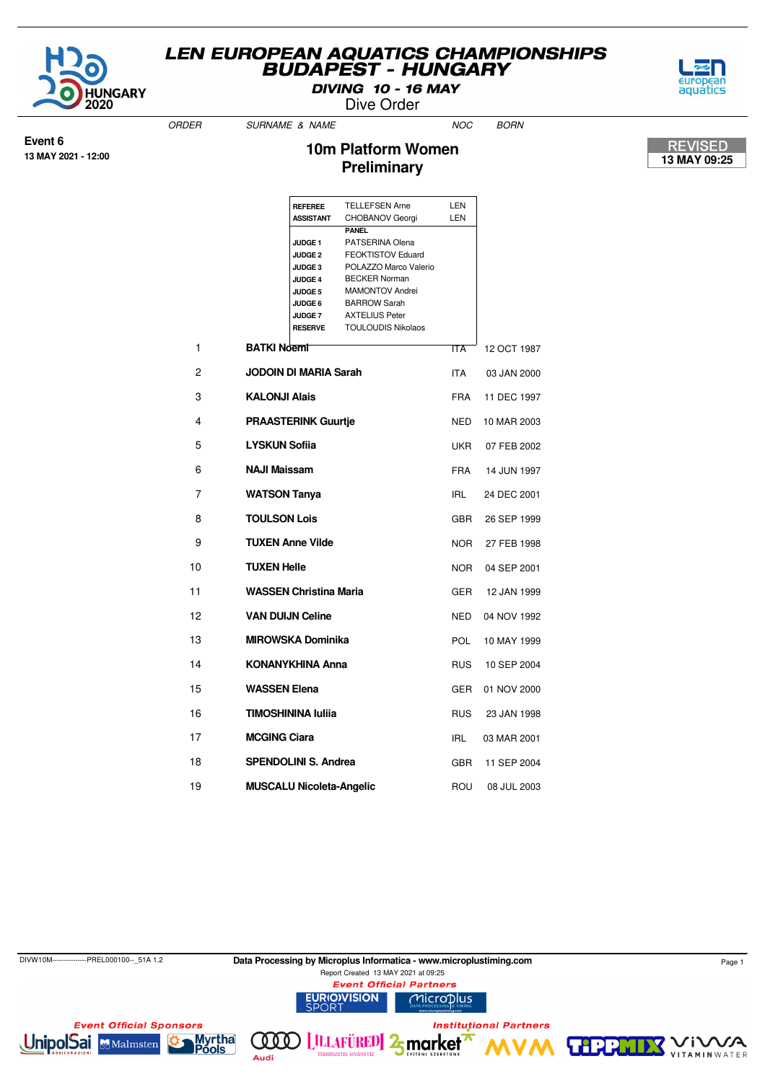

DIVING 10 - 16 MAY

Dive Order

ORDER SURNAME & NAME NOC BORN

**ELIPOI** aquatics

**13 MAY 2021 - 12:00**

**Event 6**

**10m Platform Women Preliminary**



|    | <b>REFEREE</b>                                                                                           | <b>TELLEFSEN Arne</b>                                                                                                                                         | LEN        |             |
|----|----------------------------------------------------------------------------------------------------------|---------------------------------------------------------------------------------------------------------------------------------------------------------------|------------|-------------|
|    | <b>ASSISTANT</b>                                                                                         | CHOBANOV Georgi                                                                                                                                               | LEN        |             |
|    | <b>JUDGE 1</b><br><b>JUDGE 2</b><br><b>JUDGE 3</b><br><b>JUDGE 4</b><br><b>JUDGE 5</b><br><b>JUDGE 6</b> | <b>PANEL</b><br>PATSERINA Olena<br><b>FEOKTISTOV Eduard</b><br>POLAZZO Marco Valerio<br><b>BECKER Norman</b><br><b>MAMONTOV Andrei</b><br><b>BARROW Sarah</b> |            |             |
|    | <b>JUDGE 7</b><br><b>RESERVE</b>                                                                         | <b>AXTELIUS Peter</b><br><b>TOULOUDIS Nikolaos</b>                                                                                                            |            |             |
| 1  | <b>BATKI Noemi</b>                                                                                       |                                                                                                                                                               | <b>ITA</b> | 12 OCT 1987 |
| 2  | <b>JODOIN DI MARIA Sarah</b>                                                                             |                                                                                                                                                               | <b>ITA</b> | 03 JAN 2000 |
| 3  | <b>KALONJI Alais</b>                                                                                     |                                                                                                                                                               | <b>FRA</b> | 11 DEC 1997 |
| 4  | <b>PRAASTERINK Guurtie</b>                                                                               |                                                                                                                                                               | NED.       | 10 MAR 2003 |
| 5  | <b>LYSKUN Sofiia</b>                                                                                     |                                                                                                                                                               | <b>UKR</b> | 07 FEB 2002 |
| 6  | <b>NAJI Maissam</b>                                                                                      |                                                                                                                                                               | FRA        | 14 JUN 1997 |
| 7  | <b>WATSON Tanya</b>                                                                                      |                                                                                                                                                               | IRL.       | 24 DEC 2001 |
| 8  | <b>TOULSON Lois</b>                                                                                      |                                                                                                                                                               | GBR        | 26 SEP 1999 |
| 9  | <b>TUXEN Anne Vilde</b>                                                                                  |                                                                                                                                                               | <b>NOR</b> | 27 FEB 1998 |
| 10 | <b>TUXEN Helle</b>                                                                                       |                                                                                                                                                               | NOR.       | 04 SEP 2001 |
| 11 | <b>WASSEN Christina Maria</b>                                                                            |                                                                                                                                                               | GER        | 12 JAN 1999 |
| 12 | <b>VAN DUIJN Celine</b>                                                                                  |                                                                                                                                                               | NED        | 04 NOV 1992 |
| 13 | <b>MIROWSKA Dominika</b>                                                                                 |                                                                                                                                                               | <b>POL</b> | 10 MAY 1999 |
| 14 | <b>KONANYKHINA Anna</b>                                                                                  |                                                                                                                                                               | <b>RUS</b> | 10 SEP 2004 |
| 15 | <b>WASSEN Elena</b>                                                                                      |                                                                                                                                                               | <b>GER</b> | 01 NOV 2000 |
| 16 | <b>TIMOSHININA Iulija</b>                                                                                |                                                                                                                                                               | <b>RUS</b> | 23 JAN 1998 |
| 17 | <b>MCGING Ciara</b>                                                                                      |                                                                                                                                                               | IRL.       | 03 MAR 2001 |
| 18 | <b>SPENDOLINI S. Andrea</b>                                                                              |                                                                                                                                                               | <b>GBR</b> | 11 SEP 2004 |
| 19 | <b>MUSCALU Nicoleta-Angelic</b>                                                                          |                                                                                                                                                               | ROU        | 08 JUL 2003 |
|    |                                                                                                          |                                                                                                                                                               |            |             |

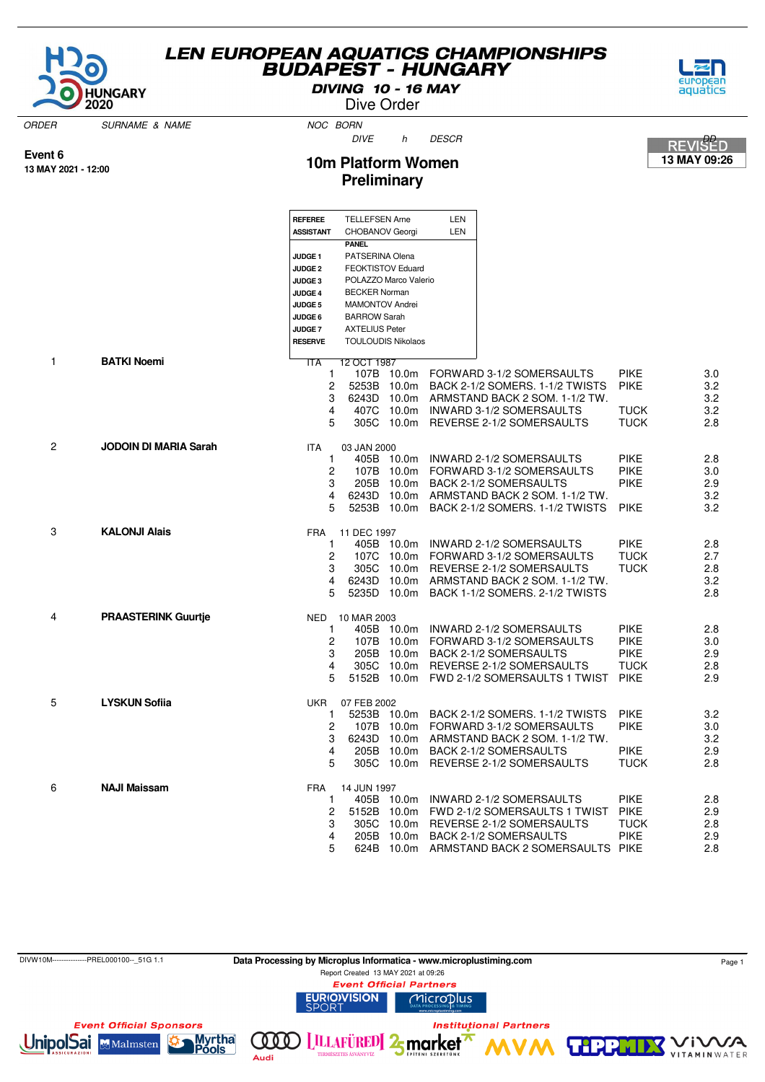

DIVING 10 - 16 MAY

Dive Order



ORDER SURNAME & NAME NOC BORN

**Event 6**

**13 MAY 2021 - 12:00**

#### DIVE h DESCR

**10m Platform Women**

**Preliminary**

| 13 MAY 09:26 |  |
|--------------|--|

|              |                              | <b>REFEREE</b>     | <b>TELLEFSEN Arne</b>     |                   | <b>LEN</b> |                                             |             |     |
|--------------|------------------------------|--------------------|---------------------------|-------------------|------------|---------------------------------------------|-------------|-----|
|              |                              | <b>ASSISTANT</b>   | <b>CHOBANOV Georgi</b>    |                   | <b>LEN</b> |                                             |             |     |
|              |                              |                    | <b>PANEL</b>              |                   |            |                                             |             |     |
|              |                              | JUDGE <sub>1</sub> | PATSERINA Olena           |                   |            |                                             |             |     |
|              |                              | <b>JUDGE 2</b>     | <b>FEOKTISTOV Eduard</b>  |                   |            |                                             |             |     |
|              |                              | <b>JUDGE 3</b>     | POLAZZO Marco Valerio     |                   |            |                                             |             |     |
|              |                              | JUDGE 4            | <b>BECKER Norman</b>      |                   |            |                                             |             |     |
|              |                              | JUDGE <sub>5</sub> | <b>MAMONTOV Andrei</b>    |                   |            |                                             |             |     |
|              |                              | <b>JUDGE 6</b>     | <b>BARROW Sarah</b>       |                   |            |                                             |             |     |
|              |                              | JUDGE <sub>7</sub> | <b>AXTELIUS Peter</b>     |                   |            |                                             |             |     |
|              |                              | <b>RESERVE</b>     | <b>TOULOUDIS Nikolaos</b> |                   |            |                                             |             |     |
|              |                              |                    |                           |                   |            |                                             |             |     |
| 1            | <b>BATKI Noemi</b>           | <b>ITA</b>         | 12 OCT 1987               |                   |            |                                             |             |     |
|              |                              | $\mathbf{1}$       |                           |                   |            | 107B 10.0m FORWARD 3-1/2 SOMERSAULTS        | <b>PIKE</b> | 3.0 |
|              |                              | 2                  | 5253B                     | 10.0 <sub>m</sub> |            | BACK 2-1/2 SOMERS. 1-1/2 TWISTS             | <b>PIKE</b> | 3.2 |
|              |                              | 3                  |                           |                   |            | 6243D 10.0m ARMSTAND BACK 2 SOM. 1-1/2 TW.  |             | 3.2 |
|              |                              | 4                  |                           | 407C 10.0m        |            | INWARD 3-1/2 SOMERSAULTS                    | <b>TUCK</b> | 3.2 |
|              |                              | 5                  | 305C                      | 10.0 <sub>m</sub> |            | REVERSE 2-1/2 SOMERSAULTS                   | <b>TUCK</b> | 2.8 |
|              |                              |                    |                           |                   |            |                                             |             |     |
| $\mathbf{2}$ | <b>JODOIN DI MARIA Sarah</b> | <b>ITA</b>         | 03 JAN 2000               |                   |            |                                             |             |     |
|              |                              | 1                  |                           | 405B 10.0m        |            | INWARD 2-1/2 SOMERSAULTS                    | <b>PIKE</b> | 2.8 |
|              |                              | $\overline{c}$     | 107B                      |                   |            | 10.0m FORWARD 3-1/2 SOMERSAULTS             | <b>PIKE</b> | 3.0 |
|              |                              | 3                  | 205B                      | 10.0 <sub>m</sub> |            | <b>BACK 2-1/2 SOMERSAULTS</b>               | <b>PIKE</b> | 2.9 |
|              |                              | 4                  | 6243D 10.0m               |                   |            | ARMSTAND BACK 2 SOM, 1-1/2 TW.              |             | 3.2 |
|              |                              | 5                  |                           |                   |            | BACK 2-1/2 SOMERS, 1-1/2 TWISTS             |             |     |
|              |                              |                    | 5253B 10.0m               |                   |            |                                             | <b>PIKE</b> | 3.2 |
| 3            | <b>KALONJI Alais</b>         | <b>FRA</b>         | 11 DEC 1997               |                   |            |                                             |             |     |
|              |                              | $\mathbf{1}$       |                           | 405B 10.0m        |            | INWARD 2-1/2 SOMERSAULTS                    | <b>PIKE</b> | 2.8 |
|              |                              |                    |                           |                   |            |                                             |             |     |
|              |                              | $\overline{c}$     | 107C                      | 10.0m             |            | FORWARD 3-1/2 SOMERSAULTS                   | <b>TUCK</b> | 2.7 |
|              |                              | 3                  | 305C                      | 10.0m             |            | REVERSE 2-1/2 SOMERSAULTS                   | <b>TUCK</b> | 2.8 |
|              |                              | 4                  | 6243D 10.0m               |                   |            | ARMSTAND BACK 2 SOM. 1-1/2 TW.              |             | 3.2 |
|              |                              | 5                  | 5235D 10.0m               |                   |            | BACK 1-1/2 SOMERS. 2-1/2 TWISTS             |             | 2.8 |
|              |                              |                    |                           |                   |            |                                             |             |     |
| 4            | <b>PRAASTERINK Guurtje</b>   |                    | NED 10 MAR 2003           |                   |            |                                             |             |     |
|              |                              | 1                  | 405B                      | 10.0m             |            | INWARD 2-1/2 SOMERSAULTS                    | <b>PIKE</b> | 2.8 |
|              |                              | $\overline{c}$     | 107B                      |                   |            | 10.0m FORWARD 3-1/2 SOMERSAULTS             | <b>PIKE</b> | 3.0 |
|              |                              | 3                  | 205B                      | 10.0 <sub>m</sub> |            | <b>BACK 2-1/2 SOMERSAULTS</b>               | <b>PIKE</b> | 2.9 |
|              |                              | 4                  | 305C                      | 10.0m             |            | REVERSE 2-1/2 SOMERSAULTS                   | <b>TUCK</b> | 2.8 |
|              |                              | 5                  | 5152B                     | 10.0m             |            | FWD 2-1/2 SOMERSAULTS 1 TWIST               | <b>PIKE</b> | 2.9 |
|              |                              |                    |                           |                   |            |                                             |             |     |
| 5            | <b>LYSKUN Sofiia</b>         | <b>UKR</b>         | 07 FEB 2002               |                   |            |                                             |             |     |
|              |                              | 1                  |                           |                   |            | 5253B 10.0m BACK 2-1/2 SOMERS. 1-1/2 TWISTS | <b>PIKE</b> | 3.2 |
|              |                              | 2                  | 107B                      |                   |            | 10.0m FORWARD 3-1/2 SOMERSAULTS             | <b>PIKE</b> | 3.0 |
|              |                              | 3                  | 6243D                     | 10.0 <sub>m</sub> |            | ARMSTAND BACK 2 SOM, 1-1/2 TW.              |             | 3.2 |
|              |                              | 4                  | 205B                      | 10.0m             |            | BACK 2-1/2 SOMERSAULTS                      | <b>PIKE</b> | 2.9 |
|              |                              | 5                  | 305C                      | 10.0m             |            | REVERSE 2-1/2 SOMERSAULTS                   | <b>TUCK</b> | 2.8 |
|              |                              |                    |                           |                   |            |                                             |             |     |
| 6            | <b>NAJI Maissam</b>          | <b>FRA</b>         | 14 JUN 1997               |                   |            |                                             |             |     |
|              |                              | 1                  |                           | 405B 10.0m        |            | INWARD 2-1/2 SOMERSAULTS                    | <b>PIKE</b> | 2.8 |
|              |                              | $\overline{c}$     | 5152B 10.0m               |                   |            | FWD 2-1/2 SOMERSAULTS 1 TWIST               | <b>PIKE</b> | 2.9 |
|              |                              | 3                  | 305C                      | 10.0 <sub>m</sub> |            | REVERSE 2-1/2 SOMERSAULTS                   | <b>TUCK</b> | 2.8 |
|              |                              | 4                  | 205B                      | 10.0 <sub>m</sub> |            | BACK 2-1/2 SOMERSAULTS                      | <b>PIKE</b> | 2.9 |
|              |                              | 5                  | 624B                      | 10.0m             |            | ARMSTAND BACK 2 SOMERSAULTS PIKE            |             | 2.8 |
|              |                              |                    |                           |                   |            |                                             |             |     |

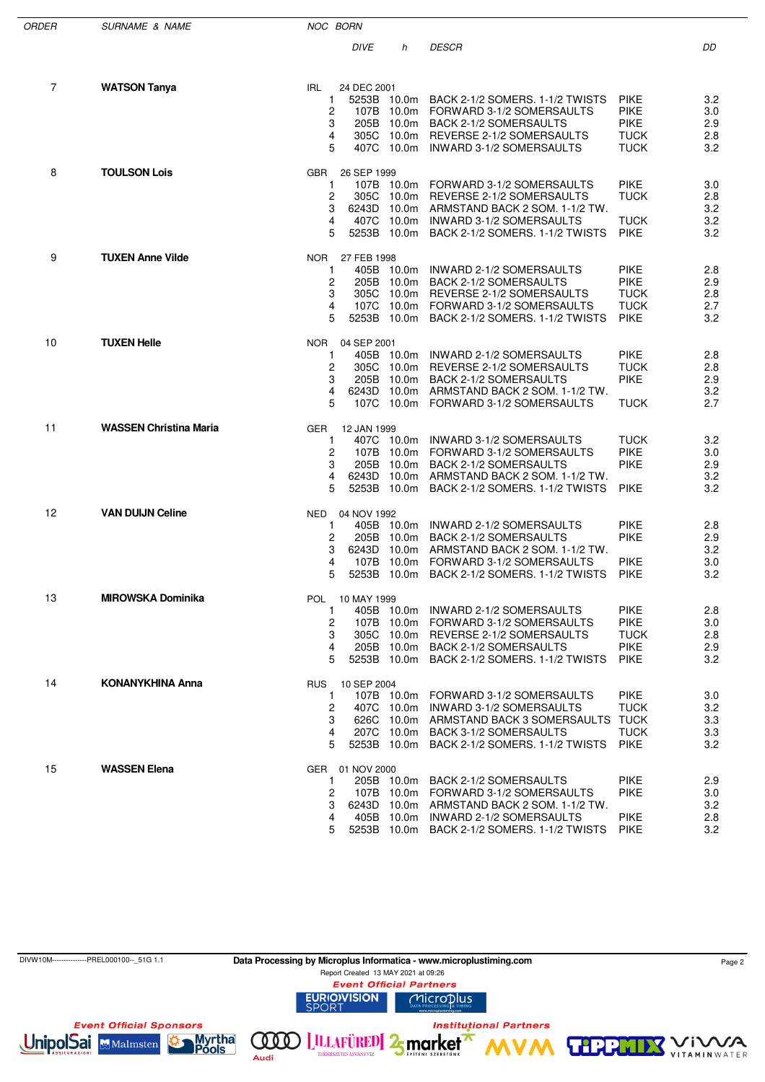| <i>ORDER</i>   | <b>SURNAME &amp; NAME</b>     | NOC BORN                                                                                                                                                                                                                                                                                                                             |                                 |
|----------------|-------------------------------|--------------------------------------------------------------------------------------------------------------------------------------------------------------------------------------------------------------------------------------------------------------------------------------------------------------------------------------|---------------------------------|
|                |                               | <b>DIVE</b><br><i>DESCR</i><br>h                                                                                                                                                                                                                                                                                                     | DD                              |
| $\overline{7}$ | <b>WATSON Tanya</b>           | 24 DEC 2001<br>IRL<br>5253B 10.0m BACK 2-1/2 SOMERS. 1-1/2 TWISTS<br><b>PIKE</b><br>1<br>2<br><b>PIKE</b><br>107B 10.0m FORWARD 3-1/2 SOMERSAULTS<br><b>PIKE</b><br>3<br>205B 10.0m BACK 2-1/2 SOMERSAULTS<br>305C 10.0m REVERSE 2-1/2 SOMERSAULTS<br><b>TUCK</b><br>4<br>407C 10.0m INWARD 3-1/2 SOMERSAULTS<br><b>TUCK</b><br>5    | 3.2<br>3.0<br>2.9<br>2.8<br>3.2 |
| 8              | <b>TOULSON Lois</b>           | GBR 26 SEP 1999<br><b>PIKE</b><br>107B 10.0m FORWARD 3-1/2 SOMERSAULTS<br>1<br>2<br>305C 10.0m REVERSE 2-1/2 SOMERSAULTS<br><b>TUCK</b><br>3<br>6243D 10.0m ARMSTAND BACK 2 SOM. 1-1/2 TW.<br>407C 10.0m INWARD 3-1/2 SOMERSAULTS<br>4<br><b>TUCK</b><br>5253B 10.0m BACK 2-1/2 SOMERS. 1-1/2 TWISTS<br><b>PIKE</b><br>5             | 3.0<br>2.8<br>3.2<br>3.2<br>3.2 |
| 9              | <b>TUXEN Anne Vilde</b>       | NOR 27 FEB 1998<br>405B 10.0m INWARD 2-1/2 SOMERSAULTS<br><b>PIKE</b><br>1<br>2<br>205B 10.0m BACK 2-1/2 SOMERSAULTS<br><b>PIKE</b><br>3<br>305C 10.0m REVERSE 2-1/2 SOMERSAULTS<br><b>TUCK</b><br>107C 10.0m FORWARD 3-1/2 SOMERSAULTS<br><b>TUCK</b><br>4<br>5253B 10.0m BACK 2-1/2 SOMERS. 1-1/2 TWISTS<br><b>PIKE</b><br>5       | 2.8<br>2.9<br>2.8<br>2.7<br>3.2 |
| 10             | <b>TUXEN Helle</b>            | NOR 04 SEP 2001<br><b>PIKE</b><br>405B 10.0m INWARD 2-1/2 SOMERSAULTS<br>$\mathbf{1}$<br>305C 10.0m REVERSE 2-1/2 SOMERSAULTS<br>2<br><b>TUCK</b><br>205B 10.0m BACK 2-1/2 SOMERSAULTS<br><b>PIKE</b><br>3<br>6243D 10.0m ARMSTAND BACK 2 SOM. 1-1/2 TW.<br>4<br>5<br>107C 10.0m FORWARD 3-1/2 SOMERSAULTS<br><b>TUCK</b>            | 2.8<br>2.8<br>2.9<br>3.2<br>2.7 |
| 11             | <b>WASSEN Christina Maria</b> | GER 12 JAN 1999<br>407C 10.0m INWARD 3-1/2 SOMERSAULTS<br><b>TUCK</b><br>1<br>107B 10.0m FORWARD 3-1/2 SOMERSAULTS<br>2<br><b>PIKE</b><br><b>PIKE</b><br>3<br>205B 10.0m BACK 2-1/2 SOMERSAULTS<br>6243D 10.0m ARMSTAND BACK 2 SOM. 1-1/2 TW.<br>4<br>5<br>5253B 10.0m BACK 2-1/2 SOMERS. 1-1/2 TWISTS<br><b>PIKE</b>                | 3.2<br>3.0<br>2.9<br>3.2<br>3.2 |
| 12             | <b>VAN DUIJN Celine</b>       | NED 04 NOV 1992<br>405B 10.0m INWARD 2-1/2 SOMERSAULTS<br><b>PIKE</b><br>1<br><b>PIKE</b><br>2<br>205B 10.0m BACK 2-1/2 SOMERSAULTS<br>6243D 10.0m ARMSTAND BACK 2 SOM. 1-1/2 TW.<br>3<br>107B 10.0m FORWARD 3-1/2 SOMERSAULTS<br><b>PIKE</b><br>4<br><b>PIKE</b><br>5<br>5253B 10.0m<br>BACK 2-1/2 SOMERS. 1-1/2 TWISTS             | 2.8<br>2.9<br>3.2<br>3.0<br>3.2 |
| 13             | <b>MIROWSKA Dominika</b>      | POL<br>10 MAY 1999<br><b>PIKE</b><br>405B 10.0m INWARD 2-1/2 SOMERSAULTS<br>1<br>2<br>107B 10.0m FORWARD 3-1/2 SOMERSAULTS<br><b>PIKE</b><br>305C 10.0m REVERSE 2-1/2 SOMERSAULTS<br><b>TUCK</b><br>3<br><b>PIKE</b><br>205B 10.0m BACK 2-1/2 SOMERSAULTS<br>4<br>5<br>5253B 10.0m<br>BACK 2-1/2 SOMERS, 1-1/2 TWISTS<br><b>PIKE</b> | 2.8<br>3.0<br>2.8<br>2.9<br>3.2 |
| 14             | <b>KONANYKHINA Anna</b>       | RUS 10 SEP 2004<br>107B 10.0m FORWARD 3-1/2 SOMERSAULTS<br><b>PIKE</b><br>1<br>407C 10.0m INWARD 3-1/2 SOMERSAULTS<br><b>TUCK</b><br>2<br>626C 10.0m ARMSTAND BACK 3 SOMERSAULTS TUCK<br>3<br>207C 10.0m BACK 3-1/2 SOMERSAULTS<br><b>TUCK</b><br>4<br>5<br>5253B 10.0m BACK 2-1/2 SOMERS, 1-1/2 TWISTS<br><b>PIKE</b>               | 3.0<br>3.2<br>3.3<br>3.3<br>3.2 |
| 15             | <b>WASSEN Elena</b>           | GER  01 NOV 2000<br>205B 10.0m BACK 2-1/2 SOMERSAULTS<br>PIKE<br>1<br>2<br>107B 10.0m FORWARD 3-1/2 SOMERSAULTS<br>PIKE<br>6243D 10.0m ARMSTAND BACK 2 SOM. 1-1/2 TW.<br>3<br>405B 10.0m INWARD 2-1/2 SOMERSAULTS<br>PIKE<br>4<br>5253B 10.0m BACK 2-1/2 SOMERS. 1-1/2 TWISTS<br><b>PIKE</b><br>5                                    | 2.9<br>3.0<br>3.2<br>2.8<br>3.2 |

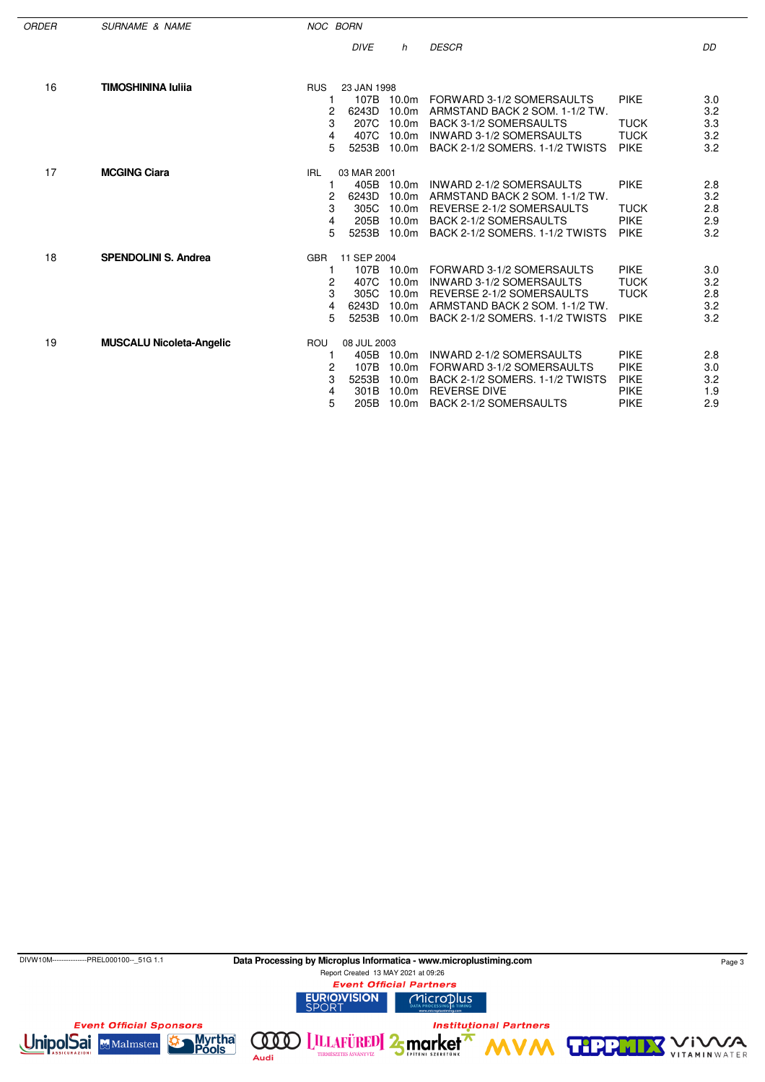| <b>ORDER</b> | <b>SURNAME &amp; NAME</b>       | NOC BORN   |               |                                        |                                                             |             |            |
|--------------|---------------------------------|------------|---------------|----------------------------------------|-------------------------------------------------------------|-------------|------------|
|              |                                 |            | <b>DIVE</b>   | h                                      | <i>DESCR</i>                                                |             | DD         |
| 16           | <b>TIMOSHININA Iulija</b>       | <b>RUS</b> | 23 JAN 1998   |                                        |                                                             |             |            |
|              |                                 |            | 107B<br>6243D | 10.0 <sub>m</sub><br>10.0 <sub>m</sub> | FORWARD 3-1/2 SOMERSAULTS<br>ARMSTAND BACK 2 SOM, 1-1/2 TW. | <b>PIKE</b> | 3.0<br>3.2 |
|              |                                 | 3          | 207C          | 10.0 <sub>m</sub>                      | BACK 3-1/2 SOMERSAULTS                                      | <b>TUCK</b> | 3.3        |
|              |                                 | 4          | 407C          | 10.0 <sub>m</sub>                      | INWARD 3-1/2 SOMERSAULTS                                    | <b>TUCK</b> | 3.2        |
|              |                                 | 5          | 5253B         | 10.0 <sub>m</sub>                      | BACK 2-1/2 SOMERS, 1-1/2 TWISTS                             | <b>PIKE</b> | 3.2        |
| 17           | <b>MCGING Ciara</b>             | <b>IRL</b> | 03 MAR 2001   |                                        |                                                             |             |            |
|              |                                 |            | 405B          | 10.0 <sub>m</sub>                      | INWARD 2-1/2 SOMERSAULTS                                    | <b>PIKE</b> | 2.8        |
|              |                                 | 2          | 6243D         | 10.0 <sub>m</sub>                      | ARMSTAND BACK 2 SOM, 1-1/2 TW.                              |             | 3.2        |
|              |                                 | 3          | 305C          | 10.0 <sub>m</sub>                      | REVERSE 2-1/2 SOMERSAULTS                                   | <b>TUCK</b> | 2.8        |
|              |                                 | 4          | 205B          | 10.0 <sub>m</sub>                      | <b>BACK 2-1/2 SOMERSAULTS</b>                               | <b>PIKE</b> | 2.9        |
|              |                                 | 5          | 5253B         | 10.0 <sub>m</sub>                      | BACK 2-1/2 SOMERS, 1-1/2 TWISTS                             | <b>PIKE</b> | 3.2        |
| 18           | <b>SPENDOLINI S. Andrea</b>     | <b>GBR</b> | 11 SEP 2004   |                                        |                                                             |             |            |
|              |                                 |            | 107B          | 10.0 <sub>m</sub>                      | FORWARD 3-1/2 SOMERSAULTS                                   | <b>PIKE</b> | 3.0        |
|              |                                 | 2          | 407C          | 10.0 <sub>m</sub>                      | INWARD 3-1/2 SOMERSAULTS                                    | <b>TUCK</b> | 3.2        |
|              |                                 | 3          | 305C          | 10.0 <sub>m</sub>                      | REVERSE 2-1/2 SOMERSAULTS                                   | <b>TUCK</b> | 2.8        |
|              |                                 |            | 6243D         | 10.0 <sub>m</sub>                      | ARMSTAND BACK 2 SOM, 1-1/2 TW.                              |             | 3.2        |
|              |                                 | 5          | 5253B         | 10.0 <sub>m</sub>                      | BACK 2-1/2 SOMERS, 1-1/2 TWISTS                             | <b>PIKE</b> | 3.2        |
| 19           | <b>MUSCALU Nicoleta-Angelic</b> | <b>ROU</b> | 08 JUL 2003   |                                        |                                                             |             |            |
|              |                                 |            | 405B          | 10.0 <sub>m</sub>                      | INWARD 2-1/2 SOMERSAULTS                                    | <b>PIKE</b> | 2.8        |
|              |                                 | 2          | 107B          | 10.0 <sub>m</sub>                      | FORWARD 3-1/2 SOMERSAULTS                                   | <b>PIKE</b> | 3.0        |
|              |                                 | 3          | 5253B         | 10.0 <sub>m</sub>                      | BACK 2-1/2 SOMERS, 1-1/2 TWISTS                             | <b>PIKE</b> | 3.2        |
|              |                                 | 4          | 301B          | 10.0 <sub>m</sub>                      | <b>REVERSE DIVE</b>                                         | <b>PIKE</b> | 1.9        |
|              |                                 | 5          | 205B          | 10.0 <sub>m</sub>                      | <b>BACK 2-1/2 SOMERSAULTS</b>                               | <b>PIKE</b> | 2.9        |

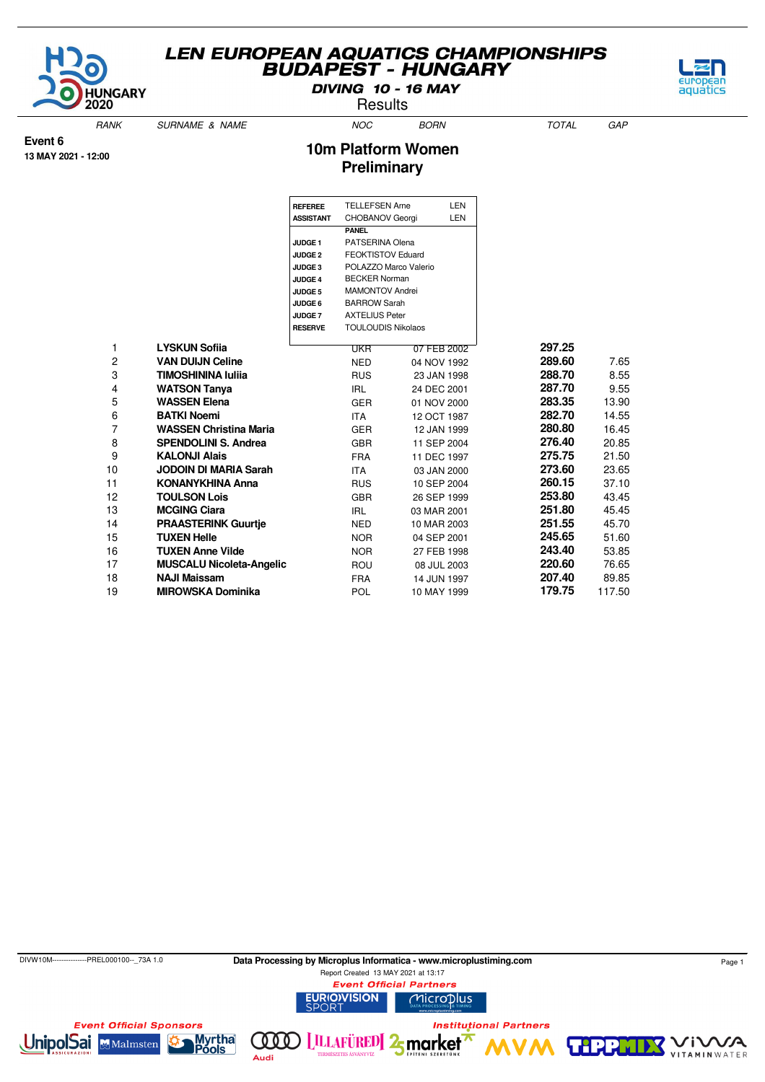

DIVING 10 - 16 MAY

**Results** 

aquatics

RANK SURNAME & NAME NOC BORN TOTAL GAP

**Event 6 13 MAY 2021 - 12:00**

#### **10m Platform Women Preliminary**

|                |                                 | <b>REFEREE</b>                   | <b>TELLEFSEN Arne</b>     |                       | <b>LEN</b>  |        |        |
|----------------|---------------------------------|----------------------------------|---------------------------|-----------------------|-------------|--------|--------|
|                |                                 | <b>ASSISTANT</b>                 | CHOBANOV Georgi           |                       | LEN         |        |        |
|                |                                 |                                  | <b>PANEL</b>              |                       |             |        |        |
|                |                                 | <b>JUDGE 1</b>                   | PATSERINA Olena           |                       |             |        |        |
|                |                                 | <b>JUDGE 2</b>                   | <b>FEOKTISTOV Eduard</b>  | POLAZZO Marco Valerio |             |        |        |
|                |                                 | <b>JUDGE 3</b><br><b>JUDGE 4</b> | <b>BECKER Norman</b>      |                       |             |        |        |
|                |                                 | <b>JUDGE 5</b>                   | <b>MAMONTOV Andrei</b>    |                       |             |        |        |
|                |                                 | <b>JUDGE 6</b>                   | <b>BARROW Sarah</b>       |                       |             |        |        |
|                |                                 | <b>JUDGE 7</b>                   | <b>AXTELIUS Peter</b>     |                       |             |        |        |
|                |                                 | <b>RESERVE</b>                   | <b>TOULOUDIS Nikolaos</b> |                       |             |        |        |
|                |                                 |                                  |                           |                       |             |        |        |
| 1              | <b>LYSKUN Sofija</b>            |                                  | <b>UKR</b>                | 07 FEB 2002           |             | 297.25 |        |
| $\overline{c}$ | <b>VAN DUIJN Celine</b>         |                                  | <b>NED</b>                | 04 NOV 1992           |             | 289.60 | 7.65   |
| 3              | <b>TIMOSHININA Iulija</b>       |                                  | <b>RUS</b>                | 23 JAN 1998           |             | 288.70 | 8.55   |
| 4              | <b>WATSON Tanya</b>             |                                  | IRL                       | 24 DEC 2001           |             | 287.70 | 9.55   |
| 5              | <b>WASSEN Elena</b>             |                                  | <b>GER</b>                | 01 NOV 2000           |             | 283.35 | 13.90  |
| 6              | <b>BATKI Noemi</b>              |                                  | <b>ITA</b>                | 12 OCT 1987           |             | 282.70 | 14.55  |
| $\overline{7}$ | <b>WASSEN Christina Maria</b>   |                                  | <b>GER</b>                | 12 JAN 1999           |             | 280.80 | 16.45  |
| 8              | <b>SPENDOLINI S. Andrea</b>     |                                  | <b>GBR</b>                | 11 SEP 2004           |             | 276.40 | 20.85  |
| 9              | <b>KALONJI Alais</b>            |                                  | <b>FRA</b>                | 11 DEC 1997           |             | 275.75 | 21.50  |
| 10             | <b>JODOIN DI MARIA Sarah</b>    |                                  | <b>ITA</b>                | 03 JAN 2000           |             | 273.60 | 23.65  |
| 11             | <b>KONANYKHINA Anna</b>         |                                  | <b>RUS</b>                | 10 SEP 2004           |             | 260.15 | 37.10  |
| 12             | <b>TOULSON Lois</b>             |                                  | <b>GBR</b>                | 26 SEP 1999           |             | 253.80 | 43.45  |
| 13             | <b>MCGING Ciara</b>             |                                  | IRL                       | 03 MAR 2001           |             | 251.80 | 45.45  |
| 14             | <b>PRAASTERINK Guurtie</b>      |                                  | <b>NED</b>                | 10 MAR 2003           |             | 251.55 | 45.70  |
| 15             | <b>TUXEN Helle</b>              |                                  | <b>NOR</b>                | 04 SEP 2001           |             | 245.65 | 51.60  |
| 16             | <b>TUXEN Anne Vilde</b>         |                                  | <b>NOR</b>                | 27 FEB 1998           |             | 243.40 | 53.85  |
| 17             | <b>MUSCALU Nicoleta-Angelic</b> |                                  | ROU                       |                       | 08 JUL 2003 | 220.60 | 76.65  |
| 18             | <b>NAJI Maissam</b>             |                                  | <b>FRA</b>                | 14 JUN 1997           |             | 207.40 | 89.85  |
| 19             | <b>MIROWSKA Dominika</b>        |                                  | <b>POL</b>                | 10 MAY 1999           |             | 179.75 | 117.50 |

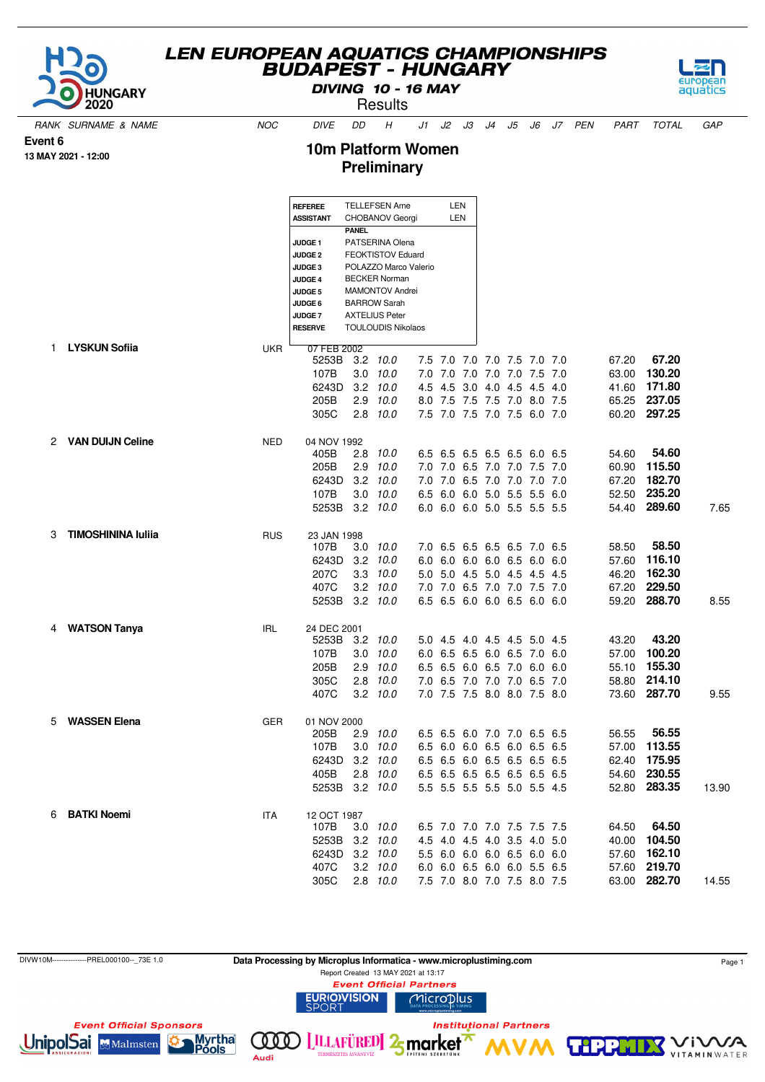



DIVING 10 - 16 MAY

**Results** 

RANK SURNAME & NAME TOTAL GAP NOC DIVE DD H J1 J2 J3 J4 J5 J6 J7 PEN PART TOTAL GAP

**Event 6**

**13 MAY 2021 - 12:00**

**10m Platform Women Preliminary**

|    |                                       | REFEREE              |              | <b>TELLEFSEN Arne</b>     |                             | LEN     |                             |         |       |              |       |
|----|---------------------------------------|----------------------|--------------|---------------------------|-----------------------------|---------|-----------------------------|---------|-------|--------------|-------|
|    |                                       | ASSISTANT            |              | CHOBANOV Georgi           |                             | LEN     |                             |         |       |              |       |
|    |                                       |                      | <b>PANEL</b> |                           |                             |         |                             |         |       |              |       |
|    |                                       | JUDGE <sub>1</sub>   |              | PATSERINA Olena           |                             |         |                             |         |       |              |       |
|    |                                       | <b>JUDGE 2</b>       |              | FEOKTISTOV Eduard         |                             |         |                             |         |       |              |       |
|    |                                       | <b>JUDGE 3</b>       |              |                           | POLAZZO Marco Valerio       |         |                             |         |       |              |       |
|    |                                       | <b>JUDGE 4</b>       |              | <b>BECKER Norman</b>      |                             |         |                             |         |       |              |       |
|    |                                       | <b>JUDGE 5</b>       |              | <b>MAMONTOV Andrei</b>    |                             |         |                             |         |       |              |       |
|    |                                       | <b>JUDGE 6</b>       |              | <b>BARROW Sarah</b>       |                             |         |                             |         |       |              |       |
|    |                                       | <b>JUDGE 7</b>       |              | <b>AXTELIUS Peter</b>     |                             |         |                             |         |       |              |       |
|    |                                       | <b>RESERVE</b>       |              | <b>TOULOUDIS Nikolaos</b> |                             |         |                             |         |       |              |       |
| 1. | <b>LYSKUN Sofiia</b><br><b>UKR</b>    | 07 FEB 2002          |              |                           |                             |         |                             |         |       |              |       |
|    |                                       | 5253B                | 3.2          | 10.0                      |                             |         | 7.5 7.0 7.0 7.0 7.5 7.0 7.0 |         | 67.20 | 67.20        |       |
|    |                                       | 107B                 |              | $3.0$ $10.0$              | 7.0                         |         | 7.0 7.0 7.0 7.0 7.5 7.0     |         | 63.00 | 130.20       |       |
|    |                                       | 6243D                |              | $3.2$ $10.0$              | 4.5                         |         | 4.5 3.0 4.0 4.5 4.5 4.0     |         | 41.60 | 171.80       |       |
|    |                                       | 205B                 | 2.9          | 10.0                      |                             |         | 8.0 7.5 7.5 7.5 7.0 8.0 7.5 |         | 65.25 | 237.05       |       |
|    |                                       | 305C                 | 2.8          | 10.0                      |                             |         | 7.5 7.0 7.5 7.0 7.5 6.0 7.0 |         | 60.20 | 297.25       |       |
|    |                                       |                      |              |                           |                             |         |                             |         |       |              |       |
| 2  | <b>VAN DUIJN Celine</b><br><b>NED</b> | 04 NOV 1992          |              |                           |                             |         |                             |         |       |              |       |
|    |                                       | 405B                 | 2.8          | 10.0                      |                             |         | 6.5 6.5 6.5 6.5 6.5 6.0 6.5 |         | 54.60 | 54.60        |       |
|    |                                       | 205B                 | 2.9          | 10.0                      | 7.0                         | 7.0     | 6.5 7.0 7.0                 | 7.5 7.0 | 60.90 | 115.50       |       |
|    |                                       | 6243D                | 3.2          | 10.0                      |                             |         | 7.0 7.0 6.5 7.0 7.0 7.0 7.0 |         | 67.20 | 182.70       |       |
|    |                                       | 107B                 |              | 10.0                      |                             |         | 6.0 6.0 5.0 5.5 5.5 6.0     |         | 52.50 | 235.20       |       |
|    |                                       |                      | 3.0          |                           | 6.5                         |         |                             |         |       | 289.60       |       |
|    |                                       | 5253B                |              | $3.2$ $10.0$              |                             |         | 6.0 6.0 6.0 5.0 5.5 5.5 5.5 |         | 54.40 |              | 7.65  |
| 3  | <b>TIMOSHININA Iuliia</b>             |                      |              |                           |                             |         |                             |         |       |              |       |
|    | <b>RUS</b>                            | 23 JAN 1998<br>107B  | 3.0          | 10.0                      |                             |         | 7.0 6.5 6.5 6.5 6.5 7.0 6.5 |         | 58.50 | 58.50        |       |
|    |                                       | 6243D                | 3.2          | 10.0                      | 6.0                         |         | 6.0 6.0 6.0 6.5 6.0 6.0     |         | 57.60 | 116.10       |       |
|    |                                       | 207C                 | 3.3          | 10.0                      |                             |         | 5.0 5.0 4.5 5.0 4.5 4.5 4.5 |         | 46.20 | 162.30       |       |
|    |                                       |                      |              |                           |                             |         |                             |         |       | 229.50       |       |
|    |                                       | 407C                 |              | $3.2$ $10.0$              |                             |         | 7.0 7.0 6.5 7.0 7.0 7.5 7.0 |         | 67.20 |              |       |
|    |                                       | 5253B                |              | $3.2$ $10.0$              |                             |         | 6.5 6.5 6.0 6.0 6.5 6.0 6.0 |         | 59.20 | 288.70       | 8.55  |
|    |                                       |                      |              |                           |                             |         |                             |         |       |              |       |
| 4  | <b>WATSON Tanya</b><br><b>IRL</b>     | 24 DEC 2001<br>5253B |              | $3.2$ $10.0$              |                             |         | 5.0 4.5 4.0 4.5 4.5 5.0 4.5 |         | 43.20 | 43.20        |       |
|    |                                       |                      |              |                           |                             |         |                             |         |       | 100.20       |       |
|    |                                       | 107B                 | 3.0          | 10.0                      |                             | 6.0 6.5 | 6.5 6.0 6.5                 | 7.0 6.0 | 57.00 |              |       |
|    |                                       | 205B                 | 2.9          | 10.0                      | 6.5                         | 6.5     | 6.0 6.5 7.0 6.0 6.0         |         | 55.10 | 155.30       |       |
|    |                                       | 305C                 | 2.8          | 10.0                      | 7.0                         |         | 6.5 7.0 7.0 7.0 6.5 7.0     |         | 58.80 | 214.10       |       |
|    |                                       | 407C                 | 3.2          | 10.0                      |                             |         | 7.0 7.5 7.5 8.0 8.0 7.5 8.0 |         | 73.60 | 287.70       | 9.55  |
|    |                                       |                      |              |                           |                             |         |                             |         |       |              |       |
| 5. | <b>WASSEN Elena</b><br>GER            | 01 NOV 2000          |              |                           |                             |         |                             |         |       |              |       |
|    |                                       | 205B                 | 2.9          | 10.0                      |                             |         | 6.5 6.5 6.0 7.0 7.0 6.5 6.5 |         | 56.55 | 56.55        |       |
|    |                                       | 107B                 | 3.0          | 10.0                      | 6.5                         |         | 6.0 6.0 6.5 6.0 6.5 6.5     |         | 57.00 | 113.55       |       |
|    |                                       | 6243D                |              | $3.2$ $10.0$              |                             |         | 6.5 6.5 6.0 6.5 6.5 6.5 6.5 |         | 62.40 | 175.95       |       |
|    |                                       | 405B                 |              | $2.8$ $10.0$              |                             |         | 6.5 6.5 6.5 6.5 6.5 6.5 6.5 |         | 54.60 | 230.55       |       |
|    |                                       |                      |              | 5253B 3.2 10.0            |                             |         | 5.5 5.5 5.5 5.5 5.0 5.5 4.5 |         |       | 52.80 283.35 | 13.90 |
|    |                                       |                      |              |                           |                             |         |                             |         |       |              |       |
|    | 6 BATKI Noemi<br><b>ITA</b>           | 12 OCT 1987          |              |                           |                             |         |                             |         |       |              |       |
|    |                                       |                      |              | 107B 3.0 10.0             | 6.5 7.0 7.0 7.0 7.5 7.5 7.5 |         |                             |         |       | 64.50 64.50  |       |
|    |                                       |                      |              | 5253B 3.2 10.0            |                             |         | 4.5 4.0 4.5 4.0 3.5 4.0 5.0 |         |       | 40.00 104.50 |       |
|    |                                       |                      |              | 6243D 3.2 10.0            |                             |         | 5.5 6.0 6.0 6.0 6.5 6.0 6.0 |         |       | 57.60 162.10 |       |
|    |                                       | 407C                 |              | $3.2$ $10.0$              |                             |         | 6.0 6.0 6.5 6.0 6.0 5.5 6.5 |         |       | 57.60 219.70 |       |
|    |                                       | 305C                 |              | $2.8$ $10.0$              |                             |         | 7.5 7.0 8.0 7.0 7.5 8.0 7.5 |         |       | 63.00 282.70 | 14.55 |

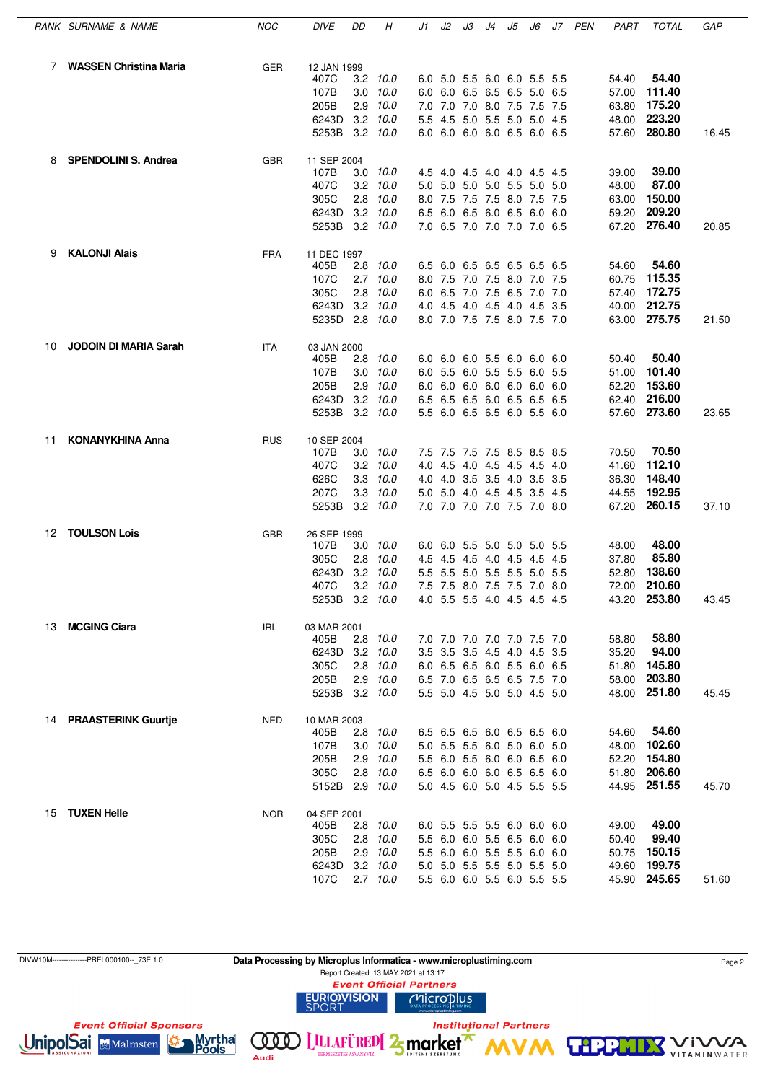|    | <i>RANK SURNAME &amp; NAME</i> | <b>NOC</b> | <b>DIVE</b>                                                    | DD  | Η                                                                            | J1             | J2 | JЗ | J4                                 | J5 | J6                                                                                                                                                  | J7 PEN | PART                             | <b>TOTAL</b>                                        | GAP   |
|----|--------------------------------|------------|----------------------------------------------------------------|-----|------------------------------------------------------------------------------|----------------|----|----|------------------------------------|----|-----------------------------------------------------------------------------------------------------------------------------------------------------|--------|----------------------------------|-----------------------------------------------------|-------|
| 7  | <b>WASSEN Christina Maria</b>  | <b>GER</b> | 12 JAN 1999<br>407C<br>107B                                    |     | $3.2$ $10.0$<br>$3.0$ $10.0$                                                 |                |    |    |                                    |    | 6.0 5.0 5.5 6.0 6.0 5.5 5.5<br>6.0 6.0 6.5 6.5 6.5 5.0 6.5                                                                                          |        | 54.40<br>57.00                   | 54.40<br>111.40                                     |       |
|    |                                |            | 205B<br>6243D<br>5253B 3.2 10.0                                | 2.9 | 10.0<br>$3.2$ $10.0$                                                         | 5.5            |    |    | 7.0 7.0 7.0 8.0 7.5                |    | 7.5 7.5<br>4.5 5.0 5.5 5.0 5.0 4.5<br>6.0 6.0 6.0 6.0 6.5 6.0 6.5                                                                                   |        | 63.80<br>48.00<br>57.60          | 175.20<br>223.20<br>280.80                          | 16.45 |
| 8  | <b>SPENDOLINI S. Andrea</b>    | <b>GBR</b> | 11 SEP 2004<br>107B                                            |     | $3.0$ $10.0$                                                                 |                |    |    |                                    |    | 4.5 4.0 4.5 4.0 4.0 4.5 4.5                                                                                                                         |        | 39.00                            | 39.00                                               |       |
|    |                                |            | 407C<br>305C<br>6243D<br>5253B 3.2 10.0                        | 2.8 | $3.2$ $10.0$<br>10.0<br>$3.2$ $10.0$                                         | 6.5            |    |    |                                    |    | 5.0 5.0 5.0 5.0 5.5 5.0 5.0<br>8.0 7.5 7.5 7.5 8.0 7.5 7.5<br>6.0 6.5 6.0 6.5 6.0 6.0<br>7.0 6.5 7.0 7.0 7.0 7.0 6.5                                |        | 48.00<br>63.00<br>59.20          | 87.00<br>150.00<br>209.20<br>67.20 276.40           | 20.85 |
| 9  | <b>KALONJI Alais</b>           | <b>FRA</b> | 11 DEC 1997<br>405B                                            |     | $2.8$ $10.0$                                                                 |                |    |    |                                    |    | 6.5 6.0 6.5 6.5 6.5 6.5 6.5                                                                                                                         |        | 54.60                            | 54.60                                               |       |
|    |                                |            | 107C<br>305C<br>6243D<br>5235D 2.8 10.0                        |     | $2.7$ $10.0$<br>2.8 10.0<br>$3.2$ $10.0$                                     |                |    |    |                                    |    | 8.0 7.5 7.0 7.5 8.0 7.0 7.5<br>6.0 6.5 7.0 7.5 6.5 7.0 7.0<br>4.0 4.5 4.0 4.5 4.0 4.5 3.5<br>8.0 7.0 7.5 7.5 8.0 7.5 7.0                            |        | 60.75<br>57.40<br>40.00          | 115.35<br>172.75<br>212.75<br>63.00 275.75          | 21.50 |
| 10 | <b>JODOIN DI MARIA Sarah</b>   | <b>ITA</b> | 03 JAN 2000                                                    |     |                                                                              |                |    |    |                                    |    |                                                                                                                                                     |        |                                  |                                                     |       |
|    |                                |            | 405B<br>107B<br>205B<br>6243D<br>5253B                         |     | $2.8$ $10.0$<br>$3.0$ $10.0$<br>$2.9$ $10.0$<br>$3.2$ $10.0$<br>$3.2$ $10.0$ | 5.5            |    |    | 6.0 5.5 6.0 5.5 5.5                |    | 6.0 6.0 6.0 5.5 6.0 6.0 6.0<br>6.0 5.5<br>6.0 6.0 6.0 6.0 6.0 6.0 6.0<br>6.5 6.5 6.5 6.0 6.5 6.5 6.5<br>6.0 6.5 6.5 6.0 5.5 6.0                     |        | 50.40<br>51.00<br>52.20<br>62.40 | 50.40<br>101.40<br>153.60<br>216.00<br>57.60 273.60 | 23.65 |
| 11 | <b>KONANYKHINA Anna</b>        | <b>RUS</b> | 10 SEP 2004<br>107B<br>407C<br>626C                            |     | 3.0 10.0<br>$3.2$ $10.0$<br>$3.3$ $10.0$                                     |                |    |    |                                    |    | 7.5 7.5 7.5 7.5 8.5 8.5 8.5<br>4.0 4.5 4.0 4.5 4.5 4.5 4.0<br>4.0 4.0 3.5 3.5 4.0 3.5 3.5                                                           |        | 70.50<br>41.60<br>36.30          | 70.50<br>112.10<br>148.40                           |       |
|    |                                |            | 207C<br>5253B                                                  |     | $3.3$ $10.0$<br>$3.2$ $10.0$                                                 |                |    |    |                                    |    | 5.0 5.0 4.0 4.5 4.5 3.5 4.5<br>7.0 7.0 7.0 7.0 7.5 7.0 8.0                                                                                          |        | 44.55<br>67.20                   | 192.95<br>260.15                                    | 37.10 |
| 12 | <b>TOULSON Lois</b>            | <b>GBR</b> | 26 SEP 1999<br>107B<br>305C<br>6243D<br>407C<br>5253B 3.2 10.0 | 2.8 | $3.0$ $10.0$<br>10.0<br>$3.2$ $10.0$<br>$3.2$ $10.0$                         | 4.5<br>$5.5\,$ |    |    | 4.5 4.5 4.0 4.5<br>5.5 5.0 5.5 5.5 |    | 6.0 6.0 5.5 5.0 5.0 5.0 5.5<br>4.5 4.5<br>5.0 5.5<br>7.5 7.5 8.0 7.5 7.5 7.0 8.0<br>4.0 5.5 5.5 4.0 4.5 4.5 4.5                                     |        | 48.00<br>37.80<br>52.80<br>72.00 | 48.00<br>85.80<br>138.60<br>210.60<br>43.20 253.80  | 43.45 |
| 13 | <b>MCGING Ciara</b>            | <b>IRL</b> | 03 MAR 2001<br>405B                                            |     | $2.8$ $10.0$                                                                 |                |    |    |                                    |    | 7.0 7.0 7.0 7.0 7.0 7.5 7.0                                                                                                                         |        | 58.80                            | 58.80                                               |       |
|    |                                |            | 6243D<br>305C<br>205B<br>5253B 3.2 10.0                        |     | $3.2$ $10.0$<br>$2.8$ $10.0$<br>$2.9$ $10.0$                                 |                |    |    |                                    |    | 3.5 3.5 3.5 4.5 4.0 4.5 3.5<br>6.0 6.5 6.5 6.0 5.5 6.0 6.5<br>6.5 7.0 6.5 6.5 6.5 7.5 7.0<br>5.5 5.0 4.5 5.0 5.0 4.5 5.0                            |        | 35.20<br>51.80<br>58.00<br>48.00 | 94.00<br>145.80<br>203.80<br>251.80                 | 45.45 |
|    | 14 PRAASTERINK Guurtje         | <b>NED</b> | 10 MAR 2003<br>405B<br>107B<br>205B<br>305C                    |     | $2.8$ $10.0$<br>$3.0$ $10.0$<br>$2.9$ $10.0$<br>$2.8$ 10.0                   |                |    |    |                                    |    | 6.5 6.5 6.5 6.0 6.5 6.5 6.0<br>5.0 5.5 5.5 6.0 5.0 6.0 5.0<br>5.5 6.0 5.5 6.0 6.0 6.5 6.0<br>6.5 6.0 6.0 6.0 6.5 6.5 6.0                            |        | 54.60<br>52.20<br>51.80          | 54.60<br>48.00 102.60<br>154.80<br>206.60           |       |
| 15 | <b>TUXEN Helle</b>             |            | 5152B 2.9 10.0                                                 |     |                                                                              |                |    |    |                                    |    | 5.0 4.5 6.0 5.0 4.5 5.5 5.5                                                                                                                         |        |                                  | 44.95 251.55                                        | 45.70 |
|    |                                | NOR.       | 04 SEP 2001<br>405B<br>305C<br>205B<br>6243D<br>107C           |     | $2.8$ $10.0$<br>$2.8$ $10.0$<br>$2.9$ $10.0$<br>$3.2$ $10.0$<br>$2.7$ $10.0$ | 5.5            |    |    |                                    |    | 6.0 5.5 5.5 5.5 6.0 6.0 6.0<br>5.5 6.0 6.0 5.5 6.5 6.0 6.0<br>6.0 6.0 5.5 5.5 6.0 6.0<br>5.0 5.0 5.5 5.5 5.0 5.5 5.0<br>5.5 6.0 6.0 5.5 6.0 5.5 5.5 |        | 49.00<br>50.40<br>50.75<br>49.60 | 49.00<br>99.40<br>150.15<br>199.75<br>45.90 245.65  | 51.60 |



Audi

**VIWWATER**  $\mathbf Z$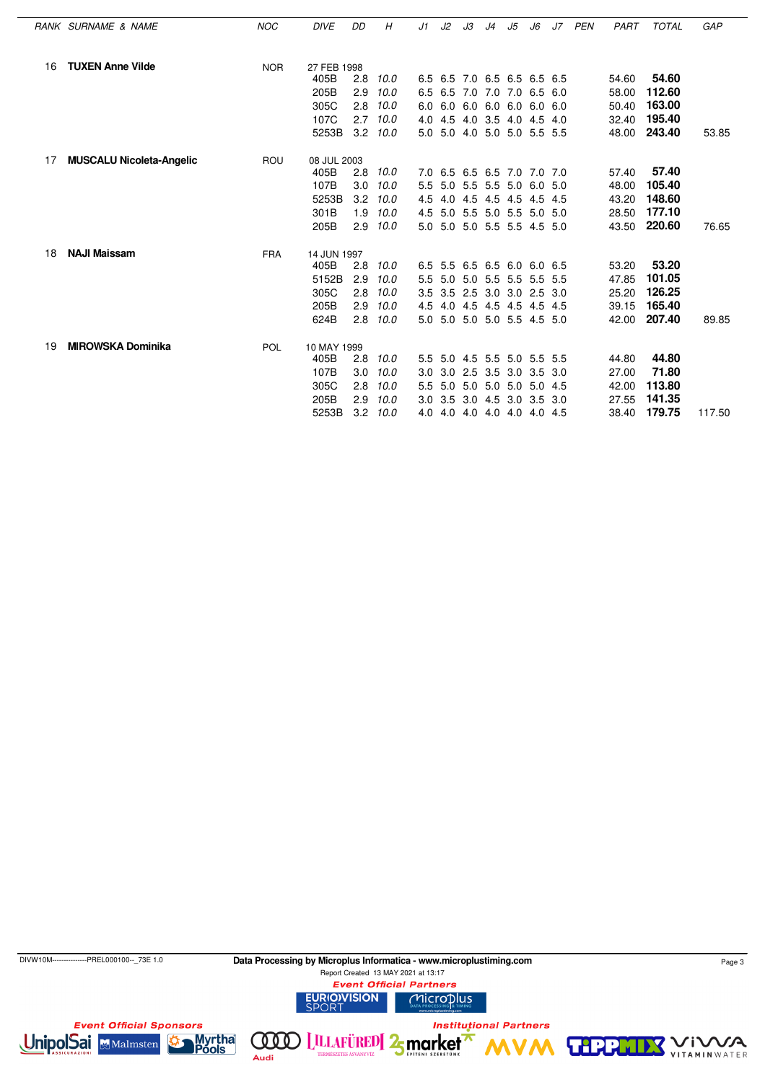|    | RANK SURNAME & NAME             | <b>NOC</b> | <b>DIVE</b> | DD  | Н    | J1  | J2            | JЗ | J4                      | J5  | J6                          | J7 | <b>PEN</b> | PART  | <b>TOTAL</b> | GAP    |
|----|---------------------------------|------------|-------------|-----|------|-----|---------------|----|-------------------------|-----|-----------------------------|----|------------|-------|--------------|--------|
| 16 | <b>TUXEN Anne Vilde</b>         | <b>NOR</b> | 27 FEB 1998 |     |      |     |               |    |                         |     |                             |    |            |       |              |        |
|    |                                 |            | 405B        | 2.8 | 10.0 |     |               |    |                         |     | 6.5 6.5 7.0 6.5 6.5 6.5 6.5 |    |            | 54.60 | 54.60        |        |
|    |                                 |            | 205B        | 2.9 | 10.0 |     | 6.5 6.5       |    | 7.0 7.0 7.0             |     | $6.5$ $6.0$                 |    |            | 58.00 | 112.60       |        |
|    |                                 |            | 305C        | 2.8 | 10.0 | 6.0 |               |    | $6.0$ $6.0$ $6.0$ $6.0$ |     | $6.0\;6.0$                  |    |            | 50.40 | 163.00       |        |
|    |                                 |            | 107C        | 2.7 | 10.0 | 4.0 |               |    |                         |     | 4.5 4.0 3.5 4.0 4.5 4.0     |    |            | 32.40 | 195.40       |        |
|    |                                 |            | 5253B       | 3.2 | 10.0 | 5.0 |               |    |                         |     | 5.0 4.0 5.0 5.0 5.5 5.5     |    |            | 48.00 | 243.40       | 53.85  |
| 17 | <b>MUSCALU Nicoleta-Angelic</b> | ROU        | 08 JUL 2003 |     |      |     |               |    |                         |     |                             |    |            |       |              |        |
|    |                                 |            | 405B        | 2.8 | 10.0 |     |               |    |                         |     | 7.0 6.5 6.5 6.5 7.0 7.0 7.0 |    |            | 57.40 | 57.40        |        |
|    |                                 |            | 107B        | 3.0 | 10.0 | 5.5 | $5.0$ 5.5 5.5 |    |                         | 5.0 | 6.05.0                      |    |            | 48.00 | 105.40       |        |
|    |                                 |            | 5253B       | 3.2 | 10.0 | 4.5 | 4.0           |    | 4.5 4.5                 | 4.5 | 4.5 4.5                     |    |            | 43.20 | 148.60       |        |
|    |                                 |            | 301B        | 1.9 | 10.0 | 4.5 |               |    |                         |     | 5.0 5.5 5.0 5.5 5.0 5.0     |    |            | 28.50 | 177.10       |        |
|    |                                 |            | 205B        | 2.9 | 10.0 |     |               |    |                         |     | 5.0 5.0 5.0 5.5 5.5 4.5 5.0 |    |            | 43.50 | 220.60       | 76.65  |
| 18 | <b>NAJI Maissam</b>             | <b>FRA</b> | 14 JUN 1997 |     |      |     |               |    |                         |     |                             |    |            |       |              |        |
|    |                                 |            | 405B        | 2.8 | 10.0 |     |               |    |                         |     | 6.5 5.5 6.5 6.5 6.0 6.0 6.5 |    |            | 53.20 | 53.20        |        |
|    |                                 |            | 5152B       | 2.9 | 10.0 |     |               |    |                         |     | 5.5 5.0 5.0 5.5 5.5 5.5 5.5 |    |            | 47.85 | 101.05       |        |
|    |                                 |            | 305C        | 2.8 | 10.0 | 3.5 |               |    |                         |     | 3.5 2.5 3.0 3.0 2.5 3.0     |    |            | 25.20 | 126.25       |        |
|    |                                 |            | 205B        | 2.9 | 10.0 |     |               |    |                         |     | 4.5 4.0 4.5 4.5 4.5 4.5 4.5 |    |            | 39.15 | 165.40       |        |
|    |                                 |            | 624B        | 2.8 | 10.0 | 5.0 | 5.0           |    |                         |     | 5.0 5.0 5.5 4.5 5.0         |    |            | 42.00 | 207.40       | 89.85  |
| 19 | <b>MIROWSKA Dominika</b>        | POL        | 10 MAY 1999 |     |      |     |               |    |                         |     |                             |    |            |       |              |        |
|    |                                 |            | 405B        | 2.8 | 10.0 |     | $5.5\ 5.0$    |    |                         |     | 4.5 5.5 5.0 5.5 5.5         |    |            | 44.80 | 44.80        |        |
|    |                                 |            | 107B        | 3.0 | 10.0 | 3.0 | 3.0           |    | $2.5$ 3.5               | 3.0 | $3.5$ $3.0$                 |    |            | 27.00 | 71.80        |        |
|    |                                 |            | 305C        | 2.8 | 10.0 | 5.5 |               |    |                         |     | 5.0 5.0 5.0 5.0 5.0 4.5     |    |            | 42.00 | 113.80       |        |
|    |                                 |            | 205B        | 2.9 | 10.0 | 3.0 |               |    |                         |     | 3.5 3.0 4.5 3.0 3.5 3.0     |    |            | 27.55 | 141.35       |        |
|    |                                 |            | 5253B       | 3.2 | 10.0 | 4.0 |               |    |                         |     | 4.0 4.0 4.0 4.0 4.0 4.5     |    |            | 38.40 | 179.75       | 117.50 |

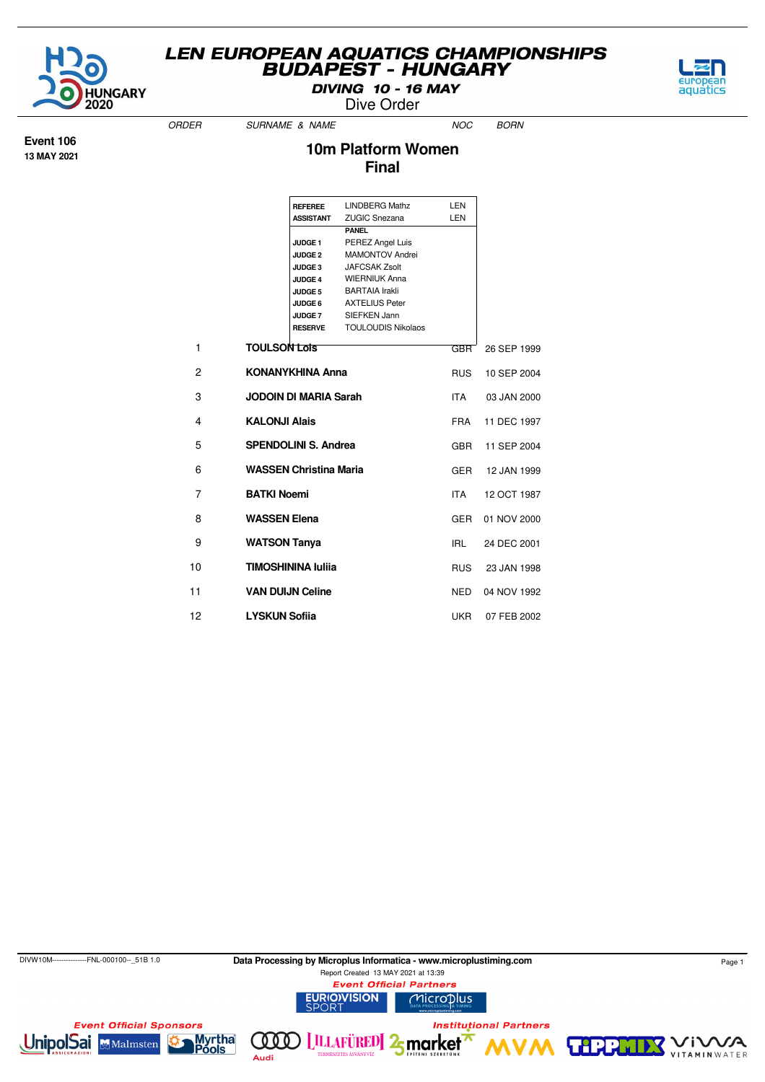

DIVING 10 - 16 MAY

Dive Order

ORDER SURNAME & NAME NOC BORN

aquatics

**Event 106 13 MAY 2021**

**10m Platform Women Final**

|                |                               | <b>REFEREE</b>   | <b>LINDBERG Mathz</b>      | LEN        |                 |
|----------------|-------------------------------|------------------|----------------------------|------------|-----------------|
|                |                               | <b>ASSISTANT</b> | <b>ZUGIC Snezana</b>       | LEN        |                 |
|                |                               |                  | <b>PANEL</b>               |            |                 |
|                |                               | <b>JUDGE 1</b>   | PEREZ Angel Luis           |            |                 |
|                |                               | <b>JUDGE 2</b>   | <b>MAMONTOV Andrei</b>     |            |                 |
|                |                               | <b>JUDGE 3</b>   | <b>JAFCSAK Zsolt</b>       |            |                 |
|                |                               |                  | JUDGE 4 WIERNIUK Anna      |            |                 |
|                |                               |                  | JUDGE 5 BARTAIA Irakli     |            |                 |
|                |                               |                  | JUDGE 6 AXTELIUS Peter     |            |                 |
|                |                               |                  | JUDGE 7 SIEFKEN Jann       |            |                 |
|                |                               |                  | RESERVE TOULOUDIS Nikolaos |            |                 |
| 1              | <b>TOULSON Lois</b>           |                  |                            | <b>GBR</b> | 26 SEP 1999     |
| $\overline{c}$ | <b>KONANYKHINA Anna</b>       |                  |                            | <b>RUS</b> | 10 SEP 2004     |
| 3              | <b>JODOIN DI MARIA Sarah</b>  |                  |                            | ITA        | 03 JAN 2000     |
| 4              | <b>KALONJI Alais</b>          |                  |                            | FRA        | 11 DEC 1997     |
| 5              | <b>SPENDOLINI S. Andrea</b>   |                  |                            | GBR        | 11 SEP 2004     |
| 6              | <b>WASSEN Christina Maria</b> |                  |                            | GER        | 12 JAN 1999     |
| 7              | <b>BATKI Noemi</b>            |                  |                            | ITA        | 12 OCT 1987     |
| 8              | <b>WASSEN Elena</b>           |                  |                            | GER        | 01 NOV 2000     |
| 9              | <b>WATSON Tanya</b>           |                  |                            | IRL        | 24 DEC 2001     |
| 10             | <b>TIMOSHININA Iulija</b>     |                  |                            |            | RUS 23 JAN 1998 |
| 11             | <b>VAN DUIJN Celine</b>       |                  |                            | NED        | 04 NOV 1992     |
| 12             | <b>LYSKUN Sofiia</b>          |                  |                            | <b>UKR</b> | 07 FEB 2002     |

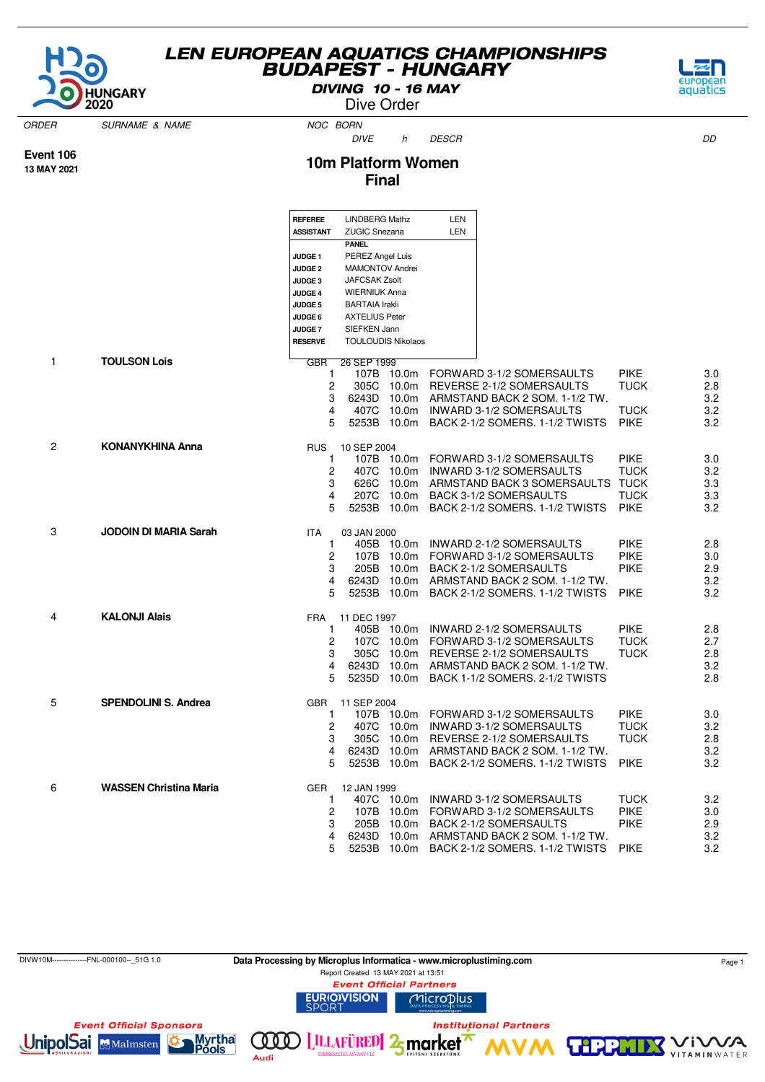

DIVING 10 - 16 MAY

Dive Order



ORDER SURNAME & NAME NOC BORN

**Event 106**

**13 MAY 2021**

DIVE h DESCR DD

**10m Platform Women Final**

|                |                               | <b>REFEREE</b>                                                    | <b>LINDBERG Mathz</b>                                                                                      |                                        | LEN |                                                                   |                            |            |
|----------------|-------------------------------|-------------------------------------------------------------------|------------------------------------------------------------------------------------------------------------|----------------------------------------|-----|-------------------------------------------------------------------|----------------------------|------------|
|                |                               | <b>ASSISTANT</b>                                                  | <b>ZUGIC Snezana</b>                                                                                       |                                        | LEN |                                                                   |                            |            |
|                |                               | JUDGE 1<br><b>JUDGE 2</b><br>JUDGE <sub>3</sub><br><b>JUDGE 4</b> | <b>PANEL</b><br>PEREZ Angel Luis<br><b>MAMONTOV Andrei</b><br><b>JAFCSAK Zsolt</b><br><b>WIERNIUK Anna</b> |                                        |     |                                                                   |                            |            |
|                |                               | JUDGE 5                                                           | <b>BARTAIA</b> Irakli                                                                                      |                                        |     |                                                                   |                            |            |
|                |                               | JUDGE 6                                                           | <b>AXTELIUS Peter</b>                                                                                      |                                        |     |                                                                   |                            |            |
|                |                               | JUDGE 7                                                           | SIEFKEN Jann                                                                                               |                                        |     |                                                                   |                            |            |
|                |                               | <b>RESERVE</b>                                                    | <b>TOULOUDIS Nikolaos</b>                                                                                  |                                        |     |                                                                   |                            |            |
| 1              | <b>TOULSON Lois</b>           | <b>GBR</b>                                                        | 26 SEP 1999                                                                                                |                                        |     |                                                                   |                            |            |
|                |                               | 1                                                                 |                                                                                                            | 107B 10.0m                             |     | FORWARD 3-1/2 SOMERSAULTS                                         | <b>PIKE</b>                | 3.0        |
|                |                               | $\overline{c}$                                                    | 305C                                                                                                       | 10.0m                                  |     | REVERSE 2-1/2 SOMERSAULTS                                         | <b>TUCK</b>                | 2.8        |
|                |                               | 3                                                                 | 6243D                                                                                                      | 10.0 <sub>m</sub>                      |     | ARMSTAND BACK 2 SOM, 1-1/2 TW.                                    |                            | 3.2        |
|                |                               | 4                                                                 | 407C                                                                                                       | 10.0 <sub>m</sub>                      |     | <b>INWARD 3-1/2 SOMERSAULTS</b>                                   | <b>TUCK</b>                | 3.2        |
|                |                               | 5                                                                 | 5253B 10.0m                                                                                                |                                        |     | BACK 2-1/2 SOMERS. 1-1/2 TWISTS                                   | <b>PIKE</b>                | 3.2        |
|                |                               |                                                                   |                                                                                                            |                                        |     |                                                                   |                            |            |
| $\overline{c}$ | <b>KONANYKHINA Anna</b>       | <b>RUS</b>                                                        | 10 SEP 2004                                                                                                |                                        |     |                                                                   |                            |            |
|                |                               | 1                                                                 |                                                                                                            | 107B 10.0m                             |     | FORWARD 3-1/2 SOMERSAULTS                                         | <b>PIKE</b>                | 3.0        |
|                |                               | $\overline{2}$<br>3                                               | 407C<br>626C                                                                                               | 10.0m                                  |     | INWARD 3-1/2 SOMERSAULTS<br>ARMSTAND BACK 3 SOMERSAULTS           | <b>TUCK</b>                | 3.2        |
|                |                               | 4                                                                 | 207C                                                                                                       | 10.0m<br>10.0m                         |     | <b>BACK 3-1/2 SOMERSAULTS</b>                                     | TUCK<br><b>TUCK</b>        | 3.3<br>3.3 |
|                |                               | 5                                                                 | 5253B 10.0m                                                                                                |                                        |     | BACK 2-1/2 SOMERS, 1-1/2 TWISTS                                   | <b>PIKE</b>                | 3.2        |
|                |                               |                                                                   |                                                                                                            |                                        |     |                                                                   |                            |            |
| 3              | <b>JODOIN DI MARIA Sarah</b>  | <b>ITA</b>                                                        | 03 JAN 2000                                                                                                |                                        |     |                                                                   |                            |            |
|                |                               | 1                                                                 | 405B                                                                                                       | 10.0m                                  |     | INWARD 2-1/2 SOMERSAULTS                                          | <b>PIKE</b>                | 2.8        |
|                |                               | $\overline{2}$                                                    | 107B                                                                                                       | 10.0m                                  |     | FORWARD 3-1/2 SOMERSAULTS                                         | <b>PIKE</b>                | 3.0        |
|                |                               | 3                                                                 | 205B                                                                                                       | 10.0m                                  |     | BACK 2-1/2 SOMERSAULTS                                            | PIKE                       | 2.9        |
|                |                               | 4                                                                 | 6243D                                                                                                      | 10.0 <sub>m</sub>                      |     | ARMSTAND BACK 2 SOM. 1-1/2 TW.                                    |                            | 3.2        |
|                |                               | 5                                                                 | 5253B                                                                                                      | 10.0 <sub>m</sub>                      |     | BACK 2-1/2 SOMERS. 1-1/2 TWISTS                                   | <b>PIKE</b>                | 3.2        |
| 4              | <b>KALONJI Alais</b>          | FRA                                                               | 11 DEC 1997                                                                                                |                                        |     |                                                                   |                            |            |
|                |                               | 1                                                                 |                                                                                                            | 405B 10.0m                             |     | INWARD 2-1/2 SOMERSAULTS                                          | <b>PIKE</b>                | 2.8        |
|                |                               | $\overline{c}$                                                    | 107C                                                                                                       | 10.0 <sub>m</sub>                      |     | FORWARD 3-1/2 SOMERSAULTS                                         | <b>TUCK</b>                | 2.7        |
|                |                               | 3                                                                 | 305C                                                                                                       | 10.0 <sub>m</sub>                      |     | REVERSE 2-1/2 SOMERSAULTS                                         | <b>TUCK</b>                | 2.8        |
|                |                               | 4                                                                 | 6243D                                                                                                      | 10.0 <sub>m</sub>                      |     | ARMSTAND BACK 2 SOM. 1-1/2 TW.                                    |                            | 3.2        |
|                |                               | 5                                                                 | 5235D                                                                                                      | 10.0m                                  |     | BACK 1-1/2 SOMERS. 2-1/2 TWISTS                                   |                            | 2.8        |
|                |                               |                                                                   |                                                                                                            |                                        |     |                                                                   |                            |            |
| 5              | <b>SPENDOLINI S. Andrea</b>   | <b>GBR</b>                                                        | 11 SEP 2004                                                                                                |                                        |     |                                                                   |                            |            |
|                |                               | 1                                                                 | 107B                                                                                                       | 10.0m                                  |     | FORWARD 3-1/2 SOMERSAULTS                                         | <b>PIKE</b>                | 3.0        |
|                |                               | $\overline{c}$<br>3                                               | 407C<br>305C                                                                                               | 10.0 <sub>m</sub><br>10.0 <sub>m</sub> |     | INWARD 3-1/2 SOMERSAULTS<br>REVERSE 2-1/2 SOMERSAULTS             | <b>TUCK</b><br><b>TUCK</b> | 3.2<br>2.8 |
|                |                               | 4                                                                 | 6243D                                                                                                      | 10.0 <sub>m</sub>                      |     | ARMSTAND BACK 2 SOM. 1-1/2 TW.                                    |                            | 3.2        |
|                |                               | 5                                                                 | 5253B                                                                                                      | 10.0 <sub>m</sub>                      |     | BACK 2-1/2 SOMERS, 1-1/2 TWISTS                                   | <b>PIKE</b>                | 3.2        |
|                |                               |                                                                   |                                                                                                            |                                        |     |                                                                   |                            |            |
| 6              | <b>WASSEN Christina Maria</b> | <b>GER</b>                                                        | 12 JAN 1999                                                                                                |                                        |     |                                                                   |                            |            |
|                |                               | 1                                                                 | 407C                                                                                                       | 10.0m                                  |     | INWARD 3-1/2 SOMERSAULTS                                          | <b>TUCK</b>                | 3.2        |
|                |                               | 2                                                                 | 107B                                                                                                       | 10.0m                                  |     | FORWARD 3-1/2 SOMERSAULTS                                         | <b>PIKE</b>                | 3.0        |
|                |                               | 3                                                                 | 205B                                                                                                       | 10.0 <sub>m</sub>                      |     | BACK 2-1/2 SOMERSAULTS                                            | <b>PIKE</b>                | 2.9        |
|                |                               | 4<br>5                                                            | 6243D<br>5253B 10.0m                                                                                       | 10.0 <sub>m</sub>                      |     | ARMSTAND BACK 2 SOM, 1-1/2 TW.<br>BACK 2-1/2 SOMERS, 1-1/2 TWISTS | <b>PIKE</b>                | 3.2<br>3.2 |
|                |                               |                                                                   |                                                                                                            |                                        |     |                                                                   |                            |            |

DIVW10M---------------FNL-000100--\_51G 1.0 **Data Processing by Microplus Informatica - www.microplustiming.com** Page 1 Report Created 13 MAY 2021 at 13:51**Event Official Partners RIOVISION** Microplus **Event Official Sponsors Institutional Partners Myrtha UnipolSai**  $\overline{\mathbf{M}}$  $\mathbf{Q}$ **LILLAFÜRED** 2 market Malmsten VA **TIPP** 'i V

ools

Audi



**VITAMIN** WATER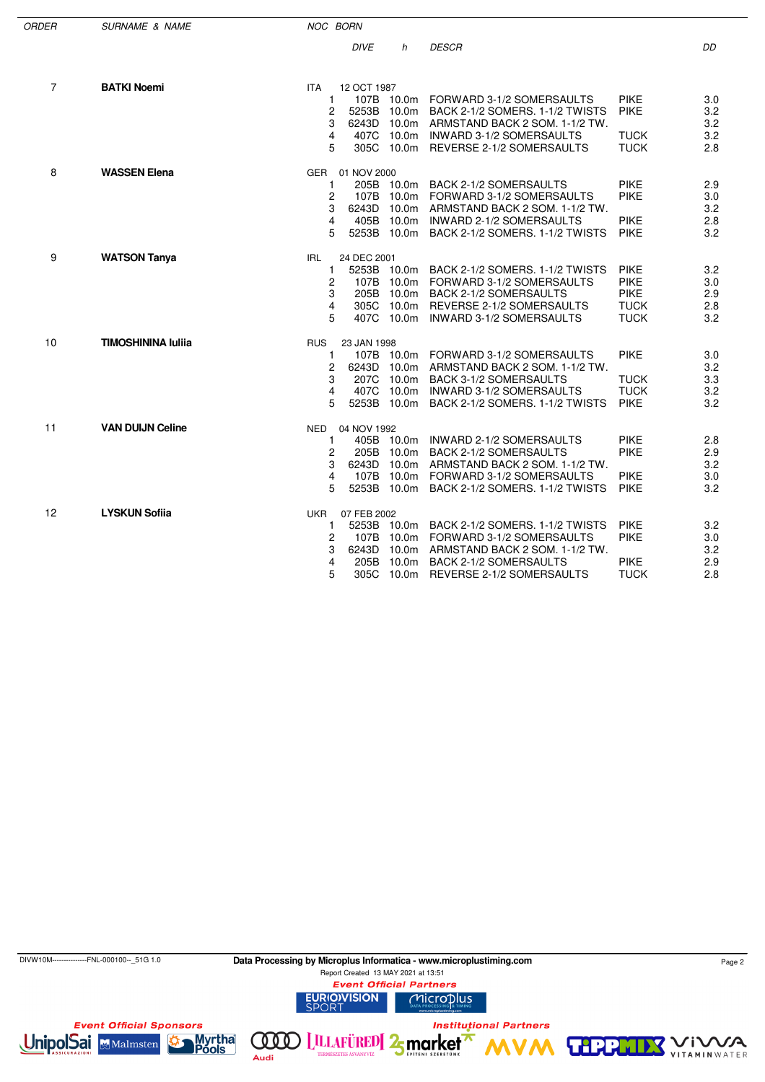| <i>ORDER</i>   | <b>SURNAME &amp; NAME</b> | NOC BORN                                 |                                                                                                                                                        |
|----------------|---------------------------|------------------------------------------|--------------------------------------------------------------------------------------------------------------------------------------------------------|
|                |                           | <b>DIVE</b><br><b>DESCR</b><br>h         | DD                                                                                                                                                     |
| $\overline{7}$ | <b>BATKI Noemi</b>        | 12 OCT 1987<br><b>ITA</b>                |                                                                                                                                                        |
|                |                           | 107B 10.0m<br>1<br>2<br>5253B 10.0m      | FORWARD 3-1/2 SOMERSAULTS<br><b>PIKE</b><br>3.0<br>BACK 2-1/2 SOMERS. 1-1/2 TWISTS<br><b>PIKE</b><br>3.2                                               |
|                |                           | 3<br>4<br>407C 10.0m<br>5<br>305C 10.0m  | 6243D 10.0m ARMSTAND BACK 2 SOM, 1-1/2 TW.<br>3.2<br>3.2<br>INWARD 3-1/2 SOMERSAULTS<br><b>TUCK</b><br>REVERSE 2-1/2 SOMERSAULTS<br><b>TUCK</b><br>2.8 |
| 8              | <b>WASSEN Elena</b>       | GER 01 NOV 2000                          |                                                                                                                                                        |
|                |                           | 205B 10.0m<br>1                          | 2.9<br>BACK 2-1/2 SOMERSAULTS<br>PIKE                                                                                                                  |
|                |                           | $\overline{2}$<br>107B 10.0m             | FORWARD 3-1/2 SOMERSAULTS<br><b>PIKE</b><br>3.0                                                                                                        |
|                |                           | 6243D 10.0m<br>3                         | 3.2<br>ARMSTAND BACK 2 SOM. 1-1/2 TW.                                                                                                                  |
|                |                           | 405B 10.0m INWARD 2-1/2 SOMERSAULTS<br>4 | 2.8<br><b>PIKE</b>                                                                                                                                     |
|                |                           | 5<br>5253B 10.0m                         | BACK 2-1/2 SOMERS, 1-1/2 TWISTS<br><b>PIKE</b><br>3.2                                                                                                  |
| 9              | <b>WATSON Tanya</b>       | 24 DEC 2001<br>IRL                       |                                                                                                                                                        |
|                |                           | 5253B 10.0m<br>1                         | BACK 2-1/2 SOMERS. 1-1/2 TWISTS<br><b>PIKE</b><br>3.2                                                                                                  |
|                |                           | $\overline{2}$                           | 107B 10.0m FORWARD 3-1/2 SOMERSAULTS<br><b>PIKE</b><br>3.0                                                                                             |
|                |                           | 3<br>205B 10.0m<br>305C 10.0m<br>4       | BACK 2-1/2 SOMERSAULTS<br><b>PIKE</b><br>2.9<br>REVERSE 2-1/2 SOMERSAULTS<br><b>TUCK</b><br>2.8                                                        |
|                |                           | 5<br>407C 10.0m INWARD 3-1/2 SOMERSAULTS | 3.2<br><b>TUCK</b>                                                                                                                                     |
| 10             | <b>TIMOSHININA Iulija</b> | 23 JAN 1998<br><b>RUS</b>                |                                                                                                                                                        |
|                |                           | 107B 10.0m<br>1                          | FORWARD 3-1/2 SOMERSAULTS<br><b>PIKE</b><br>3.0                                                                                                        |
|                |                           | 2                                        | 6243D 10.0m ARMSTAND BACK 2 SOM. 1-1/2 TW.<br>3.2                                                                                                      |
|                |                           | 3<br>207C 10.0m BACK 3-1/2 SOMERSAULTS   | <b>TUCK</b><br>3.3                                                                                                                                     |
|                |                           | 407C 10.0m<br>4                          | INWARD 3-1/2 SOMERSAULTS<br>3.2<br><b>TUCK</b>                                                                                                         |
|                |                           | 5                                        | 5253B 10.0m BACK 2-1/2 SOMERS. 1-1/2 TWISTS<br><b>PIKE</b><br>3.2                                                                                      |
| 11             | <b>VAN DUIJN Celine</b>   | <b>NED</b><br>04 NOV 1992                |                                                                                                                                                        |
|                |                           | 1<br>405B 10.0m INWARD 2-1/2 SOMERSAULTS | 2.8<br><b>PIKE</b>                                                                                                                                     |
|                |                           | 2<br>205B 10.0m                          | <b>BACK 2-1/2 SOMERSAULTS</b><br><b>PIKE</b><br>2.9                                                                                                    |
|                |                           | 3                                        | 3.2<br>6243D 10.0m ARMSTAND BACK 2 SOM. 1-1/2 TW.                                                                                                      |
|                |                           | 4                                        | 107B 10.0m FORWARD 3-1/2 SOMERSAULTS<br><b>PIKE</b><br>3.0                                                                                             |
|                |                           | 5<br>5253B 10.0m                         | BACK 2-1/2 SOMERS. 1-1/2 TWISTS<br><b>PIKE</b><br>3.2                                                                                                  |
| 12             | <b>LYSKUN Sofiia</b>      | <b>UKR</b><br>07 FEB 2002                |                                                                                                                                                        |
|                |                           | 5253B 10.0m<br>1                         | 3.2<br>BACK 2-1/2 SOMERS. 1-1/2 TWISTS<br><b>PIKE</b>                                                                                                  |
|                |                           | 2<br>6243D 10.0m<br>3                    | 107B 10.0m FORWARD 3-1/2 SOMERSAULTS<br><b>PIKE</b><br>3.0<br>3.2<br>ARMSTAND BACK 2 SOM. 1-1/2 TW.                                                    |
|                |                           | 4<br>205B 10.0m                          | 2.9<br>BACK 2-1/2 SOMERSAULTS<br>PIKE                                                                                                                  |
|                |                           | 5<br>305C 10.0m                          | REVERSE 2-1/2 SOMERSAULTS<br><b>TUCK</b><br>2.8                                                                                                        |
|                |                           |                                          |                                                                                                                                                        |

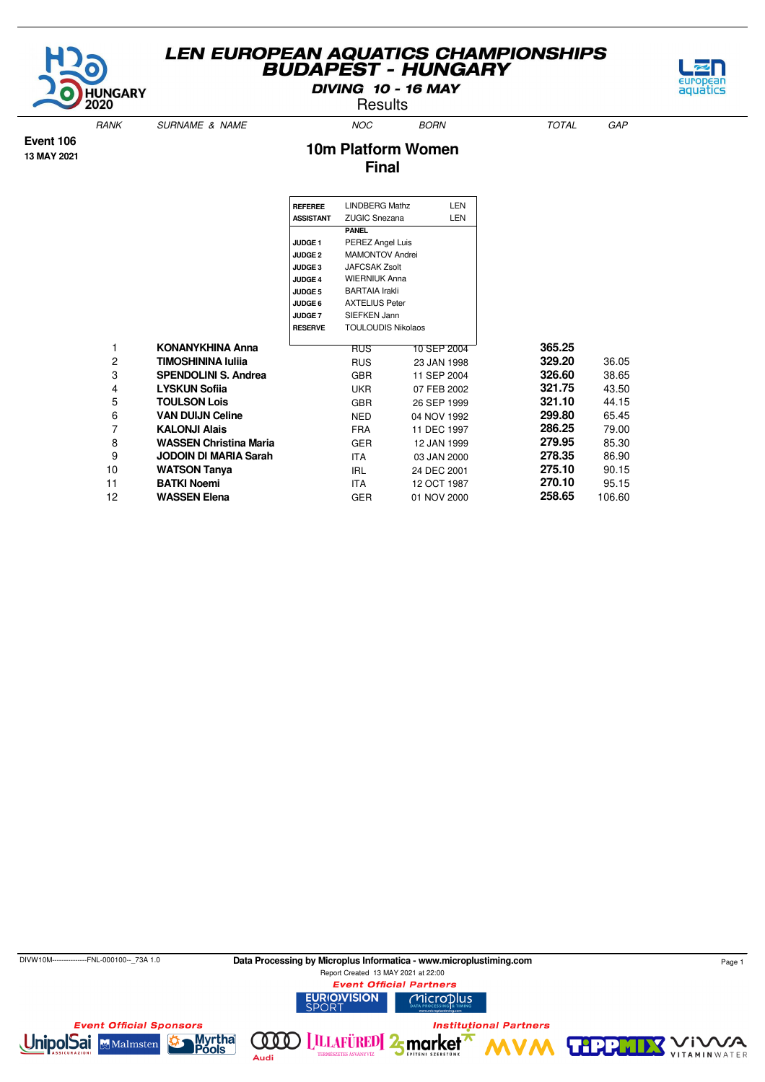

DIVING 10 - 16 MAY

**Results** 

aquatics

**Event 106 13 MAY 2021** RANK SURNAME & NAME NOC BORN TOTAL GAP

#### **10m Platform Women Final**

|                |                               | <b>REFEREE</b>     | <b>LINDBERG Mathz</b>     | <b>LEN</b>  |        |        |
|----------------|-------------------------------|--------------------|---------------------------|-------------|--------|--------|
|                |                               | <b>ASSISTANT</b>   | <b>ZUGIC Snezana</b>      | <b>LEN</b>  |        |        |
|                |                               |                    | <b>PANEL</b>              |             |        |        |
|                |                               | JUDGE <sub>1</sub> | PEREZ Angel Luis          |             |        |        |
|                |                               | <b>JUDGE 2</b>     | <b>MAMONTOV Andrei</b>    |             |        |        |
|                |                               | <b>JUDGE 3</b>     | <b>JAFCSAK Zsolt</b>      |             |        |        |
|                |                               | <b>JUDGE 4</b>     | <b>WIERNIUK Anna</b>      |             |        |        |
|                |                               | <b>JUDGE 5</b>     | <b>BARTAIA Irakli</b>     |             |        |        |
|                |                               | <b>JUDGE 6</b>     | <b>AXTELIUS Peter</b>     |             |        |        |
|                |                               | <b>JUDGE 7</b>     | SIEFKEN Jann              |             |        |        |
|                |                               | <b>RESERVE</b>     | <b>TOULOUDIS Nikolaos</b> |             |        |        |
|                | <b>KONANYKHINA Anna</b>       |                    | <b>RUS</b>                | 10 SEP 2004 | 365.25 |        |
| $\overline{c}$ | <b>TIMOSHININA Iulija</b>     |                    | <b>RUS</b>                | 23 JAN 1998 | 329.20 | 36.05  |
| 3              | <b>SPENDOLINI S. Andrea</b>   |                    | <b>GBR</b>                | 11 SEP 2004 | 326.60 | 38.65  |
| $\overline{4}$ | <b>LYSKUN Sofiia</b>          |                    | <b>UKR</b>                | 07 FEB 2002 | 321.75 | 43.50  |
| 5              | <b>TOULSON Lois</b>           |                    | <b>GBR</b>                | 26 SEP 1999 | 321.10 | 44.15  |
| 6              | <b>VAN DUIJN Celine</b>       |                    | NED.                      | 04 NOV 1992 | 299.80 | 65.45  |
| 7              | <b>KALONJI Alais</b>          |                    | <b>FRA</b>                | 11 DEC 1997 | 286.25 | 79.00  |
| 8              | <b>WASSEN Christina Maria</b> |                    | <b>GER</b>                | 12 JAN 1999 | 279.95 | 85.30  |
| 9              | <b>JODOIN DI MARIA Sarah</b>  |                    | <b>ITA</b>                | 03 JAN 2000 | 278.35 | 86.90  |
| 10             | <b>WATSON Tanya</b>           |                    | <b>IRL</b>                | 24 DEC 2001 | 275.10 | 90.15  |
| 11             | <b>BATKI Noemi</b>            |                    | <b>ITA</b>                | 12 OCT 1987 | 270.10 | 95.15  |
| 12             | <b>WASSEN Elena</b>           |                    | <b>GER</b>                | 01 NOV 2000 | 258.65 | 106.60 |

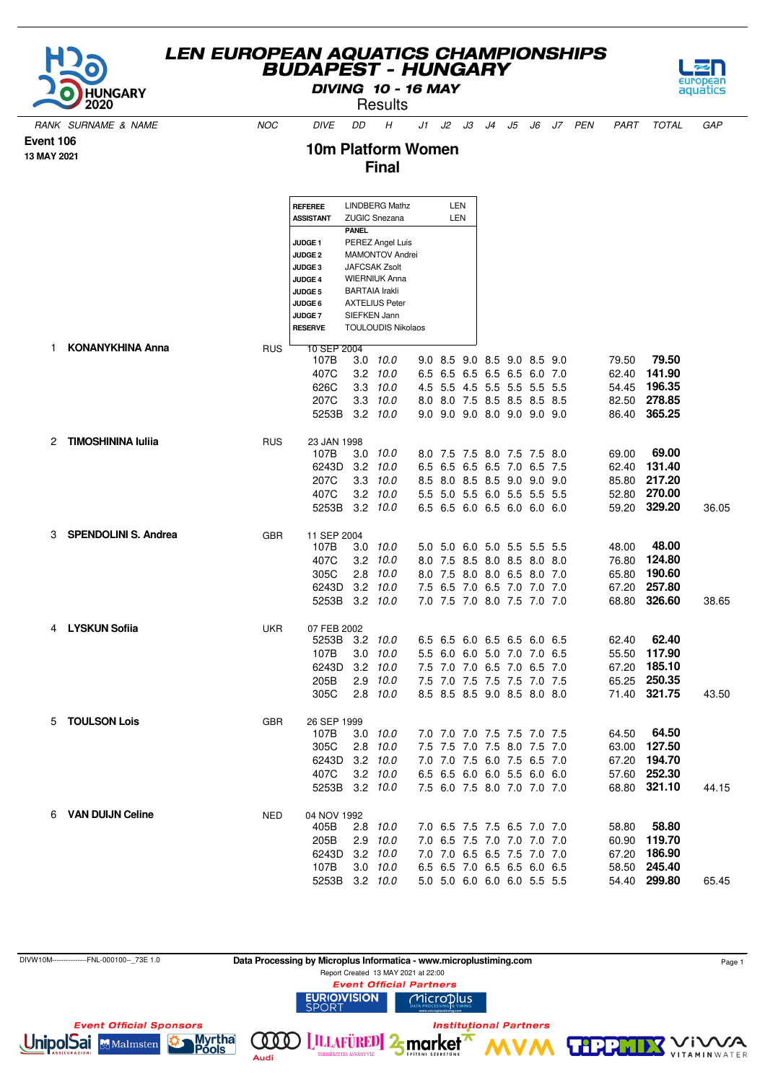



**Results** 



**VITAMIN** WATER

RANK SURNAME & NAME TOTAL GAP NOC DIVE DD H J1 J2 J3 J4 J5 J6 J7 PEN PART TOTAL GAP

**Event 106 13 MAY 2021**

#### **10m Platform Women Final**

|   |                                           | <b>REFEREE</b>     |                | <b>LINDBERG Mathz</b>     |     | LEN |                             |         |       |              |       |
|---|-------------------------------------------|--------------------|----------------|---------------------------|-----|-----|-----------------------------|---------|-------|--------------|-------|
|   |                                           | <b>ASSISTANT</b>   |                | <b>ZUGIC Snezana</b>      |     | LEN |                             |         |       |              |       |
|   |                                           |                    | <b>PANEL</b>   |                           |     |     |                             |         |       |              |       |
|   |                                           | <b>JUDGE1</b>      |                | PEREZ Angel Luis          |     |     |                             |         |       |              |       |
|   |                                           | JUDGE <sub>2</sub> |                | <b>MAMONTOV Andrei</b>    |     |     |                             |         |       |              |       |
|   |                                           | JUDGE <sub>3</sub> |                | <b>JAFCSAK Zsolt</b>      |     |     |                             |         |       |              |       |
|   |                                           | JUDGE 4            |                | <b>WIERNIUK Anna</b>      |     |     |                             |         |       |              |       |
|   |                                           | JUDGE 5            |                | <b>BARTAIA Irakli</b>     |     |     |                             |         |       |              |       |
|   |                                           | <b>JUDGE 6</b>     |                | <b>AXTELIUS Peter</b>     |     |     |                             |         |       |              |       |
|   |                                           | JUDGE <sub>7</sub> |                | SIEFKEN Jann              |     |     |                             |         |       |              |       |
|   |                                           | <b>RESERVE</b>     |                | <b>TOULOUDIS Nikolaos</b> |     |     |                             |         |       |              |       |
| 1 | <b>KONANYKHINA Anna</b><br><b>RUS</b>     |                    | 10 SEP 2004    |                           |     |     |                             |         |       |              |       |
|   |                                           | 107B               | 3.0            | 10.0                      |     |     | 9.0 8.5 9.0 8.5 9.0 8.5 9.0 |         | 79.50 | 79.50        |       |
|   |                                           | 407C               |                | $3.2$ $10.0$              |     |     | 6.5 6.5 6.5 6.5 6.5 6.0 7.0 |         | 62.40 | 141.90       |       |
|   |                                           | 626C               |                | $3.3$ $10.0$              |     |     | 4.5 5.5 4.5 5.5 5.5 5.5 5.5 |         | 54.45 | 196.35       |       |
|   |                                           | 207C               | 3.3            | 10.0                      |     |     | 8.0 8.0 7.5 8.5 8.5 8.5 8.5 |         | 82.50 | 278.85       |       |
|   |                                           | 5253B              |                | $3.2$ $10.0$              |     |     | 9.0 9.0 9.0 8.0 9.0 9.0 9.0 |         | 86.40 | 365.25       |       |
|   |                                           |                    |                |                           |     |     |                             |         |       |              |       |
| 2 | <b>TIMOSHININA Iuliia</b><br><b>RUS</b>   |                    | 23 JAN 1998    |                           |     |     |                             |         |       |              |       |
|   |                                           | 107B               |                | $3.0$ $10.0$              |     |     | 8.0 7.5 7.5 8.0 7.5 7.5 8.0 |         | 69.00 | 69.00        |       |
|   |                                           | 6243D              |                | $3.2 \quad 10.0$          |     |     | 6.5 6.5 6.5 6.5 7.0         | 6.5 7.5 | 62.40 | 131.40       |       |
|   |                                           | 207C               |                | 3.3 10.0                  |     |     | 8.5 8.0 8.5 8.5 9.0 9.0 9.0 |         | 85.80 | 217.20       |       |
|   |                                           | 407C               |                | $3.2 \quad 10.0$          | 5.5 |     | 5.0 5.5 6.0 5.5 5.5 5.5     |         | 52.80 | 270.00       |       |
|   |                                           | 5253B              |                | $3.2$ $10.0$              | 6.5 |     | 6.5 6.0 6.5 6.0 6.0 6.0     |         | 59.20 | 329.20       | 36.05 |
|   |                                           |                    |                |                           |     |     |                             |         |       |              |       |
| 3 | <b>SPENDOLINI S. Andrea</b><br><b>GBR</b> |                    | 11 SEP 2004    |                           |     |     |                             |         |       |              |       |
|   |                                           | 107B               |                | $3.0$ $10.0$              |     |     | 5.0 5.0 6.0 5.0 5.5 5.5 5.5 |         | 48.00 | 48.00        |       |
|   |                                           | 407C               |                | $3.2$ $10.0$              |     |     | 8.0 7.5 8.5 8.0 8.5 8.0 8.0 |         | 76.80 | 124.80       |       |
|   |                                           | 305C               |                | $2.8$ $10.0$              |     |     | 8.0 7.5 8.0 8.0 6.5 8.0 7.0 |         | 65.80 | 190.60       |       |
|   |                                           | 6243D              |                | $3.2$ $10.0$              |     |     | 7.5 6.5 7.0 6.5 7.0 7.0 7.0 |         | 67.20 | 257.80       |       |
|   |                                           | 5253B              |                | $3.2$ $10.0$              |     |     | 7.0 7.5 7.0 8.0 7.5 7.0 7.0 |         | 68.80 | 326.60       | 38.65 |
|   |                                           |                    |                |                           |     |     |                             |         |       |              |       |
| 4 | <b>LYSKUN Sofiia</b><br><b>UKR</b>        |                    | 07 FEB 2002    |                           |     |     |                             |         |       |              |       |
|   |                                           | 5253B              |                | $3.2$ $10.0$              |     |     | 6.5 6.5 6.0 6.5 6.5 6.0 6.5 |         | 62.40 | 62.40        |       |
|   |                                           | 107B               | 3.0            | 10.0                      |     |     | 5.5 6.0 6.0 5.0 7.0 7.0 6.5 |         | 55.50 | 117.90       |       |
|   |                                           | 6243D              |                | $3.2$ $10.0$              |     |     | 7.5 7.0 7.0 6.5 7.0 6.5 7.0 |         | 67.20 | 185.10       |       |
|   |                                           | 205B               |                | 2.9 10.0                  |     |     | 7.5 7.0 7.5 7.5 7.5 7.0 7.5 |         | 65.25 | 250.35       |       |
|   |                                           | 305C               |                | $2.8$ $10.0$              |     |     | 8.5 8.5 8.5 9.0 8.5 8.0 8.0 |         | 71.40 | 321.75       | 43.50 |
|   |                                           |                    |                |                           |     |     |                             |         |       |              |       |
| 5 | <b>TOULSON Lois</b><br><b>GBR</b>         |                    | 26 SEP 1999    |                           |     |     |                             |         |       |              |       |
|   |                                           | 107B               |                | $3.0$ $10.0$              |     |     | 7.0 7.0 7.0 7.5 7.5 7.0 7.5 |         | 64.50 | 64.50        |       |
|   |                                           | 305C               |                | $2.8$ $10.0$              |     |     | 7.5 7.5 7.0 7.5 8.0 7.5 7.0 |         | 63.00 | 127.50       |       |
|   |                                           | 6243D              |                | $3.2$ $10.0$              |     |     | 7.0 7.0 7.5 6.0 7.5 6.5 7.0 |         | 67.20 | 194.70       |       |
|   |                                           | 407C               |                | $3.2$ $10.0$              |     |     | 6.5 6.5 6.0 6.0 5.5 6.0 6.0 |         | 57.60 | 252.30       |       |
|   |                                           |                    |                |                           |     |     |                             |         |       | 68.80 321.10 |       |
|   |                                           |                    | 5253B 3.2 10.0 |                           |     |     | 7.5 6.0 7.5 8.0 7.0 7.0 7.0 |         |       |              | 44.15 |
|   | 6 VAN DUIJN Celine<br><b>NED</b>          |                    | 04 NOV 1992    |                           |     |     |                             |         |       |              |       |
|   |                                           | 405B               |                | $2.8$ 10.0                |     |     | 7.0 6.5 7.5 7.5 6.5 7.0 7.0 |         | 58.80 | 58.80        |       |
|   |                                           | 205B               |                | $2.9$ $10.0$              |     |     | 7.0 6.5 7.5 7.0 7.0 7.0 7.0 |         |       | 60.90 119.70 |       |
|   |                                           |                    | 6243D 3.2 10.0 |                           |     |     | 7.0 7.0 6.5 6.5 7.5 7.0 7.0 |         | 67.20 | 186.90       |       |
|   |                                           | 107B               |                | $3.0$ $10.0$              |     |     |                             |         |       | 245.40       |       |
|   |                                           |                    |                |                           |     |     | 6.5 6.5 7.0 6.5 6.5 6.0 6.5 |         | 58.50 | 54.40 299.80 |       |
|   |                                           |                    | 5253B 3.2 10.0 |                           |     |     | 5.0 5.0 6.0 6.0 6.0 5.5 5.5 |         |       |              | 65.45 |
|   |                                           |                    |                |                           |     |     |                             |         |       |              |       |

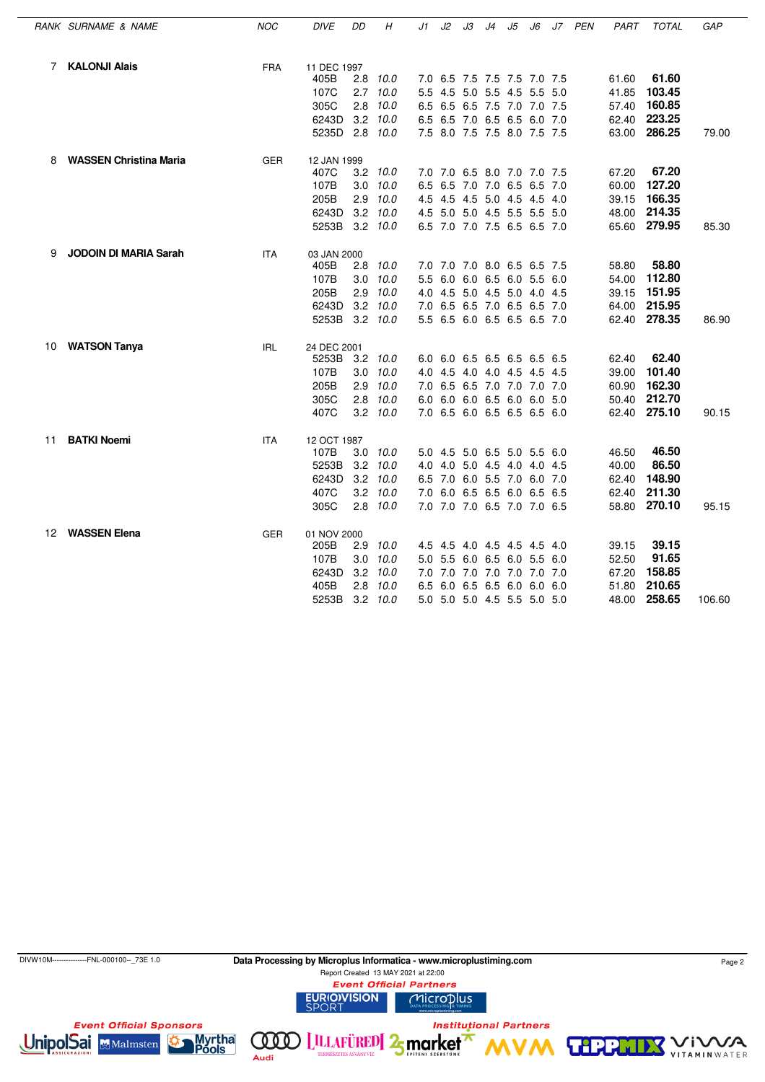|    | RANK SURNAME & NAME           | <b>NOC</b> | <b>DIVE</b>    | DD  | Η                | J1. | J2 | JЗ          | J4                          | J5  | J6         | J7 | PEN | PART  | <b>TOTAL</b> | <b>GAP</b> |
|----|-------------------------------|------------|----------------|-----|------------------|-----|----|-------------|-----------------------------|-----|------------|----|-----|-------|--------------|------------|
| 7  | <b>KALONJI Alais</b>          | <b>FRA</b> | 11 DEC 1997    |     |                  |     |    |             |                             |     |            |    |     |       |              |            |
|    |                               |            | 405B           |     | $2.8$ 10.0       |     |    |             | 7.0 6.5 7.5 7.5 7.5 7.0 7.5 |     |            |    |     | 61.60 | 61.60        |            |
|    |                               |            | 107C           |     | $2.7$ $10.0$     | 5.5 |    | 4.5 5.0 5.5 |                             | 4.5 | $5.5\ 5.0$ |    |     | 41.85 | 103.45       |            |
|    |                               |            | 305C           | 2.8 | 10.0             |     |    |             | 6.5 6.5 6.5 7.5 7.0 7.0 7.5 |     |            |    |     | 57.40 | 160.85       |            |
|    |                               |            | 6243D          |     | $3.2$ $10.0$     |     |    |             | 6.5 6.5 7.0 6.5 6.5 6.0 7.0 |     |            |    |     | 62.40 | 223.25       |            |
|    |                               |            | 5235D 2.8 10.0 |     |                  |     |    |             | 7.5 8.0 7.5 7.5 8.0 7.5 7.5 |     |            |    |     | 63.00 | 286.25       | 79.00      |
| 8  | <b>WASSEN Christina Maria</b> | <b>GER</b> | 12 JAN 1999    |     |                  |     |    |             |                             |     |            |    |     |       |              |            |
|    |                               |            | 407C           |     | $3.2 \quad 10.0$ |     |    |             | 7.0 7.0 6.5 8.0 7.0 7.0 7.5 |     |            |    |     | 67.20 | 67.20        |            |
|    |                               |            | 107B           | 3.0 | 10.0             | 6.5 |    |             | 6.5 7.0 7.0 6.5 6.5 7.0     |     |            |    |     | 60.00 | 127.20       |            |
|    |                               |            | 205B           | 2.9 | 10.0             |     |    |             | 4.5 4.5 4.5 5.0 4.5 4.5 4.0 |     |            |    |     | 39.15 | 166.35       |            |
|    |                               |            | 6243D          |     | $3.2 \quad 10.0$ |     |    |             | 4.5 5.0 5.0 4.5 5.5 5.5 5.0 |     |            |    |     | 48.00 | 214.35       |            |
|    |                               |            | 5253B          |     | $3.2$ $10.0$     |     |    |             | 6.5 7.0 7.0 7.5 6.5 6.5 7.0 |     |            |    |     | 65.60 | 279.95       | 85.30      |
| 9  | <b>JODOIN DI MARIA Sarah</b>  | <b>ITA</b> | 03 JAN 2000    |     |                  |     |    |             |                             |     |            |    |     |       |              |            |
|    |                               |            | 405B           |     | $2.8$ $10.0$     |     |    |             | 7.0 7.0 7.0 8.0 6.5 6.5 7.5 |     |            |    |     | 58.80 | 58.80        |            |
|    |                               |            | 107B           |     | $3.0$ $10.0$     | 5.5 |    |             | 6.0 6.0 6.5 6.0 5.5 6.0     |     |            |    |     | 54.00 | 112.80       |            |
|    |                               |            | 205B           |     | $2.9$ $10.0$     |     |    |             | 4.0 4.5 5.0 4.5 5.0 4.0 4.5 |     |            |    |     | 39.15 | 151.95       |            |
|    |                               |            | 6243D          |     | $3.2$ $10.0$     |     |    |             | 7.0 6.5 6.5 7.0 6.5 6.5 7.0 |     |            |    |     | 64.00 | 215.95       |            |
|    |                               |            | 5253B          |     | $3.2$ $10.0$     |     |    |             | 5.5 6.5 6.0 6.5 6.5 6.5 7.0 |     |            |    |     | 62.40 | 278.35       | 86.90      |
| 10 | <b>WATSON Tanya</b>           | <b>IRL</b> | 24 DEC 2001    |     |                  |     |    |             |                             |     |            |    |     |       |              |            |
|    |                               |            | 5253B          |     | $3.2$ $10.0$     |     |    |             | 6.0 6.0 6.5 6.5 6.5 6.5 6.5 |     |            |    |     | 62.40 | 62.40        |            |
|    |                               |            | 107B           | 3.0 | 10.0             |     |    |             | 4.0 4.5 4.0 4.0 4.5 4.5 4.5 |     |            |    |     | 39.00 | 101.40       |            |
|    |                               |            | 205B           |     | $2.9$ $10.0$     |     |    |             | 7.0 6.5 6.5 7.0 7.0 7.0 7.0 |     |            |    |     | 60.90 | 162.30       |            |
|    |                               |            | 305C           | 2.8 | 10.0             | 6.0 |    |             | 6.0 6.0 6.5 6.0 6.0 5.0     |     |            |    |     | 50.40 | 212.70       |            |
|    |                               |            | 407C           |     | $3.2$ $10.0$     |     |    |             | 7.0 6.5 6.0 6.5 6.5 6.5 6.0 |     |            |    |     | 62.40 | 275.10       | 90.15      |
| 11 | <b>BATKI Noemi</b>            | <b>ITA</b> | 12 OCT 1987    |     |                  |     |    |             |                             |     |            |    |     |       |              |            |
|    |                               |            | 107B           |     | $3.0$ $10.0$     |     |    |             | 5.0 4.5 5.0 6.5 5.0 5.5 6.0 |     |            |    |     | 46.50 | 46.50        |            |
|    |                               |            | 5253B          |     | $3.2$ $10.0$     |     |    |             | 4.0 4.0 5.0 4.5 4.0 4.0 4.5 |     |            |    |     | 40.00 | 86.50        |            |
|    |                               |            | 6243D          |     | $3.2$ $10.0$     |     |    |             | 6.5 7.0 6.0 5.5 7.0 6.0 7.0 |     |            |    |     | 62.40 | 148.90       |            |
|    |                               |            | 407C           |     | $3.2$ $10.0$     | 7.0 |    |             | 6.0 6.5 6.5 6.0 6.5 6.5     |     |            |    |     | 62.40 | 211.30       |            |
|    |                               |            | 305C           |     | $2.8$ $10.0$     |     |    |             | 7.0 7.0 7.0 6.5 7.0 7.0 6.5 |     |            |    |     | 58.80 | 270.10       | 95.15      |
| 12 | <b>WASSEN Elena</b>           | <b>GER</b> | 01 NOV 2000    |     |                  |     |    |             |                             |     |            |    |     |       |              |            |
|    |                               |            | 205B           |     | $2.9$ $10.0$     |     |    |             | 4.5 4.5 4.0 4.5 4.5 4.5 4.0 |     |            |    |     | 39.15 | 39.15        |            |
|    |                               |            | 107B           |     | $3.0$ $10.0$     |     |    |             | 5.0 5.5 6.0 6.5 6.0 5.5 6.0 |     |            |    |     | 52.50 | 91.65        |            |
|    |                               |            | 6243D          |     | $3.2$ $10.0$     | 7.0 |    |             | 7.0 7.0 7.0 7.0 7.0 7.0     |     |            |    |     | 67.20 | 158.85       |            |
|    |                               |            | 405B           | 2.8 | 10.0             | 6.5 |    |             | $6.0$ 6.5 6.5 6.0           |     | 6.0 6.0    |    |     | 51.80 | 210.65       |            |
|    |                               |            | 5253B          |     | $3.2$ $10.0$     |     |    |             | 5.0 5.0 5.0 4.5 5.5 5.0 5.0 |     |            |    |     | 48.00 | 258.65       | 106.60     |

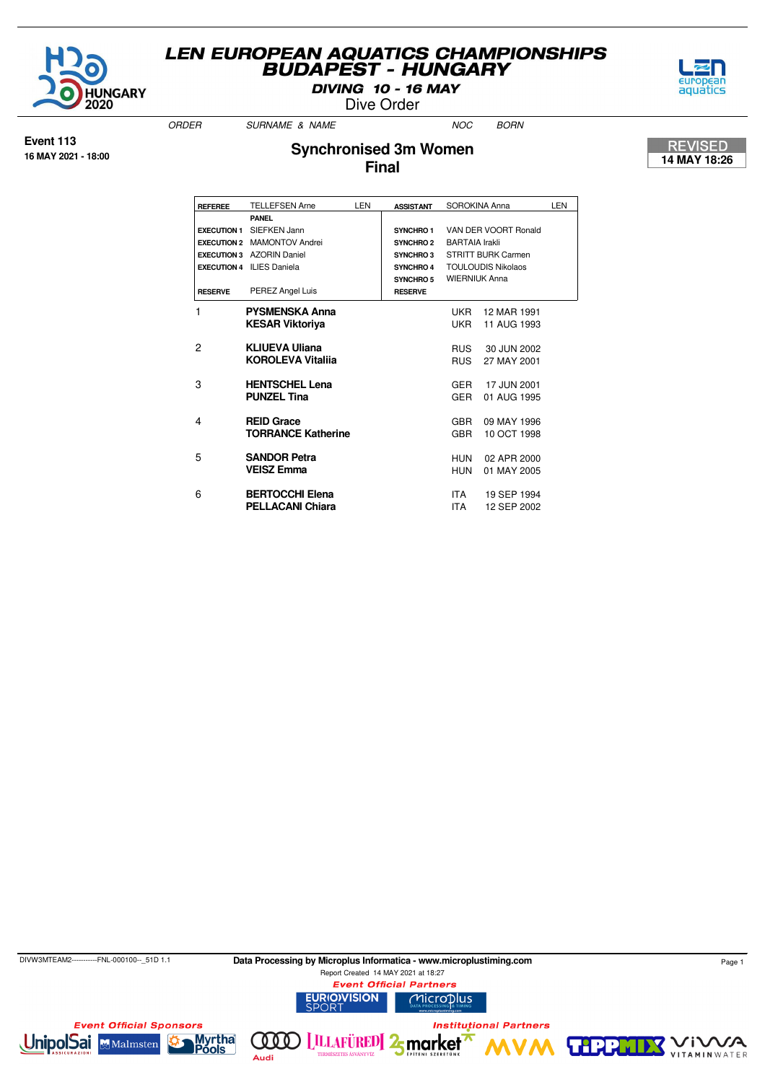

DIVING 10 - 16 MAY

Dive Order

ORDER SURNAME & NAME NOC BORN

#### **Synchronised 3m Women Final**

**REVISED 14 MAY 18:26**

**Event 113 16 MAY 2021 - 18:00**

| <b>REFEREE</b>     | <b>TELLEFSEN Arne</b>            | <b>LEN</b> | <b>ASSISTANT</b>     |                       | SOROKINA Anna             | LEN |
|--------------------|----------------------------------|------------|----------------------|-----------------------|---------------------------|-----|
|                    | <b>PANFI</b>                     |            |                      |                       |                           |     |
| <b>EXECUTION 1</b> | SIEFKEN Jann                     |            | SYNCHRO <sub>1</sub> |                       | VAN DER VOORT Ronald      |     |
| <b>EXECUTION 2</b> | MAMONTOV Andrei                  |            | SYNCHRO <sub>2</sub> | <b>BARTAIA Irakli</b> |                           |     |
|                    | <b>EXECUTION 3 AZORIN Daniel</b> |            | <b>SYNCHRO3</b>      |                       | <b>STRITT BURK Carmen</b> |     |
|                    | <b>EXECUTION 4 ILIES Daniela</b> |            | SYNCHRO 4            |                       | <b>TOULOUDIS Nikolaos</b> |     |
|                    |                                  |            | SYNCHRO5             | <b>WIERNIUK Anna</b>  |                           |     |
| <b>RESERVE</b>     | PEREZ Angel Luis                 |            | <b>RESERVE</b>       |                       |                           |     |
| 1                  | <b>PYSMENSKA Anna</b>            |            |                      | UKR.                  | 12 MAR 1991               |     |
|                    | <b>KESAR Viktoriya</b>           |            |                      | UKR.                  | 11 AUG 1993               |     |
|                    |                                  |            |                      |                       |                           |     |
| 2                  | <b>KLIUEVA Uliana</b>            |            |                      | <b>RUS</b>            | 30 JUN 2002               |     |
|                    | <b>KOROLEVA Vitalija</b>         |            |                      | <b>RUS</b>            | 27 MAY 2001               |     |
| 3                  | <b>HENTSCHEL Lena</b>            |            |                      | <b>GER</b>            | 17 JUN 2001               |     |
|                    | <b>PUNZEL Tina</b>               |            |                      | GER.                  | 01 AUG 1995               |     |
|                    |                                  |            |                      |                       |                           |     |
| 4                  | <b>REID Grace</b>                |            |                      | <b>GBR</b>            | 09 MAY 1996               |     |
|                    | <b>TORRANCE Katherine</b>        |            |                      | <b>GBR</b>            | 10 OCT 1998               |     |
|                    |                                  |            |                      |                       |                           |     |
| 5                  | <b>SANDOR Petra</b>              |            |                      | <b>HUN</b>            | 02 APR 2000               |     |
|                    | <b>VEISZ Emma</b>                |            |                      | <b>HUN</b>            | 01 MAY 2005               |     |
|                    |                                  |            |                      |                       |                           |     |
| 6                  | <b>BERTOCCHI Elena</b>           |            |                      | <b>ITA</b>            | 19 SEP 1994               |     |
|                    | <b>PELLACANI Chiara</b>          |            |                      | <b>ITA</b>            | 12 SEP 2002               |     |



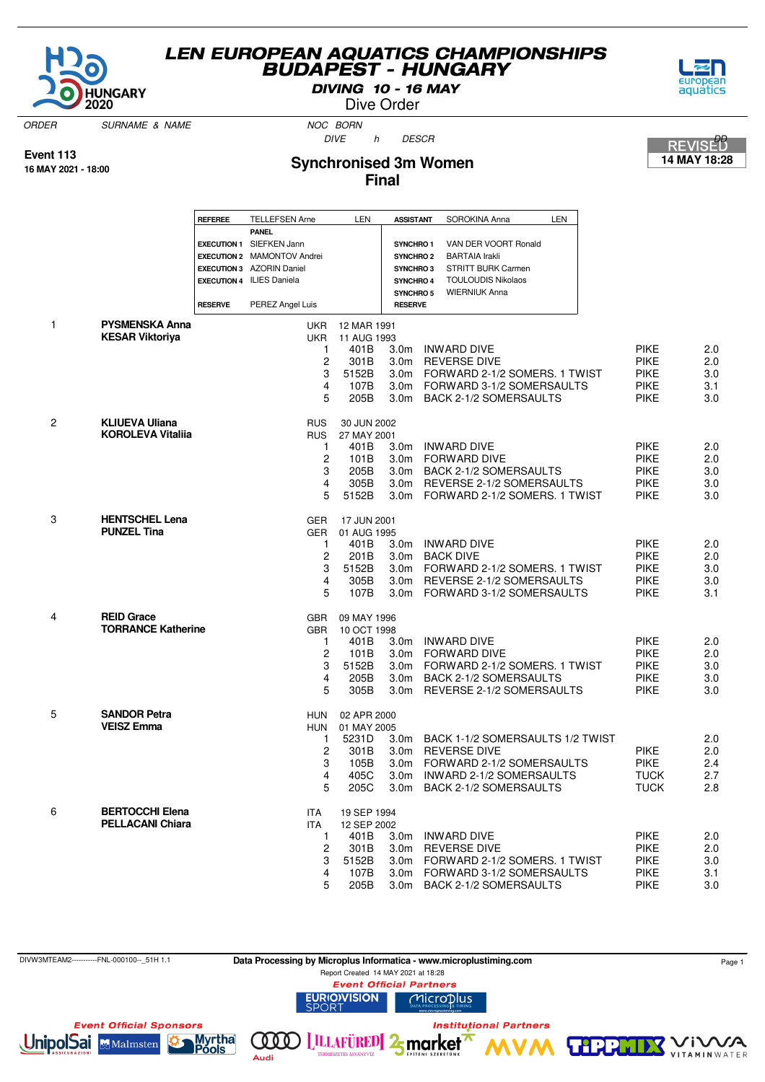

DIVING 10 - 16 MAY

Dive Order



ORDER SURNAME & NAME NOC BORN

 $DIVE$  h DESCR  $DIVE$  REVISE<sup>P</sup>B

#### **Event 113**

**16 MAY 2021 - 18:00**

#### **Synchronised 3m Women Final**



**14 MAY 18:28**

|                |                           | <b>REFEREE</b> | <b>TELLEFSEN Arne</b>              | LEN             | <b>ASSISTANT</b>            | SOROKINA Anna<br>LEN                                       |                            |            |
|----------------|---------------------------|----------------|------------------------------------|-----------------|-----------------------------|------------------------------------------------------------|----------------------------|------------|
|                |                           |                | <b>PANEL</b>                       |                 |                             |                                                            |                            |            |
|                |                           |                | <b>EXECUTION 1 SIEFKEN Jann</b>    |                 | SYNCHRO <sub>1</sub>        | VAN DER VOORT Ronald                                       |                            |            |
|                |                           |                | <b>EXECUTION 2 MAMONTOV Andrei</b> |                 | SYNCHRO <sub>2</sub>        | <b>BARTAIA Irakli</b>                                      |                            |            |
|                |                           |                | <b>EXECUTION 3 AZORIN Daniel</b>   |                 | <b>SYNCHRO3</b>             | STRITT BURK Carmen                                         |                            |            |
|                |                           |                | <b>EXECUTION 4 ILIES Daniela</b>   |                 | SYNCHRO 4                   | <b>TOULOUDIS Nikolaos</b>                                  |                            |            |
|                |                           | <b>RESERVE</b> | PEREZ Angel Luis                   |                 | SYNCHRO 5<br><b>RESERVE</b> | <b>WIERNIUK Anna</b>                                       |                            |            |
|                |                           |                |                                    |                 |                             |                                                            |                            |            |
| 1              | <b>PYSMENSKA Anna</b>     |                |                                    | UKR 12 MAR 1991 |                             |                                                            |                            |            |
|                | <b>KESAR Viktoriya</b>    |                | <b>UKR</b>                         | 11 AUG 1993     |                             |                                                            |                            |            |
|                |                           |                | 1                                  | 401B            | 3.0 <sub>m</sub>            | <b>INWARD DIVE</b>                                         | <b>PIKE</b>                | 2.0        |
|                |                           |                | 2                                  | 301B            | 3.0 <sub>m</sub>            | <b>REVERSE DIVE</b><br>FORWARD 2-1/2 SOMERS, 1 TWIST       | <b>PIKE</b>                | 2.0        |
|                |                           |                | 3<br>4                             | 5152B           | 3.0m<br>3.0 <sub>m</sub>    |                                                            | <b>PIKE</b><br><b>PIKE</b> | 3.0        |
|                |                           |                | 5                                  | 107B<br>205B    | 3.0m                        | FORWARD 3-1/2 SOMERSAULTS<br><b>BACK 2-1/2 SOMERSAULTS</b> | <b>PIKE</b>                | 3.1<br>3.0 |
|                |                           |                |                                    |                 |                             |                                                            |                            |            |
| $\overline{c}$ | <b>KLIUEVA Uliana</b>     |                | <b>RUS</b>                         | 30 JUN 2002     |                             |                                                            |                            |            |
|                | <b>KOROLEVA Vitalija</b>  |                | <b>RUS</b>                         | 27 MAY 2001     |                             |                                                            |                            |            |
|                |                           |                | 1                                  | 401B            | 3.0m                        | INWARD DIVE                                                | PIKE                       | 2.0        |
|                |                           |                | 2                                  | 101B            | 3.0m                        | <b>FORWARD DIVE</b>                                        | PIKE                       | 2.0        |
|                |                           |                | 3                                  | 205B            | 3.0m                        | BACK 2-1/2 SOMERSAULTS                                     | <b>PIKE</b>                | 3.0        |
|                |                           |                | 4<br>5                             | 305B            | 3.0m                        | 3.0m REVERSE 2-1/2 SOMERSAULTS                             | PIKE<br><b>PIKE</b>        | 3.0<br>3.0 |
|                |                           |                |                                    | 5152B           |                             | FORWARD 2-1/2 SOMERS. 1 TWIST                              |                            |            |
| 3              | <b>HENTSCHEL Lena</b>     |                | <b>GER</b>                         | 17 JUN 2001     |                             |                                                            |                            |            |
|                | <b>PUNZEL Tina</b>        |                | <b>GER</b>                         | 01 AUG 1995     |                             |                                                            |                            |            |
|                |                           |                | 1                                  | 401B            | 3.0 <sub>m</sub>            | INWARD DIVE                                                | <b>PIKE</b>                | 2.0        |
|                |                           |                | 2                                  | 201B            | 3.0m                        | <b>BACK DIVE</b>                                           | <b>PIKE</b>                | 2.0        |
|                |                           |                | 3                                  | 5152B           |                             | 3.0m FORWARD 2-1/2 SOMERS. 1 TWIST                         | PIKE                       | 3.0        |
|                |                           |                | 4                                  | 305B            | 3.0m                        | REVERSE 2-1/2 SOMERSAULTS                                  | <b>PIKE</b>                | 3.0        |
|                |                           |                | 5                                  | 107B            | 3.0m                        | FORWARD 3-1/2 SOMERSAULTS                                  | PIKE                       | 3.1        |
| 4              | <b>REID Grace</b>         |                | GBR                                | 09 MAY 1996     |                             |                                                            |                            |            |
|                | <b>TORRANCE Katherine</b> |                | GBR                                | 10 OCT 1998     |                             |                                                            |                            |            |
|                |                           |                | 1                                  | 401B            | 3.0m                        | INWARD DIVE                                                | PIKE                       | 2.0        |
|                |                           |                | 2                                  | 101B            | 3.0m                        | <b>FORWARD DIVE</b>                                        | <b>PIKE</b>                | 2.0        |
|                |                           |                | 3                                  | 5152B           | 3.0m                        | FORWARD 2-1/2 SOMERS. 1 TWIST                              | <b>PIKE</b>                | 3.0        |
|                |                           |                | 4<br>5                             | 205B<br>305B    | 3.0m<br>3.0m                | BACK 2-1/2 SOMERSAULTS                                     | PIKE<br><b>PIKE</b>        | 3.0<br>3.0 |
|                |                           |                |                                    |                 |                             | REVERSE 2-1/2 SOMERSAULTS                                  |                            |            |
| 5              | <b>SANDOR Petra</b>       |                | <b>HUN</b>                         | 02 APR 2000     |                             |                                                            |                            |            |
|                | <b>VEISZ Emma</b>         |                | <b>HUN</b>                         | 01 MAY 2005     |                             |                                                            |                            |            |
|                |                           |                | 1                                  | 5231D           | 3.0m                        | BACK 1-1/2 SOMERSAULTS 1/2 TWIST                           |                            | 2.0        |
|                |                           |                | 2                                  | 301B            | 3.0m                        | <b>REVERSE DIVE</b>                                        | PIKE                       | 2.0        |
|                |                           |                | 3                                  | 105B            | 3.0 <sub>m</sub>            | FORWARD 2-1/2 SOMERSAULTS                                  | <b>PIKE</b>                | 2.4        |
|                |                           |                | 4                                  | 405C            | 3.0m                        | INWARD 2-1/2 SOMERSAULTS                                   | TUCK                       | 2.7        |
|                |                           |                | 5                                  | 205C            | 3.0m                        | BACK 2-1/2 SOMERSAULTS                                     | TUCK                       | 2.8        |
| 6              | <b>BERTOCCHI Elena</b>    |                | ITA                                | 19 SEP 1994     |                             |                                                            |                            |            |
|                | <b>PELLACANI Chiara</b>   |                | <b>ITA</b>                         | 12 SEP 2002     |                             |                                                            |                            |            |
|                |                           |                | $\mathbf{1}$                       | 401B            |                             | 3.0m INWARD DIVE                                           | <b>PIKE</b>                | 2.0        |
|                |                           |                | 2                                  | 301B            | 3.0m                        | <b>REVERSE DIVE</b>                                        | <b>PIKE</b>                | 2.0        |
|                |                           |                | 3                                  | 5152B           |                             | 3.0m FORWARD 2-1/2 SOMERS. 1 TWIST                         | <b>PIKE</b>                | 3.0        |
|                |                           |                | 4                                  | 107B            |                             | 3.0m FORWARD 3-1/2 SOMERSAULTS                             | <b>PIKE</b>                | 3.1        |
|                |                           |                | 5                                  | 205B            |                             | 3.0m BACK 2-1/2 SOMERSAULTS                                | <b>PIKE</b>                | 3.0        |



market

 $\blacktriangle$ 

**THPP** 

**LILLAFÜRED** 

(000)

Audi



'i V

**VITAMIN** WATER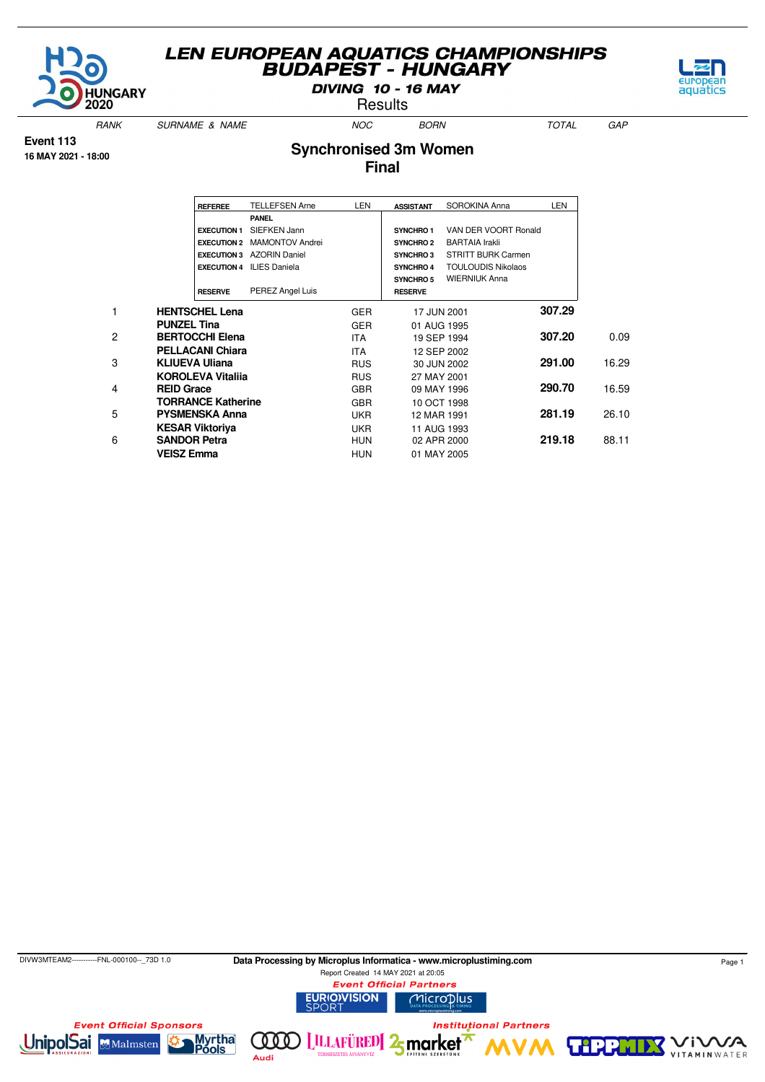

**Event 113 16 MAY 2021 - 18:00**

# **LEN EUROPEAN AQUATICS CHAMPIONSHIPS<br>BUDAPEST - HUNGARY**

DIVING 10 - 16 MAY

**Results** 

RANK SURNAME & NAME NOC BORN TOTAL GAP

#### **Synchronised 3m Women**

**Final**

|   |                       | <b>REFEREE</b>            | <b>TELLEFSEN Arne</b>            | LEN        | <b>ASSISTANT</b>     | SOROKINA Anna             | <b>LEN</b> |       |
|---|-----------------------|---------------------------|----------------------------------|------------|----------------------|---------------------------|------------|-------|
|   |                       |                           | <b>PANEL</b>                     |            |                      |                           |            |       |
|   |                       | <b>EXECUTION 1</b>        | SIEFKEN Jann                     |            | SYNCHRO <sub>1</sub> | VAN DER VOORT Ronald      |            |       |
|   |                       | <b>EXECUTION 2</b>        | <b>MAMONTOV Andrei</b>           |            | <b>SYNCHRO2</b>      | <b>BARTAIA Irakli</b>     |            |       |
|   |                       |                           | <b>EXECUTION 3 AZORIN Daniel</b> |            | SYNCHRO <sub>3</sub> | STRITT BURK Carmen        |            |       |
|   |                       |                           | <b>EXECUTION 4 ILIES Daniela</b> |            | <b>SYNCHRO 4</b>     | <b>TOULOUDIS Nikolaos</b> |            |       |
|   |                       |                           |                                  |            | SYNCHRO 5            | <b>WIERNIUK Anna</b>      |            |       |
|   |                       | <b>RESERVE</b>            | PEREZ Angel Luis                 |            | <b>RESERVE</b>       |                           |            |       |
| 1 |                       | <b>HENTSCHEL Lena</b>     |                                  | <b>GER</b> | 17 JUN 2001          |                           | 307.29     |       |
|   | <b>PUNZEL Tina</b>    |                           |                                  | <b>GER</b> | 01 AUG 1995          |                           |            |       |
| 2 |                       | <b>BERTOCCHI Elena</b>    |                                  | <b>ITA</b> | 19 SEP 1994          |                           | 307.20     | 0.09  |
|   |                       | <b>PELLACANI Chiara</b>   |                                  | <b>ITA</b> |                      | 12 SEP 2002               |            |       |
| 3 | <b>KLIUEVA Uliana</b> |                           |                                  | <b>RUS</b> | 30 JUN 2002          |                           | 291.00     | 16.29 |
|   |                       | <b>KOROLEVA Vitalija</b>  |                                  | <b>RUS</b> | 27 MAY 2001          |                           |            |       |
| 4 | <b>REID Grace</b>     |                           |                                  | <b>GBR</b> | 09 MAY 1996          |                           | 290.70     | 16.59 |
|   |                       | <b>TORRANCE Katherine</b> |                                  | <b>GBR</b> | 10 OCT 1998          |                           |            |       |
| 5 |                       | <b>PYSMENSKA Anna</b>     |                                  | <b>UKR</b> | 12 MAR 1991          |                           | 281.19     | 26.10 |
|   |                       | <b>KESAR Viktoriya</b>    |                                  | <b>UKR</b> | 11 AUG 1993          |                           |            |       |
| 6 | <b>SANDOR Petra</b>   |                           |                                  | <b>HUN</b> | 02 APR 2000          |                           | 219.18     | 88.11 |
|   | <b>VEISZ Emma</b>     |                           |                                  | <b>HUN</b> | 01 MAY 2005          |                           |            |       |



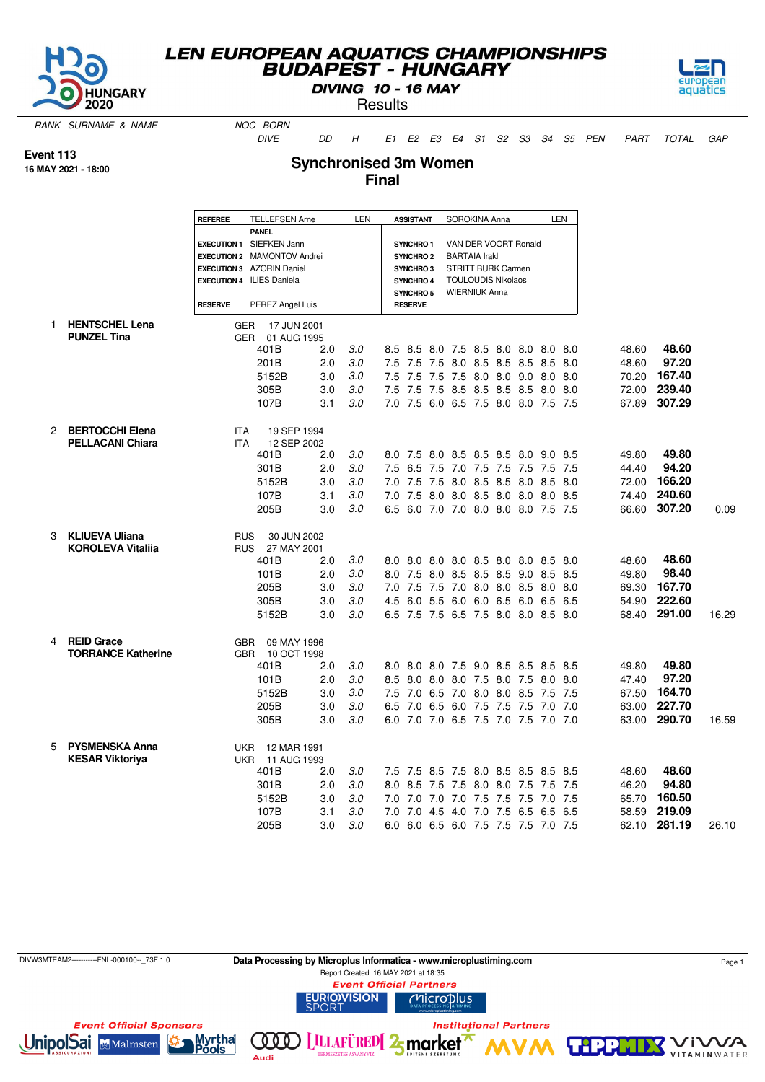

DIVING 10 - 16 MAY **Results** 



**VITAMIN** WATER

RANK SURNAME & NAME NOC BORN

DIVE DD H E1 E2 E3 E4 S1 S2 S3 S4 S5 PEN PART TOTAL GAP

**Event 113 16 MAY 2021 - 18:00**

**Synchronised 3m Women Final**

|    |                           | <b>REFEREE</b> | <b>TELLEFSEN Arne</b>                                                |            | LEN        |     | <b>ASSISTANT</b>                  | SOROKINA Anna                                                              |         |         | <b>LEN</b> |                |                  |       |
|----|---------------------------|----------------|----------------------------------------------------------------------|------------|------------|-----|-----------------------------------|----------------------------------------------------------------------------|---------|---------|------------|----------------|------------------|-------|
|    |                           |                | <b>PANEL</b>                                                         |            |            |     |                                   |                                                                            |         |         |            |                |                  |       |
|    |                           |                | <b>EXECUTION 1 SIEFKEN Jann</b>                                      |            |            |     | SYNCHRO <sub>1</sub>              | VAN DER VOORT Ronald                                                       |         |         |            |                |                  |       |
|    |                           |                | <b>EXECUTION 2 MAMONTOV Andrei</b>                                   |            |            |     | SYNCHRO <sub>2</sub>              | <b>BARTAIA</b> Irakli                                                      |         |         |            |                |                  |       |
|    |                           |                | <b>EXECUTION 3 AZORIN Daniel</b><br><b>EXECUTION 4 ILIES Daniela</b> |            |            |     | SYNCHRO <sub>3</sub><br>SYNCHRO 4 | STRITT BURK Carmen<br><b>TOULOUDIS Nikolaos</b>                            |         |         |            |                |                  |       |
|    |                           |                |                                                                      |            |            |     | SYNCHRO 5                         | <b>WIERNIUK Anna</b>                                                       |         |         |            |                |                  |       |
|    |                           | <b>RESERVE</b> | PEREZ Angel Luis                                                     |            |            |     | <b>RESERVE</b>                    |                                                                            |         |         |            |                |                  |       |
| 1. | <b>HENTSCHEL Lena</b>     |                | 17 JUN 2001<br><b>GER</b>                                            |            |            |     |                                   |                                                                            |         |         |            |                |                  |       |
|    | <b>PUNZEL Tina</b>        |                | <b>GER</b><br>01 AUG 1995                                            |            |            |     |                                   |                                                                            |         |         |            |                |                  |       |
|    |                           |                | 401B                                                                 | 2.0        | 3.0        |     |                                   | 8.5 8.5 8.0 7.5 8.5 8.0 8.0 8.0 8.0                                        |         |         |            | 48.60          | 48.60            |       |
|    |                           |                | 201B                                                                 | 2.0        | 3.0        |     |                                   | 7.5 7.5 7.5 8.0 8.5 8.5 8.5 8.5 8.0                                        |         |         |            | 48.60          | 97.20            |       |
|    |                           |                | 5152B                                                                | 3.0        | 3.0        |     |                                   | 7.5 7.5 7.5 7.5 8.0 8.0 9.0 8.0 8.0                                        |         |         |            | 70.20          | 167.40<br>239.40 |       |
|    |                           |                | 305B                                                                 | 3.0        | 3.0        |     |                                   | 7.5 7.5 7.5 8.5 8.5 8.5 8.5 8.0 8.0                                        |         |         |            | 72.00          |                  |       |
|    |                           |                | 107B                                                                 | 3.1        | 3.0        |     |                                   | 7.0 7.5 6.0 6.5 7.5 8.0 8.0 7.5 7.5                                        |         |         |            | 67.89          | 307.29           |       |
| 2  | <b>BERTOCCHI Elena</b>    | <b>ITA</b>     | 19 SEP 1994                                                          |            |            |     |                                   |                                                                            |         |         |            |                |                  |       |
|    | <b>PELLACANI Chiara</b>   | <b>ITA</b>     | 12 SEP 2002                                                          |            | 3.0        |     |                                   |                                                                            |         |         |            |                | 49.80            |       |
|    |                           |                | 401B<br>301B                                                         | 2.0<br>2.0 | 3.0        |     |                                   | 8.0 7.5 8.0 8.5 8.5 8.5 8.0 9.0 8.5<br>7.5 6.5 7.5 7.0 7.5 7.5 7.5 7.5 7.5 |         |         |            | 49.80<br>44.40 | 94.20            |       |
|    |                           |                | 5152B                                                                | 3.0        | 3.0        |     |                                   | 7.0 7.5 7.5 8.0 8.5 8.5 8.0 8.5 8.0                                        |         |         |            | 72.00          | 166.20           |       |
|    |                           |                | 107B                                                                 | 3.1        | 3.0        |     |                                   | 7.0 7.5 8.0 8.0 8.5 8.0 8.0 8.0 8.5                                        |         |         |            | 74.40          | 240.60           |       |
|    |                           |                | 205B                                                                 | 3.0        | 3.0        |     |                                   | 6.5 6.0 7.0 7.0 8.0 8.0 8.0 7.5 7.5                                        |         |         |            | 66.60          | 307.20           | 0.09  |
|    |                           |                |                                                                      |            |            |     |                                   |                                                                            |         |         |            |                |                  |       |
|    | <b>KLIUEVA Uliana</b>     | <b>RUS</b>     | 30 JUN 2002                                                          |            |            |     |                                   |                                                                            |         |         |            |                |                  |       |
|    | <b>KOROLEVA Vitaliia</b>  | <b>RUS</b>     | 27 MAY 2001<br>401B                                                  |            |            |     |                                   |                                                                            |         |         |            | 48.60          | 48.60            |       |
|    |                           |                | 101B                                                                 | 2.0<br>2.0 | 3.0<br>3.0 |     |                                   | 8.0 8.0 8.0 8.0 8.5 8.0 8.0 8.5 8.0<br>8.0 7.5 8.0 8.5 8.5 8.5 9.0 8.5 8.5 |         |         |            | 49.80          | 98.40            |       |
|    |                           |                | 205B                                                                 |            | 3.0        |     |                                   |                                                                            |         |         |            |                | 167.70           |       |
|    |                           |                | 305B                                                                 | 3.0<br>3.0 | 3.0        | 4.5 |                                   | 7.0 7.5 7.5 7.0 8.0 8.0 8.5 8.0 8.0<br>6.0 5.5 6.0 6.0 6.5 6.0 6.5 6.5     |         |         |            | 69.30          | 222.60           |       |
|    |                           |                | 5152B                                                                | 3.0        | 3.0        |     |                                   | 6.5 7.5 7.5 6.5 7.5 8.0 8.0 8.5 8.0                                        |         |         |            | 54.90          | 68.40 291.00     |       |
|    |                           |                |                                                                      |            |            |     |                                   |                                                                            |         |         |            |                |                  | 16.29 |
| 4  | <b>REID Grace</b>         |                | 09 MAY 1996<br><b>GBR</b>                                            |            |            |     |                                   |                                                                            |         |         |            |                |                  |       |
|    | <b>TORRANCE Katherine</b> | <b>GBR</b>     | 10 OCT 1998<br>401B                                                  | 2.0        | 3.0        |     |                                   | 8.0 8.0 8.0 7.5 9.0 8.5 8.5 8.5 8.5                                        |         |         |            | 49.80          | 49.80            |       |
|    |                           |                | 101B                                                                 | 2.0        | 3.0        |     |                                   | 8.5 8.0 8.0 8.0 7.5 8.0 7.5 8.0 8.0                                        |         |         |            | 47.40          | 97.20            |       |
|    |                           |                | 5152B                                                                |            | 3.0        |     |                                   |                                                                            |         |         |            |                | 164.70           |       |
|    |                           |                | 205B                                                                 | 3.0<br>3.0 | 3.0        | 6.5 | 7.0                               | 7.5 7.0 6.5 7.0 8.0 8.0 8.5 7.5 7.5<br>6.5 6.0 7.5 7.5 7.5 7.0 7.0         |         |         |            | 67.50<br>63.00 | 227.70           |       |
|    |                           |                | 305B                                                                 | 3.0        | 3.0        |     |                                   | 6.0 7.0 7.0 6.5 7.5 7.0 7.5 7.0 7.0                                        |         |         |            | 63.00          | 290.70           | 16.59 |
|    |                           |                |                                                                      |            |            |     |                                   |                                                                            |         |         |            |                |                  |       |
| 5  | <b>PYSMENSKA Anna</b>     |                | UKR 12 MAR 1991                                                      |            |            |     |                                   |                                                                            |         |         |            |                |                  |       |
|    | <b>KESAR Viktoriya</b>    |                | <b>UKR</b> 11 AUG 1993<br>401B                                       | 2.0        | 3.0        |     |                                   | 7.5 7.5 8.5 7.5 8.0 8.5 8.5 8.5 8.5                                        |         |         |            | 48.60          | 48.60            |       |
|    |                           |                | 301B                                                                 | 2.0        | 3.0        |     |                                   | 8.0 8.5 7.5 7.5 8.0 8.0 7.5 7.5 7.5                                        |         |         |            | 46.20          | 94.80            |       |
|    |                           |                | 5152B                                                                | 3.0        | 3.0        | 7.0 |                                   | 7.0 7.0 7.0 7.5                                                            | 7.5 7.5 | 7.0 7.5 |            | 65.70          | 160.50           |       |
|    |                           |                | 107B                                                                 | 3.1        | 3.0        |     |                                   | 7.0 7.0 4.5 4.0 7.0 7.5 6.5 6.5 6.5                                        |         |         |            | 58.59          | 219.09           |       |
|    |                           |                | 205B                                                                 | 3.0        | 3.0        |     |                                   | 6.0 6.0 6.5 6.0 7.5 7.5 7.5 7.0 7.5                                        |         |         |            | 62.10          | 281.19           | 26.10 |
|    |                           |                |                                                                      |            |            |     |                                   |                                                                            |         |         |            |                |                  |       |

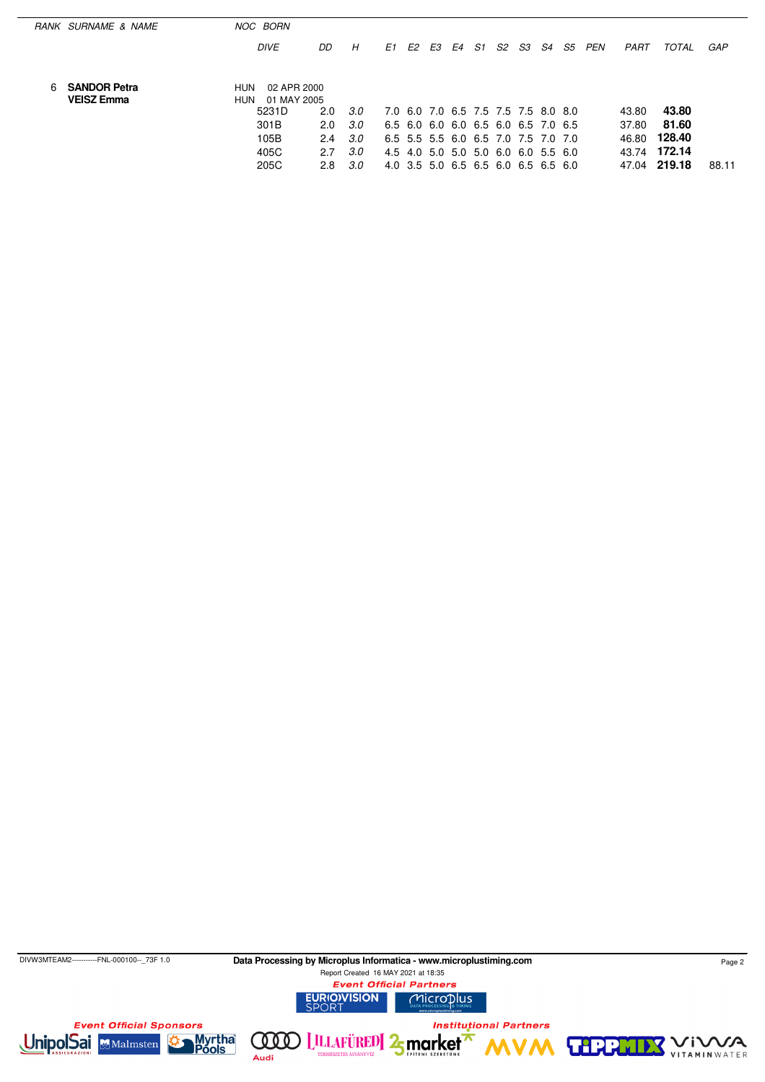| RANK SURNAME & NAME                      | NOC BORN                                                        |            |            |    |                                                                            |    |    |    |    |                             |    |    |            |                |                  |       |
|------------------------------------------|-----------------------------------------------------------------|------------|------------|----|----------------------------------------------------------------------------|----|----|----|----|-----------------------------|----|----|------------|----------------|------------------|-------|
|                                          | <b>DIVE</b>                                                     | DD         | Н          | F1 | F2                                                                         | E3 | E4 | S1 | S2 | S3                          | S4 | S5 | <b>PEN</b> | PART           | <b>TOTAL</b>     | GAP   |
| <b>SANDOR Petra</b><br><b>VEISZ Emma</b> | 02 APR 2000<br><b>HUN</b><br>01 MAY 2005<br><b>HUN</b><br>5231D | 2.0        | 3.0        |    | 7.0 6.0 7.0 6.5 7.5 7.5 7.5 8.0 8.0                                        |    |    |    |    |                             |    |    |            | 43.80          | 43.80            |       |
|                                          | 301B<br>105B                                                    | 2.0<br>2.4 | 3.0<br>3.0 |    | 6.5 6.0 6.0 6.0 6.5 6.0 6.5 7.0 6.5<br>6.5 5.5 5.5 6.0 6.5 7.0 7.5 7.0 7.0 |    |    |    |    |                             |    |    |            | 37.80<br>46.80 | 81.60<br>128.40  |       |
|                                          | 405C<br>205C                                                    | 2.7<br>2.8 | 3.0<br>3.0 |    | 4.5 4.0<br>4.0 3.5 5.0 6.5 6.5 6.0 6.5 6.5 6.0                             |    |    |    |    | 5.0 5.0 5.0 6.0 6.0 5.5 6.0 |    |    |            | 43.74<br>47.04 | 172.14<br>219.18 | 88.11 |

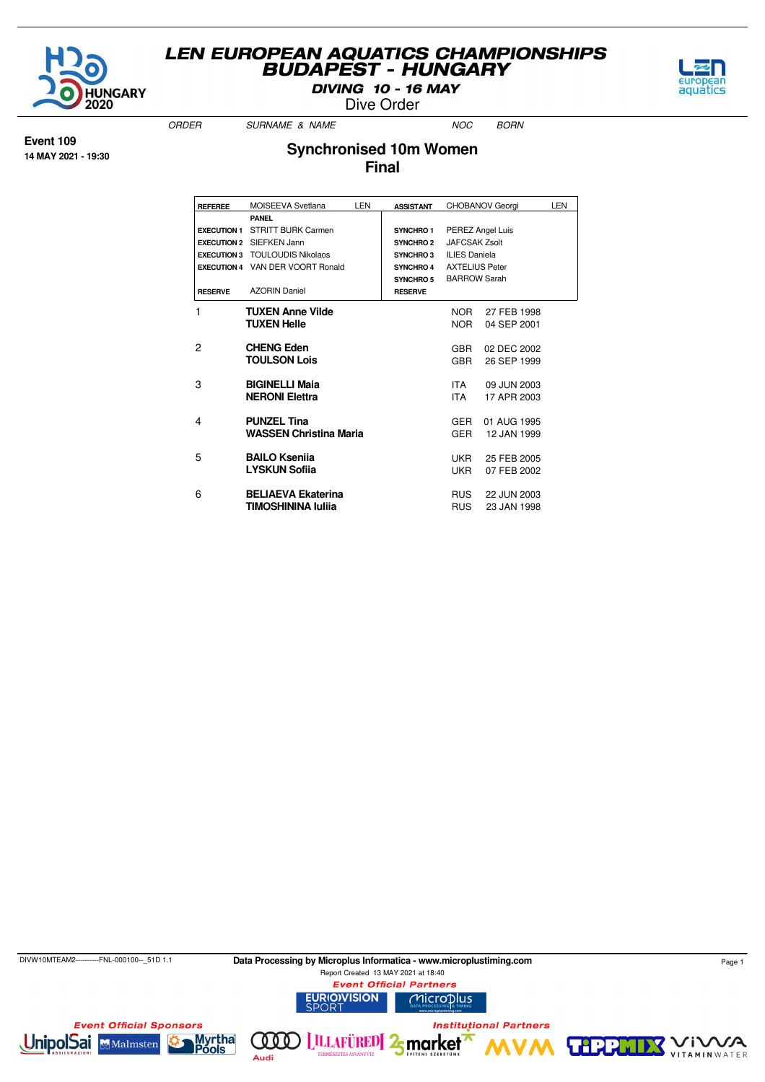

DIVING 10 - 16 MAY

Dive Order

ORDER SURNAME & NAME NOC BORN

**Event 109 14 MAY 2021 - 19:30**

**Synchronised 10m Women Final**

| <b>REFEREE</b>     | MOISEEVA Svetlana                               | <b>LEN</b> | <b>ASSISTANT</b>     |                          | <b>CHOBANOV Georgi</b>     | LEN |
|--------------------|-------------------------------------------------|------------|----------------------|--------------------------|----------------------------|-----|
|                    | <b>PANEL</b>                                    |            |                      |                          |                            |     |
| <b>EXECUTION 1</b> | <b>STRITT BURK Carmen</b>                       |            | SYNCHRO <sub>1</sub> |                          | PEREZ Angel Luis           |     |
|                    | <b>EXECUTION 2 SIEFKEN Jann</b>                 |            | SYNCHRO <sub>2</sub> | <b>JAFCSAK Zsolt</b>     |                            |     |
|                    | <b>EXECUTION 3 TOULOUDIS Nikolaos</b>           |            | SYNCHRO <sub>3</sub> | <b>ILIES Daniela</b>     |                            |     |
|                    | <b>EXECUTION 4 VAN DER VOORT Ronald</b>         |            | <b>SYNCHRO 4</b>     | <b>AXTELIUS Peter</b>    |                            |     |
|                    |                                                 |            | SYNCHRO5             | <b>BARROW Sarah</b>      |                            |     |
| <b>RESERVE</b>     | <b>AZORIN Daniel</b>                            |            | <b>RESERVE</b>       |                          |                            |     |
| 1                  | <b>TUXEN Anne Vilde</b>                         |            |                      | <b>NOR</b>               | 27 FEB 1998                |     |
|                    | <b>TUXEN Helle</b>                              |            |                      | NOR.                     | 04 SEP 2001                |     |
| 2                  | <b>CHENG Eden</b>                               |            |                      | <b>GBR</b>               | 02 DEC 2002                |     |
|                    | <b>TOULSON Lois</b>                             |            |                      | <b>GBR</b>               | 26 SEP 1999                |     |
| 3                  | <b>BIGINELLI Maja</b>                           |            |                      | <b>ITA</b>               | 09 JUN 2003                |     |
|                    | <b>NERONI Elettra</b>                           |            |                      | <b>ITA</b>               | 17 APR 2003                |     |
| 4                  | <b>PUNZEL Tina</b>                              |            |                      | <b>GFR</b>               | 01 AUG 1995                |     |
|                    | <b>WASSEN Christina Maria</b>                   |            |                      | <b>GER</b>               | 12 JAN 1999                |     |
| 5                  | <b>BAILO Ksenija</b>                            |            |                      | UKR                      | 25 FEB 2005                |     |
|                    | <b>LYSKUN Sofija</b>                            |            |                      | UKR                      | 07 FEB 2002                |     |
| 6                  | <b>BELIAEVA Ekaterina</b><br>TIMOSHININA Iuliia |            |                      | <b>RUS</b><br><b>RUS</b> | 22 JUN 2003<br>23 JAN 1998 |     |

DIVW10MTEAM2----------FNL-000100--\_51D 1.1 **Data Processing by Microplus Informatica - www.microplustiming.com** Page 1 Report Created 13 MAY 2021 at 18:40**Event Official Partners RIOVISION** Microplus **Event Official Sponsors Institutional Partners Myrtha UnipolSai**  $\omega$ **VM** Malmsten **LILLAFÜRED** 2<sub>5</sub> market **THPP TIVWA** óols **VITAMIN** WATER Audi

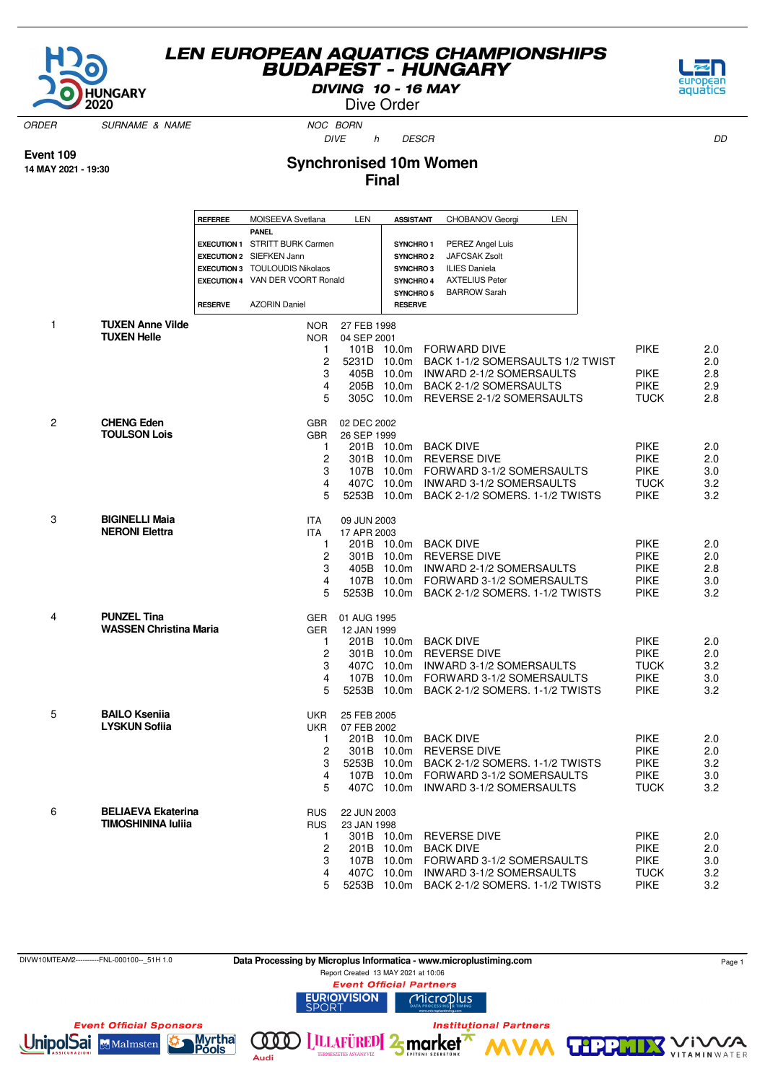

DIVING 10 - 16 MAY

Dive Order



ORDER SURNAME & NAME NOC BORN

DIVE h DESCR DD

**Synchronised 10m Women Final**

**Event 109 14 MAY 2021 - 19:30**

> **REFEREE** MOISEEVA Svetlana LEN **ASSISTANT** CHOBANOV Georgi LEN **PANEL EXECUTION 1** STRITT BURK Carmen **SYNCHRO 1 PEREZ** Angel Luis **EXECUTION 2** SIEFKEN Jann **SYNCHRO 2** JAFCSAK Zsolt **EXECUTION 3** TOULOUDIS Nikolaos **SYNCHRO 3** ILIES Daniela **EXECUTION 4** VAN DER VOORT Ronald **SYNCHRO 4** AXTELIUS Peter **SYNCHRO 5** BARROW Sarah **RESERVE** AZORIN Daniel **RESERVE** 1 **TUXEN Anne Vilde** NOR 27 FEB 1998 **TUXEN Helle** NOR 04 SEP 2001<br>101B 10 1 101B 10.0m FORWARD DIVE PIKE 2.0<br>2 1921D 10.0m BACK 1-1/2 SOMERSAULTS 1/2 TWIST BACK 1-1/2 SOMERSAULTS 1/2 TWIST 3 405B 10.0m INWARD 2-1/2 SOMERSAULTS PIKE 2.8 4 205B 10.0m BACK 2-1/2 SOMERSAULTS PIKE 2.9<br>5 305C 10.0m BEVERSE 2-1/2 SOMERSAULTS TUCK 2.8 REVERSE 2-1/2 SOMERSAULTS 2 **CHENG Eden GBR** 02 DEC 2002 **TOULSON Lois** GBR 26 SEP 1999 1 201B 10.0m BACK DIVE PIKE 2.0 REVERSE DIVE 3 107B 10.0m FORWARD 3-1/2 SOMERSAULTS PIKE 3.0<br>4 407C 10.0m INWARD 3-1/2 SOMERSAULTS TUCK 3.2 INWARD 3-1/2 SOMERSAULTS 5 5253B 10.0m BACK 2-1/2 SOMERS. 1-1/2 TWISTS PIKE 3.2 3 **BIGINELLI Maia ITA** 09 JUN 2003 **NERONI Elettra ITA** 17 APR 2003 1 201B 10.0m BACK DIVE PIKE 2.0 **REVERSE DIVE** 3 405B 10.0m INWARD 2-1/2 SOMERSAULTS PIKE 2.8 4 107B 10.0m FORWARD 3-1/2 SOMERSAULTS PIKE<br>5 5253B 10.0m BACK 2-1/2 SOMERS 1-1/2 TWISTS PIKE BACK 2-1/2 SOMERS. 1-1/2 TWISTS PIKE 3.2 4 **PUNZEL Tina** GER 01 AUG 1995 **WASSEN Christina Maria** GER 12 JAN 1999 1 201B 10.0m BACK DIVE PIKE 2.0 **REVERSE DIVE** 3 407C 10.0m INWARD 3-1/2 SOMERSAULTS TUCK 3.2 1 107B 10.0m FORWARD 3-1/2 SOMERSAULTS PIKE 3.0<br>5 5253B 10.0m BACK 2-1/2 SOMERS 1-1/2 TWISTS PIKE 3.2 5 5253B 10.0m BACK 2-1/2 SOMERS. 1-1/2 TWISTS PIKE 3.2 5 **BAILO Kseniia** UKR 25 FEB 2005 **LYSKUN Sofiia** UKR 07 FEB 2002 1 201B 10.0m BACK DIVE PIKE 2.0 2 301B 10.0m REVERSE DIVE PIKE 2.0 BACK 2-1/2 SOMERS. 1-1/2 TWISTS 4 107B 10.0m FORWARD 3-1/2 SOMERSAULTS PIKE 3.0<br>5 407C 10.0m INWARD 3-1/2 SOMERSAULTS TUCK 3.2 INWARD 3-1/2 SOMERSAULTS 6 **BELIAEVA Ekaterina** RUS 22 JUN 2003 **TIMOSHININA Iuliia** RUS 23 JAN 1998<br>1 301B 10.0m 1 301B 10.0m REVERSE DIVE PIKE 2.0 2 201B 10.0m BACK DIVE PIKE 2.0 3 107B 10.0m FORWARD 3-1/2 SOMERSAULTS PIKE 3.0 4 407C 10.0m INWARD 3-1/2 SOMERSAULTS TUCK 3.2 5 5253B 10.0m BACK 2-1/2 SOMERS. 1-1/2 TWISTS PIKE 3.2

 DIVW10MTEAM2----------FNL-000100--\_51H 1.0 **Data Processing by Microplus Informatica - www.microplustiming.com** Page 1 Report Created 13 MAY 2021 at 10:06**Event Official Partners OVISION** MicroDlus **Event Official Sponsors Institutional Partners** 

market

**LLAFURED** 

000

Audi



VIWA **TIPP VITAMIN** WATER

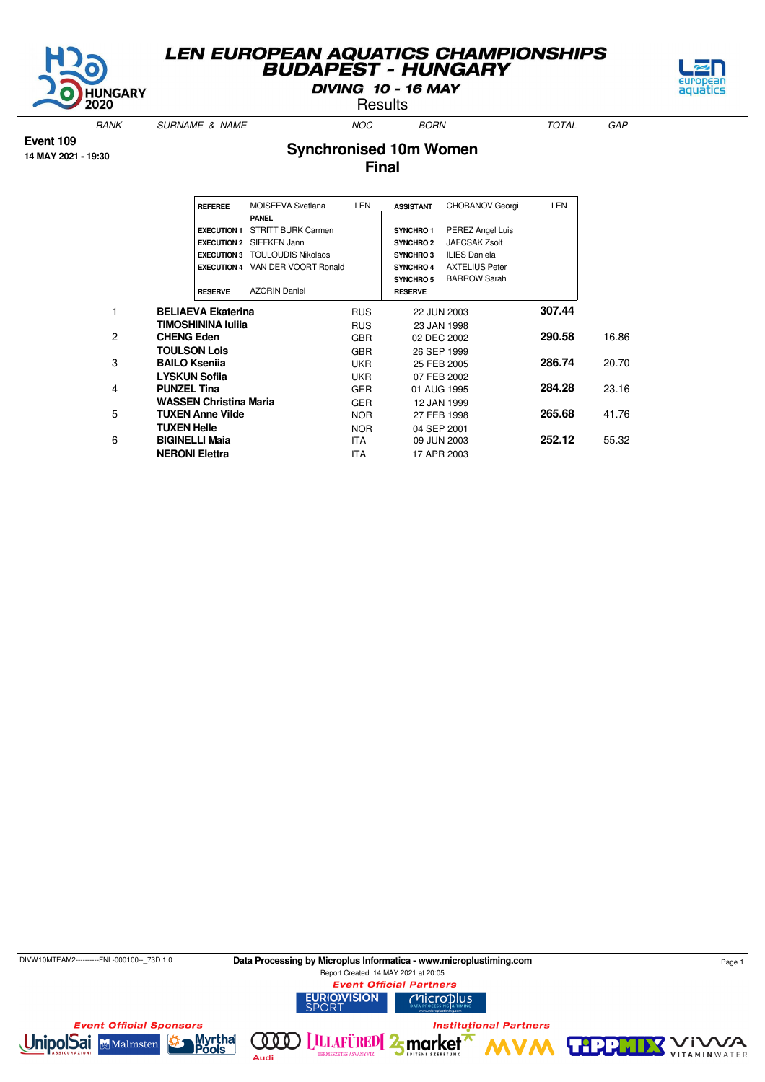

DIVING 10 - 16 MAY

**Results** 

RANK SURNAME & NAME NOC BORN TOTAL GAP

aquatics

**Event 109 14 MAY 2021 - 19:30**

#### **Synchronised 10m Women**

**Final**

|   |                       | <b>REFEREE</b>                | MOISEEVA Svetlana                       | <b>LEN</b> | <b>ASSISTANT</b>     | <b>CHOBANOV Georgi</b> | <b>LEN</b> |       |
|---|-----------------------|-------------------------------|-----------------------------------------|------------|----------------------|------------------------|------------|-------|
|   |                       |                               | <b>PANEL</b>                            |            |                      |                        |            |       |
|   |                       | <b>EXECUTION 1</b>            | <b>STRITT BURK Carmen</b>               |            | SYNCHRO <sub>1</sub> | PEREZ Angel Luis       |            |       |
|   |                       | <b>EXECUTION 2</b>            | SIEFKEN Jann                            |            | <b>SYNCHRO2</b>      | <b>JAFCSAK Zsolt</b>   |            |       |
|   |                       | <b>EXECUTION 3</b>            | <b>TOULOUDIS Nikolaos</b>               |            | <b>SYNCHRO3</b>      | <b>ILIES Daniela</b>   |            |       |
|   |                       |                               | <b>EXECUTION 4 VAN DER VOORT Ronald</b> |            | <b>SYNCHRO 4</b>     | <b>AXTELIUS Peter</b>  |            |       |
|   |                       |                               |                                         |            | SYNCHRO 5            | <b>BARROW Sarah</b>    |            |       |
|   |                       | <b>RESERVE</b>                | <b>AZORIN Daniel</b>                    |            | <b>RESERVE</b>       |                        |            |       |
| 1 |                       | <b>BELIAEVA Ekaterina</b>     |                                         | <b>RUS</b> | 22 JUN 2003          |                        | 307.44     |       |
|   |                       | TIMOSHININA Iulija            |                                         | <b>RUS</b> | 23 JAN 1998          |                        |            |       |
| 2 | <b>CHENG Eden</b>     |                               |                                         | <b>GBR</b> | 02 DEC 2002          |                        | 290.58     | 16.86 |
|   | <b>TOULSON Lois</b>   |                               |                                         | <b>GBR</b> | 26 SEP 1999          |                        |            |       |
| 3 | <b>BAILO Ksenija</b>  |                               |                                         | <b>UKR</b> | 25 FEB 2005          |                        | 286.74     | 20.70 |
|   | <b>LYSKUN Sofija</b>  |                               |                                         | <b>UKR</b> | 07 FEB 2002          |                        |            |       |
| 4 | <b>PUNZEL Tina</b>    |                               |                                         | <b>GER</b> | 01 AUG 1995          |                        | 284.28     | 23.16 |
|   |                       | <b>WASSEN Christina Maria</b> |                                         | <b>GER</b> | 12 JAN 1999          |                        |            |       |
| 5 |                       | <b>TUXEN Anne Vilde</b>       |                                         | NOR        | 27 FEB 1998          |                        | 265.68     | 41.76 |
|   | <b>TUXEN Helle</b>    |                               |                                         | NOR        | 04 SEP 2001          |                        |            |       |
| 6 | <b>BIGINELLI Maja</b> |                               |                                         | <b>ITA</b> | 09 JUN 2003          |                        | 252.12     | 55.32 |
|   | <b>NERONI Elettra</b> |                               |                                         | <b>ITA</b> | 17 APR 2003          |                        |            |       |

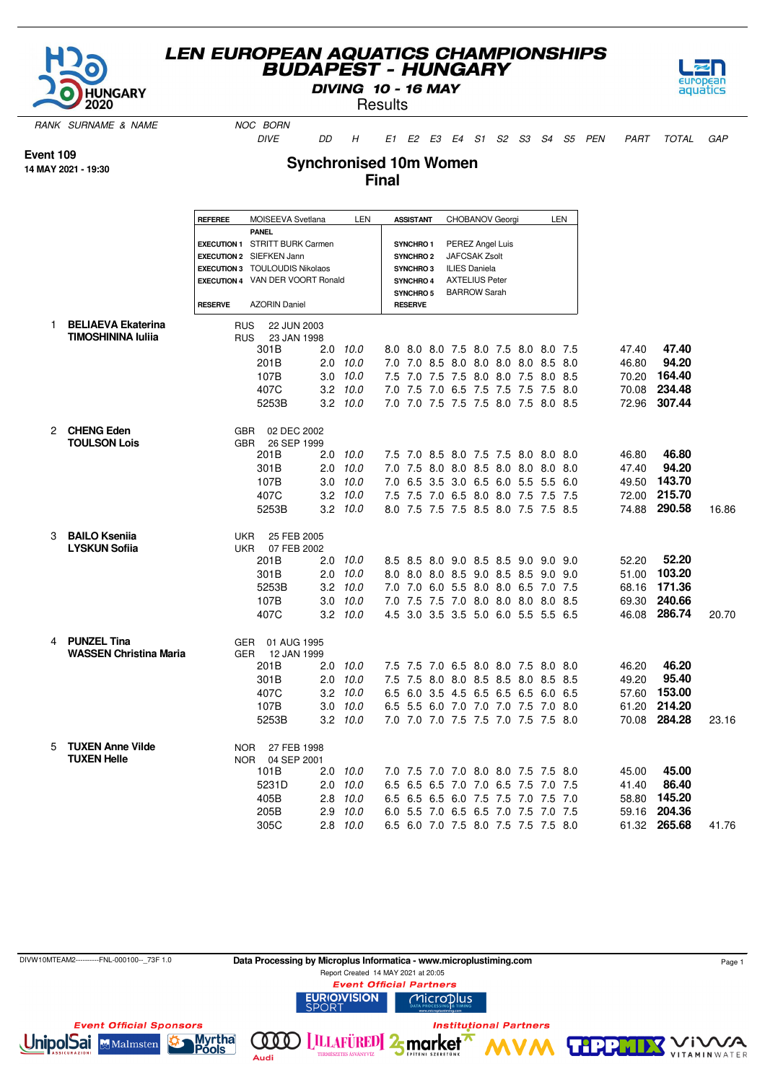

DIVING 10 - 16 MAY **Results** 

**Synchronised 10m Women Final**



RANK SURNAME & NAME NOC BORN

DIVE DD H E1 E2 E3 E4 S1 S2 S3 S4 S5 PEN PART TOTAL GAP

**Event 109**

**14 MAY 2021 - 19:30**

**REFEREE** MOISEEVA Svetlana LEN **ASSISTANT** CHOBANOV Georgi LEN **PANEL EXECUTION 1** STRITT BURK Carmen **SYNCHRO 1** PEREZ Angel Luis **EXECUTION 2** SIEFKEN Jann **SYNCHRO 2** JAFCSAK Zsolt **EXECUTION 3** TOULOUDIS Nikolaos **SYNCHRO 3** ILIES Daniela **EXECUTION 4** VAN DER VOORT Ronald **SYNCHRO 4** AXTELIUS Peter **SYNCHRO 5** BARROW Sarah **RESERVE** AZORIN Daniel **RESERVE** 1 **BELIAEVA Ekaterina** RUS 22 JUN 2003 **TIMOSHININA Iuliia** RUS 23 JAN 1998 301B 2.0 10.0 8.0 8.0 8.0 7.5 8.0 7.5 8.0 8.0 7.5 47.40 **47.40** 201B 2.0 10.0 7.0 7.0 8.5 8.0 8.0 8.0 8.0 8.5 8.0 46.80 **94.20** 107B 3.0 10.0 7.5 7.0 7.5 7.5 8.0 8.0 7.5 8.0 8.5 70.20 **164.40** 407C 3.2 10.0 7.0 7.5 7.0 6.5 7.5 7.5 7.5 7.5 8.0 70.08 **234.48** 5253B 3.2 10.0 7.0 7.0 7.5 7.5 7.5 8.0 7.5 8.0 8.5 72.96 **307.44** 2 **CHENG Eden** GBR 02 DEC 2002 GBR 26 SEP 1999<br>201B 2.0 10.0 201B 2.0 10.0 7.5 7.0 8.5 8.0 7.5 7.5 8.0 8.0 8.0 46.80 **46.80** 301B 2.0 10.0 7.0 7.5 8.0 8.0 8.5 8.0 8.0 8.0 8.0 47.40 **94.20** 107B 3.0 10.0 7.0 6.5 3.5 3.0 6.5 6.0 5.5 5.5 6.0 49.50 **143.70** 407C 3.2 10.0 7.5 7.5 7.0 6.5 8.0 8.0 7.5 7.5 7.5 72.00 **215.70** 5253B 3.2 10.0 8.0 7.5 7.5 7.5 8.5 8.0 7.5 7.5 8.5 74.88 **290.58** 16.86 3 **BAILO Kseniia** UKR 25 FEB 2005 **LYSKUN Sofiia** UKR 07 FEB 2002<br>201B 2.0 10.0 201B 2.0 10.0 8.5 8.5 8.0 9.0 8.5 8.5 9.0 9.0 9.0 52.20 **52.20** 301B 2.0 10.0 8.0 8.0 8.0 8.5 9.0 8.5 8.5 9.0 9.0 5253B 3.2 10.0 7.0 7.0 6.0 5.5 8.0 8.0 6.5 7.0 7.5 68.16 **171.36** 107B 3.0 10.0 7.0 7.5 7.5 7.0 8.0 8.0 8.0 8.0 8.5 69.30 **240.66** 407C 3.2 10.0 4.5 3.0 3.5 3.5 5.0 6.0 5.5 5.5 6.5 46.08 **286.74** 20.70 **PUNZEL Tina GER** 01 AUG 1995 **WASSEN Christina Maria** GER 12 JAN 1999 201B 2.0 10.0 7.5 7.5 7.0 6.5 8.0 8.0 7.5 8.0 8.0 46.20 **46.20** 301B 2.0 10.0 7.5 7.5 8.0 8.0 8.5 8.5 8.0 8.5 8.5 49.20 **95.40** 407C 3.2 10.0 6.5 6.0 3.5 4.5 6.5 6.5 6.5 6.0 6.5 57.60 **153.00** 107B 3.0 10.0 6.5 5.5 6.0 7.0 7.0 7.0 7.5 7.0 8.0 61.20 **214.20** 5253B 3.2 10.0 7.0 7.0 7.0 7.5 7.5 7.0 7.5 7.5 8.0 70.08 **284.28** 23.16 5 **TUXEN Anne Vilde** NOR 27 FEB 1998 **TUXEN Helle** NOR 04 SEP 2001<br>101B 2.0 10.0 101B 2.0 10.0 7.0 7.5 7.0 7.0 8.0 8.0 7.5 7.5 8.0 45.00 **45.00** 5231D 2.0 10.0 6.5 6.5 6.5 7.0 7.0 6.5 7.5 7.0 7.5 41.40 **86.40**



405B 2.8 10.0 6.5 6.5 6.5 6.0 7.5 7.5 7.0 7.5 7.0 58.80 **145.20**

305C 2.8 10.0 6.5 6.0 7.0 7.5 8.0 7.5 7.5 7.5 8.0 61.32 **265.68** 41.76

205B 2.9 10.0 6.0 5.5 7.0 6.5 6.5 7.0 7.5 7.0 7.5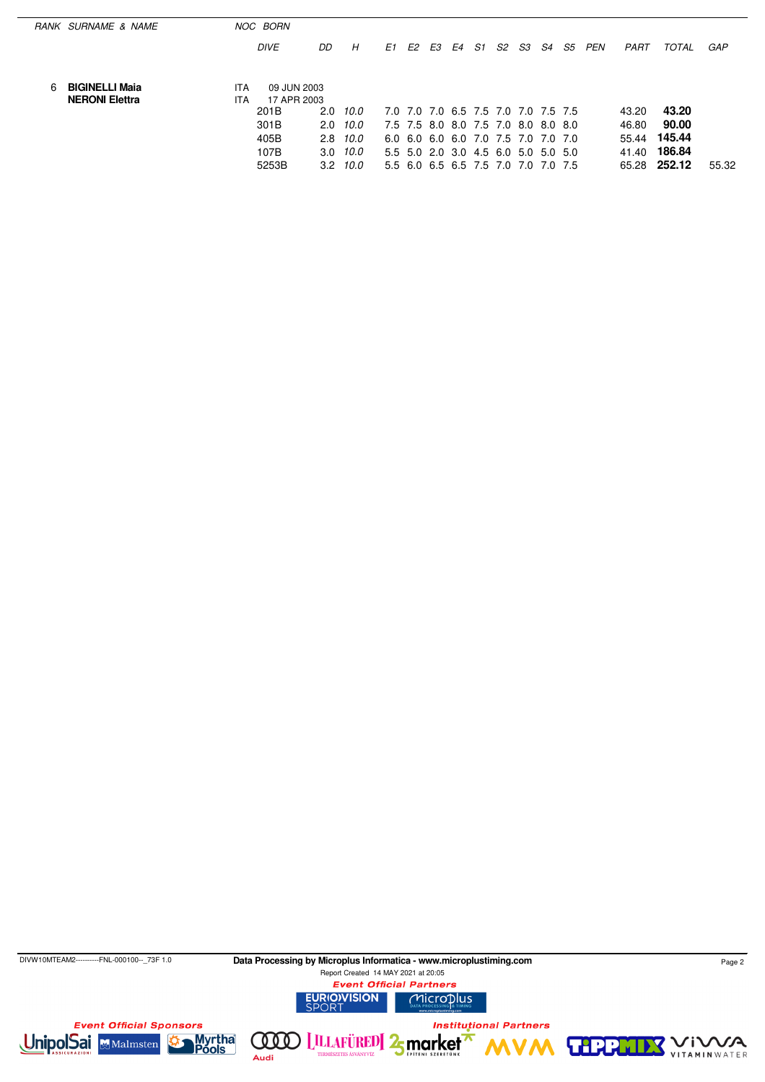| RANK SURNAME & NAME                            |             | NOC BORN                           |            |              |     |    |    |    |    |    |                                                                            |    |    |     |                |                  |       |
|------------------------------------------------|-------------|------------------------------------|------------|--------------|-----|----|----|----|----|----|----------------------------------------------------------------------------|----|----|-----|----------------|------------------|-------|
|                                                |             | <b>DIVE</b>                        | DD         | Н            | F1. | F2 | E3 | E4 | S1 | S2 | S3                                                                         | S4 | S5 | PEN | PART           | <b>TOTAL</b>     | GAP   |
| <b>BIGINELLI Maja</b><br><b>NERONI Elettra</b> | ITA<br>ITA. | 09 JUN 2003<br>17 APR 2003<br>201B | 2.0        | 10.0         |     |    |    |    |    |    | 7.0 7.0 7.0 6.5 7.5 7.0 7.0 7.5 7.5                                        |    |    |     | 43.20          | 43.20            |       |
|                                                |             | 301B<br>405B                       | 2.0<br>2.8 | 10.0<br>10.0 |     |    |    |    |    |    | 7.5 7.5 8.0 8.0 7.5 7.0 8.0 8.0 8.0<br>6.0 6.0 6.0 6.0 7.0 7.5 7.0 7.0 7.0 |    |    |     | 46.80<br>55.44 | 90.00<br>145.44  |       |
|                                                |             | 107B<br>5253B                      | 3.0<br>3.2 | 10.0<br>10.0 |     |    |    |    |    |    | 5.5 5.0 2.0 3.0 4.5 6.0 5.0 5.0 5.0<br>5.5 6.0 6.5 6.5 7.5 7.0 7.0 7.0 7.5 |    |    |     | 41.40<br>65.28 | 186.84<br>252.12 | 55.32 |

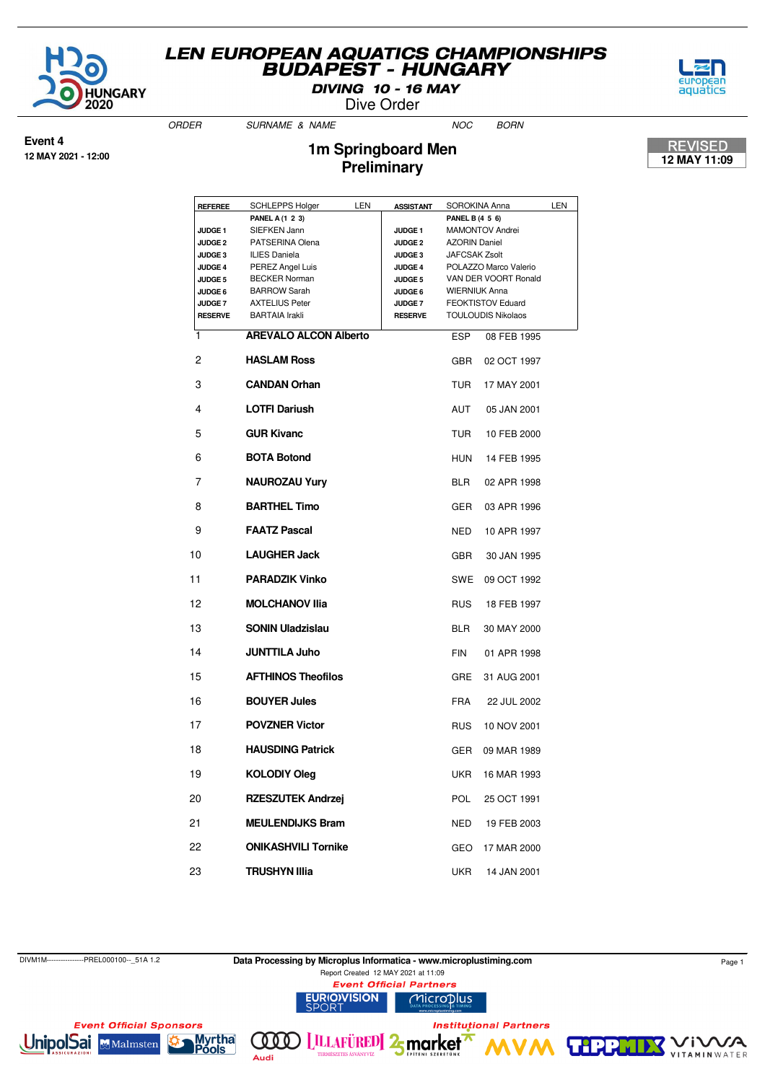

DIVING 10 - 16 MAY

Dive Order

ORDER SURNAME & NAME NOC BORN

**Event 4 12 MAY 2021 - 12:00**

#### **1m Springboard Men Preliminary**



**REVISED 12 MAY 11:09**

| REFEREE                          | SCHLEPPS Holger                                | LEN | <b>ASSISTANT</b>                 |                      | SOROKINA Anna                                         | LEN |
|----------------------------------|------------------------------------------------|-----|----------------------------------|----------------------|-------------------------------------------------------|-----|
|                                  | <b>PANEL A (1 2 3)</b>                         |     |                                  | PANEL B (4 5 6)      |                                                       |     |
| <b>JUDGE 1</b>                   | SIEFKEN Jann                                   |     | <b>JUDGE 1</b>                   |                      | MAMONTOV Andrei                                       |     |
| <b>JUDGE 2</b>                   | PATSERINA Olena                                |     | <b>JUDGE 2</b>                   | <b>AZORIN Daniel</b> |                                                       |     |
| <b>JUDGE 3</b>                   | <b>ILIES Daniela</b>                           |     | <b>JUDGE 3</b>                   | <b>JAFCSAK Zsolt</b> |                                                       |     |
| <b>JUDGE 4</b>                   | PEREZ Angel Luis                               |     | <b>JUDGE 4</b>                   |                      | POLAZZO Marco Valerio                                 |     |
| <b>JUDGE 5</b>                   | <b>BECKER Norman</b>                           |     | <b>JUDGE 5</b>                   |                      | VAN DER VOORT Ronald                                  |     |
| <b>JUDGE 6</b>                   | <b>BARROW Sarah</b>                            |     | <b>JUDGE 6</b>                   | <b>WIERNIUK Anna</b> |                                                       |     |
| <b>JUDGE 7</b><br><b>RESERVE</b> | <b>AXTELIUS Peter</b><br><b>BARTAIA Irakli</b> |     | <b>JUDGE 7</b><br><b>RESERVE</b> |                      | <b>FEOKTISTOV Eduard</b><br><b>TOULOUDIS Nikolaos</b> |     |
|                                  |                                                |     |                                  |                      |                                                       |     |
| 1                                | <b>AREVALO ALCON Alberto</b>                   |     |                                  | ESP                  | 08 FEB 1995                                           |     |
| 2                                | <b>HASLAM Ross</b>                             |     |                                  | <b>GBR</b>           | 02 OCT 1997                                           |     |
| 3                                | <b>CANDAN Orhan</b>                            |     |                                  | <b>TUR</b>           | 17 MAY 2001                                           |     |
| 4                                | <b>LOTFI Dariush</b>                           |     |                                  | AUT                  | 05 JAN 2001                                           |     |
| 5                                | <b>GUR Kivanc</b>                              |     |                                  | TUR                  | 10 FEB 2000                                           |     |
| 6                                | <b>BOTA Botond</b>                             |     |                                  | <b>HUN</b>           | 14 FEB 1995                                           |     |
| 7                                | <b>NAUROZAU Yury</b>                           |     |                                  | <b>BLR</b>           | 02 APR 1998                                           |     |
| 8                                | <b>BARTHEL Timo</b>                            |     |                                  | <b>GER</b>           | 03 APR 1996                                           |     |
| 9                                | <b>FAATZ Pascal</b>                            |     |                                  | <b>NED</b>           | 10 APR 1997                                           |     |
| 10                               | <b>LAUGHER Jack</b>                            |     |                                  | <b>GBR</b>           | 30 JAN 1995                                           |     |
| 11                               | <b>PARADZIK Vinko</b>                          |     |                                  | SWE                  | 09 OCT 1992                                           |     |
| 12                               | <b>MOLCHANOV IIia</b>                          |     |                                  | <b>RUS</b>           | 18 FEB 1997                                           |     |
| 13                               | <b>SONIN Uladzislau</b>                        |     |                                  | BLR                  | 30 MAY 2000                                           |     |
| 14                               | <b>JUNTTILA Juho</b>                           |     |                                  | <b>FIN</b>           | 01 APR 1998                                           |     |
| 15                               | <b>AFTHINOS Theofilos</b>                      |     |                                  | <b>GRE</b>           | 31 AUG 2001                                           |     |
| 16                               | <b>BOUYER Jules</b>                            |     |                                  | FRA                  | 22 JUL 2002                                           |     |
| 17                               | <b>POVZNER Victor</b>                          |     |                                  | <b>RUS</b>           | 10 NOV 2001                                           |     |
| 18                               | <b>HAUSDING Patrick</b>                        |     |                                  | GER                  | 09 MAR 1989                                           |     |
| 19                               | <b>KOLODIY Oleg</b>                            |     |                                  |                      | UKR 16 MAR 1993                                       |     |
| 20                               | <b>RZESZUTEK Andrzej</b>                       |     |                                  | POL                  | 25 OCT 1991                                           |     |
| 21                               | <b>MEULENDIJKS Bram</b>                        |     |                                  |                      | NED 19 FEB 2003                                       |     |
| 22                               | <b>ONIKASHVILI Tornike</b>                     |     |                                  |                      | GEO 17 MAR 2000                                       |     |
| 23                               | <b>TRUSHYN IIIia</b>                           |     |                                  | UKR                  | 14 JAN 2001                                           |     |
|                                  |                                                |     |                                  |                      |                                                       |     |

 DIVM1M----------------PREL000100--\_51A 1.2 **Data Processing by Microplus Informatica - www.microplustiming.com** Page 1 Report Created 12 MAY 2021 at 11:09**Event Official Partners RIOWISION** Microplus





Audi



**VM**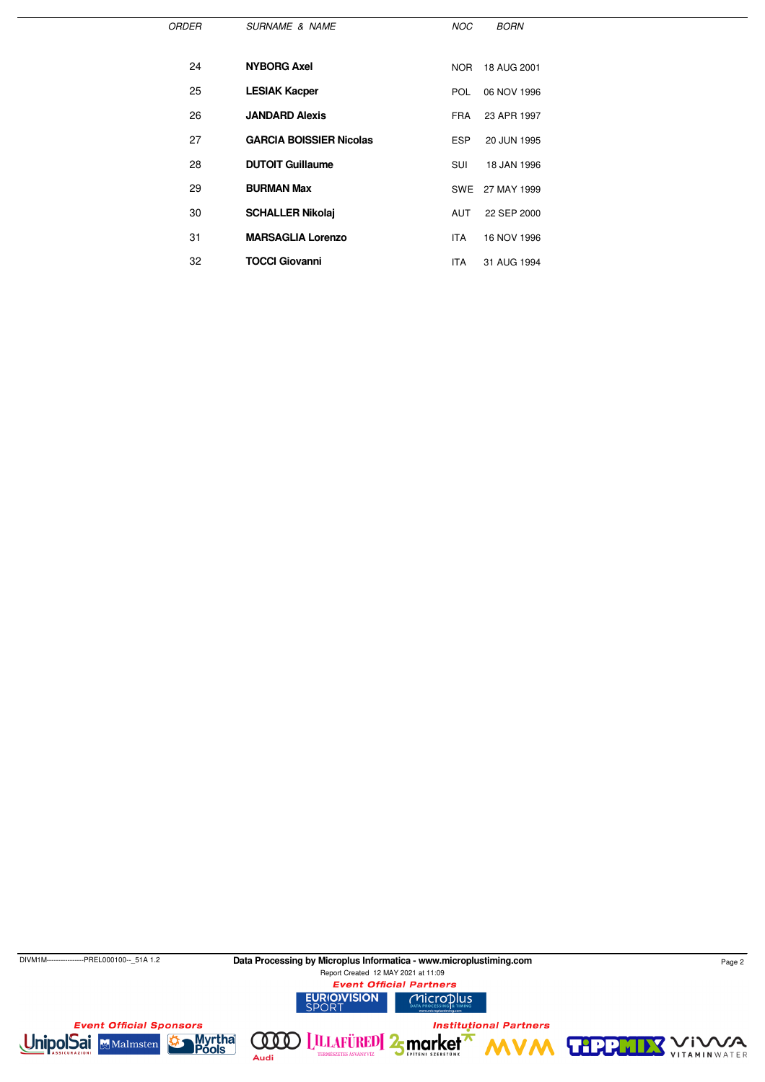| <b>ORDER</b> | <b>SURNAME &amp; NAME</b>      | <b>NOC</b> | <b>BORN</b>     |  |
|--------------|--------------------------------|------------|-----------------|--|
|              |                                |            |                 |  |
| 24           | <b>NYBORG Axel</b>             | NOR.       | 18 AUG 2001     |  |
| 25           | <b>LESIAK Kacper</b>           | POL        | 06 NOV 1996     |  |
| 26           | <b>JANDARD Alexis</b>          | <b>FRA</b> | 23 APR 1997     |  |
| 27           | <b>GARCIA BOISSIER Nicolas</b> | <b>ESP</b> | 20 JUN 1995     |  |
| 28           | <b>DUTOIT Guillaume</b>        | SUI        | 18 JAN 1996     |  |
| 29           | <b>BURMAN Max</b>              |            | SWE 27 MAY 1999 |  |
| 30           | <b>SCHALLER Nikolaj</b>        | <b>AUT</b> | 22 SEP 2000     |  |
| 31           | <b>MARSAGLIA Lorenzo</b>       | <b>ITA</b> | 16 NOV 1996     |  |
| 32           | <b>TOCCI Giovanni</b>          | <b>ITA</b> | 31 AUG 1994     |  |

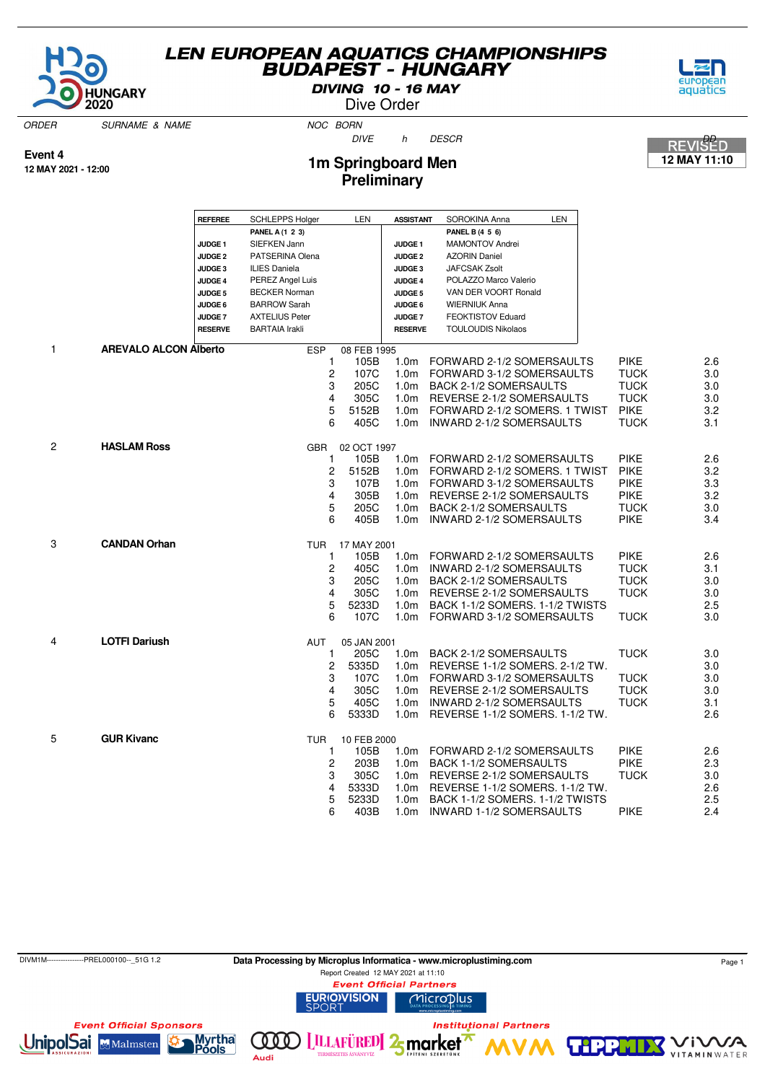

DIVING 10 - 16 MAY

Dive Order



**12 MAY 11:10**

ORDER SURNAME & NAME NOC BORN

DIVE h DESCR NOW REVISED

**Event 4 12 MAY 2021 - 12:00**

#### **1m Springboard Men Preliminary**

|                |                              | <b>REFEREE</b> | <b>SCHLEPPS Holger</b> | LEN                 | <b>ASSISTANT</b>                     | LEN<br>SOROKINA Anna                                         |                            |            |
|----------------|------------------------------|----------------|------------------------|---------------------|--------------------------------------|--------------------------------------------------------------|----------------------------|------------|
|                |                              |                | <b>PANEL A (1 2 3)</b> |                     |                                      | PANEL B (4 5 6)                                              |                            |            |
|                |                              | <b>JUDGE 1</b> | SIEFKEN Jann           |                     | JUDGE <sub>1</sub>                   | <b>MAMONTOV Andrei</b>                                       |                            |            |
|                |                              | <b>JUDGE 2</b> | PATSERINA Olena        |                     | <b>JUDGE 2</b>                       | <b>AZORIN Daniel</b>                                         |                            |            |
|                |                              | <b>JUDGE 3</b> | <b>ILIES Daniela</b>   |                     | JUDGE <sub>3</sub>                   | <b>JAFCSAK Zsolt</b>                                         |                            |            |
|                |                              | JUDGE 4        | PEREZ Angel Luis       |                     | JUDGE 4                              | POLAZZO Marco Valerio                                        |                            |            |
|                |                              | <b>JUDGE 5</b> | <b>BECKER Norman</b>   |                     | JUDGE 5                              | VAN DER VOORT Ronald                                         |                            |            |
|                |                              | <b>JUDGE 6</b> | <b>BARROW Sarah</b>    |                     | JUDGE 6                              | <b>WIERNIUK Anna</b>                                         |                            |            |
|                |                              | <b>JUDGE 7</b> | <b>AXTELIUS Peter</b>  |                     | <b>JUDGE 7</b>                       | FEOKTISTOV Eduard                                            |                            |            |
|                |                              | <b>RESERVE</b> | <b>BARTAIA Irakli</b>  |                     | <b>RESERVE</b>                       | <b>TOULOUDIS Nikolaos</b>                                    |                            |            |
|                | <b>AREVALO ALCON Alberto</b> |                |                        |                     |                                      |                                                              |                            |            |
| 1              |                              |                | <b>ESP</b><br>1        | 08 FEB 1995<br>105B | 1.0 <sub>m</sub>                     | FORWARD 2-1/2 SOMERSAULTS                                    | <b>PIKE</b>                | 2.6        |
|                |                              |                | 2                      | 107C                | 1.0 <sub>m</sub>                     | FORWARD 3-1/2 SOMERSAULTS                                    | <b>TUCK</b>                | 3.0        |
|                |                              |                | 3                      | 205C                | 1.0 <sub>m</sub>                     | <b>BACK 2-1/2 SOMERSAULTS</b>                                | <b>TUCK</b>                | 3.0        |
|                |                              |                | 4                      | 305C                | 1.0 <sub>m</sub>                     | REVERSE 2-1/2 SOMERSAULTS                                    | <b>TUCK</b>                | 3.0        |
|                |                              |                | 5                      | 5152B               | 1.0 <sub>m</sub>                     | FORWARD 2-1/2 SOMERS, 1 TWIST                                | <b>PIKE</b>                | 3.2        |
|                |                              |                | 6                      | 405C                | 1.0 <sub>m</sub>                     | INWARD 2-1/2 SOMERSAULTS                                     | <b>TUCK</b>                | 3.1        |
|                |                              |                |                        |                     |                                      |                                                              |                            |            |
| $\overline{c}$ | <b>HASLAM Ross</b>           |                | <b>GBR</b>             | 02 OCT 1997         |                                      |                                                              |                            |            |
|                |                              |                | $\mathbf{1}$           | 105B                | 1.0 <sub>m</sub>                     | FORWARD 2-1/2 SOMERSAULTS                                    | <b>PIKE</b>                | 2.6        |
|                |                              |                | $\overline{c}$         | 5152B               | 1.0 <sub>m</sub>                     | FORWARD 2-1/2 SOMERS, 1 TWIST                                | <b>PIKE</b>                | 3.2        |
|                |                              |                | 3                      | 107B                | 1.0 <sub>m</sub>                     | FORWARD 3-1/2 SOMERSAULTS                                    | <b>PIKE</b>                | 3.3        |
|                |                              |                | $\overline{4}$         | 305B                | 1.0 <sub>m</sub>                     | REVERSE 2-1/2 SOMERSAULTS                                    | PIKE                       | 3.2        |
|                |                              |                | 5                      | 205C                | 1.0 <sub>m</sub>                     | <b>BACK 2-1/2 SOMERSAULTS</b>                                | <b>TUCK</b>                | 3.0        |
|                |                              |                | 6                      | 405B                | 1.0 <sub>m</sub>                     | INWARD 2-1/2 SOMERSAULTS                                     | PIKE                       | 3.4        |
|                |                              |                |                        |                     |                                      |                                                              |                            |            |
| 3              | <b>CANDAN Orhan</b>          |                | <b>TUR</b>             | 17 MAY 2001         |                                      |                                                              |                            |            |
|                |                              |                | 1                      | 105B                | 1.0 <sub>m</sub>                     | FORWARD 2-1/2 SOMERSAULTS                                    | <b>PIKE</b>                | 2.6        |
|                |                              |                | 2<br>3                 | 405C<br>205C        | 1.0 <sub>m</sub>                     | INWARD 2-1/2 SOMERSAULTS                                     | <b>TUCK</b><br><b>TUCK</b> | 3.1        |
|                |                              |                | $\overline{4}$         | 305C                | 1.0 <sub>m</sub><br>1.0 <sub>m</sub> | BACK 2-1/2 SOMERSAULTS<br>REVERSE 2-1/2 SOMERSAULTS          | <b>TUCK</b>                | 3.0<br>3.0 |
|                |                              |                | 5                      | 5233D               | 1.0 <sub>m</sub>                     | BACK 1-1/2 SOMERS. 1-1/2 TWISTS                              |                            | 2.5        |
|                |                              |                | 6                      | 107C                | 1.0 <sub>m</sub>                     | FORWARD 3-1/2 SOMERSAULTS                                    | <b>TUCK</b>                | 3.0        |
|                |                              |                |                        |                     |                                      |                                                              |                            |            |
| 4              | <b>LOTFI Dariush</b>         |                | <b>AUT</b>             | 05 JAN 2001         |                                      |                                                              |                            |            |
|                |                              |                | 1                      | 205C                | 1.0 <sub>m</sub>                     | BACK 2-1/2 SOMERSAULTS                                       | <b>TUCK</b>                | 3.0        |
|                |                              |                | $\overline{c}$         | 5335D               | 1.0 <sub>m</sub>                     | REVERSE 1-1/2 SOMERS. 2-1/2 TW.                              |                            | 3.0        |
|                |                              |                | 3                      | 107C                | 1.0 <sub>m</sub>                     | FORWARD 3-1/2 SOMERSAULTS                                    | <b>TUCK</b>                | 3.0        |
|                |                              |                | $\overline{4}$         | 305C                | 1.0 <sub>m</sub>                     | REVERSE 2-1/2 SOMERSAULTS                                    | <b>TUCK</b>                | 3.0        |
|                |                              |                | 5                      | 405C                | 1.0 <sub>m</sub>                     | INWARD 2-1/2 SOMERSAULTS                                     | <b>TUCK</b>                | 3.1        |
|                |                              |                | 6                      | 5333D               | 1.0 <sub>m</sub>                     | REVERSE 1-1/2 SOMERS. 1-1/2 TW.                              |                            | 2.6        |
|                |                              |                |                        |                     |                                      |                                                              |                            |            |
| 5              | <b>GUR Kivanc</b>            |                | TUR                    | 10 FEB 2000         |                                      |                                                              |                            |            |
|                |                              |                | 1<br>$\overline{c}$    | 105B<br>203B        | 1.0 <sub>m</sub><br>1.0 <sub>m</sub> | FORWARD 2-1/2 SOMERSAULTS                                    | <b>PIKE</b><br><b>PIKE</b> | 2.6        |
|                |                              |                | 3                      |                     |                                      | <b>BACK 1-1/2 SOMERSAULTS</b>                                |                            | 2.3        |
|                |                              |                | 4                      | 305C<br>5333D       | 1.0 <sub>m</sub><br>1.0 <sub>m</sub> | REVERSE 2-1/2 SOMERSAULTS<br>REVERSE 1-1/2 SOMERS, 1-1/2 TW. | <b>TUCK</b>                | 3.0<br>2.6 |
|                |                              |                | 5                      | 5233D               | 1.0 <sub>m</sub>                     | BACK 1-1/2 SOMERS. 1-1/2 TWISTS                              |                            | 2.5        |
|                |                              |                | 6                      | 403B                | 1.0 <sub>m</sub>                     | INWARD 1-1/2 SOMERSAULTS                                     | <b>PIKE</b>                | 2.4        |
|                |                              |                |                        |                     |                                      |                                                              |                            |            |

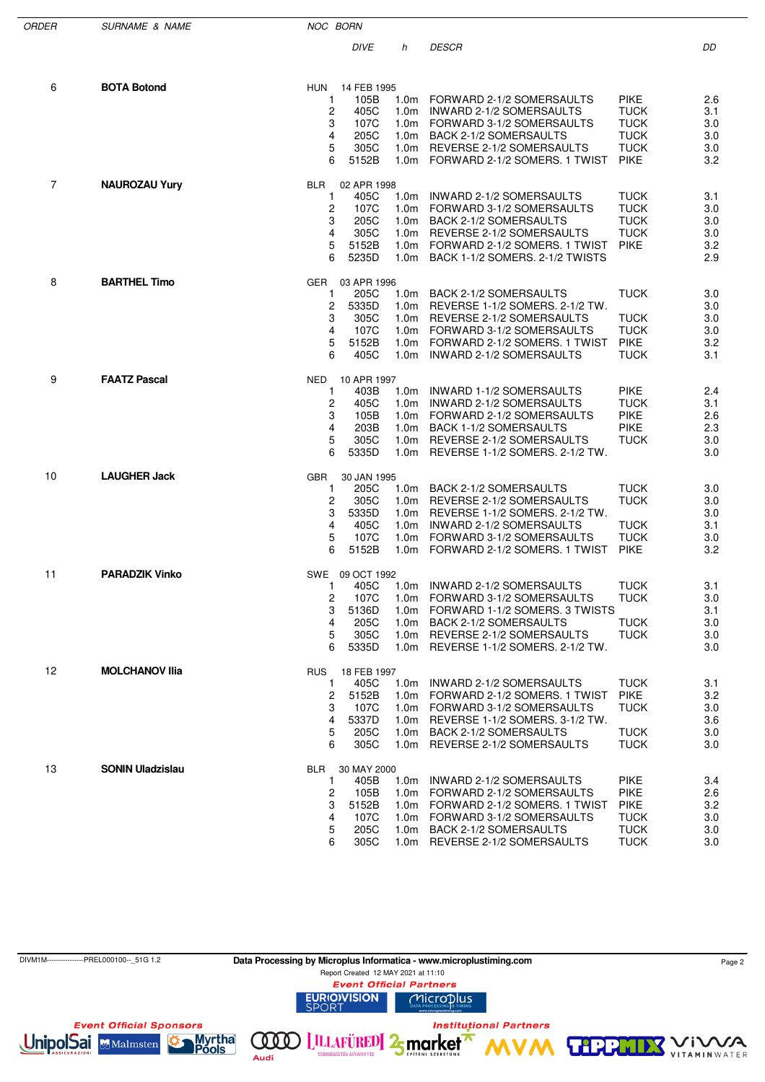| <i>ORDER</i>   | <b>SURNAME &amp; NAME</b> | NOC BORN                                                                                                                                    |            |
|----------------|---------------------------|---------------------------------------------------------------------------------------------------------------------------------------------|------------|
|                |                           | <b>DIVE</b><br><b>DESCR</b><br>h                                                                                                            | DD         |
| 6              | <b>BOTA Botond</b>        | 14 FEB 1995<br><b>HUN</b>                                                                                                                   |            |
|                |                           | 1.0m FORWARD 2-1/2 SOMERSAULTS<br><b>PIKE</b><br>1<br>105B                                                                                  | 2.6        |
|                |                           | 2<br>405C<br>INWARD 2-1/2 SOMERSAULTS<br><b>TUCK</b><br>1.0 <sub>m</sub><br>107C<br><b>TUCK</b>                                             | 3.1<br>3.0 |
|                |                           | 3<br>1.0 <sub>m</sub><br>FORWARD 3-1/2 SOMERSAULTS<br>205C<br><b>BACK 2-1/2 SOMERSAULTS</b><br><b>TUCK</b><br>4<br>1.0 <sub>m</sub>         | 3.0        |
|                |                           | 5<br>305C<br>REVERSE 2-1/2 SOMERSAULTS<br><b>TUCK</b><br>1.0 <sub>m</sub>                                                                   | 3.0        |
|                |                           | 6<br>5152B<br>1.0m FORWARD 2-1/2 SOMERS. 1 TWIST<br><b>PIKE</b>                                                                             | 3.2        |
| $\overline{7}$ | <b>NAUROZAU Yury</b>      | <b>BLR</b><br>02 APR 1998<br><b>TUCK</b><br>1.0 <sub>m</sub>                                                                                |            |
|                |                           | 405C<br>INWARD 2-1/2 SOMERSAULTS<br>1<br>107C<br>1.0m FORWARD 3-1/2 SOMERSAULTS<br><b>TUCK</b><br>2                                         | 3.1<br>3.0 |
|                |                           | 3<br>205C<br><b>BACK 2-1/2 SOMERSAULTS</b><br><b>TUCK</b><br>1.0 <sub>m</sub>                                                               | 3.0        |
|                |                           | REVERSE 2-1/2 SOMERSAULTS<br><b>TUCK</b><br>4<br>305C<br>1.0 <sub>m</sub>                                                                   | 3.0        |
|                |                           | 5<br>5152B<br>1.0m FORWARD 2-1/2 SOMERS. 1 TWIST<br><b>PIKE</b>                                                                             | 3.2        |
|                |                           | 6<br>5235D<br>BACK 1-1/2 SOMERS. 2-1/2 TWISTS<br>1.0 <sub>m</sub>                                                                           | 2.9        |
| 8              | <b>BARTHEL Timo</b>       | GER 03 APR 1996<br><b>TUCK</b><br>205C<br>1.0m BACK 2-1/2 SOMERSAULTS<br>1.                                                                 | 3.0        |
|                |                           | 5335D<br>2<br>1.0 <sub>m</sub><br>REVERSE 1-1/2 SOMERS. 2-1/2 TW.                                                                           | 3.0        |
|                |                           | 1.0m REVERSE 2-1/2 SOMERSAULTS<br>3<br>305C<br><b>TUCK</b>                                                                                  | 3.0        |
|                |                           | 107C<br>1.0m FORWARD 3-1/2 SOMERSAULTS<br><b>TUCK</b><br>4                                                                                  | 3.0        |
|                |                           | 5152B<br>1.0m FORWARD 2-1/2 SOMERS. 1 TWIST<br><b>PIKE</b><br>5<br>6<br>405C<br>INWARD 2-1/2 SOMERSAULTS<br>1.0 <sub>m</sub><br><b>TUCK</b> | 3.2<br>3.1 |
|                |                           |                                                                                                                                             |            |
| 9              | <b>FAATZ Pascal</b>       | 10 APR 1997<br>NED<br>INWARD 1-1/2 SOMERSAULTS<br><b>PIKE</b><br>1<br>403B<br>1.0 <sub>m</sub>                                              | 2.4        |
|                |                           | INWARD 2-1/2 SOMERSAULTS<br>2<br>405C<br>1.0 <sub>m</sub><br><b>TUCK</b>                                                                    | 3.1        |
|                |                           | 3<br><b>PIKE</b><br>105B<br>1.0 <sub>m</sub><br>FORWARD 2-1/2 SOMERSAULTS                                                                   | 2.6        |
|                |                           | <b>PIKE</b><br>4<br>203B<br>1.0 <sub>m</sub><br><b>BACK 1-1/2 SOMERSAULTS</b>                                                               | 2.3        |
|                |                           | 305C<br>REVERSE 2-1/2 SOMERSAULTS<br><b>TUCK</b><br>5<br>1.0 <sub>m</sub>                                                                   | 3.0        |
|                |                           | 6<br>5335D<br>1.0m REVERSE 1-1/2 SOMERS. 2-1/2 TW.                                                                                          | 3.0        |
| 10             | <b>LAUGHER Jack</b>       | <b>GBR</b><br>30 JAN 1995<br>1.0m BACK 2-1/2 SOMERSAULTS<br><b>TUCK</b>                                                                     |            |
|                |                           | 205C<br>1<br>305C<br>REVERSE 2-1/2 SOMERSAULTS<br><b>TUCK</b><br>2<br>1.0 <sub>m</sub>                                                      | 3.0<br>3.0 |
|                |                           | REVERSE 1-1/2 SOMERS. 2-1/2 TW.<br>3<br>5335D<br>1.0 <sub>m</sub>                                                                           | 3.0        |
|                |                           | 4<br>405C<br>1.0 <sub>m</sub><br>INWARD 2-1/2 SOMERSAULTS<br><b>TUCK</b>                                                                    | 3.1        |
|                |                           | 5<br>107C<br>1.0m FORWARD 3-1/2 SOMERSAULTS<br><b>TUCK</b>                                                                                  | 3.0        |
|                |                           | 5152B<br>6<br>1.0m FORWARD 2-1/2 SOMERS. 1 TWIST<br><b>PIKE</b>                                                                             | 3.2        |
| 11             | <b>PARADZIK Vinko</b>     | SWE 09 OCT 1992<br><b>TUCK</b><br>1                                                                                                         |            |
|                |                           | 405C<br>1.0m INWARD 2-1/2 SOMERSAULTS<br><b>TUCK</b><br>107C<br>1.0m FORWARD 3-1/2 SOMERSAULTS<br>2                                         | 3.1<br>3.0 |
|                |                           | 3<br>5136D<br>FORWARD 1-1/2 SOMERS. 3 TWISTS<br>1.0m                                                                                        | 3.1        |
|                |                           | 4<br>205C<br>1.0 <sub>m</sub><br>BACK 2-1/2 SOMERSAULTS<br><b>TUCK</b>                                                                      | 3.0        |
|                |                           | REVERSE 2-1/2 SOMERSAULTS<br><b>TUCK</b><br>305C<br>1.0 <sub>m</sub><br>5                                                                   | 3.0        |
|                |                           | 6<br>5335D<br>1.0 <sub>m</sub><br>REVERSE 1-1/2 SOMERS. 2-1/2 TW.                                                                           | 3.0        |
| 12             | <b>MOLCHANOV IIia</b>     | 18 FEB 1997<br><b>RUS</b><br><b>TUCK</b><br>405C<br>1.0 <sub>m</sub><br>INWARD 2-1/2 SOMERSAULTS<br>1                                       | 3.1        |
|                |                           | <b>PIKE</b><br>2<br>5152B<br>FORWARD 2-1/2 SOMERS, 1 TWIST<br>1.0m                                                                          | 3.2        |
|                |                           | 107C<br>1.0m FORWARD 3-1/2 SOMERSAULTS<br><b>TUCK</b><br>3                                                                                  | 3.0        |
|                |                           | REVERSE 1-1/2 SOMERS. 3-1/2 TW.<br>5337D<br>1.0 <sub>m</sub><br>4                                                                           | 3.6        |
|                |                           | 205C<br><b>BACK 2-1/2 SOMERSAULTS</b><br><b>TUCK</b><br>5<br>1.0 <sub>m</sub>                                                               | 3.0        |
|                |                           | 305C<br>REVERSE 2-1/2 SOMERSAULTS<br><b>TUCK</b><br>6<br>1.0m                                                                               | 3.0        |
| 13             | <b>SONIN Uladzislau</b>   | BLR 30 MAY 2000                                                                                                                             |            |
|                |                           | 405B<br>INWARD 2-1/2 SOMERSAULTS<br><b>PIKE</b><br>1.0m<br>1<br>2<br>105B<br>1.0m FORWARD 2-1/2 SOMERSAULTS<br><b>PIKE</b>                  | 3.4<br>2.6 |
|                |                           | 5152B<br>FORWARD 2-1/2 SOMERS. 1 TWIST<br><b>PIKE</b><br>3<br>1.0m                                                                          | 3.2        |
|                |                           | 107C<br>1.0m FORWARD 3-1/2 SOMERSAULTS<br><b>TUCK</b><br>4                                                                                  | 3.0        |
|                |                           | <b>BACK 2-1/2 SOMERSAULTS</b><br><b>TUCK</b><br>5<br>205C<br>1.0m                                                                           | 3.0        |
|                |                           | <b>TUCK</b><br>6<br>305C<br>REVERSE 2-1/2 SOMERSAULTS<br>1.0m                                                                               | 3.0        |

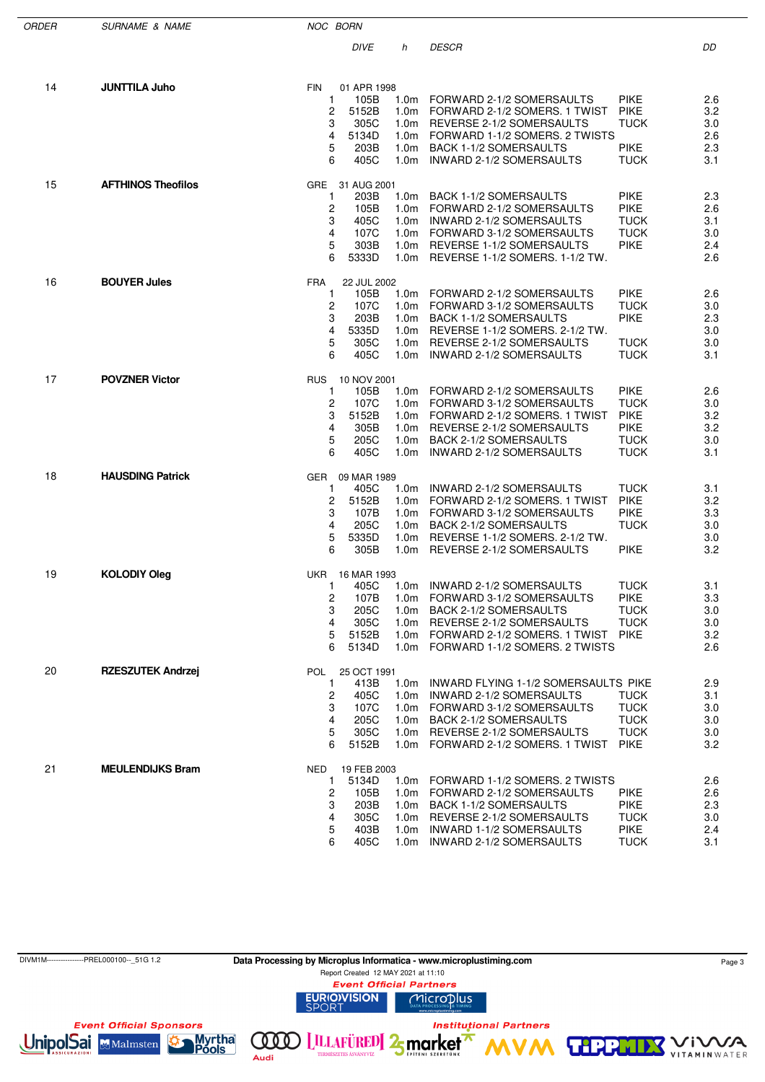| <i>ORDER</i> | <b>SURNAME &amp; NAME</b> | NOC BORN                                                                      |                                                                                                         |
|--------------|---------------------------|-------------------------------------------------------------------------------|---------------------------------------------------------------------------------------------------------|
|              |                           | <b>DIVE</b><br><b>DESCR</b><br>h                                              | DD                                                                                                      |
| 14           | <b>JUNTTILA Juho</b>      | 01 APR 1998<br>FIN                                                            |                                                                                                         |
|              |                           | 105B<br>$\mathbf{1}$                                                          | <b>PIKE</b><br>1.0m FORWARD 2-1/2 SOMERSAULTS<br>2.6                                                    |
|              |                           | 5152B<br>2<br>1.0m<br>3<br>305C<br>1.0 <sub>m</sub>                           | FORWARD 2-1/2 SOMERS. 1 TWIST<br>3.2<br><b>PIKE</b><br>3.0<br>REVERSE 2-1/2 SOMERSAULTS<br><b>TUCK</b>  |
|              |                           | 4<br>5134D<br>1.0 <sub>m</sub>                                                | FORWARD 1-1/2 SOMERS. 2 TWISTS<br>2.6                                                                   |
|              |                           | 5<br>203B<br>1.0 <sub>m</sub>                                                 | <b>BACK 1-1/2 SOMERSAULTS</b><br>2.3<br><b>PIKE</b>                                                     |
|              |                           | 6<br>405C<br>1.0 <sub>m</sub>                                                 | INWARD 2-1/2 SOMERSAULTS<br><b>TUCK</b><br>3.1                                                          |
| 15           | <b>AFTHINOS Theofilos</b> | GRE 31 AUG 2001<br>203B<br>1.0m<br>1                                          | 2.3<br>BACK 1-1/2 SOMERSAULTS<br><b>PIKE</b>                                                            |
|              |                           | 2<br>105B<br>1.0 <sub>m</sub>                                                 | FORWARD 2-1/2 SOMERSAULTS<br><b>PIKE</b><br>2.6                                                         |
|              |                           | 405C<br>3<br>1.0 <sub>m</sub>                                                 | INWARD 2-1/2 SOMERSAULTS<br><b>TUCK</b><br>3.1                                                          |
|              |                           | $\overline{4}$<br>107C<br>1.0 <sub>m</sub>                                    | FORWARD 3-1/2 SOMERSAULTS<br><b>TUCK</b><br>3.0                                                         |
|              |                           | 5<br>303B<br>1.0m REVERSE 1-1/2 SOMERSAULTS<br>5333D<br>6<br>1.0 <sub>m</sub> | <b>PIKE</b><br>2.4<br>REVERSE 1-1/2 SOMERS. 1-1/2 TW.<br>2.6                                            |
|              |                           |                                                                               |                                                                                                         |
| 16           | <b>BOUYER Jules</b>       | <b>FRA</b><br>22 JUL 2002<br>105B<br>1                                        | 1.0m FORWARD 2-1/2 SOMERSAULTS<br><b>PIKE</b><br>2.6                                                    |
|              |                           | $\overline{c}$<br>107C<br>1.0 <sub>m</sub>                                    | FORWARD 3-1/2 SOMERSAULTS<br><b>TUCK</b><br>3.0                                                         |
|              |                           | 3<br>203B<br>1.0m                                                             | <b>PIKE</b><br>BACK 1-1/2 SOMERSAULTS<br>2.3                                                            |
|              |                           | 4<br>5335D                                                                    | 1.0m REVERSE 1-1/2 SOMERS. 2-1/2 TW.<br>3.0                                                             |
|              |                           | 5<br>305C<br>1.0m                                                             | REVERSE 2-1/2 SOMERSAULTS<br><b>TUCK</b><br>3.0                                                         |
|              |                           | 6<br>405C<br>1.0m INWARD 2-1/2 SOMERSAULTS                                    | <b>TUCK</b><br>3.1                                                                                      |
| 17           | <b>POVZNER Victor</b>     | RUS 10 NOV 2001                                                               |                                                                                                         |
|              |                           | 105B<br>1.0 <sub>m</sub><br>1<br>2<br>107C                                    | FORWARD 2-1/2 SOMERSAULTS<br><b>PIKE</b><br>2.6<br>1.0m FORWARD 3-1/2 SOMERSAULTS<br><b>TUCK</b><br>3.0 |
|              |                           | 3<br>5152B                                                                    | <b>PIKE</b><br>3.2<br>1.0m FORWARD 2-1/2 SOMERS. 1 TWIST                                                |
|              |                           | 4<br>305B<br>1.0 <sub>m</sub>                                                 | REVERSE 2-1/2 SOMERSAULTS<br><b>PIKE</b><br>3.2                                                         |
|              |                           | 5<br>205C<br>1.0 <sub>m</sub>                                                 | <b>BACK 2-1/2 SOMERSAULTS</b><br><b>TUCK</b><br>3.0                                                     |
|              |                           | 405C<br>6<br>1.0 <sub>m</sub>                                                 | INWARD 2-1/2 SOMERSAULTS<br><b>TUCK</b><br>3.1                                                          |
| 18           | <b>HAUSDING Patrick</b>   | GER 09 MAR 1989                                                               |                                                                                                         |
|              |                           | 405C<br>1.0 <sub>m</sub><br>1.<br>2<br>5152B<br>1.0 <sub>m</sub>              | <b>TUCK</b><br>INWARD 2-1/2 SOMERSAULTS<br>3.1<br>FORWARD 2-1/2 SOMERS. 1 TWIST<br><b>PIKE</b>          |
|              |                           | 3<br>107B                                                                     | 3.2<br><b>PIKE</b><br>1.0m FORWARD 3-1/2 SOMERSAULTS<br>3.3                                             |
|              |                           | 4<br>205C<br>1.0 <sub>m</sub>                                                 | BACK 2-1/2 SOMERSAULTS<br><b>TUCK</b><br>3.0                                                            |
|              |                           | 5<br>5335D<br>1.0 <sub>m</sub>                                                | REVERSE 1-1/2 SOMERS. 2-1/2 TW.<br>3.0                                                                  |
|              |                           | 6<br>305B<br>1.0m REVERSE 2-1/2 SOMERSAULTS                                   | <b>PIKE</b><br>3.2                                                                                      |
| 19           | <b>KOLODIY Oleg</b>       | UKR 16 MAR 1993                                                               |                                                                                                         |
|              |                           | 405C<br>1<br>1.0m INWARD 2-1/2 SOMERSAULTS<br>2<br>107B                       | <b>TUCK</b><br>3.1<br><b>PIKE</b><br>1.0m FORWARD 3-1/2 SOMERSAULTS<br>3.3                              |
|              |                           | 3<br>205C<br>1.0m                                                             | 3.0<br>BACK 2-1/2 SOMERSAULTS<br><b>TUCK</b>                                                            |
|              |                           | 4<br>305C<br>1.0m REVERSE 2-1/2 SOMERSAULTS                                   | <b>TUCK</b><br>3.0                                                                                      |
|              |                           | 5<br>5152B                                                                    | 1.0m FORWARD 2-1/2 SOMERS. 1 TWIST<br><b>PIKE</b><br>3.2                                                |
|              |                           | 6<br>5134D                                                                    | 2.6<br>1.0m FORWARD 1-1/2 SOMERS. 2 TWISTS                                                              |
| 20           | <b>RZESZUTEK Andrzej</b>  | 25 OCT 1991<br>POL                                                            |                                                                                                         |
|              |                           | 413B<br>1.0 <sub>m</sub><br>1<br>$\overline{c}$<br>405C<br>1.0m               | 2.9<br>INWARD FLYING 1-1/2 SOMERSAULTS PIKE<br>INWARD 2-1/2 SOMERSAULTS<br><b>TUCK</b><br>3.1           |
|              |                           | 3<br>107C                                                                     | 1.0m FORWARD 3-1/2 SOMERSAULTS<br><b>TUCK</b><br>3.0                                                    |
|              |                           | 1.0m BACK 2-1/2 SOMERSAULTS<br>4<br>205C                                      | <b>TUCK</b><br>3.0                                                                                      |
|              |                           | 305C<br>1.0m REVERSE 2-1/2 SOMERSAULTS<br>5                                   | <b>TUCK</b><br>3.0                                                                                      |
|              |                           | 6<br>5152B                                                                    | 1.0m FORWARD 2-1/2 SOMERS. 1 TWIST<br><b>PIKE</b><br>3.2                                                |
| 21           | <b>MEULENDIJKS Bram</b>   | 19 FEB 2003<br>NED                                                            |                                                                                                         |
|              |                           | 5134D<br>1<br>2<br>105B                                                       | 1.0m FORWARD 1-1/2 SOMERS. 2 TWISTS<br>2.6<br>1.0m FORWARD 2-1/2 SOMERSAULTS<br><b>PIKE</b><br>2.6      |
|              |                           | 203B<br>3<br>1.0m BACK 1-1/2 SOMERSAULTS                                      | 2.3<br><b>PIKE</b>                                                                                      |
|              |                           | 1.0m REVERSE 2-1/2 SOMERSAULTS<br>4<br>305C                                   | <b>TUCK</b><br>3.0                                                                                      |
|              |                           | 403B<br>1.0m INWARD 1-1/2 SOMERSAULTS<br>5                                    | <b>PIKE</b><br>2.4                                                                                      |
|              |                           | 6<br>405C<br>1.0 <sub>m</sub>                                                 | INWARD 2-1/2 SOMERSAULTS<br><b>TUCK</b><br>3.1                                                          |

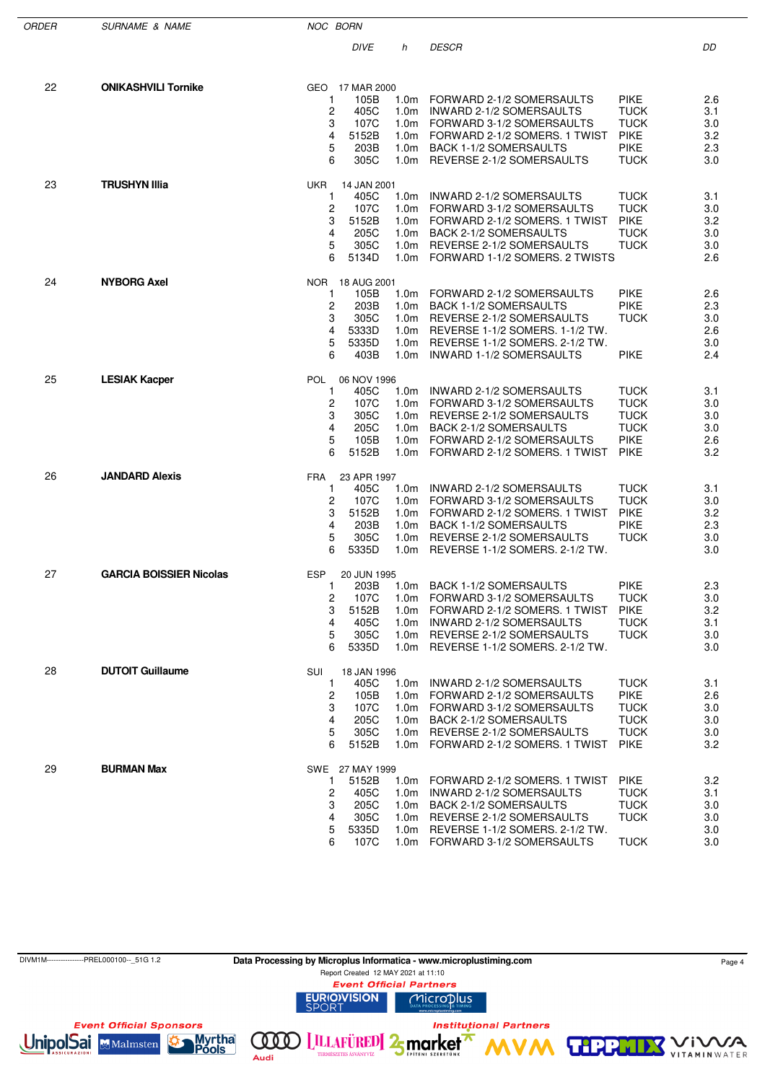| <i>ORDER</i> | <b>SURNAME &amp; NAME</b>      | NOC BORN                                                                                                                                       |            |
|--------------|--------------------------------|------------------------------------------------------------------------------------------------------------------------------------------------|------------|
|              |                                | <b>DESCR</b><br><b>DIVE</b><br>h                                                                                                               | DD         |
| 22           | <b>ONIKASHVILI Tornike</b>     | GEO 17 MAR 2000                                                                                                                                |            |
|              |                                | 105B<br><b>PIKE</b><br>1.0 <sub>m</sub><br>FORWARD 2-1/2 SOMERSAULTS<br>1                                                                      | 2.6        |
|              |                                | 2<br>405C<br>INWARD 2-1/2 SOMERSAULTS<br><b>TUCK</b><br>1.0m                                                                                   | 3.1        |
|              |                                | 3<br>107C<br>1.0m FORWARD 3-1/2 SOMERSAULTS<br><b>TUCK</b>                                                                                     | 3.0        |
|              |                                | 5152B<br>FORWARD 2-1/2 SOMERS. 1 TWIST<br><b>PIKE</b><br>4<br>1.0 <sub>m</sub>                                                                 | 3.2        |
|              |                                | <b>BACK 1-1/2 SOMERSAULTS</b><br><b>PIKE</b><br>5<br>203B<br>1.0 <sub>m</sub>                                                                  | 2.3        |
|              |                                | 305C<br>1.0m REVERSE 2-1/2 SOMERSAULTS<br><b>TUCK</b><br>6                                                                                     | 3.0        |
| 23           | <b>TRUSHYN Illia</b>           | UKR<br>14 JAN 2001                                                                                                                             |            |
|              |                                | <b>TUCK</b><br>405C<br>1.0m<br>INWARD 2-1/2 SOMERSAULTS<br>1                                                                                   | 3.1        |
|              |                                | 107C<br>1.0m FORWARD 3-1/2 SOMERSAULTS<br><b>TUCK</b><br>2                                                                                     | 3.0        |
|              |                                | 5152B<br>1.0m FORWARD 2-1/2 SOMERS. 1 TWIST<br><b>PIKE</b><br>3                                                                                | 3.2        |
|              |                                | 205C<br>4<br>1.0m BACK 2-1/2 SOMERSAULTS<br><b>TUCK</b>                                                                                        | 3.0        |
|              |                                | 305C<br>1.0m REVERSE 2-1/2 SOMERSAULTS<br><b>TUCK</b><br>5                                                                                     | 3.0        |
|              |                                | 6<br>5134D<br>FORWARD 1-1/2 SOMERS. 2 TWISTS<br>1.0m                                                                                           | 2.6        |
| 24           | <b>NYBORG Axel</b>             | NOR 18 AUG 2001                                                                                                                                |            |
|              |                                | 1.0m FORWARD 2-1/2 SOMERSAULTS<br><b>PIKE</b><br>105B<br>1                                                                                     | 2.6        |
|              |                                | <b>BACK 1-1/2 SOMERSAULTS</b><br><b>PIKE</b><br>2<br>203B<br>1.0 <sub>m</sub>                                                                  | 2.3        |
|              |                                | 305C<br>REVERSE 2-1/2 SOMERSAULTS<br><b>TUCK</b><br>3<br>1.0 <sub>m</sub><br>REVERSE 1-1/2 SOMERS, 1-1/2 TW.                                   | 3.0        |
|              |                                | 5333D<br>4<br>1.0 <sub>m</sub><br>5<br>5335D<br>1.0 <sub>m</sub><br>REVERSE 1-1/2 SOMERS. 2-1/2 TW.                                            | 2.6        |
|              |                                | 6<br>403B<br>1.0m INWARD 1-1/2 SOMERSAULTS<br><b>PIKE</b>                                                                                      | 3.0<br>2.4 |
| 25           | <b>LESIAK Kacper</b>           | POL 06 NOV 1996                                                                                                                                |            |
|              |                                | <b>TUCK</b><br>405C<br>1.0 <sub>m</sub><br>INWARD 2-1/2 SOMERSAULTS<br>1.                                                                      | 3.1        |
|              |                                | 2<br>107C<br>FORWARD 3-1/2 SOMERSAULTS<br><b>TUCK</b><br>1.0 <sub>m</sub>                                                                      | 3.0        |
|              |                                | 3<br>305C<br>1.0m REVERSE 2-1/2 SOMERSAULTS<br><b>TUCK</b>                                                                                     | 3.0        |
|              |                                | 4<br>205C<br>1.0m<br>BACK 2-1/2 SOMERSAULTS<br><b>TUCK</b>                                                                                     | 3.0        |
|              |                                | 5<br>105B<br>1.0m FORWARD 2-1/2 SOMERSAULTS<br><b>PIKE</b>                                                                                     | 2.6        |
|              |                                | 6<br>5152B<br>1.0m FORWARD 2-1/2 SOMERS. 1 TWIST<br><b>PIKE</b>                                                                                | 3.2        |
| 26           | <b>JANDARD Alexis</b>          | <b>FRA</b><br>23 APR 1997                                                                                                                      |            |
|              |                                | INWARD 2-1/2 SOMERSAULTS<br><b>TUCK</b><br>405C<br>1.0 <sub>m</sub><br>1                                                                       | 3.1        |
|              |                                | 1.0m FORWARD 3-1/2 SOMERSAULTS<br><b>TUCK</b><br>2<br>107C                                                                                     | 3.0        |
|              |                                | 5152B<br>FORWARD 2-1/2 SOMERS. 1 TWIST<br>3<br>1.0m<br><b>PIKE</b>                                                                             | 3.2        |
|              |                                | 4<br><b>PIKE</b><br>203B<br>1.0m BACK 1-1/2 SOMERSAULTS                                                                                        | 2.3        |
|              |                                | 305C<br>REVERSE 2-1/2 SOMERSAULTS<br><b>TUCK</b><br>5<br>1.0 <sub>m</sub><br>6<br>5335D<br>REVERSE 1-1/2 SOMERS. 2-1/2 TW.<br>1.0 <sub>m</sub> | 3.0<br>3.0 |
|              | <b>GARCIA BOISSIER Nicolas</b> |                                                                                                                                                |            |
| 27           |                                | <b>ESP</b><br>20 JUN 1995<br><b>PIKE</b><br>203B<br>1.0m BACK 1-1/2 SOMERSAULTS<br>1                                                           | 2.3        |
|              |                                | 2<br>107C<br>1.0m FORWARD 3-1/2 SOMERSAULTS<br><b>TUCK</b>                                                                                     | 3.0        |
|              |                                | 3<br>5152B<br>1.0m FORWARD 2-1/2 SOMERS. 1 TWIST<br><b>PIKE</b>                                                                                | 3.2        |
|              |                                | 405C<br>INWARD 2-1/2 SOMERSAULTS<br><b>TUCK</b><br>4<br>1.0 <sub>m</sub>                                                                       | 3.1        |
|              |                                | <b>TUCK</b><br>5<br>305C<br>REVERSE 2-1/2 SOMERSAULTS<br>1.0m                                                                                  | 3.0        |
|              |                                | 6<br>5335D<br>1.0m REVERSE 1-1/2 SOMERS. 2-1/2 TW.                                                                                             | 3.0        |
| 28           | <b>DUTOIT Guillaume</b>        | SUI<br>18 JAN 1996                                                                                                                             |            |
|              |                                | 405C<br>1.0 <sub>m</sub><br>INWARD 2-1/2 SOMERSAULTS<br><b>TUCK</b><br>1                                                                       | 3.1        |
|              |                                | <b>PIKE</b><br>2<br>105B<br>1.0m FORWARD 2-1/2 SOMERSAULTS                                                                                     | 2.6        |
|              |                                | 3<br>107C<br>1.0m FORWARD 3-1/2 SOMERSAULTS<br><b>TUCK</b>                                                                                     | 3.0        |
|              |                                | 4<br>205C<br>1.0 <sub>m</sub><br>BACK 2-1/2 SOMERSAULTS<br><b>TUCK</b>                                                                         | 3.0        |
|              |                                | 5<br>305C<br>1.0m REVERSE 2-1/2 SOMERSAULTS<br><b>TUCK</b>                                                                                     | 3.0        |
|              |                                | 5152B<br>6<br>1.0m FORWARD 2-1/2 SOMERS, 1 TWIST<br><b>PIKE</b>                                                                                | 3.2        |
| 29           | <b>BURMAN Max</b>              | SWE 27 MAY 1999                                                                                                                                |            |
|              |                                | 5152B<br>1.0m FORWARD 2-1/2 SOMERS. 1 TWIST<br><b>PIKE</b><br>1<br>2<br>405C<br>INWARD 2-1/2 SOMERSAULTS<br><b>TUCK</b><br>1.0m                | 3.2        |
|              |                                | 205C<br>BACK 2-1/2 SOMERSAULTS<br><b>TUCK</b><br>3<br>1.0m                                                                                     | 3.1<br>3.0 |
|              |                                | 1.0m REVERSE 2-1/2 SOMERSAULTS<br>305C<br><b>TUCK</b><br>4                                                                                     | 3.0        |
|              |                                | 5335D<br>1.0m REVERSE 1-1/2 SOMERS. 2-1/2 TW.<br>5                                                                                             | 3.0        |
|              |                                | 6<br>107C<br>1.0m FORWARD 3-1/2 SOMERSAULTS<br><b>TUCK</b>                                                                                     | 3.0        |
|              |                                |                                                                                                                                                |            |

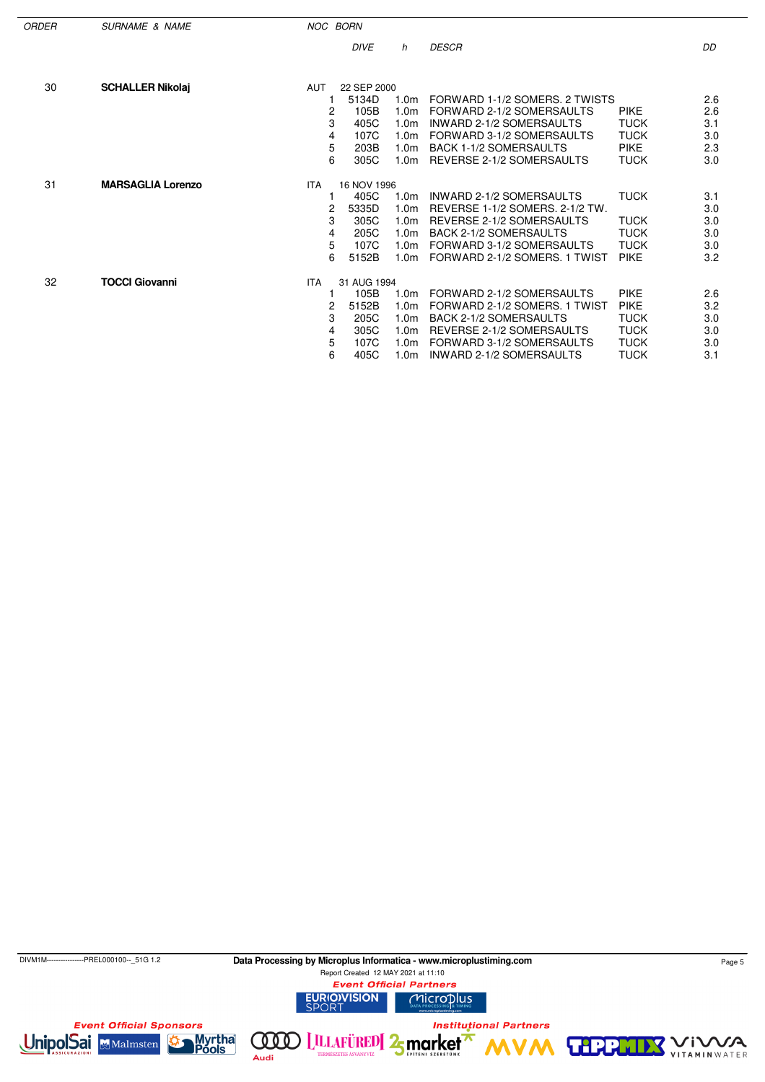| <b>ORDER</b> | <b>SURNAME &amp; NAME</b> |            | <b>NOC BORN</b> |                  |                                 |             |     |
|--------------|---------------------------|------------|-----------------|------------------|---------------------------------|-------------|-----|
|              |                           |            | <b>DIVE</b>     | $\mathsf{h}$     | <b>DESCR</b>                    |             | DD  |
| 30           | <b>SCHALLER Nikolaj</b>   | <b>AUT</b> | 22 SEP 2000     |                  |                                 |             |     |
|              |                           |            | 5134D           | 1.0 <sub>m</sub> | FORWARD 1-1/2 SOMERS, 2 TWISTS  |             | 2.6 |
|              |                           | 2          | 105B            | 1.0 <sub>m</sub> | FORWARD 2-1/2 SOMERSAULTS       | <b>PIKE</b> | 2.6 |
|              |                           | 3          | 405C            | 1.0 <sub>m</sub> | INWARD 2-1/2 SOMERSAULTS        | <b>TUCK</b> | 3.1 |
|              |                           | 4          | 107C            | 1.0 <sub>m</sub> | FORWARD 3-1/2 SOMERSAULTS       | <b>TUCK</b> | 3.0 |
|              |                           | 5          | 203B            | 1.0 <sub>m</sub> | <b>BACK 1-1/2 SOMERSAULTS</b>   | <b>PIKE</b> | 2.3 |
|              |                           | ĥ          | 305C            | 1.0 <sub>m</sub> | REVERSE 2-1/2 SOMERSAULTS       | <b>TUCK</b> | 3.0 |
| 31           | <b>MARSAGLIA Lorenzo</b>  | <b>ITA</b> | 16 NOV 1996     |                  |                                 |             |     |
|              |                           |            | 405C            | 1.0 <sub>m</sub> | INWARD 2-1/2 SOMERSAULTS        | <b>TUCK</b> | 3.1 |
|              |                           |            | 5335D           | 1.0 <sub>m</sub> | REVERSE 1-1/2 SOMERS, 2-1/2 TW. |             | 3.0 |
|              |                           | 3          | 305C            | 1.0 <sub>m</sub> | REVERSE 2-1/2 SOMERSAULTS       | <b>TUCK</b> | 3.0 |
|              |                           | 4          | 205C            | 1.0 <sub>m</sub> | <b>BACK 2-1/2 SOMERSAULTS</b>   | <b>TUCK</b> | 3.0 |
|              |                           | 5          | 107C            | 1.0 <sub>m</sub> | FORWARD 3-1/2 SOMERSAULTS       | <b>TUCK</b> | 3.0 |
|              |                           | 6          | 5152B           | 1.0 <sub>m</sub> | FORWARD 2-1/2 SOMERS. 1 TWIST   | <b>PIKE</b> | 3.2 |
| 32           | <b>TOCCI Giovanni</b>     | <b>ITA</b> | 31 AUG 1994     |                  |                                 |             |     |
|              |                           |            | 105B            | 1.0 <sub>m</sub> | FORWARD 2-1/2 SOMERSAULTS       | <b>PIKE</b> | 2.6 |
|              |                           |            | 5152B           | 1.0 <sub>m</sub> | FORWARD 2-1/2 SOMERS, 1 TWIST   | <b>PIKE</b> | 3.2 |
|              |                           | 3          | 205C            | 1.0 <sub>m</sub> | <b>BACK 2-1/2 SOMERSAULTS</b>   | <b>TUCK</b> | 3.0 |
|              |                           | 4          | 305C            | 1.0 <sub>m</sub> | REVERSE 2-1/2 SOMERSAULTS       | <b>TUCK</b> | 3.0 |
|              |                           | 5          | 107C            | 1.0 <sub>m</sub> | FORWARD 3-1/2 SOMERSAULTS       | <b>TUCK</b> | 3.0 |
|              |                           | 6          | 405C            | 1.0 <sub>m</sub> | INWARD 2-1/2 SOMERSAULTS        | <b>TUCK</b> | 3.1 |

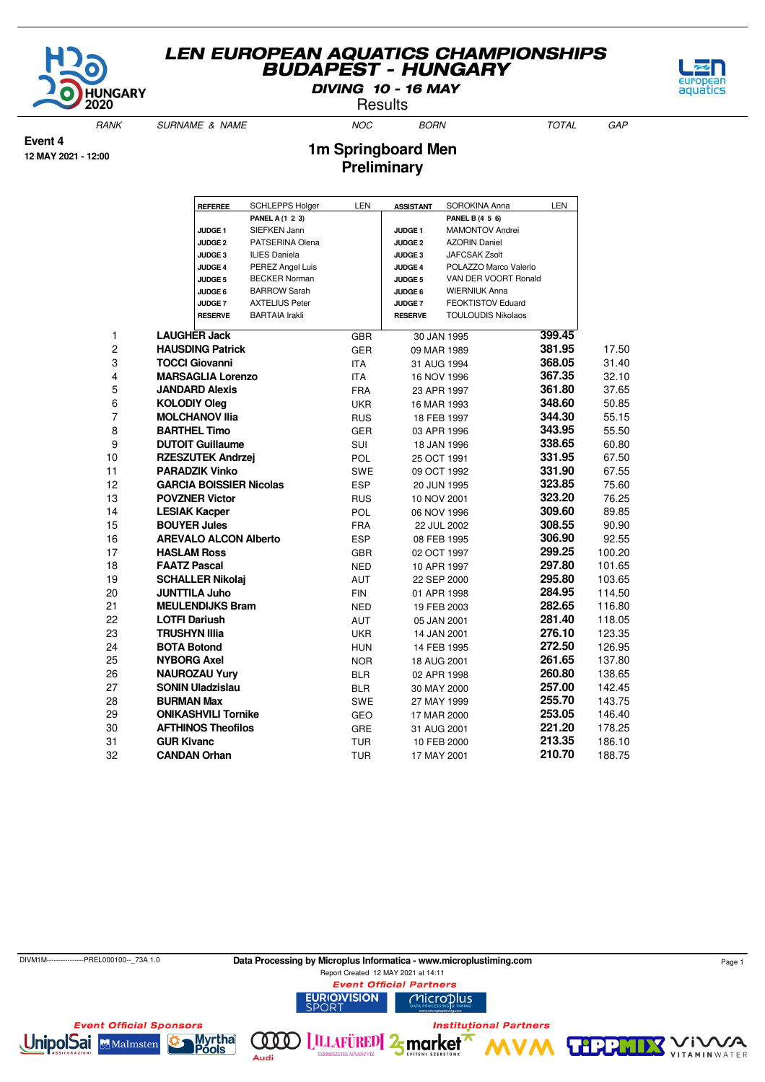

DIVING 10 - 16 MAY

**Results** 

RANK SURNAME & NAME NOC BORN TOTAL GAP

**Event 4 12 MAY 2021 - 12:00**

**1m Springboard Men Preliminary**

|                | <b>REFEREE</b>                 | <b>SCHLEPPS Holger</b> | LEN        | <b>ASSISTANT</b>   | SOROKINA Anna             | <b>LEN</b> |        |
|----------------|--------------------------------|------------------------|------------|--------------------|---------------------------|------------|--------|
|                |                                | <b>PANEL A (1 2 3)</b> |            |                    | PANEL B (4 5 6)           |            |        |
|                | <b>JUDGE 1</b>                 | SIEFKEN Jann           |            | JUDGE <sub>1</sub> | MAMONTOV Andrei           |            |        |
|                | <b>JUDGE 2</b>                 | PATSERINA Olena        |            | <b>JUDGE 2</b>     | <b>AZORIN Daniel</b>      |            |        |
|                | <b>JUDGE 3</b>                 | <b>ILIES Daniela</b>   |            | <b>JUDGE 3</b>     | <b>JAFCSAK Zsolt</b>      |            |        |
|                | <b>JUDGE 4</b>                 | PEREZ Angel Luis       |            | <b>JUDGE 4</b>     | POLAZZO Marco Valerio     |            |        |
|                | <b>JUDGE 5</b>                 | <b>BECKER Norman</b>   |            | <b>JUDGE 5</b>     | VAN DER VOORT Ronald      |            |        |
|                | <b>JUDGE 6</b>                 | <b>BARROW Sarah</b>    |            | <b>JUDGE 6</b>     | <b>WIERNIUK Anna</b>      |            |        |
|                | <b>JUDGE 7</b>                 | <b>AXTELIUS Peter</b>  |            | <b>JUDGE 7</b>     | FEOKTISTOV Eduard         |            |        |
|                | <b>RESERVE</b>                 | <b>BARTAIA Irakli</b>  |            | <b>RESERVE</b>     | <b>TOULOUDIS Nikolaos</b> |            |        |
| 1              | <b>LAUGHER Jack</b>            |                        | <b>GBR</b> | 30 JAN 1995        |                           | 399.45     |        |
| 2              | <b>HAUSDING Patrick</b>        |                        | <b>GER</b> | 09 MAR 1989        |                           | 381.95     | 17.50  |
| 3              | <b>TOCCI Giovanni</b>          |                        | <b>ITA</b> | 31 AUG 1994        |                           | 368.05     | 31.40  |
| 4              | <b>MARSAGLIA Lorenzo</b>       |                        | <b>ITA</b> | 16 NOV 1996        |                           | 367.35     | 32.10  |
| 5              | <b>JANDARD Alexis</b>          |                        | <b>FRA</b> | 23 APR 1997        |                           | 361.80     | 37.65  |
| 6              | <b>KOLODIY Oleg</b>            |                        | <b>UKR</b> | 16 MAR 1993        |                           | 348.60     | 50.85  |
| $\overline{7}$ | <b>MOLCHANOV IIia</b>          |                        | <b>RUS</b> | 18 FEB 1997        |                           | 344.30     | 55.15  |
| 8              | <b>BARTHEL Timo</b>            |                        | <b>GER</b> | 03 APR 1996        |                           | 343.95     | 55.50  |
| 9              | <b>DUTOIT Guillaume</b>        |                        | SUI        | 18 JAN 1996        |                           | 338.65     | 60.80  |
| 10             | <b>RZESZUTEK Andrzej</b>       |                        | <b>POL</b> | 25 OCT 1991        |                           | 331.95     | 67.50  |
| 11             | <b>PARADZIK Vinko</b>          |                        | <b>SWE</b> | 09 OCT 1992        |                           | 331.90     | 67.55  |
| 12             | <b>GARCIA BOISSIER Nicolas</b> |                        | <b>ESP</b> | 20 JUN 1995        |                           | 323.85     | 75.60  |
| 13             | <b>POVZNER Victor</b>          |                        | <b>RUS</b> | 10 NOV 2001        |                           | 323.20     | 76.25  |
| 14             | <b>LESIAK Kacper</b>           |                        | <b>POL</b> | 06 NOV 1996        |                           | 309.60     | 89.85  |
| 15             | <b>BOUYER Jules</b>            |                        | <b>FRA</b> | 22 JUL 2002        |                           | 308.55     | 90.90  |
| 16             | <b>AREVALO ALCON Alberto</b>   |                        | <b>ESP</b> | 08 FEB 1995        |                           | 306.90     | 92.55  |
| 17             | <b>HASLAM Ross</b>             |                        | <b>GBR</b> | 02 OCT 1997        |                           | 299.25     | 100.20 |
| 18             | <b>FAATZ Pascal</b>            |                        | <b>NED</b> | 10 APR 1997        |                           | 297.80     | 101.65 |
| 19             | <b>SCHALLER Nikolaj</b>        |                        | <b>AUT</b> | 22 SEP 2000        |                           | 295.80     | 103.65 |
| 20             | <b>JUNTTILA Juho</b>           |                        | <b>FIN</b> | 01 APR 1998        |                           | 284.95     | 114.50 |
| 21             | <b>MEULENDIJKS Bram</b>        |                        | <b>NED</b> | 19 FEB 2003        |                           | 282.65     | 116.80 |
| 22             | <b>LOTFI Dariush</b>           |                        | AUT        | 05 JAN 2001        |                           | 281.40     | 118.05 |
| 23             | <b>TRUSHYN Illia</b>           |                        | <b>UKR</b> | 14 JAN 2001        |                           | 276.10     | 123.35 |
| 24             | <b>BOTA Botond</b>             |                        | <b>HUN</b> | 14 FEB 1995        |                           | 272.50     | 126.95 |
| 25             | <b>NYBORG Axel</b>             |                        | NOR        | 18 AUG 2001        |                           | 261.65     | 137.80 |
| 26             | <b>NAUROZAU Yury</b>           |                        | <b>BLR</b> | 02 APR 1998        |                           | 260.80     | 138.65 |
| 27             | <b>SONIN Uladzislau</b>        |                        | <b>BLR</b> | 30 MAY 2000        |                           | 257.00     | 142.45 |
| 28             | <b>BURMAN Max</b>              |                        | <b>SWE</b> | 27 MAY 1999        |                           | 255.70     | 143.75 |
| 29             | <b>ONIKASHVILI Tornike</b>     |                        | <b>GEO</b> | 17 MAR 2000        |                           | 253.05     | 146.40 |
| 30             | <b>AFTHINOS Theofilos</b>      |                        | <b>GRE</b> | 31 AUG 2001        |                           | 221.20     | 178.25 |
| 31             | <b>GUR Kivanc</b>              |                        | <b>TUR</b> | 10 FEB 2000        |                           | 213.35     | 186.10 |
| 32             | <b>CANDAN Orhan</b>            |                        | <b>TUR</b> | 17 MAY 2001        |                           | 210.70     | 188.75 |
|                |                                |                        |            |                    |                           |            |        |

 DIVM1M----------------PREL000100--\_73A 1.0 **Data Processing by Microplus Informatica - www.microplustiming.com** Page 1 Report Created 12 MAY 2021 at 14:11**Event Official Partners RIOWISION** Microplus **Event Official Sponsors Institutional Partners Myrtha UnipolSai COOD** Malmsten **LILLAFÜRED** 2<sub>s</sub> market **M** VA **TIPP** 'i V **ools VITAMIN** WATER Audi

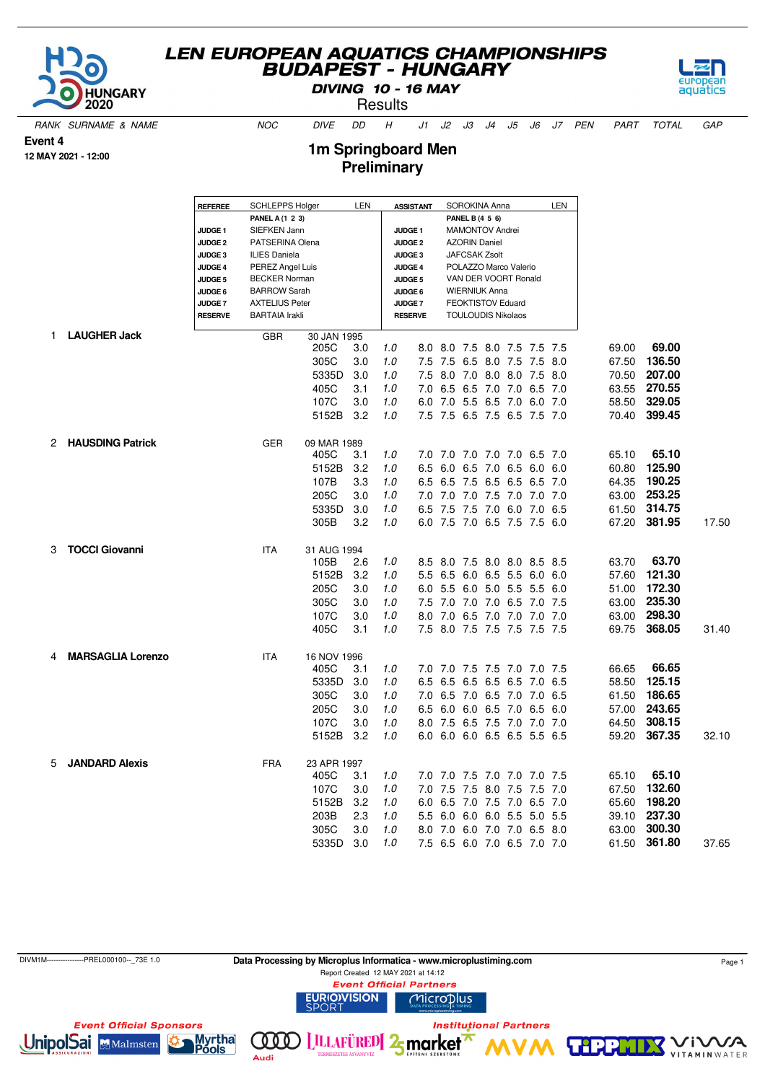



RANK SURNAME & NAME TOTAL GAP NOC DIVE DD H J1 J2 J3 J4 J5 J6 J7 PEN PART TOTAL GAP

**Event 4 12 MAY 2021 - 12:00** **1m Springboard Men Preliminary**

**Results** 

DIVING 10 - 16 MAY

|    |                          | <b>REFEREE</b>            | <b>SCHLEPPS Holger</b>                      |                     | LEN |                                                                         | <b>ASSISTANT</b>                         |     |                        | SOROKINA Anna               |             |           | LEN  |       |        |       |
|----|--------------------------|---------------------------|---------------------------------------------|---------------------|-----|-------------------------------------------------------------------------|------------------------------------------|-----|------------------------|-----------------------------|-------------|-----------|------|-------|--------|-------|
|    |                          |                           | <b>PANEL A (1 2 3)</b>                      |                     |     |                                                                         |                                          |     | <b>PANEL B (4 5 6)</b> |                             |             |           |      |       |        |       |
|    |                          | <b>JUDGE1</b>             | SIEFKEN Jann                                |                     |     |                                                                         | <b>MAMONTOV Andrei</b><br><b>JUDGE 1</b> |     |                        |                             |             |           |      |       |        |       |
|    |                          | <b>JUDGE 2</b>            | PATSERINA Olena                             |                     |     |                                                                         | JUDGE <sub>2</sub>                       |     | <b>AZORIN Daniel</b>   |                             |             |           |      |       |        |       |
|    |                          | <b>JUDGE 3</b>            | <b>ILIES Daniela</b>                        |                     |     | JAFCSAK Zsolt<br>JUDGE <sub>3</sub><br>POLAZZO Marco Valerio<br>JUDGE 4 |                                          |     |                        |                             |             |           |      |       |        |       |
|    |                          | JUDGE 4                   | PEREZ Angel Luis                            |                     |     |                                                                         |                                          |     |                        | VAN DER VOORT Ronald        |             |           |      |       |        |       |
|    |                          | <b>JUDGE 5</b><br>JUDGE 6 | <b>BECKER Norman</b><br><b>BARROW Sarah</b> |                     |     |                                                                         | JUDGE <sub>5</sub><br>JUDGE 6            |     |                        | <b>WIERNIUK Anna</b>        |             |           |      |       |        |       |
|    |                          | <b>JUDGE7</b>             | <b>AXTELIUS Peter</b>                       |                     |     |                                                                         | <b>JUDGE7</b>                            |     |                        | <b>FEOKTISTOV Eduard</b>    |             |           |      |       |        |       |
|    |                          | <b>RESERVE</b>            | <b>BARTAIA Irakli</b>                       |                     |     |                                                                         | <b>RESERVE</b>                           |     |                        | <b>TOULOUDIS Nikolaos</b>   |             |           |      |       |        |       |
|    |                          |                           |                                             |                     |     |                                                                         |                                          |     |                        |                             |             |           |      |       |        |       |
| 1. | <b>LAUGHER Jack</b>      |                           | <b>GBR</b>                                  | 30 JAN 1995         |     |                                                                         |                                          |     |                        |                             |             |           |      |       |        |       |
|    |                          |                           |                                             | 205C                | 3.0 | 1.0                                                                     | 8.0                                      |     |                        | 8.0 7.5 8.0 7.5 7.5 7.5     |             |           |      | 69.00 | 69.00  |       |
|    |                          |                           |                                             | 305C                | 3.0 | 1.0                                                                     | 7.5                                      | 7.5 |                        | 6.5 8.0 7.5 7.5 8.0         |             |           |      | 67.50 | 136.50 |       |
|    |                          |                           |                                             | 5335D               | 3.0 | 1.0                                                                     | 7.5                                      | 8.0 | 7.0                    | 8.0                         | 8.0 7.5     |           | 8.0  | 70.50 | 207.00 |       |
|    |                          |                           |                                             | 405C                | 3.1 | 1.0                                                                     | 7.0                                      | 6.5 | 6.5                    | 7.0 7.0 6.5 7.0             |             |           |      | 63.55 | 270.55 |       |
|    |                          |                           |                                             | 107C                | 3.0 | 1.0                                                                     | 6.0                                      | 7.0 | 5.5                    | 6.5                         | 7.0         | $6.0$ 7.0 |      | 58.50 | 329.05 |       |
|    |                          |                           |                                             | 5152B               | 3.2 | 1.0                                                                     |                                          |     |                        | 7.5 7.5 6.5 7.5 6.5 7.5 7.0 |             |           |      | 70.40 | 399.45 |       |
| 2  | <b>HAUSDING Patrick</b>  |                           | <b>GER</b>                                  | 09 MAR 1989         |     |                                                                         |                                          |     |                        |                             |             |           |      |       |        |       |
|    |                          |                           |                                             | 405C                | 3.1 | 1.0                                                                     | 7.0                                      |     |                        | 7.0 7.0 7.0 7.0 6.5 7.0     |             |           |      | 65.10 | 65.10  |       |
|    |                          |                           |                                             | 5152B               | 3.2 | 1.0                                                                     | 6.5                                      | 6.0 | 6.5                    | 7.0 6.5                     |             | 6.0 6.0   |      | 60.80 | 125.90 |       |
|    |                          |                           |                                             | 107B                | 3.3 | 1.0                                                                     | 6.5                                      | 6.5 | 7.5                    | 6.5                         | 6.5         | 6.5       | -7.0 | 64.35 | 190.25 |       |
|    |                          |                           |                                             | 205C                | 3.0 | 1.0                                                                     | 7.0                                      |     |                        | 7.0 7.0 7.5 7.0 7.0 7.0     |             |           |      | 63.00 | 253.25 |       |
|    |                          |                           |                                             | 5335D               | 3.0 | 1.0                                                                     | 6.5                                      | 7.5 | 7.5                    | 7.0                         | 6.0 7.0 6.5 |           |      | 61.50 | 314.75 |       |
|    |                          |                           |                                             | 305B                | 3.2 | 1.0                                                                     |                                          |     |                        | 6.0 7.5 7.0 6.5 7.5 7.5 6.0 |             |           |      | 67.20 | 381.95 | 17.50 |
|    |                          |                           |                                             |                     |     |                                                                         |                                          |     |                        |                             |             |           |      |       |        |       |
| 3  | <b>TOCCI Giovanni</b>    |                           | <b>ITA</b>                                  | 31 AUG 1994         |     |                                                                         |                                          |     |                        |                             |             |           |      |       |        |       |
|    |                          |                           |                                             | 105B                | 2.6 | 1.0                                                                     | 8.5                                      |     |                        | 8.0 7.5 8.0 8.0 8.5 8.5     |             |           |      | 63.70 | 63.70  |       |
|    |                          |                           |                                             | 5152B               | 3.2 | 1.0                                                                     | 5.5                                      | 6.5 |                        | 6.0 6.5 5.5 6.0 6.0         |             |           |      | 57.60 | 121.30 |       |
|    |                          |                           |                                             | 205C                | 3.0 | 1.0                                                                     | 6.0                                      | 5.5 | 6.0                    | 5.0 5.5                     |             | 5.5 6.0   |      | 51.00 | 172.30 |       |
|    |                          |                           |                                             | 305C                | 3.0 | 1.0                                                                     | 7.5                                      |     |                        | 7.0 7.0 7.0 6.5 7.0 7.5     |             |           |      | 63.00 | 235.30 |       |
|    |                          |                           |                                             | 107C                | 3.0 | 1.0                                                                     | 8.0                                      | 7.0 | 6.5                    | 7.0                         | 7.0 7.0 7.0 |           |      | 63.00 | 298.30 |       |
|    |                          |                           |                                             | 405C                | 3.1 | 1.0                                                                     | 7.5                                      |     |                        | 8.0 7.5 7.5 7.5 7.5 7.5     |             |           |      | 69.75 | 368.05 | 31.40 |
|    |                          |                           |                                             |                     |     |                                                                         |                                          |     |                        |                             |             |           |      |       |        |       |
| 4  | <b>MARSAGLIA Lorenzo</b> |                           | <b>ITA</b>                                  | 16 NOV 1996<br>405C | 3.1 | 1.0                                                                     | 7.0                                      |     |                        | 7.0 7.5 7.5 7.0 7.0 7.5     |             |           |      | 66.65 | 66.65  |       |
|    |                          |                           |                                             | 5335D               | 3.0 | 1.0                                                                     | 6.5                                      | 6.5 |                        | 6.5 6.5 6.5                 |             | 7.0       | 6.5  | 58.50 | 125.15 |       |
|    |                          |                           |                                             | 305C                | 3.0 | 1.0                                                                     | 7.0                                      |     |                        | 6.5 7.0 6.5 7.0 7.0 6.5     |             |           |      | 61.50 | 186.65 |       |
|    |                          |                           |                                             | 205C                | 3.0 | 1.0                                                                     | 6.5                                      | 6.0 |                        | 6.0 6.5 7.0 6.5 6.0         |             |           |      | 57.00 | 243.65 |       |
|    |                          |                           |                                             | 107C                | 3.0 | 1.0                                                                     | 8.0                                      | 7.5 |                        | 6.5 7.5 7.0 7.0 7.0         |             |           |      | 64.50 | 308.15 |       |
|    |                          |                           |                                             | 5152B               | 3.2 | 1.0                                                                     | 6.0                                      |     |                        | 6.0 6.0 6.5 6.5 5.5 6.5     |             |           |      | 59.20 | 367.35 | 32.10 |
|    |                          |                           |                                             |                     |     |                                                                         |                                          |     |                        |                             |             |           |      |       |        |       |
| 5  | <b>JANDARD Alexis</b>    |                           | <b>FRA</b>                                  | 23 APR 1997         |     |                                                                         |                                          |     |                        |                             |             |           |      |       |        |       |
|    |                          |                           |                                             | 405C                | 3.1 | 1.0                                                                     |                                          |     |                        | 7.0 7.0 7.5 7.0 7.0 7.0 7.5 |             |           |      | 65.10 | 65.10  |       |
|    |                          |                           |                                             | 107C                | 3.0 | 1.0                                                                     | 7.0                                      | 7.5 | 7.5                    | 8.0                         | 7.5         | 7.5       | -7.0 | 67.50 | 132.60 |       |
|    |                          |                           |                                             | 5152B               | 3.2 | 1.0                                                                     | 6.0                                      | 6.5 | 7.0                    | 7.5 7.0 6.5 7.0             |             |           |      | 65.60 | 198.20 |       |
|    |                          |                           |                                             | 203B                | 2.3 | 1.0                                                                     | 5.5                                      | 6.0 | 6.0                    | 6.0                         | 5.5         | 5.0 5.5   |      | 39.10 | 237.30 |       |
|    |                          |                           |                                             | 305C                | 3.0 | 1.0                                                                     | 8.0                                      |     |                        | 7.0 6.0 7.0 7.0 6.5 8.0     |             |           |      | 63.00 | 300.30 |       |
|    |                          |                           |                                             | 5335D               | 3.0 | 1.0                                                                     |                                          |     |                        | 7.5 6.5 6.0 7.0 6.5 7.0 7.0 |             |           |      | 61.50 | 361.80 | 37.65 |
|    |                          |                           |                                             |                     |     |                                                                         |                                          |     |                        |                             |             |           |      |       |        |       |

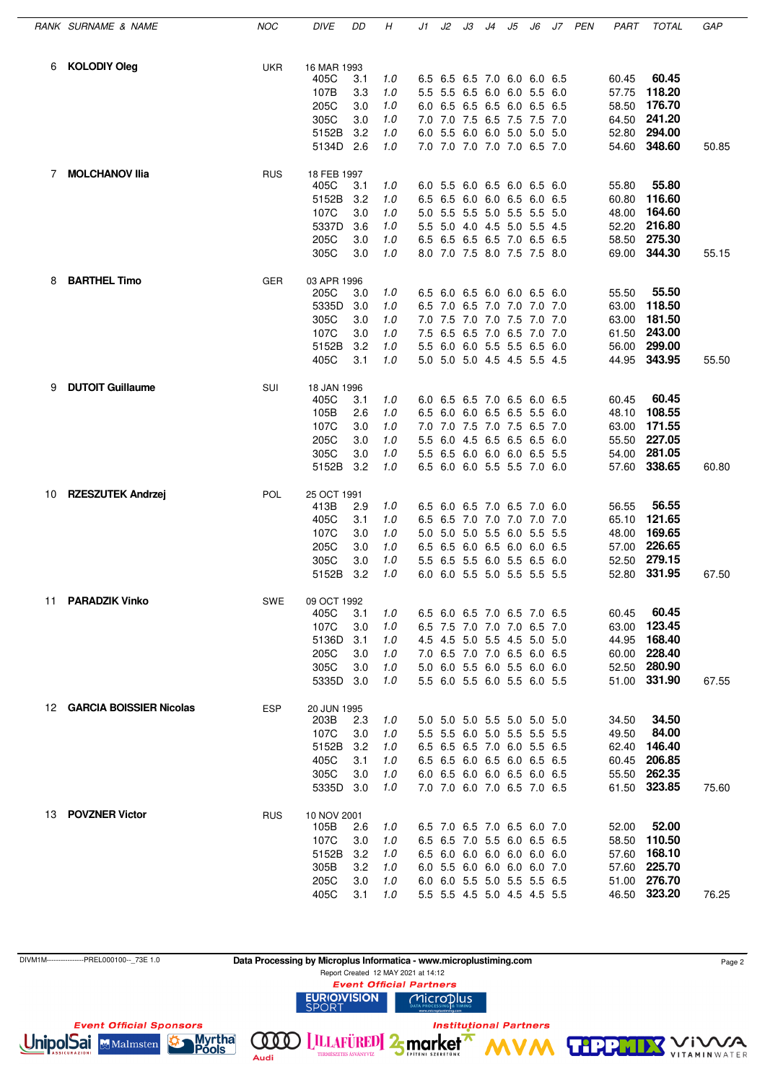|     | <i>RANK SURNAME &amp; NAME</i> | <b>NOC</b> | <b>DIVE</b>                                                       | DD                                     | Η                                      | J1         | J2 | JЗ | J4                  | J5 | J6                                                                                                                                                                                     | J7  | PEN | PART                                               | <b>TOTAL</b>                                            | GAP   |
|-----|--------------------------------|------------|-------------------------------------------------------------------|----------------------------------------|----------------------------------------|------------|----|----|---------------------|----|----------------------------------------------------------------------------------------------------------------------------------------------------------------------------------------|-----|-----|----------------------------------------------------|---------------------------------------------------------|-------|
| 6   | <b>KOLODIY Oleg</b>            | <b>UKR</b> | 16 MAR 1993<br>405C<br>107B<br>205C<br>305C                       | 3.1<br>3.3<br>3.0<br>3.0               | 1.0<br>1.0<br>1.0<br>1.0               |            |    |    |                     |    | 6.5 6.5 6.5 7.0 6.0 6.0 6.5<br>5.5 5.5 6.5 6.0 6.0 5.5 6.0<br>6.0 6.5 6.5 6.5 6.0 6.5 6.5<br>7.0 7.0 7.5 6.5 7.5 7.5 7.0                                                               |     |     | 60.45<br>57.75<br>58.50<br>64.50                   | 60.45<br>118.20<br>176.70<br>241.20                     |       |
|     |                                |            | 5152B<br>5134D 2.6                                                | 3.2                                    | 1.0<br>1.0                             |            |    |    |                     |    | 6.0 5.5 6.0 6.0 5.0 5.0 5.0<br>7.0 7.0 7.0 7.0 7.0 6.5 7.0                                                                                                                             |     |     | 52.80<br>54.60                                     | 294.00<br>348.60                                        | 50.85 |
| 7   | <b>MOLCHANOV IIIa</b>          | <b>RUS</b> | 18 FEB 1997<br>405C                                               | 3.1                                    | 1.0                                    |            |    |    |                     |    | 6.0 5.5 6.0 6.5 6.0 6.5 6.0                                                                                                                                                            |     |     | 55.80                                              | 55.80                                                   |       |
|     |                                |            | 5152B<br>107C<br>5337D<br>205C                                    | 3.2<br>3.0<br>3.6<br>3.0               | 1.0<br>1.0<br>1.0<br>1.0               |            |    |    |                     |    | 6.5 6.5 6.0 6.0 6.5 6.0 6.5<br>5.0 5.5 5.5 5.0 5.5 5.5 5.0<br>5.5 5.0 4.0 4.5 5.0 5.5 4.5<br>6.5 6.5 6.5 6.5 7.0 6.5 6.5                                                               |     |     | 60.80<br>48.00<br>52.20<br>58.50                   | 116.60<br>164.60<br>216.80<br>275.30                    |       |
|     |                                |            | 305C                                                              | 3.0                                    | 1.0                                    |            |    |    |                     |    | 8.0 7.0 7.5 8.0 7.5 7.5 8.0                                                                                                                                                            |     |     | 69.00                                              | 344.30                                                  | 55.15 |
| 8   | <b>BARTHEL Timo</b>            | <b>GER</b> | 03 APR 1996<br>205C<br>5335D<br>305C<br>107C                      | 3.0<br>3.0<br>3.0<br>3.0               | 1.0<br>1.0<br>1.0<br>1.0               | 6.5        |    |    |                     |    | 6.5 6.0 6.5 6.0 6.0 6.5 6.0<br>7.0 6.5 7.0 7.0 7.0 7.0<br>7.0 7.5 7.0 7.0 7.5 7.0 7.0<br>7.5 6.5 6.5 7.0 6.5 7.0 7.0                                                                   |     |     | 55.50<br>63.00<br>63.00<br>61.50                   | 55.50<br>118.50<br>181.50<br>243.00                     |       |
|     |                                |            | 5152B<br>405C                                                     | 3.2<br>3.1                             | 1.0<br>1.0                             |            |    |    |                     |    | 5.5 6.0 6.0 5.5 5.5 6.5 6.0<br>5.0 5.0 5.0 4.5 4.5 5.5 4.5                                                                                                                             |     |     | 56.00<br>44.95                                     | 299.00<br>343.95                                        | 55.50 |
| 9   | <b>DUTOIT Guillaume</b>        | SUI        | 18 JAN 1996<br>405C<br>105B<br>107C<br>205C<br>305C<br>5152B      | 3.1<br>2.6<br>3.0<br>3.0<br>3.0<br>3.2 | 1.0<br>1.0<br>1.0<br>1.0<br>1.0<br>1.0 | 6.5        |    |    | 6.0 6.0 6.5 6.5 5.5 |    | 6.0 6.5 6.5 7.0 6.5 6.0 6.5<br>7.0 7.0 7.5 7.0 7.5 6.5 7.0<br>5.5 6.0 4.5 6.5 6.5 6.5 6.0<br>5.5 6.5 6.0 6.0 6.0 6.5 5.5<br>6.5 6.0 6.0 5.5 5.5 7.0 6.0                                | 6.0 |     | 60.45<br>48.10<br>63.00<br>55.50<br>54.00<br>57.60 | 60.45<br>108.55<br>171.55<br>227.05<br>281.05<br>338.65 | 60.80 |
| 10  | <b>RZESZUTEK Andrzej</b>       | <b>POL</b> | 25 OCT 1991                                                       |                                        |                                        |            |    |    |                     |    |                                                                                                                                                                                        |     |     |                                                    |                                                         |       |
|     |                                |            | 413B<br>405C<br>107C<br>205C<br>305C<br>5152B                     | 2.9<br>3.1<br>3.0<br>3.0<br>3.0<br>3.2 | 1.0<br>1.0<br>1.0<br>1.0<br>1.0<br>1.0 | 6.5<br>5.5 |    |    |                     |    | 6.5 6.0 6.5 7.0 6.5 7.0 6.0<br>6.5 7.0 7.0 7.0 7.0 7.0<br>5.0 5.0 5.0 5.5 6.0 5.5 5.5<br>6.5 6.5 6.0 6.5 6.0 6.0 6.5<br>6.5 5.5 6.0 5.5 6.5 6.0<br>6.0 6.0 5.5 5.0 5.5 5.5 5.5         |     |     | 56.55<br>65.10<br>48.00<br>57.00<br>52.50<br>52.80 | 56.55<br>121.65<br>169.65<br>226.65<br>279.15<br>331.95 | 67.50 |
| 11  | <b>PARADZIK Vinko</b>          | SWE        | 09 OCT 1992<br>405C<br>107C<br>5136D<br>205C<br>305C<br>5335D 3.0 | 3.1<br>3.0<br>3.1<br>3.0<br>3.0        | 1.0<br>1.0<br>1.0<br>1.0<br>1.0<br>1.0 |            |    |    |                     |    | 6.5 6.0 6.5 7.0 6.5 7.0 6.5<br>6.5 7.5 7.0 7.0 7.0 6.5 7.0<br>4.5 4.5 5.0 5.5 4.5 5.0 5.0<br>7.0 6.5 7.0 7.0 6.5 6.0 6.5<br>5.0 6.0 5.5 6.0 5.5 6.0 6.0<br>5.5 6.0 5.5 6.0 5.5 6.0 5.5 |     |     | 60.45<br>63.00<br>44.95<br>60.00<br>52.50<br>51.00 | 60.45<br>123.45<br>168.40<br>228.40<br>280.90<br>331.90 | 67.55 |
| 12. | <b>GARCIA BOISSIER Nicolas</b> | <b>ESP</b> | 20 JUN 1995<br>203B<br>107C<br>5152B<br>405C<br>305C<br>5335D 3.0 | 2.3<br>3.0<br>3.2<br>3.1<br>3.0        | 1.0<br>1.0<br>1.0<br>1.0<br>1.0<br>1.0 |            |    |    |                     |    | 5.0 5.0 5.0 5.5 5.0 5.0 5.0<br>5.5 5.5 6.0 5.0 5.5 5.5 5.5<br>6.5 6.5 6.5 7.0 6.0 5.5 6.5<br>6.5 6.5 6.0 6.5 6.0 6.5 6.5<br>6.0 6.5 6.0 6.0 6.5 6.0 6.5<br>7.0 7.0 6.0 7.0 6.5 7.0 6.5 |     |     | 34.50<br>49.50<br>62.40<br>60.45<br>55.50<br>61.50 | 34.50<br>84.00<br>146.40<br>206.85<br>262.35<br>323.85  | 75.60 |
| 13  | <b>POVZNER Victor</b>          | <b>RUS</b> | 10 NOV 2001<br>105B<br>107C<br>5152B<br>305B<br>205C<br>405C      | 2.6<br>3.0<br>3.2<br>3.2<br>3.0<br>3.1 | 1.0<br>1.0<br>1.0<br>1.0<br>1.0<br>1.0 |            |    |    |                     |    | 6.5 7.0 6.5 7.0 6.5 6.0 7.0<br>6.5 6.5 7.0 5.5 6.0 6.5 6.5<br>6.5 6.0 6.0 6.0 6.0 6.0 6.0<br>6.0 5.5 6.0 6.0 6.0 6.0 7.0<br>6.0 6.0 5.5 5.0 5.5 5.5 6.5<br>5.5 5.5 4.5 5.0 4.5 4.5 5.5 |     |     | 52.00<br>58.50<br>57.60<br>57.60<br>51.00<br>46.50 | 52.00<br>110.50<br>168.10<br>225.70<br>276.70<br>323.20 | 76.25 |



 $\underset{\text{Audi}}{\text{QQQ}} \underset{\text{The  
classians isosymptotic}}{\text{LILLAFIREDI}} \underset{\text{Bulaxians}}{\text{B}} \underset{\text{Bulaxian}}{\text{maxket}} \dot{\uparrow}$ 

Audi



**VIWWATER**  $\mathbf Z$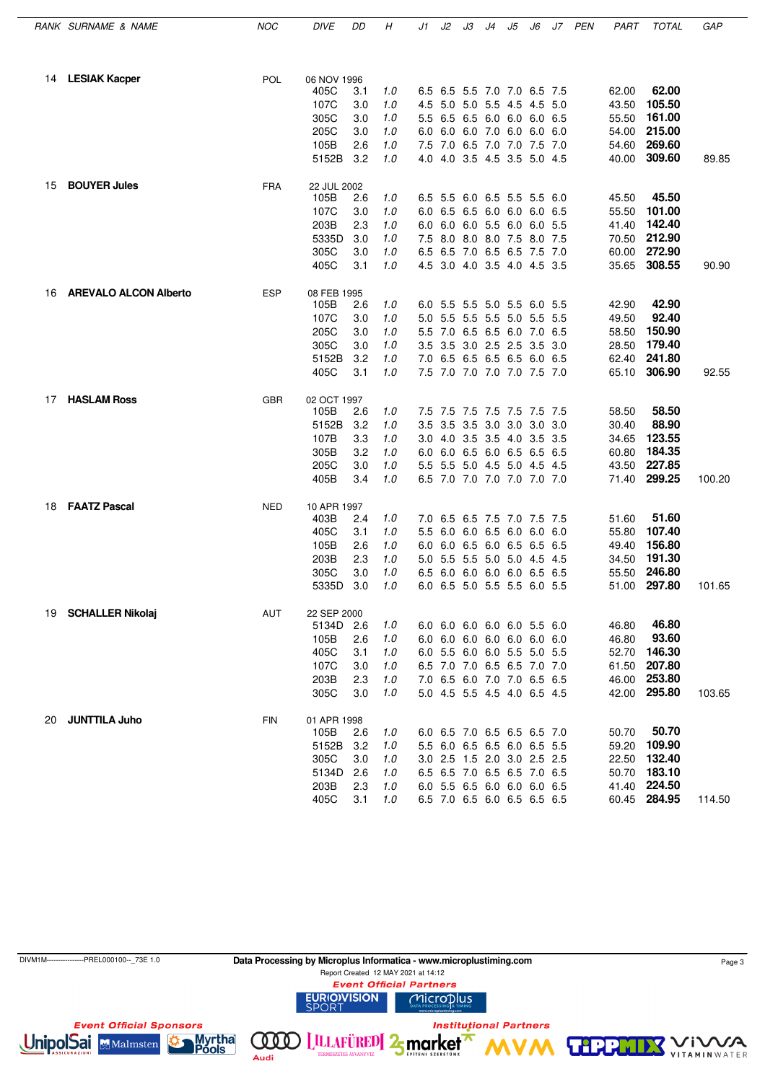|    | RANK SURNAME & NAME          | <b>NOC</b> | <b>DIVE</b>         | DD         | Η          | J1         | J2  | JЗ                | J4                                                     | J5  | J6                | J7  | <b>PEN</b> | PART           | <b>TOTAL</b>     | GAP    |
|----|------------------------------|------------|---------------------|------------|------------|------------|-----|-------------------|--------------------------------------------------------|-----|-------------------|-----|------------|----------------|------------------|--------|
| 14 | <b>LESIAK Kacper</b>         | POL        |                     |            |            |            |     |                   |                                                        |     |                   |     |            |                |                  |        |
|    |                              |            | 06 NOV 1996<br>405C | 3.1        | 1.0        |            |     |                   | 6.5 6.5 5.5 7.0 7.0 6.5 7.5                            |     |                   |     |            | 62.00          | 62.00            |        |
|    |                              |            | 107C                | 3.0        | 1.0        | 4.5        | 5.0 |                   | 5.0 5.5                                                | 4.5 | 4.5 5.0           |     |            | 43.50          | 105.50           |        |
|    |                              |            | 305C                | 3.0        | 1.0        | 5.5        |     | $6.5$ 6.5 6.0     |                                                        | 6.0 | 6.0 6.5           |     |            | 55.50          | 161.00           |        |
|    |                              |            | 205C                | 3.0        | 1.0        | 6.0        |     | 6.0 6.0 7.0       |                                                        | 6.0 | $6.0\;6.0$        |     |            | 54.00          | 215.00           |        |
|    |                              |            | 105B                | 2.6        | 1.0        |            |     |                   | 7.5 7.0 6.5 7.0 7.0 7.5 7.0                            |     |                   |     |            | 54.60          | 269.60           |        |
|    |                              |            | 5152B               | 3.2        | 1.0        | 4.0        |     |                   | 4.0 3.5 4.5 3.5 5.0 4.5                                |     |                   |     |            | 40.00          | 309.60           | 89.85  |
| 15 | <b>BOUYER Jules</b>          | <b>FRA</b> | 22 JUL 2002         |            |            |            |     |                   |                                                        |     |                   |     |            |                |                  |        |
|    |                              |            | 105B                | 2.6        | 1.0        |            |     |                   | 6.5 5.5 6.0 6.5 5.5 5.5 6.0                            |     |                   |     |            | 45.50          | 45.50            |        |
|    |                              |            | 107C                | 3.0        | 1.0        | 6.0        |     |                   | 6.5 6.5 6.0 6.0 6.0 6.5                                |     |                   |     |            | 55.50          | 101.00           |        |
|    |                              |            | 203B                | 2.3        | 1.0        | 6.0        |     |                   | $6.0$ $6.0$ $5.5$ $6.0$                                |     | 6.0 5.5           |     |            | 41.40          | 142.40           |        |
|    |                              |            | 5335D               | 3.0        | 1.0        | 7.5        |     |                   | 8.0 8.0 8.0 7.5                                        |     | 8.0 7.5           |     |            | 70.50          | 212.90           |        |
|    |                              |            | 305C<br>405C        | 3.0<br>3.1 | 1.0<br>1.0 | 6.5<br>4.5 |     |                   | 6.5 7.0 6.5 6.5 7.5 7.0<br>3.0 4.0 3.5 4.0 4.5 3.5     |     |                   |     |            | 60.00<br>35.65 | 272.90<br>308.55 | 90.90  |
| 16 | <b>AREVALO ALCON Alberto</b> | <b>ESP</b> | 08 FEB 1995         |            |            |            |     |                   |                                                        |     |                   |     |            |                |                  |        |
|    |                              |            | 105B                | 2.6        | 1.0        |            |     |                   | 6.0 5.5 5.5 5.0 5.5                                    |     | 6.0 5.5           |     |            | 42.90          | 42.90            |        |
|    |                              |            | 107C                | 3.0        | 1.0        | 5.0        | 5.5 | 5.5 5.5           |                                                        | 5.0 | 5.5               | 5.5 |            | 49.50          | 92.40            |        |
|    |                              |            | 205C                | 3.0        | 1.0        | 5.5        |     | 7.0 6.5 6.5       |                                                        |     | 6.0 7.0 6.5       |     |            | 58.50          | 150.90           |        |
|    |                              |            | 305C                | 3.0        | 1.0        | 3.5        |     |                   | 3.5 3.0 2.5 2.5                                        |     | $3.5$ $3.0$       |     |            | 28.50          | 179.40           |        |
|    |                              |            | 5152B               | 3.2        | 1.0        | 7.0        |     |                   | 6.5 6.5 6.5 6.5                                        |     | 6.0 6.5           |     |            | 62.40          | 241.80           |        |
|    |                              |            | 405C                | 3.1        | 1.0        | 7.5        |     |                   | 7.0 7.0 7.0 7.0 7.5 7.0                                |     |                   |     |            | 65.10          | 306.90           | 92.55  |
| 17 | <b>HASLAM Ross</b>           | <b>GBR</b> | 02 OCT 1997         |            |            |            |     |                   |                                                        |     |                   |     |            |                |                  |        |
|    |                              |            | 105B                | 2.6        | 1.0        |            |     |                   | 7.5 7.5 7.5 7.5 7.5 7.5 7.5                            |     |                   |     |            | 58.50          | 58.50            |        |
|    |                              |            | 5152B               | 3.2        | 1.0        | 3.5        |     | $3.5$ $3.5$ $3.0$ |                                                        | 3.0 | $3.0$ $3.0$       |     |            | 30.40          | 88.90            |        |
|    |                              |            | 107B                | 3.3        | 1.0        |            |     |                   | 3.0 4.0 3.5 3.5 4.0 3.5 3.5                            |     |                   |     |            | 34.65          | 123.55           |        |
|    |                              |            | 305B                | 3.2        | 1.0        | 6.0        |     |                   | 6.0 6.5 6.0 6.5 6.5 6.5                                |     |                   |     |            | 60.80          | 184.35<br>227.85 |        |
|    |                              |            | 205C<br>405B        | 3.0<br>3.4 | 1.0<br>1.0 | 5.5        |     |                   | 5.5 5.0 4.5 5.0 4.5 4.5<br>6.5 7.0 7.0 7.0 7.0 7.0 7.0 |     |                   |     |            | 43.50<br>71.40 | 299.25           | 100.20 |
|    |                              |            |                     |            |            |            |     |                   |                                                        |     |                   |     |            |                |                  |        |
| 18 | <b>FAATZ Pascal</b>          | <b>NED</b> | 10 APR 1997         |            |            |            |     |                   |                                                        |     |                   |     |            |                |                  |        |
|    |                              |            | 403B                | 2.4        | 1.0        |            |     |                   | 7.0 6.5 6.5 7.5 7.0 7.5 7.5                            |     |                   |     |            | 51.60          | 51.60            |        |
|    |                              |            | 405C                | 3.1        | 1.0        | 5.5        |     | 6.0 6.0 6.5       |                                                        |     | $6.0$ $6.0$ $6.0$ |     |            | 55.80          | 107.40           |        |
|    |                              |            | 105B                | 2.6<br>2.3 | 1.0        | 6.0        |     |                   | 6.0 6.5 6.0 6.5 6.5 6.5                                |     |                   |     |            | 49.40          | 156.80<br>191.30 |        |
|    |                              |            | 203B                | 3.0        | 1.0<br>1.0 | 5.0        | 5.5 |                   | $5.5\;5.0$                                             |     | 5.0 4.5 4.5       |     |            | 34.50          | 246.80           |        |
|    |                              |            | 305C<br>5335D       | 3.0        | 1.0        | 6.5<br>6.0 | 6.0 |                   | 6.0 6.0<br>6.5 5.0 5.5 5.5 6.0 5.5                     | 6.0 | 6.5               | 6.5 |            | 55.50<br>51.00 | 297.80           | 101.65 |
| 19 | <b>SCHALLER Nikolaj</b>      | AUT        | 22 SEP 2000         |            |            |            |     |                   |                                                        |     |                   |     |            |                |                  |        |
|    |                              |            | 5134D 2.6           |            | 1.0        |            |     |                   | 6.0 6.0 6.0 6.0 6.0 5.5 6.0                            |     |                   |     |            | 46.80          | 46.80            |        |
|    |                              |            | 105B                | 2.6        | 1.0        |            |     |                   | 6.0 6.0 6.0 6.0 6.0 6.0 6.0                            |     |                   |     |            | 46.80          | 93.60            |        |
|    |                              |            | 405C                | 3.1        | 1.0        |            |     |                   | 6.0 5.5 6.0 6.0 5.5 5.0 5.5                            |     |                   |     |            | 52.70          | 146.30           |        |
|    |                              |            | 107C                | 3.0        | 1.0        |            |     |                   | 6.5 7.0 7.0 6.5 6.5 7.0 7.0                            |     |                   |     |            | 61.50          | 207.80           |        |
|    |                              |            | 203B                | 2.3        | 1.0        | 7.0        |     |                   | 6.5 6.0 7.0 7.0 6.5 6.5                                |     |                   |     |            | 46.00          | 253.80           |        |
|    |                              |            | 305C                | 3.0        | 1.0        |            |     |                   | 5.0 4.5 5.5 4.5 4.0 6.5 4.5                            |     |                   |     |            | 42.00          | 295.80           | 103.65 |
| 20 | <b>JUNTTILA Juho</b>         | <b>FIN</b> | 01 APR 1998         |            |            |            |     |                   |                                                        |     |                   |     |            |                |                  |        |
|    |                              |            | 105B                | 2.6        | 1.0        |            |     |                   | 6.0 6.5 7.0 6.5 6.5 6.5 7.0                            |     |                   |     |            | 50.70          | 50.70            |        |
|    |                              |            | 5152B               | 3.2        | 1.0        |            |     |                   | 5.5 6.0 6.5 6.5 6.0 6.5 5.5                            |     |                   |     |            | 59.20          | 109.90           |        |
|    |                              |            | 305C                | 3.0        | 1.0        |            |     |                   | 3.0 2.5 1.5 2.0 3.0 2.5 2.5                            |     |                   |     |            | 22.50          | 132.40           |        |
|    |                              |            | 5134D               | 2.6        | 1.0        | 6.5        |     |                   | 6.5 7.0 6.5 6.5 7.0 6.5                                |     |                   |     |            | 50.70          | 183.10           |        |
|    |                              |            | 203B                | 2.3        | 1.0        |            |     |                   | 6.0 5.5 6.5 6.0 6.0 6.0 6.5                            |     |                   |     |            | 41.40          | 224.50           |        |
|    |                              |            | 405C                | 3.1        | 1.0        |            |     |                   | 6.5 7.0 6.5 6.0 6.5 6.5 6.5                            |     |                   |     |            | 60.45          | 284.95           | 114.50 |

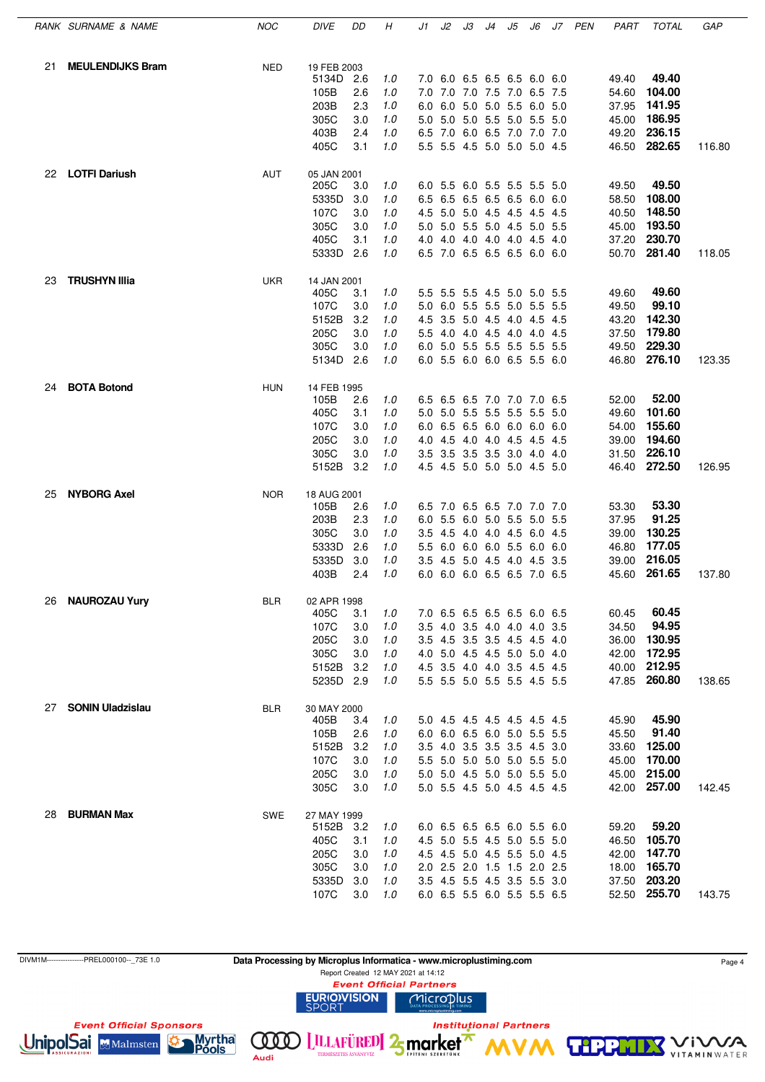|    | RANK SURNAME & NAME     | <b>NOC</b> | <b>DIVE</b>                                                       | DD                                     | Η                                      | J1         | J2 | JЗ | J4                  | J5 | J6                                                                                                                                                                                     | J7 | PEN | PART                                               | <b>TOTAL</b>                                                  | GAP    |
|----|-------------------------|------------|-------------------------------------------------------------------|----------------------------------------|----------------------------------------|------------|----|----|---------------------|----|----------------------------------------------------------------------------------------------------------------------------------------------------------------------------------------|----|-----|----------------------------------------------------|---------------------------------------------------------------|--------|
| 21 | <b>MEULENDIJKS Bram</b> | <b>NED</b> | 19 FEB 2003<br>5134D 2.6<br>105B<br>203B<br>305C<br>403B<br>405C  | 2.6<br>2.3<br>3.0<br>2.4<br>3.1        | 1.0<br>1.0<br>1.0<br>1.0<br>1.0<br>1.0 |            |    |    | 6.0 6.0 5.0 5.0 5.5 |    | 7.0 6.0 6.5 6.5 6.5 6.0 6.0<br>7.0 7.0 7.0 7.5 7.0 6.5 7.5<br>6.0 5.0<br>5.0 5.0 5.0 5.5 5.0 5.5 5.0<br>6.5 7.0 6.0 6.5 7.0 7.0 7.0<br>5.5 5.5 4.5 5.0 5.0 5.0 4.5                     |    |     | 49.40<br>54.60<br>37.95<br>45.00<br>49.20<br>46.50 | 49.40<br>104.00<br>141.95<br>186.95<br>236.15<br>282.65       | 116.80 |
| 22 | <b>LOTFI Dariush</b>    | AUT        | 05 JAN 2001<br>205C<br>5335D<br>107C<br>305C<br>405C<br>5333D 2.6 | 3.0<br>3.0<br>3.0<br>3.0<br>3.1        | 1.0<br>1.0<br>1.0<br>1.0<br>1.0<br>1.0 |            |    |    | 4.5 5.0 5.0 4.5 4.5 |    | 6.0 5.5 6.0 5.5 5.5 5.5 5.0<br>6.5 6.5 6.5 6.5 6.5 6.0 6.0<br>4.5 4.5<br>5.0 5.0 5.5 5.0 4.5 5.0 5.5<br>4.0 4.0 4.0 4.0 4.0 4.5 4.0<br>6.5 7.0 6.5 6.5 6.5 6.0 6.0                     |    |     | 49.50<br>58.50<br>40.50<br>45.00<br>37.20          | 49.50<br>108.00<br>148.50<br>193.50<br>230.70<br>50.70 281.40 | 118.05 |
| 23 | <b>TRUSHYN IIIia</b>    | <b>UKR</b> | 14 JAN 2001<br>405C<br>107C<br>5152B<br>205C<br>305C<br>5134D     | 3.1<br>3.0<br>3.2<br>3.0<br>3.0<br>2.6 | 1.0<br>1.0<br>1.0<br>1.0<br>1.0<br>1.0 | 4.5<br>5.5 |    |    |                     |    | 5.5 5.5 5.5 4.5 5.0 5.0 5.5<br>5.0 6.0 5.5 5.5 5.0 5.5 5.5<br>3.5 5.0 4.5 4.0 4.5 4.5<br>4.0 4.0 4.5 4.0 4.0 4.5<br>6.0 5.0 5.5 5.5 5.5 5.5 5.5<br>6.0 5.5 6.0 6.0 6.5 5.5 6.0         |    |     | 49.60<br>49.50<br>43.20<br>37.50<br>49.50<br>46.80 | 49.60<br>99.10<br>142.30<br>179.80<br>229.30<br>276.10        | 123.35 |
| 24 | <b>BOTA Botond</b>      | <b>HUN</b> | 14 FEB 1995<br>105B<br>405C<br>107C<br>205C<br>305C<br>5152B      | 2.6<br>3.1<br>3.0<br>3.0<br>3.0<br>3.2 | 1.0<br>1.0<br>1.0<br>1.0<br>1.0<br>1.0 |            |    |    |                     |    | 6.5 6.5 6.5 7.0 7.0 7.0 6.5<br>5.0 5.0 5.5 5.5 5.5 5.5 5.0<br>6.0 6.5 6.5 6.0 6.0 6.0 6.0<br>4.0 4.5 4.0 4.0 4.5 4.5 4.5<br>3.5 3.5 3.5 3.5 3.0 4.0 4.0<br>4.5 4.5 5.0 5.0 5.0 4.5 5.0 |    |     | 52.00<br>49.60<br>54.00<br>39.00<br>31.50<br>46.40 | 52.00<br>101.60<br>155.60<br>194.60<br>226.10<br>272.50       | 126.95 |
| 25 | <b>NYBORG Axel</b>      | <b>NOR</b> | 18 AUG 2001<br>105B<br>203B<br>305C<br>5333D<br>5335D<br>403B     | 2.6<br>2.3<br>3.0<br>2.6<br>3.0<br>2.4 | 1.0<br>1.0<br>1.0<br>1.0<br>1.0<br>1.0 | 3.5        |    |    |                     |    | 6.5 7.0 6.5 6.5 7.0 7.0 7.0<br>6.0 5.5 6.0 5.0 5.5 5.0 5.5<br>3.5 4.5 4.0 4.0 4.5 6.0 4.5<br>5.5 6.0 6.0 6.0 5.5 6.0 6.0<br>4.5 5.0 4.5 4.0 4.5 3.5<br>6.0 6.0 6.0 6.5 6.5 7.0 6.5     |    |     | 53.30<br>37.95<br>39.00<br>46.80<br>39.00<br>45.60 | 53.30<br>91.25<br>130.25<br>177.05<br>216.05<br>261.65        | 137.80 |
| 26 | <b>NAUROZAU Yury</b>    | <b>BLR</b> | 02 APR 1998<br>405C<br>107C<br>205C<br>305C<br>5152B<br>5235D 2.9 | 3.1<br>3.0<br>3.0<br>3.0<br>3.2        | 1.0<br>1.0<br>1.0<br>1.0<br>1.0<br>1.0 |            |    |    |                     |    | 7.0 6.5 6.5 6.5 6.5 6.0 6.5<br>3.5 4.0 3.5 4.0 4.0 4.0 3.5<br>3.5 4.5 3.5 3.5 4.5 4.5 4.0<br>4.0 5.0 4.5 4.5 5.0 5.0 4.0<br>4.5 3.5 4.0 4.0 3.5 4.5 4.5<br>5.5 5.5 5.0 5.5 5.5 4.5 5.5 |    |     | 60.45<br>34.50<br>36.00<br>42.00<br>40.00          | 60.45<br>94.95<br>130.95<br>172.95<br>212.95<br>47.85 260.80  | 138.65 |
| 27 | <b>SONIN Uladzislau</b> | <b>BLR</b> | 30 MAY 2000<br>405B<br>105B<br>5152B<br>107C<br>205C<br>305C      | 3.4<br>2.6<br>3.2<br>3.0<br>3.0<br>3.0 | 1.0<br>1.0<br>1.0<br>1.0<br>1.0<br>1.0 |            |    |    |                     |    | 5.0 4.5 4.5 4.5 4.5 4.5 4.5<br>6.0 6.0 6.5 6.0 5.0 5.5 5.5<br>3.5 4.0 3.5 3.5 3.5 4.5 3.0<br>5.5 5.0 5.0 5.0 5.0 5.5 5.0<br>5.0 5.0 4.5 5.0 5.0 5.5 5.0<br>5.0 5.5 4.5 5.0 4.5 4.5 4.5 |    |     | 45.90<br>45.50<br>33.60<br>45.00<br>45.00          | 45.90<br>91.40<br>125.00<br>170.00<br>215.00<br>42.00 257.00  | 142.45 |
| 28 | <b>BURMAN Max</b>       | SWE        | 27 MAY 1999<br>5152B 3.2<br>405C<br>205C<br>305C<br>5335D<br>107C | 3.1<br>3.0<br>3.0<br>3.0<br>3.0        | 1.0<br>1.0<br>1.0<br>1.0<br>1.0<br>1.0 |            |    |    |                     |    | 6.0 6.5 6.5 6.5 6.0 5.5 6.0<br>4.5 5.0 5.5 4.5 5.0 5.5 5.0<br>4.5 4.5 5.0 4.5 5.5 5.0 4.5<br>2.0 2.5 2.0 1.5 1.5 2.0 2.5<br>3.5 4.5 5.5 4.5 3.5 5.5 3.0<br>6.0 6.5 5.5 6.0 5.5 5.5 6.5 |    |     | 59.20<br>46.50<br>42.00<br>18.00<br>37.50          | 59.20<br>105.70<br>147.70<br>165.70<br>203.20<br>52.50 255.70 | 143.75 |

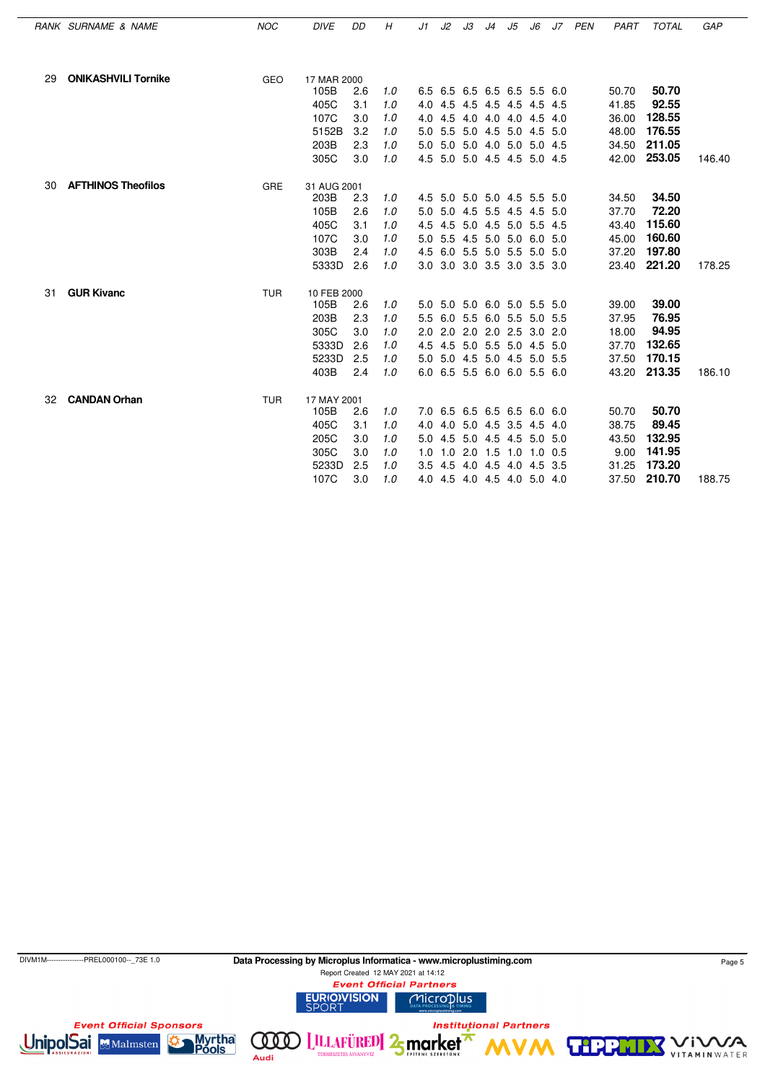|    | RANK SURNAME & NAME        | <b>NOC</b> | <b>DIVE</b> | DD  | Η   | J1               | J2              | JЗ      | J4              | J5  | J6                          | J7  | <b>PEN</b> | PART  | <b>TOTAL</b> | GAP    |
|----|----------------------------|------------|-------------|-----|-----|------------------|-----------------|---------|-----------------|-----|-----------------------------|-----|------------|-------|--------------|--------|
| 29 | <b>ONIKASHVILI Tornike</b> | GEO        | 17 MAR 2000 |     |     |                  |                 |         |                 |     |                             |     |            |       |              |        |
|    |                            |            | 105B        | 2.6 | 1.0 |                  |                 |         |                 |     | 6.5 6.5 6.5 6.5 6.5 5.5 6.0 |     |            | 50.70 | 50.70        |        |
|    |                            |            | 405C        | 3.1 | 1.0 | 4.0              |                 |         | 4.5 4.5 4.5     |     | 4.5 4.5 4.5                 |     |            | 41.85 | 92.55        |        |
|    |                            |            | 107C        | 3.0 | 1.0 | 4.0              |                 |         | 4.5 4.0 4.0 4.0 |     | 4.5 4.0                     |     |            | 36.00 | 128.55       |        |
|    |                            |            | 5152B       | 3.2 | 1.0 | 5.0              | 5.5             |         | $5.0$ 4.5       | 5.0 | 4.5                         | 5.0 |            | 48.00 | 176.55       |        |
|    |                            |            | 203B        | 2.3 | 1.0 | 5.0              |                 |         |                 |     | 5.0 5.0 4.0 5.0 5.0 4.5     |     |            | 34.50 | 211.05       |        |
|    |                            |            | 305C        | 3.0 | 1.0 |                  |                 |         |                 |     | 4.5 5.0 5.0 4.5 4.5 5.0 4.5 |     |            | 42.00 | 253.05       | 146.40 |
| 30 | <b>AFTHINOS Theofilos</b>  | GRE        | 31 AUG 2001 |     |     |                  |                 |         |                 |     |                             |     |            |       |              |        |
|    |                            |            | 203B        | 2.3 | 1.0 |                  |                 |         |                 |     | 4.5 5.0 5.0 5.0 4.5 5.5 5.0 |     |            | 34.50 | 34.50        |        |
|    |                            |            | 105B        | 2.6 | 1.0 | 5.0              | 5.0             | 4.5 5.5 |                 | 4.5 | 4.5 5.0                     |     |            | 37.70 | 72.20        |        |
|    |                            |            | 405C        | 3.1 | 1.0 | 4.5              | 4.5             |         | $5.0\;4.5$      | 5.0 | 5.5 4.5                     |     |            | 43.40 | 115.60       |        |
|    |                            |            | 107C        | 3.0 | 1.0 | 5.0              | 5.5             |         | 4.5 5.0         | 5.0 | 6.05.0                      |     |            | 45.00 | 160.60       |        |
|    |                            |            | 303B        | 2.4 | 1.0 | 4.5              |                 |         |                 |     | 6.0 5.5 5.0 5.5 5.0 5.0     |     |            | 37.20 | 197.80       |        |
|    |                            |            | 5333D       | 2.6 | 1.0 | 3.0 <sub>2</sub> |                 |         |                 |     | 3.0 3.0 3.5 3.0 3.5 3.0     |     |            | 23.40 | 221.20       | 178.25 |
| 31 | <b>GUR Kivanc</b>          | <b>TUR</b> | 10 FEB 2000 |     |     |                  |                 |         |                 |     |                             |     |            |       |              |        |
|    |                            |            | 105B        | 2.6 | 1.0 |                  |                 |         |                 |     | 5.0 5.0 5.0 6.0 5.0 5.5 5.0 |     |            | 39.00 | 39.00        |        |
|    |                            |            | 203B        | 2.3 | 1.0 | 5.5              | 6.0             |         | $5.5\;6.0$      | 5.5 | 5.0 5.5                     |     |            | 37.95 | 76.95        |        |
|    |                            |            | 305C        | 3.0 | 1.0 | 2.0              | 2.0             |         | $2.0$ 2.0       | 2.5 | $3.0$ 2.0                   |     |            | 18.00 | 94.95        |        |
|    |                            |            | 5333D       | 2.6 | 1.0 | 4.5              |                 |         | 4.5 5.0 5.5     |     | 5.0 4.5 5.0                 |     |            | 37.70 | 132.65       |        |
|    |                            |            | 5233D       | 2.5 | 1.0 | 5.0              |                 |         |                 |     | 5.0 4.5 5.0 4.5 5.0 5.5     |     |            | 37.50 | 170.15       |        |
|    |                            |            | 403B        | 2.4 | 1.0 | 6.0              |                 |         |                 |     | 6.5 5.5 6.0 6.0 5.5 6.0     |     |            | 43.20 | 213.35       | 186.10 |
| 32 | <b>CANDAN Orhan</b>        | <b>TUR</b> | 17 MAY 2001 |     |     |                  |                 |         |                 |     |                             |     |            |       |              |        |
|    |                            |            | 105B        | 2.6 | 1.0 |                  |                 |         |                 |     | 7.0 6.5 6.5 6.5 6.5 6.0 6.0 |     |            | 50.70 | 50.70        |        |
|    |                            |            | 405C        | 3.1 | 1.0 | 4.0              | 4.0             |         | $5.0\;4.5$      | 3.5 | 4.5 4.0                     |     |            | 38.75 | 89.45        |        |
|    |                            |            | 205C        | 3.0 | 1.0 |                  | 5.0 4.5 5.0 4.5 |         |                 | 4.5 | $5.0\ 5.0$                  |     |            | 43.50 | 132.95       |        |
|    |                            |            | 305C        | 3.0 | 1.0 | 1.0              |                 |         | $1.0$ 2.0 1.5   |     | $1.0$ 1.0 0.5               |     |            | 9.00  | 141.95       |        |
|    |                            |            | 5233D       | 2.5 | 1.0 | 3.5              |                 |         | 4.5 4.0 4.5 4.0 |     | 4.5 3.5                     |     |            | 31.25 | 173.20       |        |
|    |                            |            | 107C        | 3.0 | 1.0 |                  |                 |         |                 |     | 4.0 4.5 4.0 4.5 4.0 5.0 4.0 |     |            | 37.50 | 210.70       | 188.75 |

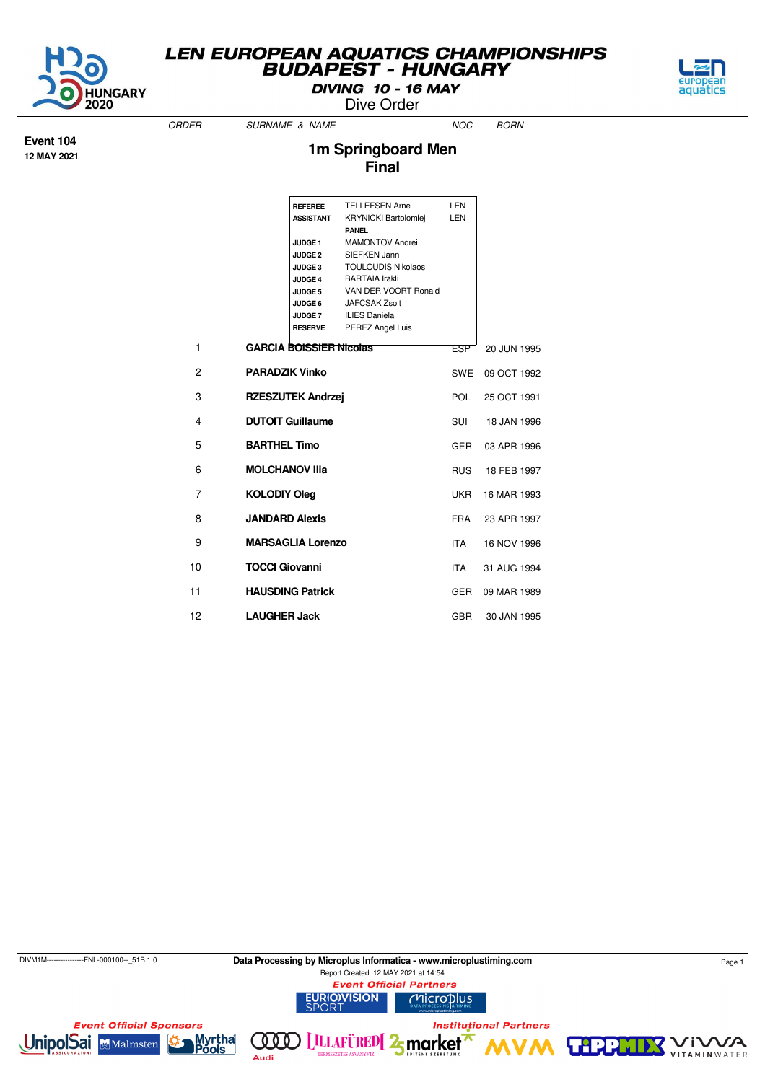

DIVING 10 - 16 MAY

Dive Order

ORDER SURNAME & NAME NOC BORN

aquatics

**Event 104 12 MAY 2021**

|    |                       | <b>REFEREE</b>                 | <b>TELLEFSEN Arne</b>                                 | LEN        |             |
|----|-----------------------|--------------------------------|-------------------------------------------------------|------------|-------------|
|    |                       | ASSISTANT                      | <b>KRYNICKI Bartolomiej</b>                           | <b>LEN</b> |             |
|    |                       |                                | <b>PANEL</b>                                          |            |             |
|    |                       | <b>JUDGE 1</b>                 | MAMONTOV Andrei                                       |            |             |
|    |                       | <b>JUDGE 2</b>                 | SIEFKEN Jann                                          |            |             |
|    |                       | <b>JUDGE 3</b>                 | <b>TOULOUDIS Nikolaos</b>                             |            |             |
|    |                       |                                | JUDGE 4 BARTAIA Irakli                                |            |             |
|    |                       |                                | JUDGE 5 VAN DER VOORT Ronald<br>JUDGE 6 JAFCSAK Zsolt |            |             |
|    |                       |                                | JUDGE 7 ILIES Daniela                                 |            |             |
|    |                       |                                | RESERVE PEREZ Angel Luis                              |            |             |
|    |                       |                                |                                                       |            |             |
| 1  |                       | <b>GARCIA BOISSIER Nicolas</b> |                                                       | <b>ESP</b> | 20 JUN 1995 |
| 2  | <b>PARADZIK Vinko</b> |                                |                                                       | SWE        | 09 OCT 1992 |
| 3  |                       | <b>RZESZUTEK Andrzej</b>       |                                                       | POL        | 25 OCT 1991 |
| 4  |                       | <b>DUTOIT Guillaume</b>        |                                                       | <b>SUI</b> | 18 JAN 1996 |
| 5  | <b>BARTHEL Timo</b>   |                                |                                                       | GER        | 03 APR 1996 |
| 6  | <b>MOLCHANOV IIia</b> |                                |                                                       | RUS        | 18 FEB 1997 |
| 7  | <b>KOLODIY Oleg</b>   |                                |                                                       | UKR        | 16 MAR 1993 |
| 8  | <b>JANDARD Alexis</b> |                                |                                                       | FRA        | 23 APR 1997 |
| 9  |                       | <b>MARSAGLIA Lorenzo</b>       |                                                       | <b>ITA</b> | 16 NOV 1996 |
| 10 | <b>TOCCI Giovanni</b> |                                |                                                       | <b>ITA</b> | 31 AUG 1994 |
| 11 |                       | <b>HAUSDING Patrick</b>        |                                                       | GER        | 09 MAR 1989 |
| 12 | <b>LAUGHER Jack</b>   |                                |                                                       | <b>GBR</b> | 30 JAN 1995 |

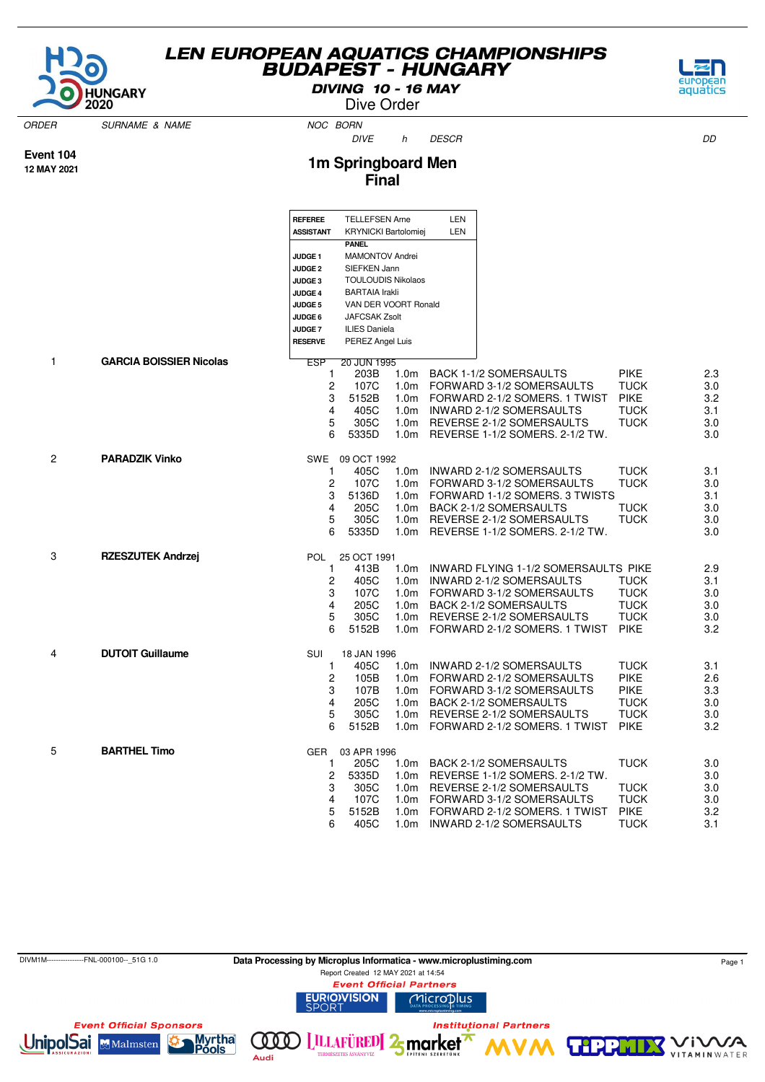

DIVING 10 - 16 MAY

Dive Order

DIVE h DESCR DD

**Event 104**

**12 MAY 2021**

| 1m Springboard Men |  |
|--------------------|--|
| Final              |  |

|   |                                | <b>REFEREE</b><br><b>ASSISTANT</b>                                                                                                 | <b>TELLEFSEN Arne</b><br><b>KRYNICKI Bartolomiej</b>                                                                                                                                              |                                                                                                                      | LEN<br>LEN |                                                                                                                                                                                         |                                                                                        |                                        |
|---|--------------------------------|------------------------------------------------------------------------------------------------------------------------------------|---------------------------------------------------------------------------------------------------------------------------------------------------------------------------------------------------|----------------------------------------------------------------------------------------------------------------------|------------|-----------------------------------------------------------------------------------------------------------------------------------------------------------------------------------------|----------------------------------------------------------------------------------------|----------------------------------------|
|   |                                | JUDGE 1<br><b>JUDGE 2</b><br>JUDGE <sub>3</sub><br>JUDGE 4<br><b>JUDGE 5</b><br><b>JUDGE 6</b><br><b>JUDGE 7</b><br><b>RESERVE</b> | <b>PANEL</b><br>MAMONTOV Andrei<br>SIEFKEN Jann<br><b>TOULOUDIS Nikolaos</b><br><b>BARTAIA Irakli</b><br>VAN DER VOORT Ronald<br><b>JAFCSAK Zsolt</b><br><b>ILIES Daniela</b><br>PEREZ Angel Luis |                                                                                                                      |            |                                                                                                                                                                                         |                                                                                        |                                        |
| 1 | <b>GARCIA BOISSIER Nicolas</b> | <b>ESP</b><br>1<br>$\overline{c}$<br>3<br>4<br>5<br>6                                                                              | 20 JUN 1995<br>203B<br>107C<br>5152B<br>405C<br>305C<br>5335D                                                                                                                                     | 1.0 <sub>m</sub><br>1.0 <sub>m</sub><br>1.0 <sub>m</sub><br>1.0 <sub>m</sub><br>1.0 <sub>m</sub><br>1.0 <sub>m</sub> |            | <b>BACK 1-1/2 SOMERSAULTS</b><br>FORWARD 3-1/2 SOMERSAULTS<br>FORWARD 2-1/2 SOMERS, 1 TWIST<br>INWARD 2-1/2 SOMERSAULTS<br>REVERSE 2-1/2 SOMERSAULTS<br>REVERSE 1-1/2 SOMERS. 2-1/2 TW. | <b>PIKE</b><br><b>TUCK</b><br><b>PIKE</b><br><b>TUCK</b><br><b>TUCK</b>                | 2.3<br>3.0<br>3.2<br>3.1<br>3.0<br>3.0 |
| 2 | <b>PARADZIK Vinko</b>          | <b>SWE</b><br>1<br>$\overline{c}$<br>3<br>4<br>5<br>6                                                                              | 09 OCT 1992<br>405C<br>107C<br>5136D<br>205C<br>305C<br>5335D                                                                                                                                     | 1.0 <sub>m</sub><br>1.0 <sub>m</sub><br>1.0 <sub>m</sub><br>1.0 <sub>m</sub><br>1.0 <sub>m</sub><br>1.0 <sub>m</sub> |            | INWARD 2-1/2 SOMERSAULTS<br>FORWARD 3-1/2 SOMERSAULTS<br>FORWARD 1-1/2 SOMERS. 3 TWISTS<br>BACK 2-1/2 SOMERSAULTS<br>REVERSE 2-1/2 SOMERSAULTS<br>REVERSE 1-1/2 SOMERS, 2-1/2 TW.       | <b>TUCK</b><br><b>TUCK</b><br><b>TUCK</b><br><b>TUCK</b>                               | 3.1<br>3.0<br>3.1<br>3.0<br>3.0<br>3.0 |
| 3 | <b>RZESZUTEK Andrzej</b>       | <b>POL</b><br>1<br>$\overline{c}$<br>3<br>4<br>5<br>6                                                                              | 25 OCT 1991<br>413B<br>405C<br>107C<br>205C<br>305C<br>5152B                                                                                                                                      | 1.0 <sub>m</sub><br>1.0 <sub>m</sub><br>1.0 <sub>m</sub><br>1.0 <sub>m</sub><br>1.0 <sub>m</sub><br>1.0 <sub>m</sub> |            | INWARD FLYING 1-1/2 SOMERSAULTS PIKE<br>INWARD 2-1/2 SOMERSAULTS<br>FORWARD 3-1/2 SOMERSAULTS<br>BACK 2-1/2 SOMERSAULTS<br>REVERSE 2-1/2 SOMERSAULTS<br>FORWARD 2-1/2 SOMERS, 1 TWIST   | <b>TUCK</b><br><b>TUCK</b><br><b>TUCK</b><br><b>TUCK</b><br><b>PIKE</b>                | 2.9<br>3.1<br>3.0<br>3.0<br>3.0<br>3.2 |
| 4 | <b>DUTOIT Guillaume</b>        | SUI<br>1<br>2<br>3<br>4<br>5<br>6                                                                                                  | 18 JAN 1996<br>405C<br>105B<br>107B<br>205C<br>305C<br>5152B                                                                                                                                      | 1.0 <sub>m</sub><br>1.0 <sub>m</sub><br>1.0 <sub>m</sub><br>1.0 <sub>m</sub><br>1.0 <sub>m</sub><br>1.0 <sub>m</sub> |            | INWARD 2-1/2 SOMERSAULTS<br>FORWARD 2-1/2 SOMERSAULTS<br>FORWARD 3-1/2 SOMERSAULTS<br>BACK 2-1/2 SOMERSAULTS<br>REVERSE 2-1/2 SOMERSAULTS<br>FORWARD 2-1/2 SOMERS. 1 TWIST              | <b>TUCK</b><br><b>PIKE</b><br><b>PIKE</b><br><b>TUCK</b><br><b>TUCK</b><br><b>PIKE</b> | 3.1<br>2.6<br>3.3<br>3.0<br>3.0<br>3.2 |
| 5 | <b>BARTHEL Timo</b>            | <b>GER</b><br>1<br>$\overline{c}$<br>3<br>4<br>5<br>6                                                                              | 03 APR 1996<br>205C<br>5335D<br>305C<br>107C<br>5152B<br>405C                                                                                                                                     | 1.0 <sub>m</sub><br>1.0 <sub>m</sub><br>1.0 <sub>m</sub><br>1.0 <sub>m</sub><br>1.0 <sub>m</sub><br>1.0 <sub>m</sub> |            | BACK 2-1/2 SOMERSAULTS<br>REVERSE 1-1/2 SOMERS. 2-1/2 TW.<br>REVERSE 2-1/2 SOMERSAULTS<br>FORWARD 3-1/2 SOMERSAULTS<br>FORWARD 2-1/2 SOMERS. 1 TWIST<br>INWARD 2-1/2 SOMERSAULTS        | <b>TUCK</b><br><b>TUCK</b><br><b>TUCK</b><br><b>PIKE</b><br><b>TUCK</b>                | 3.0<br>3.0<br>3.0<br>3.0<br>3.2<br>3.1 |



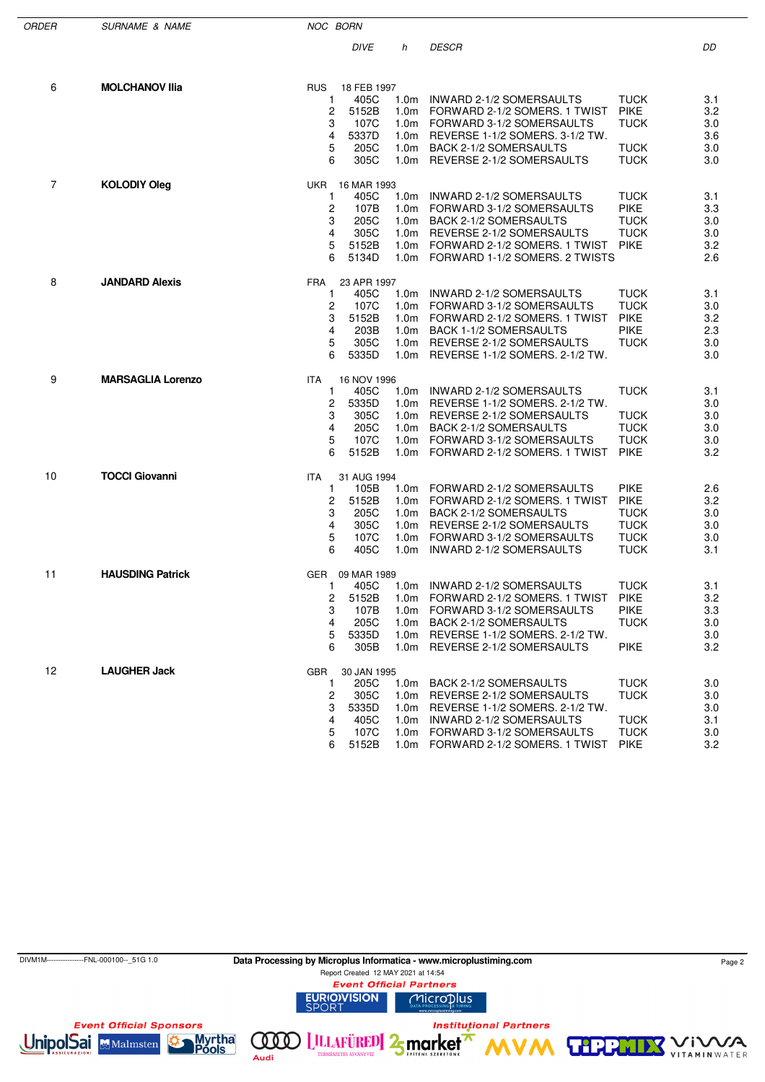| <i>ORDER</i> | <b>SURNAME &amp; NAME</b> | NOC BORN                                                                                                                                                   |            |
|--------------|---------------------------|------------------------------------------------------------------------------------------------------------------------------------------------------------|------------|
|              |                           | <b>DIVE</b><br><b>DESCR</b><br>h                                                                                                                           | DD         |
| 6            | <b>MOLCHANOV IIia</b>     | <b>RUS</b><br>18 FEB 1997                                                                                                                                  |            |
|              |                           | <b>TUCK</b><br>405C<br>1.0 <sub>m</sub><br>INWARD 2-1/2 SOMERSAULTS<br>1<br>5152B<br><b>PIKE</b><br>2<br>1.0 <sub>m</sub><br>FORWARD 2-1/2 SOMERS. 1 TWIST | 3.1<br>3.2 |
|              |                           | 107C<br>1.0m FORWARD 3-1/2 SOMERSAULTS<br>3<br><b>TUCK</b>                                                                                                 | 3.0        |
|              |                           | REVERSE 1-1/2 SOMERS. 3-1/2 TW.<br>4<br>5337D<br>1.0m                                                                                                      | 3.6        |
|              |                           | 5<br>1.0m BACK 2-1/2 SOMERSAULTS<br><b>TUCK</b><br>205C<br>6<br>305C<br>REVERSE 2-1/2 SOMERSAULTS<br><b>TUCK</b><br>1.0 <sub>m</sub>                       | 3.0<br>3.0 |
| 7            | <b>KOLODIY Oleg</b>       | UKR 16 MAR 1993                                                                                                                                            |            |
|              |                           | <b>TUCK</b><br>405C<br>1.0 <sub>m</sub><br>INWARD 2-1/2 SOMERSAULTS<br>1                                                                                   | 3.1        |
|              |                           | <b>PIKE</b><br>2<br>107B<br>FORWARD 3-1/2 SOMERSAULTS<br>1.0m<br>205C<br>BACK 2-1/2 SOMERSAULTS<br><b>TUCK</b><br>3<br>1.0 <sub>m</sub>                    | 3.3<br>3.0 |
|              |                           | 305C<br>REVERSE 2-1/2 SOMERSAULTS<br><b>TUCK</b><br>4<br>1.0 <sub>m</sub>                                                                                  | 3.0        |
|              |                           | 1.0m FORWARD 2-1/2 SOMERS. 1 TWIST PIKE<br>5<br>5152B                                                                                                      | 3.2        |
|              |                           | 5134D<br>1.0m FORWARD 1-1/2 SOMERS. 2 TWISTS<br>6                                                                                                          | 2.6        |
| 8            | <b>JANDARD Alexis</b>     | 23 APR 1997<br><b>FRA</b><br>1<br>405C<br>1.0 <sub>m</sub><br>INWARD 2-1/2 SOMERSAULTS<br><b>TUCK</b>                                                      | 3.1        |
|              |                           | 107C<br>FORWARD 3-1/2 SOMERSAULTS<br><b>TUCK</b><br>2<br>1.0 <sub>m</sub>                                                                                  | 3.0        |
|              |                           | 3<br>5152B<br>1.0m FORWARD 2-1/2 SOMERS. 1 TWIST<br><b>PIKE</b>                                                                                            | 3.2        |
|              |                           | 203B<br>1.0m BACK 1-1/2 SOMERSAULTS<br><b>PIKE</b><br>4                                                                                                    | 2.3        |
|              |                           | 5<br>305C<br>REVERSE 2-1/2 SOMERSAULTS<br><b>TUCK</b><br>1.0 <sub>m</sub><br>6<br>5335D<br>1.0m REVERSE 1-1/2 SOMERS, 2-1/2 TW.                            | 3.0<br>3.0 |
| 9            | <b>MARSAGLIA Lorenzo</b>  | ITA<br>16 NOV 1996                                                                                                                                         |            |
|              |                           | 1.0m INWARD 2-1/2 SOMERSAULTS<br><b>TUCK</b><br>405C<br>1.                                                                                                 | 3.1        |
|              |                           | 5335D<br>REVERSE 1-1/2 SOMERS, 2-1/2 TW.<br>2<br>1.0 <sub>m</sub><br>305C<br>1.0m REVERSE 2-1/2 SOMERSAULTS<br><b>TUCK</b><br>3                            | 3.0<br>3.0 |
|              |                           | 4<br>205C<br>BACK 2-1/2 SOMERSAULTS<br><b>TUCK</b><br>1.0 <sub>m</sub>                                                                                     | 3.0        |
|              |                           | 1.0m FORWARD 3-1/2 SOMERSAULTS<br>5<br>107C<br><b>TUCK</b>                                                                                                 | 3.0        |
|              |                           | 6<br>5152B<br>1.0m FORWARD 2-1/2 SOMERS. 1 TWIST<br><b>PIKE</b>                                                                                            | 3.2        |
| 10           | <b>TOCCI Giovanni</b>     | 31 AUG 1994<br><b>ITA</b>                                                                                                                                  |            |
|              |                           | 105B<br>1.0m FORWARD 2-1/2 SOMERSAULTS<br><b>PIKE</b><br>1.                                                                                                | 2.6        |
|              |                           | 5152B<br>FORWARD 2-1/2 SOMERS. 1 TWIST<br><b>PIKE</b><br>2<br>1.0 <sub>m</sub><br>3<br>205C<br>1.0 <sub>m</sub><br>BACK 2-1/2 SOMERSAULTS<br><b>TUCK</b>   | 3.2<br>3.0 |
|              |                           | 4<br>305C<br>1.0m REVERSE 2-1/2 SOMERSAULTS<br><b>TUCK</b>                                                                                                 | 3.0        |
|              |                           | FORWARD 3-1/2 SOMERSAULTS<br><b>TUCK</b><br>5<br>107C<br>1.0 <sub>m</sub>                                                                                  | 3.0        |
|              |                           | 6<br>405C<br><b>TUCK</b><br>1.0 <sub>m</sub><br>INWARD 2-1/2 SOMERSAULTS                                                                                   | 3.1        |
| 11           | <b>HAUSDING Patrick</b>   | GER 09 MAR 1989                                                                                                                                            |            |
|              |                           | <b>TUCK</b><br>1.0m INWARD 2-1/2 SOMERSAULTS<br>1<br>405C                                                                                                  | 3.1        |
|              |                           | 2<br>5152B<br>1.0m FORWARD 2-1/2 SOMERS. 1 TWIST<br><b>PIKE</b><br>3<br>107B<br>1.0m FORWARD 3-1/2 SOMERSAULTS<br><b>PIKE</b>                              | 3.2<br>3.3 |
|              |                           | 205C<br>1.0 <sub>m</sub><br>BACK 2-1/2 SOMERSAULTS<br><b>TUCK</b><br>4                                                                                     | 3.0        |
|              |                           | 5335D<br>1.0 <sub>m</sub><br>REVERSE 1-1/2 SOMERS. 2-1/2 TW.<br>5                                                                                          | 3.0        |
|              |                           | 6<br>305B<br>1.0 <sub>m</sub><br>REVERSE 2-1/2 SOMERSAULTS<br><b>PIKE</b>                                                                                  | 3.2        |
| 12           | <b>LAUGHER Jack</b>       | GBR<br>30 JAN 1995                                                                                                                                         |            |
|              |                           | <b>TUCK</b><br>205C<br>1.0m<br>BACK 2-1/2 SOMERSAULTS<br>1<br>305C<br><b>TUCK</b><br>2<br>1.0 <sub>m</sub><br>REVERSE 2-1/2 SOMERSAULTS                    | 3.0<br>3.0 |
|              |                           | 5335D<br>REVERSE 1-1/2 SOMERS, 2-1/2 TW.<br>3<br>1.0m                                                                                                      | 3.0        |
|              |                           | <b>TUCK</b><br>405C<br>1.0 <sub>m</sub><br>INWARD 2-1/2 SOMERSAULTS<br>4                                                                                   | 3.1        |
|              |                           | 5<br>107C<br>FORWARD 3-1/2 SOMERSAULTS<br><b>TUCK</b><br>1.0m                                                                                              | 3.0        |
|              |                           | 6<br>5152B<br>1.0m FORWARD 2-1/2 SOMERS. 1 TWIST<br><b>PIKE</b>                                                                                            | 3.2        |

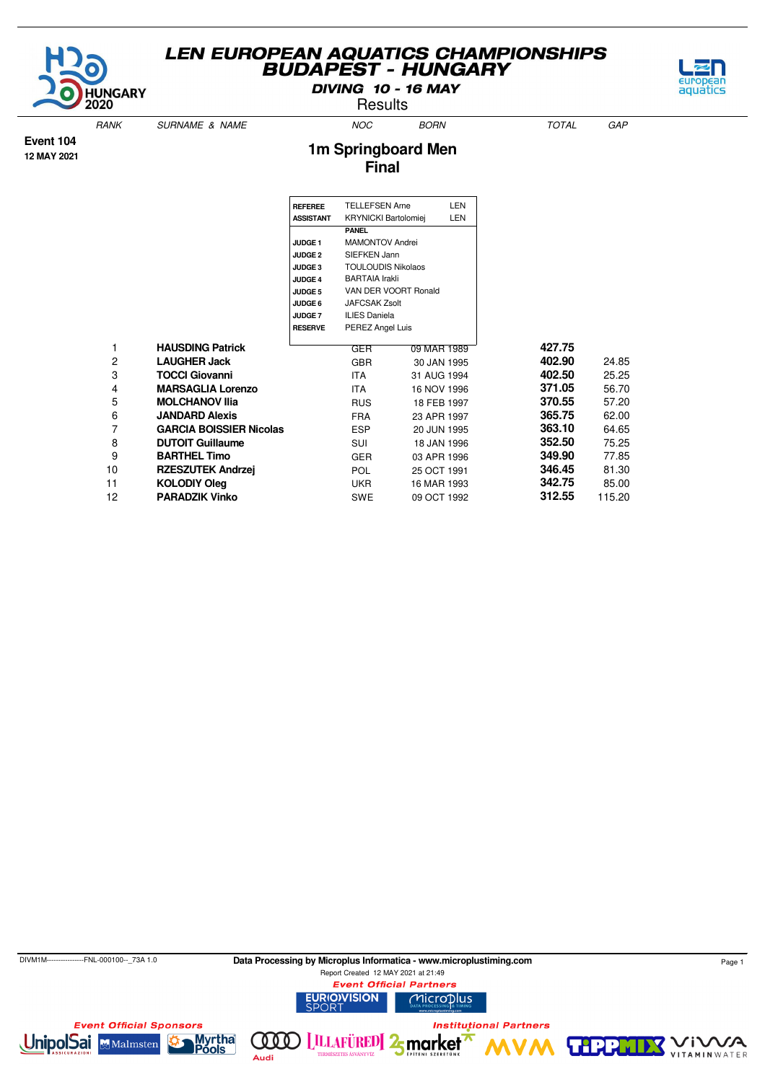

DIVING 10 - 16 MAY

**Results** 

aquatics

RANK SURNAME & NAME NOC BORN TOTAL GAP

#### **Event 104 12 MAY 2021**

|                |                                | <b>REFEREE</b>   | <b>TELLEFSEN Arne</b>       |             | <b>LEN</b> |        |        |
|----------------|--------------------------------|------------------|-----------------------------|-------------|------------|--------|--------|
|                |                                | <b>ASSISTANT</b> | <b>KRYNICKI Bartolomiej</b> |             | <b>LEN</b> |        |        |
|                |                                |                  | <b>PANEL</b>                |             |            |        |        |
|                |                                | <b>JUDGE 1</b>   | <b>MAMONTOV Andrei</b>      |             |            |        |        |
|                |                                | <b>JUDGE 2</b>   | SIEFKEN Jann                |             |            |        |        |
|                |                                | <b>JUDGE 3</b>   | <b>TOULOUDIS Nikolaos</b>   |             |            |        |        |
|                |                                | <b>JUDGE 4</b>   | <b>BARTAIA Irakli</b>       |             |            |        |        |
|                |                                | JUDGE 5          | VAN DER VOORT Ronald        |             |            |        |        |
|                |                                | <b>JUDGE 6</b>   | <b>JAFCSAK Zsolt</b>        |             |            |        |        |
|                |                                | <b>JUDGE 7</b>   | <b>ILIES Daniela</b>        |             |            |        |        |
|                |                                | <b>RESERVE</b>   | PEREZ Angel Luis            |             |            |        |        |
| 1              | <b>HAUSDING Patrick</b>        |                  | <b>GER</b>                  | 09 MAR 1989 |            | 427.75 |        |
| $\overline{c}$ | <b>LAUGHER Jack</b>            |                  | <b>GBR</b>                  | 30 JAN 1995 |            | 402.90 | 24.85  |
| 3              | <b>TOCCI Giovanni</b>          |                  | <b>ITA</b>                  | 31 AUG 1994 |            | 402.50 | 25.25  |
| 4              | <b>MARSAGLIA Lorenzo</b>       |                  | <b>ITA</b>                  | 16 NOV 1996 |            | 371.05 | 56.70  |
| 5              | <b>MOLCHANOV IIIa</b>          |                  | <b>RUS</b>                  | 18 FEB 1997 |            | 370.55 | 57.20  |
| 6              | <b>JANDARD Alexis</b>          |                  | <b>FRA</b>                  | 23 APR 1997 |            | 365.75 | 62.00  |
| 7              | <b>GARCIA BOISSIER Nicolas</b> |                  | <b>ESP</b>                  | 20 JUN 1995 |            | 363.10 | 64.65  |
| 8              | <b>DUTOIT Guillaume</b>        |                  | <b>SUI</b>                  | 18 JAN 1996 |            | 352.50 | 75.25  |
| 9              | <b>BARTHEL Timo</b>            |                  | <b>GER</b>                  | 03 APR 1996 |            | 349.90 | 77.85  |
| 10             | <b>RZESZUTEK Andrzei</b>       |                  | <b>POL</b>                  | 25 OCT 1991 |            | 346.45 | 81.30  |
| 11             | <b>KOLODIY Oleg</b>            |                  | <b>UKR</b>                  | 16 MAR 1993 |            | 342.75 | 85.00  |
| 12             | <b>PARADZIK Vinko</b>          |                  | <b>SWE</b>                  | 09 OCT 1992 |            | 312.55 | 115.20 |
|                |                                |                  |                             |             |            |        |        |

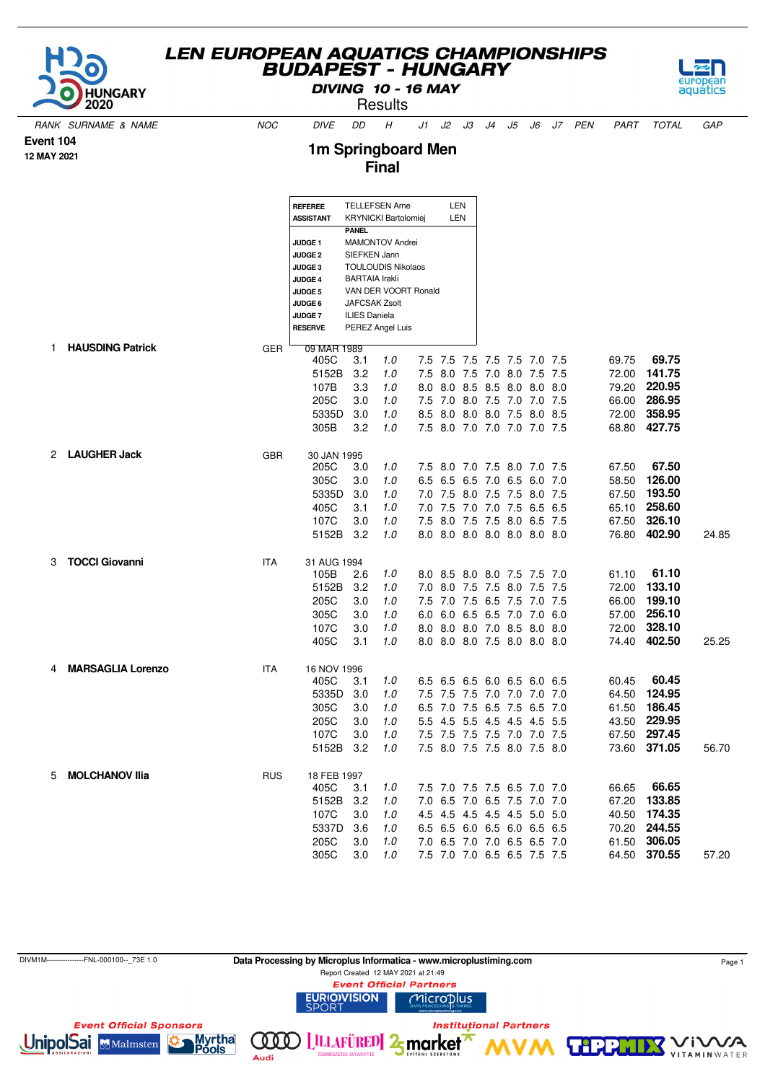



**Results** 



RANK SURNAME & NAME THE NOC DIVE DD H J1 J2 J3 J4 J5 J6 J7 PEN PART TOTAL GAP

**Event 104 12 MAY 2021**

### **1m Springboard Men Final**

**REFEREE** TELLEFSEN Arne LEN **ASSISTANT** KRYNICKI Bartolomiej LEN **PANEL JUDGE 1** MAMONTOV Andrei **JUDGE 2** SIEFKEN Jann **JUDGE 3** TOULOUDIS Nikolaos **JUDGE 4** BARTAIA Irakli **JUDGE 5** VAN DER VOORT Ronald **JUDGE 6** JAFCSAK Zsolt **JUDGE 7** ILIES Daniela **RESERVE** PEREZ Angel Luis 1 **HAUSDING Patrick** GER GER 1989<br>405C 3. 405C 3.1 1.0 7.5 7.5 7.5 7.5 7.5 7.0 7.5 69.75 **69.75** 5152B 3.2 1.0 7.5 8.0 7.5 7.0 8.0 7.5 7.5 72.00 **141.75** 107B 3.3 1.0 8.0 8.0 8.5 8.5 8.0 8.0 8.0 79.20 **220.95** 205C 3.0 1.0 7.5 7.0 8.0 7.5 7.0 7.0 7.5 66.00 **286.95** 5335D 3.0 1.0 8.5 8.0 8.0 8.0 7.5 8.0 8.5 72.00 **358.95** 305B 3.2 1.0 7.5 8.0 7.0 7.0 7.0 7.0 7.5 68.80 **427.75** 2 **LAUGHER Jack** GBR 30 JAN 1995 205C 3.0 1.0 7.5 8.0 7.0 7.5 8.0 7.0 7.5 67.50 **67.50** 305C 3.0 1.0 6.5 6.5 6.5 7.0 6.5 6.0 7.0 58.50 **126.00** 5335D 3.0 1.0 7.0 7.5 8.0 7.5 7.5 8.0 7.5 67.50 **193.50** 405C 3.1 1.0 7.0 7.5 7.0 7.0 7.5 6.5 6.5 65.10 **258.60** 107C 3.0 1.0 7.5 8.0 7.5 7.5 8.0 6.5 7.5 67.50 **326.10** 5152B 3.2 1.0 8.0 8.0 8.0 8.0 8.0 8.0 8.0 76.80 **402.90** 24.85 3 **TOCCI Giovanni** ITA 31 AUG 1994 105B 2.6 1.0 8.0 8.5 8.0 8.0 7.5 7.5 7.0 61.10 **61.10** 5152B 3.2 1.0 7.0 8.0 7.5 7.5 8.0 7.5 7.5 72.00 **133.10** 205C 3.0 1.0 7.5 7.0 7.5 6.5 7.5 7.0 7.5 66.00 **199.10** 305C 3.0 1.0 6.0 6.0 6.5 6.5 7.0 7.0 6.0 57.00 **256.10** 107C 3.0 1.0 8.0 8.0 8.0 7.0 8.5 8.0 8.0 72.00 405C 3.1 1.0 8.0 8.0 8.0 7.5 8.0 8.0 8.0 74.40 **402.50** 25.25 **MARSAGLIA Lorenzo** ITA 16 NOV 1996<br>.405C 3 405C 3.1 1.0 6.5 6.5 6.5 6.0 6.5 6.0 6.5 60.45 **60.45** 5335D 3.0 1.0 7.5 7.5 7.5 7.0 7.0 7.0 7.0 305C 3.0 1.0 6.5 7.0 7.5 6.5 7.5 6.5 7.0 61.50 **186.45** 205C 3.0 1.0 5.5 4.5 5.5 4.5 4.5 4.5 5.5 43.50 **229.95** 107C 3.0 1.0 7.5 7.5 7.5 7.5 7.0 7.0 7.5 67.50 **297.45** 5152B 3.2 1.0 7.5 8.0 7.5 7.5 8.0 7.5 8.0 73.60 **371.05** 56.70 5 **MOLCHANOV Ilia** RUS 18 FEB 1997



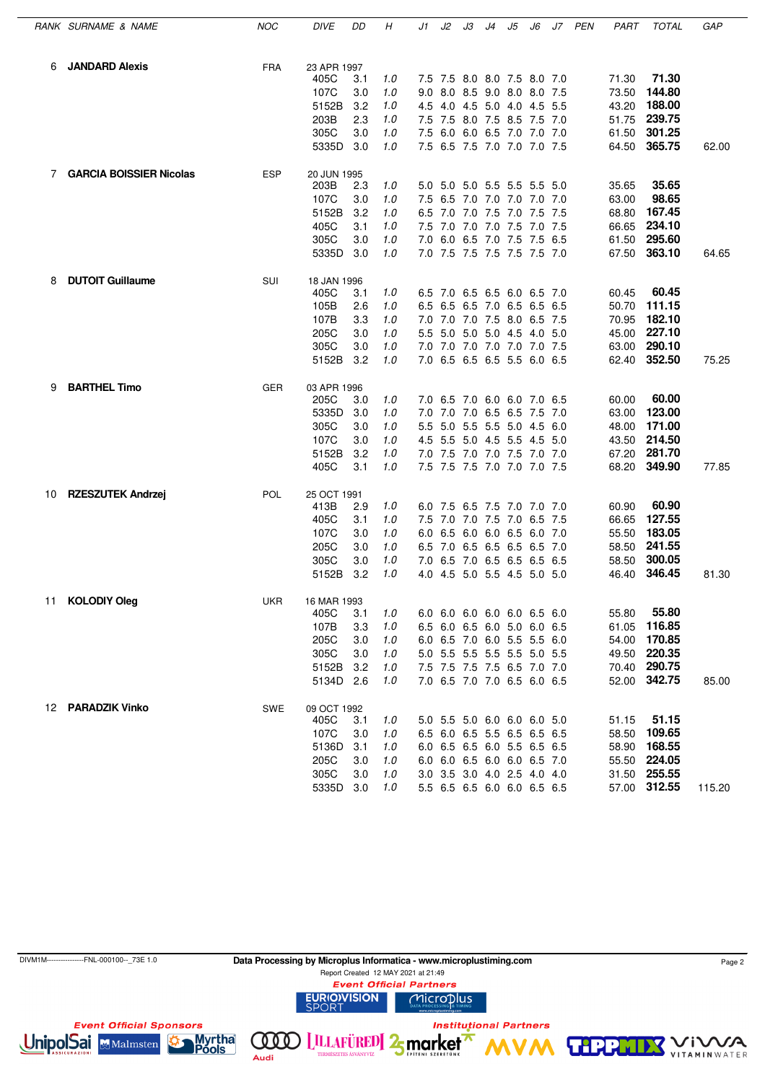|    | RANK SURNAME & NAME            | <b>NOC</b> | <b>DIVE</b>                                                       | DD                                     | Н                                      | J1                | J2 | JЗ          | J4                                     | J5  | J6                                                                                                                                                                                     | J7 | <b>PEN</b> | PART                                               | <b>TOTAL</b>                                                              | GAP    |
|----|--------------------------------|------------|-------------------------------------------------------------------|----------------------------------------|----------------------------------------|-------------------|----|-------------|----------------------------------------|-----|----------------------------------------------------------------------------------------------------------------------------------------------------------------------------------------|----|------------|----------------------------------------------------|---------------------------------------------------------------------------|--------|
| 6  | <b>JANDARD Alexis</b>          | <b>FRA</b> | 23 APR 1997<br>405C<br>107C<br>5152B<br>203B<br>305C<br>5335D 3.0 | 3.1<br>3.0<br>3.2<br>2.3<br>3.0        | 1.0<br>1.0<br>1.0<br>1.0<br>1.0<br>1.0 | 4.5<br>7.5<br>7.5 |    |             | 7.5 8.0 7.5 8.5                        |     | 7.5 7.5 8.0 8.0 7.5 8.0 7.0<br>9.0 8.0 8.5 9.0 8.0 8.0 7.5<br>4.0 4.5 5.0 4.0 4.5 5.5<br>7.5 7.0<br>6.0 6.0 6.5 7.0 7.0 7.0<br>7.5 6.5 7.5 7.0 7.0 7.0 7.5                             |    |            | 71.30<br>73.50<br>43.20<br>51.75<br>61.50<br>64.50 | 71.30<br>144.80<br>188.00<br>239.75<br>301.25<br>365.75                   | 62.00  |
| 7  | <b>GARCIA BOISSIER Nicolas</b> | <b>ESP</b> | 20 JUN 1995<br>203B<br>107C<br>5152B<br>405C<br>305C<br>5335D     | 2.3<br>3.0<br>3.2<br>3.1<br>3.0<br>3.0 | 1.0<br>1.0<br>1.0<br>1.0<br>1.0<br>1.0 | 7.5<br>6.5<br>7.5 |    | 7.0 7.0 7.5 | 7.0 7.0 7.0 7.5<br>7.0 6.0 6.5 7.0 7.5 | 7.0 | 5.0 5.0 5.0 5.5 5.5 5.5 5.0<br>6.5 7.0 7.0 7.0 7.0 7.0<br>7.5 7.5<br>7.0 7.5<br>7.5 6.5<br>7.0 7.5 7.5 7.5 7.5 7.5 7.0                                                                 |    |            | 35.65<br>63.00<br>68.80<br>66.65<br>61.50<br>67.50 | 35.65<br>98.65<br>167.45<br>234.10<br>295.60<br>363.10                    | 64.65  |
| 8  | <b>DUTOIT Guillaume</b>        | <b>SUI</b> | 18 JAN 1996<br>405C<br>105B<br>107B<br>205C<br>305C<br>5152B      | 3.1<br>2.6<br>3.3<br>3.0<br>3.0<br>3.2 | 1.0<br>1.0<br>1.0<br>1.0<br>1.0<br>1.0 | 6.5<br>7.0<br>5.5 |    |             | 5.0 5.0 5.0 4.5                        |     | 6.5 7.0 6.5 6.5 6.0 6.5 7.0<br>6.5 6.5 7.0 6.5 6.5 6.5<br>7.0 7.0 7.5 8.0 6.5 7.5<br>4.0 5.0<br>7.0 7.0 7.0 7.0 7.0 7.0 7.5<br>7.0 6.5 6.5 6.5 5.5 6.0 6.5                             |    |            | 60.45<br>50.70<br>70.95<br>45.00<br>63.00<br>62.40 | 60.45<br>111.15<br>182.10<br>227.10<br>290.10<br>352.50                   | 75.25  |
| 9  | <b>BARTHEL Timo</b>            | <b>GER</b> | 03 APR 1996<br>205C<br>5335D<br>305C<br>107C<br>5152B<br>405C     | 3.0<br>3.0<br>3.0<br>3.0<br>3.2<br>3.1 | 1.0<br>1.0<br>1.0<br>1.0<br>1.0<br>1.0 | 7.0               |    |             |                                        |     | 7.0 6.5 7.0 6.0 6.0 7.0 6.5<br>7.0 7.0 6.5 6.5 7.5 7.0<br>5.5 5.0 5.5 5.5 5.0 4.5 6.0<br>4.5 5.5 5.0 4.5 5.5 4.5 5.0<br>7.0 7.5 7.0 7.0 7.5 7.0 7.0<br>7.5 7.5 7.5 7.0 7.0 7.0 7.5     |    |            | 60.00<br>63.00<br>48.00<br>43.50<br>67.20<br>68.20 | 60.00<br>123.00<br>171.00<br>214.50<br>281.70<br>349.90                   | 77.85  |
| 10 | <b>RZESZUTEK Andrzej</b>       | <b>POL</b> | 25 OCT 1991<br>413B<br>405C<br>107C<br>205C<br>305C<br>5152B      | 2.9<br>3.1<br>3.0<br>3.0<br>3.0<br>3.2 | 1.0<br>1.0<br>1.0<br>1.0<br>1.0<br>1.0 | 7.5<br>7.0<br>4.0 |    |             |                                        |     | 6.0 7.5 6.5 7.5 7.0 7.0 7.0<br>7.0 7.0 7.5 7.0 6.5 7.5<br>6.0 6.5 6.0 6.0 6.5 6.0 7.0<br>6.5 7.0 6.5 6.5 6.5 6.5 7.0<br>6.5 7.0 6.5 6.5 6.5 6.5<br>4.5 5.0 5.5 4.5 5.0 5.0             |    |            | 60.90<br>66.65<br>55.50<br>58.50<br>58.50<br>46.40 | 60.90<br>127.55<br>183.05<br>241.55<br>300.05<br>346.45                   | 81.30  |
| 11 | <b>KOLODIY Oleg</b>            | <b>UKR</b> | 16 MAR 1993<br>405C<br>107B<br>205C<br>305C<br>5152B<br>5134D 2.6 | 3.1<br>3.3<br>3.0<br>3.0<br>3.2        | 1.0<br>1.0<br>1.0<br>1.0<br>1.0<br>1.0 |                   |    |             |                                        |     | 6.0 6.0 6.0 6.0 6.0 6.5 6.0<br>6.5 6.0 6.5 6.0 5.0 6.0 6.5<br>6.0 6.5 7.0 6.0 5.5 5.5 6.0<br>5.0 5.5 5.5 5.5 5.5 5.0 5.5<br>7.5 7.5 7.5 7.5 6.5 7.0 7.0<br>7.0 6.5 7.0 7.0 6.5 6.0 6.5 |    |            | 55.80<br>61.05<br>54.00<br>49.50                   | 55.80<br>116.85<br>170.85<br>220.35<br>70.40 290.75<br>52.00 342.75       | 85.00  |
| 12 | <b>PARADZIK Vinko</b>          | <b>SWE</b> | 09 OCT 1992<br>405C<br>107C<br>5136D<br>205C<br>305C<br>5335D 3.0 | 3.1<br>3.0<br>3.1<br>3.0<br>3.0        | 1.0<br>1.0<br>1.0<br>1.0<br>1.0<br>1.0 |                   |    |             |                                        |     | 5.0 5.5 5.0 6.0 6.0 6.0 5.0<br>6.5 6.0 6.5 5.5 6.5 6.5 6.5<br>6.0 6.5 6.5 6.0 5.5 6.5 6.5<br>6.0 6.0 6.5 6.0 6.0 6.5 7.0<br>3.0 3.5 3.0 4.0 2.5 4.0 4.0<br>5.5 6.5 6.5 6.0 6.0 6.5 6.5 |    |            | 51.15<br>58.50<br>58.90                            | 51.15<br>109.65<br>168.55<br>55.50 224.05<br>31.50 255.55<br>57.00 312.55 | 115.20 |

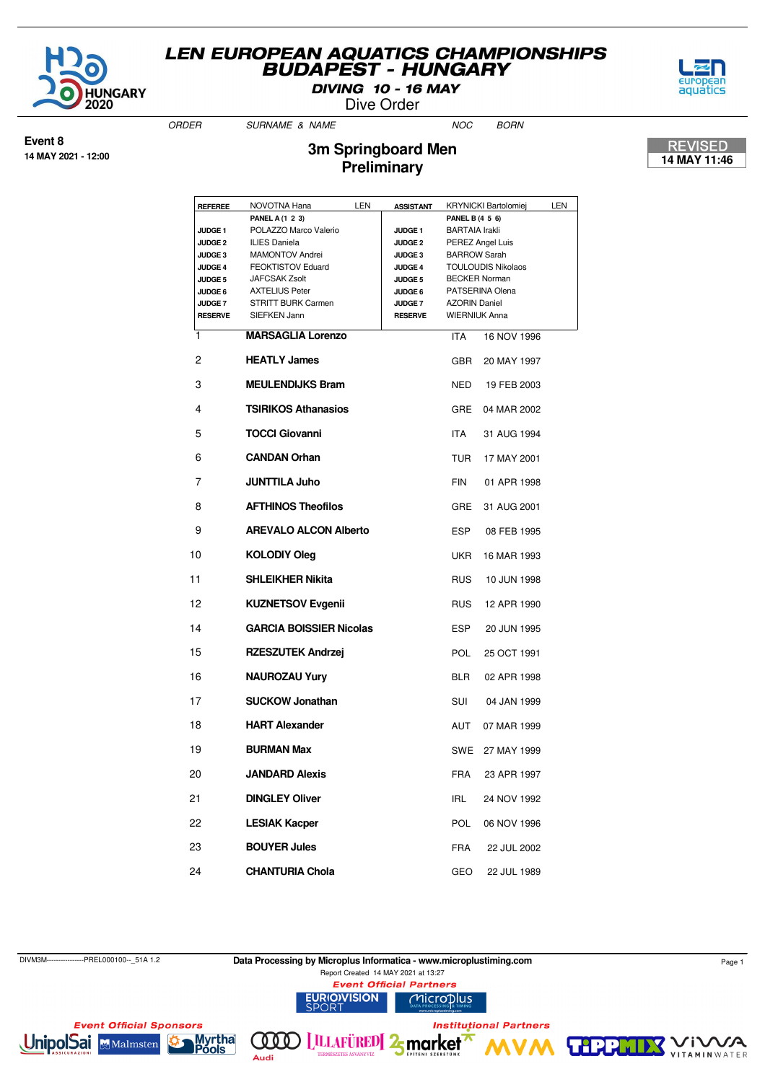

DIVING 10 - 16 MAY

Dive Order

ORDER SURNAME & NAME NOC BORN

**14 MAY 2021 - 12:00**

**Event 8**

### **3m Springboard Men Preliminary**



**REVISED 14 MAY 11:46**

| <b>REFEREE</b>                   | LEN<br>NOVOTNA Hana                              | <b>ASSISTANT</b>                 |                       | <b>KRYNICKI Bartolomiej</b>                       | LEN |
|----------------------------------|--------------------------------------------------|----------------------------------|-----------------------|---------------------------------------------------|-----|
|                                  | <b>PANEL A (1 2 3)</b>                           |                                  | PANEL B (4 5 6)       |                                                   |     |
| <b>JUDGE1</b>                    | POLAZZO Marco Valerio                            | <b>JUDGE 1</b>                   | <b>BARTAIA Irakli</b> |                                                   |     |
| <b>JUDGE 2</b>                   | <b>ILIES Daniela</b>                             | <b>JUDGE 2</b>                   |                       | PEREZ Angel Luis                                  |     |
| <b>JUDGE 3</b>                   | <b>MAMONTOV Andrei</b>                           | <b>JUDGE 3</b>                   | <b>BARROW Sarah</b>   |                                                   |     |
| <b>JUDGE 4</b>                   | <b>FEOKTISTOV Eduard</b><br><b>JAFCSAK Zsolt</b> | <b>JUDGE 4</b>                   |                       | <b>TOULOUDIS Nikolaos</b><br><b>BECKER Norman</b> |     |
| <b>JUDGE 5</b><br><b>JUDGE 6</b> | <b>AXTELIUS Peter</b>                            | <b>JUDGE 5</b><br><b>JUDGE 6</b> |                       | PATSERINA Olena                                   |     |
| <b>JUDGE 7</b>                   | <b>STRITT BURK Carmen</b>                        | <b>JUDGE 7</b>                   | <b>AZORIN Daniel</b>  |                                                   |     |
| <b>RESERVE</b>                   | SIEFKEN Jann                                     | <b>RESERVE</b>                   |                       | <b>WIERNIUK Anna</b>                              |     |
|                                  |                                                  |                                  |                       |                                                   |     |
| 1                                | <b>MARSAGLIA Lorenzo</b>                         |                                  | <b>ITA</b>            | 16 NOV 1996                                       |     |
| 2                                | <b>HEATLY James</b>                              |                                  | GBR                   | 20 MAY 1997                                       |     |
| 3                                | <b>MEULENDIJKS Bram</b>                          |                                  | NED                   | 19 FEB 2003                                       |     |
| 4                                | <b>TSIRIKOS Athanasios</b>                       |                                  | GRE                   | 04 MAR 2002                                       |     |
| 5                                | <b>TOCCI Giovanni</b>                            |                                  | ITA                   | 31 AUG 1994                                       |     |
| 6                                | <b>CANDAN Orhan</b>                              |                                  | TUR                   | 17 MAY 2001                                       |     |
| 7                                | <b>JUNTTILA Juho</b>                             |                                  | <b>FIN</b>            | 01 APR 1998                                       |     |
| 8                                | <b>AFTHINOS Theofilos</b>                        |                                  | <b>GRE</b>            | 31 AUG 2001                                       |     |
| 9                                | <b>AREVALO ALCON Alberto</b>                     |                                  | ESP                   | 08 FEB 1995                                       |     |
| 10                               | <b>KOLODIY Oleg</b>                              |                                  | <b>UKR</b>            | 16 MAR 1993                                       |     |
| 11                               | <b>SHLEIKHER Nikita</b>                          |                                  | <b>RUS</b>            | 10 JUN 1998                                       |     |
| 12                               | <b>KUZNETSOV Evgenii</b>                         |                                  | <b>RUS</b>            | 12 APR 1990                                       |     |
| 14                               | <b>GARCIA BOISSIER Nicolas</b>                   |                                  | ESP                   | 20 JUN 1995                                       |     |
| 15                               | <b>RZESZUTEK Andrzej</b>                         |                                  | POL                   | 25 OCT 1991                                       |     |
| 16                               | <b>NAUROZAU Yury</b>                             |                                  | BLR                   | 02 APR 1998                                       |     |
| 17                               | <b>SUCKOW Jonathan</b>                           |                                  | SUI                   | 04 JAN 1999                                       |     |
| 18                               | <b>HART Alexander</b>                            |                                  | AUT                   | 07 MAR 1999                                       |     |
| 19                               | <b>BURMAN Max</b>                                |                                  | SWE                   | 27 MAY 1999                                       |     |
| 20                               | JANDARD Alexis                                   |                                  | FRA                   | 23 APR 1997                                       |     |
| 21                               | <b>DINGLEY Oliver</b>                            |                                  | IRL                   | 24 NOV 1992                                       |     |
| 22                               | <b>LESIAK Kacper</b>                             |                                  | <b>POL</b>            | 06 NOV 1996                                       |     |
| 23                               | <b>BOUYER Jules</b>                              |                                  | <b>FRA</b>            | 22 JUL 2002                                       |     |
| 24                               | <b>CHANTURIA Chola</b>                           |                                  | GEO                   | 22 JUL 1989                                       |     |
|                                  |                                                  |                                  |                       |                                                   |     |

 DIVM3M----------------PREL000100--\_51A 1.2 **Data Processing by Microplus Informatica - www.microplustiming.com** Page 1 Report Created 14 MAY 2021 at 13:27**Event Official Partners RIOWISION** Microplus **Event Official Sponsors** 

**LILLAFÜRED** 2 market

**COO** 

Audi





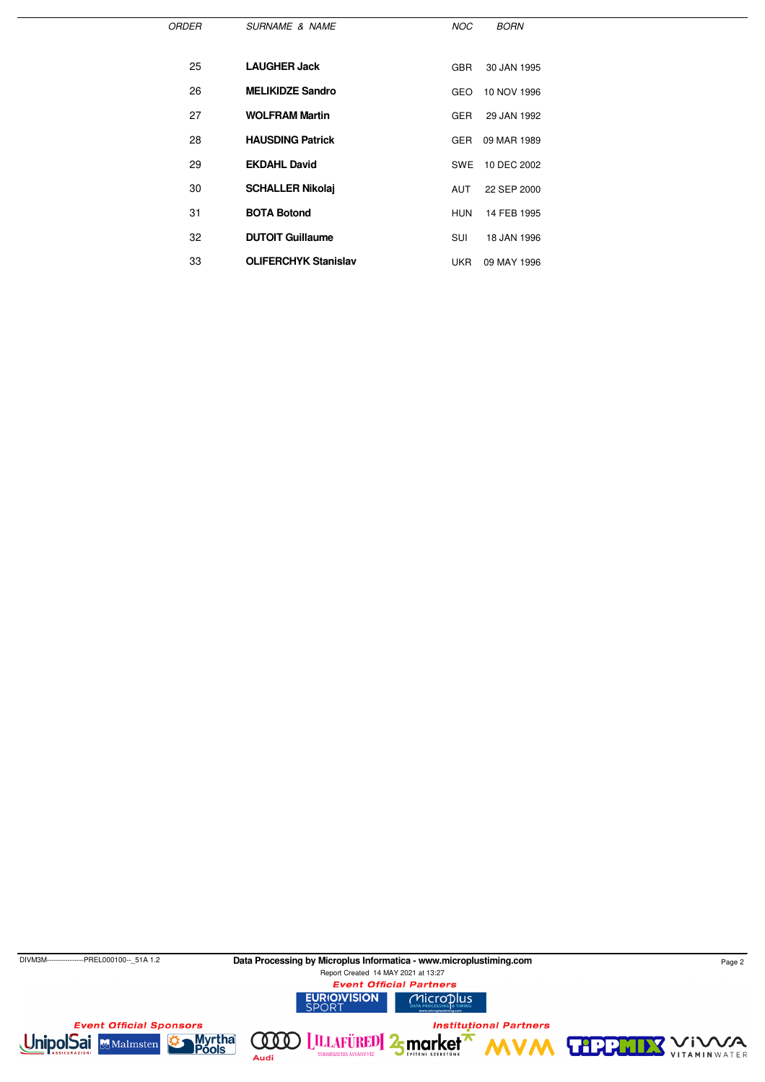| <b>ORDER</b> | <b>SURNAME &amp; NAME</b>   | <b>NOC</b> | <b>BORN</b> |
|--------------|-----------------------------|------------|-------------|
|              |                             |            |             |
| 25           | <b>LAUGHER Jack</b>         | <b>GBR</b> | 30 JAN 1995 |
|              |                             |            |             |
| 26           | <b>MELIKIDZE Sandro</b>     | <b>GEO</b> | 10 NOV 1996 |
| 27           | <b>WOLFRAM Martin</b>       | <b>GER</b> | 29 JAN 1992 |
|              |                             |            |             |
| 28           | <b>HAUSDING Patrick</b>     | <b>GER</b> | 09 MAR 1989 |
| 29           | <b>EKDAHL David</b>         | SWE        | 10 DEC 2002 |
| 30           |                             |            |             |
|              | <b>SCHALLER Nikolaj</b>     | <b>AUT</b> | 22 SEP 2000 |
| 31           | <b>BOTA Botond</b>          | <b>HUN</b> | 14 FEB 1995 |
| 32           | <b>DUTOIT Guillaume</b>     | SUI        | 18 JAN 1996 |
|              |                             |            |             |
| 33           | <b>OLIFERCHYK Stanislav</b> | <b>UKR</b> | 09 MAY 1996 |

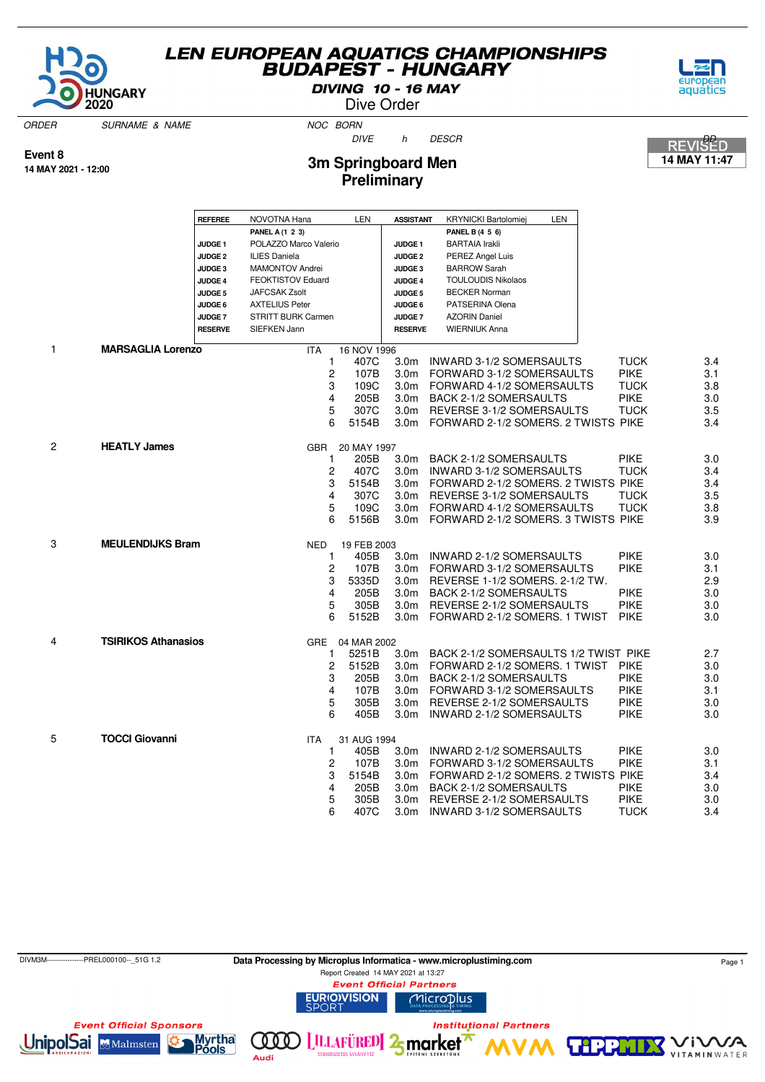

DIVING 10 - 16 MAY

Dive Order

**3m Springboard Men Preliminary**

aguatics

ORDER SURNAME & NAME NOC BORN

DIVE h DESCR REVISED

**14 MAY 11:47**

**Event 8 14 MAY 2021 - 12:00**

#### **REFEREE** NOVOTNA Hana LEN **ASSISTANT** KRYNICKI Bartolomiej LEN **PANEL A (1 2 3) PANEL B (4 5 6) JUDGE 1** POLAZZO Marco Valerio **JUDGE 1** BARTAIA Irakli **JUDGE 2** ILIES Daniela **JUDGE 2** PEREZ Angel Luis **JUDGE 3** MAMONTOV Andrei **JUDGE 3** BARROW Sarah **JUDGE 4** FEOKTISTOV Eduard **JUDGE 4** TOULOUDIS Nikolaos **JUDGE 5** JAFCSAK Zsolt **JUDGE 5** BECKER Norman **JUDGE 6** AXTELIUS Peter **JUDGE 6** PATSERINA Olena **JUDGE 7** STRITT BURK Carmen **JUDGE 7** AZORIN Daniel **RESERVE** SIEFKEN Jann **RESERVE** WIERNIUK Anna **MARSAGLIA Lorenzo** ITA 16 NOV 1996<br>1 407C 3.0m 1 407C 3.0m INWARD 3-1/2 SOMERSAULTS TUCK 3.4 2 107B 3.0m FORWARD 3-1/2 SOMERSAULTS PIKE 3.1<br>3 109C 3.0m FORWARD 4-1/2 SOMERSAULTS TUCK 3.8 3 109C 3.0m FORWARD 4-1/2 SOMERSAULTS TUCK 3.8<br>3 205B 3.0m BACK 2-1/2 SOMERSAULTS PIKE 3.0 BACK 2-1/2 SOMERSAULTS 5 307C 3.0m REVERSE 3-1/2 SOMERSAULTS TUCK 3.5 6 5154B 3.0m FORWARD 2-1/2 SOMERS. 2 TWISTS PIKE 3.4 2 **HEATLY James** GBR 20 MAY 1997 1 205B 3.0m BACK 2-1/2 SOMERSAULTS PIKE 3.0 2 407C 3.0m INWARD 3-1/2 SOMERSAULTS TUCK 3.4<br>3 5154B 3.0m FORWARD 2-1/2 SOMERS. 2 TWISTS PIKE 3.4 FORWARD 2-1/2 SOMERS. 2 TWISTS PIKE 3.4<br>BEVERSE 3-1/2 SOMERSALILTS TUCK 3.5 4 307C 3.0m REVERSE 3-1/2 SOMERSAULTS TUCK 5 109C 3.0m FORWARD 4-1/2 SOMERSAULTS TUCK 3.8 6 5156B 3.0m FORWARD 2-1/2 SOMERS. 3 TWISTS PIKE 3.9 3 **MEULENDIJKS Bram** NED 19 FEB 2003 1 405B 3.0m INWARD 2-1/2 SOMERSAULTS PIKE 3.0 2 107B 3.0m FORWARD 3-1/2 SOMERSAULTS PIKE 3.1<br>3 5335D 3.0m REVERSE 1-1/2 SOMERS. 2-1/2 TW. 2.9 335D 3.0m REVERSE 1-1/2 SOMERS. 2-1/2 TW.<br>205B 3.0m BACK 2-1/2 SOMERSAULTS 4 205B 3.0m BACK 2-1/2 SOMERSAULTS PIKE 3.0 5 305B 3.0m REVERSE 2-1/2 SOMERSAULTS PIKE 3.0<br>6 5152B 3.0m FORWARD 2-1/2 SOMERS. 1 TWIST PIKE 3.0 6 5152B 3.0m FORWARD 2-1/2 SOMERS. 1 TWIST PIKE 3.0 4 **TSIRIKOS Athanasios** GRE 04 MAR 2002 1 5251B 3.0m BACK 2-1/2 SOMERSAULTS 1/2 TWIST PIKE 2.7 2 5152B 3.0m FORWARD 2-1/2 SOMERS. 1 TWIST PIKE 3.0 3 205B 3.0m BACK 2-1/2 SOMERSAULTS PIKE 3.0 4 107B 3.0m FORWARD 3-1/2 SOMERSAULTS PIKE 3.1 5 305B 3.0m REVERSE 2-1/2 SOMERSAULTS PIKE 3.0<br>6 405B 3.0m INWARD 2-1/2 SOMERSAULTS PIKE 3.0 6 405B 3.0m INWARD 2-1/2 SOMERSAULTS PIKE 3.0 5 **TOCCI Giovanni** ITA 31 AUG 1994 1 405B 3.0m INWARD 2-1/2 SOMERSAULTS PIKE 3.0<br>2 107B 3.0m FORWARD 3-1/2 SOMERSAULTS PIKE 3.1 FORWARD 3-1/2 SOMERSAULTS 3 5154B 3.0m FORWARD 2-1/2 SOMERS. 2 TWISTS PIKE 3.4<br>4 205B 3.0m BACK 2-1/2 SOMERSALILTS PIKE 3.0 3.0m BACK 2-1/2 SOMERSAULTS 5 305B 3.0m REVERSE 2-1/2 SOMERSAULTS PIKE 3.0<br>6 407C 3.0m INWARD 3-1/2 SOMERSAULTS TUCK 3.4 6 407C 3.0m INWARD 3-1/2 SOMERSAULTS TUCK 3.4

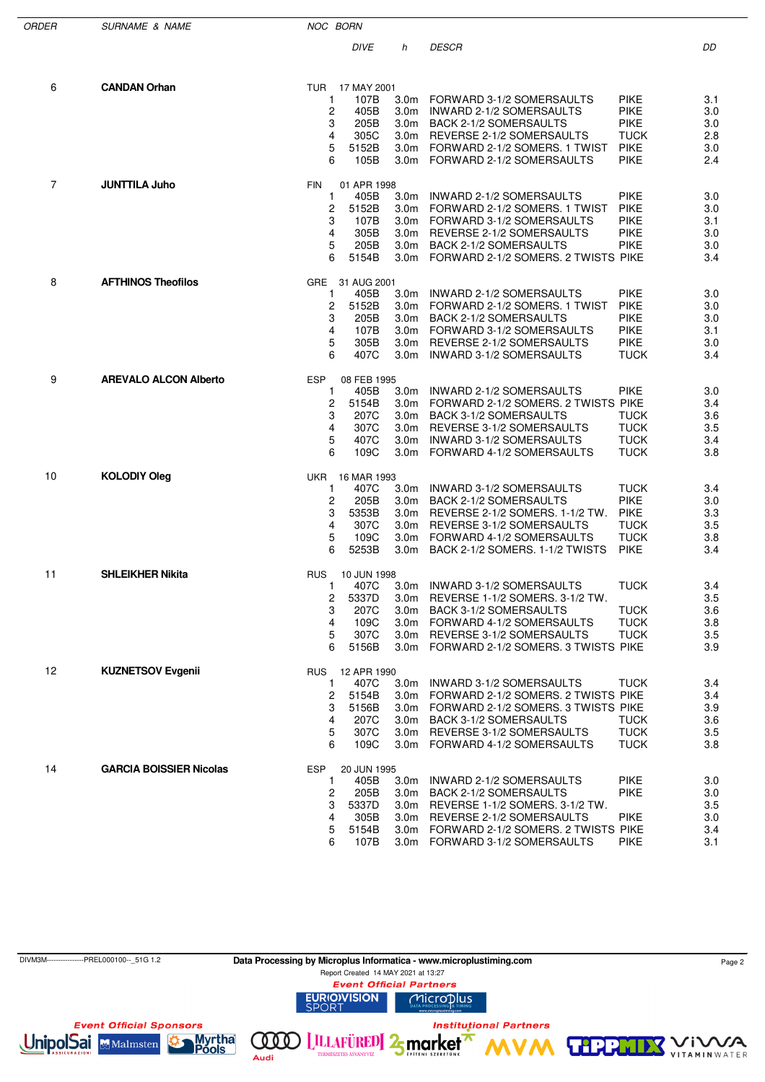| ORDER          | <b>SURNAME &amp; NAME</b>      | NOC BORN                                                   |                                                                                                              |
|----------------|--------------------------------|------------------------------------------------------------|--------------------------------------------------------------------------------------------------------------|
|                |                                | <b>DIVE</b><br><b>DESCR</b><br>h                           | DD                                                                                                           |
| 6              | <b>CANDAN Orhan</b>            | TUR 17 MAY 2001                                            |                                                                                                              |
|                |                                | 107B<br>3.0 <sub>m</sub><br>1                              | FORWARD 3-1/2 SOMERSAULTS<br><b>PIKE</b><br>3.1                                                              |
|                |                                | 2<br>405B<br>3.0 <sub>m</sub>                              | INWARD 2-1/2 SOMERSAULTS<br><b>PIKE</b><br>3.0                                                               |
|                |                                | 3<br>205B<br>3.0m                                          | <b>PIKE</b><br>BACK 2-1/2 SOMERSAULTS<br>3.0                                                                 |
|                |                                | 4<br>305C<br>3.0m                                          | REVERSE 2-1/2 SOMERSAULTS<br><b>TUCK</b><br>2.8                                                              |
|                |                                | 5<br>5152B<br>6<br>105B                                    | 3.0m FORWARD 2-1/2 SOMERS, 1 TWIST<br><b>PIKE</b><br>3.0<br>3.0m FORWARD 2-1/2 SOMERSAULTS<br><b>PIKE</b>    |
|                |                                |                                                            | 2.4                                                                                                          |
| $\overline{7}$ | <b>JUNTTILA Juho</b>           | <b>FIN</b><br>01 APR 1998<br>405B<br>3.0m<br>1             | INWARD 2-1/2 SOMERSAULTS<br><b>PIKE</b><br>3.0                                                               |
|                |                                | 2<br>5152B<br>3.0 <sub>m</sub>                             | FORWARD 2-1/2 SOMERS. 1 TWIST<br><b>PIKE</b><br>3.0                                                          |
|                |                                | 107B<br>3                                                  | 3.0m FORWARD 3-1/2 SOMERSAULTS<br><b>PIKE</b><br>3.1                                                         |
|                |                                | 305B<br>4<br>3.0m                                          | REVERSE 2-1/2 SOMERSAULTS<br><b>PIKE</b><br>3.0                                                              |
|                |                                | 5<br>205B<br>3.0 <sub>m</sub>                              | BACK 2-1/2 SOMERSAULTS<br><b>PIKE</b><br>3.0                                                                 |
|                |                                | 5154B<br>6<br>3.0 <sub>m</sub>                             | FORWARD 2-1/2 SOMERS, 2 TWISTS PIKE<br>3.4                                                                   |
| 8              | <b>AFTHINOS Theofilos</b>      | GRE 31 AUG 2001                                            |                                                                                                              |
|                |                                | 405B<br>3.0m<br>1                                          | INWARD 2-1/2 SOMERSAULTS<br><b>PIKE</b><br>3.0                                                               |
|                |                                | 2<br>5152B                                                 | 3.0m FORWARD 2-1/2 SOMERS. 1 TWIST<br><b>PIKE</b><br>3.0                                                     |
|                |                                | 3<br>205B<br>3.0m                                          | <b>BACK 2-1/2 SOMERSAULTS</b><br><b>PIKE</b><br>3.0                                                          |
|                |                                | 4<br>107B                                                  | 3.0m FORWARD 3-1/2 SOMERSAULTS<br><b>PIKE</b><br>3.1                                                         |
|                |                                | 5<br>305B                                                  | 3.0m REVERSE 2-1/2 SOMERSAULTS<br><b>PIKE</b><br>3.0                                                         |
|                |                                | 6<br>407C                                                  | 3.0m INWARD 3-1/2 SOMERSAULTS<br><b>TUCK</b><br>3.4                                                          |
| 9              | <b>AREVALO ALCON Alberto</b>   | <b>ESP</b><br>08 FEB 1995                                  |                                                                                                              |
|                |                                | 405B<br>3.0m<br>1.<br>2<br>3.0m                            | INWARD 2-1/2 SOMERSAULTS<br><b>PIKE</b><br>3.0<br>FORWARD 2-1/2 SOMERS. 2 TWISTS PIKE                        |
|                |                                | 5154B<br>3<br>207C                                         | 3.4<br>3.0m BACK 3-1/2 SOMERSAULTS<br><b>TUCK</b><br>3.6                                                     |
|                |                                | 4<br>307C<br>3.0m                                          | REVERSE 3-1/2 SOMERSAULTS<br><b>TUCK</b><br>3.5                                                              |
|                |                                | 5<br>407C<br>3.0m                                          | INWARD 3-1/2 SOMERSAULTS<br><b>TUCK</b><br>3.4                                                               |
|                |                                | 109C<br>6                                                  | 3.0m FORWARD 4-1/2 SOMERSAULTS<br><b>TUCK</b><br>3.8                                                         |
| 10             | <b>KOLODIY Oleg</b>            | UKR 16 MAR 1993                                            |                                                                                                              |
|                |                                | 3.0m<br>407C<br>1.                                         | INWARD 3-1/2 SOMERSAULTS<br><b>TUCK</b><br>3.4                                                               |
|                |                                | 2<br>205B<br>3.0m                                          | BACK 2-1/2 SOMERSAULTS<br><b>PIKE</b><br>3.0                                                                 |
|                |                                | 3.0 <sub>m</sub><br>3<br>5353B                             | REVERSE 2-1/2 SOMERS. 1-1/2 TW.<br><b>PIKE</b><br>3.3                                                        |
|                |                                | 4<br>307C<br>3.0m                                          | REVERSE 3-1/2 SOMERSAULTS<br><b>TUCK</b><br>3.5                                                              |
|                |                                | 109C<br>5<br>3.0m<br>5253B<br>6<br>3.0 <sub>m</sub>        | FORWARD 4-1/2 SOMERSAULTS<br><b>TUCK</b><br>3.8<br>BACK 2-1/2 SOMERS, 1-1/2 TWISTS<br><b>PIKE</b><br>3.4     |
| 11             | <b>SHLEIKHER Nikita</b>        |                                                            |                                                                                                              |
|                |                                | 10 JUN 1998<br><b>RUS</b><br>407C<br>1                     | <b>TUCK</b><br>3.0m INWARD 3-1/2 SOMERSAULTS<br>3.4                                                          |
|                |                                | 2<br>5337D                                                 | 3.0m REVERSE 1-1/2 SOMERS. 3-1/2 TW.<br>3.5                                                                  |
|                |                                | 3<br>207C<br>3.0m                                          | 3.6<br>BACK 3-1/2 SOMERSAULTS<br><b>TUCK</b>                                                                 |
|                |                                | 109C<br>4<br>3.0m                                          | <b>TUCK</b><br>3.8<br>FORWARD 4-1/2 SOMERSAULTS                                                              |
|                |                                | 5<br>307C<br>3.0 <sub>m</sub>                              | REVERSE 3-1/2 SOMERSAULTS<br><b>TUCK</b><br>3.5                                                              |
|                |                                | 6<br>5156B                                                 | 3.0m FORWARD 2-1/2 SOMERS. 3 TWISTS PIKE<br>3.9                                                              |
| 12             | <b>KUZNETSOV Evgenii</b>       | 12 APR 1990<br><b>RUS</b>                                  |                                                                                                              |
|                |                                | 407C<br>3.0m<br>1                                          | <b>TUCK</b><br>INWARD 3-1/2 SOMERSAULTS<br>3.4                                                               |
|                |                                | 2<br>5154B<br>3.0m                                         | FORWARD 2-1/2 SOMERS. 2 TWISTS PIKE<br>3.4                                                                   |
|                |                                | 3<br>5156B                                                 | 3.0m FORWARD 2-1/2 SOMERS. 3 TWISTS PIKE<br>3.9                                                              |
|                |                                | 4<br>207C                                                  | 3.0m BACK 3-1/2 SOMERSAULTS<br><b>TUCK</b><br>3.6                                                            |
|                |                                | 5<br>307C<br>109C<br>6                                     | <b>TUCK</b><br>3.0m REVERSE 3-1/2 SOMERSAULTS<br>3.5<br><b>TUCK</b><br>3.0m FORWARD 4-1/2 SOMERSAULTS<br>3.8 |
|                | <b>GARCIA BOISSIER Nicolas</b> |                                                            |                                                                                                              |
| 14             |                                | <b>ESP</b><br>20 JUN 1995<br>3.0 <sub>m</sub><br>405B<br>1 | <b>PIKE</b><br>INWARD 2-1/2 SOMERSAULTS<br>3.0                                                               |
|                |                                | 2<br>205B<br>3.0m                                          | BACK 2-1/2 SOMERSAULTS<br><b>PIKE</b><br>3.0                                                                 |
|                |                                | 5337D<br>3.0 <sub>m</sub><br>3                             | REVERSE 1-1/2 SOMERS. 3-1/2 TW.<br>3.5                                                                       |
|                |                                | 4<br>305B<br>3.0m                                          | REVERSE 2-1/2 SOMERSAULTS<br><b>PIKE</b><br>3.0                                                              |
|                |                                | 5154B<br>5                                                 | 3.0m FORWARD 2-1/2 SOMERS. 2 TWISTS PIKE<br>3.4                                                              |
|                |                                | 6<br>107B                                                  | 3.0m FORWARD 3-1/2 SOMERSAULTS<br><b>PIKE</b><br>3.1                                                         |

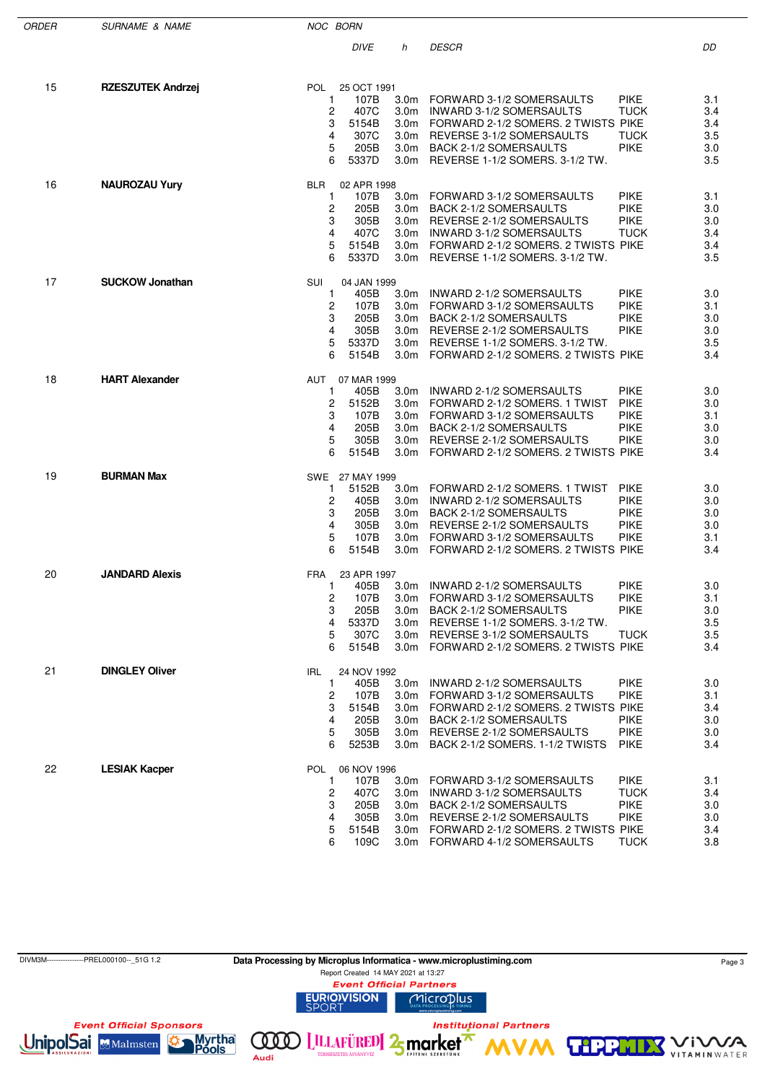| ORDER | <b>SURNAME &amp; NAME</b> | NOC BORN                                                                                                                            |            |
|-------|---------------------------|-------------------------------------------------------------------------------------------------------------------------------------|------------|
|       |                           | <b>DIVE</b><br><b>DESCR</b><br>h                                                                                                    | DD         |
| 15    | <b>RZESZUTEK Andrzei</b>  | 25 OCT 1991<br>POL                                                                                                                  |            |
|       |                           | <b>PIKE</b><br>107B<br>3.0 <sub>m</sub><br>FORWARD 3-1/2 SOMERSAULTS<br>1                                                           | 3.1        |
|       |                           | $\overline{c}$<br>407C<br>3.0 <sub>m</sub><br>INWARD 3-1/2 SOMERSAULTS<br><b>TUCK</b>                                               | 3.4        |
|       |                           | 3<br>3.0m FORWARD 2-1/2 SOMERS. 2 TWISTS PIKE<br>5154B                                                                              | 3.4        |
|       |                           | 4<br>307C<br>3.0m<br>REVERSE 3-1/2 SOMERSAULTS<br><b>TUCK</b>                                                                       | 3.5        |
|       |                           | <b>BACK 2-1/2 SOMERSAULTS</b><br><b>PIKE</b><br>5<br>205B<br>3.0m<br>6<br>5337D<br>3.0m REVERSE 1-1/2 SOMERS, 3-1/2 TW.             | 3.0<br>3.5 |
| 16    | <b>NAUROZAU Yury</b>      | <b>BLR</b><br>02 APR 1998                                                                                                           |            |
|       |                           | FORWARD 3-1/2 SOMERSAULTS<br>107B<br>3.0m<br><b>PIKE</b><br>1                                                                       | 3.1        |
|       |                           | 2<br>205B<br><b>BACK 2-1/2 SOMERSAULTS</b><br><b>PIKE</b><br>3.0m                                                                   | 3.0        |
|       |                           | 305B<br>3.0 <sub>m</sub><br>REVERSE 2-1/2 SOMERSAULTS<br><b>PIKE</b><br>3                                                           | 3.0        |
|       |                           | 407C<br>INWARD 3-1/2 SOMERSAULTS<br>4<br>3.0 <sub>m</sub><br><b>TUCK</b>                                                            | 3.4        |
|       |                           | FORWARD 2-1/2 SOMERS. 2 TWISTS PIKE<br>5<br>5154B<br>3.0m<br>5337D<br>REVERSE 1-1/2 SOMERS. 3-1/2 TW.<br>6<br>3.0m                  | 3.4<br>3.5 |
| 17    | <b>SUCKOW Jonathan</b>    | SUI<br>04 JAN 1999                                                                                                                  |            |
|       |                           | INWARD 2-1/2 SOMERSAULTS<br><b>PIKE</b><br>1<br>405B<br>3.0m                                                                        | 3.0        |
|       |                           | 2<br>107B<br>3.0m<br>FORWARD 3-1/2 SOMERSAULTS<br><b>PIKE</b>                                                                       | 3.1        |
|       |                           | 3<br><b>BACK 2-1/2 SOMERSAULTS</b><br><b>PIKE</b><br>205B<br>3.0 <sub>m</sub><br>3.0m REVERSE 2-1/2 SOMERSAULTS<br>4<br><b>PIKE</b> | 3.0        |
|       |                           | 305B<br>3.0m REVERSE 1-1/2 SOMERS. 3-1/2 TW.<br>5<br>5337D                                                                          | 3.0<br>3.5 |
|       |                           | 6<br>5154B<br>3.0m FORWARD 2-1/2 SOMERS, 2 TWISTS PIKE                                                                              | 3.4        |
| 18    | <b>HART Alexander</b>     | AUT 07 MAR 1999                                                                                                                     |            |
|       |                           | INWARD 2-1/2 SOMERSAULTS<br><b>PIKE</b><br>405B<br>3.0m<br>1                                                                        | 3.0        |
|       |                           | 2<br>5152B<br>3.0m<br>FORWARD 2-1/2 SOMERS. 1 TWIST<br><b>PIKE</b>                                                                  | 3.0        |
|       |                           | 3<br>107B<br>3.0m FORWARD 3-1/2 SOMERSAULTS<br><b>PIKE</b><br><b>BACK 2-1/2 SOMERSAULTS</b><br>4<br>205B<br>3.0m<br><b>PIKE</b>     | 3.1<br>3.0 |
|       |                           | REVERSE 2-1/2 SOMERSAULTS<br><b>PIKE</b><br>5<br>305B<br>3.0m                                                                       | 3.0        |
|       |                           | 5154B<br>3.0m FORWARD 2-1/2 SOMERS, 2 TWISTS PIKE<br>6                                                                              | 3.4        |
| 19    | <b>BURMAN Max</b>         | SWE 27 MAY 1999                                                                                                                     |            |
|       |                           | 5152B<br>FORWARD 2-1/2 SOMERS. 1 TWIST<br><b>PIKE</b><br>3.0m<br>1<br>2<br>INWARD 2-1/2 SOMERSAULTS<br><b>PIKE</b><br>405B<br>3.0m  | 3.0        |
|       |                           | 3.0 <sub>m</sub><br><b>BACK 2-1/2 SOMERSAULTS</b><br>3<br>205B<br><b>PIKE</b>                                                       | 3.0<br>3.0 |
|       |                           | $\overline{4}$<br>305B<br>3.0 <sub>m</sub><br>REVERSE 2-1/2 SOMERSAULTS<br><b>PIKE</b>                                              | 3.0        |
|       |                           | 107B<br>FORWARD 3-1/2 SOMERSAULTS<br><b>PIKE</b><br>5<br>3.0m                                                                       | 3.1        |
|       |                           | 6<br>5154B<br>FORWARD 2-1/2 SOMERS. 2 TWISTS PIKE<br>3.0m                                                                           | 3.4        |
| 20    | <b>JANDARD Alexis</b>     | 23 APR 1997<br><b>FRA</b><br><b>PIKE</b>                                                                                            | 3.0        |
|       |                           | 405B<br>3.0m INWARD 2-1/2 SOMERSAULTS<br>1<br>FORWARD 3-1/2 SOMERSAULTS<br>2<br>107B<br>3.0 <sub>m</sub><br><b>PIKE</b>             | 3.1        |
|       |                           | <b>PIKE</b><br>3<br>205B<br><b>BACK 2-1/2 SOMERSAULTS</b><br>3.0m                                                                   | 3.0        |
|       |                           | 5337D<br>REVERSE 1-1/2 SOMERS. 3-1/2 TW.<br>4<br>3.0m                                                                               | 3.5        |
|       |                           | 5<br>REVERSE 3-1/2 SOMERSAULTS<br><b>TUCK</b><br>307C<br>3.0m                                                                       | 3.5        |
|       |                           | 6<br>5154B<br>3.0m FORWARD 2-1/2 SOMERS. 2 TWISTS PIKE                                                                              | 3.4        |
| 21    | <b>DINGLEY Oliver</b>     | IRL<br>24 NOV 1992<br>405B<br>3.0m<br>INWARD 2-1/2 SOMERSAULTS<br><b>PIKE</b><br>1                                                  | 3.0        |
|       |                           | $\overline{c}$<br><b>PIKE</b><br>107B<br>3.0m<br>FORWARD 3-1/2 SOMERSAULTS                                                          | 3.1        |
|       |                           | 3<br>5154B<br>3.0m FORWARD 2-1/2 SOMERS. 2 TWISTS PIKE                                                                              | 3.4        |
|       |                           | 205B<br>3.0m BACK 2-1/2 SOMERSAULTS<br><b>PIKE</b><br>4                                                                             | 3.0        |
|       |                           | 5<br>305B<br>3.0m REVERSE 2-1/2 SOMERSAULTS<br><b>PIKE</b>                                                                          | 3.0        |
|       |                           | 6<br>5253B<br>3.0m<br>BACK 2-1/2 SOMERS, 1-1/2 TWISTS<br><b>PIKE</b>                                                                | 3.4        |
| 22    | <b>LESIAK Kacper</b>      | 06 NOV 1996<br><b>POL</b><br>107B<br>3.0 <sub>m</sub><br>FORWARD 3-1/2 SOMERSAULTS<br><b>PIKE</b><br>1                              | 3.1        |
|       |                           | 2<br>407C<br>3.0m<br>INWARD 3-1/2 SOMERSAULTS<br><b>TUCK</b>                                                                        | 3.4        |
|       |                           | 205B<br>3.0m<br>BACK 2-1/2 SOMERSAULTS<br><b>PIKE</b><br>3                                                                          | 3.0        |
|       |                           | REVERSE 2-1/2 SOMERSAULTS<br><b>PIKE</b><br>4<br>305B<br>3.0m                                                                       | 3.0        |
|       |                           | 3.0m FORWARD 2-1/2 SOMERS. 2 TWISTS PIKE<br>5154B<br>5                                                                              | 3.4        |
|       |                           | 6<br>109C<br>3.0m FORWARD 4-1/2 SOMERSAULTS<br><b>TUCK</b>                                                                          | 3.8        |

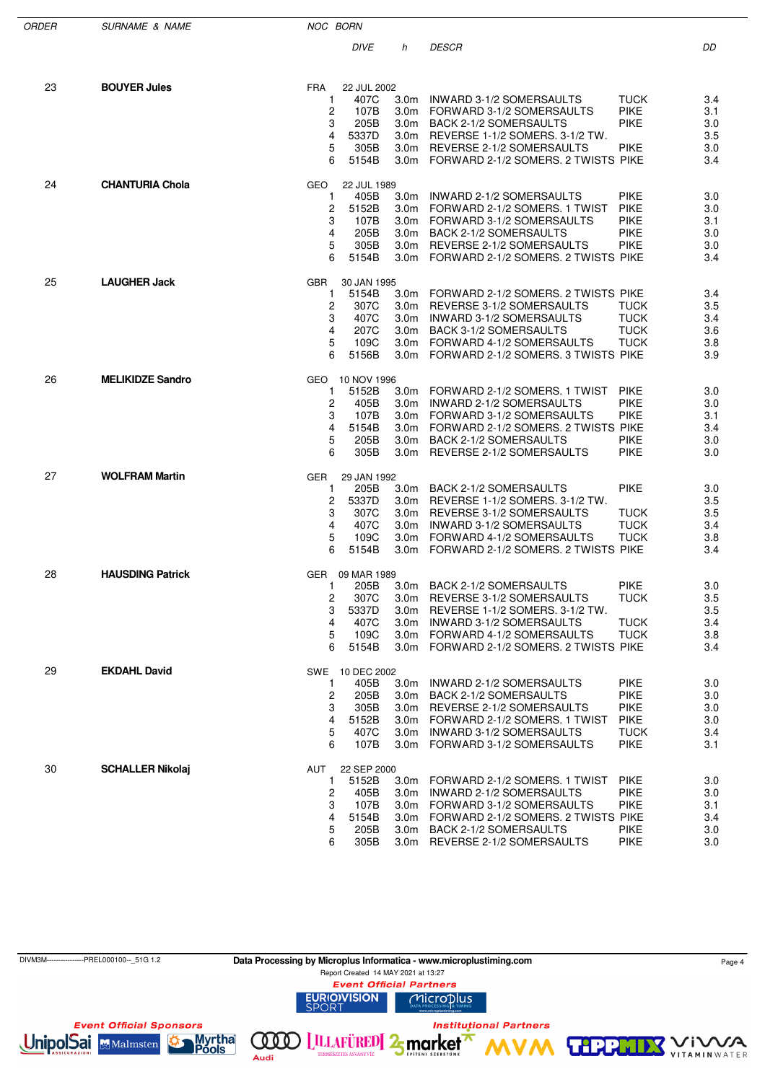| ORDER | SURNAME & NAME          |                  | NOC BORN              |                                      |                                                                       |                            |            |
|-------|-------------------------|------------------|-----------------------|--------------------------------------|-----------------------------------------------------------------------|----------------------------|------------|
|       |                         |                  | <b>DIVE</b>           | h                                    | <b>DESCR</b>                                                          |                            | DD         |
| 23    | <b>BOUYER Jules</b>     | FRA              | 22 JUL 2002           |                                      |                                                                       |                            |            |
|       |                         | 1                | 407C                  | 3.0m                                 | INWARD 3-1/2 SOMERSAULTS                                              | <b>TUCK</b>                | 3.4        |
|       |                         | 2                | 107B                  | 3.0m                                 | FORWARD 3-1/2 SOMERSAULTS                                             | <b>PIKE</b>                | 3.1        |
|       |                         | 3                | 205B                  | 3.0 <sub>m</sub>                     | BACK 2-1/2 SOMERSAULTS                                                | <b>PIKE</b>                | 3.0        |
|       |                         | 4                | 5337D                 |                                      | 3.0m REVERSE 1-1/2 SOMERS. 3-1/2 TW.                                  |                            | 3.5        |
|       |                         | 5<br>6           | 305B<br>5154B         | 3.0m                                 | REVERSE 2-1/2 SOMERSAULTS<br>3.0m FORWARD 2-1/2 SOMERS, 2 TWISTS PIKE | <b>PIKE</b>                | 3.0<br>3.4 |
|       |                         |                  |                       |                                      |                                                                       |                            |            |
| 24    | <b>CHANTURIA Chola</b>  | <b>GEO</b><br>1. | 22 JUL 1989<br>405B   | 3.0 <sub>m</sub>                     | INWARD 2-1/2 SOMERSAULTS                                              | <b>PIKE</b>                | 3.0        |
|       |                         | 2                | 5152B                 |                                      | 3.0m FORWARD 2-1/2 SOMERS. 1 TWIST                                    | <b>PIKE</b>                | 3.0        |
|       |                         | 3                | 107B                  |                                      | 3.0m FORWARD 3-1/2 SOMERSAULTS                                        | <b>PIKE</b>                | 3.1        |
|       |                         | 4                | 205B                  | 3.0m                                 | BACK 2-1/2 SOMERSAULTS                                                | <b>PIKE</b>                | 3.0        |
|       |                         | 5                | 305B                  |                                      | 3.0m REVERSE 2-1/2 SOMERSAULTS                                        | <b>PIKE</b>                | 3.0        |
|       |                         | 6                | 5154B                 |                                      | 3.0m FORWARD 2-1/2 SOMERS. 2 TWISTS PIKE                              |                            | 3.4        |
| 25    | <b>LAUGHER Jack</b>     | GBR              | 30 JAN 1995           |                                      |                                                                       |                            |            |
|       |                         | 1                | 5154B                 |                                      | 3.0m FORWARD 2-1/2 SOMERS, 2 TWISTS PIKE                              |                            | 3.4        |
|       |                         | 2                | 307C                  |                                      | 3.0m REVERSE 3-1/2 SOMERSAULTS                                        | <b>TUCK</b>                | 3.5        |
|       |                         | 3                | 407C                  | 3.0m                                 | INWARD 3-1/2 SOMERSAULTS                                              | <b>TUCK</b>                | 3.4        |
|       |                         | 4                | 207C<br>109C          |                                      | 3.0m BACK 3-1/2 SOMERSAULTS<br>3.0m FORWARD 4-1/2 SOMERSAULTS         | <b>TUCK</b><br><b>TUCK</b> | 3.6        |
|       |                         | 5<br>6           | 5156B                 |                                      | 3.0m FORWARD 2-1/2 SOMERS, 3 TWISTS PIKE                              |                            | 3.8<br>3.9 |
|       |                         |                  |                       |                                      |                                                                       |                            |            |
| 26    | <b>MELIKIDZE Sandro</b> |                  | GEO 10 NOV 1996       |                                      |                                                                       |                            |            |
|       |                         |                  | 5152B<br>$\mathbf{1}$ | 3.0m                                 | FORWARD 2-1/2 SOMERS. 1 TWIST                                         | <b>PIKE</b>                | 3.0        |
|       |                         | 2<br>3           | 405B<br>107B          | 3.0m                                 | INWARD 2-1/2 SOMERSAULTS<br>3.0m FORWARD 3-1/2 SOMERSAULTS            | <b>PIKE</b><br><b>PIKE</b> | 3.0<br>3.1 |
|       |                         | 4                | 5154B                 | 3.0m                                 | FORWARD 2-1/2 SOMERS. 2 TWISTS PIKE                                   |                            | 3.4        |
|       |                         | 5                | 205B                  | 3.0m                                 | BACK 2-1/2 SOMERSAULTS                                                | <b>PIKE</b>                | 3.0        |
|       |                         | 6                | 305B                  |                                      | 3.0m REVERSE 2-1/2 SOMERSAULTS                                        | <b>PIKE</b>                | 3.0        |
| 27    | <b>WOLFRAM Martin</b>   | GER              | 29 JAN 1992           |                                      |                                                                       |                            |            |
|       |                         | 1.               | 205B                  |                                      | 3.0m BACK 2-1/2 SOMERSAULTS                                           | <b>PIKE</b>                | 3.0        |
|       |                         | 2                | 5337D                 | 3.0 <sub>m</sub>                     | REVERSE 1-1/2 SOMERS. 3-1/2 TW.                                       |                            | 3.5        |
|       |                         | 3                | 307C                  | 3.0m                                 | REVERSE 3-1/2 SOMERSAULTS                                             | <b>TUCK</b>                | 3.5        |
|       |                         | 4                | 407C                  | 3.0m                                 | INWARD 3-1/2 SOMERSAULTS                                              | <b>TUCK</b>                | 3.4        |
|       |                         | 5<br>6           | 109C<br>5154B         | 3.0 <sub>m</sub><br>3.0 <sub>m</sub> | FORWARD 4-1/2 SOMERSAULTS<br>FORWARD 2-1/2 SOMERS. 2 TWISTS PIKE      | <b>TUCK</b>                | 3.8<br>3.4 |
| 28    | <b>HAUSDING Patrick</b> |                  | GER 09 MAR 1989       |                                      |                                                                       |                            |            |
|       |                         | 1                | 205B                  |                                      | 3.0m BACK 2-1/2 SOMERSAULTS                                           | <b>PIKE</b>                | 3.0        |
|       |                         | 2                | 307C                  |                                      | 3.0m REVERSE 3-1/2 SOMERSAULTS                                        | <b>TUCK</b>                | 3.5        |
|       |                         | 3                | 5337D                 | 3.0 <sub>m</sub>                     | REVERSE 1-1/2 SOMERS. 3-1/2 TW.                                       |                            | 3.5        |
|       |                         | 4                | 407C                  | 3.0m                                 | INWARD 3-1/2 SOMERSAULTS                                              | <b>TUCK</b>                | 3.4        |
|       |                         | 5                | 109C                  |                                      | 3.0m FORWARD 4-1/2 SOMERSAULTS                                        | <b>TUCK</b>                | 3.8        |
|       |                         | 6                | 5154B                 |                                      | 3.0m FORWARD 2-1/2 SOMERS, 2 TWISTS PIKE                              |                            | 3.4        |
| 29    | <b>EKDAHL David</b>     |                  | SWE 10 DEC 2002       |                                      |                                                                       |                            |            |
|       |                         | 1                | 405B                  | 3.0m                                 | INWARD 2-1/2 SOMERSAULTS                                              | <b>PIKE</b>                | 3.0        |
|       |                         | 2<br>3           | 205B<br>305B          | 3.0m                                 | BACK 2-1/2 SOMERSAULTS<br>3.0m REVERSE 2-1/2 SOMERSAULTS              | <b>PIKE</b><br><b>PIKE</b> | 3.0<br>3.0 |
|       |                         | 4                | 5152B                 | 3.0m                                 | FORWARD 2-1/2 SOMERS. 1 TWIST                                         | <b>PIKE</b>                | 3.0        |
|       |                         | 5                | 407C                  | 3.0 <sub>m</sub>                     | INWARD 3-1/2 SOMERSAULTS                                              | <b>TUCK</b>                | 3.4        |
|       |                         | 6                | 107B                  | 3.0 <sub>m</sub>                     | FORWARD 3-1/2 SOMERSAULTS                                             | <b>PIKE</b>                | 3.1        |
| 30    | <b>SCHALLER Nikolaj</b> | AUT              | 22 SEP 2000           |                                      |                                                                       |                            |            |
|       |                         | 1                | 5152B                 | 3.0m                                 | FORWARD 2-1/2 SOMERS. 1 TWIST                                         | <b>PIKE</b>                | 3.0        |
|       |                         | 2                | 405B                  | 3.0m                                 | INWARD 2-1/2 SOMERSAULTS                                              | <b>PIKE</b>                | 3.0        |
|       |                         | 3                | 107B                  | 3.0m                                 | FORWARD 3-1/2 SOMERSAULTS                                             | <b>PIKE</b>                | 3.1        |
|       |                         | 4                | 5154B                 | 3.0 <sub>m</sub>                     | FORWARD 2-1/2 SOMERS. 2 TWISTS PIKE                                   |                            | 3.4        |
|       |                         | 5                | 205B                  |                                      | 3.0m BACK 2-1/2 SOMERSAULTS                                           | <b>PIKE</b>                | 3.0        |
|       |                         | 6                | 305B                  | 3.0m                                 | REVERSE 2-1/2 SOMERSAULTS                                             | <b>PIKE</b>                | 3.0        |

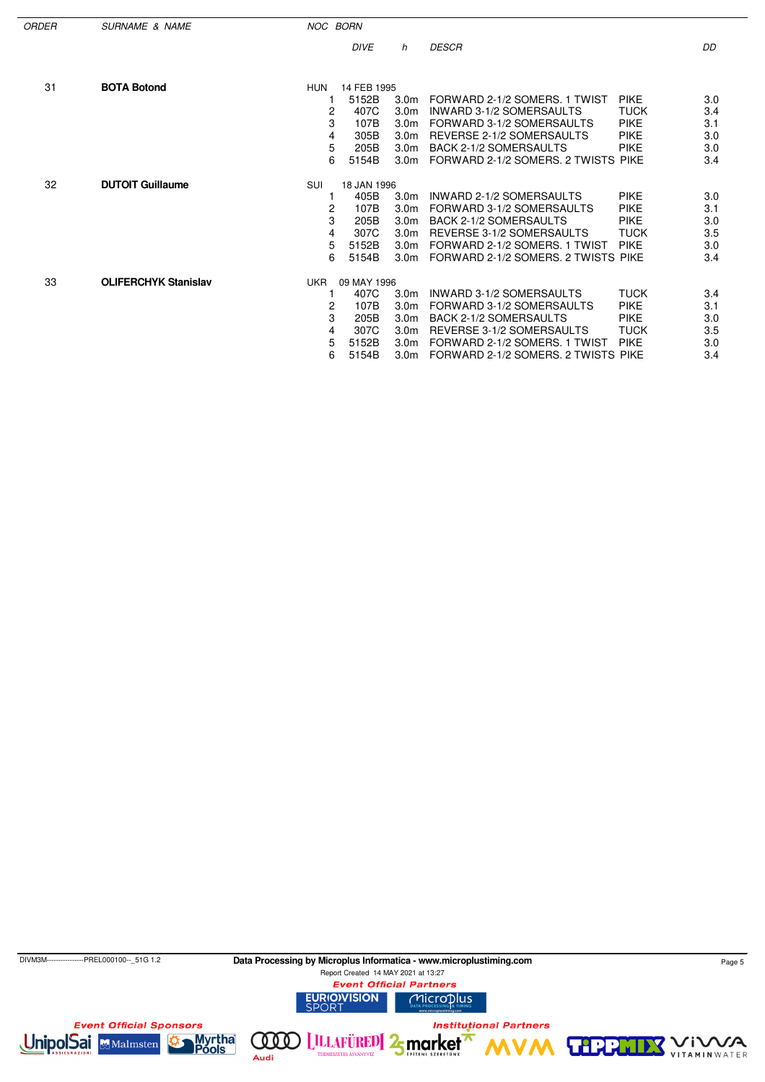| <b>ORDER</b> | <b>SURNAME &amp; NAME</b>   |            | <b>NOC BORN</b> |                  |                                     |             |     |
|--------------|-----------------------------|------------|-----------------|------------------|-------------------------------------|-------------|-----|
|              |                             |            | <b>DIVE</b>     | h                | <b>DESCR</b>                        |             | DD  |
| 31           | <b>BOTA Botond</b>          | <b>HUN</b> | 14 FEB 1995     |                  |                                     |             |     |
|              |                             |            | 5152B           | 3.0 <sub>m</sub> | FORWARD 2-1/2 SOMERS. 1 TWIST       | <b>PIKE</b> | 3.0 |
|              |                             | 2          | 407C            | 3.0 <sub>m</sub> | INWARD 3-1/2 SOMERSAULTS            | <b>TUCK</b> | 3.4 |
|              |                             |            | 3<br>107B       | 3.0 <sub>m</sub> | FORWARD 3-1/2 SOMERSAULTS           | <b>PIKE</b> | 3.1 |
|              |                             | 4          | 305B            | 3.0 <sub>m</sub> | REVERSE 2-1/2 SOMERSAULTS           | <b>PIKE</b> | 3.0 |
|              |                             | 5          | 205B            | 3.0 <sub>m</sub> | <b>BACK 2-1/2 SOMERSAULTS</b>       | <b>PIKE</b> | 3.0 |
|              |                             | 6          | 5154B           | 3.0 <sub>m</sub> | FORWARD 2-1/2 SOMERS, 2 TWISTS PIKE |             | 3.4 |
| 32           | <b>DUTOIT Guillaume</b>     | SUI        | 18 JAN 1996     |                  |                                     |             |     |
|              |                             |            | 405B            | 3.0 <sub>m</sub> | INWARD 2-1/2 SOMERSAULTS            | <b>PIKE</b> | 3.0 |
|              |                             |            | 107B            | 3.0 <sub>m</sub> | FORWARD 3-1/2 SOMERSAULTS           | <b>PIKE</b> | 3.1 |
|              |                             |            | 3<br>205B       | 3.0 <sub>m</sub> | <b>BACK 2-1/2 SOMERSAULTS</b>       | <b>PIKE</b> | 3.0 |
|              |                             | 4          | 307C            | 3.0 <sub>m</sub> | REVERSE 3-1/2 SOMERSAULTS           | <b>TUCK</b> | 3.5 |
|              |                             | 5          | 5152B           | 3.0 <sub>m</sub> | FORWARD 2-1/2 SOMERS, 1 TWIST       | <b>PIKE</b> | 3.0 |
|              |                             |            | 6<br>5154B      | 3.0 <sub>m</sub> | FORWARD 2-1/2 SOMERS, 2 TWISTS PIKE |             | 3.4 |
| 33           | <b>OLIFERCHYK Stanislav</b> | <b>UKR</b> | 09 MAY 1996     |                  |                                     |             |     |
|              |                             |            | 407C            | 3.0 <sub>m</sub> | INWARD 3-1/2 SOMERSAULTS            | <b>TUCK</b> | 3.4 |
|              |                             | 2          | 107B            | 3.0 <sub>m</sub> | FORWARD 3-1/2 SOMERSAULTS           | <b>PIKE</b> | 3.1 |
|              |                             | 3          | 205B            | 3.0 <sub>m</sub> | BACK 2-1/2 SOMERSAULTS              | <b>PIKE</b> | 3.0 |
|              |                             | 4          | 307C            | 3.0 <sub>m</sub> | REVERSE 3-1/2 SOMERSAULTS           | <b>TUCK</b> | 3.5 |
|              |                             |            | 5152B<br>5      | 3.0 <sub>m</sub> | FORWARD 2-1/2 SOMERS, 1 TWIST       | <b>PIKE</b> | 3.0 |
|              |                             |            | 6<br>5154B      | 3.0 <sub>m</sub> | FORWARD 2-1/2 SOMERS, 2 TWISTS PIKE |             | 3.4 |

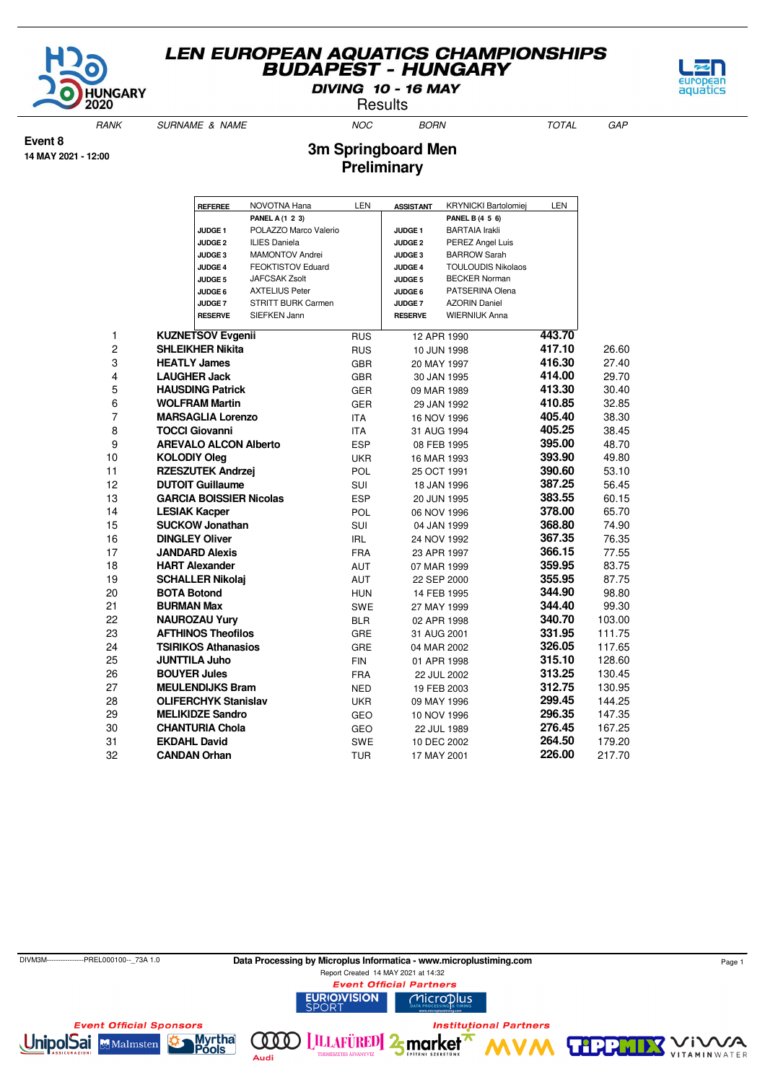

DIVING 10 - 16 MAY

**Results** 

RANK SURNAME & NAME NOC BORN TOTAL GAP

**Event 8 14 MAY 2021 - 12:00**

**3m Springboard Men Preliminary**

|                |                      | <b>REFEREE</b>                 | NOVOTNA Hana              | LEN        | <b>ASSISTANT</b> | <b>KRYNICKI Bartolomiej</b> | LEN    |        |
|----------------|----------------------|--------------------------------|---------------------------|------------|------------------|-----------------------------|--------|--------|
|                |                      |                                | <b>PANEL A (1 2 3)</b>    |            |                  | PANEL B (4 5 6)             |        |        |
|                |                      | <b>JUDGE 1</b>                 | POLAZZO Marco Valerio     |            | <b>JUDGE 1</b>   | <b>BARTAIA Irakli</b>       |        |        |
|                |                      | <b>JUDGE 2</b>                 | <b>ILIES Daniela</b>      |            | <b>JUDGE 2</b>   | PEREZ Angel Luis            |        |        |
|                |                      | <b>JUDGE 3</b>                 | <b>MAMONTOV Andrei</b>    |            | <b>JUDGE 3</b>   | <b>BARROW Sarah</b>         |        |        |
|                |                      | <b>JUDGE 4</b>                 | FEOKTISTOV Eduard         |            | <b>JUDGE 4</b>   | <b>TOULOUDIS Nikolaos</b>   |        |        |
|                |                      | <b>JUDGE 5</b>                 | <b>JAFCSAK Zsolt</b>      |            | <b>JUDGE 5</b>   | <b>BECKER Norman</b>        |        |        |
|                |                      | <b>JUDGE 6</b>                 | <b>AXTELIUS Peter</b>     |            | <b>JUDGE 6</b>   | PATSERINA Olena             |        |        |
|                |                      | <b>JUDGE 7</b>                 | <b>STRITT BURK Carmen</b> |            | <b>JUDGE 7</b>   | <b>AZORIN Daniel</b>        |        |        |
|                |                      | <b>RESERVE</b>                 | SIEFKEN Jann              |            | <b>RESERVE</b>   | <b>WIERNIUK Anna</b>        |        |        |
| 1              |                      | <b>KUZNETSOV Evgenii</b>       |                           | <b>RUS</b> | 12 APR 1990      |                             | 443.70 |        |
| $\overline{c}$ |                      | <b>SHLEIKHER Nikita</b>        |                           | <b>RUS</b> | 10 JUN 1998      |                             | 417.10 | 26.60  |
| 3              | <b>HEATLY James</b>  |                                |                           | <b>GBR</b> | 20 MAY 1997      |                             | 416.30 | 27.40  |
| 4              | <b>LAUGHER Jack</b>  |                                |                           | <b>GBR</b> | 30 JAN 1995      |                             | 414.00 | 29.70  |
| 5              |                      | <b>HAUSDING Patrick</b>        |                           | <b>GER</b> | 09 MAR 1989      |                             | 413.30 | 30.40  |
| 6              |                      | <b>WOLFRAM Martin</b>          |                           | <b>GER</b> | 29 JAN 1992      |                             | 410.85 | 32.85  |
| $\overline{7}$ |                      | <b>MARSAGLIA Lorenzo</b>       |                           | <b>ITA</b> | 16 NOV 1996      |                             | 405.40 | 38.30  |
| 8              |                      | <b>TOCCI Giovanni</b>          |                           | <b>ITA</b> | 31 AUG 1994      |                             | 405.25 | 38.45  |
| 9              |                      | <b>AREVALO ALCON Alberto</b>   |                           | <b>ESP</b> | 08 FEB 1995      |                             | 395.00 | 48.70  |
| 10             | <b>KOLODIY Oleg</b>  |                                |                           | <b>UKR</b> | 16 MAR 1993      |                             | 393.90 | 49.80  |
| 11             |                      | <b>RZESZUTEK Andrzej</b>       |                           | <b>POL</b> | 25 OCT 1991      |                             | 390.60 | 53.10  |
| 12             |                      | <b>DUTOIT Guillaume</b>        |                           | SUI        | 18 JAN 1996      |                             | 387.25 | 56.45  |
| 13             |                      | <b>GARCIA BOISSIER Nicolas</b> |                           | <b>ESP</b> | 20 JUN 1995      |                             | 383.55 | 60.15  |
| 14             | <b>LESIAK Kacper</b> |                                |                           | POL        | 06 NOV 1996      |                             | 378.00 | 65.70  |
| 15             |                      | <b>SUCKOW Jonathan</b>         |                           | SUI        | 04 JAN 1999      |                             | 368.80 | 74.90  |
| 16             |                      | <b>DINGLEY Oliver</b>          |                           | <b>IRL</b> | 24 NOV 1992      |                             | 367.35 | 76.35  |
| 17             |                      | <b>JANDARD Alexis</b>          |                           | <b>FRA</b> | 23 APR 1997      |                             | 366.15 | 77.55  |
| 18             |                      | <b>HART Alexander</b>          |                           | AUT        | 07 MAR 1999      |                             | 359.95 | 83.75  |
| 19             |                      | <b>SCHALLER Nikolaj</b>        |                           | AUT        | 22 SEP 2000      |                             | 355.95 | 87.75  |
| 20             | <b>BOTA Botond</b>   |                                |                           | <b>HUN</b> | 14 FEB 1995      |                             | 344.90 | 98.80  |
| 21             | <b>BURMAN Max</b>    |                                |                           | SWE        | 27 MAY 1999      |                             | 344.40 | 99.30  |
| 22             |                      | <b>NAUROZAU Yurv</b>           |                           | <b>BLR</b> | 02 APR 1998      |                             | 340.70 | 103.00 |
| 23             |                      | <b>AFTHINOS Theofilos</b>      |                           | <b>GRE</b> | 31 AUG 2001      |                             | 331.95 | 111.75 |
| 24             |                      | <b>TSIRIKOS Athanasios</b>     |                           | <b>GRE</b> | 04 MAR 2002      |                             | 326.05 | 117.65 |
| 25             |                      | <b>JUNTTILA Juho</b>           |                           | <b>FIN</b> | 01 APR 1998      |                             | 315.10 | 128.60 |
| 26             | <b>BOUYER Jules</b>  |                                |                           | <b>FRA</b> | 22 JUL 2002      |                             | 313.25 | 130.45 |
| 27             |                      | <b>MEULENDIJKS Bram</b>        |                           | <b>NED</b> | 19 FEB 2003      |                             | 312.75 | 130.95 |
| 28             |                      | <b>OLIFERCHYK Stanislav</b>    |                           | <b>UKR</b> | 09 MAY 1996      |                             | 299.45 | 144.25 |
| 29             |                      | <b>MELIKIDZE Sandro</b>        |                           | GEO        | 10 NOV 1996      |                             | 296.35 | 147.35 |
| 30             |                      | <b>CHANTURIA Chola</b>         |                           | GEO        |                  |                             | 276.45 | 167.25 |
| 31             | <b>EKDAHL David</b>  |                                |                           |            | 22 JUL 1989      |                             | 264.50 | 179.20 |
|                |                      |                                |                           | SWE        | 10 DEC 2002      |                             |        |        |
| 32             | <b>CANDAN Orhan</b>  |                                |                           | <b>TUR</b> | 17 MAY 2001      |                             | 226.00 | 217.70 |

 DIVM3M----------------PREL000100--\_73A 1.0 **Data Processing by Microplus Informatica - www.microplustiming.com** Page 1 Report Created 14 MAY 2021 at 14:32**Event Official Partners RIOWISION** Microplus **Event Official Sponsors Institutional Partners** Myrtha<sup>®</sup><br>Pools **UnipolSai COOD** Malmsten **LILLAFÜRED** 2<sub>s</sub> market **VM** THPP  $\mathcal{N}\mathcal{A}$ 'iV **VITAMIN** WATER Audi

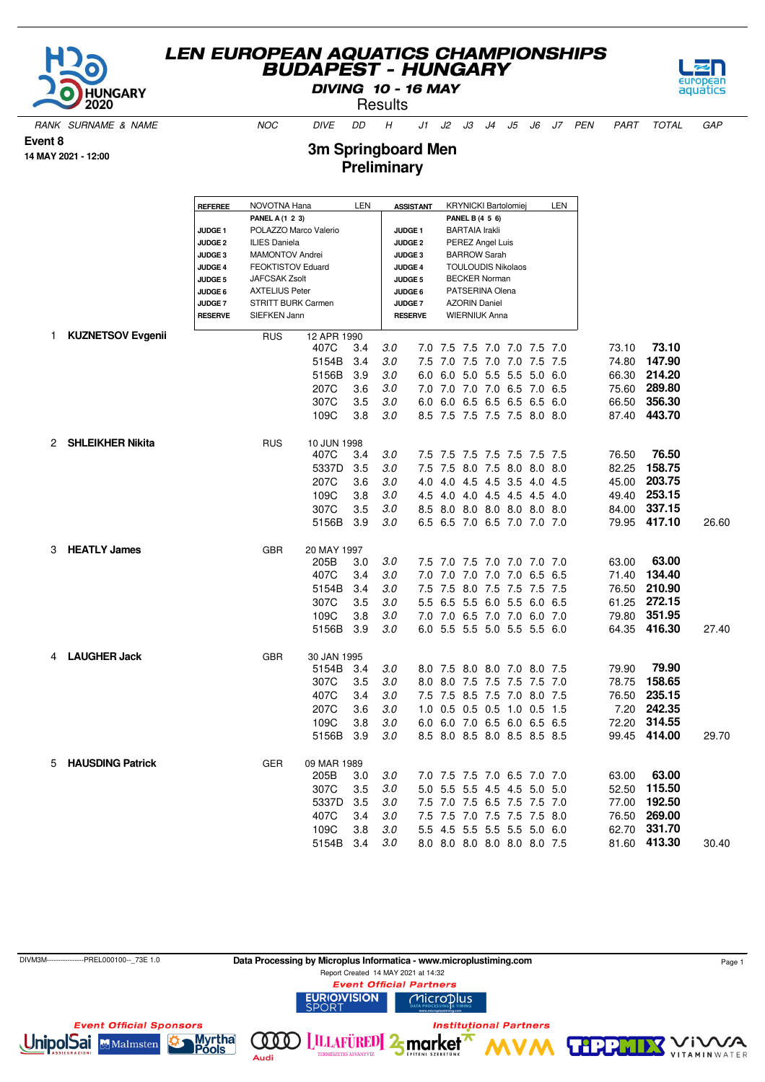



DIVING 10 - 16 MAY **Results** 

**Event 8 14 MAY 2021 - 12:00**

RANK SURNAME & NAME TOTAL GAP NOC DIVE DD H J1 J2 J3 J4 J5 J6 J7 PEN PART TOTAL GAP

**3m Springboard Men Preliminary**

|                                | <b>REFEREE</b><br><b>JUDGE1</b><br><b>JUDGE 2</b><br>JUDGE <sub>3</sub><br><b>JUDGE 4</b><br><b>JUDGE 5</b><br><b>JUDGE 6</b><br><b>JUDGE 7</b><br><b>RESERVE</b> | NOVOTNA Hana<br><b>PANEL A (1 2 3)</b><br>POLAZZO Marco Valerio<br><b>ILIES Daniela</b><br><b>MAMONTOV Andrei</b><br>FEOKTISTOV Eduard<br><b>JAFCSAK Zsolt</b><br><b>AXTELIUS Peter</b><br><b>STRITT BURK Carmen</b><br>SIEFKEN Jann |                                                               | LEN                                    |                                        | <b>ASSISTANT</b><br><b>JUDGE 1</b><br><b>JUDGE 2</b><br>JUDGE <sub>3</sub><br><b>JUDGE 4</b><br><b>JUDGE 5</b><br>JUDGE 6<br>JUDGE <sub>7</sub><br><b>RESERVE</b> |            | PANEL B (4 5 6)<br><b>BARTAIA</b> Irakli<br><b>AZORIN Daniel</b> | KRYNICKI Bartolomiej<br>PEREZ Angel Luis<br><b>BARROW Sarah</b><br><b>TOULOUDIS Nikolaos</b><br><b>BECKER Norman</b><br>PATSERINA Olena<br><b>WIERNIUK Anna</b>  |            |            | LEN        |                                                    |                                                         |       |
|--------------------------------|-------------------------------------------------------------------------------------------------------------------------------------------------------------------|--------------------------------------------------------------------------------------------------------------------------------------------------------------------------------------------------------------------------------------|---------------------------------------------------------------|----------------------------------------|----------------------------------------|-------------------------------------------------------------------------------------------------------------------------------------------------------------------|------------|------------------------------------------------------------------|------------------------------------------------------------------------------------------------------------------------------------------------------------------|------------|------------|------------|----------------------------------------------------|---------------------------------------------------------|-------|
| <b>KUZNETSOV Evgenii</b><br>1. |                                                                                                                                                                   | <b>RUS</b>                                                                                                                                                                                                                           | 12 APR 1990<br>407C<br>5154B<br>5156B<br>207C<br>307C<br>109C | 3.4<br>3.4<br>3.9<br>3.6<br>3.5<br>3.8 | 3.0<br>3.0<br>3.0<br>3.0<br>3.0<br>3.0 | 7.5<br>6.0<br>7.0<br>6.0                                                                                                                                          | 7.0        | 7.5                                                              | 7.0 7.5 7.5 7.0 7.0 7.5 7.0<br>7.0 7.0 7.5<br>6.0 5.0 5.5 5.5 5.0 6.0<br>7.0 7.0 7.0 6.5<br>6.0 6.5 6.5 6.5 6.5 6.0<br>8.5 7.5 7.5 7.5 7.5 8.0 8.0               |            | 7.0 6.5    | 7.5        | 73.10<br>74.80<br>66.30<br>75.60<br>66.50<br>87.40 | 73.10<br>147.90<br>214.20<br>289.80<br>356.30<br>443.70 |       |
| <b>SHLEIKHER Nikita</b><br>2   |                                                                                                                                                                   | <b>RUS</b>                                                                                                                                                                                                                           | 10 JUN 1998<br>407C<br>5337D<br>207C<br>109C<br>307C<br>5156B | 3.4<br>3.5<br>3.6<br>3.8<br>3.5<br>3.9 | 3.0<br>3.0<br>3.0<br>3.0<br>3.0<br>3.0 | 7.5<br>4.0<br>4.5<br>8.5                                                                                                                                          | 7.5        |                                                                  | 7.5 7.5 7.5 7.5 7.5 7.5 7.5<br>8.0 7.5 8.0 8.0 8.0<br>4.0 4.5 4.5 3.5<br>4.0 4.0 4.5 4.5 4.5 4.0<br>8.0 8.0 8.0 8.0 8.0 8.0<br>6.5 6.5 7.0 6.5 7.0 7.0 7.0       |            | 4.0 4.5    |            | 76.50<br>82.25<br>45.00<br>49.40<br>84.00<br>79.95 | 76.50<br>158.75<br>203.75<br>253.15<br>337.15<br>417.10 | 26.60 |
| <b>HEATLY James</b><br>3       |                                                                                                                                                                   | <b>GBR</b>                                                                                                                                                                                                                           | 20 MAY 1997<br>205B<br>407C<br>5154B<br>307C<br>109C<br>5156B | 3.0<br>3.4<br>3.4<br>3.5<br>3.8<br>3.9 | 3.0<br>3.0<br>3.0<br>3.0<br>3.0<br>3.0 | 7.5<br>7.0<br>7.5<br>$5.5^{\circ}$                                                                                                                                | 7.5        | 8.0                                                              | 7.0 7.5 7.0 7.0 7.0 7.0<br>7.0 7.0 7.0 7.0 6.5 6.5<br>7.5<br>6.5 5.5 6.0 5.5 6.0 6.5<br>7.0 7.0 6.5 7.0 7.0 6.0 7.0<br>6.0 5.5 5.5 5.0 5.5 5.5 6.0               | 7.5        | 7.5        | 7.5        | 63.00<br>71.40<br>76.50<br>61.25<br>79.80<br>64.35 | 63.00<br>134.40<br>210.90<br>272.15<br>351.95<br>416.30 | 27.40 |
| <b>LAUGHER Jack</b><br>4       |                                                                                                                                                                   | <b>GBR</b>                                                                                                                                                                                                                           | 30 JAN 1995<br>5154B<br>307C<br>407C<br>207C<br>109C<br>5156B | 3.4<br>3.5<br>3.4<br>3.6<br>3.8<br>3.9 | 3.0<br>3.0<br>3.0<br>3.0<br>3.0<br>3.0 | 8.0<br>7.5<br>1.0<br>6.0<br>8.5                                                                                                                                   | 0.5        |                                                                  | 8.0 7.5 8.0 8.0 7.0 8.0 7.5<br>8.0 7.5 7.5 7.5 7.5 7.0<br>7.5 8.5 7.5 7.0 8.0 7.5<br>$0.5$ 0.5 1.0 0.5 1.5<br>6.0 7.0 6.5 6.0 6.5 6.5<br>8.0 8.5 8.0 8.5 8.5 8.5 |            |            |            | 79.90<br>78.75<br>76.50<br>7.20<br>72.20<br>99.45  | 79.90<br>158.65<br>235.15<br>242.35<br>314.55<br>414.00 | 29.70 |
| <b>HAUSDING Patrick</b><br>5.  |                                                                                                                                                                   | GER                                                                                                                                                                                                                                  | 09 MAR 1989<br>205B<br>307C<br>5337D<br>407C<br>109C<br>5154B | 3.0<br>3.5<br>3.5<br>3.4<br>3.8<br>3.4 | 3.0<br>3.0<br>3.0<br>3.0<br>3.0<br>3.0 | 5.0<br>7.5<br>7.5<br>5.5                                                                                                                                          | 5.5<br>7.5 | 5.5<br>7.0 7.5<br>7.0                                            | 7.0 7.5 7.5 7.0 6.5 7.0 7.0<br>4.5<br>6.5 7.5 7.5 7.0<br>7.5<br>4.5 5.5 5.5 5.5 5.0 6.0<br>8.0 8.0 8.0 8.0 8.0 8.0 7.5                                           | 4.5<br>7.5 | 5.0<br>7.5 | 5.0<br>8.0 | 63.00<br>52.50<br>77.00<br>76.50<br>62.70<br>81.60 | 63.00<br>115.50<br>192.50<br>269.00<br>331.70<br>413.30 | 30.40 |

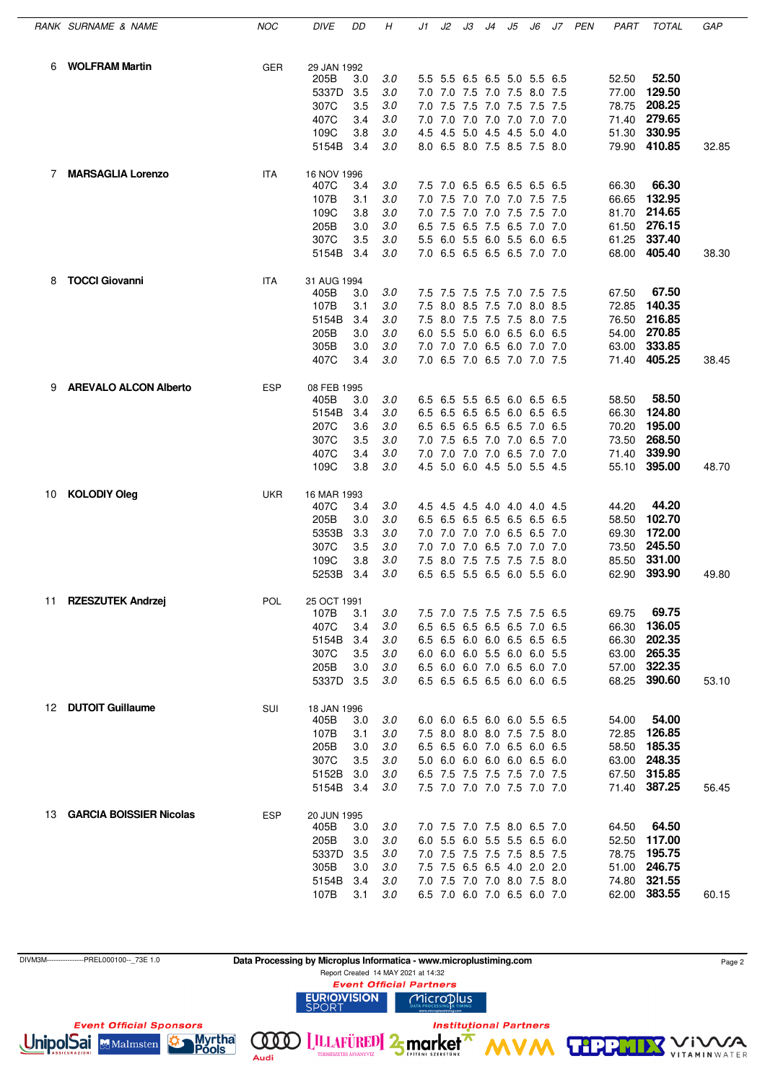|    | RANK SURNAME & NAME            | <b>NOC</b> | <b>DIVE</b><br>DD                                                                                       | Η                                      | J1                              | J2         | JЗ          | J4                             | J5 | J6                                                                                                                                                                                     | J7 | PEN | PART                                               | <b>TOTAL</b>                                                              | GAP   |
|----|--------------------------------|------------|---------------------------------------------------------------------------------------------------------|----------------------------------------|---------------------------------|------------|-------------|--------------------------------|----|----------------------------------------------------------------------------------------------------------------------------------------------------------------------------------------|----|-----|----------------------------------------------------|---------------------------------------------------------------------------|-------|
| 6  | <b>WOLFRAM Martin</b>          | <b>GER</b> | 29 JAN 1992<br>205B<br>3.0<br>3.5<br>5337D<br>307C<br>3.5<br>407C<br>3.4<br>109C<br>3.8<br>3.4<br>5154B | 3.0<br>3.0<br>3.0<br>3.0<br>3.0<br>3.0 | 7.0<br>7.0<br>7.0<br>4.5        | 7.5        |             | 7.0 7.5 7.0 7.5<br>7.5 7.0 7.5 |    | 5.5 5.5 6.5 6.5 5.0 5.5 6.5<br>8.0 7.5<br>7.5 7.5<br>7.0 7.0 7.0 7.0 7.0 7.0<br>4.5 5.0 4.5 4.5 5.0 4.0<br>8.0 6.5 8.0 7.5 8.5 7.5 8.0                                                 |    |     | 52.50<br>77.00<br>78.75<br>71.40<br>51.30          | 52.50<br>129.50<br>208.25<br>279.65<br>330.95<br>79.90 410.85             | 32.85 |
| 7  | <b>MARSAGLIA Lorenzo</b>       | ITA        | 16 NOV 1996<br>407C<br>3.4<br>107B<br>3.1<br>109C<br>3.8<br>205B<br>3.0<br>307C<br>3.5<br>3.4<br>5154B  | 3.0<br>3.0<br>3.0<br>3.0<br>3.0<br>3.0 | 7.0<br>7.0<br>6.5<br>5.5        | 7.5<br>7.5 | 7.5 6.5 7.5 | 7.0 7.0 7.5                    |    | 7.5 7.0 6.5 6.5 6.5 6.5 6.5<br>7.0 7.0 7.0 7.5 7.5<br>7.5 7.0<br>6.5 7.0 7.0<br>6.0 5.5 6.0 5.5 6.0 6.5<br>7.0 6.5 6.5 6.5 6.5 7.0 7.0                                                 |    |     | 66.30<br>66.65<br>81.70<br>61.50<br>61.25<br>68.00 | 66.30<br>132.95<br>214.65<br>276.15<br>337.40<br>405.40                   | 38.30 |
| 8  | <b>TOCCI Giovanni</b>          | <b>ITA</b> | 31 AUG 1994<br>405B<br>3.0<br>107B<br>3.1<br>3.4<br>5154B<br>205B<br>3.0<br>305B<br>3.0<br>407C<br>3.4  | 3.0<br>3.0<br>3.0<br>3.0<br>3.0<br>3.0 | 7.5<br>7.5<br>6.0<br>7.0        |            | 8.0 8.5 7.5 |                                |    | 7.5 7.5 7.5 7.5 7.0 7.5 7.5<br>7.0 8.0 8.5<br>8.0 7.5 7.5 7.5 8.0 7.5<br>5.5 5.0 6.0 6.5 6.0 6.5<br>7.0 7.0 7.0 6.5 6.0 7.0 7.0<br>6.5 7.0 6.5 7.0 7.0 7.5                             |    |     | 67.50<br>72.85<br>76.50<br>54.00<br>63.00<br>71.40 | 67.50<br>140.35<br>216.85<br>270.85<br>333.85<br>405.25                   | 38.45 |
| 9  | <b>AREVALO ALCON Alberto</b>   | <b>ESP</b> | 08 FEB 1995<br>405B<br>3.0<br>3.4<br>5154B<br>207C<br>3.6<br>307C<br>3.5<br>407C<br>3.4<br>109C<br>3.8  | 3.0<br>3.0<br>3.0<br>3.0<br>3.0<br>3.0 | 6.5<br>6.5<br>7.0<br>4.5        |            | 6.5 6.5 6.5 |                                |    | 6.5 6.5 5.5 6.5 6.0 6.5 6.5<br>6.5 6.5 6.5 6.0 6.5 6.5<br>6.5 7.0 6.5<br>7.0 7.5 6.5 7.0 7.0 6.5 7.0<br>7.0 7.0 7.0 6.5 7.0 7.0<br>5.0 6.0 4.5 5.0 5.5 4.5                             |    |     | 58.50<br>66.30<br>70.20<br>73.50<br>71.40<br>55.10 | 58.50<br>124.80<br>195.00<br>268.50<br>339.90<br>395.00                   | 48.70 |
| 10 | <b>KOLODIY Oleg</b>            | <b>UKR</b> | 16 MAR 1993<br>407C<br>3.4<br>205B<br>3.0<br>5353B<br>3.3<br>307C<br>3.5<br>109C<br>3.8<br>5253B<br>3.4 | 3.0<br>3.0<br>3.0<br>3.0<br>3.0<br>3.0 | 6.5<br>7.0<br>7.0<br>7.5<br>6.5 |            | 6.5 6.5 6.5 | 8.0 7.5 7.5 7.5                |    | 4.5 4.5 4.5 4.0 4.0 4.0 4.5<br>6.5 6.5 6.5<br>7.0 7.0 7.0 6.5 6.5 7.0<br>7.0 7.0 6.5 7.0 7.0 7.0<br>7.5 8.0<br>6.5 5.5 6.5 6.0 5.5 6.0                                                 |    |     | 44.20<br>58.50<br>69.30<br>73.50<br>85.50<br>62.90 | 44.20<br>102.70<br>172.00<br>245.50<br>331.00<br>393.90                   | 49.80 |
| 11 | <b>RZESZUTEK Andrzej</b>       | <b>POL</b> | 25 OCT 1991<br>107B<br>3.1<br>407C<br>3.4<br>5154B<br>3.4<br>307C<br>3.5<br>205B<br>3.0<br>5337D 3.5    | 3.0<br>3.0<br>3.0<br>3.0<br>3.0<br>3.0 |                                 |            |             |                                |    | 7.5 7.0 7.5 7.5 7.5 7.5 6.5<br>6.5 6.5 6.5 6.5 6.5 7.0 6.5<br>6.5 6.5 6.0 6.0 6.5 6.5 6.5<br>6.0 6.0 6.0 5.5 6.0 6.0 5.5<br>6.5 6.0 6.0 7.0 6.5 6.0 7.0<br>6.5 6.5 6.5 6.5 6.0 6.0 6.5 |    |     | 69.75<br>66.30<br>66.30<br>57.00<br>68.25          | 69.75<br>136.05<br>202.35<br>63.00 265.35<br>322.35<br>390.60             | 53.10 |
|    | 12 DUTOIT Guillaume            | SUI        | 18 JAN 1996<br>405B<br>3.0<br>107B<br>3.1<br>205B<br>3.0<br>307C<br>3.5<br>5152B<br>3.0<br>5154B 3.4    | 3.0<br>3.0<br>3.0<br>3.0<br>3.0<br>3.0 |                                 |            |             |                                |    | 6.0 6.0 6.5 6.0 6.0 5.5 6.5<br>7.5 8.0 8.0 8.0 7.5 7.5 8.0<br>6.5 6.5 6.0 7.0 6.5 6.0 6.5<br>5.0 6.0 6.0 6.0 6.0 6.5 6.0<br>6.5 7.5 7.5 7.5 7.5 7.0 7.5<br>7.5 7.0 7.0 7.0 7.5 7.0 7.0 |    |     | 54.00<br>72.85<br>58.50                            | 54.00<br>126.85<br>185.35<br>63.00 248.35<br>67.50 315.85<br>71.40 387.25 | 56.45 |
| 13 | <b>GARCIA BOISSIER Nicolas</b> | <b>ESP</b> | 20 JUN 1995<br>405B<br>3.0<br>205B<br>3.0<br>3.5<br>5337D<br>305B<br>3.0<br>5154B<br>3.4<br>107B<br>3.1 | 3.0<br>3.0<br>3.0<br>3.0<br>3.0<br>3.0 |                                 |            |             |                                |    | 7.0 7.5 7.0 7.5 8.0 6.5 7.0<br>6.0 5.5 6.0 5.5 5.5 6.5 6.0<br>7.0 7.5 7.5 7.5 7.5 8.5 7.5<br>7.5 7.5 6.5 6.5 4.0 2.0 2.0<br>7.0 7.5 7.0 7.0 8.0 7.5 8.0<br>6.5 7.0 6.0 7.0 6.5 6.0 7.0 |    |     | 64.50<br>52.50<br>78.75<br>62.00                   | 64.50<br>117.00<br>195.75<br>51.00 246.75<br>74.80 321.55<br>383.55       | 60.15 |



 $\underset{\text{Audi}}{\text{QQQ}} \underset{\text{The  
classians isosymptotic}}{\text{LILLAFIREDI}} \underset{\text{Bulaxians}}{\text{B}} \underset{\text{Bulaxian}}{\text{maxket}} \dot{\uparrow}$ 

Audi



**VIWWATER**  $\mathbf Z$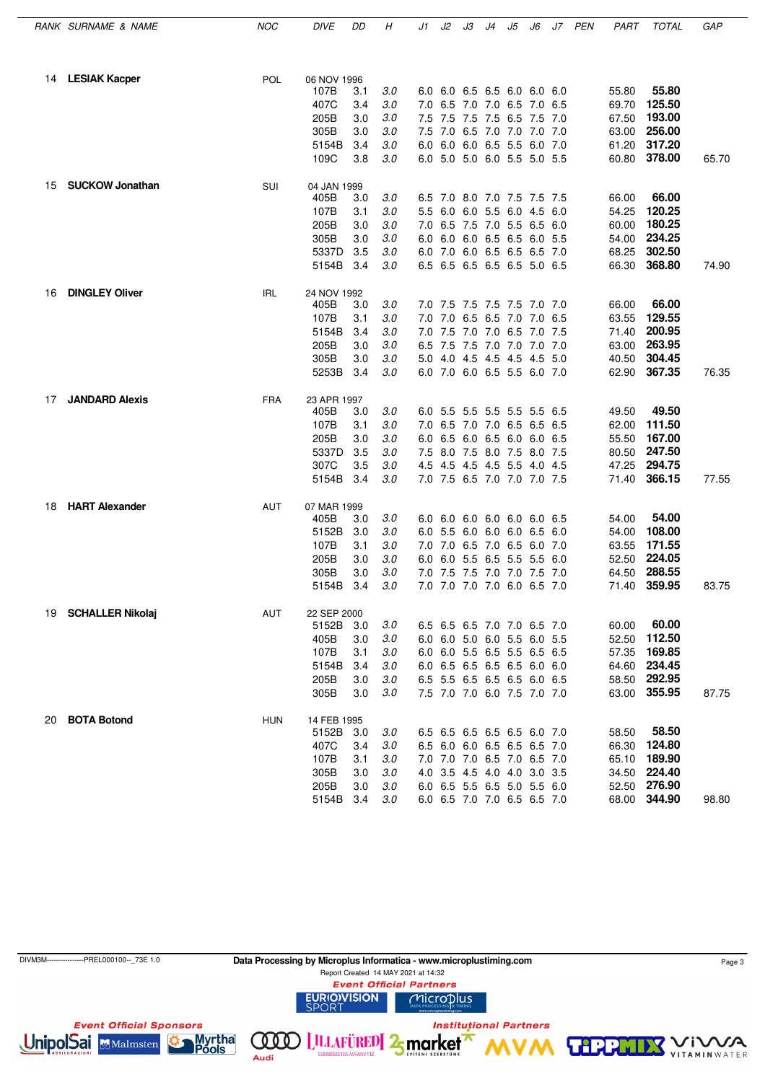|    | RANK SURNAME & NAME     | <b>NOC</b> | <b>DIVE</b>         | DD         | Η              | J1         | J2  | JЗ          | J4                | J5      | J6                                                 | J7   | <b>PEN</b> | PART           | <b>TOTAL</b>     | GAP   |
|----|-------------------------|------------|---------------------|------------|----------------|------------|-----|-------------|-------------------|---------|----------------------------------------------------|------|------------|----------------|------------------|-------|
|    |                         |            |                     |            |                |            |     |             |                   |         |                                                    |      |            |                |                  |       |
| 14 | <b>LESIAK Kacper</b>    | POL        | 06 NOV 1996         |            |                |            |     |             |                   |         |                                                    |      |            |                |                  |       |
|    |                         |            | 107B                | 3.1        | 3.0            |            |     |             |                   |         | 6.0 6.0 6.5 6.5 6.0 6.0 6.0                        |      |            | 55.80          | 55.80            |       |
|    |                         |            | 407C                | 3.4        | 3.0            |            |     |             |                   |         | 7.0 6.5 7.0 7.0 6.5 7.0 6.5                        |      |            | 69.70          | 125.50           |       |
|    |                         |            | 205B                | 3.0        | 3.0            | 7.5        |     |             | 7.5 7.5 7.5       | 6.5 7.5 |                                                    | -7.0 |            | 67.50          | 193.00           |       |
|    |                         |            | 305B                | 3.0        | 3.0            | 7.5        |     |             |                   |         | 7.0 6.5 7.0 7.0 7.0 7.0                            |      |            | 63.00          | 256.00           |       |
|    |                         |            | 5154B<br>109C       | 3.4<br>3.8 | 3.0<br>3.0     | 6.0        |     |             | $6.0$ $6.0$ $6.5$ |         | 5.5 6.0 7.0<br>6.0 5.0 5.0 6.0 5.5 5.0 5.5         |      |            | 61.20<br>60.80 | 317.20<br>378.00 | 65.70 |
|    |                         |            |                     |            |                |            |     |             |                   |         |                                                    |      |            |                |                  |       |
| 15 | <b>SUCKOW Jonathan</b>  | <b>SUI</b> | 04 JAN 1999<br>405B | 3.0        | 3.0            |            |     |             |                   |         | 6.5 7.0 8.0 7.0 7.5 7.5 7.5                        |      |            | 66.00          | 66.00            |       |
|    |                         |            | 107B                | 3.1        | 3.0            | 5.5        | 6.0 |             | 6.0 5.5           | 6.0 4.5 |                                                    | 6.0  |            | 54.25          | 120.25           |       |
|    |                         |            | 205B                | 3.0        | 3.0            | 7.0        | 6.5 |             | 7.5 7.0 5.5       |         | 6.5 6.0                                            |      |            | 60.00          | 180.25           |       |
|    |                         |            | 305B                | 3.0        | 3.0            | 6.0        |     |             | 6.0 6.0 6.5       | 6.5     | 6.0 5.5                                            |      |            | 54.00          | 234.25           |       |
|    |                         |            | 5337D               | 3.5        | 3.0            | 6.0        |     |             |                   |         | 7.0 6.0 6.5 6.5 6.5 7.0                            |      |            | 68.25          | 302.50           |       |
|    |                         |            | 5154B               | 3.4        | 3.0            | 6.5        |     |             |                   |         | 6.5 6.5 6.5 6.5 5.0 6.5                            |      |            | 66.30          | 368.80           | 74.90 |
| 16 | <b>DINGLEY Oliver</b>   | <b>IRL</b> | 24 NOV 1992         |            |                |            |     |             |                   |         |                                                    |      |            |                |                  |       |
|    |                         |            | 405B                | 3.0        | 3.0            |            |     |             |                   |         | 7.0 7.5 7.5 7.5 7.5 7.0 7.0                        |      |            | 66.00          | 66.00            |       |
|    |                         |            | 107B                | 3.1        | 3.0            | 7.0        | 7.0 |             | 6.5 6.5           |         | 7.0 7.0                                            | 6.5  |            | 63.55          | 129.55           |       |
|    |                         |            | 5154B               | 3.4        | $3.0\,$        | 7.0        |     |             | 7.5 7.0 7.0       |         | 6.5 7.0 7.5                                        |      |            | 71.40          | 200.95           |       |
|    |                         |            | 205B                | 3.0        | 3.0            |            |     |             |                   |         | 6.5 7.5 7.5 7.0 7.0 7.0 7.0                        |      |            | 63.00          | 263.95           |       |
|    |                         |            | 305B                | 3.0        | 3.0            |            |     |             |                   |         | 5.0 4.0 4.5 4.5 4.5 4.5 5.0                        |      |            | 40.50          | 304.45           |       |
|    |                         |            | 5253B               | 3.4        | 3.0            |            |     |             |                   |         | 6.0 7.0 6.0 6.5 5.5 6.0 7.0                        |      |            | 62.90          | 367.35           | 76.35 |
| 17 | <b>JANDARD Alexis</b>   | <b>FRA</b> | 23 APR 1997         |            |                |            |     |             |                   |         |                                                    |      |            |                |                  |       |
|    |                         |            | 405B                | 3.0        | 3.0            |            |     |             |                   |         | 6.0 5.5 5.5 5.5 5.5 5.5 6.5                        |      |            | 49.50          | 49.50            |       |
|    |                         |            | 107B                | 3.1        | 3.0            | 7.0        | 6.5 |             | 7.0 7.0 6.5       |         | 6.5 6.5                                            |      |            | 62.00          | 111.50           |       |
|    |                         |            | 205B                | 3.0        | 3.0            | 6.0        |     | 6.5 6.0 6.5 |                   |         | 6.0 6.0 6.5                                        |      |            | 55.50          | 167.00           |       |
|    |                         |            | 5337D               | 3.5        | 3.0            | 7.5        |     |             | 8.0 7.5 8.0 7.5   |         | 8.0 7.5                                            |      |            | 80.50          | 247.50           |       |
|    |                         |            | 307C                | 3.5        | 3.0            | 4.5        |     |             | 4.5 4.5 4.5 5.5   |         | 4.0 4.5                                            |      |            | 47.25          | 294.75<br>366.15 |       |
|    |                         |            | 5154B               | 3.4        | 3.0            | 7.0        |     |             |                   |         | 7.5 6.5 7.0 7.0 7.0 7.5                            |      |            | 71.40          |                  | 77.55 |
| 18 | <b>HART Alexander</b>   | AUT        | 07 MAR 1999         |            |                |            |     |             |                   |         |                                                    |      |            |                |                  |       |
|    |                         |            | 405B                | 3.0        | 3.0            |            |     |             |                   |         | 6.0 6.0 6.0 6.0 6.0 6.0 6.5                        |      |            | 54.00          | 54.00            |       |
|    |                         |            | 5152B               | 3.0        | 3.0            | 6.0        |     |             | 5.5 6.0 6.0       |         | 6.0 6.5 6.0                                        |      |            | 54.00          | 108.00           |       |
|    |                         |            | 107B                | 3.1        | 3.0            |            |     |             |                   |         | 7.0 7.0 6.5 7.0 6.5 6.0 7.0                        |      |            | 63.55          | 171.55           |       |
|    |                         |            | 205B                | 3.0        | 3.0            | 6.0        |     |             | 6.0 5.5 6.5       |         | 5.5 5.5 6.0                                        |      |            | 52.50          | 224.05           |       |
|    |                         |            | 305B<br>5154B       | 3.0<br>3.4 | $3.0\,$<br>3.0 | 7.0        | 7.5 |             |                   |         | 7.5 7.0 7.0 7.5 7.0                                |      |            | 64.50          | 288.55<br>359.95 |       |
|    |                         |            |                     |            |                |            |     |             |                   |         | 7.0 7.0 7.0 7.0 6.0 6.5 7.0                        |      |            | 71.40          |                  | 83.75 |
| 19 | <b>SCHALLER Nikolaj</b> | AUT        | 22 SEP 2000         |            |                |            |     |             |                   |         |                                                    |      |            |                |                  |       |
|    |                         |            | 5152B               | 3.0        | 3.0            |            |     |             |                   |         | 6.5 6.5 6.5 7.0 7.0 6.5 7.0                        |      |            | 60.00          | 60.00            |       |
|    |                         |            | 405B                | 3.0        | 3.0            |            |     |             |                   |         | 6.0 6.0 5.0 6.0 5.5 6.0 5.5                        |      |            | 52.50          | 112.50           |       |
|    |                         |            | 107B                | 3.1        | 3.0            |            |     |             |                   |         | 6.0 6.0 5.5 6.5 5.5 6.5 6.5                        |      |            | 57.35          | 169.85           |       |
|    |                         |            | 5154B               | 3.4        | 3.0            |            |     |             |                   |         | 6.0 6.5 6.5 6.5 6.5 6.0 6.0                        |      |            | 64.60          | 234.45           |       |
|    |                         |            | 205B                | 3.0        | 3.0            | 6.5        |     |             |                   |         | 5.5 6.5 6.5 6.5 6.0 6.5                            |      |            | 58.50          | 292.95           |       |
|    |                         |            | 305B                | 3.0        | 3.0            |            |     |             |                   |         | 7.5 7.0 7.0 6.0 7.5 7.0 7.0                        |      |            | 63.00          | 355.95           | 87.75 |
| 20 | <b>BOTA Botond</b>      | <b>HUN</b> | 14 FEB 1995         |            |                |            |     |             |                   |         |                                                    |      |            |                |                  |       |
|    |                         |            | 5152B               | 3.0        | 3.0            |            |     |             |                   |         | 6.5 6.5 6.5 6.5 6.5 6.0 7.0                        |      |            | 58.50          | 58.50            |       |
|    |                         |            | 407C                | 3.4        | 3.0            |            |     |             |                   |         | 6.5 6.0 6.0 6.5 6.5 6.5 7.0                        |      |            | 66.30          | 124.80           |       |
|    |                         |            | 107B                | 3.1        | 3.0            |            |     |             |                   |         | 7.0 7.0 7.0 6.5 7.0 6.5 7.0                        |      |            | 65.10          | 189.90           |       |
|    |                         |            | 305B<br>205B        | 3.0<br>3.0 | 3.0<br>3.0     | 4.0<br>6.0 |     |             |                   |         | 3.5 4.5 4.0 4.0 3.0 3.5<br>6.5 5.5 6.5 5.0 5.5 6.0 |      |            | 34.50<br>52.50 | 224.40<br>276.90 |       |
|    |                         |            | 5154B               | 3.4        | 3.0            |            |     |             |                   |         | 6.0 6.5 7.0 7.0 6.5 6.5 7.0                        |      |            | 68.00          | 344.90           | 98.80 |
|    |                         |            |                     |            |                |            |     |             |                   |         |                                                    |      |            |                |                  |       |

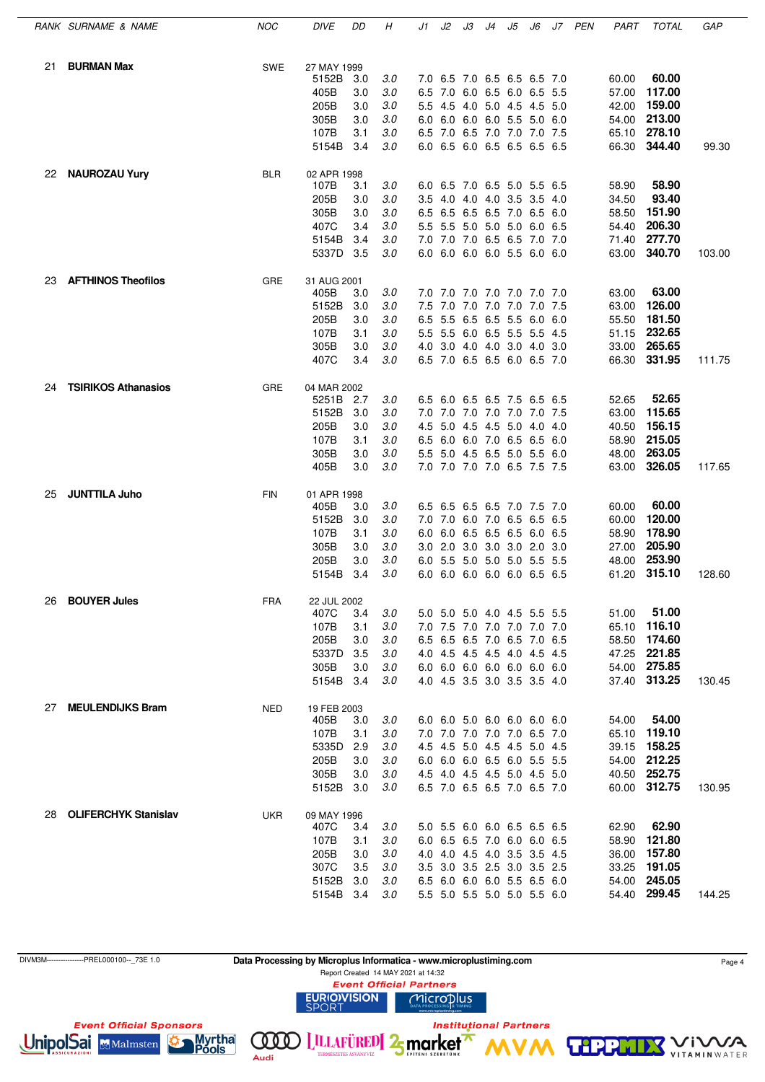|    | RANK SURNAME & NAME         | <b>NOC</b> | <b>DIVE</b>                                                       | DD                                     | Η                                      | J1  | J2 | JЗ | J4                                                                                                                                                                                     | J5 | J6         | J7 | PEN | PART                                               | <b>TOTAL</b>                                                                    | GAP    |
|----|-----------------------------|------------|-------------------------------------------------------------------|----------------------------------------|----------------------------------------|-----|----|----|----------------------------------------------------------------------------------------------------------------------------------------------------------------------------------------|----|------------|----|-----|----------------------------------------------------|---------------------------------------------------------------------------------|--------|
| 21 | <b>BURMAN Max</b>           | SWE        | 27 MAY 1999<br>5152B<br>405B<br>205B<br>305B<br>107B<br>5154B     | 3.0<br>3.0<br>3.0<br>3.0<br>3.1<br>3.4 | 3.0<br>3.0<br>3.0<br>3.0<br>3.0<br>3.0 | 6.5 |    |    | 7.0 6.5 7.0 6.5 6.5 6.5 7.0<br>6.5 7.0 6.0 6.5 6.0 6.5 5.5<br>5.5 4.5 4.0 5.0 4.5 4.5 5.0<br>6.0 6.0 6.0 6.0 5.5 5.0 6.0<br>7.0 6.5 7.0 7.0 7.0 7.5<br>6.0 6.5 6.0 6.5 6.5 6.5 6.5     |    |            |    |     | 60.00<br>57.00<br>42.00<br>54.00<br>65.10<br>66.30 | 60.00<br>117.00<br>159.00<br>213.00<br>278.10<br>344.40                         | 99.30  |
| 22 | <b>NAUROZAU Yury</b>        | <b>BLR</b> | 02 APR 1998<br>107B<br>205B<br>305B<br>407C<br>5154B<br>5337D 3.5 | 3.1<br>3.0<br>3.0<br>3.4<br>3.4        | 3.0<br>3.0<br>3.0<br>3.0<br>3.0<br>3.0 | 6.5 |    |    | 6.0 6.5 7.0 6.5 5.0 5.5 6.5<br>3.5 4.0 4.0 4.0 3.5 3.5 4.0<br>6.5 6.5 6.5 7.0 6.5 6.0<br>5.5 5.5 5.0 5.0 5.0 6.0 6.5<br>7.0 7.0 7.0 6.5 6.5 7.0 7.0<br>6.0 6.0 6.0 6.0 5.5 6.0 6.0     |    |            |    |     | 58.90<br>34.50<br>58.50<br>54.40                   | 58.90<br>93.40<br>151.90<br>206.30<br>71.40 277.70<br>63.00 340.70              | 103.00 |
| 23 | <b>AFTHINOS Theofilos</b>   | <b>GRE</b> | 31 AUG 2001<br>405B<br>5152B<br>205B<br>107B<br>305B<br>407C      | 3.0<br>3.0<br>3.0<br>3.1<br>3.0<br>3.4 | 3.0<br>3.0<br>3.0<br>3.0<br>3.0<br>3.0 | 6.5 |    |    | 7.0 7.0 7.0 7.0 7.0 7.0 7.0<br>7.5 7.0 7.0 7.0 7.0 7.0 7.5<br>5.5 6.5 6.5 5.5<br>5.5 5.5 6.0 6.5 5.5 5.5 4.5<br>4.0 3.0 4.0 4.0 3.0 4.0 3.0<br>6.5 7.0 6.5 6.5 6.0 6.5 7.0             |    | $6.0\;6.0$ |    |     | 63.00<br>63.00<br>55.50<br>51.15<br>33.00<br>66.30 | 63.00<br>126.00<br>181.50<br>232.65<br>265.65<br>331.95                         | 111.75 |
| 24 | <b>TSIRIKOS Athanasios</b>  | <b>GRE</b> | 04 MAR 2002<br>5251B<br>5152B<br>205B<br>107B<br>305B<br>405B     | 2.7<br>3.0<br>3.0<br>3.1<br>3.0<br>3.0 | 3.0<br>3.0<br>3.0<br>3.0<br>3.0<br>3.0 |     |    |    | 6.5 6.0 6.5 6.5 7.5 6.5 6.5<br>7.0 7.0 7.0 7.0 7.0 7.0 7.5<br>4.5 5.0 4.5 4.5 5.0 4.0 4.0<br>6.5 6.0 6.0 7.0 6.5 6.5 6.0<br>5.5 5.0 4.5 6.5 5.0 5.5 6.0<br>7.0 7.0 7.0 7.0 6.5 7.5 7.5 |    |            |    |     | 52.65<br>63.00<br>40.50<br>58.90<br>48.00<br>63.00 | 52.65<br>115.65<br>156.15<br>215.05<br>263.05<br>326.05                         | 117.65 |
| 25 | <b>JUNTTILA Juho</b>        | <b>FIN</b> | 01 APR 1998<br>405B<br>5152B<br>107B<br>305B<br>205B<br>5154B     | 3.0<br>3.0<br>3.1<br>3.0<br>3.0<br>3.4 | 3.0<br>3.0<br>3.0<br>3.0<br>3.0<br>3.0 |     |    |    | 6.5 6.5 6.5 6.5 7.0 7.5 7.0<br>7.0 7.0 6.0 7.0 6.5 6.5 6.5<br>6.0 6.0 6.5 6.5 6.5 6.0 6.5<br>3.0 2.0 3.0 3.0 3.0 2.0 3.0<br>6.0 5.5 5.0 5.0 5.0 5.5 5.5<br>6.0 6.0 6.0 6.0 6.0 6.5 6.5 |    |            |    |     | 60.00<br>60.00<br>58.90<br>27.00<br>48.00<br>61.20 | 60.00<br>120.00<br>178.90<br>205.90<br>253.90<br>315.10                         | 128.60 |
| 26 | <b>BOUYER Jules</b>         | <b>FRA</b> | 22 JUL 2002<br>407C<br>107B<br>205B<br>5337D<br>305B<br>5154B 3.4 | 3.4<br>3.1<br>3.0<br>3.5<br>3.0        | 3.0<br>3.0<br>3.0<br>3.0<br>3.0<br>3.0 |     |    |    | 5.0 5.0 5.0 4.0 4.5 5.5 5.5<br>7.0 7.5 7.0 7.0 7.0 7.0 7.0<br>6.5 6.5 6.5 7.0 6.5 7.0 6.5<br>4.0 4.5 4.5 4.5 4.0 4.5 4.5<br>6.0 6.0 6.0 6.0 6.0 6.0 6.0<br>4.0 4.5 3.5 3.0 3.5 3.5 4.0 |    |            |    |     | 51.00<br>65.10                                     | 51.00<br>116.10<br>58.50 174.60<br>47.25 221.85<br>54.00 275.85<br>37.40 313.25 | 130.45 |
| 27 | <b>MEULENDIJKS Bram</b>     | <b>NED</b> | 19 FEB 2003<br>405B<br>107B<br>5335D<br>205B<br>305B<br>5152B 3.0 | 3.0<br>3.1<br>2.9<br>3.0<br>3.0        | 3.0<br>3.0<br>3.0<br>3.0<br>3.0<br>3.0 |     |    |    | 6.0 6.0 5.0 6.0 6.0 6.0 6.0<br>7.0 7.0 7.0 7.0 7.0 6.5 7.0<br>4.5 4.5 5.0 4.5 4.5 5.0 4.5<br>6.0 6.0 6.0 6.5 6.0 5.5 5.5<br>4.5 4.0 4.5 4.5 5.0 4.5 5.0<br>6.5 7.0 6.5 6.5 7.0 6.5 7.0 |    |            |    |     | 54.00<br>39.15                                     | 54.00<br>65.10 119.10<br>158.25<br>54.00 212.25<br>40.50 252.75<br>60.00 312.75 | 130.95 |
| 28 | <b>OLIFERCHYK Stanislav</b> | <b>UKR</b> | 09 MAY 1996<br>407C<br>107B<br>205B<br>307C<br>5152B<br>5154B 3.4 | 3.4<br>3.1<br>3.0<br>3.5<br>3.0        | 3.0<br>3.0<br>3.0<br>3.0<br>3.0<br>3.0 |     |    |    | 5.0 5.5 6.0 6.0 6.5 6.5 6.5<br>6.0 6.5 6.5 7.0 6.0 6.0 6.5<br>4.0 4.0 4.5 4.0 3.5 3.5 4.5<br>3.5 3.0 3.5 2.5 3.0 3.5 2.5<br>6.5 6.0 6.0 6.0 5.5 6.5 6.0<br>5.5 5.0 5.5 5.0 5.0 5.5 6.0 |    |            |    |     | 62.90<br>58.90<br>36.00<br>33.25<br>54.00          | 62.90<br>121.80<br>157.80<br>191.05<br>245.05<br>54.40 299.45                   | 144.25 |



 $\underset{\text{Audi}}{\text{QQQ}} \underset{\text{The  
classians isosymptotic}}{\text{LILLAFIREDI}} \underset{\text{Bulaxians}}{\text{B}} \underset{\text{Bulaxian}}{\text{maxket}} \dot{\uparrow}$ 

Audi



**VIWWATER**  $\mathbf Z$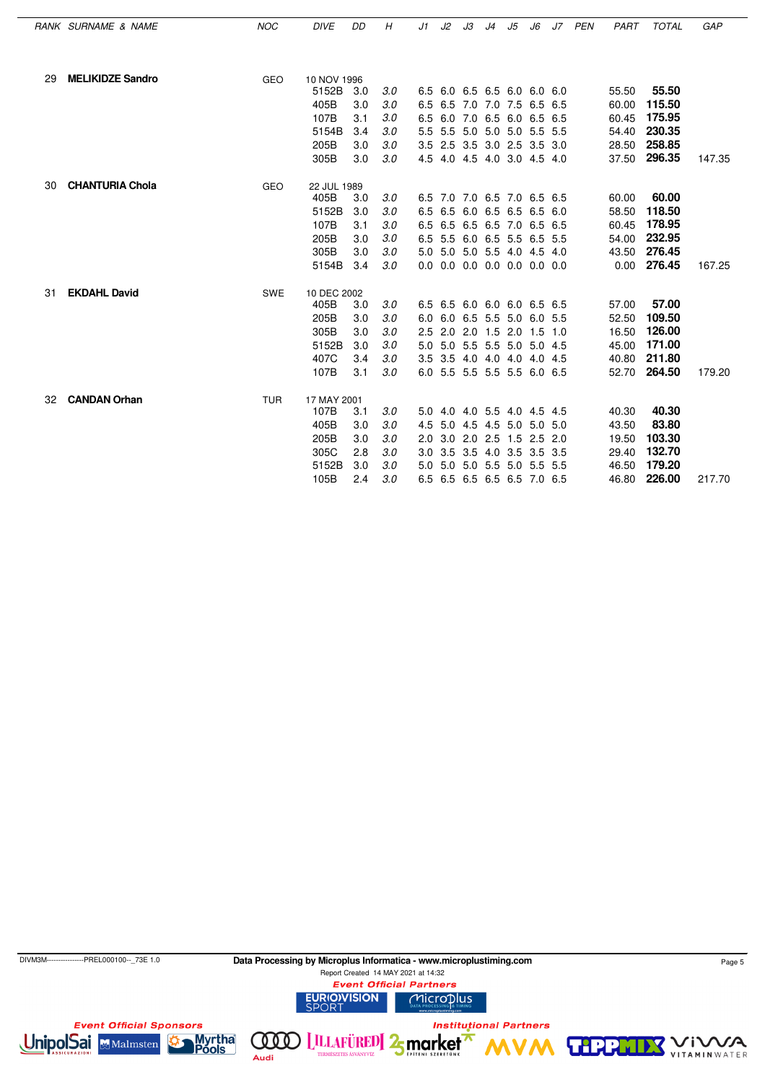|    | RANK SURNAME & NAME     | <b>NOC</b> | <b>DIVE</b> | DD  | Н   | J1  | J2 | JЗ          | J4              | J5                                              | J6          | J7 | <b>PEN</b> | PART  | <b>TOTAL</b> | GAP    |
|----|-------------------------|------------|-------------|-----|-----|-----|----|-------------|-----------------|-------------------------------------------------|-------------|----|------------|-------|--------------|--------|
| 29 | <b>MELIKIDZE Sandro</b> | GEO        | 10 NOV 1996 |     |     |     |    |             |                 |                                                 |             |    |            |       |              |        |
|    |                         |            | 5152B       | 3.0 | 3.0 |     |    |             |                 | 6.5 6.0 6.5 6.5 6.0 6.0 6.0                     |             |    |            | 55.50 | 55.50        |        |
|    |                         |            | 405B        | 3.0 | 3.0 |     |    |             |                 | 6.5 6.5 7.0 7.0 7.5 6.5 6.5                     |             |    |            | 60.00 | 115.50       |        |
|    |                         |            | 107B        | 3.1 | 3.0 |     |    |             |                 | 6.5 6.0 7.0 6.5 6.0 6.5 6.5                     |             |    |            | 60.45 | 175.95       |        |
|    |                         |            | 5154B       | 3.4 | 3.0 | 5.5 |    |             |                 | 5.5 5.0 5.0 5.0 5.5 5.5                         |             |    |            | 54.40 | 230.35       |        |
|    |                         |            | 205B        | 3.0 | 3.0 | 3.5 |    |             |                 | 2.5 3.5 3.0 2.5 3.5 3.0                         |             |    |            | 28.50 | 258.85       |        |
|    |                         |            | 305B        | 3.0 | 3.0 |     |    |             |                 | 4.5 4.0 4.5 4.0 3.0 4.5 4.0                     |             |    |            | 37.50 | 296.35       | 147.35 |
| 30 | <b>CHANTURIA Chola</b>  | GEO        | 22 JUL 1989 |     |     |     |    |             |                 |                                                 |             |    |            |       |              |        |
|    |                         |            | 405B        | 3.0 | 3.0 |     |    |             |                 | 6.5 7.0 7.0 6.5 7.0 6.5 6.5                     |             |    |            | 60.00 | 60.00        |        |
|    |                         |            | 5152B       | 3.0 | 3.0 |     |    |             |                 | 6.5 6.5 6.0 6.5 6.5 6.5 6.0                     |             |    |            | 58.50 | 118.50       |        |
|    |                         |            | 107B        | 3.1 | 3.0 | 6.5 |    |             |                 | 6.5 6.5 6.5 7.0 6.5 6.5                         |             |    |            | 60.45 | 178.95       |        |
|    |                         |            | 205B        | 3.0 | 3.0 |     |    |             |                 | 6.5 5.5 6.0 6.5 5.5 6.5 5.5                     |             |    |            | 54.00 | 232.95       |        |
|    |                         |            | 305B        | 3.0 | 3.0 |     |    |             |                 | 5.0 5.0 5.0 5.5 4.0 4.5 4.0                     |             |    |            | 43.50 | 276.45       |        |
|    |                         |            | 5154B       | 3.4 | 3.0 |     |    |             |                 | $0.0$ $0.0$ $0.0$ $0.0$ $0.0$ $0.0$ $0.0$ $0.0$ |             |    |            | 0.00  | 276.45       | 167.25 |
| 31 | <b>EKDAHL David</b>     | <b>SWE</b> | 10 DEC 2002 |     |     |     |    |             |                 |                                                 |             |    |            |       |              |        |
|    |                         |            | 405B        | 3.0 | 3.0 |     |    |             |                 | 6.5 6.5 6.0 6.0 6.0 6.5 6.5                     |             |    |            | 57.00 | 57.00        |        |
|    |                         |            | 205B        | 3.0 | 3.0 | 6.0 |    | 6.0 6.5 5.5 |                 | 5.0 6.0 5.5                                     |             |    |            | 52.50 | 109.50       |        |
|    |                         |            | 305B        | 3.0 | 3.0 | 2.5 |    |             |                 | 2.0 2.0 1.5 2.0 1.5 1.0                         |             |    |            | 16.50 | 126.00       |        |
|    |                         |            | 5152B       | 3.0 | 3.0 |     |    |             |                 | 5.0 5.0 5.5 5.5 5.0 5.0 4.5                     |             |    |            | 45.00 | 171.00       |        |
|    |                         |            | 407C        | 3.4 | 3.0 |     |    |             |                 | 3.5 3.5 4.0 4.0 4.0 4.0 4.5                     |             |    |            | 40.80 | 211.80       |        |
|    |                         |            | 107B        | 3.1 | 3.0 |     |    |             |                 | 6.0 5.5 5.5 5.5 5.5 6.0 6.5                     |             |    |            | 52.70 | 264.50       | 179.20 |
| 32 | <b>CANDAN Orhan</b>     | <b>TUR</b> | 17 MAY 2001 |     |     |     |    |             |                 |                                                 |             |    |            |       |              |        |
|    |                         |            | 107B        | 3.1 | 3.0 |     |    |             |                 | 5.0 4.0 4.0 5.5 4.0 4.5 4.5                     |             |    |            | 40.30 | 40.30        |        |
|    |                         |            | 405B        | 3.0 | 3.0 | 4.5 |    |             |                 | 5.0 4.5 4.5 5.0 5.0 5.0                         |             |    |            | 43.50 | 83.80        |        |
|    |                         |            | 205B        | 3.0 | 3.0 |     |    |             |                 | 2.0 3.0 2.0 2.5 1.5 2.5 2.0                     |             |    |            | 19.50 | 103.30       |        |
|    |                         |            | 305C        | 2.8 | 3.0 | 3.0 |    |             | 3.5 3.5 4.0 3.5 |                                                 | $3.5$ $3.5$ |    |            | 29.40 | 132.70       |        |
|    |                         |            | 5152B       | 3.0 | 3.0 | 5.0 |    |             |                 | 5.0 5.0 5.5 5.0 5.5 5.5                         |             |    |            | 46.50 | 179.20       |        |
|    |                         |            | 105B        | 2.4 | 3.0 |     |    |             |                 | 6.5 6.5 6.5 6.5 6.5 7.0 6.5                     |             |    |            | 46.80 | 226.00       | 217.70 |

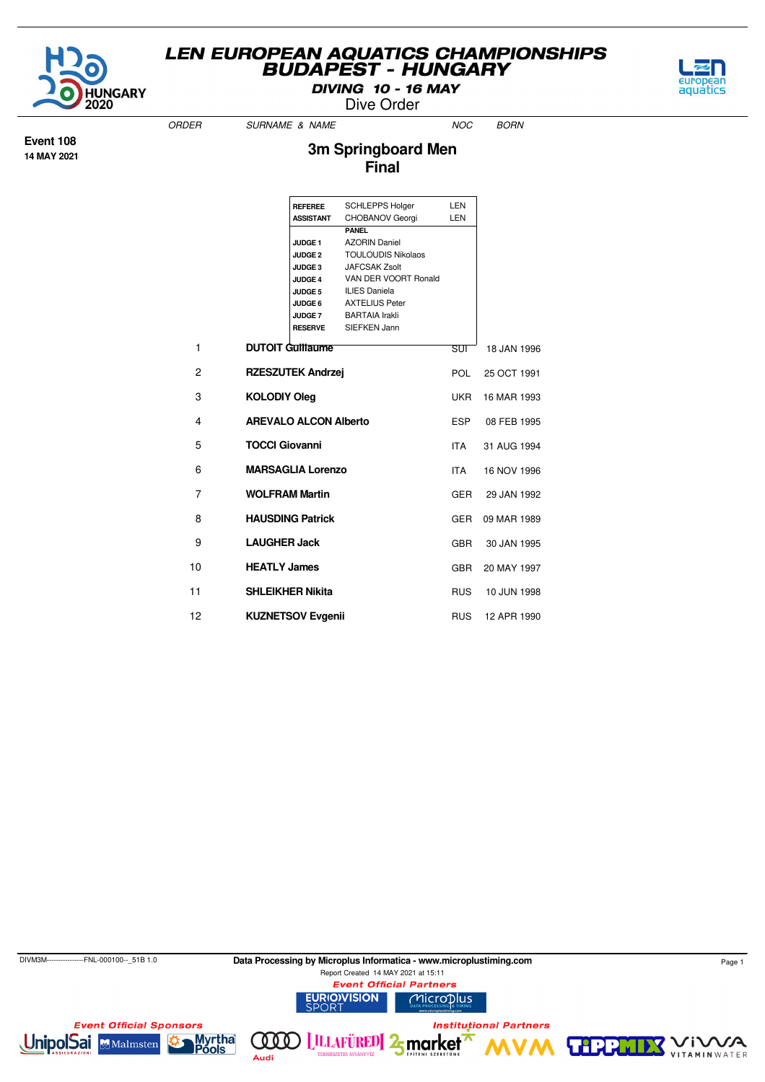

DIVING 10 - 16 MAY

Dive Order

ORDER SURNAME & NAME NOC BORN

**Event 108 14 MAY 2021**

|    |                       | <b>REFEREE</b>               | <b>SCHLEPPS Holger</b>                 | LEN        |             |
|----|-----------------------|------------------------------|----------------------------------------|------------|-------------|
|    |                       | ASSISTANT                    | CHOBANOV Georgi                        | LEN        |             |
|    |                       |                              | <b>PANEL</b>                           |            |             |
|    |                       | <b>JUDGE 1</b>               | <b>AZORIN Daniel</b>                   |            |             |
|    |                       | <b>JUDGE 2</b>               | <b>TOULOUDIS Nikolaos</b>              |            |             |
|    |                       | <b>JUDGE 3</b>               | <b>JAFCSAK Zsolt</b>                   |            |             |
|    |                       | <b>JUDGE 4</b>               | VAN DER VOORT Ronald                   |            |             |
|    |                       | <b>JUDGE 5</b>               | <b>ILIES Daniela</b>                   |            |             |
|    |                       |                              | JUDGE 6 AXTELIUS Peter                 |            |             |
|    |                       |                              | JUDGE 7 BARTAIA Irakli<br>SIEFKEN Jann |            |             |
|    |                       | <b>RESERVE</b>               |                                        |            |             |
| 1  |                       | <b>DUTOIT Guillaume</b>      |                                        | SUI        | 18 JAN 1996 |
| 2  |                       | <b>RZESZUTEK Andrzei</b>     |                                        | POL        | 25 OCT 1991 |
| 3  | <b>KOLODIY Oleg</b>   |                              |                                        | UKR        | 16 MAR 1993 |
| 4  |                       | <b>AREVALO ALCON Alberto</b> |                                        | <b>ESP</b> | 08 FEB 1995 |
| 5  | <b>TOCCI Giovanni</b> |                              |                                        | <b>ITA</b> | 31 AUG 1994 |
| 6  |                       | <b>MARSAGLIA Lorenzo</b>     |                                        | <b>ITA</b> | 16 NOV 1996 |
| 7  | <b>WOLFRAM Martin</b> |                              |                                        | GER        | 29 JAN 1992 |
| 8  |                       | <b>HAUSDING Patrick</b>      |                                        | <b>GER</b> | 09 MAR 1989 |
| 9  | <b>LAUGHER Jack</b>   |                              |                                        | GBR        | 30 JAN 1995 |
| 10 | <b>HEATLY James</b>   |                              |                                        | GBR        | 20 MAY 1997 |
| 11 |                       | <b>SHLEIKHER Nikita</b>      |                                        | <b>RUS</b> | 10 JUN 1998 |
| 12 |                       | <b>KUZNETSOV Evgenii</b>     |                                        | <b>RUS</b> | 12 APR 1990 |



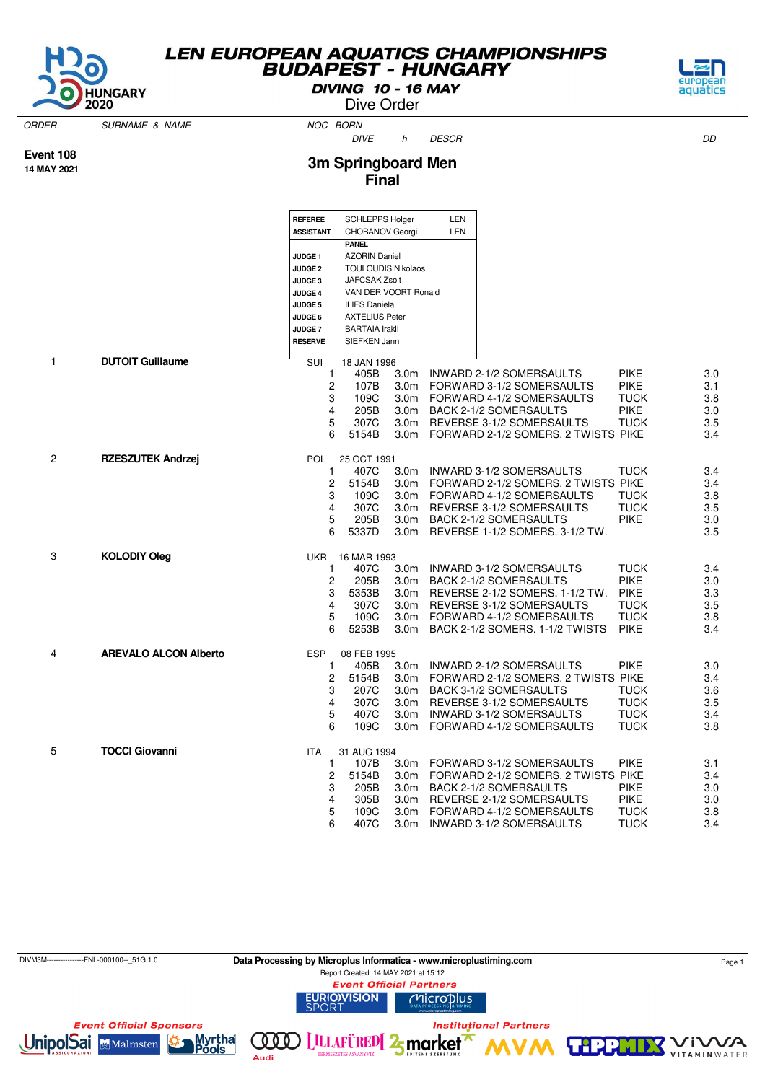

DIVING 10 - 16 MAY

Dive Order



**14 MAY 2021**

ORDER SURNAME & NAME NOC BORN

**Event 108**

DIVE h DESCR DD

|   |                              | <b>REFEREE</b>     | <b>SCHLEPPS Holger</b>    |                  | LEN |                                     |             |     |
|---|------------------------------|--------------------|---------------------------|------------------|-----|-------------------------------------|-------------|-----|
|   |                              | <b>ASSISTANT</b>   | CHOBANOV Georgi           |                  | LEN |                                     |             |     |
|   |                              |                    | <b>PANEL</b>              |                  |     |                                     |             |     |
|   |                              | JUDGE <sub>1</sub> | <b>AZORIN Daniel</b>      |                  |     |                                     |             |     |
|   |                              | <b>JUDGE 2</b>     | <b>TOULOUDIS Nikolaos</b> |                  |     |                                     |             |     |
|   |                              | JUDGE <sub>3</sub> | <b>JAFCSAK Zsolt</b>      |                  |     |                                     |             |     |
|   |                              | <b>JUDGE 4</b>     | VAN DER VOORT Ronald      |                  |     |                                     |             |     |
|   |                              | JUDGE 5            | <b>ILIES Daniela</b>      |                  |     |                                     |             |     |
|   |                              | <b>JUDGE 6</b>     | <b>AXTELIUS Peter</b>     |                  |     |                                     |             |     |
|   |                              | <b>JUDGE 7</b>     | <b>BARTAIA Irakli</b>     |                  |     |                                     |             |     |
|   |                              | <b>RESERVE</b>     | SIEFKEN Jann              |                  |     |                                     |             |     |
| 1 | <b>DUTOIT Guillaume</b>      | SUI                | 18 JAN 1996               |                  |     |                                     |             |     |
|   |                              | 1                  | 405B                      | 3.0 <sub>m</sub> |     | INWARD 2-1/2 SOMERSAULTS            | <b>PIKE</b> | 3.0 |
|   |                              | $\overline{2}$     | 107B                      | 3.0 <sub>m</sub> |     | FORWARD 3-1/2 SOMERSAULTS           | <b>PIKE</b> | 3.1 |
|   |                              | 3                  | 109C                      | 3.0 <sub>m</sub> |     | FORWARD 4-1/2 SOMERSAULTS           | <b>TUCK</b> | 3.8 |
|   |                              | $\overline{4}$     | 205B                      | 3.0 <sub>m</sub> |     | <b>BACK 2-1/2 SOMERSAULTS</b>       | <b>PIKE</b> | 3.0 |
|   |                              | 5                  | 307C                      | 3.0 <sub>m</sub> |     | REVERSE 3-1/2 SOMERSAULTS           | TUCK        | 3.5 |
|   |                              | 6                  | 5154B                     | 3.0 <sub>m</sub> |     | FORWARD 2-1/2 SOMERS, 2 TWISTS PIKE |             | 3.4 |
|   |                              |                    |                           |                  |     |                                     |             |     |
| 2 | <b>RZESZUTEK Andrzej</b>     | <b>POL</b>         | 25 OCT 1991               |                  |     |                                     |             |     |
|   |                              | 1                  | 407C                      | 3.0 <sub>m</sub> |     | INWARD 3-1/2 SOMERSAULTS            | <b>TUCK</b> | 3.4 |
|   |                              | 2                  | 5154B                     | 3.0 <sub>m</sub> |     | FORWARD 2-1/2 SOMERS. 2 TWISTS PIKE |             | 3.4 |
|   |                              | 3                  | 109C                      |                  |     | 3.0m FORWARD 4-1/2 SOMERSAULTS      | <b>TUCK</b> | 3.8 |
|   |                              | 4                  | 307C                      | 3.0 <sub>m</sub> |     | REVERSE 3-1/2 SOMERSAULTS           | <b>TUCK</b> | 3.5 |
|   |                              | 5                  | 205B                      | 3.0 <sub>m</sub> |     | <b>BACK 2-1/2 SOMERSAULTS</b>       | <b>PIKE</b> | 3.0 |
|   |                              | 6                  | 5337D                     | 3.0 <sub>m</sub> |     | REVERSE 1-1/2 SOMERS. 3-1/2 TW.     |             | 3.5 |
|   |                              |                    |                           |                  |     |                                     |             |     |
| 3 | <b>KOLODIY Oleg</b>          |                    | UKR 16 MAR 1993           |                  |     |                                     |             |     |
|   |                              | 1                  | 407C                      | 3.0 <sub>m</sub> |     | INWARD 3-1/2 SOMERSAULTS            | <b>TUCK</b> | 3.4 |
|   |                              | $\overline{c}$     | 205B                      | 3.0 <sub>m</sub> |     | BACK 2-1/2 SOMERSAULTS              | <b>PIKE</b> | 3.0 |
|   |                              | 3                  | 5353B                     | 3.0 <sub>m</sub> |     | REVERSE 2-1/2 SOMERS. 1-1/2 TW.     | <b>PIKE</b> | 3.3 |
|   |                              | 4                  | 307C                      | 3.0 <sub>m</sub> |     | REVERSE 3-1/2 SOMERSAULTS           | TUCK        | 3.5 |
|   |                              | 5                  | 109C                      | 3.0 <sub>m</sub> |     | FORWARD 4-1/2 SOMERSAULTS           | TUCK        | 3.8 |
|   |                              | 6                  | 5253B                     | 3.0 <sub>m</sub> |     | BACK 2-1/2 SOMERS. 1-1/2 TWISTS     | <b>PIKE</b> | 3.4 |
| 4 | <b>AREVALO ALCON Alberto</b> | <b>ESP</b>         | 08 FEB 1995               |                  |     |                                     |             |     |
|   |                              | $\mathbf{1}$       | 405B                      | 3.0 <sub>m</sub> |     | INWARD 2-1/2 SOMERSAULTS            | <b>PIKE</b> | 3.0 |
|   |                              | $\mathbf{2}$       | 5154B                     | 3.0 <sub>m</sub> |     | FORWARD 2-1/2 SOMERS. 2 TWISTS PIKE |             | 3.4 |
|   |                              | 3                  | 207C                      | 3.0 <sub>m</sub> |     | BACK 3-1/2 SOMERSAULTS              | <b>TUCK</b> | 3.6 |
|   |                              | 4                  | 307C                      | 3.0 <sub>m</sub> |     | REVERSE 3-1/2 SOMERSAULTS           | <b>TUCK</b> | 3.5 |
|   |                              | 5                  | 407C                      | 3.0 <sub>m</sub> |     | INWARD 3-1/2 SOMERSAULTS            | <b>TUCK</b> | 3.4 |
|   |                              | 6                  | 109C                      | 3.0 <sub>m</sub> |     | FORWARD 4-1/2 SOMERSAULTS           | <b>TUCK</b> | 3.8 |
|   |                              |                    |                           |                  |     |                                     |             |     |
| 5 | <b>TOCCI Giovanni</b>        | <b>ITA</b>         | 31 AUG 1994               |                  |     |                                     |             |     |
|   |                              | 1                  | 107B                      | 3.0 <sub>m</sub> |     | FORWARD 3-1/2 SOMERSAULTS           | <b>PIKE</b> | 3.1 |
|   |                              | 2                  | 5154B                     | 3.0 <sub>m</sub> |     | FORWARD 2-1/2 SOMERS. 2 TWISTS PIKE |             | 3.4 |
|   |                              | 3                  | 205B                      | 3.0 <sub>m</sub> |     | BACK 2-1/2 SOMERSAULTS              | <b>PIKE</b> | 3.0 |
|   |                              | 4                  | 305B                      | 3.0 <sub>m</sub> |     | REVERSE 2-1/2 SOMERSAULTS           | <b>PIKE</b> | 3.0 |
|   |                              | 5                  | 109C                      | 3.0 <sub>m</sub> |     | FORWARD 4-1/2 SOMERSAULTS           | <b>TUCK</b> | 3.8 |
|   |                              | 6                  | 407C                      | 3.0 <sub>m</sub> |     | INWARD 3-1/2 SOMERSAULTS            | <b>TUCK</b> | 3.4 |

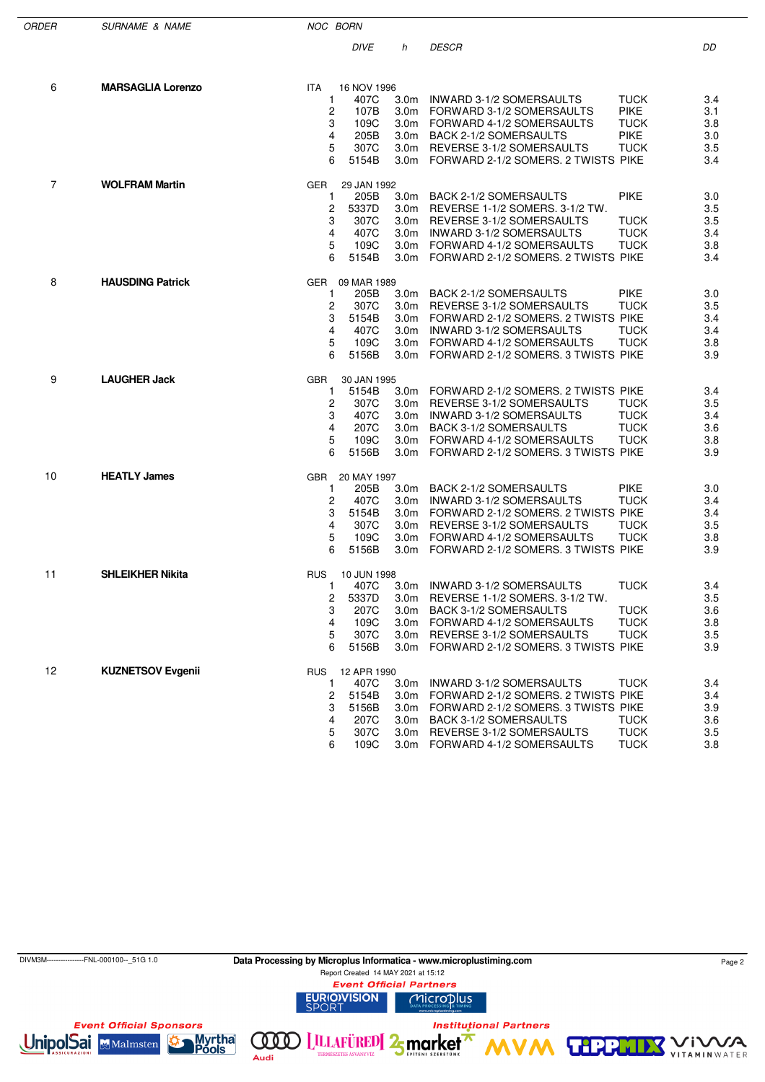| <i>ORDER</i> | <b>SURNAME &amp; NAME</b> |                     | NOC BORN                |                          |                                                                            |                            |            |
|--------------|---------------------------|---------------------|-------------------------|--------------------------|----------------------------------------------------------------------------|----------------------------|------------|
|              |                           |                     | <b>DIVE</b>             | h                        | <b>DESCR</b>                                                               |                            | DD         |
| 6            | <b>MARSAGLIA Lorenzo</b>  | ITA                 | 16 NOV 1996             |                          |                                                                            |                            |            |
|              |                           |                     | 407C<br>$\mathbf{1}$    |                          | 3.0m INWARD 3-1/2 SOMERSAULTS                                              | <b>TUCK</b>                | 3.4        |
|              |                           | $\overline{2}$<br>3 | 107B<br>109C            |                          | 3.0m FORWARD 3-1/2 SOMERSAULTS<br>3.0m FORWARD 4-1/2 SOMERSAULTS           | <b>PIKE</b><br><b>TUCK</b> | 3.1<br>3.8 |
|              |                           | 4                   | 205B                    |                          | 3.0m BACK 2-1/2 SOMERSAULTS                                                | <b>PIKE</b>                | 3.0        |
|              |                           | 5                   | 307C                    |                          | 3.0m REVERSE 3-1/2 SOMERSAULTS                                             | <b>TUCK</b>                | 3.5        |
|              |                           | 6                   | 5154B                   |                          | 3.0m FORWARD 2-1/2 SOMERS. 2 TWISTS PIKE                                   |                            | 3.4        |
| 7            | <b>WOLFRAM Martin</b>     | <b>GER</b>          | 29 JAN 1992             |                          |                                                                            |                            |            |
|              |                           | 1<br>2              | 205B<br>5337D           |                          | 3.0m BACK 2-1/2 SOMERSAULTS<br>3.0m REVERSE 1-1/2 SOMERS. 3-1/2 TW.        | <b>PIKE</b>                | 3.0<br>3.5 |
|              |                           | 3                   | 307C                    |                          | 3.0m REVERSE 3-1/2 SOMERSAULTS                                             | <b>TUCK</b>                | 3.5        |
|              |                           | $\overline{4}$      | 407C                    |                          | 3.0m INWARD 3-1/2 SOMERSAULTS                                              | <b>TUCK</b>                | 3.4        |
|              |                           | 5                   | 109C                    |                          | 3.0m FORWARD 4-1/2 SOMERSAULTS                                             | <b>TUCK</b>                | 3.8        |
|              |                           | 6                   | 5154B                   |                          | 3.0m FORWARD 2-1/2 SOMERS, 2 TWISTS PIKE                                   |                            | 3.4        |
| 8            | <b>HAUSDING Patrick</b>   |                     | GER 09 MAR 1989         |                          |                                                                            |                            |            |
|              |                           |                     | 205B<br>1.<br>307C<br>2 |                          | 3.0m BACK 2-1/2 SOMERSAULTS<br>3.0m REVERSE 3-1/2 SOMERSAULTS              | <b>PIKE</b><br><b>TUCK</b> | 3.0<br>3.5 |
|              |                           | 3                   | 5154B                   |                          | 3.0m FORWARD 2-1/2 SOMERS. 2 TWISTS PIKE                                   |                            | 3.4        |
|              |                           | 4                   | 407C                    |                          | 3.0m INWARD 3-1/2 SOMERSAULTS                                              | <b>TUCK</b>                | 3.4        |
|              |                           | 5                   | 109C                    |                          | 3.0m FORWARD 4-1/2 SOMERSAULTS                                             | <b>TUCK</b>                | 3.8        |
|              |                           | 6                   | 5156B                   |                          | 3.0m FORWARD 2-1/2 SOMERS. 3 TWISTS PIKE                                   |                            | 3.9        |
| 9            | <b>LAUGHER Jack</b>       |                     | GBR 30 JAN 1995         |                          |                                                                            |                            |            |
|              |                           |                     | 5154B<br>1.             |                          | 3.0m FORWARD 2-1/2 SOMERS. 2 TWISTS PIKE                                   |                            | 3.4        |
|              |                           | 2                   | 307C                    |                          | 3.0m REVERSE 3-1/2 SOMERSAULTS                                             | <b>TUCK</b>                | 3.5        |
|              |                           | 3<br>$\overline{4}$ | 407C<br>207C            | 3.0 <sub>m</sub>         | 3.0m INWARD 3-1/2 SOMERSAULTS<br>BACK 3-1/2 SOMERSAULTS                    | <b>TUCK</b><br><b>TUCK</b> | 3.4<br>3.6 |
|              |                           | 5                   | 109C                    |                          | 3.0m FORWARD 4-1/2 SOMERSAULTS                                             | <b>TUCK</b>                | 3.8        |
|              |                           | 6                   | 5156B                   |                          | 3.0m FORWARD 2-1/2 SOMERS, 3 TWISTS PIKE                                   |                            | 3.9        |
| 10           | <b>HEATLY James</b>       |                     | GBR 20 MAY 1997         |                          |                                                                            |                            |            |
|              |                           | 1                   | 205B                    |                          | 3.0m BACK 2-1/2 SOMERSAULTS                                                | <b>PIKE</b>                | 3.0        |
|              |                           | 2                   | 407C                    |                          | 3.0m INWARD 3-1/2 SOMERSAULTS                                              | <b>TUCK</b>                | 3.4        |
|              |                           | 3<br>4              | 5154B<br>307C           |                          | 3.0m FORWARD 2-1/2 SOMERS. 2 TWISTS PIKE<br>3.0m REVERSE 3-1/2 SOMERSAULTS |                            | 3.4        |
|              |                           | 5                   | 109C                    |                          | 3.0m FORWARD 4-1/2 SOMERSAULTS                                             | <b>TUCK</b><br><b>TUCK</b> | 3.5<br>3.8 |
|              |                           | 6                   | 5156B                   |                          | 3.0m FORWARD 2-1/2 SOMERS. 3 TWISTS PIKE                                   |                            | 3.9        |
| 11           | <b>SHLEIKHER Nikita</b>   | <b>RUS</b>          | 10 JUN 1998             |                          |                                                                            |                            |            |
|              |                           |                     | $\mathbf{1}$<br>407C    |                          | 3.0m INWARD 3-1/2 SOMERSAULTS                                              | <b>TUCK</b>                | 3.4        |
|              |                           | 2                   | 5337D                   |                          | 3.0m REVERSE 1-1/2 SOMERS. 3-1/2 TW.                                       |                            | 3.5        |
|              |                           | 3                   | 207C                    |                          | 3.0m BACK 3-1/2 SOMERSAULTS                                                | <b>TUCK</b>                | 3.6        |
|              |                           | 4<br>5              | 109C<br>307C            | 3.0m<br>3.0 <sub>m</sub> | FORWARD 4-1/2 SOMERSAULTS<br>REVERSE 3-1/2 SOMERSAULTS                     | <b>TUCK</b><br><b>TUCK</b> | 3.8<br>3.5 |
|              |                           | 6                   | 5156B                   | 3.0m                     | FORWARD 2-1/2 SOMERS, 3 TWISTS PIKE                                        |                            | 3.9        |
| 12           | <b>KUZNETSOV Evgenii</b>  | <b>RUS</b>          | 12 APR 1990             |                          |                                                                            |                            |            |
|              |                           | 1                   | 407C                    | 3.0m                     | INWARD 3-1/2 SOMERSAULTS                                                   | <b>TUCK</b>                | 3.4        |
|              |                           | 2                   | 5154B                   | 3.0m                     | FORWARD 2-1/2 SOMERS. 2 TWISTS PIKE                                        |                            | 3.4        |
|              |                           | 3<br>4              | 5156B<br>207C           | 3.0m<br>3.0m             | FORWARD 2-1/2 SOMERS. 3 TWISTS PIKE<br><b>BACK 3-1/2 SOMERSAULTS</b>       | <b>TUCK</b>                | 3.9<br>3.6 |
|              |                           | 5                   | 307C                    | 3.0m                     | REVERSE 3-1/2 SOMERSAULTS                                                  | <b>TUCK</b>                | 3.5        |
|              |                           | 6                   | 109C                    |                          | 3.0m FORWARD 4-1/2 SOMERSAULTS                                             | <b>TUCK</b>                | 3.8        |
|              |                           |                     |                         |                          |                                                                            |                            |            |

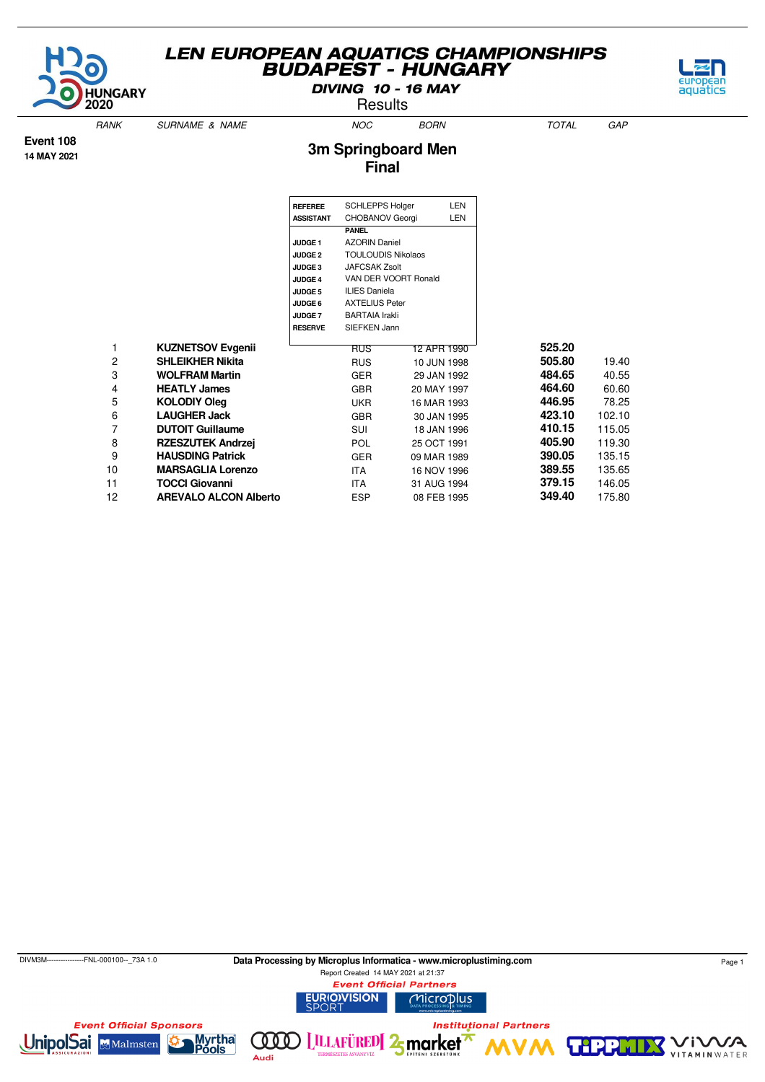

DIVING 10 - 16 MAY

**Results** 

aquatics

RANK SURNAME & NAME NOC BORN TOTAL GAP

#### **Event 108 14 MAY 2021**

|    |                              | <b>REFEREE</b>   | <b>SCHLEPPS Holger</b>    |             | LEN |        |        |
|----|------------------------------|------------------|---------------------------|-------------|-----|--------|--------|
|    |                              | <b>ASSISTANT</b> | CHOBANOV Georgi           |             | LEN |        |        |
|    |                              |                  | <b>PANEL</b>              |             |     |        |        |
|    |                              | <b>JUDGE 1</b>   | <b>AZORIN Daniel</b>      |             |     |        |        |
|    |                              | <b>JUDGE 2</b>   | <b>TOULOUDIS Nikolaos</b> |             |     |        |        |
|    |                              | <b>JUDGE 3</b>   | <b>JAFCSAK Zsolt</b>      |             |     |        |        |
|    |                              | <b>JUDGE 4</b>   | VAN DER VOORT Ronald      |             |     |        |        |
|    |                              | <b>JUDGE 5</b>   | <b>ILIES Daniela</b>      |             |     |        |        |
|    |                              | <b>JUDGE 6</b>   | <b>AXTELIUS Peter</b>     |             |     |        |        |
|    |                              | <b>JUDGE 7</b>   | <b>BARTAIA Irakli</b>     |             |     |        |        |
|    |                              | <b>RESERVE</b>   | SIEFKEN Jann              |             |     |        |        |
|    | <b>KUZNETSOV Evgenii</b>     |                  | <b>RUS</b>                | 12 APR 1990 |     | 525.20 |        |
| 2  | <b>SHLEIKHER Nikita</b>      |                  | <b>RUS</b>                | 10 JUN 1998 |     | 505.80 | 19.40  |
| 3  | <b>WOLFRAM Martin</b>        |                  | <b>GER</b>                | 29 JAN 1992 |     | 484.65 | 40.55  |
| 4  | <b>HEATLY James</b>          |                  | <b>GBR</b>                | 20 MAY 1997 |     | 464.60 | 60.60  |
| 5  | <b>KOLODIY Oleg</b>          |                  | <b>UKR</b>                | 16 MAR 1993 |     | 446.95 | 78.25  |
| 6  | <b>LAUGHER Jack</b>          |                  | <b>GBR</b>                | 30 JAN 1995 |     | 423.10 | 102.10 |
| 7  | <b>DUTOIT Guillaume</b>      |                  | SUI                       | 18 JAN 1996 |     | 410.15 | 115.05 |
| 8  | <b>RZESZUTEK Andrzej</b>     |                  | <b>POL</b>                | 25 OCT 1991 |     | 405.90 | 119.30 |
| 9  | <b>HAUSDING Patrick</b>      |                  | <b>GER</b>                | 09 MAR 1989 |     | 390.05 | 135.15 |
| 10 | <b>MARSAGLIA Lorenzo</b>     |                  | <b>ITA</b>                | 16 NOV 1996 |     | 389.55 | 135.65 |
| 11 | <b>TOCCI Giovanni</b>        |                  | <b>ITA</b>                | 31 AUG 1994 |     | 379.15 | 146.05 |
| 12 | <b>AREVALO ALCON Alberto</b> |                  | <b>ESP</b>                | 08 FEB 1995 |     | 349.40 | 175.80 |

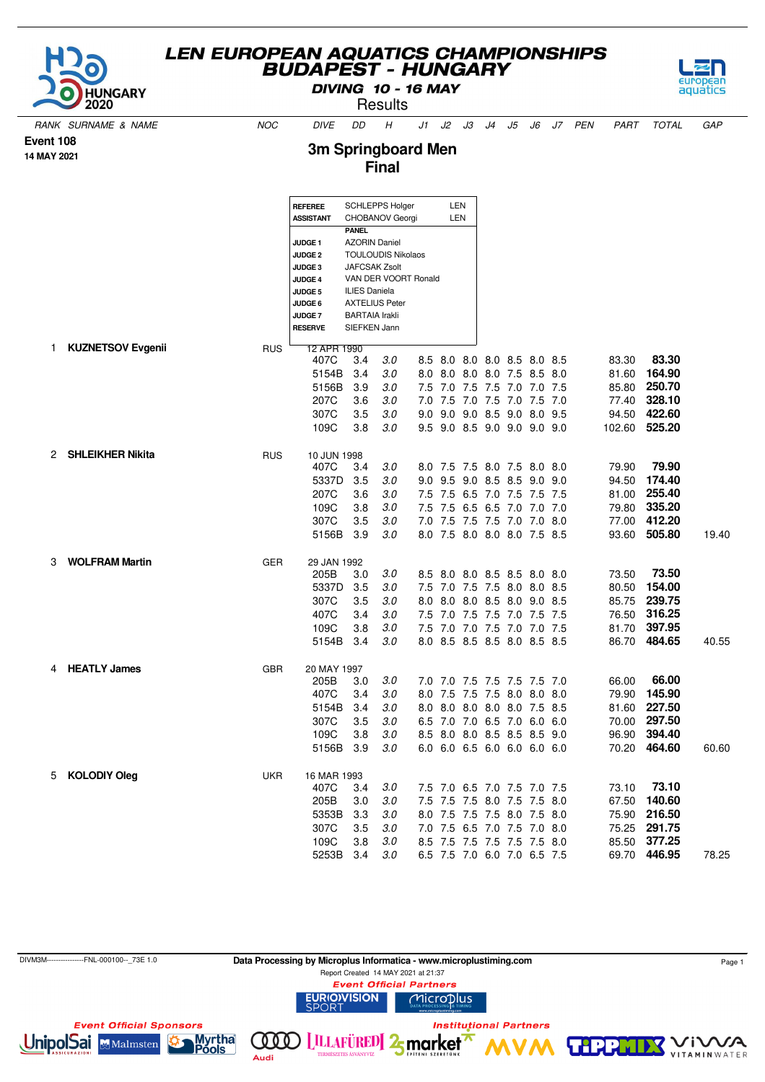



DIVING 10 - 16 MAY

**Results** 

**Event 108 14 MAY 2021**

RANK SURNAME & NAME TOTAL GAP NOC DIVE DD H J1 J2 J3 J4 J5 J6 J7 PEN PART TOTAL GAP

|   |                          |            | <b>REFEREE</b>     |                       | <b>SCHLEPPS Holger</b>    |     | LEN |     |                             |     |                |     |        |        |       |
|---|--------------------------|------------|--------------------|-----------------------|---------------------------|-----|-----|-----|-----------------------------|-----|----------------|-----|--------|--------|-------|
|   |                          |            | <b>ASSISTANT</b>   |                       | CHOBANOV Georgi           |     | LEN |     |                             |     |                |     |        |        |       |
|   |                          |            |                    | <b>PANEL</b>          |                           |     |     |     |                             |     |                |     |        |        |       |
|   |                          |            | JUDGE <sub>1</sub> | <b>AZORIN Daniel</b>  |                           |     |     |     |                             |     |                |     |        |        |       |
|   |                          |            | JUDGE <sub>2</sub> |                       | <b>TOULOUDIS Nikolaos</b> |     |     |     |                             |     |                |     |        |        |       |
|   |                          |            | JUDGE 3            | JAFCSAK Zsolt         |                           |     |     |     |                             |     |                |     |        |        |       |
|   |                          |            | JUDGE 4            |                       | VAN DER VOORT Ronald      |     |     |     |                             |     |                |     |        |        |       |
|   |                          |            | <b>JUDGE 5</b>     | <b>ILIES Daniela</b>  |                           |     |     |     |                             |     |                |     |        |        |       |
|   |                          |            | JUDGE 6            |                       | <b>AXTELIUS Peter</b>     |     |     |     |                             |     |                |     |        |        |       |
|   |                          |            | <b>JUDGE 7</b>     | <b>BARTAIA Irakli</b> |                           |     |     |     |                             |     |                |     |        |        |       |
|   |                          |            | <b>RESERVE</b>     | SIEFKEN Jann          |                           |     |     |     |                             |     |                |     |        |        |       |
|   |                          |            |                    |                       |                           |     |     |     |                             |     |                |     |        |        |       |
| 1 | <b>KUZNETSOV Evgenii</b> | <b>RUS</b> | 12 APR 1990        |                       |                           |     |     |     |                             |     |                |     |        |        |       |
|   |                          |            | 407C               | 3.4                   | 3.0                       | 8.5 | 8.0 |     | 8.0 8.0 8.5 8.0 8.5         |     |                |     | 83.30  | 83.30  |       |
|   |                          |            | 5154B              | 3.4                   | 3.0                       | 8.0 | 8.0 | 8.0 | 8.0 7.5                     |     | 8.5 8.0        |     | 81.60  | 164.90 |       |
|   |                          |            | 5156B              | 3.9                   | 3.0                       | 7.5 | 7.0 | 7.5 | 7.5                         | 7.0 | 7.0            | 7.5 | 85.80  | 250.70 |       |
|   |                          |            | 207C               | 3.6                   | 3.0                       | 7.0 | 7.5 |     | 7.0 7.5 7.0 7.5 7.0         |     |                |     | 77.40  | 328.10 |       |
|   |                          |            | 307C               | 3.5                   | 3.0                       | 9.0 | 9.0 | 9.0 | 8.5                         | 9.0 | 8.0 9.5        |     | 94.50  | 422.60 |       |
|   |                          |            | 109C               | 3.8                   | 3.0                       |     |     |     | 9.5 9.0 8.5 9.0 9.0 9.0 9.0 |     |                |     | 102.60 | 525.20 |       |
|   |                          |            |                    |                       |                           |     |     |     |                             |     |                |     |        |        |       |
|   | <b>SHLEIKHER Nikita</b>  |            |                    |                       |                           |     |     |     |                             |     |                |     |        |        |       |
| 2 |                          | <b>RUS</b> | 10 JUN 1998        |                       |                           |     |     |     |                             |     |                |     |        |        |       |
|   |                          |            | 407C               | 3.4                   | 3.0                       | 8.0 | 7.5 | 7.5 | 8.0 7.5 8.0 8.0             |     |                |     | 79.90  | 79.90  |       |
|   |                          |            | 5337D              | 3.5                   | 3.0                       | 9.0 | 9.5 |     | $9.0$ 8.5 8.5               |     | $9.0\quad 9.0$ |     | 94.50  | 174.40 |       |
|   |                          |            | 207C               | 3.6                   | 3.0                       | 7.5 | 7.5 | 6.5 | 7.0                         | 7.5 | 7.5            | 7.5 | 81.00  | 255.40 |       |
|   |                          |            | 109C               | 3.8                   | 3.0                       | 7.5 | 7.5 |     | 6.5 6.5 7.0 7.0 7.0         |     |                |     | 79.80  | 335.20 |       |
|   |                          |            | 307C               | 3.5                   | 3.0                       | 7.0 | 7.5 | 7.5 | 7.5                         | 7.0 | $7.0\;8.0$     |     | 77.00  | 412.20 |       |
|   |                          |            | 5156B              | 3.9                   | 3.0                       |     |     |     | 8.0 7.5 8.0 8.0 8.0 7.5 8.5 |     |                |     | 93.60  | 505.80 | 19.40 |
|   |                          |            |                    |                       |                           |     |     |     |                             |     |                |     |        |        |       |
| 3 | <b>WOLFRAM Martin</b>    | <b>GER</b> | 29 JAN 1992        |                       |                           |     |     |     |                             |     |                |     |        |        |       |
|   |                          |            | 205B               | 3.0                   | 3.0                       | 8.5 | 8.0 | 8.0 | 8.5 8.5 8.0 8.0             |     |                |     | 73.50  | 73.50  |       |
|   |                          |            | 5337D              | 3.5                   | 3.0                       | 7.5 | 7.0 | 7.5 | 7.5 8.0 8.0 8.5             |     |                |     | 80.50  | 154.00 |       |
|   |                          |            | 307C               | 3.5                   | 3.0                       | 8.0 | 8.0 | 8.0 | 8.5                         | 8.0 | 9.0            | 8.5 | 85.75  | 239.75 |       |
|   |                          |            |                    |                       |                           |     |     |     |                             |     |                |     |        |        |       |
|   |                          |            | 407C               | 3.4                   | 3.0                       | 7.5 |     |     | 7.0 7.5 7.5 7.0 7.5 7.5     |     |                |     | 76.50  | 316.25 |       |
|   |                          |            | 109C               | 3.8                   | 3.0                       | 7.5 | 7.0 | 7.0 | 7.5                         | 7.0 | 7.0 7.5        |     | 81.70  | 397.95 |       |
|   |                          |            | 5154B              | 3.4                   | 3.0                       | 8.0 |     |     | 8.5 8.5 8.5 8.0 8.5 8.5     |     |                |     | 86.70  | 484.65 | 40.55 |
|   |                          |            |                    |                       |                           |     |     |     |                             |     |                |     |        |        |       |
| 4 | <b>HEATLY James</b>      | <b>GBR</b> | 20 MAY 1997        |                       |                           |     |     |     |                             |     |                |     |        |        |       |
|   |                          |            | 205B               | 3.0                   | 3.0                       | 7.0 | 7.0 | 7.5 | 7.5 7.5 7.5                 |     |                | 7.0 | 66.00  | 66.00  |       |
|   |                          |            | 407C               | 3.4                   | 3.0                       | 8.0 | 7.5 | 7.5 | 7.5 8.0 8.0 8.0             |     |                |     | 79.90  | 145.90 |       |
|   |                          |            | 5154B              | 3.4                   | 3.0                       | 8.0 | 8.0 | 8.0 | 8.0                         | 8.0 | 7.5            | 8.5 | 81.60  | 227.50 |       |
|   |                          |            | 307C               | 3.5                   | 3.0                       | 6.5 |     |     | 7.0 7.0 6.5 7.0 6.0 6.0     |     |                |     | 70.00  | 297.50 |       |
|   |                          |            | 109C               | 3.8                   | 3.0                       | 8.5 | 8.0 |     | 8.0 8.5                     | 8.5 | 8.5 9.0        |     | 96.90  | 394.40 |       |
|   |                          |            | 5156B              | 3.9                   | 3.0                       | 6.0 |     |     | 6.0 6.5 6.0 6.0 6.0 6.0     |     |                |     | 70.20  | 464.60 | 60.60 |
|   |                          |            |                    |                       |                           |     |     |     |                             |     |                |     |        |        |       |
|   |                          | <b>UKR</b> |                    |                       |                           |     |     |     |                             |     |                |     |        |        |       |
| 5 | <b>KOLODIY Oleg</b>      |            | 16 MAR 1993        | 3.4                   | 3.0                       |     | 7.0 | 6.5 | 7.0 7.5                     |     | 7.0 7.5        |     | 73.10  | 73.10  |       |
|   |                          |            | 407C               |                       |                           | 7.5 |     |     |                             |     |                |     |        |        |       |
|   |                          |            | 205B               | 3.0                   | 3.0                       | 7.5 | 7.5 | 7.5 | 8.0 7.5                     |     | 7.5 8.0        |     | 67.50  | 140.60 |       |
|   |                          |            | 5353B              | 3.3                   | 3.0                       | 8.0 | 7.5 | 7.5 | 7.5                         | 8.0 | 7.5            | 8.0 | 75.90  | 216.50 |       |
|   |                          |            | 307C               | 3.5                   | 3.0                       | 7.0 | 7.5 | 6.5 | 7.0 7.5 7.0 8.0             |     |                |     | 75.25  | 291.75 |       |
|   |                          |            | 109C               | 3.8                   | 3.0                       | 8.5 | 7.5 | 7.5 | 7.5                         | 7.5 | 7.5            | 8.0 | 85.50  | 377.25 |       |
|   |                          |            | 5253B              | 3.4                   | 3.0                       |     |     |     | 6.5 7.5 7.0 6.0 7.0 6.5 7.5 |     |                |     | 69.70  | 446.95 | 78.25 |
|   |                          |            |                    |                       |                           |     |     |     |                             |     |                |     |        |        |       |

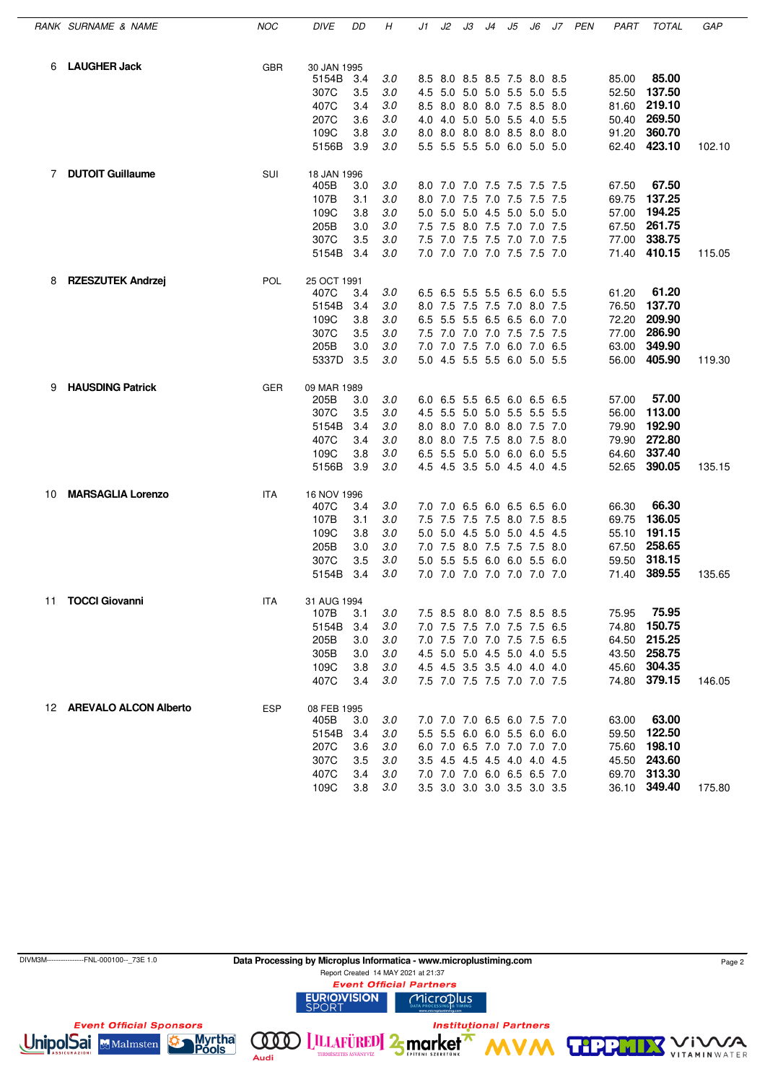|    | RANK SURNAME & NAME      | <b>NOC</b> | <b>DIVE</b>                                                   | DD<br>Η                                                                          | J1                       | J2                                                                                                                                                                                     | JЗ          | J4              | J5  | J6                                    | J7 | <b>PEN</b> | PART                                               | <b>TOTAL</b>                                                              | GAP    |
|----|--------------------------|------------|---------------------------------------------------------------|----------------------------------------------------------------------------------|--------------------------|----------------------------------------------------------------------------------------------------------------------------------------------------------------------------------------|-------------|-----------------|-----|---------------------------------------|----|------------|----------------------------------------------------|---------------------------------------------------------------------------|--------|
| 6  | <b>LAUGHER Jack</b>      | <b>GBR</b> | 30 JAN 1995<br>5154B<br>307C<br>407C<br>207C<br>109C<br>5156B | 3.4<br>3.0<br>3.5<br>3.0<br>3.4<br>3.0<br>3.6<br>3.0<br>3.8<br>3.0<br>3.9<br>3.0 | 4.5<br>4.0<br>8.0        | 8.5 8.0 8.5 8.5 7.5 8.0 8.5<br>5.0 5.0 5.0 5.5<br>8.5 8.0 8.0 8.0 7.5 8.5 8.0<br>4.0 5.0 5.0 5.5<br>8.0 8.0 8.0 8.5 8.0 8.0<br>5.5 5.5 5.5 5.0 6.0 5.0 5.0                             |             |                 |     | 5.0 5.5<br>4.0 5.5                    |    |            | 85.00<br>52.50<br>81.60<br>50.40<br>91.20<br>62.40 | 85.00<br>137.50<br>219.10<br>269.50<br>360.70<br>423.10                   | 102.10 |
| 7  | <b>DUTOIT Guillaume</b>  | SUI        | 18 JAN 1996<br>405B<br>107B<br>109C<br>205B<br>307C<br>5154B  | 3.0<br>3.0<br>3.1<br>3.0<br>3.8<br>3.0<br>3.0<br>3.0<br>3.5<br>3.0<br>3.4<br>3.0 | 5.0<br>7.5<br>7.5        | 8.0 7.0 7.0 7.5 7.5 7.5 7.5<br>8.0 7.0 7.5 7.0 7.5 7.5 7.5<br>7.0 7.5 7.5 7.0 7.0 7.5<br>7.0 7.0 7.0 7.0 7.5 7.5 7.0                                                                   | 5.0 5.0 4.5 |                 | 5.0 | $5.0\ 5.0$<br>7.5 8.0 7.5 7.0 7.0 7.5 |    |            | 67.50<br>69.75<br>57.00<br>67.50<br>77.00<br>71.40 | 67.50<br>137.25<br>194.25<br>261.75<br>338.75<br>410.15                   | 115.05 |
| 8  | <b>RZESZUTEK Andrzej</b> | POL        | 25 OCT 1991<br>407C<br>5154B<br>109C<br>307C<br>205B<br>5337D | 3.0<br>3.4<br>3.4<br>3.0<br>3.0<br>3.8<br>3.0<br>3.5<br>3.0<br>3.0<br>3.5<br>3.0 | 6.5<br>7.5               | 6.5 6.5 5.5 5.5 6.5 6.0 5.5<br>8.0 7.5 7.5 7.5 7.0 8.0 7.5<br>5.5<br>7.0 7.0 7.5 7.0 6.0 7.0 6.5<br>5.0 4.5 5.5 5.5 6.0 5.0 5.5                                                        | 5.5 6.5     | 7.0 7.0 7.0 7.5 | 6.5 | 6.0 7.0<br>7.5 7.5                    |    |            | 61.20<br>76.50<br>72.20<br>77.00<br>63.00<br>56.00 | 61.20<br>137.70<br>209.90<br>286.90<br>349.90<br>405.90                   | 119.30 |
| 9  | <b>HAUSDING Patrick</b>  | GER        | 09 MAR 1989<br>205B<br>307C<br>5154B<br>407C<br>109C<br>5156B | 3.0<br>3.0<br>3.5<br>3.0<br>3.4<br>3.0<br>3.4<br>3.0<br>3.8<br>3.0<br>3.9<br>3.0 | 4.5<br>8.0<br>6.5<br>4.5 | 6.0 6.5 5.5 6.5 6.0 6.5 6.5<br>5.5 5.0 5.0 5.5 5.5 5.5<br>8.0 7.0 8.0 8.0 7.5 7.0<br>8.0 8.0 7.5 7.5 8.0 7.5 8.0<br>5.5 5.0 5.0 6.0 6.0 5.5<br>4.5 3.5 5.0 4.5 4.0 4.5                 |             |                 |     |                                       |    |            | 57.00<br>56.00<br>79.90<br>79.90<br>64.60<br>52.65 | 57.00<br>113.00<br>192.90<br>272.80<br>337.40<br>390.05                   | 135.15 |
| 10 | <b>MARSAGLIA Lorenzo</b> | <b>ITA</b> | 16 NOV 1996<br>407C<br>107B<br>109C<br>205B<br>307C<br>5154B  | 3.4<br>3.0<br>3.1<br>3.0<br>3.8<br>3.0<br>3.0<br>3.0<br>3.5<br>3.0<br>3.4<br>3.0 | 7.5<br>5.0<br>5.0<br>7.0 | 7.0 7.0 6.5 6.0 6.5 6.5 6.0<br>7.5<br>7.0 7.5 8.0 7.5 7.5 7.5 8.0<br>5.5 5.5 6.0 6.0 5.5 6.0<br>7.0 7.0 7.0 7.0 7.0 7.0                                                                |             | $5.0$ 4.5 5.0   | 5.0 | 7.5 7.5 8.0 7.5 8.5<br>4.5 4.5        |    |            | 66.30<br>69.75<br>55.10<br>67.50<br>59.50<br>71.40 | 66.30<br>136.05<br>191.15<br>258.65<br>318.15<br>389.55                   | 135.65 |
| 11 | <b>TOCCI Giovanni</b>    | ITA        | 31 AUG 1994<br>107B<br>5154B<br>205B<br>305B<br>109C<br>407C  | 3.0<br>3.1<br>3.4<br>3.0<br>3.0<br>3.0<br>3.0<br>3.0<br>3.8<br>3.0<br>3.4<br>3.0 |                          | 7.5 8.5 8.0 8.0 7.5 8.5 8.5<br>7.0 7.5 7.5 7.0 7.5 7.5 6.5<br>7.0 7.5 7.0 7.0 7.5 7.5 6.5<br>4.5 5.0 5.0 4.5 5.0 4.0 5.5<br>4.5 4.5 3.5 3.5 4.0 4.0 4.0<br>7.5 7.0 7.5 7.5 7.0 7.0 7.5 |             |                 |     |                                       |    |            | 75.95<br>74.80<br>45.60                            | 75.95<br>150.75<br>64.50 215.25<br>43.50 258.75<br>304.35<br>74.80 379.15 | 146.05 |
|    | 12 AREVALO ALCON Alberto | <b>ESP</b> | 08 FEB 1995<br>405B<br>5154B<br>207C<br>307C<br>407C<br>109C  | 3.0<br>3.0<br>3.4<br>3.0<br>3.6<br>3.0<br>3.5<br>3.0<br>3.4<br>3.0<br>3.8<br>3.0 |                          | 7.0 7.0 7.0 6.5 6.0 7.5 7.0<br>5.5 5.5 6.0 6.0 5.5 6.0 6.0<br>6.0 7.0 6.5 7.0 7.0 7.0 7.0<br>3.5 4.5 4.5 4.5 4.0 4.0 4.5<br>7.0 7.0 7.0 6.0 6.5 6.5 7.0<br>3.5 3.0 3.0 3.0 3.5 3.0 3.5 |             |                 |     |                                       |    |            | 63.00<br>59.50<br>75.60<br>45.50                   | 63.00<br>122.50<br>198.10<br>243.60<br>69.70 313.30<br>36.10 349.40       | 175.80 |

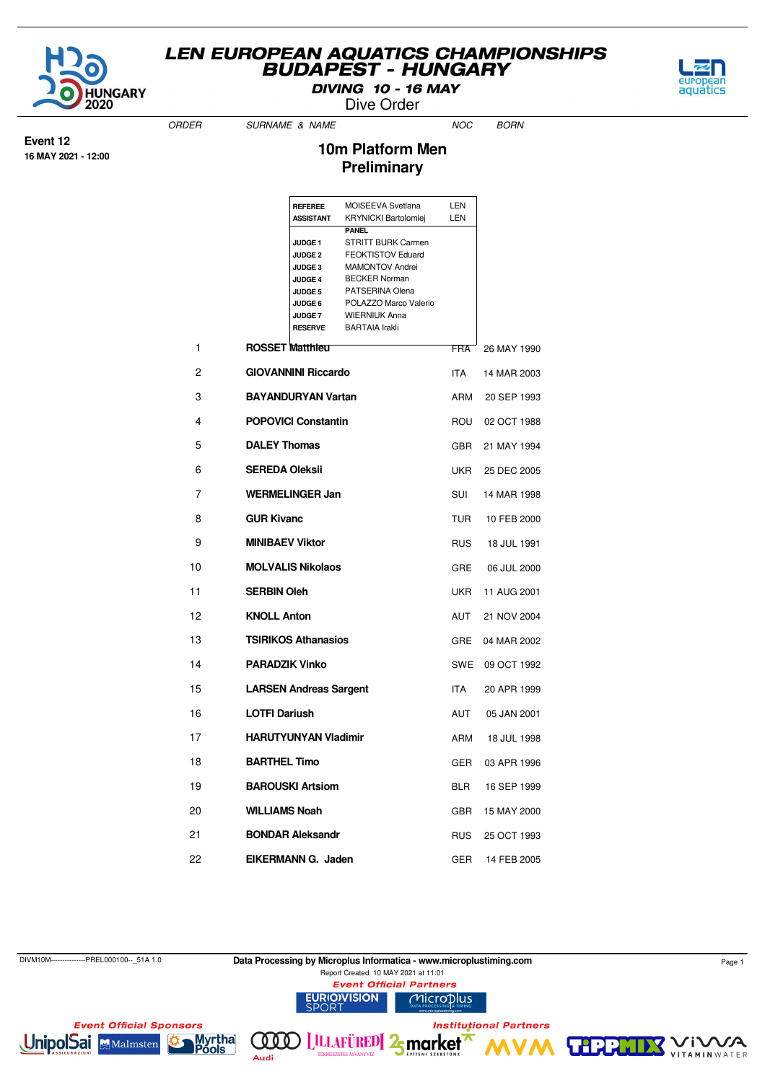

DIVING 10 - 16 MAY

Dive Order

ORDER SURNAME & NAME NOC BORN

**Event 12 16 MAY 2021 - 12:00**

**10m Platform Men Preliminary**

|    |                               | <b>REFEREE</b><br>ASSISTANT                                                                                             | MOISEEVA Svetlana<br><b>KRYNICKI Bartolomiej</b>                                                                                                                                                              | LEN<br>LEN |                 |
|----|-------------------------------|-------------------------------------------------------------------------------------------------------------------------|---------------------------------------------------------------------------------------------------------------------------------------------------------------------------------------------------------------|------------|-----------------|
|    |                               | JUDGE 1<br>JUDGE 2<br><b>JUDGE 3</b><br><b>JUDGE 4</b><br><b>JUDGE 5</b><br>JUDGE 6<br><b>JUDGE 7</b><br><b>RESERVE</b> | <b>PANEL</b><br>STRITT BURK Carmen<br><b>FEOKTISTOV Eduard</b><br><b>MAMONTOV Andrei</b><br><b>BECKER Norman</b><br>PATSERINA Olena<br>POLAZZO Marco Valerio<br><b>WIERNIUK Anna</b><br><b>BARTAIA Irakli</b> |            |                 |
| 1  | <b>ROSSET Matthleu</b>        |                                                                                                                         |                                                                                                                                                                                                               | <b>FRA</b> | 26 MAY 1990     |
| 2  | <b>GIOVANNINI Riccardo</b>    |                                                                                                                         |                                                                                                                                                                                                               | ITA        | 14 MAR 2003     |
| 3  | <b>BAYANDURYAN Vartan</b>     |                                                                                                                         |                                                                                                                                                                                                               | ARM        | 20 SEP 1993     |
| 4  | <b>POPOVICI Constantin</b>    |                                                                                                                         |                                                                                                                                                                                                               | ROU        | 02 OCT 1988     |
| 5  | <b>DALEY Thomas</b>           |                                                                                                                         |                                                                                                                                                                                                               | GBR        | 21 MAY 1994     |
| 6  | <b>SEREDA Oleksii</b>         |                                                                                                                         |                                                                                                                                                                                                               | UKR        | 25 DEC 2005     |
| 7  | <b>WERMELINGER Jan</b>        |                                                                                                                         |                                                                                                                                                                                                               | SUI        | 14 MAR 1998     |
| 8  | <b>GUR Kivanc</b>             |                                                                                                                         |                                                                                                                                                                                                               | TUR        | 10 FEB 2000     |
| 9  | <b>MINIBAEV Viktor</b>        |                                                                                                                         |                                                                                                                                                                                                               | <b>RUS</b> | 18 JUL 1991     |
| 10 | <b>MOLVALIS Nikolaos</b>      |                                                                                                                         |                                                                                                                                                                                                               | GRE        | 06 JUL 2000     |
| 11 | <b>SERBIN Oleh</b>            |                                                                                                                         |                                                                                                                                                                                                               | UKR        | 11 AUG 2001     |
| 12 | <b>KNOLL Anton</b>            |                                                                                                                         |                                                                                                                                                                                                               | AUT        | 21 NOV 2004     |
| 13 | <b>TSIRIKOS Athanasios</b>    |                                                                                                                         |                                                                                                                                                                                                               | <b>GRE</b> | 04 MAR 2002     |
| 14 | <b>PARADZIK Vinko</b>         |                                                                                                                         |                                                                                                                                                                                                               | SWE        | 09 OCT 1992     |
| 15 | <b>LARSEN Andreas Sargent</b> |                                                                                                                         |                                                                                                                                                                                                               | ITA        | 20 APR 1999     |
| 16 | <b>LOTFI Dariush</b>          |                                                                                                                         |                                                                                                                                                                                                               |            | AUT 05 JAN 2001 |
| 17 | <b>HARUTYUNYAN Vladimir</b>   |                                                                                                                         |                                                                                                                                                                                                               | ARM        | 18 JUL 1998     |
| 18 | <b>BARTHEL Timo</b>           |                                                                                                                         |                                                                                                                                                                                                               | GER        | 03 APR 1996     |
| 19 | <b>BAROUSKI Artsiom</b>       |                                                                                                                         |                                                                                                                                                                                                               | BLR        | 16 SEP 1999     |
| 20 | <b>WILLIAMS Noah</b>          |                                                                                                                         |                                                                                                                                                                                                               | GBR        | 15 MAY 2000     |
| 21 | <b>BONDAR Aleksandr</b>       |                                                                                                                         |                                                                                                                                                                                                               | <b>RUS</b> | 25 OCT 1993     |
| 22 | EIKERMANN G. Jaden            |                                                                                                                         |                                                                                                                                                                                                               | GER        | 14 FEB 2005     |



**LILLAFÜRED** 2 market

 $\overline{M}$ 

**TIPP** 

VA

'i V

**VITAMIN** WATER



Malmsten

**UnipolSai** 

**Myrtha** 

**ools** 

 $\omega$ 

Audi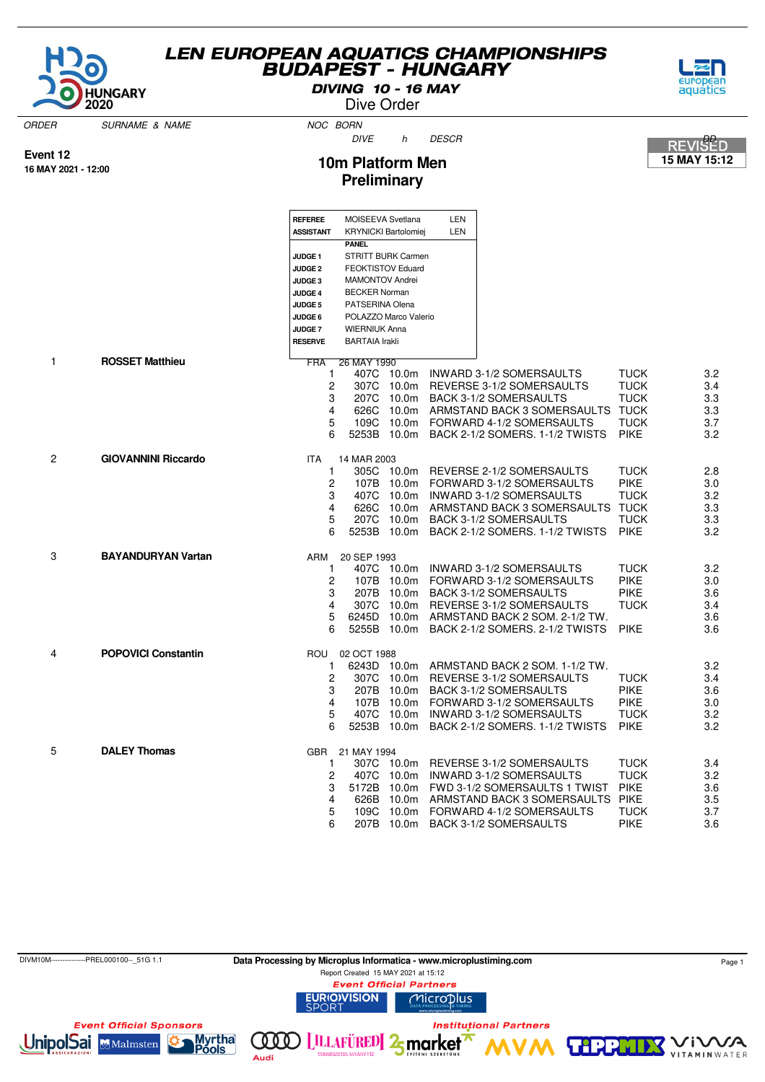

DIVING 10 - 16 MAY

Dive Order



ORDER SURNAME & NAME NOC BORN

#### **Event 12**

**16 MAY 2021 - 12:00**

DIVE h DESCR NOW REVISED

**15 MAY 15:12**

| 10m Platform Men   |  |
|--------------------|--|
| <b>Preliminary</b> |  |

| LEN<br><b>KRYNICKI Bartolomiej</b><br><b>ASSISTANT</b><br><b>PANEL</b><br>STRITT BURK Carmen<br><b>JUDGE 1</b><br><b>FEOKTISTOV Eduard</b><br><b>JUDGE 2</b><br>MAMONTOV Andrei<br>JUDGE 3<br><b>JUDGE 4</b><br><b>BECKER Norman</b><br>JUDGE 5<br>PATSERINA Olena<br>POLAZZO Marco Valerio<br>JUDGE 6<br><b>WIERNIUK Anna</b><br><b>JUDGE 7</b> | 3.2<br>3.4 |
|--------------------------------------------------------------------------------------------------------------------------------------------------------------------------------------------------------------------------------------------------------------------------------------------------------------------------------------------------|------------|
|                                                                                                                                                                                                                                                                                                                                                  |            |
|                                                                                                                                                                                                                                                                                                                                                  |            |
|                                                                                                                                                                                                                                                                                                                                                  |            |
|                                                                                                                                                                                                                                                                                                                                                  |            |
|                                                                                                                                                                                                                                                                                                                                                  |            |
|                                                                                                                                                                                                                                                                                                                                                  |            |
|                                                                                                                                                                                                                                                                                                                                                  |            |
|                                                                                                                                                                                                                                                                                                                                                  |            |
| <b>BARTAIA Irakli</b><br><b>RESERVE</b>                                                                                                                                                                                                                                                                                                          |            |
| <b>ROSSET Matthieu</b><br>26 MAY 1990<br>1<br><b>FRA</b>                                                                                                                                                                                                                                                                                         |            |
| INWARD 3-1/2 SOMERSAULTS<br><b>TUCK</b><br>$\mathbf{1}$<br>407C 10.0m                                                                                                                                                                                                                                                                            |            |
| $\overline{2}$<br>REVERSE 3-1/2 SOMERSAULTS<br>307C 10.0m<br><b>TUCK</b>                                                                                                                                                                                                                                                                         |            |
| 3<br>207C<br>10.0m<br>BACK 3-1/2 SOMERSAULTS<br><b>TUCK</b>                                                                                                                                                                                                                                                                                      | 3.3        |
| 626C<br>ARMSTAND BACK 3 SOMERSAULTS TUCK<br>4<br>10.0 <sub>m</sub>                                                                                                                                                                                                                                                                               | 3.3        |
| 5<br>109C<br>FORWARD 4-1/2 SOMERSAULTS<br><b>TUCK</b><br>10.0 <sub>m</sub>                                                                                                                                                                                                                                                                       | 3.7        |
| 5253B 10.0m<br>6<br>BACK 2-1/2 SOMERS, 1-1/2 TWISTS<br><b>PIKE</b>                                                                                                                                                                                                                                                                               | 3.2        |
| <b>GIOVANNINI Riccardo</b><br>2<br>14 MAR 2003<br><b>ITA</b>                                                                                                                                                                                                                                                                                     |            |
| 305C 10.0m<br>REVERSE 2-1/2 SOMERSAULTS<br><b>TUCK</b><br>1                                                                                                                                                                                                                                                                                      | 2.8        |
| FORWARD 3-1/2 SOMERSAULTS<br><b>PIKE</b><br>2<br>107B<br>10.0m                                                                                                                                                                                                                                                                                   | 3.0        |
| 3<br>407C<br>10.0 <sub>m</sub><br>INWARD 3-1/2 SOMERSAULTS<br><b>TUCK</b>                                                                                                                                                                                                                                                                        | 3.2        |
| 4<br>626C<br>10.0 <sub>m</sub><br>ARMSTAND BACK 3 SOMERSAULTS TUCK                                                                                                                                                                                                                                                                               | 3.3        |
| 5<br>207C<br><b>BACK 3-1/2 SOMERSAULTS</b><br><b>TUCK</b><br>10.0m                                                                                                                                                                                                                                                                               | 3.3        |
| 5253B 10.0m BACK 2-1/2 SOMERS, 1-1/2 TWISTS<br>6<br><b>PIKE</b>                                                                                                                                                                                                                                                                                  | 3.2        |
| 3<br><b>BAYANDURYAN Vartan</b><br>20 SEP 1993<br>ARM                                                                                                                                                                                                                                                                                             |            |
| INWARD 3-1/2 SOMERSAULTS<br>407C 10.0m<br><b>TUCK</b><br>1                                                                                                                                                                                                                                                                                       | 3.2        |
| $\overline{2}$<br><b>PIKE</b><br>107B 10.0m<br>FORWARD 3-1/2 SOMERSAULTS                                                                                                                                                                                                                                                                         | 3.0        |
| 3<br>10.0m<br><b>PIKE</b><br>207B<br>BACK 3-1/2 SOMERSAULTS                                                                                                                                                                                                                                                                                      | 3.6        |
| 4<br>307C<br>10.0 <sub>m</sub><br>REVERSE 3-1/2 SOMERSAULTS<br><b>TUCK</b>                                                                                                                                                                                                                                                                       | 3.4        |
| 5<br>6245D<br>10.0 <sub>m</sub><br>ARMSTAND BACK 2 SOM, 2-1/2 TW.<br>6<br>5255B 10.0m<br>BACK 2-1/2 SOMERS, 2-1/2 TWISTS<br><b>PIKE</b>                                                                                                                                                                                                          | 3.6<br>3.6 |
|                                                                                                                                                                                                                                                                                                                                                  |            |
| <b>POPOVICI Constantin</b><br>4<br>ROU 02 OCT 1988                                                                                                                                                                                                                                                                                               |            |
| 6243D 10.0m<br>ARMSTAND BACK 2 SOM. 1-1/2 TW.<br>$\mathbf{1}$<br>2<br>REVERSE 3-1/2 SOMERSAULTS<br>307C<br>10.0m                                                                                                                                                                                                                                 | 3.2<br>3.4 |
| <b>TUCK</b><br><b>PIKE</b><br>3<br>207B<br>10.0m BACK 3-1/2 SOMERSAULTS                                                                                                                                                                                                                                                                          | 3.6        |
| 107B<br>10.0m FORWARD 3-1/2 SOMERSAULTS<br><b>PIKE</b><br>4                                                                                                                                                                                                                                                                                      | 3.0        |
| 5<br>407C<br>10.0m<br>INWARD 3-1/2 SOMERSAULTS<br><b>TUCK</b>                                                                                                                                                                                                                                                                                    | 3.2        |
| 6<br>5253B 10.0m<br>BACK 2-1/2 SOMERS. 1-1/2 TWISTS<br><b>PIKE</b>                                                                                                                                                                                                                                                                               | 3.2        |
|                                                                                                                                                                                                                                                                                                                                                  |            |
| <b>DALEY Thomas</b><br>5<br>GBR 21 MAY 1994                                                                                                                                                                                                                                                                                                      |            |
| REVERSE 3-1/2 SOMERSAULTS<br><b>TUCK</b><br>307C 10.0m<br>1                                                                                                                                                                                                                                                                                      | 3.4        |
| $\overline{2}$<br>407C<br>10.0m<br>INWARD 3-1/2 SOMERSAULTS<br><b>TUCK</b><br>3<br>5172B<br><b>PIKE</b><br>10.0 <sub>m</sub><br>FWD 3-1/2 SOMERSAULTS 1 TWIST                                                                                                                                                                                    | 3.2<br>3.6 |
| 626B<br>10.0 <sub>m</sub><br>ARMSTAND BACK 3 SOMERSAULTS PIKE<br>4                                                                                                                                                                                                                                                                               | 3.5        |
| 5<br>109C<br>FORWARD 4-1/2 SOMERSAULTS<br>10.0m<br><b>TUCK</b>                                                                                                                                                                                                                                                                                   |            |
| 6<br>207B 10.0m<br><b>BACK 3-1/2 SOMERSAULTS</b><br><b>PIKE</b><br>3.6                                                                                                                                                                                                                                                                           | 3.7        |

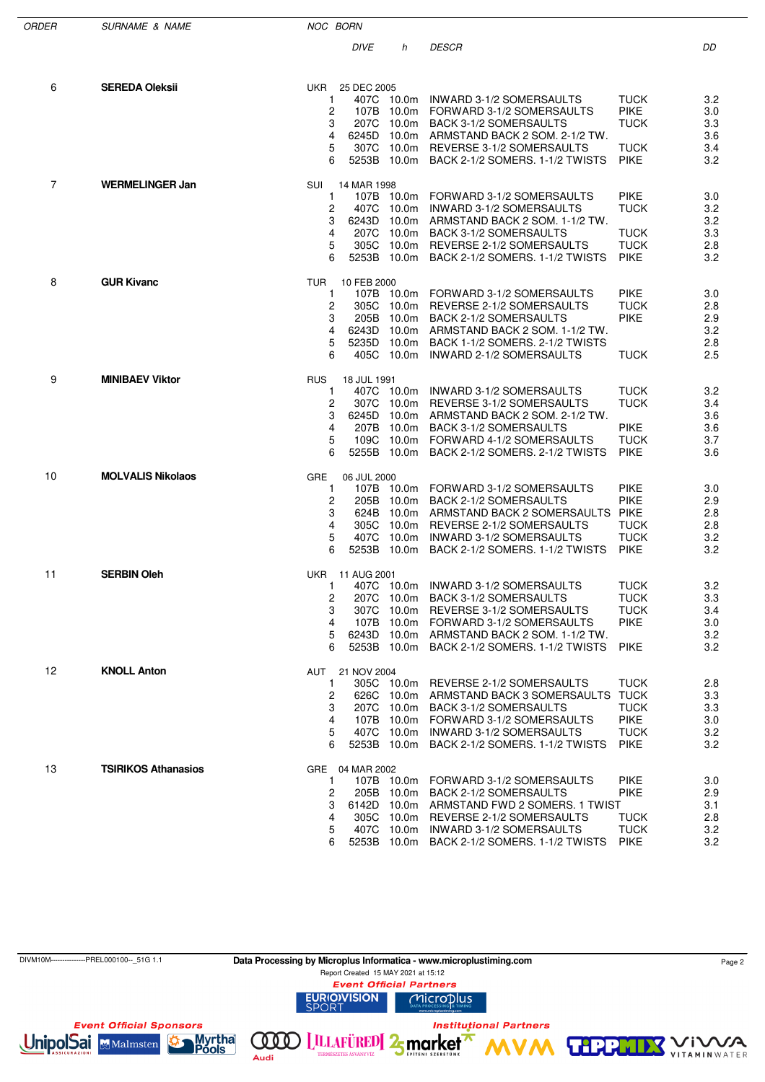| <i>ORDER</i>   | <b>SURNAME &amp; NAME</b>  | NOC BORN                                                                                                                      |            |
|----------------|----------------------------|-------------------------------------------------------------------------------------------------------------------------------|------------|
|                |                            | <b>DIVE</b><br><b>DESCR</b><br>h                                                                                              | DD         |
| 6              | <b>SEREDA Oleksii</b>      | UKR 25 DEC 2005                                                                                                               |            |
|                |                            | <b>TUCK</b><br>407C 10.0m<br>INWARD 3-1/2 SOMERSAULTS<br>1                                                                    | 3.2        |
|                |                            | <b>PIKE</b><br>2<br>107B 10.0m FORWARD 3-1/2 SOMERSAULTS                                                                      | 3.0        |
|                |                            | 3<br>207C 10.0m BACK 3-1/2 SOMERSAULTS<br><b>TUCK</b>                                                                         | 3.3        |
|                |                            | 6245D 10.0m ARMSTAND BACK 2 SOM. 2-1/2 TW.<br>4                                                                               | 3.6        |
|                |                            | 307C 10.0m REVERSE 3-1/2 SOMERSAULTS<br>5<br><b>TUCK</b>                                                                      | 3.4        |
|                |                            | 5253B 10.0m BACK 2-1/2 SOMERS, 1-1/2 TWISTS<br>6<br><b>PIKE</b>                                                               | 3.2        |
| $\overline{7}$ | <b>WERMELINGER Jan</b>     | SUI<br>14 MAR 1998<br>107B 10.0m FORWARD 3-1/2 SOMERSAULTS<br><b>PIKE</b>                                                     |            |
|                |                            | 1.<br>407C 10.0m INWARD 3-1/2 SOMERSAULTS<br><b>TUCK</b><br>2                                                                 | 3.0<br>3.2 |
|                |                            | 6243D 10.0m ARMSTAND BACK 2 SOM. 1-1/2 TW.<br>3                                                                               | 3.2        |
|                |                            | 207C 10.0m BACK 3-1/2 SOMERSAULTS<br>4<br><b>TUCK</b>                                                                         | 3.3        |
|                |                            | 305C 10.0m REVERSE 2-1/2 SOMERSAULTS<br>5<br><b>TUCK</b>                                                                      | 2.8        |
|                |                            | 6<br>5253B 10.0m BACK 2-1/2 SOMERS. 1-1/2 TWISTS<br><b>PIKE</b>                                                               | 3.2        |
| 8              | <b>GUR Kivanc</b>          | TUR<br>10 FEB 2000                                                                                                            |            |
|                |                            | 107B 10.0m FORWARD 3-1/2 SOMERSAULTS<br><b>PIKE</b><br>1                                                                      | 3.0        |
|                |                            | 2<br>305C 10.0m REVERSE 2-1/2 SOMERSAULTS<br><b>TUCK</b>                                                                      | 2.8        |
|                |                            | 205B 10.0m BACK 2-1/2 SOMERSAULTS<br><b>PIKE</b><br>3<br>6243D 10.0m ARMSTAND BACK 2 SOM. 1-1/2 TW.<br>4                      | 2.9<br>3.2 |
|                |                            | 5<br>5235D 10.0m BACK 1-1/2 SOMERS. 2-1/2 TWISTS                                                                              | 2.8        |
|                |                            | 6<br>405C 10.0m INWARD 2-1/2 SOMERSAULTS<br><b>TUCK</b>                                                                       | 2.5        |
| 9              | <b>MINIBAEV Viktor</b>     | 18 JUL 1991<br><b>RUS</b>                                                                                                     |            |
|                |                            | 407C 10.0m INWARD 3-1/2 SOMERSAULTS<br><b>TUCK</b><br>1                                                                       | 3.2        |
|                |                            | REVERSE 3-1/2 SOMERSAULTS<br><b>TUCK</b><br>2<br>307C 10.0m                                                                   | 3.4        |
|                |                            | 3<br>6245D 10.0m ARMSTAND BACK 2 SOM. 2-1/2 TW.                                                                               | 3.6        |
|                |                            | 207B 10.0m BACK 3-1/2 SOMERSAULTS<br><b>PIKE</b><br>4                                                                         | 3.6        |
|                |                            | 109C 10.0m FORWARD 4-1/2 SOMERSAULTS<br><b>TUCK</b><br>5<br>6<br>5255B 10.0m BACK 2-1/2 SOMERS. 2-1/2 TWISTS<br><b>PIKE</b>   | 3.7<br>3.6 |
| 10             | <b>MOLVALIS Nikolaos</b>   | 06 JUL 2000                                                                                                                   |            |
|                |                            | <b>GRE</b><br>107B 10.0m FORWARD 3-1/2 SOMERSAULTS<br><b>PIKE</b><br>1                                                        | 3.0        |
|                |                            | 205B 10.0m BACK 2-1/2 SOMERSAULTS<br><b>PIKE</b><br>2                                                                         | 2.9        |
|                |                            | ARMSTAND BACK 2 SOMERSAULTS<br><b>PIKE</b><br>3<br>624B 10.0m                                                                 | 2.8        |
|                |                            | 4<br>305C 10.0m REVERSE 2-1/2 SOMERSAULTS<br><b>TUCK</b>                                                                      | 2.8        |
|                |                            | 407C 10.0m<br>INWARD 3-1/2 SOMERSAULTS<br><b>TUCK</b><br>5                                                                    | 3.2        |
|                |                            | 5253B 10.0m<br>BACK 2-1/2 SOMERS. 1-1/2 TWISTS<br><b>PIKE</b><br>6                                                            | 3.2        |
| 11             | <b>SERBIN Oleh</b>         | UKR 11 AUG 2001                                                                                                               |            |
|                |                            | <b>TUCK</b><br>407C 10.0m INWARD 3-1/2 SOMERSAULTS<br>1<br>207C 10.0m BACK 3-1/2 SOMERSAULTS                                  | 3.2        |
|                |                            | <b>TUCK</b><br>2<br>307C 10.0m REVERSE 3-1/2 SOMERSAULTS<br><b>TUCK</b><br>3                                                  | 3.3<br>3.4 |
|                |                            | 107B 10.0m FORWARD 3-1/2 SOMERSAULTS<br><b>PIKE</b><br>4                                                                      | 3.0        |
|                |                            | 6243D 10.0m ARMSTAND BACK 2 SOM, 1-1/2 TW.<br>5                                                                               | 3.2        |
|                |                            | 6<br>5253B 10.0m BACK 2-1/2 SOMERS. 1-1/2 TWISTS<br><b>PIKE</b>                                                               | 3.2        |
| 12             | <b>KNOLL Anton</b>         | AUT 21 NOV 2004                                                                                                               |            |
|                |                            | 305C 10.0m REVERSE 2-1/2 SOMERSAULTS<br><b>TUCK</b><br>1                                                                      | 2.8        |
|                |                            | <b>TUCK</b><br>2<br>626C 10.0m ARMSTAND BACK 3 SOMERSAULTS                                                                    | 3.3        |
|                |                            | 207C 10.0m BACK 3-1/2 SOMERSAULTS<br><b>TUCK</b><br>3                                                                         | 3.3        |
|                |                            | <b>PIKE</b><br>107B 10.0m FORWARD 3-1/2 SOMERSAULTS<br>4                                                                      | 3.0        |
|                |                            | 5<br>407C 10.0m INWARD 3-1/2 SOMERSAULTS<br><b>TUCK</b><br>5253B 10.0m<br>BACK 2-1/2 SOMERS. 1-1/2 TWISTS<br><b>PIKE</b><br>6 | 3.2<br>3.2 |
| 13             | <b>TSIRIKOS Athanasios</b> | GRE 04 MAR 2002                                                                                                               |            |
|                |                            | 107B 10.0m FORWARD 3-1/2 SOMERSAULTS<br><b>PIKE</b><br>1                                                                      | 3.0        |
|                |                            | 2<br>205B 10.0m BACK 2-1/2 SOMERSAULTS<br><b>PIKE</b>                                                                         | 2.9        |
|                |                            | 6142D 10.0m ARMSTAND FWD 2 SOMERS. 1 TWIST<br>3                                                                               | 3.1        |
|                |                            | 305C 10.0m REVERSE 2-1/2 SOMERSAULTS<br><b>TUCK</b><br>4                                                                      | 2.8        |
|                |                            | 407C 10.0m INWARD 3-1/2 SOMERSAULTS<br><b>TUCK</b><br>5                                                                       | 3.2        |
|                |                            | 6<br>5253B 10.0m BACK 2-1/2 SOMERS. 1-1/2 TWISTS<br><b>PIKE</b>                                                               | 3.2        |

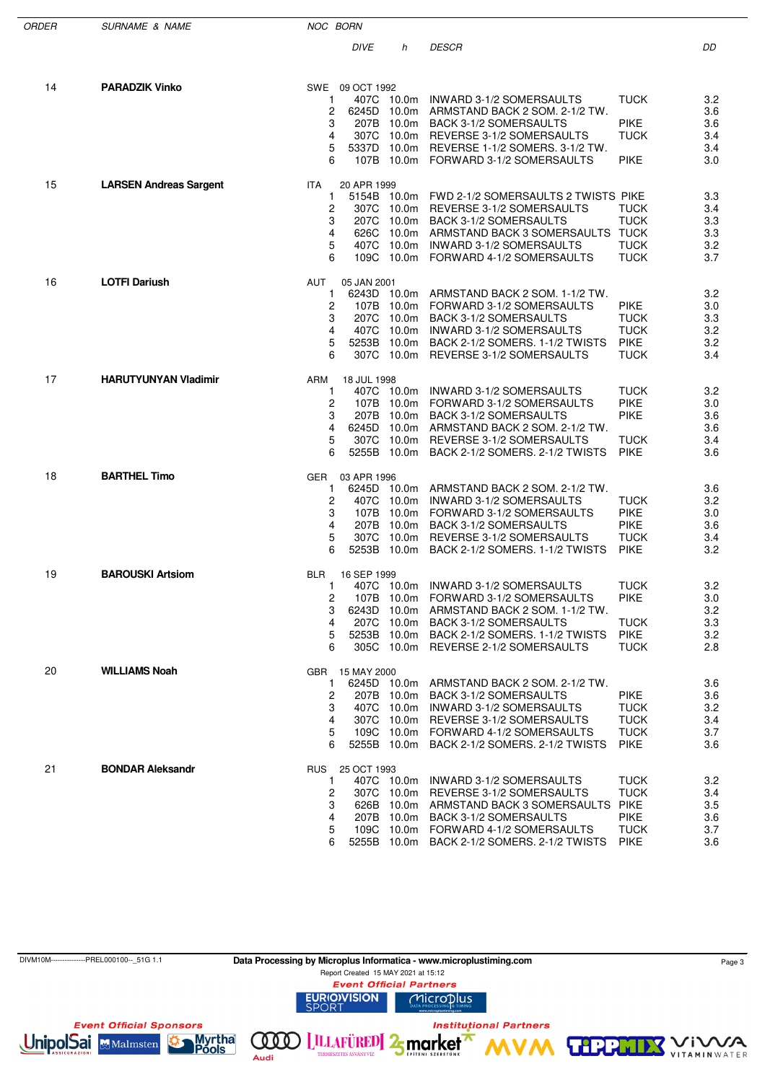| ORDER | <b>SURNAME &amp; NAME</b>     |                     | NOC BORN                  |       |                                                                                         |                            |            |
|-------|-------------------------------|---------------------|---------------------------|-------|-----------------------------------------------------------------------------------------|----------------------------|------------|
|       |                               |                     | DIVE                      | h     | <b>DESCR</b>                                                                            |                            | DD         |
| 14    | <b>PARADZIK Vinko</b>         |                     | SWE 09 OCT 1992           |       |                                                                                         |                            |            |
|       |                               | 1<br>2              | 407C 10.0m<br>6245D 10.0m |       | INWARD 3-1/2 SOMERSAULTS<br>ARMSTAND BACK 2 SOM. 2-1/2 TW.                              | <b>TUCK</b>                | 3.2<br>3.6 |
|       |                               | 3                   |                           |       | 207B 10.0m BACK 3-1/2 SOMERSAULTS                                                       | <b>PIKE</b>                | 3.6        |
|       |                               | 4<br>5              |                           |       | 307C 10.0m REVERSE 3-1/2 SOMERSAULTS<br>5337D 10.0m REVERSE 1-1/2 SOMERS. 3-1/2 TW.     | <b>TUCK</b>                | 3.4<br>3.4 |
|       |                               | 6                   |                           |       | 107B 10.0m FORWARD 3-1/2 SOMERSAULTS                                                    | <b>PIKE</b>                | 3.0        |
| 15    | <b>LARSEN Andreas Sargent</b> | ITA                 | 20 APR 1999               |       |                                                                                         |                            |            |
|       |                               | 1<br>$\overline{c}$ |                           |       | 5154B 10.0m FWD 2-1/2 SOMERSAULTS 2 TWISTS PIKE<br>307C 10.0m REVERSE 3-1/2 SOMERSAULTS | <b>TUCK</b>                | 3.3<br>3.4 |
|       |                               | 3                   | 207C                      | 10.0m | BACK 3-1/2 SOMERSAULTS                                                                  | <b>TUCK</b>                | 3.3        |
|       |                               | $\overline{4}$      |                           |       | 626C 10.0m ARMSTAND BACK 3 SOMERSAULTS TUCK                                             |                            | 3.3        |
|       |                               | 5                   |                           |       | 407C 10.0m INWARD 3-1/2 SOMERSAULTS                                                     | <b>TUCK</b>                | 3.2        |
|       |                               | 6                   |                           |       | 109C 10.0m FORWARD 4-1/2 SOMERSAULTS                                                    | <b>TUCK</b>                | 3.7        |
| 16    | <b>LOTFI Dariush</b>          | AUT<br>1            | 05 JAN 2001               |       | 6243D 10.0m ARMSTAND BACK 2 SOM. 1-1/2 TW.                                              |                            | 3.2        |
|       |                               | 2                   |                           |       | 107B 10.0m FORWARD 3-1/2 SOMERSAULTS                                                    | <b>PIKE</b>                | 3.0        |
|       |                               | 3                   |                           |       | 207C 10.0m BACK 3-1/2 SOMERSAULTS                                                       | <b>TUCK</b>                | 3.3        |
|       |                               | 4<br>5              | 5253B 10.0m               |       | 407C 10.0m INWARD 3-1/2 SOMERSAULTS<br>BACK 2-1/2 SOMERS. 1-1/2 TWISTS                  | <b>TUCK</b><br><b>PIKE</b> | 3.2<br>3.2 |
|       |                               | 6                   |                           |       | 307C 10.0m REVERSE 3-1/2 SOMERSAULTS                                                    | <b>TUCK</b>                | 3.4        |
| 17    | <b>HARUTYUNYAN Vladimir</b>   | ARM                 | 18 JUL 1998               |       |                                                                                         |                            |            |
|       |                               | 1<br>$\overline{2}$ |                           |       | 407C 10.0m INWARD 3-1/2 SOMERSAULTS<br>107B 10.0m FORWARD 3-1/2 SOMERSAULTS             | <b>TUCK</b><br><b>PIKE</b> | 3.2        |
|       |                               | 3                   |                           |       | 207B 10.0m BACK 3-1/2 SOMERSAULTS                                                       | <b>PIKE</b>                | 3.0<br>3.6 |
|       |                               | 4                   |                           |       | 6245D 10.0m ARMSTAND BACK 2 SOM. 2-1/2 TW.                                              |                            | 3.6        |
|       |                               | 5                   |                           |       | 307C 10.0m REVERSE 3-1/2 SOMERSAULTS                                                    | <b>TUCK</b>                | 3.4        |
|       |                               | 6                   |                           |       | 5255B 10.0m BACK 2-1/2 SOMERS. 2-1/2 TWISTS                                             | <b>PIKE</b>                | 3.6        |
| 18    | <b>BARTHEL Timo</b>           |                     | GER 03 APR 1996           |       |                                                                                         |                            |            |
|       |                               | 1<br>2              | 407C 10.0m                |       | 6245D 10.0m ARMSTAND BACK 2 SOM. 2-1/2 TW.<br>INWARD 3-1/2 SOMERSAULTS                  | <b>TUCK</b>                | 3.6<br>3.2 |
|       |                               | 3                   | 107B 10.0m                |       | FORWARD 3-1/2 SOMERSAULTS                                                               | <b>PIKE</b>                | 3.0        |
|       |                               | 4                   |                           |       | 207B 10.0m BACK 3-1/2 SOMERSAULTS                                                       | <b>PIKE</b>                | 3.6        |
|       |                               | 5<br>6              | 307C                      | 10.0m | REVERSE 3-1/2 SOMERSAULTS<br>5253B 10.0m BACK 2-1/2 SOMERS. 1-1/2 TWISTS                | <b>TUCK</b><br><b>PIKE</b> | 3.4<br>3.2 |
| 19    | <b>BAROUSKI Artsiom</b>       | <b>BLR</b>          | 16 SEP 1999               |       |                                                                                         |                            |            |
|       |                               | 1                   |                           |       | 407C 10.0m INWARD 3-1/2 SOMERSAULTS                                                     | <b>TUCK</b>                | 3.2        |
|       |                               | 2                   |                           |       | 107B 10.0m FORWARD 3-1/2 SOMERSAULTS                                                    | <b>PIKE</b>                | 3.0        |
|       |                               | 3<br>4              |                           |       | 6243D 10.0m ARMSTAND BACK 2 SOM, 1-1/2 TW.<br>207C 10.0m BACK 3-1/2 SOMERSAULTS         | <b>TUCK</b>                | 3.2<br>3.3 |
|       |                               | 5                   |                           |       | 5253B 10.0m BACK 2-1/2 SOMERS. 1-1/2 TWISTS                                             | <b>PIKE</b>                | 3.2        |
|       |                               | 6                   |                           |       | 305C 10.0m REVERSE 2-1/2 SOMERSAULTS                                                    | <b>TUCK</b>                | 2.8        |
| 20    | <b>WILLIAMS Noah</b>          |                     | GBR 15 MAY 2000           |       |                                                                                         |                            |            |
|       |                               | 1<br>2              |                           |       | 6245D 10.0m ARMSTAND BACK 2 SOM. 2-1/2 TW.<br>207B 10.0m BACK 3-1/2 SOMERSAULTS         | <b>PIKE</b>                | 3.6<br>3.6 |
|       |                               | 3                   |                           |       | 407C 10.0m INWARD 3-1/2 SOMERSAULTS                                                     | <b>TUCK</b>                | 3.2        |
|       |                               | 4                   |                           |       | 307C 10.0m REVERSE 3-1/2 SOMERSAULTS                                                    | <b>TUCK</b>                | 3.4        |
|       |                               | 5<br>6              |                           |       | 109C 10.0m FORWARD 4-1/2 SOMERSAULTS<br>5255B 10.0m BACK 2-1/2 SOMERS, 2-1/2 TWISTS     | <b>TUCK</b><br><b>PIKE</b> | 3.7<br>3.6 |
|       |                               |                     |                           |       |                                                                                         |                            |            |
| 21    | <b>BONDAR Aleksandr</b>       | 1                   | RUS 25 OCT 1993           |       | 407C 10.0m INWARD 3-1/2 SOMERSAULTS                                                     | <b>TUCK</b>                | 3.2        |
|       |                               | 2                   | 307C 10.0m                |       | REVERSE 3-1/2 SOMERSAULTS                                                               | <b>TUCK</b>                | 3.4        |
|       |                               | 3                   |                           |       | 626B 10.0m ARMSTAND BACK 3 SOMERSAULTS                                                  | <b>PIKE</b>                | 3.5        |
|       |                               | 4                   |                           |       | 207B 10.0m BACK 3-1/2 SOMERSAULTS                                                       | <b>PIKE</b>                | 3.6        |
|       |                               | 5<br>6              |                           |       | 109C 10.0m FORWARD 4-1/2 SOMERSAULTS<br>5255B 10.0m BACK 2-1/2 SOMERS. 2-1/2 TWISTS     | <b>TUCK</b><br>PIKE        | 3.7<br>3.6 |
|       |                               |                     |                           |       |                                                                                         |                            |            |

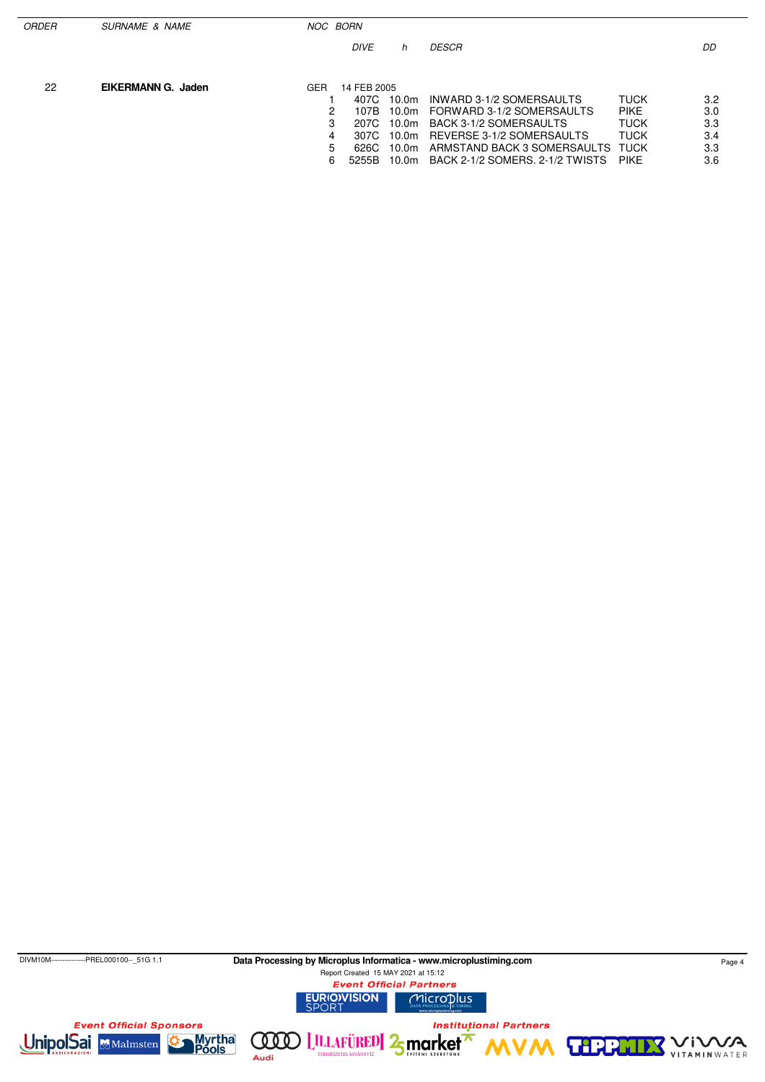| <b>ORDER</b> | <b>SURNAME &amp; NAME</b> |            | NOC BORN    |                   |                                       |             |     |
|--------------|---------------------------|------------|-------------|-------------------|---------------------------------------|-------------|-----|
|              |                           |            | <b>DIVE</b> | h                 | <i>DESCR</i>                          |             | DD  |
| 22           | EIKERMANN G. Jaden        | <b>GER</b> | 14 FEB 2005 |                   |                                       |             |     |
|              |                           |            | 407C        | 10.0m             | INWARD 3-1/2 SOMERSAULTS              | <b>TUCK</b> | 3.2 |
|              |                           | 2          | 107B        | 10.0m             | FORWARD 3-1/2 SOMERSAULTS             | <b>PIKE</b> | 3.0 |
|              |                           | 3          | 207C -      |                   | 10.0m BACK 3-1/2 SOMERSAULTS          | <b>TUCK</b> | 3.3 |
|              |                           | 4          | 307C        | 10.0m             | REVERSE 3-1/2 SOMERSAULTS             | <b>TUCK</b> | 3.4 |
|              |                           | 5.         | 626C.       | 10.0 <sub>m</sub> | ARMSTAND BACK 3 SOMERSAULTS           | <b>TUCK</b> | 3.3 |
|              |                           | 6.         | 5255B       |                   | 10.0m BACK 2-1/2 SOMERS, 2-1/2 TWISTS | <b>PIKE</b> | 3.6 |

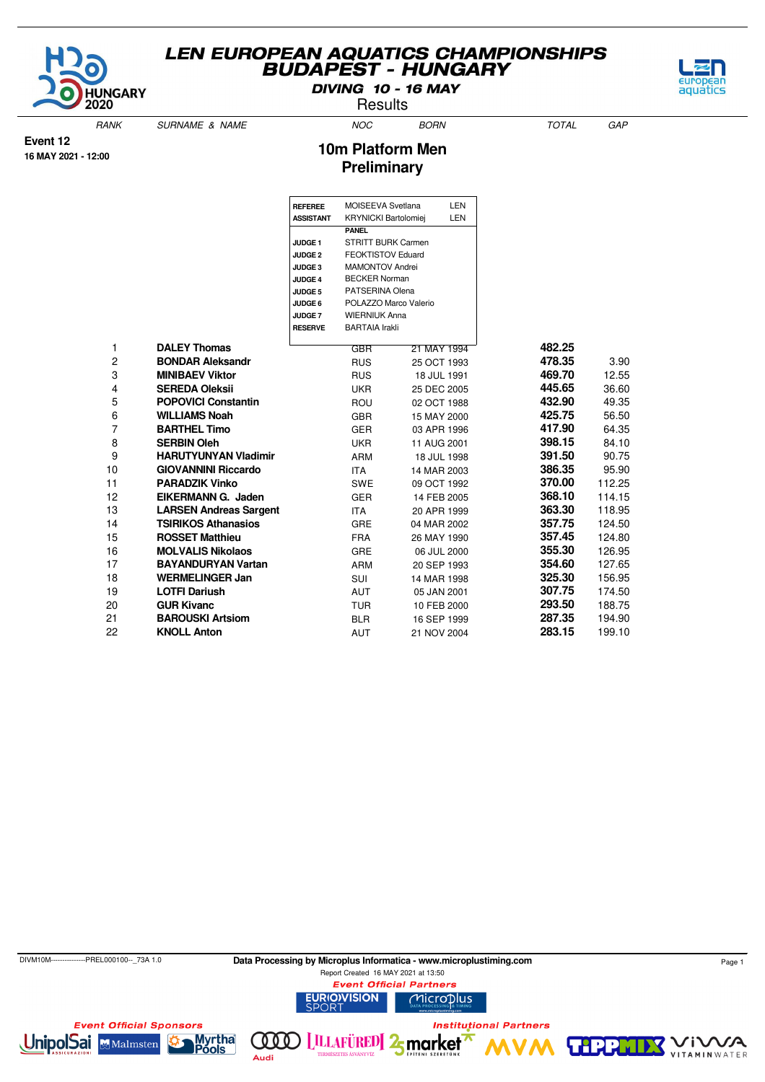

DIVING 10 - 16 MAY

**Results** 

aquatics

RANK SURNAME & NAME NOC BORN TOTAL GAP

**Event 12 16 MAY 2021 - 12:00**

### **10m Platform Men Preliminary**

|                         |                               | <b>REFEREE</b>                   | MOISEEVA Svetlana                       |             | <b>LEN</b> |        |        |
|-------------------------|-------------------------------|----------------------------------|-----------------------------------------|-------------|------------|--------|--------|
|                         |                               | <b>ASSISTANT</b>                 | <b>KRYNICKI Bartolomiej</b>             |             | LEN        |        |        |
|                         |                               |                                  | <b>PANEL</b>                            |             |            |        |        |
|                         |                               | <b>JUDGE 1</b>                   | <b>STRITT BURK Carmen</b>               |             |            |        |        |
|                         |                               | <b>JUDGE 2</b>                   | <b>FEOKTISTOV Eduard</b>                |             |            |        |        |
|                         |                               | JUDGE 3                          | <b>MAMONTOV Andrei</b>                  |             |            |        |        |
|                         |                               | <b>JUDGE 4</b><br><b>JUDGE 5</b> | <b>BECKER Norman</b><br>PATSERINA Olena |             |            |        |        |
|                         |                               | <b>JUDGE 6</b>                   | POLAZZO Marco Valerio                   |             |            |        |        |
|                         |                               | <b>JUDGE 7</b>                   | <b>WIERNIUK Anna</b>                    |             |            |        |        |
|                         |                               | <b>RESERVE</b>                   | <b>BARTAIA Irakli</b>                   |             |            |        |        |
|                         |                               |                                  |                                         |             |            |        |        |
| 1                       | <b>DALEY Thomas</b>           |                                  | <b>GBR</b>                              | 21 MAY 1994 |            | 482.25 |        |
| $\overline{\mathbf{c}}$ | <b>BONDAR Aleksandr</b>       |                                  | <b>RUS</b>                              | 25 OCT 1993 |            | 478.35 | 3.90   |
| 3                       | <b>MINIBAEV Viktor</b>        |                                  | <b>RUS</b>                              | 18 JUL 1991 |            | 469.70 | 12.55  |
| $\overline{\mathbf{4}}$ | <b>SEREDA Oleksii</b>         |                                  | <b>UKR</b>                              | 25 DEC 2005 |            | 445.65 | 36.60  |
| 5                       | <b>POPOVICI Constantin</b>    |                                  | ROU                                     | 02 OCT 1988 |            | 432.90 | 49.35  |
| 6                       | <b>WILLIAMS Noah</b>          |                                  | <b>GBR</b>                              | 15 MAY 2000 |            | 425.75 | 56.50  |
| $\overline{7}$          | <b>BARTHEL Timo</b>           |                                  | <b>GER</b>                              | 03 APR 1996 |            | 417.90 | 64.35  |
| 8                       | <b>SERBIN Oleh</b>            |                                  | <b>UKR</b>                              | 11 AUG 2001 |            | 398.15 | 84.10  |
| 9                       | <b>HARUTYUNYAN Vladimir</b>   |                                  | <b>ARM</b>                              | 18 JUL 1998 |            | 391.50 | 90.75  |
| 10                      | <b>GIOVANNINI Riccardo</b>    |                                  | <b>ITA</b>                              | 14 MAR 2003 |            | 386.35 | 95.90  |
| 11                      | <b>PARADZIK Vinko</b>         |                                  | SWE                                     | 09 OCT 1992 |            | 370.00 | 112.25 |
| 12                      | <b>EIKERMANN G. Jaden</b>     |                                  | <b>GER</b>                              | 14 FEB 2005 |            | 368.10 | 114.15 |
| 13                      | <b>LARSEN Andreas Sargent</b> |                                  | <b>ITA</b>                              | 20 APR 1999 |            | 363.30 | 118.95 |
| 14                      | <b>TSIRIKOS Athanasios</b>    |                                  | <b>GRE</b>                              | 04 MAR 2002 |            | 357.75 | 124.50 |
| 15                      | <b>ROSSET Matthieu</b>        |                                  | <b>FRA</b>                              | 26 MAY 1990 |            | 357.45 | 124.80 |
| 16                      | <b>MOLVALIS Nikolaos</b>      |                                  | <b>GRE</b>                              | 06 JUL 2000 |            | 355.30 | 126.95 |
| 17                      | <b>BAYANDURYAN Vartan</b>     |                                  | <b>ARM</b>                              | 20 SEP 1993 |            | 354.60 | 127.65 |
| 18                      | <b>WERMELINGER Jan</b>        |                                  | <b>SUI</b>                              | 14 MAR 1998 |            | 325.30 | 156.95 |
| 19                      | <b>LOTFI Dariush</b>          |                                  | <b>AUT</b>                              | 05 JAN 2001 |            | 307.75 | 174.50 |
| 20                      | <b>GUR Kivanc</b>             |                                  | <b>TUR</b>                              | 10 FEB 2000 |            | 293.50 | 188.75 |
| 21                      | <b>BAROUSKI Artsiom</b>       |                                  | <b>BLR</b>                              | 16 SEP 1999 |            | 287.35 | 194.90 |
| 22                      | <b>KNOLL Anton</b>            |                                  | <b>AUT</b>                              | 21 NOV 2004 |            | 283.15 | 199.10 |

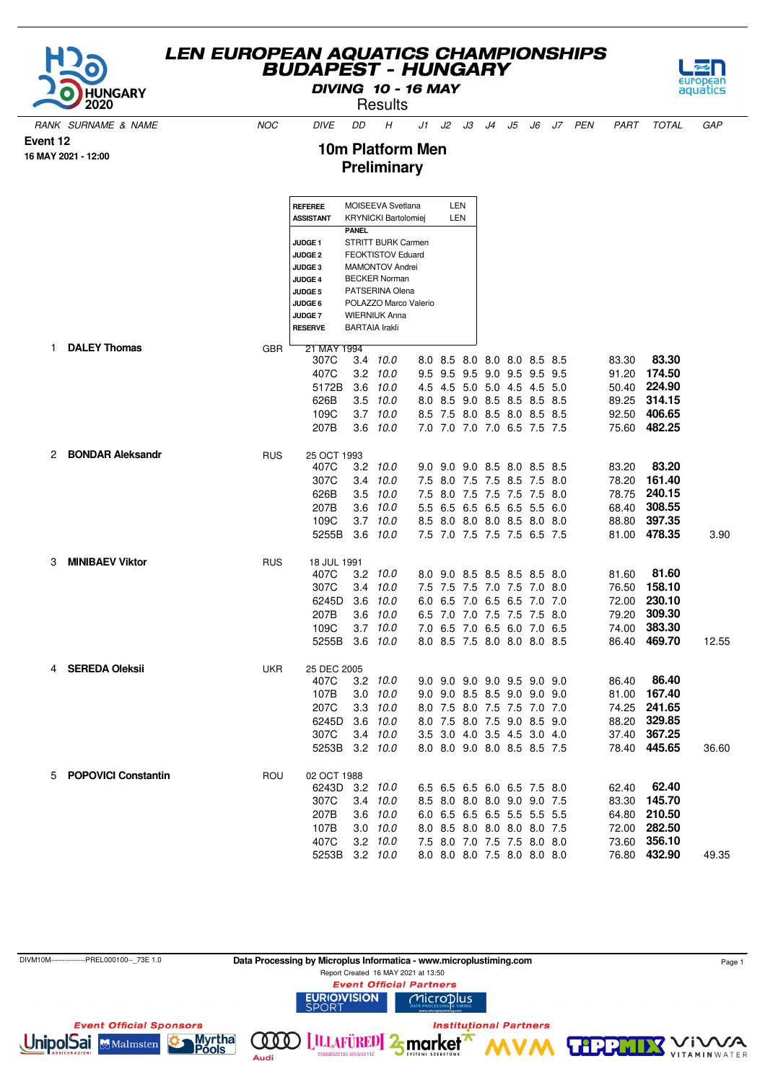



DIVING 10 - 16 MAY

**Results** 

RANK SURNAME & NAME TOTAL GAP NOC DIVE DD H J1 J2 J3 J4 J5 J6 J7 PEN PART TOTAL GAP

**Event 12 16 MAY 2021 - 12:00**

**10m Platform Men Preliminary**

|   |                            |            | <b>REFEREE</b>                           |                       | MOISEEVA Svetlana                                  |                | LEN             |         |                             |     |                 |     |       |        |       |
|---|----------------------------|------------|------------------------------------------|-----------------------|----------------------------------------------------|----------------|-----------------|---------|-----------------------------|-----|-----------------|-----|-------|--------|-------|
|   |                            |            | <b>ASSISTANT</b>                         |                       | <b>KRYNICKI Bartolomiej</b>                        |                | LEN             |         |                             |     |                 |     |       |        |       |
|   |                            |            |                                          | <b>PANEL</b>          |                                                    |                |                 |         |                             |     |                 |     |       |        |       |
|   |                            |            | JUDGE <sub>1</sub>                       |                       | STRITT BURK Carmen                                 |                |                 |         |                             |     |                 |     |       |        |       |
|   |                            |            | JUDGE <sub>2</sub><br>JUDGE <sub>3</sub> |                       | <b>FEOKTISTOV Eduard</b><br><b>MAMONTOV Andrei</b> |                |                 |         |                             |     |                 |     |       |        |       |
|   |                            |            | <b>JUDGE 4</b>                           |                       | <b>BECKER Norman</b>                               |                |                 |         |                             |     |                 |     |       |        |       |
|   |                            |            | JUDGE <sub>5</sub>                       |                       | PATSERINA Olena                                    |                |                 |         |                             |     |                 |     |       |        |       |
|   |                            |            | <b>JUDGE 6</b>                           |                       | POLAZZO Marco Valerio                              |                |                 |         |                             |     |                 |     |       |        |       |
|   |                            |            | JUDGE <sub>7</sub>                       |                       | <b>WIERNIUK Anna</b>                               |                |                 |         |                             |     |                 |     |       |        |       |
|   |                            |            | <b>RESERVE</b>                           | <b>BARTAIA</b> Irakli |                                                    |                |                 |         |                             |     |                 |     |       |        |       |
|   |                            |            |                                          |                       |                                                    |                |                 |         |                             |     |                 |     |       |        |       |
| 1 | <b>DALEY Thomas</b>        | <b>GBR</b> | 21 MAY 1994                              |                       |                                                    |                |                 |         |                             |     |                 |     |       |        |       |
|   |                            |            | 307C                                     | 3.4                   | 10.0                                               |                |                 |         | 8.0 8.5 8.0 8.0 8.0 8.5 8.5 |     |                 |     | 83.30 | 83.30  |       |
|   |                            |            | 407C                                     | 3.2                   | 10.0                                               | 9.5 9.5        |                 | 9.5     | $9.0$ $9.5$                 |     | 9.5 9.5         |     | 91.20 | 174.50 |       |
|   |                            |            | 5172B                                    | 3.6                   | 10.0                                               |                | 4.5 4.5         | 5.0     | 5.0 4.5                     |     | 4.5 5.0         |     | 50.40 | 224.90 |       |
|   |                            |            | 626B                                     |                       | $3.5$ $10.0$                                       | 8.0 8.5        |                 | 9.0 8.5 |                             | 8.5 | 8.5 8.5         |     | 89.25 | 314.15 |       |
|   |                            |            | 109C                                     | 3.7                   | 10.0                                               | 8.5            | 7.5             | 8.0 8.5 |                             | 8.0 | 8.5 8.5         |     | 92.50 | 406.65 |       |
|   |                            |            | 207B                                     | 3.6                   | 10.0                                               |                |                 |         | 7.0 7.0 7.0 7.0 6.5 7.5 7.5 |     |                 |     | 75.60 | 482.25 |       |
| 2 | <b>BONDAR Aleksandr</b>    | <b>RUS</b> | 25 OCT 1993                              |                       |                                                    |                |                 |         |                             |     |                 |     |       |        |       |
|   |                            |            | 407C                                     |                       | $3.2$ $10.0$                                       |                |                 |         | 9.0 9.0 9.0 8.5 8.0 8.5 8.5 |     |                 |     | 83.20 | 83.20  |       |
|   |                            |            | 307C                                     | 3.4                   | 10.0                                               |                | 7.5 8.0 7.5 7.5 |         |                             | 8.5 | $7.5$ 8.0       |     | 78.20 | 161.40 |       |
|   |                            |            | 626B                                     | 3.5                   | 10.0                                               | 7.5            | 8.0             | 7.5     | 7.5                         | 7.5 | $7.5$ 8.0       |     | 78.75 | 240.15 |       |
|   |                            |            | 207B                                     |                       | $3.6$ $10.0$                                       | 5.5            | 6.5             | 6.5 6.5 |                             | 6.5 | $5.5\;6.0$      |     | 68.40 | 308.55 |       |
|   |                            |            | 109C                                     | 3.7                   | 10.0                                               | 8.5            | 8.0             |         | 8.0 8.0 8.5                 |     | $8.0\;8.0$      |     | 88.80 | 397.35 |       |
|   |                            |            | 5255B                                    | 3.6                   | 10.0                                               | 7.5            | 7.0 7.5 7.5     |         |                             | 7.5 | 6.5 7.5         |     | 81.00 | 478.35 | 3.90  |
| 3 | <b>MINIBAEV Viktor</b>     | <b>RUS</b> | 18 JUL 1991                              |                       |                                                    |                |                 |         |                             |     |                 |     |       |        |       |
|   |                            |            | 407C                                     |                       | $3.2$ $10.0$                                       |                |                 |         | 8.0 9.0 8.5 8.5 8.5 8.5 8.0 |     |                 |     | 81.60 | 81.60  |       |
|   |                            |            | 307C                                     | 3.4                   | 10.0                                               | 7.5 7.5        |                 |         | 7.5 7.0 7.5                 |     | 7.0 8.0         |     | 76.50 | 158.10 |       |
|   |                            |            | 6245D                                    | 3.6                   | 10.0                                               |                | 6.0 6.5         | 7.0     | 6.5                         | 6.5 | 7.0 7.0         |     | 72.00 | 230.10 |       |
|   |                            |            | 207B                                     |                       | 3.6 10.0                                           |                | 6.5 7.0         | 7.0 7.5 |                             |     | 7.5 7.5 8.0     |     | 79.20 | 309.30 |       |
|   |                            |            | 109C                                     | 3.7                   | 10.0                                               |                | 6.5             | 7.0     | 6.5                         | 6.0 | 7.0             | 6.5 |       | 383.30 |       |
|   |                            |            | 5255B                                    | 3.6                   | 10.0                                               | 7.0            |                 |         |                             |     |                 |     | 74.00 | 469.70 | 12.55 |
|   |                            |            |                                          |                       |                                                    | 8.0            |                 |         | 8.5 7.5 8.0 8.0 8.0 8.5     |     |                 |     | 86.40 |        |       |
| 4 | <b>SEREDA Oleksii</b>      | <b>UKR</b> | 25 DEC 2005                              |                       |                                                    |                |                 |         |                             |     |                 |     |       |        |       |
|   |                            |            | 407C                                     | 3.2                   | 10.0                                               |                |                 |         | 9.0 9.0 9.0 9.0 9.5         |     | 9.0 9.0         |     | 86.40 | 86.40  |       |
|   |                            |            | 107B                                     | 3.0                   | 10.0                                               |                | 9.0 9.0 8.5 8.5 |         |                             | 9.0 | $9.0$ $9.0$     |     | 81.00 | 167.40 |       |
|   |                            |            | 207C                                     | 3.3                   | 10.0                                               |                | 8.0 7.5         | 8.0 7.5 |                             | 7.5 | 7.0 7.0         |     | 74.25 | 241.65 |       |
|   |                            |            | 6245D                                    | 3.6                   | 10.0                                               | 8.0 7.5        |                 | 8.0 7.5 |                             |     | $9.0$ 8.5 $9.0$ |     | 88.20 | 329.85 |       |
|   |                            |            | 307C                                     | 3.4                   | 10.0                                               | 3.5            | 3.0             | 4.0 3.5 |                             | 4.5 | $3.0\quad 4.0$  |     | 37.40 | 367.25 |       |
|   |                            |            | 5253B                                    |                       | $3.2$ $10.0$                                       |                |                 |         | 8.0 8.0 9.0 8.0 8.5 8.5 7.5 |     |                 |     | 78.40 | 445.65 | 36.60 |
| 5 | <b>POPOVICI Constantin</b> | ROU        | 02 OCT 1988                              |                       |                                                    |                |                 |         |                             |     |                 |     |       |        |       |
|   |                            |            | 6243D                                    | 3.2                   | 10.0                                               |                | 6.5 6.5         |         | 6.5 6.0 6.5                 |     | 7.5 8.0         |     | 62.40 | 62.40  |       |
|   |                            |            | 307C                                     | 3.4                   | 10.0                                               |                |                 |         | 8.5 8.0 8.0 8.0 9.0 9.0 7.5 |     |                 |     | 83.30 | 145.70 |       |
|   |                            |            | 207B                                     | 3.6                   | 10.0                                               | $6.0\quad 6.5$ |                 | 6.5     | 6.5                         | 5.5 | 5.5 5.5         |     | 64.80 | 210.50 |       |
|   |                            |            | 107B                                     | 3.0                   | 10.0                                               | 8.0 8.5        |                 |         | 8.0 8.0 8.0 8.0 7.5         |     |                 |     | 72.00 | 282.50 |       |
|   |                            |            | 407C                                     | 3.2                   | 10.0                                               | 7.5            | 8.0             | 7.0 7.5 |                             | 7.5 | $8.0\;8.0$      |     | 73.60 | 356.10 |       |
|   |                            |            | 5253B                                    |                       | $3.2$ $10.0$                                       |                |                 |         |                             |     |                 |     |       | 432.90 |       |
|   |                            |            |                                          |                       |                                                    |                |                 |         | 8.0 8.0 8.0 7.5 8.0 8.0 8.0 |     |                 |     | 76.80 |        | 49.35 |

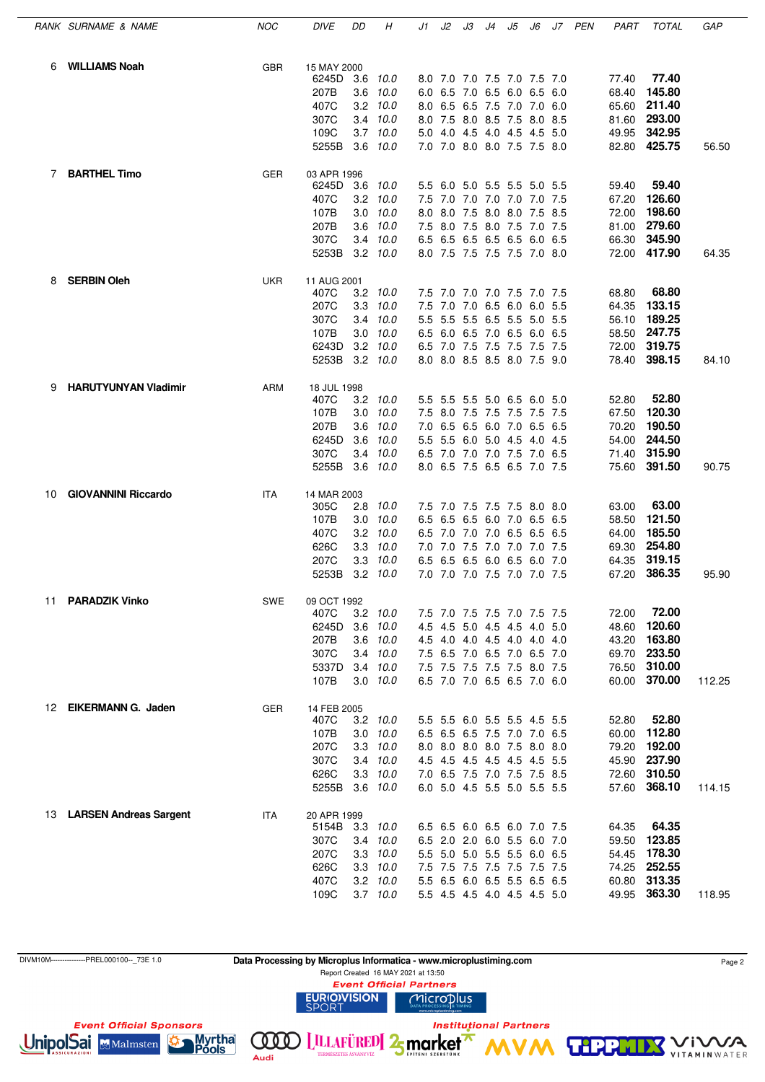|    | RANK SURNAME & NAME           | <b>NOC</b> | <b>DIVE</b>                                                            | DD | Η                                                                                                | J1                    | J2 | JЗ | J4              | J5 | J6                                                                                                                                                                                     | J7 PEN | PART                                               | <b>TOTAL</b>                                                        | GAP    |
|----|-------------------------------|------------|------------------------------------------------------------------------|----|--------------------------------------------------------------------------------------------------|-----------------------|----|----|-----------------|----|----------------------------------------------------------------------------------------------------------------------------------------------------------------------------------------|--------|----------------------------------------------------|---------------------------------------------------------------------|--------|
| 6  | <b>WILLIAMS Noah</b>          | <b>GBR</b> | 15 MAY 2000<br>6245D 3.6 10.0<br>207B<br>407C<br>307C<br>109C<br>5255B |    | 3.6 10.0<br>$3.2$ $10.0$<br>$3.4$ $10.0$<br>$3.7$ $10.0$<br>$3.6$ $10.0$                         |                       |    |    |                 |    | 8.0 7.0 7.0 7.5 7.0 7.5 7.0<br>6.0 6.5 7.0 6.5 6.0 6.5 6.0<br>8.0 6.5 6.5 7.5 7.0 7.0 6.0<br>8.0 7.5 8.0 8.5 7.5 8.0 8.5<br>5.0 4.0 4.5 4.0 4.5 4.5 5.0<br>7.0 7.0 8.0 8.0 7.5 7.5 8.0 |        | 77.40<br>68.40<br>65.60<br>81.60<br>49.95<br>82.80 | 77.40<br>145.80<br>211.40<br>293.00<br>342.95<br>425.75             | 56.50  |
| 7  | <b>BARTHEL Timo</b>           | <b>GER</b> | 03 APR 1996<br>6245D 3.6 10.0<br>407C<br>107B<br>207B<br>307C<br>5253B |    | $3.2$ $10.0$<br>$3.0$ $10.0$<br>$3.6$ $10.0$<br>$3.4$ $10.0$<br>$3.2$ $10.0$                     | 8.0                   |    |    | 8.0 7.5 8.0 8.0 |    | 5.5 6.0 5.0 5.5 5.5 5.0 5.5<br>7.5 7.0 7.0 7.0 7.0 7.0 7.5<br>7.5 8.5<br>7.5 8.0 7.5 8.0 7.5 7.0 7.5<br>6.5 6.5 6.5 6.5 6.5 6.0 6.5<br>8.0 7.5 7.5 7.5 7.5 7.0 8.0                     |        | 59.40<br>67.20<br>72.00<br>81.00<br>66.30<br>72.00 | 59.40<br>126.60<br>198.60<br>279.60<br>345.90<br>417.90             | 64.35  |
| 8  | <b>SERBIN Oleh</b>            | <b>UKR</b> | 11 AUG 2001<br>407C<br>207C<br>307C<br>107B<br>6243D<br>5253B          |    | $3.2 \quad 10.0$<br>$3.3$ $10.0$<br>$3.4$ $10.0$<br>$3.0$ $10.0$<br>$3.2$ $10.0$<br>$3.2$ $10.0$ | 7.5<br>5.5            |    |    |                 |    | 7.5 7.0 7.0 7.0 7.5 7.0 7.5<br>7.0 7.0 6.5 6.0 6.0 5.5<br>5.5 5.5 6.5 5.5 5.0 5.5<br>6.5 6.0 6.5 7.0 6.5 6.0 6.5<br>6.5 7.0 7.5 7.5 7.5 7.5 7.5<br>8.0 8.0 8.5 8.5 8.0 7.5 9.0         |        | 68.80<br>64.35<br>56.10<br>72.00<br>78.40          | 68.80<br>133.15<br>189.25<br>58.50 247.75<br>319.75<br>398.15       | 84.10  |
| 9  | <b>HARUTYUNYAN Vladimir</b>   | <b>ARM</b> | 18 JUL 1998<br>407C<br>107B<br>207B<br>6245D<br>307C<br>5255B          |    | $3.2$ $10.0$<br>$3.0$ $10.0$<br>$3.6$ $10.0$<br>$3.6$ $10.0$<br>$3.4$ $10.0$<br>$3.6$ $10.0$     | 7.5<br>7.0            |    |    | 8.0 7.5 7.5 7.5 |    | 5.5 5.5 5.5 5.0 6.5 6.0 5.0<br>7.5 7.5<br>6.5 6.5 6.0 7.0 6.5 6.5<br>5.5 5.5 6.0 5.0 4.5 4.0 4.5<br>6.5 7.0 7.0 7.0 7.5 7.0 6.5<br>8.0 6.5 7.5 6.5 6.5 7.0 7.5                         |        | 52.80<br>67.50<br>70.20<br>54.00<br>71.40<br>75.60 | 52.80<br>120.30<br>190.50<br>244.50<br>315.90<br>391.50             | 90.75  |
| 10 | <b>GIOVANNINI Riccardo</b>    | <b>ITA</b> | 14 MAR 2003<br>305C<br>107B<br>407C<br>626C<br>207C<br>5253B           |    | $2.8$ $10.0$<br>$3.0$ $10.0$<br>$3.2$ $10.0$<br>$3.3$ $10.0$<br>$3.3$ $10.0$<br>$3.2$ $10.0$     | 6.5<br>6.5            |    |    |                 |    | 7.5 7.0 7.5 7.5 7.5 8.0 8.0<br>6.5 6.5 6.0 7.0 6.5 6.5<br>6.5 7.0 7.0 7.0 6.5 6.5 6.5<br>7.0 7.0 7.5 7.0 7.0 7.0 7.5<br>6.5 6.5 6.0 6.5 6.0 7.0<br>7.0 7.0 7.0 7.5 7.0 7.0 7.5         |        | 63.00<br>58.50<br>64.00<br>69.30<br>64.35<br>67.20 | 63.00<br>121.50<br>185.50<br>254.80<br>319.15<br>386.35             | 95.90  |
| 11 | <b>PARADZIK Vinko</b>         | SWE        | 09 OCT 1992<br>407C<br>6245D<br>207B<br>307C<br>5337D<br>107B          |    | $3.2$ $10.0$<br>3.6 10.0<br>$3.6$ $10.0$<br>$3.4$ $10.0$<br>3.4 10.0<br>$3.0$ $10.0$             | 7.5                   |    |    |                 |    | 7.5 7.0 7.5 7.5 7.0 7.5 7.5<br>4.5 4.5 5.0 4.5 4.5 4.0 5.0<br>4.5 4.0 4.0 4.5 4.0 4.0 4.0<br>7.5 6.5 7.0 6.5 7.0 6.5 7.0<br>7.5 7.5 7.5 7.5 8.0 7.5<br>6.5 7.0 7.0 6.5 6.5 7.0 6.0     |        | 72.00<br>48.60<br>43.20<br>76.50<br>60.00          | 72.00<br>120.60<br>163.80<br>69.70 233.50<br>310.00<br>370.00       | 112.25 |
| 12 | EIKERMANN G. Jaden            | <b>GER</b> | 14 FEB 2005<br>407C<br>107B<br>207C<br>307C<br>626C<br>5255B 3.6 10.0  |    | $3.2$ $10.0$<br>$3.0$ $10.0$<br>$3.3$ $10.0$<br>3.4 10.0<br>$3.3$ $10.0$                         | 7.0                   |    |    |                 |    | 5.5 5.5 6.0 5.5 5.5 4.5 5.5<br>6.5 6.5 6.5 7.5 7.0 7.0 6.5<br>8.0 8.0 8.0 8.0 7.5 8.0 8.0<br>4.5 4.5 4.5 4.5 4.5 4.5 5.5<br>6.5 7.5 7.0 7.5 7.5 8.5<br>6.0 5.0 4.5 5.5 5.0 5.5 5.5     |        | 52.80<br>60.00<br>79.20<br>57.60                   | 52.80<br>112.80<br>192.00<br>45.90 237.90<br>72.60 310.50<br>368.10 | 114.15 |
| 13 | <b>LARSEN Andreas Sargent</b> | <b>ITA</b> | 20 APR 1999<br>5154B 3.3 10.0<br>307C<br>207C<br>626C<br>407C<br>109C  |    | $3.4$ $10.0$<br>$3.3$ $10.0$<br>$3.3$ $10.0$<br>$3.2$ $10.0$<br>3.7 10.0                         | $5.5\,$<br>7.5<br>5.5 |    |    |                 |    | 6.5 6.5 6.0 6.5 6.0 7.0 7.5<br>6.5 2.0 2.0 6.0 5.5 6.0 7.0<br>5.0 5.0 5.5 5.5 6.0 6.5<br>7.5 7.5 7.5 7.5 7.5 7.5<br>6.5 6.0 6.5 5.5 6.5 6.5<br>5.5 4.5 4.5 4.0 4.5 4.5 5.0             |        | 64.35<br>59.50<br>54.45<br>49.95                   | 64.35<br>123.85<br>178.30<br>74.25 252.55<br>60.80 313.35<br>363.30 | 118.95 |



 $\underset{\text{Audi}}{\text{QQQ}} \underset{\text{The  
classians isosymptotic}}{\text{LILLAFIREDI}} \underset{\text{Bulaxians}}{\text{B}} \underset{\text{Bulaxian}}{\text{maxket}} \dot{\uparrow}$ 

Audi



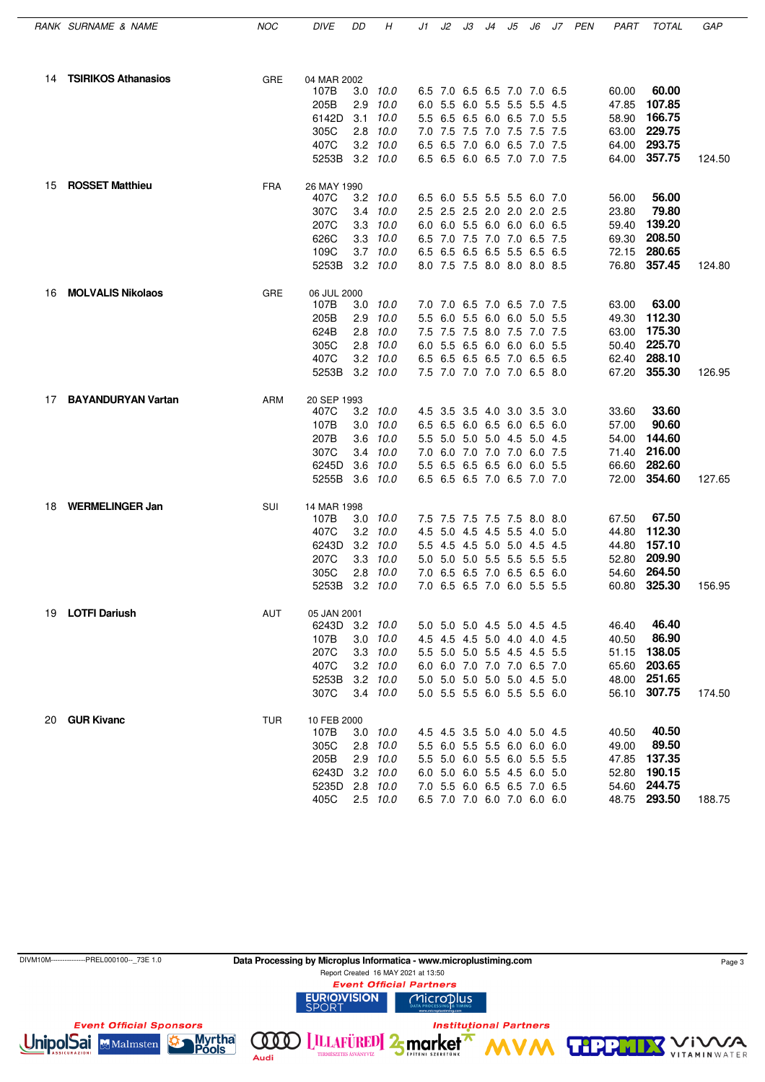|    | RANK SURNAME & NAME        | <b>NOC</b> | <b>DIVE</b>                                                            | DD       | Η                                                                                            | J1                | J2        | JЗ                         | J4                                                                                                                                                                                 | J5         | J6                        | J7    | <b>PEN</b> | PART                                               | TOTAL                                                        | GAP    |
|----|----------------------------|------------|------------------------------------------------------------------------|----------|----------------------------------------------------------------------------------------------|-------------------|-----------|----------------------------|------------------------------------------------------------------------------------------------------------------------------------------------------------------------------------|------------|---------------------------|-------|------------|----------------------------------------------------|--------------------------------------------------------------|--------|
| 14 | <b>TSIRIKOS Athanasios</b> | GRE        | 04 MAR 2002<br>107B<br>205B<br>6142D<br>305C<br>407C<br>5253B          |          | 3.0 10.0<br>$2.9$ $10.0$<br>$3.1$ $10.0$<br>$2.8$ $10.0$<br>$3.2$ $10.0$<br>$3.2$ $10.0$     | 5.5<br>6.5        | $6.0$ 5.5 | 6.0 5.5                    | 6.5 7.0 6.5 6.5 7.0 7.0 6.5<br>6.5 6.5 6.0 6.5<br>7.0 7.5 7.5 7.0 7.5 7.5 7.5<br>6.5 7.0 6.0 6.5 7.0 7.5<br>6.5 6.5 6.0 6.5 7.0 7.0 7.5                                            | 5.5        | 5.5<br>7.0 5.5            | -4.5  |            | 60.00<br>47.85<br>58.90<br>63.00<br>64.00<br>64.00 | 60.00<br>107.85<br>166.75<br>229.75<br>293.75<br>357.75      | 124.50 |
| 15 | <b>ROSSET Matthieu</b>     | <b>FRA</b> | 26 MAY 1990<br>407C<br>307C<br>207C<br>626C<br>109C<br>5253B           |          | $3.2$ $10.0$<br>$3.4$ $10.0$<br>$3.3$ $10.0$<br>$3.3$ $10.0$<br>$3.7$ $10.0$<br>$3.2$ $10.0$ | 2.5<br>6.0        |           |                            | 6.5 6.0 5.5 5.5 5.5 6.0 7.0<br>2.5 2.5 2.0 2.0 2.0 2.5<br>6.0 5.5 6.0 6.0 6.0 6.5<br>6.5 7.0 7.5 7.0 7.0 6.5 7.5<br>6.5 6.5 6.5 6.5 5.5 6.5 6.5<br>8.0 7.5 7.5 8.0 8.0 8.0 8.5     |            |                           |       |            | 56.00<br>23.80<br>59.40<br>69.30<br>72.15<br>76.80 | 56.00<br>79.80<br>139.20<br>208.50<br>280.65<br>357.45       | 124.80 |
| 16 | <b>MOLVALIS Nikolaos</b>   | GRE        | 06 JUL 2000<br>107B<br>205B<br>624B<br>305C<br>407C<br>5253B           |          | $3.0$ $10.0$<br>$2.9$ $10.0$<br>$2.8$ $10.0$<br>$2.8$ $10.0$<br>$3.2$ $10.0$<br>$3.2$ $10.0$ | 5.5<br>6.5        | 6.0       |                            | 7.0 7.0 6.5 7.0 6.5 7.0 7.5<br>5.5 6.0 6.0<br>7.5 7.5 7.5 8.0 7.5 7.0 7.5<br>6.0 5.5 6.5 6.0 6.0 6.0 5.5<br>6.5 6.5 6.5 7.0 6.5 6.5<br>7.5 7.0 7.0 7.0 7.0 6.5 8.0                 |            | 5.0                       | 5.5   |            | 63.00<br>49.30<br>63.00<br>50.40<br>62.40<br>67.20 | 63.00<br>112.30<br>175.30<br>225.70<br>288.10<br>355.30      | 126.95 |
| 17 | <b>BAYANDURYAN Vartan</b>  | <b>ARM</b> | 20 SEP 1993<br>407C<br>107B<br>207B<br>307C<br>6245D<br>5255B          | 3.0      | $3.2$ $10.0$<br>10.0<br>$3.6$ $10.0$<br>3.4 10.0<br>$3.6$ $10.0$<br>$3.6$ $10.0$             | 6.5<br>5.5        |           |                            | 4.5 3.5 3.5 4.0 3.0 3.5 3.0<br>6.5 6.0 6.5 6.0 6.5 6.0<br>5.5 5.0 5.0 5.0 4.5 5.0 4.5<br>7.0 6.0 7.0 7.0 7.0 6.0 7.5<br>6.5 6.5 6.5 6.0 6.0 5.5<br>6.5 6.5 6.5 7.0 6.5 7.0 7.0     |            |                           |       |            | 33.60<br>57.00<br>54.00<br>71.40<br>66.60<br>72.00 | 33.60<br>90.60<br>144.60<br>216.00<br>282.60<br>354.60       | 127.65 |
| 18 | <b>WERMELINGER Jan</b>     | <b>SUI</b> | 14 MAR 1998<br>107B<br>407C<br>6243D<br>207C<br>305C<br>5253B          | 2.8      | $3.0$ $10.0$<br>$3.2$ $10.0$<br>$3.2$ $10.0$<br>$3.3$ $10.0$<br>10.0<br>$3.2$ $10.0$         | 4.5<br>5.0<br>7.0 |           | 5.0 5.0 5.5<br>6.5 6.5 7.0 | 7.5 7.5 7.5 7.5 7.5 8.0 8.0<br>5.0 4.5 4.5 5.5<br>5.5 4.5 4.5 5.0 5.0 4.5 4.5<br>7.0 6.5 6.5 7.0 6.0 5.5 5.5                                                                       | 5.5<br>6.5 | 4.0 5.0<br>5.5<br>6.5 6.0 | - 5.5 |            | 67.50<br>44.80<br>44.80<br>52.80<br>54.60<br>60.80 | 67.50<br>112.30<br>157.10<br>209.90<br>264.50<br>325.30      | 156.95 |
| 19 | <b>LOTFI Dariush</b>       | AUT        | 05 JAN 2001<br>6243D 3.2 10.0<br>107B<br>207C<br>407C<br>5253B<br>307C |          | $3.0$ $10.0$<br>$3.3$ $10.0$<br>$3.2$ $10.0$<br>$3.2$ $10.0$<br>$3.4$ $10.0$                 | 6.0               |           |                            | 5.0 5.0 5.0 4.5 5.0 4.5 4.5<br>4.5 4.5 4.5 5.0 4.0 4.0 4.5<br>5.5 5.0 5.0 5.5 4.5 4.5 5.5<br>6.0 7.0 7.0 7.0 6.5 7.0<br>5.0 5.0 5.0 5.0 5.0 4.5 5.0<br>5.0 5.5 5.5 6.0 5.5 5.5 6.0 |            |                           |       |            | 46.40<br>40.50<br>51.15<br>65.60<br>48.00<br>56.10 | 46.40<br>86.90<br>138.05<br>203.65<br>251.65<br>307.75       | 174.50 |
| 20 | <b>GUR Kivanc</b>          | TUR        | 10 FEB 2000<br>107B<br>305C<br>205B<br>6243D<br>5235D<br>405C          | 2.8 10.0 | $3.0$ $10.0$<br>$2.8$ $10.0$<br>$2.9$ $10.0$<br>$3.2$ $10.0$<br>$2.5$ $10.0$                 | 6.0               |           |                            | 4.5 4.5 3.5 5.0 4.0 5.0 4.5<br>5.5 6.0 5.5 5.5 6.0 6.0 6.0<br>5.5 5.0 6.0 5.5 6.0 5.5 5.5<br>5.0 6.0 5.5 4.5 6.0 5.0<br>7.0 5.5 6.0 6.5 6.5 7.0 6.5<br>6.5 7.0 7.0 6.0 7.0 6.0 6.0 |            |                           |       |            | 40.50<br>49.00<br>47.85<br>52.80<br>48.75          | 40.50<br>89.50<br>137.35<br>190.15<br>54.60 244.75<br>293.50 | 188.75 |

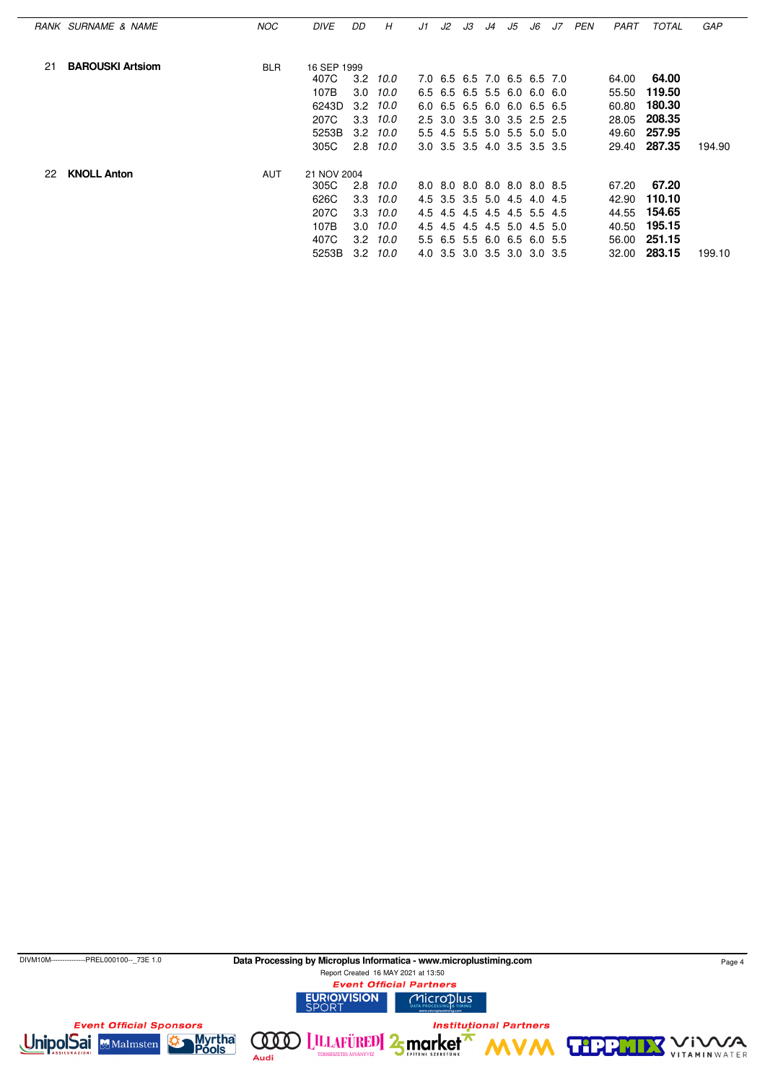|    | RANK SURNAME & NAME     | <b>NOC</b> | <b>DIVE</b> | DD               | Н    | J1 | J2         | JЗ | J4                          | J5 | J6 | J7 | <b>PEN</b> | PART  | <b>TOTAL</b> | GAP    |
|----|-------------------------|------------|-------------|------------------|------|----|------------|----|-----------------------------|----|----|----|------------|-------|--------------|--------|
| 21 | <b>BAROUSKI Artsiom</b> | <b>BLR</b> | 16 SEP 1999 |                  |      |    |            |    |                             |    |    |    |            |       |              |        |
|    |                         |            | 407C        | 3.2              | 10.0 |    |            |    | 7.0 6.5 6.5 7.0 6.5 6.5 7.0 |    |    |    |            | 64.00 | 64.00        |        |
|    |                         |            | 107B        | 3.0              | 10.0 |    |            |    | 6.5 6.5 6.5 5.5 6.0 6.0 6.0 |    |    |    |            | 55.50 | 119.50       |        |
|    |                         |            | 6243D       | 3.2              | 10.0 |    | $6.0\;6.5$ |    | 6.5 6.0 6.0 6.5 6.5         |    |    |    |            | 60.80 | 180.30       |        |
|    |                         |            | 207C        | 3.3 <sup>°</sup> | 10.0 |    |            |    | 2.5 3.0 3.5 3.0 3.5 2.5 2.5 |    |    |    |            | 28.05 | 208.35       |        |
|    |                         |            | 5253B       | 3.2              | 10.0 |    |            |    | 5.5 4.5 5.5 5.0 5.5 5.0 5.0 |    |    |    |            | 49.60 | 257.95       |        |
|    |                         |            | 305C        | 2.8              | 10.0 |    |            |    | 3.0 3.5 3.5 4.0 3.5 3.5 3.5 |    |    |    |            | 29.40 | 287.35       | 194.90 |
| 22 | <b>KNOLL Anton</b>      | <b>AUT</b> | 21 NOV 2004 |                  |      |    |            |    |                             |    |    |    |            |       |              |        |
|    |                         |            | 305C        | 2.8              | 10.0 |    |            |    | 8.0 8.0 8.0 8.0 8.0 8.0 8.5 |    |    |    |            | 67.20 | 67.20        |        |
|    |                         |            | 626C        | 3.3              | 10.0 |    |            |    | 4.5 3.5 3.5 5.0 4.5 4.0 4.5 |    |    |    |            | 42.90 | 110.10       |        |
|    |                         |            | 207C        | 3.3              | 10.0 |    |            |    | 4.5 4.5 4.5 4.5 4.5 5.5 4.5 |    |    |    |            | 44.55 | 154.65       |        |
|    |                         |            | 107B        | 3.0              | 10.0 |    |            |    | 4.5 4.5 4.5 4.5 5.0 4.5 5.0 |    |    |    |            | 40.50 | 195.15       |        |
|    |                         |            | 407C        | 3.2              | 10.0 |    |            |    | 5.5 6.5 5.5 6.0 6.5 6.0 5.5 |    |    |    |            | 56.00 | 251.15       |        |
|    |                         |            | 5253B       | 3.2              | 10.0 |    |            |    | 4.0 3.5 3.0 3.5 3.0 3.0 3.5 |    |    |    |            | 32.00 | 283.15       | 199.10 |

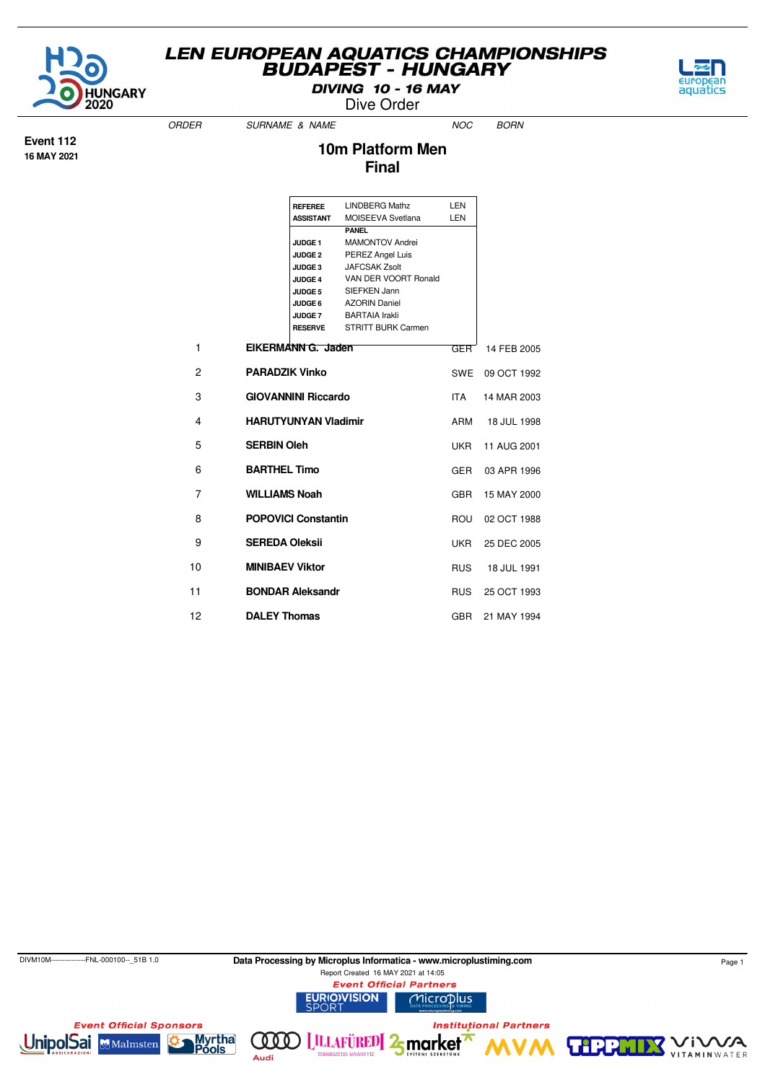

DIVING 10 - 16 MAY

Dive Order

ORDER SURNAME & NAME NOC BORN

aquatics

**Event 112 16 MAY 2021**

**10m Platform Men Final**

|    |                        | <b>REFEREE</b>              | LINDBERG Mathz               | <b>LEN</b> |             |
|----|------------------------|-----------------------------|------------------------------|------------|-------------|
|    |                        | <b>ASSISTANT</b>            | MOISEEVA Svetlana            | LEN        |             |
|    |                        |                             | <b>PANEL</b>                 |            |             |
|    |                        | <b>JUDGE 1</b>              | <b>MAMONTOV Andrei</b>       |            |             |
|    |                        | <b>JUDGE 2</b>              | PEREZ Angel Luis             |            |             |
|    |                        | <b>JUDGE 3</b>              | <b>JAFCSAK Zsolt</b>         |            |             |
|    |                        |                             | JUDGE 4 VAN DER VOORT Ronald |            |             |
|    |                        | <b>JUDGE 5</b>              | SIEFKEN Jann                 |            |             |
|    |                        |                             | JUDGE 6 AZORIN Daniel        |            |             |
|    |                        |                             | JUDGE 7 BARTAIA Irakli       |            |             |
|    |                        |                             | RESERVE STRITT BURK Carmen   |            |             |
| 1  |                        | EIKERMANN G. Jaden          |                              | <b>GER</b> | 14 FEB 2005 |
| 2  | <b>PARADZIK Vinko</b>  |                             |                              | <b>SWE</b> | 09 OCT 1992 |
| 3  |                        | <b>GIOVANNINI Riccardo</b>  |                              | <b>ITA</b> | 14 MAR 2003 |
| 4  |                        | <b>HARUTYUNYAN Vladimir</b> |                              | ARM        | 18 JUL 1998 |
| 5  | <b>SERBIN Oleh</b>     |                             |                              | UKR        | 11 AUG 2001 |
| 6  | <b>BARTHEL Timo</b>    |                             |                              | GER        | 03 APR 1996 |
| 7  | <b>WILLIAMS Noah</b>   |                             |                              | GBR        | 15 MAY 2000 |
| 8  |                        | <b>POPOVICI Constantin</b>  |                              | ROU        | 02 OCT 1988 |
| 9  | <b>SEREDA Oleksii</b>  |                             |                              | UKR        | 25 DEC 2005 |
| 10 | <b>MINIBAEV Viktor</b> |                             |                              | <b>RUS</b> | 18 JUL 1991 |
| 11 |                        | <b>BONDAR Aleksandr</b>     |                              | <b>RUS</b> | 25 OCT 1993 |
| 12 | <b>DALEY Thomas</b>    |                             |                              | <b>GBR</b> | 21 MAY 1994 |

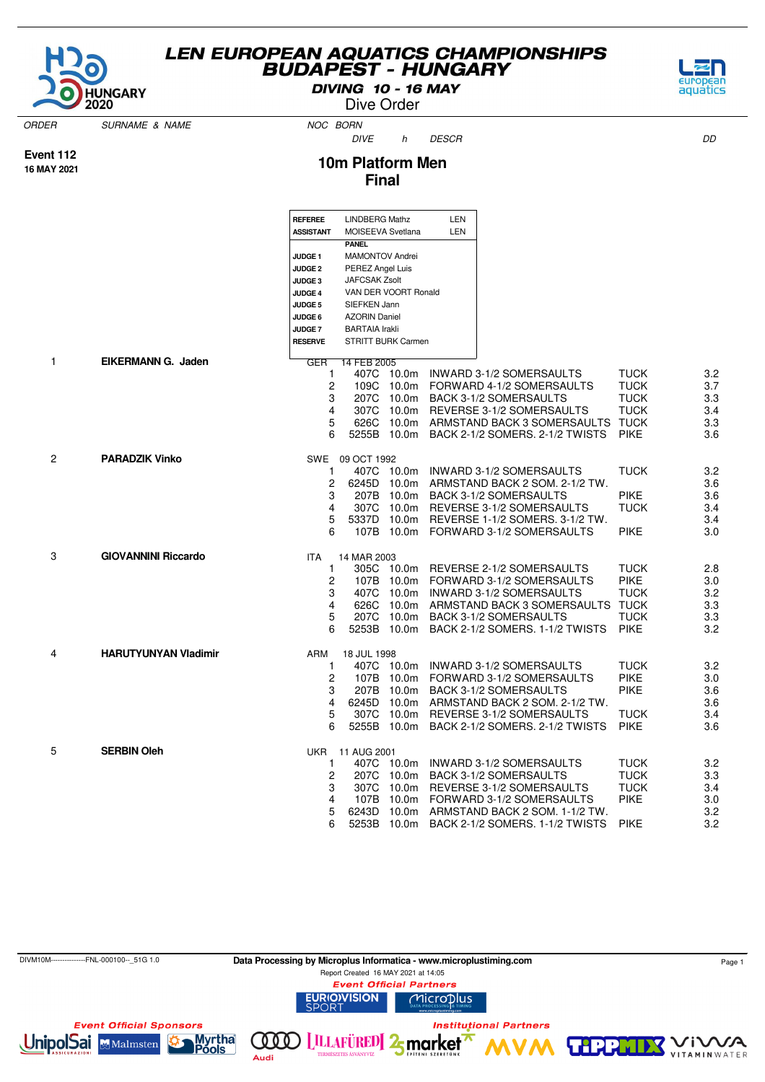

DIVING 10 - 16 MAY

Dive Order



ORDER SURNAME & NAME NOC BORN

**Event 112**

**16 MAY 2021**

DIVE h DESCR DD

#### **10m Platform Men Final**

|   |                             | <b>REFEREE</b><br><b>ASSISTANT</b>                                                                                             | <b>LINDBERG Mathz</b><br>MOISEEVA Svetlana                                                                                                                                                 |                                                                                                         | LEN<br><b>LEN</b> |                                                                                                                                                                                |                                                                                        |                                        |
|---|-----------------------------|--------------------------------------------------------------------------------------------------------------------------------|--------------------------------------------------------------------------------------------------------------------------------------------------------------------------------------------|---------------------------------------------------------------------------------------------------------|-------------------|--------------------------------------------------------------------------------------------------------------------------------------------------------------------------------|----------------------------------------------------------------------------------------|----------------------------------------|
|   |                             | JUDGE 1<br><b>JUDGE 2</b><br>JUDGE 3<br><b>JUDGE 4</b><br><b>JUDGE 5</b><br><b>JUDGE 6</b><br><b>JUDGE 7</b><br><b>RESERVE</b> | <b>PANEL</b><br>MAMONTOV Andrei<br>PEREZ Angel Luis<br><b>JAFCSAK Zsolt</b><br>VAN DER VOORT Ronald<br>SIEFKEN Jann<br><b>AZORIN Daniel</b><br><b>BARTAIA Irakli</b><br>STRITT BURK Carmen |                                                                                                         |                   |                                                                                                                                                                                |                                                                                        |                                        |
| 1 | <b>EIKERMANN G. Jaden</b>   | <b>GER</b>                                                                                                                     | 14 FEB 2005                                                                                                                                                                                |                                                                                                         |                   |                                                                                                                                                                                |                                                                                        |                                        |
|   |                             | $\mathbf{1}$<br>$\overline{c}$<br>3<br>4<br>5<br>6                                                                             | 109C<br>207C<br>307C<br>626C<br>5255B                                                                                                                                                      | 407C 10.0m<br>10.0 <sub>m</sub><br>10.0 <sub>m</sub><br>10.0 <sub>m</sub><br>10.0 <sub>m</sub><br>10.0m |                   | INWARD 3-1/2 SOMERSAULTS<br>FORWARD 4-1/2 SOMERSAULTS<br>BACK 3-1/2 SOMERSAULTS<br>REVERSE 3-1/2 SOMERSAULTS<br>ARMSTAND BACK 3 SOMERSAULTS<br>BACK 2-1/2 SOMERS. 2-1/2 TWISTS | <b>TUCK</b><br><b>TUCK</b><br><b>TUCK</b><br><b>TUCK</b><br><b>TUCK</b><br><b>PIKE</b> | 3.2<br>3.7<br>3.3<br>3.4<br>3.3<br>3.6 |
| 2 | <b>PARADZIK Vinko</b>       |                                                                                                                                | SWE 09 OCT 1992                                                                                                                                                                            |                                                                                                         |                   |                                                                                                                                                                                |                                                                                        |                                        |
|   |                             | 1<br>2                                                                                                                         | 6245D                                                                                                                                                                                      | 407C 10.0m<br>10.0 <sub>m</sub>                                                                         |                   | INWARD 3-1/2 SOMERSAULTS<br>ARMSTAND BACK 2 SOM. 2-1/2 TW.                                                                                                                     | <b>TUCK</b>                                                                            | 3.2<br>3.6                             |
|   |                             | 3                                                                                                                              | 207B                                                                                                                                                                                       | 10.0 <sub>m</sub>                                                                                       |                   | BACK 3-1/2 SOMERSAULTS                                                                                                                                                         | <b>PIKE</b>                                                                            | 3.6                                    |
|   |                             | 4<br>5                                                                                                                         | 307C<br>5337D                                                                                                                                                                              | 10.0 <sub>m</sub><br>10.0 <sub>m</sub>                                                                  |                   | REVERSE 3-1/2 SOMERSAULTS<br>REVERSE 1-1/2 SOMERS. 3-1/2 TW.                                                                                                                   | TUCK                                                                                   | 3.4<br>3.4                             |
|   |                             | 6                                                                                                                              | 107B                                                                                                                                                                                       | 10.0 <sub>m</sub>                                                                                       |                   | FORWARD 3-1/2 SOMERSAULTS                                                                                                                                                      | <b>PIKE</b>                                                                            | 3.0                                    |
| 3 | <b>GIOVANNINI Riccardo</b>  | <b>ITA</b>                                                                                                                     | 14 MAR 2003                                                                                                                                                                                |                                                                                                         |                   |                                                                                                                                                                                |                                                                                        |                                        |
|   |                             | 1                                                                                                                              |                                                                                                                                                                                            | 305C 10.0m                                                                                              |                   | REVERSE 2-1/2 SOMERSAULTS                                                                                                                                                      | <b>TUCK</b>                                                                            | 2.8                                    |
|   |                             | $\overline{c}$<br>3                                                                                                            | 107B<br>407C                                                                                                                                                                               | 10.0m<br>10.0 <sub>m</sub>                                                                              |                   | FORWARD 3-1/2 SOMERSAULTS<br>INWARD 3-1/2 SOMERSAULTS                                                                                                                          | <b>PIKE</b><br><b>TUCK</b>                                                             | 3.0<br>3.2                             |
|   |                             | 4                                                                                                                              | 626C                                                                                                                                                                                       | 10.0 <sub>m</sub>                                                                                       |                   | ARMSTAND BACK 3 SOMERSAULTS                                                                                                                                                    | <b>TUCK</b>                                                                            | 3.3                                    |
|   |                             | 5                                                                                                                              | 207C                                                                                                                                                                                       | 10.0 <sub>m</sub>                                                                                       |                   | BACK 3-1/2 SOMERSAULTS                                                                                                                                                         | <b>TUCK</b>                                                                            | 3.3                                    |
|   |                             | 6                                                                                                                              | 5253B                                                                                                                                                                                      | 10.0m                                                                                                   |                   | BACK 2-1/2 SOMERS. 1-1/2 TWISTS                                                                                                                                                | <b>PIKE</b>                                                                            | 3.2                                    |
| 4 | <b>HARUTYUNYAN Vladimir</b> | ARM                                                                                                                            | 18 JUL 1998                                                                                                                                                                                |                                                                                                         |                   |                                                                                                                                                                                |                                                                                        |                                        |
|   |                             | 1<br>$\overline{c}$                                                                                                            | 107B                                                                                                                                                                                       | 407C 10.0m<br>10.0 <sub>m</sub>                                                                         |                   | <b>INWARD 3-1/2 SOMERSAULTS</b><br>FORWARD 3-1/2 SOMERSAULTS                                                                                                                   | <b>TUCK</b><br><b>PIKE</b>                                                             | 3.2<br>3.0                             |
|   |                             | 3                                                                                                                              | 207B                                                                                                                                                                                       | 10.0 <sub>m</sub>                                                                                       |                   | <b>BACK 3-1/2 SOMERSAULTS</b>                                                                                                                                                  | <b>PIKE</b>                                                                            | 3.6                                    |
|   |                             | 4                                                                                                                              | 6245D                                                                                                                                                                                      | 10.0 <sub>m</sub>                                                                                       |                   | ARMSTAND BACK 2 SOM, 2-1/2 TW.                                                                                                                                                 |                                                                                        | 3.6                                    |
|   |                             | 5                                                                                                                              | 307C                                                                                                                                                                                       | 10.0 <sub>m</sub>                                                                                       |                   | REVERSE 3-1/2 SOMERSAULTS                                                                                                                                                      | <b>TUCK</b>                                                                            | 3.4                                    |
|   |                             | 6                                                                                                                              | 5255B                                                                                                                                                                                      | 10.0 <sub>m</sub>                                                                                       |                   | BACK 2-1/2 SOMERS. 2-1/2 TWISTS                                                                                                                                                | <b>PIKE</b>                                                                            | 3.6                                    |
| 5 | <b>SERBIN Oleh</b>          |                                                                                                                                | UKR 11 AUG 2001                                                                                                                                                                            |                                                                                                         |                   |                                                                                                                                                                                |                                                                                        |                                        |
|   |                             | 1                                                                                                                              |                                                                                                                                                                                            | 407C 10.0m                                                                                              |                   | INWARD 3-1/2 SOMERSAULTS                                                                                                                                                       | <b>TUCK</b>                                                                            | 3.2                                    |
|   |                             | $\overline{2}$<br>3                                                                                                            | 207C<br>307C                                                                                                                                                                               | 10.0m<br>10.0m                                                                                          |                   | BACK 3-1/2 SOMERSAULTS<br>REVERSE 3-1/2 SOMERSAULTS                                                                                                                            | <b>TUCK</b><br><b>TUCK</b>                                                             | 3.3<br>3.4                             |
|   |                             | 4                                                                                                                              | 107B                                                                                                                                                                                       | 10.0 <sub>m</sub>                                                                                       |                   | FORWARD 3-1/2 SOMERSAULTS                                                                                                                                                      | <b>PIKE</b>                                                                            | 3.0                                    |
|   |                             | 5                                                                                                                              | 6243D                                                                                                                                                                                      | 10.0 <sub>m</sub>                                                                                       |                   | ARMSTAND BACK 2 SOM. 1-1/2 TW.                                                                                                                                                 |                                                                                        | 3.2                                    |
|   |                             | 6                                                                                                                              | 5253B                                                                                                                                                                                      | 10.0 <sub>m</sub>                                                                                       |                   | BACK 2-1/2 SOMERS. 1-1/2 TWISTS                                                                                                                                                | <b>PIKE</b>                                                                            | 3.2                                    |

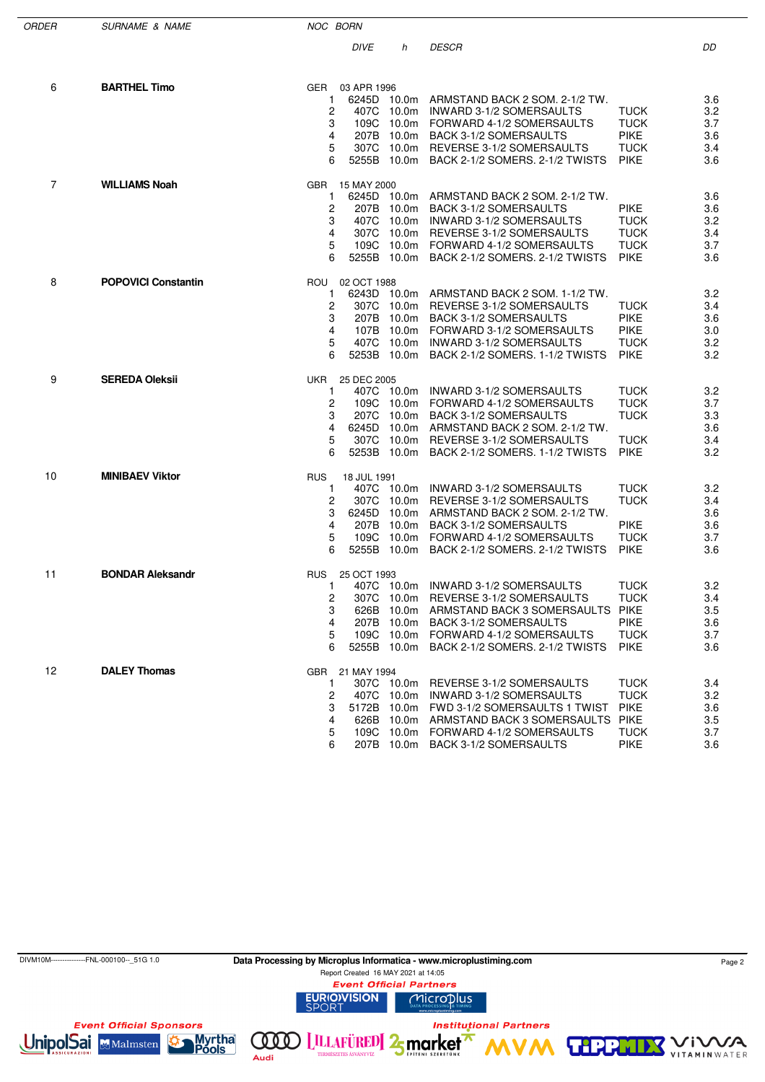| ORDER          | <b>SURNAME &amp; NAME</b>  |            | NOC BORN         |                           |                                                                                     |                            |            |
|----------------|----------------------------|------------|------------------|---------------------------|-------------------------------------------------------------------------------------|----------------------------|------------|
|                |                            |            | <b>DIVE</b>      | h                         | <i>DESCR</i>                                                                        |                            | DD         |
| 6              | <b>BARTHEL Timo</b>        |            | GER 03 APR 1996  |                           |                                                                                     |                            |            |
|                |                            |            | 1.               |                           | 6245D 10.0m ARMSTAND BACK 2 SOM. 2-1/2 TW.                                          |                            | 3.6        |
|                |                            | 2<br>3     |                  |                           | 407C 10.0m INWARD 3-1/2 SOMERSAULTS<br>109C 10.0m FORWARD 4-1/2 SOMERSAULTS         | <b>TUCK</b><br><b>TUCK</b> | 3.2<br>3.7 |
|                |                            | 4          |                  |                           | 207B 10.0m BACK 3-1/2 SOMERSAULTS                                                   | <b>PIKE</b>                | 3.6        |
|                |                            | 5          |                  |                           | 307C 10.0m REVERSE 3-1/2 SOMERSAULTS                                                | <b>TUCK</b>                | 3.4        |
|                |                            | 6          |                  |                           | 5255B 10.0m BACK 2-1/2 SOMERS, 2-1/2 TWISTS                                         | <b>PIKE</b>                | 3.6        |
| $\overline{7}$ | <b>WILLIAMS Noah</b>       |            | GBR 15 MAY 2000  |                           |                                                                                     |                            |            |
|                |                            |            | 1                |                           | 6245D 10.0m ARMSTAND BACK 2 SOM, 2-1/2 TW.                                          |                            | 3.6        |
|                |                            |            | 2                |                           | 207B 10.0m BACK 3-1/2 SOMERSAULTS                                                   | <b>PIKE</b>                | 3.6        |
|                |                            | 3          |                  |                           | 407C 10.0m INWARD 3-1/2 SOMERSAULTS<br>307C 10.0m REVERSE 3-1/2 SOMERSAULTS         | <b>TUCK</b><br><b>TUCK</b> | 3.2        |
|                |                            |            | 4<br>5           |                           | 109C 10.0m FORWARD 4-1/2 SOMERSAULTS                                                | <b>TUCK</b>                | 3.4<br>3.7 |
|                |                            | 6          |                  |                           | 5255B 10.0m BACK 2-1/2 SOMERS. 2-1/2 TWISTS                                         | <b>PIKE</b>                | 3.6        |
| 8              | <b>POPOVICI Constantin</b> |            | ROU 02 OCT 1988  |                           |                                                                                     |                            |            |
|                |                            |            | $\mathbf{1}$     |                           | 6243D 10.0m ARMSTAND BACK 2 SOM. 1-1/2 TW.                                          |                            | 3.2        |
|                |                            |            | 2                |                           | 307C 10.0m REVERSE 3-1/2 SOMERSAULTS                                                | <b>TUCK</b>                | 3.4        |
|                |                            |            | 3                |                           | 207B 10.0m BACK 3-1/2 SOMERSAULTS                                                   | <b>PIKE</b>                | 3.6        |
|                |                            | 4          |                  |                           | 107B 10.0m FORWARD 3-1/2 SOMERSAULTS                                                | <b>PIKE</b>                | 3.0        |
|                |                            |            | 5<br>6           |                           | 407C 10.0m INWARD 3-1/2 SOMERSAULTS<br>5253B 10.0m BACK 2-1/2 SOMERS. 1-1/2 TWISTS  | <b>TUCK</b><br><b>PIKE</b> | 3.2<br>3.2 |
| 9              | <b>SEREDA Oleksii</b>      |            | UKR 25 DEC 2005  |                           |                                                                                     |                            |            |
|                |                            |            | 1.               |                           | 407C 10.0m INWARD 3-1/2 SOMERSAULTS                                                 | <b>TUCK</b>                | 3.2        |
|                |                            |            | 2                |                           | 109C 10.0m FORWARD 4-1/2 SOMERSAULTS                                                | <b>TUCK</b>                | 3.7        |
|                |                            | 3          |                  |                           | 207C 10.0m BACK 3-1/2 SOMERSAULTS                                                   | <b>TUCK</b>                | 3.3        |
|                |                            |            | 4                |                           | 6245D 10.0m ARMSTAND BACK 2 SOM. 2-1/2 TW.                                          |                            | 3.6        |
|                |                            | 5<br>6     |                  |                           | 307C 10.0m REVERSE 3-1/2 SOMERSAULTS<br>5253B 10.0m BACK 2-1/2 SOMERS, 1-1/2 TWISTS | <b>TUCK</b><br><b>PIKE</b> | 3.4<br>3.2 |
| 10             | <b>MINIBAEV Viktor</b>     |            |                  |                           |                                                                                     |                            |            |
|                |                            | <b>RUS</b> | 18 JUL 1991<br>1 |                           | 407C 10.0m INWARD 3-1/2 SOMERSAULTS                                                 | <b>TUCK</b>                | 3.2        |
|                |                            |            | 2                |                           | 307C 10.0m REVERSE 3-1/2 SOMERSAULTS                                                | <b>TUCK</b>                | 3.4        |
|                |                            |            | 3                |                           | 6245D 10.0m ARMSTAND BACK 2 SOM. 2-1/2 TW.                                          |                            | 3.6        |
|                |                            |            | 4                |                           | 207B 10.0m BACK 3-1/2 SOMERSAULTS                                                   | <b>PIKE</b>                | 3.6        |
|                |                            |            | 5                |                           | 109C 10.0m FORWARD 4-1/2 SOMERSAULTS                                                | <b>TUCK</b>                | 3.7        |
|                |                            | 6          |                  |                           | 5255B 10.0m BACK 2-1/2 SOMERS. 2-1/2 TWISTS                                         | PIKE                       | 3.6        |
| 11             | <b>BONDAR Aleksandr</b>    |            | RUS 25 OCT 1993  |                           | 407C 10.0m INWARD 3-1/2 SOMERSAULTS                                                 | <b>TUCK</b>                | 3.2        |
|                |                            | 2          | 1.               |                           | 307C 10.0m REVERSE 3-1/2 SOMERSAULTS                                                | TUCK                       | 3.4        |
|                |                            | 3          |                  |                           | 626B 10.0m ARMSTAND BACK 3 SOMERSAULTS PIKE                                         |                            | 3.5        |
|                |                            | 4          |                  |                           | 207B 10.0m BACK 3-1/2 SOMERSAULTS                                                   | <b>PIKE</b>                | 3.6        |
|                |                            |            | 5                |                           | 109C 10.0m FORWARD 4-1/2 SOMERSAULTS                                                | <b>TUCK</b>                | 3.7        |
|                |                            | 6          |                  |                           | 5255B 10.0m BACK 2-1/2 SOMERS. 2-1/2 TWISTS                                         | <b>PIKE</b>                | 3.6        |
| 12             | <b>DALEY Thomas</b>        |            | GBR 21 MAY 1994  |                           |                                                                                     |                            |            |
|                |                            | 1          |                  | 307C 10.0m                | REVERSE 3-1/2 SOMERSAULTS                                                           | <b>TUCK</b>                | 3.4        |
|                |                            | 2<br>3     |                  | 407C 10.0m<br>5172B 10.0m | INWARD 3-1/2 SOMERSAULTS<br>FWD 3-1/2 SOMERSAULTS 1 TWIST                           | <b>TUCK</b><br><b>PIKE</b> | 3.2<br>3.6 |
|                |                            | 4          |                  |                           | 626B 10.0m ARMSTAND BACK 3 SOMERSAULTS PIKE                                         |                            | 3.5        |
|                |                            | 5          |                  |                           | 109C 10.0m FORWARD 4-1/2 SOMERSAULTS                                                | <b>TUCK</b>                | 3.7        |
|                |                            | 6          |                  |                           | 207B 10.0m BACK 3-1/2 SOMERSAULTS                                                   | <b>PIKE</b>                | 3.6        |
|                |                            |            |                  |                           |                                                                                     |                            |            |

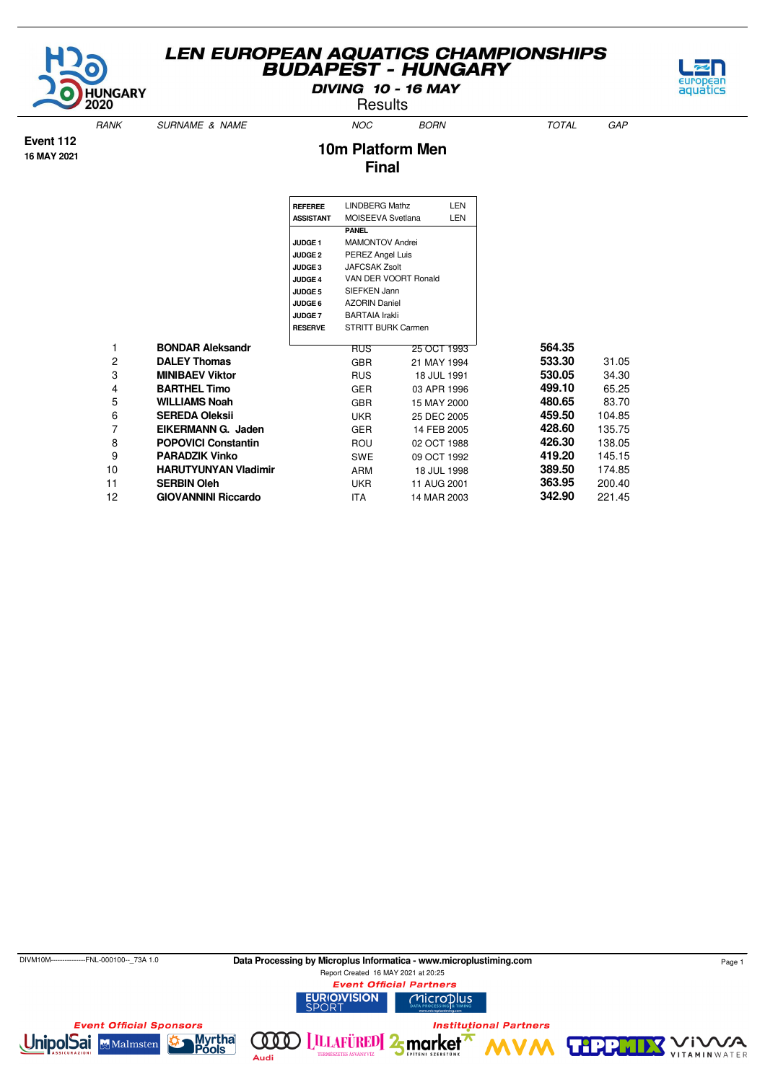

DIVING 10 - 16 MAY

**Results** 



**Event 112 16 MAY 2021** RANK SURNAME & NAME NOC BORN TOTAL GAP

 $\overline{1}$ 

**10m Platform Men Final**

| MOISEEVA Svetlana<br>LEN<br><b>ASSISTANT</b>                   |        |        |
|----------------------------------------------------------------|--------|--------|
|                                                                |        |        |
| <b>PANEL</b>                                                   |        |        |
| MAMONTOV Andrei<br>JUDGE <sub>1</sub>                          |        |        |
| PEREZ Angel Luis<br><b>JUDGE 2</b>                             |        |        |
| <b>JAFCSAK Zsolt</b><br>JUDGE <sub>3</sub>                     |        |        |
| VAN DER VOORT Ronald<br><b>JUDGE 4</b>                         |        |        |
| SIEFKEN Jann<br><b>JUDGE 5</b>                                 |        |        |
| <b>AZORIN Daniel</b><br><b>JUDGE 6</b>                         |        |        |
| <b>BARTAIA Irakli</b><br><b>JUDGE 7</b>                        |        |        |
| <b>STRITT BURK Carmen</b><br><b>RESERVE</b>                    |        |        |
| 1<br><b>BONDAR Aleksandr</b><br><b>RUS</b><br>25 OCT 1993      | 564.35 |        |
| 2<br><b>DALEY Thomas</b><br><b>GBR</b><br>21 MAY 1994          | 533.30 | 31.05  |
| 3<br><b>MINIBAEV Viktor</b><br><b>RUS</b><br>18 JUL 1991       | 530.05 | 34.30  |
| 4<br><b>BARTHEL Timo</b><br><b>GER</b><br>03 APR 1996          | 499.10 | 65.25  |
| 5<br><b>WILLIAMS Noah</b><br><b>GBR</b><br>15 MAY 2000         | 480.65 | 83.70  |
| 6<br><b>SEREDA Oleksii</b><br><b>UKR</b><br>25 DEC 2005        | 459.50 | 104.85 |
| 7<br><b>EIKERMANN G. Jaden</b><br><b>GER</b><br>14 FEB 2005    | 428.60 | 135.75 |
| 8<br><b>POPOVICI Constantin</b><br>ROU<br>02 OCT 1988          | 426.30 | 138.05 |
| 9<br><b>PARADZIK Vinko</b><br><b>SWE</b><br>09 OCT 1992        | 419.20 | 145.15 |
| 10<br><b>HARUTYUNYAN Vladimir</b><br><b>ARM</b><br>18 JUL 1998 | 389.50 | 174.85 |
| 11<br><b>SERBIN Oleh</b><br><b>UKR</b><br>11 AUG 2001          | 363.95 | 200.40 |
| 12<br><b>GIOVANNINI Riccardo</b><br><b>ITA</b><br>14 MAR 2003  | 342.90 | 221.45 |

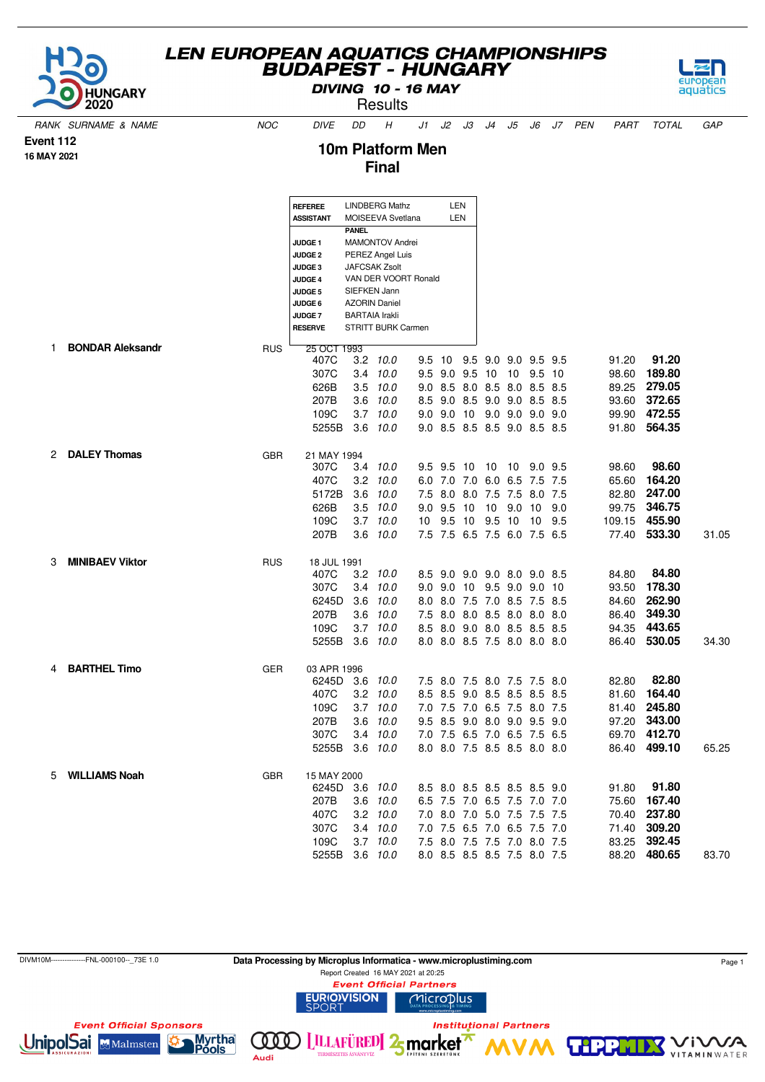



**Results** 



RANK SURNAME & NAME TOTAL GAP NOC DIVE DD H J1 J2 J3 J4 J5 J6 J7 PEN PART TOTAL GAP

**Event 112 16 MAY 2021**

**10m Platform Men Final**

| MOISEEVA Svetlana<br>LEN<br><b>ASSISTANT</b><br><b>PANEL</b><br>MAMONTOV Andrei<br><b>JUDGE 1</b><br>PEREZ Angel Luis<br><b>JUDGE 2</b><br>JAFCSAK Zsolt<br><b>JUDGE 3</b><br>VAN DER VOORT Ronald<br><b>JUDGE 4</b><br>SIEFKEN Jann<br><b>JUDGE 5</b><br>JUDGE 6<br><b>AZORIN Daniel</b><br><b>BARTAIA</b> Irakli<br><b>JUDGE 7</b><br><b>RESERVE</b><br><b>STRITT BURK Carmen</b><br><b>BONDAR Aleksandr</b><br><b>RUS</b><br>25 OCT 1993<br>1<br>91.20<br>407C<br>$3.2$ $10.0$<br>$9.5$ $9.0$ $9.0$<br>9.5 9.5<br>91.20<br>$9.5 \t10$<br>189.80<br>307C<br>3.4<br>10.0<br>9.5<br>9.0<br>9.5<br>$9.5$ 10<br>98.60<br>10<br>10<br>279.05<br>626B<br>3.5<br>10.0<br>89.25<br>8.5<br>8.0 8.5<br>8.0<br>8.5 8.5<br>9.0<br>372.65<br>207B<br>3.6<br>10.0<br>8.5 9.0<br>9.0 8.5 8.5<br>93.60<br>8.5<br>9.0<br>472.55<br>109C<br>3.7<br>10.0<br>9.0<br>9.0<br>9.0<br>$9.0\ 9.0$<br>99.90<br>9.0<br>10<br>5255B<br>564.35<br>3.6<br>10.0<br>8.5 8.5 8.5 9.0 8.5 8.5<br>91.80<br>9.0<br><b>DALEY Thomas</b><br>2<br>21 MAY 1994<br><b>GBR</b><br>98.60<br>10.0<br>307C<br>3.4<br>9.5<br>10<br>10<br>10<br>$9.0$ $9.5$<br>98.60<br>$9.5^{\circ}$<br>164.20<br>407C<br>3.2<br>10.0<br>7.5 7.5<br>6.0<br>7.0<br>7.0<br>6.0<br>6.5<br>65.60<br>247.00<br>3.6<br>10.0<br>5172B<br>7.5<br>7.5<br>8.0 7.5<br>82.80<br>7.5<br>8.0<br>8.0<br>3.5<br>10.0<br>346.75<br>626B<br>9.5<br>9.0<br>9.0<br>99.75<br>9.0<br>-10<br>10<br>10<br>455.90<br>109C<br>9.5<br>109.15<br>$3.7$ $10.0$<br>9.5<br>10<br>10<br>10<br>9.5<br>10<br>533.30<br>207B<br>3.6<br>6.5 7.5<br>10.0<br>7.5 7.5<br>6.0<br>7.5 6.5<br>77.40<br>31.05<br><b>MINIBAEV Viktor</b><br>3<br><b>RUS</b><br>18 JUL 1991<br>84.80<br>$3.2$ $10.0$<br>9.0 9.0 8.0 9.0 8.5<br>84.80<br>407C<br>8.5<br>9.0<br>178.30<br>10.0<br>9.5<br>9.0 10<br>307C<br>3.4<br>9.0<br>9.0<br>93.50<br>9.0<br>10<br>3.6<br>262.90<br>6245D<br>10.0<br>7.5<br>7.0<br>8.5 7.5 8.5<br>84.60<br>8.0<br>8.0<br>349.30<br>207B<br>3.6<br>10.0<br>8.0 8.5<br>8.0 8.0 8.0<br>8.0<br>86.40<br>7.5<br>443.65<br>10.0<br>109C<br>3.7<br>9.0 8.0 8.5 8.5 8.5<br>94.35<br>8.5<br>8.0<br>530.05<br>5255B<br>3.6<br>10.0<br>8.0<br>8.0 8.5 7.5 8.0 8.0 8.0<br>86.40<br>34.30<br><b>BARTHEL Timo</b><br><b>GER</b><br>03 APR 1996<br>4<br>7.5 8.0 7.5 7.5 8.0<br>82.80<br>82.80<br>6245D<br>3.6<br>10.0<br>8.0<br>7.5<br>164.40<br>3.2<br>10.0<br>$9.0$ 8.5<br>8.5 8.5<br>407C<br>8.5<br>8.5<br>8.5<br>81.60<br>245.80<br>109C<br>3.7<br>10.0<br>7.0 6.5 7.5 8.0 7.5<br>7.5<br>81.40<br>7.0<br>343.00<br>207B<br>3.6<br>10.0<br>8.5<br>$9.0$ 8.0<br>9.0<br>$9.5$ $9.0$<br>97.20<br>9.5<br>412.70<br>307C<br>3.4<br>10.0<br>7.5<br>6.5 7.0<br>6.5 7.5 6.5<br>69.70<br>7.0<br>5255B<br>3.6<br>499.10<br>10.0<br>8.0 7.5 8.5 8.5 8.0 8.0<br>65.25<br>8.0<br>86.40<br><b>WILLIAMS Noah</b><br><b>GBR</b><br>15 MAY 2000<br>5<br>91.80<br>3.6<br>10.0<br>8.5 8.5 8.5 8.5 9.0<br>91.80<br>6245D<br>8.5<br>8.0<br>167.40<br>207B<br>3.6<br>10.0<br>7.0 6.5<br>7.5<br>7.0 7.0<br>75.60<br>6.5<br>7.5<br>237.80<br>407C<br>$3.2$ $10.0$<br>7.0 5.0 7.5<br>7.5 7.5<br>70.40<br>7.0<br>8.0<br>309.20<br>7.5 7.0<br>307C<br>3.4<br>10.0<br>7.0<br>7.0<br>7.5<br>6.5<br>6.5<br>71.40<br>392.45<br>$3.7$ $10.0$<br>8.0 7.5<br>83.25<br>109C<br>7.5<br>8.0<br>7.5 7.5<br>7.0<br>480.65<br>5255B<br>3.6<br>10.0<br>8.0 8.5 8.5 8.5 7.5 8.0 7.5<br>88.20<br>83.70 |  | <b>REFEREE</b> | <b>LINDBERG Mathz</b> | LEN |  |  |  |  |
|---------------------------------------------------------------------------------------------------------------------------------------------------------------------------------------------------------------------------------------------------------------------------------------------------------------------------------------------------------------------------------------------------------------------------------------------------------------------------------------------------------------------------------------------------------------------------------------------------------------------------------------------------------------------------------------------------------------------------------------------------------------------------------------------------------------------------------------------------------------------------------------------------------------------------------------------------------------------------------------------------------------------------------------------------------------------------------------------------------------------------------------------------------------------------------------------------------------------------------------------------------------------------------------------------------------------------------------------------------------------------------------------------------------------------------------------------------------------------------------------------------------------------------------------------------------------------------------------------------------------------------------------------------------------------------------------------------------------------------------------------------------------------------------------------------------------------------------------------------------------------------------------------------------------------------------------------------------------------------------------------------------------------------------------------------------------------------------------------------------------------------------------------------------------------------------------------------------------------------------------------------------------------------------------------------------------------------------------------------------------------------------------------------------------------------------------------------------------------------------------------------------------------------------------------------------------------------------------------------------------------------------------------------------------------------------------------------------------------------------------------------------------------------------------------------------------------------------------------------------------------------------------------------------------------------------------------------------------------------------------------------------------------------------------------------------------------------------------------------------------------------------------------------------------------------------------------------------------------------------------------------------------------------------------------------------------------------------------------------|--|----------------|-----------------------|-----|--|--|--|--|
|                                                                                                                                                                                                                                                                                                                                                                                                                                                                                                                                                                                                                                                                                                                                                                                                                                                                                                                                                                                                                                                                                                                                                                                                                                                                                                                                                                                                                                                                                                                                                                                                                                                                                                                                                                                                                                                                                                                                                                                                                                                                                                                                                                                                                                                                                                                                                                                                                                                                                                                                                                                                                                                                                                                                                                                                                                                                                                                                                                                                                                                                                                                                                                                                                                                                                                                                                         |  |                |                       |     |  |  |  |  |
|                                                                                                                                                                                                                                                                                                                                                                                                                                                                                                                                                                                                                                                                                                                                                                                                                                                                                                                                                                                                                                                                                                                                                                                                                                                                                                                                                                                                                                                                                                                                                                                                                                                                                                                                                                                                                                                                                                                                                                                                                                                                                                                                                                                                                                                                                                                                                                                                                                                                                                                                                                                                                                                                                                                                                                                                                                                                                                                                                                                                                                                                                                                                                                                                                                                                                                                                                         |  |                |                       |     |  |  |  |  |
|                                                                                                                                                                                                                                                                                                                                                                                                                                                                                                                                                                                                                                                                                                                                                                                                                                                                                                                                                                                                                                                                                                                                                                                                                                                                                                                                                                                                                                                                                                                                                                                                                                                                                                                                                                                                                                                                                                                                                                                                                                                                                                                                                                                                                                                                                                                                                                                                                                                                                                                                                                                                                                                                                                                                                                                                                                                                                                                                                                                                                                                                                                                                                                                                                                                                                                                                                         |  |                |                       |     |  |  |  |  |
|                                                                                                                                                                                                                                                                                                                                                                                                                                                                                                                                                                                                                                                                                                                                                                                                                                                                                                                                                                                                                                                                                                                                                                                                                                                                                                                                                                                                                                                                                                                                                                                                                                                                                                                                                                                                                                                                                                                                                                                                                                                                                                                                                                                                                                                                                                                                                                                                                                                                                                                                                                                                                                                                                                                                                                                                                                                                                                                                                                                                                                                                                                                                                                                                                                                                                                                                                         |  |                |                       |     |  |  |  |  |
|                                                                                                                                                                                                                                                                                                                                                                                                                                                                                                                                                                                                                                                                                                                                                                                                                                                                                                                                                                                                                                                                                                                                                                                                                                                                                                                                                                                                                                                                                                                                                                                                                                                                                                                                                                                                                                                                                                                                                                                                                                                                                                                                                                                                                                                                                                                                                                                                                                                                                                                                                                                                                                                                                                                                                                                                                                                                                                                                                                                                                                                                                                                                                                                                                                                                                                                                                         |  |                |                       |     |  |  |  |  |
|                                                                                                                                                                                                                                                                                                                                                                                                                                                                                                                                                                                                                                                                                                                                                                                                                                                                                                                                                                                                                                                                                                                                                                                                                                                                                                                                                                                                                                                                                                                                                                                                                                                                                                                                                                                                                                                                                                                                                                                                                                                                                                                                                                                                                                                                                                                                                                                                                                                                                                                                                                                                                                                                                                                                                                                                                                                                                                                                                                                                                                                                                                                                                                                                                                                                                                                                                         |  |                |                       |     |  |  |  |  |
|                                                                                                                                                                                                                                                                                                                                                                                                                                                                                                                                                                                                                                                                                                                                                                                                                                                                                                                                                                                                                                                                                                                                                                                                                                                                                                                                                                                                                                                                                                                                                                                                                                                                                                                                                                                                                                                                                                                                                                                                                                                                                                                                                                                                                                                                                                                                                                                                                                                                                                                                                                                                                                                                                                                                                                                                                                                                                                                                                                                                                                                                                                                                                                                                                                                                                                                                                         |  |                |                       |     |  |  |  |  |
|                                                                                                                                                                                                                                                                                                                                                                                                                                                                                                                                                                                                                                                                                                                                                                                                                                                                                                                                                                                                                                                                                                                                                                                                                                                                                                                                                                                                                                                                                                                                                                                                                                                                                                                                                                                                                                                                                                                                                                                                                                                                                                                                                                                                                                                                                                                                                                                                                                                                                                                                                                                                                                                                                                                                                                                                                                                                                                                                                                                                                                                                                                                                                                                                                                                                                                                                                         |  |                |                       |     |  |  |  |  |
|                                                                                                                                                                                                                                                                                                                                                                                                                                                                                                                                                                                                                                                                                                                                                                                                                                                                                                                                                                                                                                                                                                                                                                                                                                                                                                                                                                                                                                                                                                                                                                                                                                                                                                                                                                                                                                                                                                                                                                                                                                                                                                                                                                                                                                                                                                                                                                                                                                                                                                                                                                                                                                                                                                                                                                                                                                                                                                                                                                                                                                                                                                                                                                                                                                                                                                                                                         |  |                |                       |     |  |  |  |  |
|                                                                                                                                                                                                                                                                                                                                                                                                                                                                                                                                                                                                                                                                                                                                                                                                                                                                                                                                                                                                                                                                                                                                                                                                                                                                                                                                                                                                                                                                                                                                                                                                                                                                                                                                                                                                                                                                                                                                                                                                                                                                                                                                                                                                                                                                                                                                                                                                                                                                                                                                                                                                                                                                                                                                                                                                                                                                                                                                                                                                                                                                                                                                                                                                                                                                                                                                                         |  |                |                       |     |  |  |  |  |
|                                                                                                                                                                                                                                                                                                                                                                                                                                                                                                                                                                                                                                                                                                                                                                                                                                                                                                                                                                                                                                                                                                                                                                                                                                                                                                                                                                                                                                                                                                                                                                                                                                                                                                                                                                                                                                                                                                                                                                                                                                                                                                                                                                                                                                                                                                                                                                                                                                                                                                                                                                                                                                                                                                                                                                                                                                                                                                                                                                                                                                                                                                                                                                                                                                                                                                                                                         |  |                |                       |     |  |  |  |  |
|                                                                                                                                                                                                                                                                                                                                                                                                                                                                                                                                                                                                                                                                                                                                                                                                                                                                                                                                                                                                                                                                                                                                                                                                                                                                                                                                                                                                                                                                                                                                                                                                                                                                                                                                                                                                                                                                                                                                                                                                                                                                                                                                                                                                                                                                                                                                                                                                                                                                                                                                                                                                                                                                                                                                                                                                                                                                                                                                                                                                                                                                                                                                                                                                                                                                                                                                                         |  |                |                       |     |  |  |  |  |
|                                                                                                                                                                                                                                                                                                                                                                                                                                                                                                                                                                                                                                                                                                                                                                                                                                                                                                                                                                                                                                                                                                                                                                                                                                                                                                                                                                                                                                                                                                                                                                                                                                                                                                                                                                                                                                                                                                                                                                                                                                                                                                                                                                                                                                                                                                                                                                                                                                                                                                                                                                                                                                                                                                                                                                                                                                                                                                                                                                                                                                                                                                                                                                                                                                                                                                                                                         |  |                |                       |     |  |  |  |  |
|                                                                                                                                                                                                                                                                                                                                                                                                                                                                                                                                                                                                                                                                                                                                                                                                                                                                                                                                                                                                                                                                                                                                                                                                                                                                                                                                                                                                                                                                                                                                                                                                                                                                                                                                                                                                                                                                                                                                                                                                                                                                                                                                                                                                                                                                                                                                                                                                                                                                                                                                                                                                                                                                                                                                                                                                                                                                                                                                                                                                                                                                                                                                                                                                                                                                                                                                                         |  |                |                       |     |  |  |  |  |
|                                                                                                                                                                                                                                                                                                                                                                                                                                                                                                                                                                                                                                                                                                                                                                                                                                                                                                                                                                                                                                                                                                                                                                                                                                                                                                                                                                                                                                                                                                                                                                                                                                                                                                                                                                                                                                                                                                                                                                                                                                                                                                                                                                                                                                                                                                                                                                                                                                                                                                                                                                                                                                                                                                                                                                                                                                                                                                                                                                                                                                                                                                                                                                                                                                                                                                                                                         |  |                |                       |     |  |  |  |  |
|                                                                                                                                                                                                                                                                                                                                                                                                                                                                                                                                                                                                                                                                                                                                                                                                                                                                                                                                                                                                                                                                                                                                                                                                                                                                                                                                                                                                                                                                                                                                                                                                                                                                                                                                                                                                                                                                                                                                                                                                                                                                                                                                                                                                                                                                                                                                                                                                                                                                                                                                                                                                                                                                                                                                                                                                                                                                                                                                                                                                                                                                                                                                                                                                                                                                                                                                                         |  |                |                       |     |  |  |  |  |
|                                                                                                                                                                                                                                                                                                                                                                                                                                                                                                                                                                                                                                                                                                                                                                                                                                                                                                                                                                                                                                                                                                                                                                                                                                                                                                                                                                                                                                                                                                                                                                                                                                                                                                                                                                                                                                                                                                                                                                                                                                                                                                                                                                                                                                                                                                                                                                                                                                                                                                                                                                                                                                                                                                                                                                                                                                                                                                                                                                                                                                                                                                                                                                                                                                                                                                                                                         |  |                |                       |     |  |  |  |  |
|                                                                                                                                                                                                                                                                                                                                                                                                                                                                                                                                                                                                                                                                                                                                                                                                                                                                                                                                                                                                                                                                                                                                                                                                                                                                                                                                                                                                                                                                                                                                                                                                                                                                                                                                                                                                                                                                                                                                                                                                                                                                                                                                                                                                                                                                                                                                                                                                                                                                                                                                                                                                                                                                                                                                                                                                                                                                                                                                                                                                                                                                                                                                                                                                                                                                                                                                                         |  |                |                       |     |  |  |  |  |
|                                                                                                                                                                                                                                                                                                                                                                                                                                                                                                                                                                                                                                                                                                                                                                                                                                                                                                                                                                                                                                                                                                                                                                                                                                                                                                                                                                                                                                                                                                                                                                                                                                                                                                                                                                                                                                                                                                                                                                                                                                                                                                                                                                                                                                                                                                                                                                                                                                                                                                                                                                                                                                                                                                                                                                                                                                                                                                                                                                                                                                                                                                                                                                                                                                                                                                                                                         |  |                |                       |     |  |  |  |  |
|                                                                                                                                                                                                                                                                                                                                                                                                                                                                                                                                                                                                                                                                                                                                                                                                                                                                                                                                                                                                                                                                                                                                                                                                                                                                                                                                                                                                                                                                                                                                                                                                                                                                                                                                                                                                                                                                                                                                                                                                                                                                                                                                                                                                                                                                                                                                                                                                                                                                                                                                                                                                                                                                                                                                                                                                                                                                                                                                                                                                                                                                                                                                                                                                                                                                                                                                                         |  |                |                       |     |  |  |  |  |
|                                                                                                                                                                                                                                                                                                                                                                                                                                                                                                                                                                                                                                                                                                                                                                                                                                                                                                                                                                                                                                                                                                                                                                                                                                                                                                                                                                                                                                                                                                                                                                                                                                                                                                                                                                                                                                                                                                                                                                                                                                                                                                                                                                                                                                                                                                                                                                                                                                                                                                                                                                                                                                                                                                                                                                                                                                                                                                                                                                                                                                                                                                                                                                                                                                                                                                                                                         |  |                |                       |     |  |  |  |  |
|                                                                                                                                                                                                                                                                                                                                                                                                                                                                                                                                                                                                                                                                                                                                                                                                                                                                                                                                                                                                                                                                                                                                                                                                                                                                                                                                                                                                                                                                                                                                                                                                                                                                                                                                                                                                                                                                                                                                                                                                                                                                                                                                                                                                                                                                                                                                                                                                                                                                                                                                                                                                                                                                                                                                                                                                                                                                                                                                                                                                                                                                                                                                                                                                                                                                                                                                                         |  |                |                       |     |  |  |  |  |
|                                                                                                                                                                                                                                                                                                                                                                                                                                                                                                                                                                                                                                                                                                                                                                                                                                                                                                                                                                                                                                                                                                                                                                                                                                                                                                                                                                                                                                                                                                                                                                                                                                                                                                                                                                                                                                                                                                                                                                                                                                                                                                                                                                                                                                                                                                                                                                                                                                                                                                                                                                                                                                                                                                                                                                                                                                                                                                                                                                                                                                                                                                                                                                                                                                                                                                                                                         |  |                |                       |     |  |  |  |  |
|                                                                                                                                                                                                                                                                                                                                                                                                                                                                                                                                                                                                                                                                                                                                                                                                                                                                                                                                                                                                                                                                                                                                                                                                                                                                                                                                                                                                                                                                                                                                                                                                                                                                                                                                                                                                                                                                                                                                                                                                                                                                                                                                                                                                                                                                                                                                                                                                                                                                                                                                                                                                                                                                                                                                                                                                                                                                                                                                                                                                                                                                                                                                                                                                                                                                                                                                                         |  |                |                       |     |  |  |  |  |
|                                                                                                                                                                                                                                                                                                                                                                                                                                                                                                                                                                                                                                                                                                                                                                                                                                                                                                                                                                                                                                                                                                                                                                                                                                                                                                                                                                                                                                                                                                                                                                                                                                                                                                                                                                                                                                                                                                                                                                                                                                                                                                                                                                                                                                                                                                                                                                                                                                                                                                                                                                                                                                                                                                                                                                                                                                                                                                                                                                                                                                                                                                                                                                                                                                                                                                                                                         |  |                |                       |     |  |  |  |  |
|                                                                                                                                                                                                                                                                                                                                                                                                                                                                                                                                                                                                                                                                                                                                                                                                                                                                                                                                                                                                                                                                                                                                                                                                                                                                                                                                                                                                                                                                                                                                                                                                                                                                                                                                                                                                                                                                                                                                                                                                                                                                                                                                                                                                                                                                                                                                                                                                                                                                                                                                                                                                                                                                                                                                                                                                                                                                                                                                                                                                                                                                                                                                                                                                                                                                                                                                                         |  |                |                       |     |  |  |  |  |
|                                                                                                                                                                                                                                                                                                                                                                                                                                                                                                                                                                                                                                                                                                                                                                                                                                                                                                                                                                                                                                                                                                                                                                                                                                                                                                                                                                                                                                                                                                                                                                                                                                                                                                                                                                                                                                                                                                                                                                                                                                                                                                                                                                                                                                                                                                                                                                                                                                                                                                                                                                                                                                                                                                                                                                                                                                                                                                                                                                                                                                                                                                                                                                                                                                                                                                                                                         |  |                |                       |     |  |  |  |  |
|                                                                                                                                                                                                                                                                                                                                                                                                                                                                                                                                                                                                                                                                                                                                                                                                                                                                                                                                                                                                                                                                                                                                                                                                                                                                                                                                                                                                                                                                                                                                                                                                                                                                                                                                                                                                                                                                                                                                                                                                                                                                                                                                                                                                                                                                                                                                                                                                                                                                                                                                                                                                                                                                                                                                                                                                                                                                                                                                                                                                                                                                                                                                                                                                                                                                                                                                                         |  |                |                       |     |  |  |  |  |
|                                                                                                                                                                                                                                                                                                                                                                                                                                                                                                                                                                                                                                                                                                                                                                                                                                                                                                                                                                                                                                                                                                                                                                                                                                                                                                                                                                                                                                                                                                                                                                                                                                                                                                                                                                                                                                                                                                                                                                                                                                                                                                                                                                                                                                                                                                                                                                                                                                                                                                                                                                                                                                                                                                                                                                                                                                                                                                                                                                                                                                                                                                                                                                                                                                                                                                                                                         |  |                |                       |     |  |  |  |  |
|                                                                                                                                                                                                                                                                                                                                                                                                                                                                                                                                                                                                                                                                                                                                                                                                                                                                                                                                                                                                                                                                                                                                                                                                                                                                                                                                                                                                                                                                                                                                                                                                                                                                                                                                                                                                                                                                                                                                                                                                                                                                                                                                                                                                                                                                                                                                                                                                                                                                                                                                                                                                                                                                                                                                                                                                                                                                                                                                                                                                                                                                                                                                                                                                                                                                                                                                                         |  |                |                       |     |  |  |  |  |
|                                                                                                                                                                                                                                                                                                                                                                                                                                                                                                                                                                                                                                                                                                                                                                                                                                                                                                                                                                                                                                                                                                                                                                                                                                                                                                                                                                                                                                                                                                                                                                                                                                                                                                                                                                                                                                                                                                                                                                                                                                                                                                                                                                                                                                                                                                                                                                                                                                                                                                                                                                                                                                                                                                                                                                                                                                                                                                                                                                                                                                                                                                                                                                                                                                                                                                                                                         |  |                |                       |     |  |  |  |  |
|                                                                                                                                                                                                                                                                                                                                                                                                                                                                                                                                                                                                                                                                                                                                                                                                                                                                                                                                                                                                                                                                                                                                                                                                                                                                                                                                                                                                                                                                                                                                                                                                                                                                                                                                                                                                                                                                                                                                                                                                                                                                                                                                                                                                                                                                                                                                                                                                                                                                                                                                                                                                                                                                                                                                                                                                                                                                                                                                                                                                                                                                                                                                                                                                                                                                                                                                                         |  |                |                       |     |  |  |  |  |
|                                                                                                                                                                                                                                                                                                                                                                                                                                                                                                                                                                                                                                                                                                                                                                                                                                                                                                                                                                                                                                                                                                                                                                                                                                                                                                                                                                                                                                                                                                                                                                                                                                                                                                                                                                                                                                                                                                                                                                                                                                                                                                                                                                                                                                                                                                                                                                                                                                                                                                                                                                                                                                                                                                                                                                                                                                                                                                                                                                                                                                                                                                                                                                                                                                                                                                                                                         |  |                |                       |     |  |  |  |  |
|                                                                                                                                                                                                                                                                                                                                                                                                                                                                                                                                                                                                                                                                                                                                                                                                                                                                                                                                                                                                                                                                                                                                                                                                                                                                                                                                                                                                                                                                                                                                                                                                                                                                                                                                                                                                                                                                                                                                                                                                                                                                                                                                                                                                                                                                                                                                                                                                                                                                                                                                                                                                                                                                                                                                                                                                                                                                                                                                                                                                                                                                                                                                                                                                                                                                                                                                                         |  |                |                       |     |  |  |  |  |
|                                                                                                                                                                                                                                                                                                                                                                                                                                                                                                                                                                                                                                                                                                                                                                                                                                                                                                                                                                                                                                                                                                                                                                                                                                                                                                                                                                                                                                                                                                                                                                                                                                                                                                                                                                                                                                                                                                                                                                                                                                                                                                                                                                                                                                                                                                                                                                                                                                                                                                                                                                                                                                                                                                                                                                                                                                                                                                                                                                                                                                                                                                                                                                                                                                                                                                                                                         |  |                |                       |     |  |  |  |  |
|                                                                                                                                                                                                                                                                                                                                                                                                                                                                                                                                                                                                                                                                                                                                                                                                                                                                                                                                                                                                                                                                                                                                                                                                                                                                                                                                                                                                                                                                                                                                                                                                                                                                                                                                                                                                                                                                                                                                                                                                                                                                                                                                                                                                                                                                                                                                                                                                                                                                                                                                                                                                                                                                                                                                                                                                                                                                                                                                                                                                                                                                                                                                                                                                                                                                                                                                                         |  |                |                       |     |  |  |  |  |
|                                                                                                                                                                                                                                                                                                                                                                                                                                                                                                                                                                                                                                                                                                                                                                                                                                                                                                                                                                                                                                                                                                                                                                                                                                                                                                                                                                                                                                                                                                                                                                                                                                                                                                                                                                                                                                                                                                                                                                                                                                                                                                                                                                                                                                                                                                                                                                                                                                                                                                                                                                                                                                                                                                                                                                                                                                                                                                                                                                                                                                                                                                                                                                                                                                                                                                                                                         |  |                |                       |     |  |  |  |  |
|                                                                                                                                                                                                                                                                                                                                                                                                                                                                                                                                                                                                                                                                                                                                                                                                                                                                                                                                                                                                                                                                                                                                                                                                                                                                                                                                                                                                                                                                                                                                                                                                                                                                                                                                                                                                                                                                                                                                                                                                                                                                                                                                                                                                                                                                                                                                                                                                                                                                                                                                                                                                                                                                                                                                                                                                                                                                                                                                                                                                                                                                                                                                                                                                                                                                                                                                                         |  |                |                       |     |  |  |  |  |
|                                                                                                                                                                                                                                                                                                                                                                                                                                                                                                                                                                                                                                                                                                                                                                                                                                                                                                                                                                                                                                                                                                                                                                                                                                                                                                                                                                                                                                                                                                                                                                                                                                                                                                                                                                                                                                                                                                                                                                                                                                                                                                                                                                                                                                                                                                                                                                                                                                                                                                                                                                                                                                                                                                                                                                                                                                                                                                                                                                                                                                                                                                                                                                                                                                                                                                                                                         |  |                |                       |     |  |  |  |  |
|                                                                                                                                                                                                                                                                                                                                                                                                                                                                                                                                                                                                                                                                                                                                                                                                                                                                                                                                                                                                                                                                                                                                                                                                                                                                                                                                                                                                                                                                                                                                                                                                                                                                                                                                                                                                                                                                                                                                                                                                                                                                                                                                                                                                                                                                                                                                                                                                                                                                                                                                                                                                                                                                                                                                                                                                                                                                                                                                                                                                                                                                                                                                                                                                                                                                                                                                                         |  |                |                       |     |  |  |  |  |
|                                                                                                                                                                                                                                                                                                                                                                                                                                                                                                                                                                                                                                                                                                                                                                                                                                                                                                                                                                                                                                                                                                                                                                                                                                                                                                                                                                                                                                                                                                                                                                                                                                                                                                                                                                                                                                                                                                                                                                                                                                                                                                                                                                                                                                                                                                                                                                                                                                                                                                                                                                                                                                                                                                                                                                                                                                                                                                                                                                                                                                                                                                                                                                                                                                                                                                                                                         |  |                |                       |     |  |  |  |  |
|                                                                                                                                                                                                                                                                                                                                                                                                                                                                                                                                                                                                                                                                                                                                                                                                                                                                                                                                                                                                                                                                                                                                                                                                                                                                                                                                                                                                                                                                                                                                                                                                                                                                                                                                                                                                                                                                                                                                                                                                                                                                                                                                                                                                                                                                                                                                                                                                                                                                                                                                                                                                                                                                                                                                                                                                                                                                                                                                                                                                                                                                                                                                                                                                                                                                                                                                                         |  |                |                       |     |  |  |  |  |
|                                                                                                                                                                                                                                                                                                                                                                                                                                                                                                                                                                                                                                                                                                                                                                                                                                                                                                                                                                                                                                                                                                                                                                                                                                                                                                                                                                                                                                                                                                                                                                                                                                                                                                                                                                                                                                                                                                                                                                                                                                                                                                                                                                                                                                                                                                                                                                                                                                                                                                                                                                                                                                                                                                                                                                                                                                                                                                                                                                                                                                                                                                                                                                                                                                                                                                                                                         |  |                |                       |     |  |  |  |  |
|                                                                                                                                                                                                                                                                                                                                                                                                                                                                                                                                                                                                                                                                                                                                                                                                                                                                                                                                                                                                                                                                                                                                                                                                                                                                                                                                                                                                                                                                                                                                                                                                                                                                                                                                                                                                                                                                                                                                                                                                                                                                                                                                                                                                                                                                                                                                                                                                                                                                                                                                                                                                                                                                                                                                                                                                                                                                                                                                                                                                                                                                                                                                                                                                                                                                                                                                                         |  |                |                       |     |  |  |  |  |
|                                                                                                                                                                                                                                                                                                                                                                                                                                                                                                                                                                                                                                                                                                                                                                                                                                                                                                                                                                                                                                                                                                                                                                                                                                                                                                                                                                                                                                                                                                                                                                                                                                                                                                                                                                                                                                                                                                                                                                                                                                                                                                                                                                                                                                                                                                                                                                                                                                                                                                                                                                                                                                                                                                                                                                                                                                                                                                                                                                                                                                                                                                                                                                                                                                                                                                                                                         |  |                |                       |     |  |  |  |  |
|                                                                                                                                                                                                                                                                                                                                                                                                                                                                                                                                                                                                                                                                                                                                                                                                                                                                                                                                                                                                                                                                                                                                                                                                                                                                                                                                                                                                                                                                                                                                                                                                                                                                                                                                                                                                                                                                                                                                                                                                                                                                                                                                                                                                                                                                                                                                                                                                                                                                                                                                                                                                                                                                                                                                                                                                                                                                                                                                                                                                                                                                                                                                                                                                                                                                                                                                                         |  |                |                       |     |  |  |  |  |
|                                                                                                                                                                                                                                                                                                                                                                                                                                                                                                                                                                                                                                                                                                                                                                                                                                                                                                                                                                                                                                                                                                                                                                                                                                                                                                                                                                                                                                                                                                                                                                                                                                                                                                                                                                                                                                                                                                                                                                                                                                                                                                                                                                                                                                                                                                                                                                                                                                                                                                                                                                                                                                                                                                                                                                                                                                                                                                                                                                                                                                                                                                                                                                                                                                                                                                                                                         |  |                |                       |     |  |  |  |  |
|                                                                                                                                                                                                                                                                                                                                                                                                                                                                                                                                                                                                                                                                                                                                                                                                                                                                                                                                                                                                                                                                                                                                                                                                                                                                                                                                                                                                                                                                                                                                                                                                                                                                                                                                                                                                                                                                                                                                                                                                                                                                                                                                                                                                                                                                                                                                                                                                                                                                                                                                                                                                                                                                                                                                                                                                                                                                                                                                                                                                                                                                                                                                                                                                                                                                                                                                                         |  |                |                       |     |  |  |  |  |
|                                                                                                                                                                                                                                                                                                                                                                                                                                                                                                                                                                                                                                                                                                                                                                                                                                                                                                                                                                                                                                                                                                                                                                                                                                                                                                                                                                                                                                                                                                                                                                                                                                                                                                                                                                                                                                                                                                                                                                                                                                                                                                                                                                                                                                                                                                                                                                                                                                                                                                                                                                                                                                                                                                                                                                                                                                                                                                                                                                                                                                                                                                                                                                                                                                                                                                                                                         |  |                |                       |     |  |  |  |  |
|                                                                                                                                                                                                                                                                                                                                                                                                                                                                                                                                                                                                                                                                                                                                                                                                                                                                                                                                                                                                                                                                                                                                                                                                                                                                                                                                                                                                                                                                                                                                                                                                                                                                                                                                                                                                                                                                                                                                                                                                                                                                                                                                                                                                                                                                                                                                                                                                                                                                                                                                                                                                                                                                                                                                                                                                                                                                                                                                                                                                                                                                                                                                                                                                                                                                                                                                                         |  |                |                       |     |  |  |  |  |

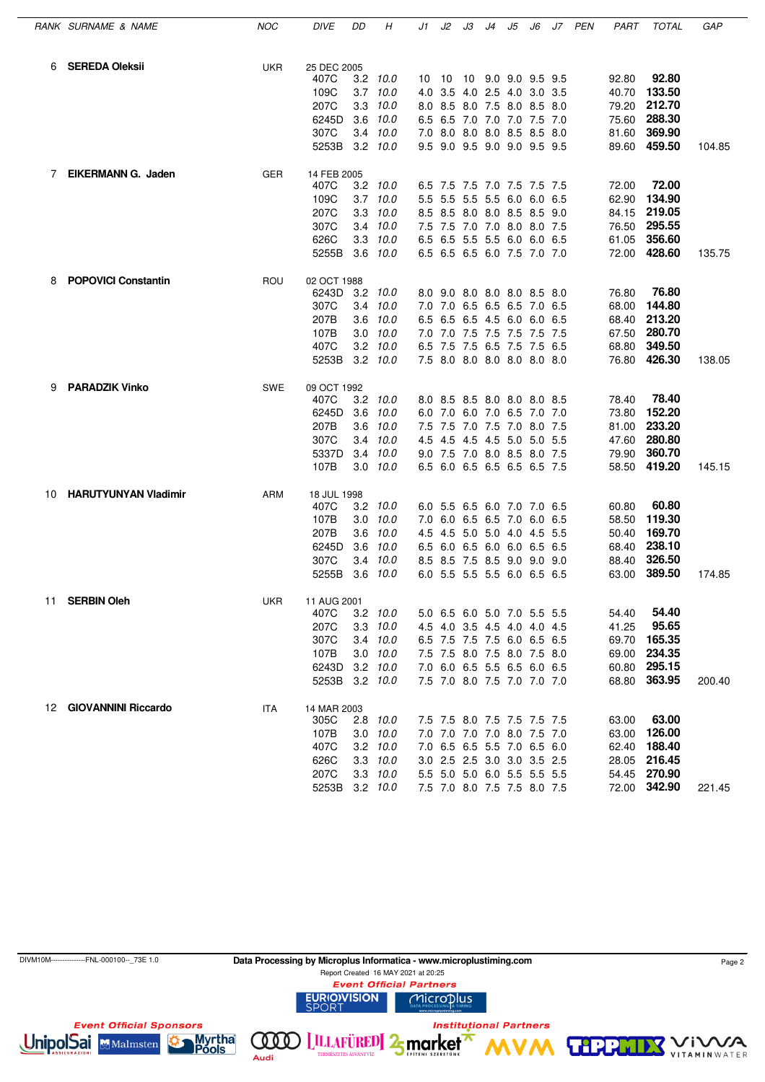|    | RANK SURNAME & NAME         | <b>NOC</b> | <b>DIVE</b>                                                            | DD       | Η                                                                                                | J1                       | J2  | JЗ              | J4                                     | J5  | J6                                                                                                                                                                                     | J7 | PEN | PART                                               | <b>TOTAL</b>                                                  | GAP    |
|----|-----------------------------|------------|------------------------------------------------------------------------|----------|--------------------------------------------------------------------------------------------------|--------------------------|-----|-----------------|----------------------------------------|-----|----------------------------------------------------------------------------------------------------------------------------------------------------------------------------------------|----|-----|----------------------------------------------------|---------------------------------------------------------------|--------|
| 6  | <b>SEREDA Oleksii</b>       | <b>UKR</b> | 25 DEC 2005<br>407C<br>109C<br>207C<br>6245D<br>307C<br>5253B 3.2 10.0 |          | $3.2$ $10.0$<br>$3.7$ $10.0$<br>$3.3$ $10.0$<br>$3.6$ $10.0$<br>$3.4$ $10.0$                     | 10<br>4.0<br>6.5         | 3.5 | 8.0 8.5 8.0 7.5 | 4.0 2.5 4.0                            | 8.0 | 10 10 9.0 9.0 9.5 9.5<br>3.0 3.5<br>$8.5$ $8.0$<br>6.5 7.0 7.0 7.0 7.5 7.0<br>7.0 8.0 8.0 8.0 8.5 8.5 8.0<br>9.5 9.0 9.5 9.0 9.0 9.5 9.5                                               |    |     | 92.80<br>40.70<br>79.20<br>75.60<br>81.60<br>89.60 | 92.80<br>133.50<br>212.70<br>288.30<br>369.90<br>459.50       | 104.85 |
| 7  | EIKERMANN G. Jaden          | GER        | 14 FEB 2005<br>407C<br>109C<br>207C<br>307C<br>626C<br>5255B           |          | $3.2 \quad 10.0$<br>$3.7$ $10.0$<br>$3.3$ $10.0$<br>$3.4$ $10.0$<br>$3.3$ $10.0$<br>$3.6$ $10.0$ | 8.5                      |     |                 |                                        |     | 6.5 7.5 7.5 7.0 7.5 7.5 7.5<br>5.5 5.5 5.5 5.5 6.0 6.0 6.5<br>8.5 8.0 8.0 8.5 8.5 9.0<br>7.5 7.5 7.0 7.0 8.0 8.0 7.5<br>6.5 6.5 5.5 5.5 6.0 6.0 6.5<br>6.5 6.5 6.5 6.0 7.5 7.0 7.0     |    |     | 72.00<br>62.90<br>84.15<br>76.50<br>61.05<br>72.00 | 72.00<br>134.90<br>219.05<br>295.55<br>356.60<br>428.60       | 135.75 |
| 8  | <b>POPOVICI Constantin</b>  | ROU        | 02 OCT 1988<br>6243D<br>307C<br>207B<br>107B<br>407C<br>5253B          | 3.2 10.0 | $3.4$ $10.0$<br>$3.6$ $10.0$<br>$3.0$ $10.0$<br>$3.2$ $10.0$<br>$3.2$ $10.0$                     | 6.5<br>7.0               |     | $6.5$ 6.5 4.5   | 7.0 7.0 6.5 6.5 6.5<br>7.0 7.5 7.5 7.5 | 6.0 | 8.0 9.0 8.0 8.0 8.0 8.5 8.0<br>7.0 6.5<br>6.0 6.5<br>7.5 7.5<br>6.5 7.5 7.5 6.5 7.5 7.5 6.5<br>7.5 8.0 8.0 8.0 8.0 8.0 8.0                                                             |    |     | 76.80<br>68.00<br>68.40<br>67.50<br>68.80<br>76.80 | 76.80<br>144.80<br>213.20<br>280.70<br>349.50<br>426.30       | 138.05 |
| 9  | <b>PARADZIK Vinko</b>       | SWE        | 09 OCT 1992<br>407C<br>6245D<br>207B<br>307C<br>5337D<br>107B          |          | $3.2$ $10.0$<br>$3.6$ $10.0$<br>$3.6$ $10.0$<br>$3.4$ $10.0$<br>3.4 10.0<br>$3.0$ $10.0$         |                          |     |                 | 7.5 7.5 7.0 7.5 7.0                    |     | 8.0 8.5 8.5 8.0 8.0 8.0 8.5<br>6.0 7.0 6.0 7.0 6.5 7.0 7.0<br>8.0 7.5<br>4.5 4.5 4.5 4.5 5.0 5.0 5.5<br>9.0 7.5 7.0 8.0 8.5 8.0 7.5<br>6.5 6.0 6.5 6.5 6.5 6.5 7.5                     |    |     | 78.40<br>73.80<br>81.00<br>47.60<br>79.90<br>58.50 | 78.40<br>152.20<br>233.20<br>280.80<br>360.70<br>419.20       | 145.15 |
| 10 | <b>HARUTYUNYAN Vladimir</b> | ARM        | 18 JUL 1998<br>407C<br>107B<br>207B<br>6245D<br>307C<br>5255B          |          | $3.2$ $10.0$<br>$3.0$ $10.0$<br>$3.6$ $10.0$<br>$3.6$ $10.0$<br>$3.4$ $10.0$<br>$3.6$ $10.0$     | 7.0<br>6.5<br>8.5<br>6.0 |     |                 |                                        |     | 6.0 5.5 6.5 6.0 7.0 7.0 6.5<br>6.0 6.5 6.5 7.0 6.0 6.5<br>4.5 4.5 5.0 5.0 4.0 4.5 5.5<br>6.0 6.5 6.0 6.0 6.5 6.5<br>8.5 7.5 8.5 9.0 9.0 9.0<br>5.5 5.5 5.5 6.0 6.5 6.5                 |    |     | 60.80<br>58.50<br>50.40<br>68.40<br>88.40<br>63.00 | 60.80<br>119.30<br>169.70<br>238.10<br>326.50<br>389.50       | 174.85 |
| 11 | <b>SERBIN Oleh</b>          | <b>UKR</b> | 11 AUG 2001<br>407C<br>207C<br>307C<br>107B<br>6243D<br>5253B 3.2 10.0 |          | $3.2$ $10.0$<br>$3.3$ $10.0$<br>$3.4$ $10.0$<br>$3.0$ $10.0$<br>$3.2$ $10.0$                     |                          |     |                 |                                        |     | 5.0 6.5 6.0 5.0 7.0 5.5 5.5<br>4.5 4.0 3.5 4.5 4.0 4.0 4.5<br>6.5 7.5 7.5 7.5 6.0 6.5 6.5<br>7.5 7.5 8.0 7.5 8.0 7.5 8.0<br>7.0 6.0 6.5 5.5 6.5 6.0 6.5<br>7.5 7.0 8.0 7.5 7.0 7.0 7.0 |    |     | 54.40<br>41.25<br>69.70<br>69.00<br>60.80<br>68.80 | 54.40<br>95.65<br>165.35<br>234.35<br>295.15<br>363.95        | 200.40 |
| 12 | <b>GIOVANNINI Riccardo</b>  | <b>ITA</b> | 14 MAR 2003<br>305C<br>107B<br>407C<br>626C<br>207C<br>5253B           |          | $2.8$ 10.0<br>$3.0$ $10.0$<br>$3.2$ $10.0$<br>$3.3$ $10.0$<br>$3.3$ $10.0$<br>$3.2$ $10.0$       | $5.5\,$                  |     |                 |                                        |     | 7.5 7.5 8.0 7.5 7.5 7.5 7.5<br>7.0 7.0 7.0 7.0 8.0 7.5 7.0<br>7.0 6.5 6.5 5.5 7.0 6.5 6.0<br>3.0 2.5 2.5 3.0 3.0 3.5 2.5<br>5.0 5.0 6.0 5.5 5.5 5.5<br>7.5 7.0 8.0 7.5 7.5 8.0 7.5     |    |     | 63.00<br>63.00<br>62.40<br>28.05<br>54.45          | 63.00<br>126.00<br>188.40<br>216.45<br>270.90<br>72.00 342.90 | 221.45 |

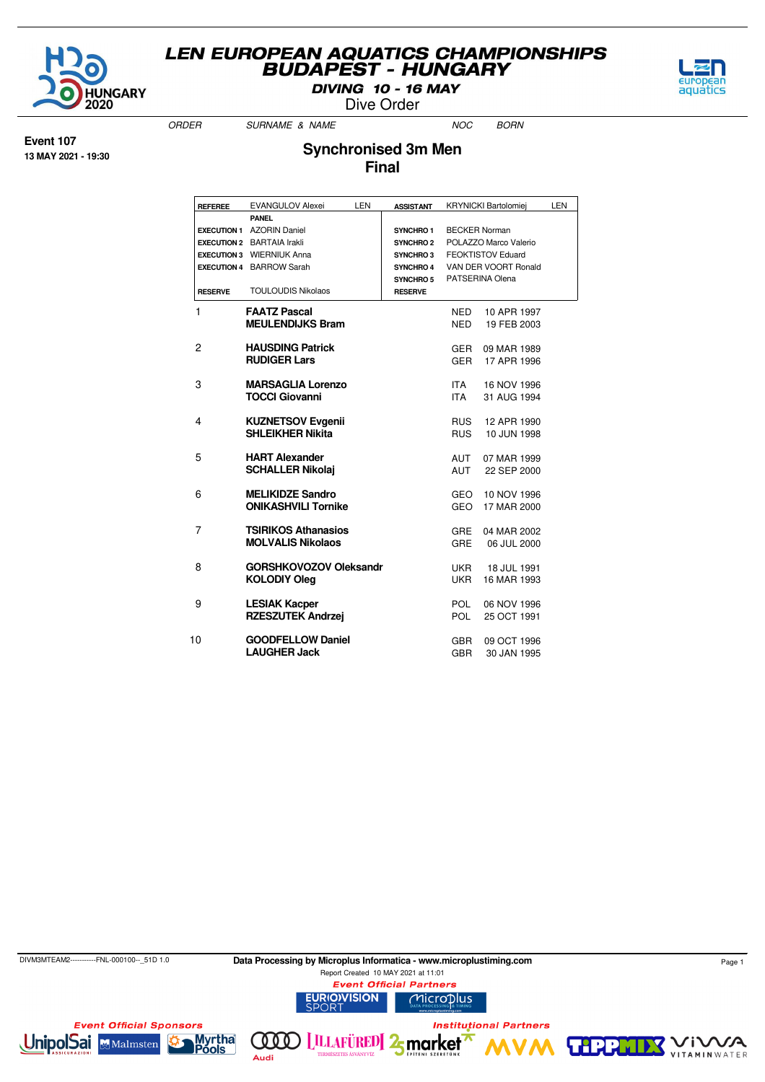

**Event 107 13 MAY 2021 - 19:30**

## **LEN EUROPEAN AQUATICS CHAMPIONSHIPS<br>BUDAPEST - HUNGARY**

DIVING 10 - 16 MAY

Dive Order

ORDER SURNAME & NAME NOC BORN

**Synchronised 3m Men Final**

| <b>REFEREE</b> | EVANGULOV Alexei                                                                                                                                                                          | LEN | <b>ASSISTANT</b>                                                                                                  |                          | <b>KRYNICKI Bartolomiej</b>                                                                                   | LEN |
|----------------|-------------------------------------------------------------------------------------------------------------------------------------------------------------------------------------------|-----|-------------------------------------------------------------------------------------------------------------------|--------------------------|---------------------------------------------------------------------------------------------------------------|-----|
| <b>RESERVE</b> | <b>PANEL</b><br><b>EXECUTION 1 AZORIN Daniel</b><br><b>EXECUTION 2 BARTAIA Irakli</b><br><b>EXECUTION 3 WIERNIUK Anna</b><br><b>EXECUTION 4 BARROW Sarah</b><br><b>TOULOUDIS Nikolaos</b> |     | <b>SYNCHRO 1</b><br><b>SYNCHRO 2</b><br><b>SYNCHRO3</b><br><b>SYNCHRO 4</b><br><b>SYNCHRO 5</b><br><b>RESERVE</b> |                          | <b>BECKER Norman</b><br>POLAZZO Marco Valerio<br>FEOKTISTOV Eduard<br>VAN DER VOORT Ronald<br>PATSERINA Olena |     |
| 1              | <b>FAATZ Pascal</b><br><b>MEULENDIJKS Bram</b>                                                                                                                                            |     |                                                                                                                   | NED<br><b>NED</b>        | 10 APR 1997<br>19 FEB 2003                                                                                    |     |
| 2              | <b>HAUSDING Patrick</b><br><b>RUDIGER Lars</b>                                                                                                                                            |     |                                                                                                                   | GER<br>GER               | 09 MAR 1989<br>17 APR 1996                                                                                    |     |
| 3              | <b>MARSAGLIA Lorenzo</b><br><b>TOCCI Giovanni</b>                                                                                                                                         |     |                                                                                                                   | <b>ITA</b><br>ITA I      | 16 NOV 1996<br>31 AUG 1994                                                                                    |     |
| 4              | <b>KUZNETSOV Evgenii</b><br><b>SHLEIKHER Nikita</b>                                                                                                                                       |     |                                                                                                                   | <b>RUS</b><br><b>RUS</b> | 12 APR 1990<br>10 JUN 1998                                                                                    |     |
| 5              | <b>HART Alexander</b><br><b>SCHALLER Nikolaj</b>                                                                                                                                          |     |                                                                                                                   | AUT<br>AUT               | 07 MAR 1999<br>22 SEP 2000                                                                                    |     |
| 6              | <b>MELIKIDZE Sandro</b><br><b>ONIKASHVILI Tornike</b>                                                                                                                                     |     |                                                                                                                   | GEO<br>GEO               | 10 NOV 1996<br>17 MAR 2000                                                                                    |     |
| 7              | <b>TSIRIKOS Athanasios</b><br><b>MOLVALIS Nikolaos</b>                                                                                                                                    |     |                                                                                                                   | GRE<br><b>GRE</b>        | 04 MAR 2002<br>06 JUL 2000                                                                                    |     |
| 8              | <b>GORSHKOVOZOV Oleksandr</b><br><b>KOLODIY Oleg</b>                                                                                                                                      |     |                                                                                                                   | UKR<br>UKR               | 18 JUL 1991<br>16 MAR 1993                                                                                    |     |
| 9              | <b>LESIAK Kacper</b><br><b>RZESZUTEK Andrzej</b>                                                                                                                                          |     |                                                                                                                   | POL<br><b>POL</b>        | 06 NOV 1996<br>25 OCT 1991                                                                                    |     |
| 10             | <b>GOODFELLOW Daniel</b><br><b>LAUGHER Jack</b>                                                                                                                                           |     |                                                                                                                   | <b>GBR</b><br><b>GBR</b> | 09 OCT 1996<br>30 JAN 1995                                                                                    |     |



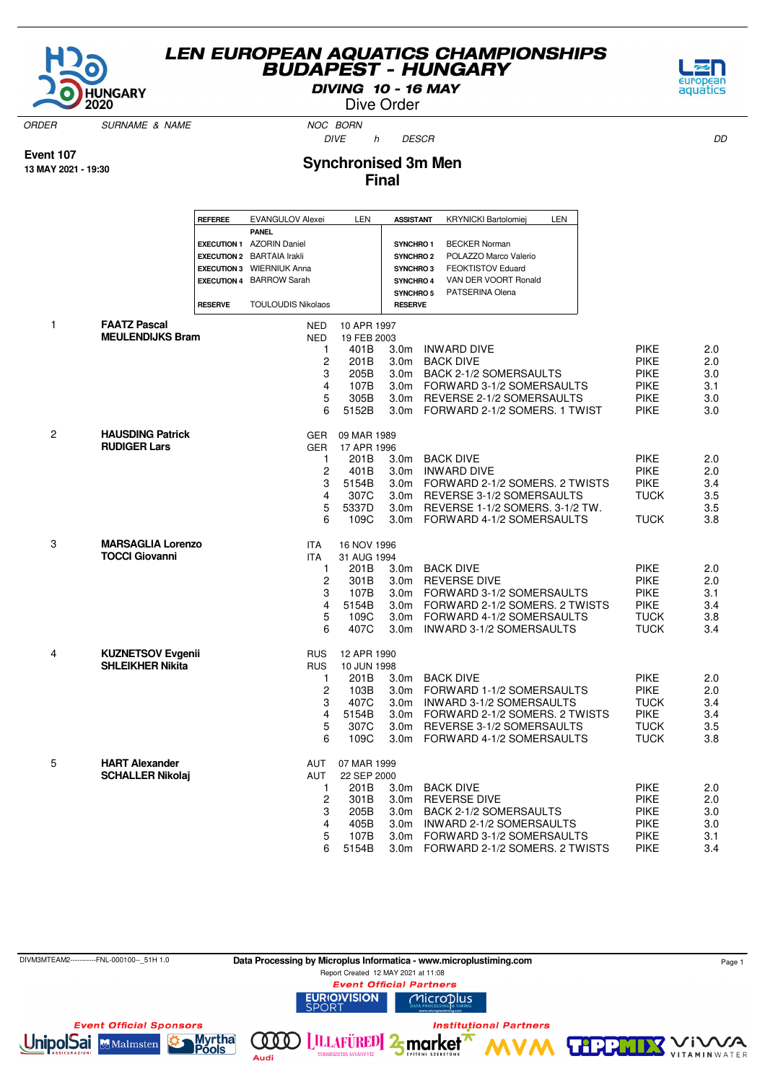

DIVING 10 - 16 MAY

Dive Order



ORDER SURNAME & NAME NOC BORN

DIVE h DESCR DD

**Event 107 13 MAY 2021 - 19:30**

| <b>Synchronised 3m Men</b> |  |
|----------------------------|--|
| Final                      |  |

|                |                                                     | <b>REFEREE</b> | <b>EVANGULOV Alexei</b>           | LEN           | <b>ASSISTANT</b>                     | LEN<br>KRYNICKI Bartolomiej                           |                            |            |
|----------------|-----------------------------------------------------|----------------|-----------------------------------|---------------|--------------------------------------|-------------------------------------------------------|----------------------------|------------|
|                |                                                     |                | <b>PANEL</b>                      |               |                                      |                                                       |                            |            |
|                |                                                     |                | <b>EXECUTION 1 AZORIN Daniel</b>  |               | SYNCHRO <sub>1</sub>                 | <b>BECKER Norman</b>                                  |                            |            |
|                |                                                     |                | <b>EXECUTION 2 BARTAIA Irakli</b> |               | SYNCHRO <sub>2</sub>                 | POLAZZO Marco Valerio                                 |                            |            |
|                |                                                     |                | <b>EXECUTION 3 WIERNIUK Anna</b>  |               | SYNCHRO <sub>3</sub>                 | FEOKTISTOV Eduard                                     |                            |            |
|                |                                                     |                | <b>EXECUTION 4 BARROW Sarah</b>   |               | SYNCHRO 4                            | VAN DER VOORT Ronald                                  |                            |            |
|                |                                                     |                |                                   |               | SYNCHRO 5                            | PATSERINA Olena                                       |                            |            |
|                |                                                     | <b>RESERVE</b> | <b>TOULOUDIS Nikolaos</b>         |               | <b>RESERVE</b>                       |                                                       |                            |            |
| 1              | <b>FAATZ Pascal</b>                                 |                | <b>NED</b>                        | 10 APR 1997   |                                      |                                                       |                            |            |
|                | <b>MEULENDIJKS Bram</b>                             |                | <b>NED</b>                        | 19 FEB 2003   |                                      |                                                       |                            |            |
|                |                                                     |                | 1                                 | 401B          | 3.0 <sub>m</sub>                     | <b>INWARD DIVE</b>                                    | <b>PIKE</b>                | 2.0        |
|                |                                                     |                | $\overline{c}$                    | 201B          | 3.0 <sub>m</sub>                     | <b>BACK DIVE</b>                                      | <b>PIKE</b>                | 2.0        |
|                |                                                     |                | 3                                 | 205B          | 3.0 <sub>m</sub>                     | <b>BACK 2-1/2 SOMERSAULTS</b>                         | <b>PIKE</b>                | 3.0        |
|                |                                                     |                | $\overline{4}$                    | 107B          | 3.0 <sub>m</sub>                     | FORWARD 3-1/2 SOMERSAULTS                             | <b>PIKE</b>                | 3.1        |
|                |                                                     |                | 5                                 | 305B          | 3.0 <sub>m</sub>                     | REVERSE 2-1/2 SOMERSAULTS                             | <b>PIKE</b>                | 3.0        |
|                |                                                     |                | 6                                 | 5152B         | 3.0 <sub>m</sub>                     | FORWARD 2-1/2 SOMERS. 1 TWIST                         | <b>PIKE</b>                | 3.0        |
|                |                                                     |                |                                   |               |                                      |                                                       |                            |            |
| $\overline{c}$ | <b>HAUSDING Patrick</b>                             |                | GER                               | 09 MAR 1989   |                                      |                                                       |                            |            |
|                | <b>RUDIGER Lars</b>                                 |                | <b>GER</b>                        | 17 APR 1996   |                                      |                                                       |                            |            |
|                |                                                     |                | $\mathbf{1}$<br>2                 | 201B          | 3.0 <sub>m</sub>                     | <b>BACK DIVE</b>                                      | <b>PIKE</b><br><b>PIKE</b> | 2.0        |
|                |                                                     |                | 3                                 | 401B<br>5154B | 3.0 <sub>m</sub><br>3.0 <sub>m</sub> | <b>INWARD DIVE</b><br>FORWARD 2-1/2 SOMERS. 2 TWISTS  | <b>PIKE</b>                | 2.0<br>3.4 |
|                |                                                     |                | 4                                 | 307C          | 3.0 <sub>m</sub>                     | REVERSE 3-1/2 SOMERSAULTS                             | <b>TUCK</b>                | 3.5        |
|                |                                                     |                | 5                                 | 5337D         | 3.0 <sub>m</sub>                     | REVERSE 1-1/2 SOMERS, 3-1/2 TW.                       |                            | 3.5        |
|                |                                                     |                | 6                                 | 109C          | 3.0 <sub>m</sub>                     | FORWARD 4-1/2 SOMERSAULTS                             | <b>TUCK</b>                | 3.8        |
|                |                                                     |                |                                   |               |                                      |                                                       |                            |            |
| 3              | <b>MARSAGLIA Lorenzo</b>                            |                | <b>ITA</b>                        | 16 NOV 1996   |                                      |                                                       |                            |            |
|                | <b>TOCCI Giovanni</b>                               |                | <b>ITA</b>                        | 31 AUG 1994   |                                      |                                                       |                            |            |
|                |                                                     |                | 1                                 | 201B          | 3.0 <sub>m</sub>                     | <b>BACK DIVE</b>                                      | <b>PIKE</b>                |            |
|                |                                                     |                |                                   |               |                                      |                                                       |                            | 2.0        |
|                |                                                     |                | $\mathbf{2}$                      | 301B          | 3.0 <sub>m</sub>                     | <b>REVERSE DIVE</b>                                   | <b>PIKE</b>                | 2.0        |
|                |                                                     |                | 3                                 | 107B          | 3.0 <sub>m</sub>                     | FORWARD 3-1/2 SOMERSAULTS                             | <b>PIKE</b>                | 3.1        |
|                |                                                     |                | $\overline{4}$                    | 5154B         | 3.0 <sub>m</sub>                     | FORWARD 2-1/2 SOMERS. 2 TWISTS                        | <b>PIKE</b>                | 3.4        |
|                |                                                     |                | 5                                 | 109C          | 3.0 <sub>m</sub>                     | FORWARD 4-1/2 SOMERSAULTS                             | <b>TUCK</b>                | 3.8        |
|                |                                                     |                | 6                                 | 407C          | 3.0 <sub>m</sub>                     | INWARD 3-1/2 SOMERSAULTS                              | <b>TUCK</b>                | 3.4        |
|                |                                                     |                |                                   |               |                                      |                                                       |                            |            |
| 4              | <b>KUZNETSOV Evgenii</b><br><b>SHLEIKHER Nikita</b> |                | <b>RUS</b>                        | 12 APR 1990   |                                      |                                                       |                            |            |
|                |                                                     |                | <b>RUS</b><br>$\mathbf{1}$        | 10 JUN 1998   |                                      |                                                       | <b>PIKE</b>                |            |
|                |                                                     |                | 2                                 | 201B<br>103B  | 3.0 <sub>m</sub><br>3.0 <sub>m</sub> | <b>BACK DIVE</b><br>FORWARD 1-1/2 SOMERSAULTS         | <b>PIKE</b>                | 2.0<br>2.0 |
|                |                                                     |                | 3                                 | 407C          | 3.0 <sub>m</sub>                     | INWARD 3-1/2 SOMERSAULTS                              | <b>TUCK</b>                | 3.4        |
|                |                                                     |                | 4                                 | 5154B         | 3.0 <sub>m</sub>                     | FORWARD 2-1/2 SOMERS. 2 TWISTS                        | <b>PIKE</b>                | 3.4        |
|                |                                                     |                | 5                                 | 307C          | 3.0 <sub>m</sub>                     | REVERSE 3-1/2 SOMERSAULTS                             | <b>TUCK</b>                | 3.5        |
|                |                                                     |                | 6                                 | 109C          | 3.0 <sub>m</sub>                     | FORWARD 4-1/2 SOMERSAULTS                             | <b>TUCK</b>                | 3.8        |
|                |                                                     |                |                                   |               |                                      |                                                       |                            |            |
| 5              | <b>HART Alexander</b>                               |                | AUT                               | 07 MAR 1999   |                                      |                                                       |                            |            |
|                | <b>SCHALLER Nikolaj</b>                             |                | AUT                               | 22 SEP 2000   |                                      |                                                       |                            |            |
|                |                                                     |                | 1                                 | 201B          | 3.0 <sub>m</sub>                     | <b>BACK DIVE</b>                                      | <b>PIKE</b>                | 2.0        |
|                |                                                     |                | $\overline{c}$                    | 301B          | 3.0 <sub>m</sub>                     | <b>REVERSE DIVE</b>                                   | <b>PIKE</b>                | 2.0        |
|                |                                                     |                | 3<br>4                            | 205B          | 3.0 <sub>m</sub>                     | BACK 2-1/2 SOMERSAULTS                                | <b>PIKE</b>                | 3.0        |
|                |                                                     |                | 5                                 | 405B<br>107B  | 3.0 <sub>m</sub><br>3.0 <sub>m</sub> | INWARD 2-1/2 SOMERSAULTS<br>FORWARD 3-1/2 SOMERSAULTS | <b>PIKE</b><br><b>PIKE</b> | 3.0<br>3.1 |

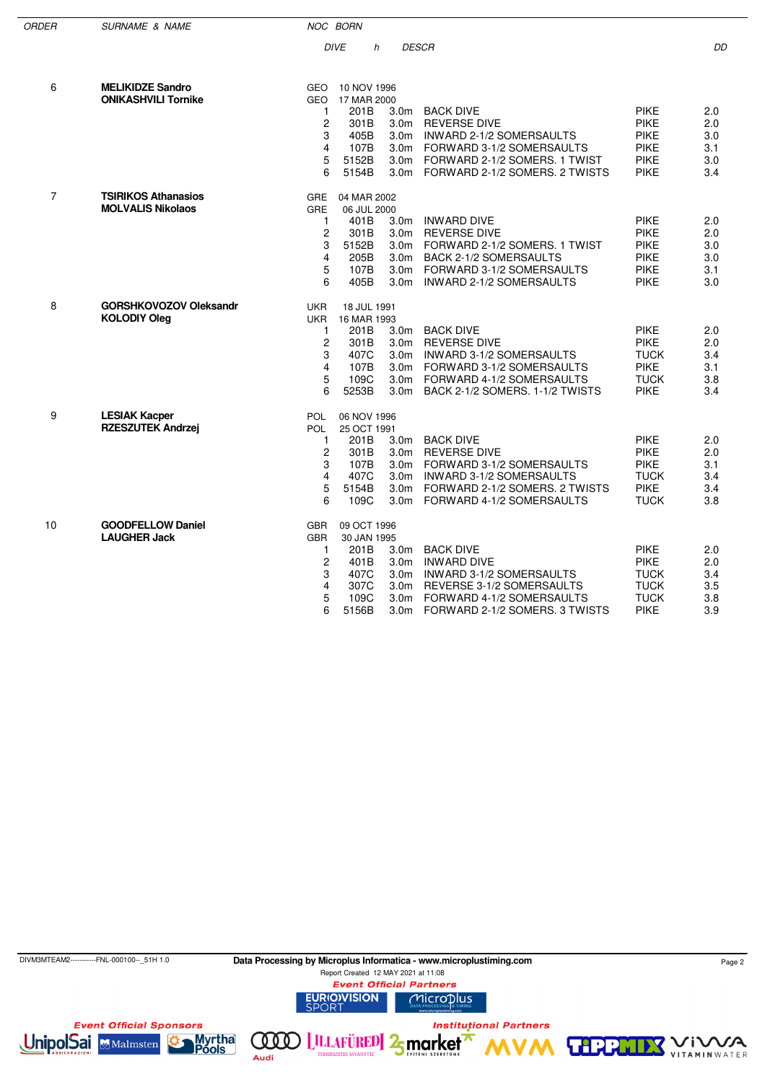| <i>ORDER</i>   | <b>SURNAME &amp; NAME</b>                              | NOC BORN                                                                                                                                                                                                                                                                                                                                                           |                                                                                                                                  |
|----------------|--------------------------------------------------------|--------------------------------------------------------------------------------------------------------------------------------------------------------------------------------------------------------------------------------------------------------------------------------------------------------------------------------------------------------------------|----------------------------------------------------------------------------------------------------------------------------------|
|                |                                                        | <b>DIVE</b><br>h<br><b>DESCR</b>                                                                                                                                                                                                                                                                                                                                   | DD                                                                                                                               |
| 6              | <b>MELIKIDZE Sandro</b><br><b>ONIKASHVILI Tornike</b>  | 10 NOV 1996<br><b>GEO</b><br><b>GEO</b><br>17 MAR 2000<br>201B<br>3.0m BACK DIVE<br>1<br>$\overline{c}$<br>301B<br>3.0m REVERSE DIVE<br>3<br>3.0m INWARD 2-1/2 SOMERSAULTS<br>405B<br>$\overline{4}$<br>107B<br>3.0m FORWARD 3-1/2 SOMERSAULTS<br>5<br>5152B<br>3.0m FORWARD 2-1/2 SOMERS. 1 TWIST<br>6<br>5154B<br>3.0m FORWARD 2-1/2 SOMERS. 2 TWISTS            | <b>PIKE</b><br>2.0<br><b>PIKE</b><br>2.0<br><b>PIKE</b><br>3.0<br><b>PIKE</b><br>3.1<br><b>PIKE</b><br>3.0<br><b>PIKE</b><br>3.4 |
| $\overline{7}$ | <b>TSIRIKOS Athanasios</b><br><b>MOLVALIS Nikolaos</b> | GRE<br>04 MAR 2002<br><b>GRE</b><br>06 JUL 2000<br>401B<br><b>INWARD DIVE</b><br>3.0m<br>1<br>$\overline{c}$<br>301B<br>3.0m REVERSE DIVE<br>3<br>3.0m FORWARD 2-1/2 SOMERS, 1 TWIST<br>5152B<br>4<br>205B<br>3.0m BACK 2-1/2 SOMERSAULTS<br>5<br>107B<br>3.0m FORWARD 3-1/2 SOMERSAULTS<br>6<br>405B<br>INWARD 2-1/2 SOMERSAULTS<br>3.0 <sub>m</sub>              | <b>PIKE</b><br>2.0<br><b>PIKE</b><br>2.0<br><b>PIKE</b><br>3.0<br><b>PIKE</b><br>3.0<br><b>PIKE</b><br>3.1<br><b>PIKE</b><br>3.0 |
| 8              | <b>GORSHKOVOZOV Oleksandr</b><br><b>KOLODIY Oleg</b>   | <b>UKR</b><br>18 JUL 1991<br><b>UKR</b><br>16 MAR 1993<br>201B<br>3.0m BACK DIVE<br>1<br>$\overline{c}$<br>301B<br>3.0m REVERSE DIVE<br>3<br>407C<br>3.0m INWARD 3-1/2 SOMERSAULTS<br>$\overline{4}$<br>3.0m FORWARD 3-1/2 SOMERSAULTS<br>107B<br>5<br>109C<br>3.0m FORWARD 4-1/2 SOMERSAULTS<br>6<br>5253B<br>BACK 2-1/2 SOMERS. 1-1/2 TWISTS<br>3.0 <sub>m</sub> | <b>PIKE</b><br>2.0<br><b>PIKE</b><br>2.0<br><b>TUCK</b><br>3.4<br><b>PIKE</b><br>3.1<br><b>TUCK</b><br>3.8<br><b>PIKE</b><br>3.4 |
| 9              | <b>LESIAK Kacper</b><br><b>RZESZUTEK Andrzej</b>       | 06 NOV 1996<br><b>POL</b><br><b>POL</b><br>25 OCT 1991<br>201B<br>3.0m BACK DIVE<br>1<br>$\overline{c}$<br>301B<br>3.0m REVERSE DIVE<br>3<br>107B<br>3.0m FORWARD 3-1/2 SOMERSAULTS<br>$\overline{4}$<br>407C<br>3.0m INWARD 3-1/2 SOMERSAULTS<br>5<br>5154B<br>3.0m FORWARD 2-1/2 SOMERS, 2 TWISTS<br>6<br>109C<br>3.0m FORWARD 4-1/2 SOMERSAULTS                 | <b>PIKE</b><br>2.0<br><b>PIKE</b><br>2.0<br><b>PIKE</b><br>3.1<br><b>TUCK</b><br>3.4<br><b>PIKE</b><br>3.4<br><b>TUCK</b><br>3.8 |
| 10             | <b>GOODFELLOW Daniel</b><br><b>LAUGHER Jack</b>        | 09 OCT 1996<br><b>GBR</b><br><b>GBR</b><br>30 JAN 1995<br>201B<br>3.0m BACK DIVE<br>1<br>$\overline{c}$<br>3.0m INWARD DIVE<br>401B<br>3<br>407C<br>3.0m INWARD 3-1/2 SOMERSAULTS<br>4<br>3.0m REVERSE 3-1/2 SOMERSAULTS<br>307C<br>5<br>109C<br>3.0 <sub>m</sub><br>FORWARD 4-1/2 SOMERSAULTS<br>6<br>5156B<br>3.0 <sub>m</sub><br>FORWARD 2-1/2 SOMERS. 3 TWISTS | <b>PIKE</b><br>2.0<br><b>PIKE</b><br>2.0<br><b>TUCK</b><br>3.4<br><b>TUCK</b><br>3.5<br><b>TUCK</b><br>3.8<br><b>PIKE</b><br>3.9 |

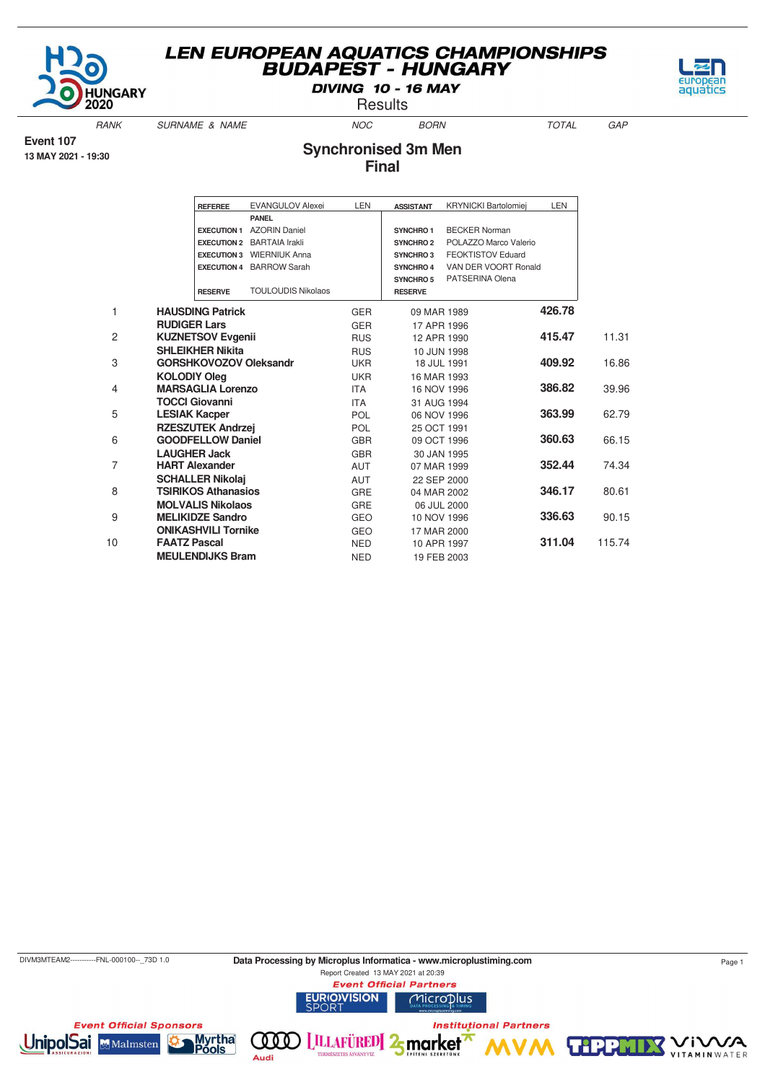

DIVING 10 - 16 MAY

**Results** 

RANK SURNAME & NAME NOC BORN TOTAL GAP

aquatics

**Event 107 13 MAY 2021 - 19:30**

### **Synchronised 3m Men**

**Final**

|                | <b>REFEREE</b>                | <b>EVANGULOV Alexei</b>           | <b>LEN</b> | <b>ASSISTANT</b>     | <b>KRYNICKI Bartolomiej</b> | <b>LEN</b> |
|----------------|-------------------------------|-----------------------------------|------------|----------------------|-----------------------------|------------|
|                |                               | <b>PANEL</b>                      |            |                      |                             |            |
|                |                               | <b>EXECUTION 1 AZORIN Daniel</b>  |            | SYNCHRO <sub>1</sub> | <b>BECKER Norman</b>        |            |
|                |                               | <b>EXECUTION 2 BARTAIA Irakli</b> |            | SYNCHRO <sub>2</sub> | POLAZZO Marco Valerio       |            |
|                |                               | <b>EXECUTION 3 WIERNIUK Anna</b>  |            | <b>SYNCHRO3</b>      | <b>FEOKTISTOV Eduard</b>    |            |
|                |                               | <b>EXECUTION 4 BARROW Sarah</b>   |            | SYNCHRO <sub>4</sub> | VAN DER VOORT Ronald        |            |
|                |                               |                                   |            | <b>SYNCHRO5</b>      | PATSERINA Olena             |            |
|                | <b>RESERVE</b>                | <b>TOULOUDIS Nikolaos</b>         |            | <b>RESERVE</b>       |                             |            |
| 1              | <b>HAUSDING Patrick</b>       |                                   | <b>GER</b> | 09 MAR 1989          |                             | 426.78     |
|                | <b>RUDIGER Lars</b>           |                                   | <b>GER</b> | 17 APR 1996          |                             |            |
| 2              | <b>KUZNETSOV Evgenii</b>      |                                   | <b>RUS</b> | 12 APR 1990          |                             | 415.47     |
|                | <b>SHLEIKHER Nikita</b>       |                                   | <b>RUS</b> | 10 JUN 1998          |                             |            |
| 3              | <b>GORSHKOVOZOV Oleksandr</b> |                                   | <b>UKR</b> | 18 JUL 1991          |                             | 409.92     |
|                | <b>KOLODIY Oleg</b>           |                                   | <b>UKR</b> | 16 MAR 1993          |                             |            |
| 4              | <b>MARSAGLIA Lorenzo</b>      |                                   | <b>ITA</b> | 16 NOV 1996          |                             | 386.82     |
|                | <b>TOCCI Giovanni</b>         |                                   | <b>ITA</b> | 31 AUG 1994          |                             |            |
| 5              | <b>LESIAK Kacper</b>          |                                   | <b>POL</b> | 06 NOV 1996          |                             | 363.99     |
|                | <b>RZESZUTEK Andrzej</b>      |                                   | <b>POL</b> | 25 OCT 1991          |                             |            |
| 6              | <b>GOODFELLOW Daniel</b>      |                                   | <b>GBR</b> | 09 OCT 1996          |                             | 360.63     |
|                | <b>LAUGHER Jack</b>           |                                   | <b>GBR</b> | 30 JAN 1995          |                             |            |
| $\overline{7}$ | <b>HART Alexander</b>         |                                   | <b>AUT</b> | 07 MAR 1999          |                             | 352.44     |
|                | <b>SCHALLER Nikolaj</b>       |                                   | <b>AUT</b> | 22 SEP 2000          |                             |            |
| 8              | <b>TSIRIKOS Athanasios</b>    |                                   | <b>GRE</b> | 04 MAR 2002          |                             | 346.17     |
|                | <b>MOLVALIS Nikolaos</b>      |                                   | <b>GRE</b> | 06 JUL 2000          |                             |            |
| 9              | <b>MELIKIDZE Sandro</b>       |                                   | <b>GEO</b> | 10 NOV 1996          |                             | 336.63     |
|                | <b>ONIKASHVILI Tornike</b>    |                                   | <b>GEO</b> | 17 MAR 2000          |                             |            |
| 10             | <b>FAATZ Pascal</b>           |                                   | <b>NED</b> | 10 APR 1997          |                             | 311.04     |
|                | <b>MEULENDIJKS Bram</b>       |                                   | <b>NED</b> | 19 FEB 2003          |                             |            |

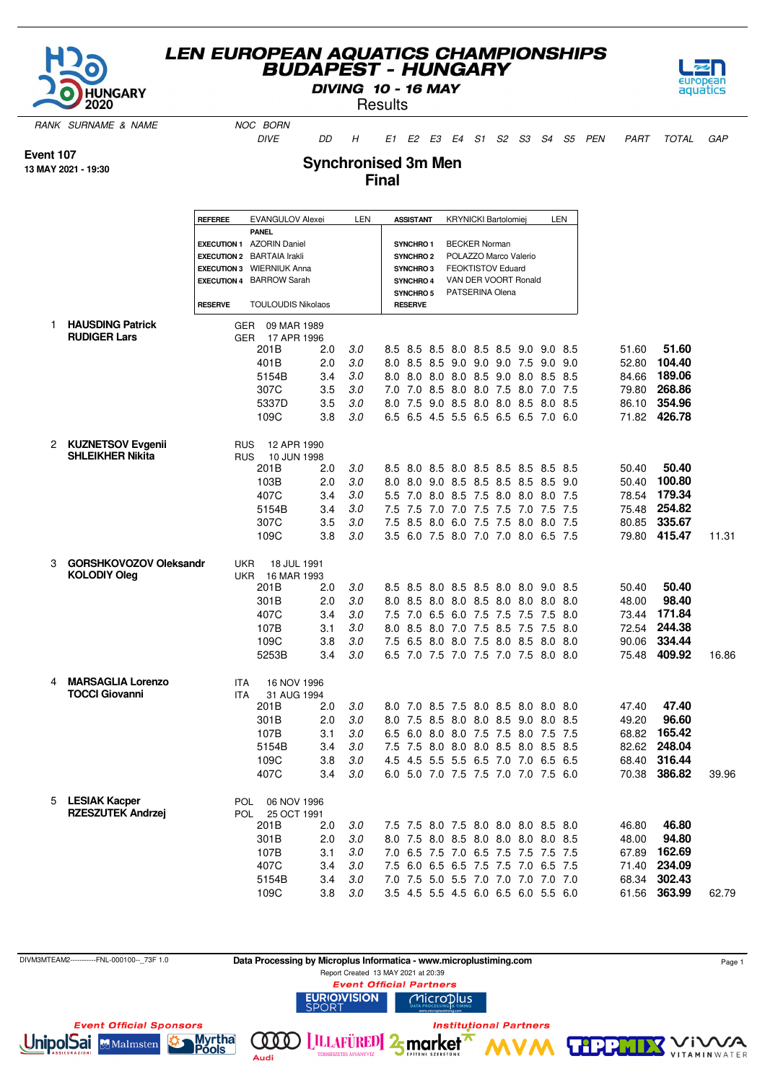

DIVING 10 - 16 MAY **Results** 

**Synchronised 3m Men**



RANK SURNAME & NAME NOC BORN

DIVE DD H E1 E2 E3 E4 S1 S2 S3 S4 S5 PEN PART TOTAL GAP

**Event 107**

**13 MAY 2021 - 19:30**

**Final REFEREE** EVANGULOV Alexei LEN **ASSISTANT** KRYNICKI Bartolomiej LEN **PANEL EXECUTION 1** AZORIN Daniel **SYNCHRO 1** BECKER Norman **EXECUTION 2** BARTAIA Irakli **SYNCHRO 2** POLAZZO Marco Valerio **EXECUTION 3** WIERNIUK Anna **SYNCHRO 3** FEOKTISTOV Eduard **EXECUTION 4** BARROW Sarah **SYNCHRO 4** VAN DER VOORT Ronald **SYNCHRO 5** PATSERINA Olena **RESERVE** TOULOUDIS Nikolaos **RESERVE** 1 **HAUSDING Patrick** GER 09 MAR 1989 **RUDIGER Lars GER** 17 APR 1996<br>2 201B 201B 2.0 3.0 8.5 8.5 8.5 8.0 8.5 8.5 9.0 9.0 8.5 51.60 **51.60** 401B 2.0 3.0 8.0 8.5 8.5 9.0 9.0 9.0 7.5 9.0 9.0 52.80 **104.40** 5154B 3.4 3.0 8.0 8.0 8.0 8.0 8.5 9.0 8.0 8.5 8.5 84.66 **189.06** 307C 3.5 3.0 7.0 7.0 8.5 8.0 8.0 7.5 8.0 7.0 7.5 79.80 5337D 3.5 3.0 8.0 7.5 9.0 8.5 8.0 8.0 8.5 8.0 8.5 86.10 **354.96** 109C 3.8 3.0 6.5 6.5 4.5 5.5 6.5 6.5 6.5 7.0 6.0 71.82 **426.78** 2 **KUZNETSOV Evgenii** RUS 12 APR 1990 **SHLEIKHER Nikita** RUS 10 JUN 1998<br>2018 2018 2018 2018 201B 2.0 3.0 8.5 8.0 8.5 8.0 8.5 8.5 8.5 8.5 8.5 50.40 **50.40** 103B 2.0 3.0 8.0 8.0 9.0 8.5 8.5 8.5 8.5 8.5 9.0 50.40 **100.80** 407C 3.4 3.0 5.5 7.0 8.0 8.5 7.5 8.0 8.0 8.0 7.5 78.54 **179.34** 5154B 3.4 3.0 7.5 7.5 7.0 7.0 7.5 7.5 7.0 7.5 7.5 75.48 **254.82** 307C 3.5 3.0 7.5 8.5 8.0 6.0 7.5 7.5 8.0 8.0 7.5 80.85 **335.67** 109C 3.8 3.0 3.5 6.0 7.5 8.0 7.0 7.0 8.0 6.5 7.5 79.80 **415.47** 11.31 **GORSHKOVOZOV Oleksandr** UKR 18 JUL 1991 **KOLODIY Oleg** UKR 16 MAR 1993 201B 2.0 3.0 8.5 8.5 8.0 8.5 8.5 8.0 8.0 9.0 8.5 50.40 **50.40** 301B 2.0 3.0 8.0 8.5 8.0 8.0 8.5 8.0 8.0 8.0 8.0 48.00 **98.40** 407C 3.4 3.0 7.5 7.0 6.5 6.0 7.5 7.5 7.5 7.5 8.0 73.44 **171.84** 107B 3.1 3.0 8.0 8.5 8.0 7.0 7.5 8.5 7.5 7.5 8.0 72.54 **244.38** 109C 3.8 3.0 7.5 6.5 8.0 8.0 7.5 8.0 8.5 8.0 8.0 90.06 **334.44** 5253B 3.4 3.0 6.5 7.0 7.5 7.0 7.5 7.0 7.5 8.0 8.0 75.48 **409.92** 16.86 **MARSAGLIA Lorenzo** ITA 16 NOV 1996 **TOCCI Giovanni** ITA 31 AUG 1994<br>2018 2018 2018 2018 201B 2.0 3.0 8.0 7.0 8.5 7.5 8.0 8.5 8.0 8.0 8.0 47.40 **47.40** 301B 2.0 3.0 8.0 7.5 8.5 8.0 8.0 8.5 9.0 8.0 8.5 49.20 **96.60** 107B 3.1 3.0 6.5 6.0 8.0 8.0 7.5 7.5 8.0 7.5 7.5 68.82 **165.42** 5154B 3.4 3.0 7.5 7.5 8.0 8.0 8.0 8.5 8.0 8.5 8.5 82.62 **248.04** 109C 3.8 3.0 4.5 4.5 5.5 5.5 6.5 7.0 7.0 6.5 6.5 68.40 **316.44** 407C 3.4 3.0 6.0 5.0 7.0 7.5 7.5 7.0 7.0 7.5 6.0 70.38 **386.82** 39.96 5 **LESIAK Kacper** POL 06 NOV 1996 **RZESZUTEK Andrzej** POL 25 OCT 1991 201B 2.0 3.0 7.5 7.5 8.0 7.5 8.0 8.0 8.0 8.5 8.0 46.80 **46.80** 301B 2.0 3.0 8.0 7.5 8.0 8.5 8.0 8.0 8.0 8.0 8.5 48.00 **94.80** 107B 3.1 3.0 7.0 6.5 7.5 7.0 6.5 7.5 7.5 7.5 7.5 407C 3.4 3.0 7.5 6.0 6.5 6.5 7.5 7.5 7.0 6.5 7.5 71.40 **234.09** 5154B 3.4 3.0 7.0 7.5 5.0 5.5 7.0 7.0 7.0 7.0 7.0 68.34 **302.43** 109C 3.8 3.0 3.5 4.5 5.5 4.5 6.0 6.5 6.0 5.5 6.0 61.56 **363.99** 62.79

DIVM3MTEAM2-----------FNL-000100--\_73F 1.0 **Data Processing by Microplus Informatica - www.microplustiming.com** Page 1

[JLLAFÜRED] 2 market

Report Created 13 MAY 2021 at 20:39**Event Official Partners** 

MicroDlus

**Institutional Partners** 

**URIO)VISION** 

 $(000)$ 



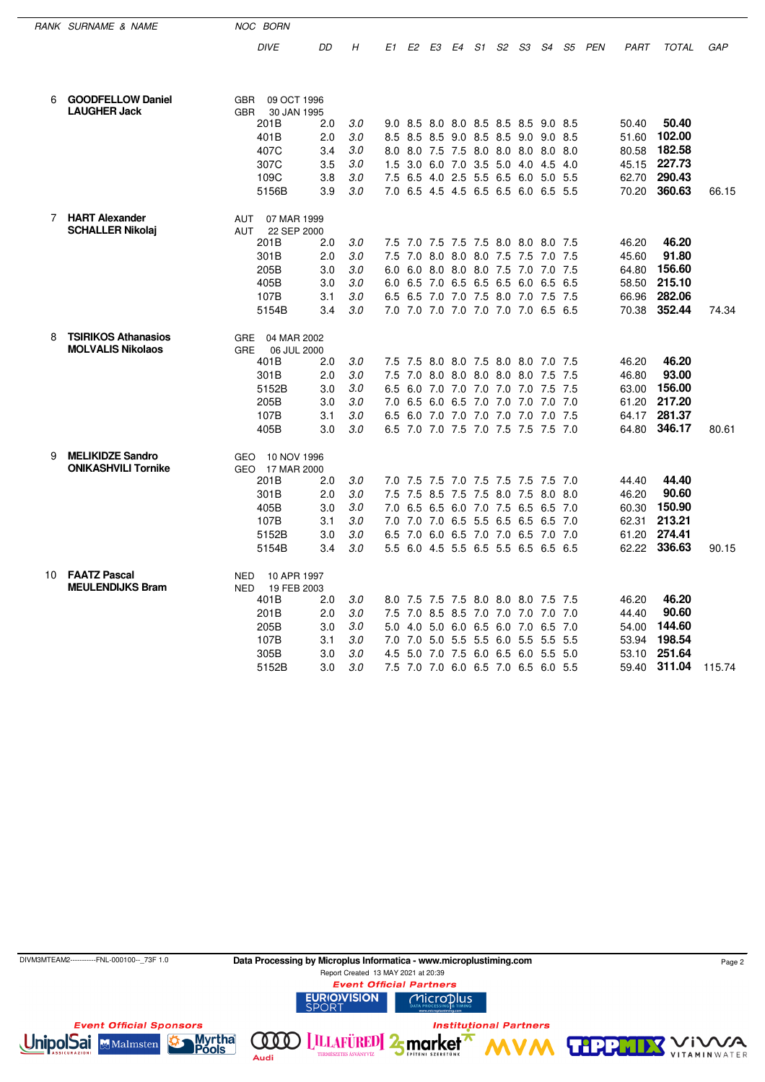|                | RANK SURNAME & NAME        | NOC BORN                          |            |            |     |                                     |            |    |                                 |                               |         |         |     |     |                |              |        |
|----------------|----------------------------|-----------------------------------|------------|------------|-----|-------------------------------------|------------|----|---------------------------------|-------------------------------|---------|---------|-----|-----|----------------|--------------|--------|
|                |                            | <b>DIVE</b>                       | DD         | Η          | E1  | E2                                  | E3         | E4 | S1                              | S <sub>2</sub> S <sub>3</sub> |         | S4      | S5  | PEN | PART           | <b>TOTAL</b> | GAP    |
|                |                            |                                   |            |            |     |                                     |            |    |                                 |                               |         |         |     |     |                |              |        |
| 6              | <b>GOODFELLOW Daniel</b>   | <b>GBR</b><br>09 OCT 1996         |            |            |     |                                     |            |    |                                 |                               |         |         |     |     |                |              |        |
|                | <b>LAUGHER Jack</b>        | 30 JAN 1995<br><b>GBR</b><br>201B | 2.0        | 3.0        |     | 9.0 8.5 8.0 8.0 8.5 8.5 8.5 9.0 8.5 |            |    |                                 |                               |         |         |     |     | 50.40          | 50.40        |        |
|                |                            | 401B                              | 2.0        | 3.0        |     | 8.5 8.5                             |            |    | 8.5 9.0 8.5 8.5 9.0 9.0 8.5     |                               |         |         |     |     | 51.60          | 102.00       |        |
|                |                            | 407C                              | 3.4        | 3.0        |     | 8.0 8.0 7.5 7.5 8.0 8.0 8.0 8.0 8.0 |            |    |                                 |                               |         |         |     |     | 80.58          | 182.58       |        |
|                |                            | 307C                              | 3.5        | 3.0        | 1.5 | 3.0                                 | 6.0 7.0    |    | 3.5                             | $5.0\;4.0$                    |         | 4.5     | 4.0 |     | 45.15          | 227.73       |        |
|                |                            | 109C                              | 3.8        | 3.0        | 7.5 |                                     |            |    | 6.5 4.0 2.5 5.5 6.5 6.0 5.0 5.5 |                               |         |         |     |     | 62.70          | 290.43       |        |
|                |                            | 5156B                             | 3.9        | 3.0        |     | 7.0 6.5 4.5 4.5 6.5 6.5 6.0 6.5 5.5 |            |    |                                 |                               |         |         |     |     | 70.20          | 360.63       | 66.15  |
| $\overline{7}$ | <b>HART Alexander</b>      | 07 MAR 1999<br><b>AUT</b>         |            |            |     |                                     |            |    |                                 |                               |         |         |     |     |                |              |        |
|                | <b>SCHALLER Nikolaj</b>    | AUT<br>22 SEP 2000                |            |            |     |                                     |            |    |                                 |                               |         |         |     |     |                |              |        |
|                |                            | 201B                              | 2.0        | 3.0        |     | 7.5 7.0 7.5 7.5 7.5 8.0 8.0 8.0 7.5 |            |    |                                 |                               |         |         |     |     | 46.20          | 46.20        |        |
|                |                            | 301B                              | 2.0        | 3.0        |     | 7.5 7.0 8.0 8.0 8.0 7.5 7.5         |            |    |                                 |                               |         | 7.0 7.5 |     |     | 45.60          | 91.80        |        |
|                |                            | 205B                              | 3.0        | 3.0        | 6.0 | 6.0                                 | $8.0\;8.0$ |    | 8.0 7.5                         |                               | 7.0 7.0 |         | 7.5 |     | 64.80          | 156.60       |        |
|                |                            | 405B                              | 3.0        | 3.0        |     | 6.0 6.5 7.0 6.5 6.5 6.5 6.0 6.5 6.5 |            |    |                                 |                               |         |         |     |     | 58.50          | 215.10       |        |
|                |                            | 107B                              | 3.1        | 3.0        | 6.5 | 6.5                                 |            |    | 7.0 7.0 7.5 8.0 7.0 7.5 7.5     |                               |         |         |     |     | 66.96          | 282.06       |        |
|                |                            | 5154B                             | 3.4        | 3.0        |     | 7.0 7.0 7.0 7.0 7.0 7.0 7.0 6.5 6.5 |            |    |                                 |                               |         |         |     |     | 70.38          | 352.44       | 74.34  |
| 8              | <b>TSIRIKOS Athanasios</b> | <b>GRE</b><br>04 MAR 2002         |            |            |     |                                     |            |    |                                 |                               |         |         |     |     |                |              |        |
|                | <b>MOLVALIS Nikolaos</b>   | <b>GRE</b><br>06 JUL 2000<br>401B | 2.0        | 3.0        |     | 7.5 7.5 8.0 8.0 7.5 8.0 8.0 7.0 7.5 |            |    |                                 |                               |         |         |     |     | 46.20          | 46.20        |        |
|                |                            | 301B                              | 2.0        | 3.0        | 7.5 | 7.0                                 |            |    | 8.0 8.0 8.0 8.0 8.0 7.5         |                               |         |         | 7.5 |     | 46.80          | 93.00        |        |
|                |                            | 5152B                             | 3.0        | 3.0        | 6.5 | 6.0 7.0 7.0 7.0 7.0 7.0 7.5 7.5     |            |    |                                 |                               |         |         |     |     | 63.00          | 156.00       |        |
|                |                            | 205B                              | 3.0        | 3.0        | 7.0 | 6.5                                 | 6.0 6.5    |    | 7.0 7.0 7.0 7.0 7.0             |                               |         |         |     |     | 61.20          | 217.20       |        |
|                |                            | 107B                              | 3.1        | 3.0        | 6.5 | 6.0 7.0 7.0 7.0 7.0 7.0 7.0 7.5     |            |    |                                 |                               |         |         |     |     | 64.17          | 281.37       |        |
|                |                            | 405B                              | 3.0        | 3.0        |     | 6.5 7.0 7.0 7.5 7.0 7.5 7.5 7.5 7.0 |            |    |                                 |                               |         |         |     |     | 64.80          | 346.17       | 80.61  |
| 9              | <b>MELIKIDZE Sandro</b>    | 10 NOV 1996<br><b>GEO</b>         |            |            |     |                                     |            |    |                                 |                               |         |         |     |     |                |              |        |
|                | <b>ONIKASHVILI Tornike</b> | GEO 17 MAR 2000                   |            |            |     |                                     |            |    |                                 |                               |         |         |     |     |                |              |        |
|                |                            | 201B                              | 2.0        | 3.0        |     | 7.0 7.5                             |            |    | 7.5 7.0 7.5 7.5 7.5 7.5 7.0     |                               |         |         |     |     | 44.40          | 44.40        |        |
|                |                            | 301B                              | 2.0        | 3.0        | 7.5 | 7.5 8.5 7.5                         |            |    | 7.5 8.0 7.5                     |                               |         | 8.0 8.0 |     |     | 46.20          | 90.60        |        |
|                |                            | 405B                              | 3.0        | 3.0        |     | $7.0\quad 6.5$                      |            |    | 6.5 6.0 7.0 7.5                 |                               | 6.5     | 6.5 7.0 |     |     | 60.30          | 150.90       |        |
|                |                            | 107B                              | 3.1        | 3.0        |     | 7.0 7.0 7.0 6.5 5.5 6.5 6.5 6.5 7.0 |            |    |                                 |                               |         |         |     |     | 62.31          | 213.21       |        |
|                |                            | 5152B                             | 3.0        | 3.0        | 6.5 | 7.0                                 |            |    | 6.0 6.5 7.0 7.0 6.5 7.0 7.0     |                               |         |         |     |     | 61.20          | 274.41       |        |
|                |                            | 5154B                             | 3.4        | 3.0        |     | 5.5 6.0 4.5 5.5 6.5 5.5 6.5 6.5 6.5 |            |    |                                 |                               |         |         |     |     | 62.22          | 336.63       | 90.15  |
| 10             | <b>FAATZ Pascal</b>        | <b>NED</b><br>10 APR 1997         |            |            |     |                                     |            |    |                                 |                               |         |         |     |     |                |              |        |
|                | <b>MEULENDIJKS Bram</b>    | <b>NED</b><br>19 FEB 2003<br>401B | 2.0        | 3.0        |     | 8.0 7.5 7.5 7.5 8.0 8.0 8.0 7.5 7.5 |            |    |                                 |                               |         |         |     |     | 46.20          | 46.20        |        |
|                |                            |                                   |            | 3.0        |     |                                     |            |    | 7.0 7.0                         |                               | 7.0 7.0 |         | 7.0 |     |                | 90.60        |        |
|                |                            | 201B<br>205B                      | 2.0<br>3.0 | 3.0        | 7.5 | 7.0<br>5.04.0                       | 8.5 8.5    |    | 5.0 6.0 6.5 6.0 7.0 6.5         |                               |         |         | 7.0 |     | 44.40<br>54.00 | 144.60       |        |
|                |                            | 107B                              |            |            | 7.0 | 7.0                                 | 5.0 5.5    |    | 5.5 6.0 5.5                     |                               |         |         | 5.5 |     | 53.94          | 198.54       |        |
|                |                            | 305B                              | 3.1<br>3.0 | 3.0<br>3.0 | 4.5 |                                     |            |    | 5.0 7.0 7.5 6.0 6.5 6.0 5.5 5.0 |                               |         | 5.5     |     |     | 53.10          | 251.64       |        |
|                |                            |                                   |            |            |     |                                     |            |    |                                 |                               |         |         |     |     |                | 311.04       |        |
|                |                            | 5152B                             | 3.0        | 3.0        | 7.5 | 7.0 7.0 6.0 6.5 7.0 6.5 6.0 5.5     |            |    |                                 |                               |         |         |     |     | 59.40          |              | 115.74 |

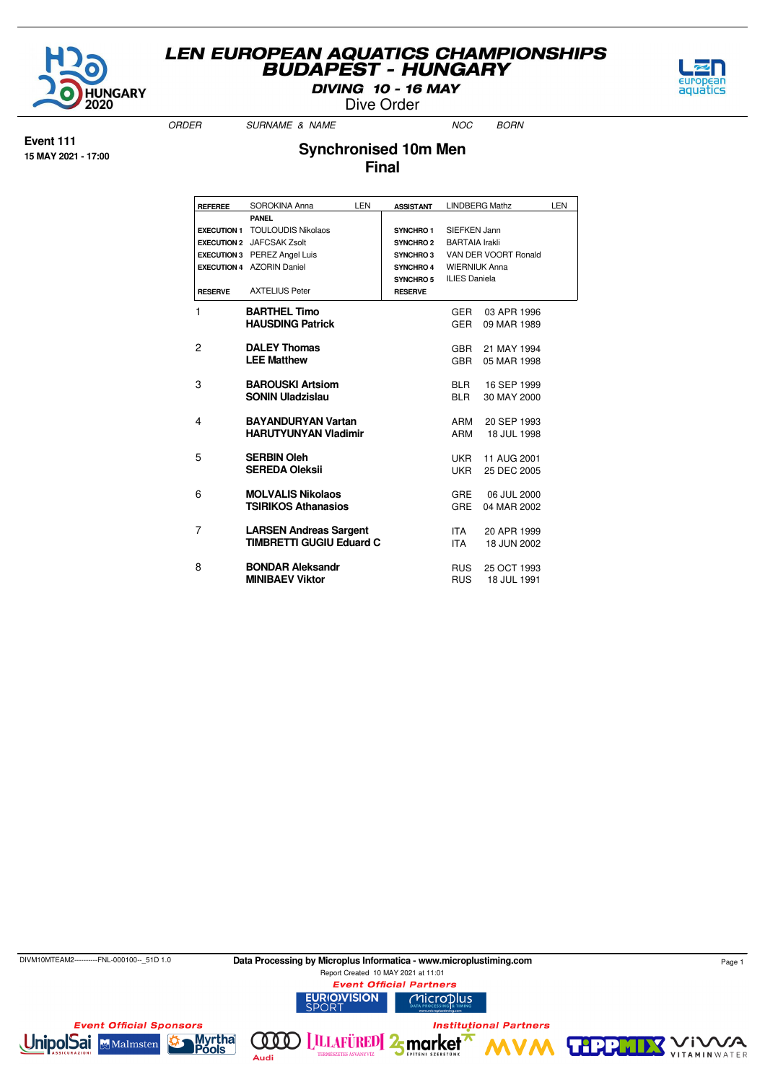

DIVING 10 - 16 MAY

Dive Order

ORDER SURNAME & NAME NOC BORN

**Event 111 15 MAY 2021 - 17:00**

**Synchronised 10m Men Final**

| <b>REFEREE</b> | SOROKINA Anna                         | LEN | <b>ASSISTANT</b> |                       | <b>LINDBERG Mathz</b>      | <b>LEN</b> |
|----------------|---------------------------------------|-----|------------------|-----------------------|----------------------------|------------|
|                | <b>PANEL</b>                          |     |                  |                       |                            |            |
|                | <b>EXECUTION 1 TOULOUDIS Nikolaos</b> |     | <b>SYNCHRO 1</b> | SIEFKEN Jann          |                            |            |
|                | <b>EXECUTION 2 JAFCSAK Zsolt</b>      |     | <b>SYNCHRO 2</b> | <b>BARTAIA Irakli</b> |                            |            |
|                | <b>EXECUTION 3 PEREZ Angel Luis</b>   |     | <b>SYNCHRO 3</b> |                       | VAN DER VOORT Ronald       |            |
|                | <b>EXECUTION 4 AZORIN Daniel</b>      |     | <b>SYNCHRO 4</b> | <b>WIERNIUK Anna</b>  |                            |            |
|                |                                       |     | <b>SYNCHRO5</b>  | <b>ILIES Daniela</b>  |                            |            |
| <b>RESERVE</b> | <b>AXTELIUS Peter</b>                 |     | <b>RESERVE</b>   |                       |                            |            |
| 1              | <b>BARTHEL Timo</b>                   |     |                  | GER                   | 03 APR 1996                |            |
|                | <b>HAUSDING Patrick</b>               |     |                  | GER                   | 09 MAR 1989                |            |
|                |                                       |     |                  |                       |                            |            |
| 2              | <b>DALEY Thomas</b>                   |     |                  | GBR                   | 21 MAY 1994                |            |
|                | <b>LEE Matthew</b>                    |     |                  | GBR                   | 05 MAR 1998                |            |
|                |                                       |     |                  |                       |                            |            |
| 3              | <b>BAROUSKI Artsiom</b>               |     |                  | <b>BLR</b>            | 16 SEP 1999                |            |
|                | <b>SONIN Uladzislau</b>               |     |                  | <b>BLR</b>            | 30 MAY 2000                |            |
|                |                                       |     |                  |                       |                            |            |
| 4              | <b>BAYANDURYAN Vartan</b>             |     |                  | ARM                   | 20 SEP 1993                |            |
|                | <b>HARUTYUNYAN Vladimir</b>           |     |                  | ARM                   | 18 JUL 1998                |            |
| 5              | <b>SERBIN Oleh</b>                    |     |                  |                       |                            |            |
|                | <b>SEREDA Oleksii</b>                 |     |                  | UKR<br>UKR            | 11 AUG 2001<br>25 DEC 2005 |            |
|                |                                       |     |                  |                       |                            |            |
| 6              | <b>MOLVALIS Nikolaos</b>              |     |                  | GRE                   | 06 JUL 2000                |            |
|                | <b>TSIRIKOS Athanasios</b>            |     |                  | <b>GRE</b>            | 04 MAR 2002                |            |
|                |                                       |     |                  |                       |                            |            |
| 7              | <b>LARSEN Andreas Sargent</b>         |     |                  | ITA                   | 20 APR 1999                |            |
|                | <b>TIMBRETTI GUGIU Eduard C</b>       |     |                  | <b>ITA</b>            | 18 JUN 2002                |            |
|                |                                       |     |                  |                       |                            |            |
| 8              | <b>BONDAR Aleksandr</b>               |     |                  | <b>RUS</b>            | 25 OCT 1993                |            |
|                | <b>MINIBAEV Viktor</b>                |     |                  | <b>RUS</b>            | 18 JUL 1991                |            |



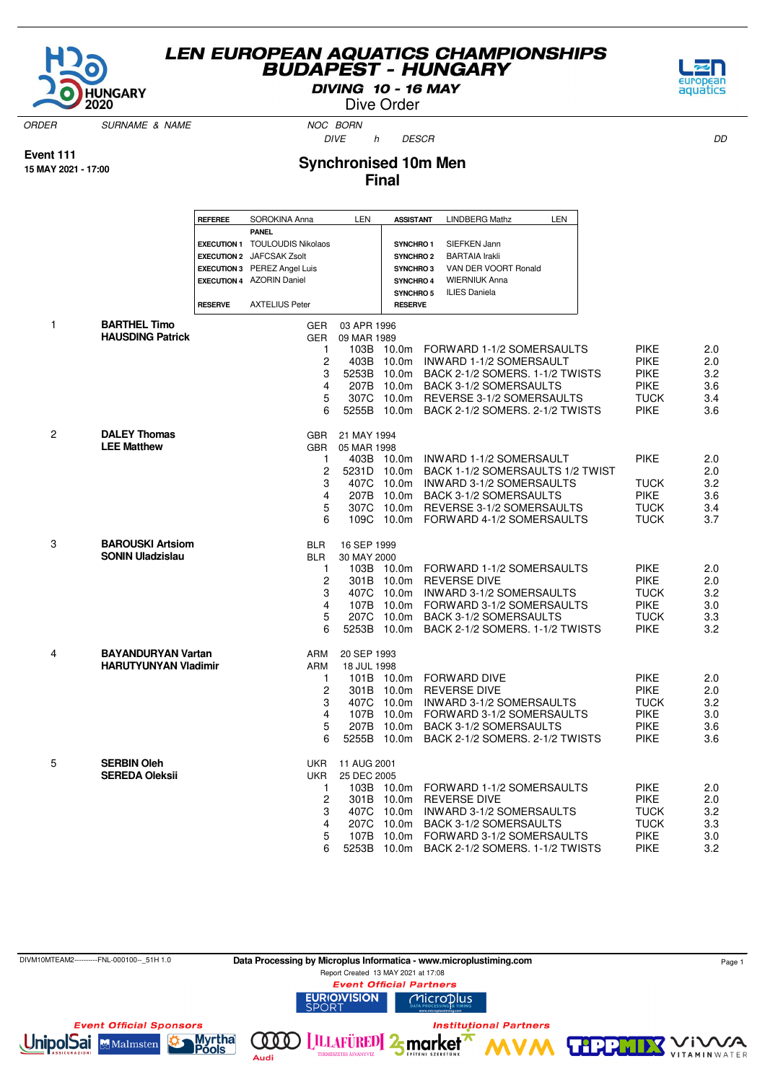

DIVING 10 - 16 MAY

Dive Order



ORDER SURNAME & NAME NOC BORN

DIVE h DESCR DD

**Synchronised 10m Men Final**

**Event 111 15 MAY 2021 - 17:00**

> **REFEREE** SOROKINA Anna LEN **ASSISTANT** LINDBERG Mathz LEN **PANEL EXECUTION 1** TOULOUDIS Nikolaos **SYNCHRO 1** SIEFKEN Jann **EXECUTION 2** JAFCSAK Zsolt **SYNCHRO 2** BARTAIA Irakli **EXECUTION 3** PEREZ Angel Luis **SYNCHRO 3** VAN DER VOORT Ronald **EXECUTION 4** AZORIN Daniel **SYNCHRO 4** WIERNIUK Anna **SYNCHRO 5** ILIES Daniela **RESERVE** AXTELIUS Peter **RESERVE** 1 **BARTHEL Timo** GER 03 APR 1996 **HAUSDING Patrick** GER 09 MAR 1989 1 103B 10.0m FORWARD 1-1/2 SOMERSAULTS PIKE 2.0<br>2 403B 10.0m INWARD 1-1/2 SOMERSAULT PIKE 2.0 INWARD 1-1/2 SOMERSAULT PIKE<br>BACK 2-1/2 SOMERS. 1-1/2 TWISTS PIKE 3 5253B 10.0m BACK 2-1/2 SOMERS. 1-1/2 TWISTS PIKE 3.2<br>4 207B 10.0m BACK 3-1/2 SOMERSAULTS PIKE 3.6 4 207B 10.0m BACK 3-1/2 SOMERSAULTS PIKE 3.6<br>5 307C 10.0m BEVERSE 3-1/2 SOMERSAULTS TUCK 3.4 REVERSE 3-1/2 SOMERSAULTS 6 5255B 10.0m BACK 2-1/2 SOMERS. 2-1/2 TWISTS PIKE 3.6 2 **DALEY Thomas** GBR 21 MAY 1994 **LEE Matthew GBR 05 MAR 1998**<br> **GBR 05 MAR 1998**<br> **1** 403B 10.0m 1 403B 10.0m INWARD 1-1/2 SOMERSAULT PIKE 2.0 2 5231D 10.0m BACK 1-1/2 SOMERSAULTS 1/2 TWIST 2.0<br>3 407C 10.0m INWARD 3-1/2 SOMERSAULTS TUCK 3.2 **INWARD 3-1/2 SOMERSAULTS TUCK 3-1/2 SOMERSAULTS TUCK 2.000 FINE** 4 207B 10.0m BACK 3-1/2 SOMERSAULTS PIKE 3.6 5 307C 10.0m REVERSE 3-1/2 SOMERSAULTS TUCK 3.4<br>6 109C 10.0m FORWARD 4-1/2 SOMERSAULTS TUCK 3.7 6 109C 10.0m FORWARD 4-1/2 SOMERSAULTS TUCK 3.7 3 **BAROUSKI Artsiom** BLR 16 SEP 1999 **SONIN Uladzislau** BLR 30 MAY 2000 1 103B 10.0m FORWARD 1-1/2 SOMERSAULTS PIKE 2.0<br>2 301B 10.0m REVERSE DIVE 20 2 REVERSE DIVE<br>2 31/2 SOMERSAULTS 2.0 TUCK 3 407C 10.0m INWARD 3-1/2 SOMERSAULTS TUCK 3.2 4 107B 10.0m FORWARD 3-1/2 SOMERSAULTS PIKE 3.0<br>5 207C 10.0m BACK 3-1/2 SOMERSAULTS TUCK 3.3 207C 10.0m BACK 3-1/2 SOMERSAULTS TUCK 3.3<br>5253B 10.0m BACK 2-1/2 SOMERS. 1-1/2 TWISTS PIKE 3.2 6 5253B 10.0m BACK 2-1/2 SOMERS. 1-1/2 TWISTS PIKE 3.2 4 **BAYANDURYAN Vartan** ARM 20 SEP 1993 **HARUTYUNYAN Vladimir** ARM 18 JUL 1998 1 101B 10.0m FORWARD DIVE PIKE 2.0 2 301B 10.0m REVERSE DIVE 3 407C 10.0m INWARD 3-1/2 SOMERSAULTS TUCK 3.2<br>4 107B 10.0m FORWARD 3-1/2 SOMERSAULTS PIKE 3.0 4 107B 10.0m FORWARD 3-1/2 SOMERSAULTS PIKE<br>5 207B 10.0m BACK 3-1/2 SOMERSAULTS PIKE 207B 10.0m BACK 3-1/2 SOMERSAULTS PIKE 3.6<br>5255B 10.0m BACK 2-1/2 SOMERS. 2-1/2 TWISTS PIKE 3.6 6 5255B 10.0m BACK 2-1/2 SOMERS. 2-1/2 TWISTS PIKE 3.6 5 **SERBIN Oleh** UKR 11 AUG 2001 **SEREDA Oleksii** UKR 25 DEC 2005<br>1 103B 10.0m 1 103B 10.0m FORWARD 1-1/2 SOMERSAULTS PIKE 2.0 2 301B 10.0m REVERSE DIVE PIKE 2.0 3 407C 10.0m INWARD 3-1/2 SOMERSAULTS<br>4 207C 10.0m BACK 3-1/2 SOMERSAULTS 4 207C 10.0m BACK 3-1/2 SOMERSAULTS TUCK 3.3<br>5 107B 10.0m FORWARD 3-1/2 SOMERSAULTS PIKE 3.0 107B 10.0m FORWARD 3-1/2 SOMERSAULTS<br>5253B 10.0m BACK 2-1/2 SOMERS, 1-1/2 TWIS 6 5253B 10.0m BACK 2-1/2 SOMERS. 1-1/2 TWISTS PIKE 3.2

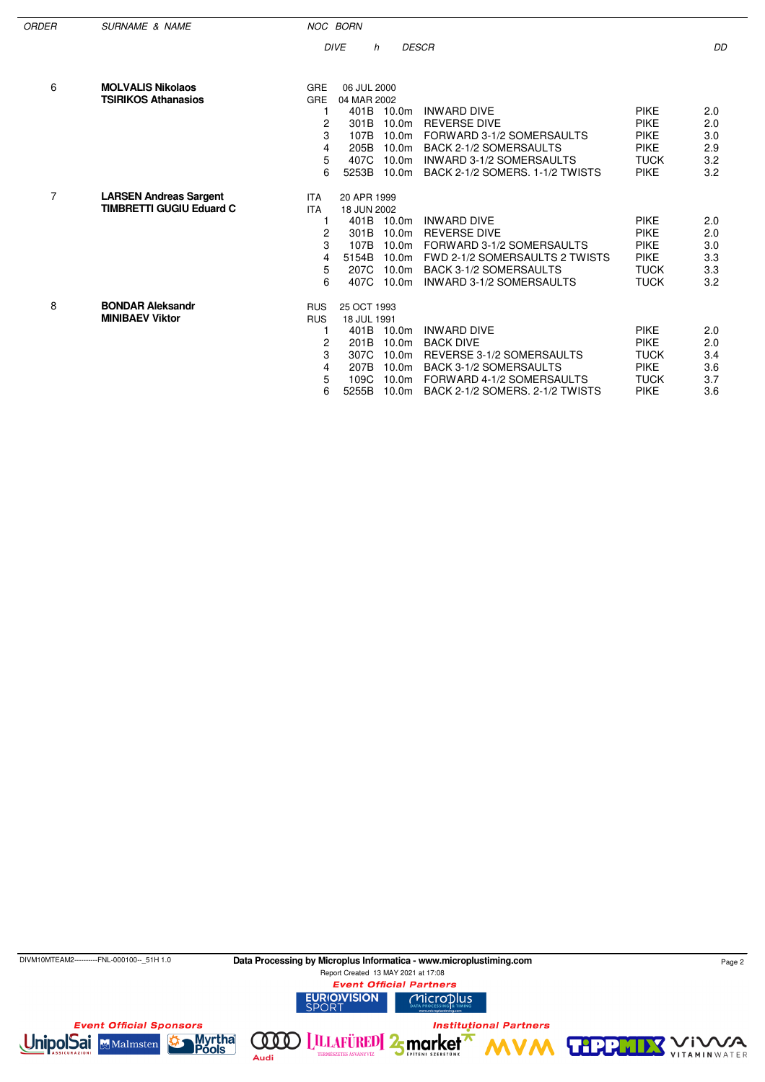| <b>ORDER</b>   | <b>SURNAME &amp; NAME</b>       | NOC BORN                                                                          |     |
|----------------|---------------------------------|-----------------------------------------------------------------------------------|-----|
|                |                                 | <b>DIVE</b><br><b>DESCR</b><br>h                                                  | DD  |
| 6              | <b>MOLVALIS Nikolaos</b>        | <b>GRE</b><br>06 JUL 2000                                                         |     |
|                | <b>TSIRIKOS Athanasios</b>      | <b>GRE</b><br>04 MAR 2002                                                         |     |
|                |                                 | <b>PIKE</b><br>401B<br>10.0 <sub>m</sub><br><b>INWARD DIVE</b>                    | 2.0 |
|                |                                 | <b>PIKE</b><br>2<br>301B<br>10.0 <sub>m</sub><br><b>REVERSE DIVE</b>              | 2.0 |
|                |                                 | 3<br><b>PIKE</b><br>107B<br>FORWARD 3-1/2 SOMERSAULTS<br>10.0 <sub>m</sub>        | 3.0 |
|                |                                 | <b>PIKE</b><br>4<br>205B<br>BACK 2-1/2 SOMERSAULTS<br>10.0 <sub>m</sub>           | 2.9 |
|                |                                 | 5<br>407C<br>INWARD 3-1/2 SOMERSAULTS<br><b>TUCK</b><br>10.0 <sub>m</sub>         | 3.2 |
|                |                                 | 6<br>5253B<br>BACK 2-1/2 SOMERS, 1-1/2 TWISTS<br><b>PIKE</b><br>10.0 <sub>m</sub> | 3.2 |
| $\overline{7}$ | <b>LARSEN Andreas Sargent</b>   | 20 APR 1999<br><b>ITA</b>                                                         |     |
|                | <b>TIMBRETTI GUGIU Eduard C</b> | <b>ITA</b><br>18 JUN 2002                                                         |     |
|                |                                 | <b>PIKE</b><br>401B<br>10.0 <sub>m</sub><br><b>INWARD DIVE</b>                    | 2.0 |
|                |                                 | 2<br><b>PIKE</b><br>301B<br>10.0 <sub>m</sub><br><b>REVERSE DIVE</b>              | 2.0 |
|                |                                 | 3<br>107B<br>FORWARD 3-1/2 SOMERSAULTS<br><b>PIKE</b><br>10.0 <sub>m</sub>        | 3.0 |
|                |                                 | <b>PIKE</b><br>5154B<br>FWD 2-1/2 SOMERSAULTS 2 TWISTS<br>10.0 <sub>m</sub><br>4  | 3.3 |
|                |                                 | 5<br>207C<br><b>BACK 3-1/2 SOMERSAULTS</b><br>10.0 <sub>m</sub><br><b>TUCK</b>    | 3.3 |
|                |                                 | 6<br>407C<br>10.0 <sub>m</sub><br>INWARD 3-1/2 SOMERSAULTS<br><b>TUCK</b>         | 3.2 |
| 8              | <b>BONDAR Aleksandr</b>         | 25 OCT 1993<br><b>RUS</b>                                                         |     |
|                | <b>MINIBAEV Viktor</b>          | 18 JUL 1991<br><b>RUS</b>                                                         |     |
|                |                                 | 401B<br><b>PIKE</b><br>10.0 <sub>m</sub><br><b>INWARD DIVE</b>                    | 2.0 |
|                |                                 | 2<br><b>PIKE</b><br>201B<br>10.0 <sub>m</sub><br><b>BACK DIVE</b>                 | 2.0 |
|                |                                 | 3<br>307C<br>REVERSE 3-1/2 SOMERSAULTS<br>10.0 <sub>m</sub><br><b>TUCK</b>        | 3.4 |
|                |                                 | 207B<br><b>PIKE</b><br>BACK 3-1/2 SOMERSAULTS<br>4<br>10.0m                       | 3.6 |
|                |                                 | 5<br>109C<br>FORWARD 4-1/2 SOMERSAULTS<br>10.0 <sub>m</sub><br><b>TUCK</b>        | 3.7 |
|                |                                 | 6<br>5255B<br>BACK 2-1/2 SOMERS, 2-1/2 TWISTS<br><b>PIKE</b><br>10.0 <sub>m</sub> | 3.6 |

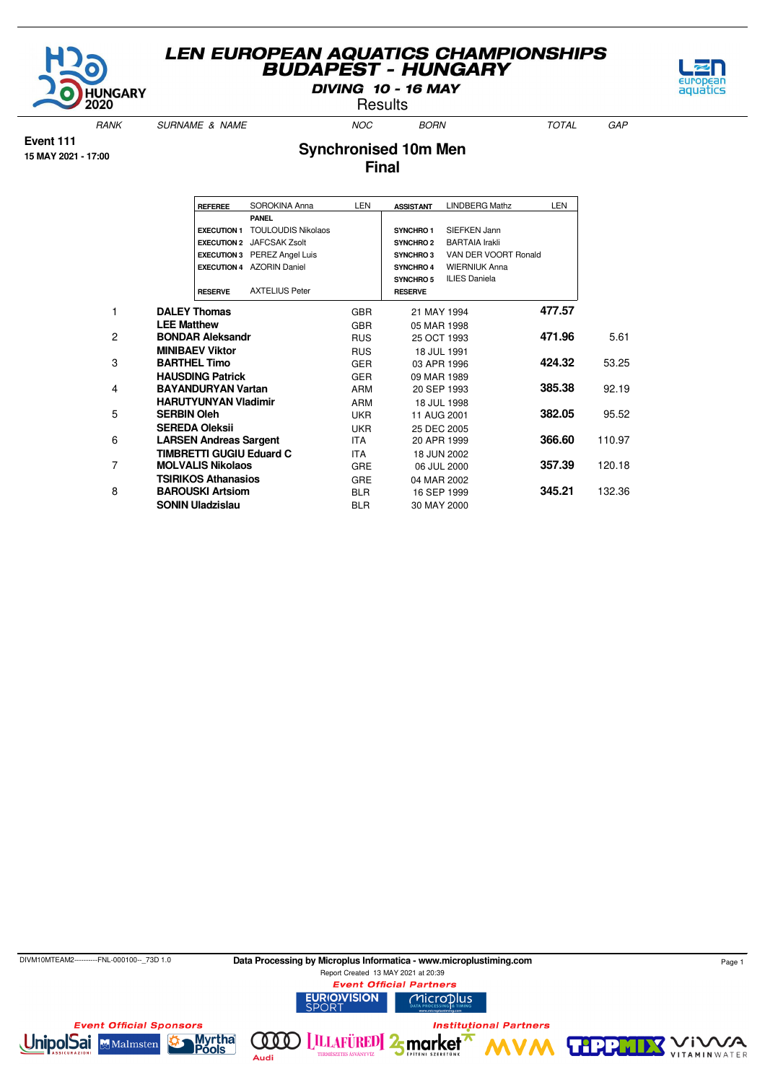

DIVING 10 - 16 MAY

**Results** 

RANK SURNAME & NAME NOC BORN TOTAL GAP

aquatics

**Event 111 15 MAY 2021 - 17:00**

### **Synchronised 10m Men**

**Final**

|   |                     | <b>REFEREE</b>                  | SOROKINA Anna                       | LEN        | <b>ASSISTANT</b>     | <b>LINDBERG Mathz</b> | <b>LEN</b> |        |
|---|---------------------|---------------------------------|-------------------------------------|------------|----------------------|-----------------------|------------|--------|
|   |                     |                                 | <b>PANEL</b>                        |            |                      |                       |            |        |
|   |                     | <b>EXECUTION 1</b>              | <b>TOULOUDIS Nikolaos</b>           |            | SYNCHRO <sub>1</sub> | SIEFKEN Jann          |            |        |
|   |                     | <b>EXECUTION 2</b>              | <b>JAFCSAK Zsolt</b>                |            | SYNCHRO <sub>2</sub> | <b>BARTAIA Irakli</b> |            |        |
|   |                     |                                 | <b>EXECUTION 3 PEREZ Angel Luis</b> |            | <b>SYNCHRO3</b>      | VAN DER VOORT Ronald  |            |        |
|   |                     |                                 | <b>EXECUTION 4 AZORIN Daniel</b>    |            | <b>SYNCHRO 4</b>     | <b>WIERNIUK Anna</b>  |            |        |
|   |                     |                                 |                                     |            | <b>SYNCHRO5</b>      | <b>ILIES Daniela</b>  |            |        |
|   |                     | <b>RESERVE</b>                  | <b>AXTELIUS Peter</b>               |            | <b>RESERVE</b>       |                       |            |        |
| 1 | <b>DALEY Thomas</b> |                                 |                                     | <b>GBR</b> | 21 MAY 1994          |                       | 477.57     |        |
|   | <b>LEE Matthew</b>  |                                 |                                     | <b>GBR</b> | 05 MAR 1998          |                       |            |        |
| 2 |                     | <b>BONDAR Aleksandr</b>         |                                     | <b>RUS</b> | 25 OCT 1993          |                       | 471.96     | 5.61   |
|   |                     | <b>MINIBAEV Viktor</b>          |                                     | <b>RUS</b> | 18 JUL 1991          |                       |            |        |
| 3 | <b>BARTHEL Timo</b> |                                 |                                     | <b>GER</b> | 03 APR 1996          |                       | 424.32     | 53.25  |
|   |                     | <b>HAUSDING Patrick</b>         |                                     | <b>GER</b> | 09 MAR 1989          |                       |            |        |
| 4 |                     | <b>BAYANDURYAN Vartan</b>       |                                     | ARM        | 20 SEP 1993          |                       | 385.38     | 92.19  |
|   |                     | <b>HARUTYUNYAN Vladimir</b>     |                                     | ARM        | 18 JUL 1998          |                       |            |        |
| 5 | <b>SERBIN Oleh</b>  |                                 |                                     | <b>UKR</b> | 11 AUG 2001          |                       | 382.05     | 95.52  |
|   |                     | <b>SEREDA Oleksii</b>           |                                     | UKR.       | 25 DEC 2005          |                       |            |        |
| 6 |                     | <b>LARSEN Andreas Sargent</b>   |                                     | <b>ITA</b> | 20 APR 1999          |                       | 366.60     | 110.97 |
|   |                     | <b>TIMBRETTI GUGIU Eduard C</b> |                                     | <b>ITA</b> | 18 JUN 2002          |                       |            |        |
| 7 |                     | <b>MOLVALIS Nikolaos</b>        |                                     | <b>GRE</b> | 06 JUL 2000          |                       | 357.39     | 120.18 |
|   |                     | <b>TSIRIKOS Athanasios</b>      |                                     | <b>GRE</b> | 04 MAR 2002          |                       |            |        |
| 8 |                     | <b>BAROUSKI Artsiom</b>         |                                     | <b>BLR</b> | 16 SEP 1999          |                       | 345.21     | 132.36 |
|   |                     | <b>SONIN Uladzislau</b>         |                                     | <b>BLR</b> | 30 MAY 2000          |                       |            |        |

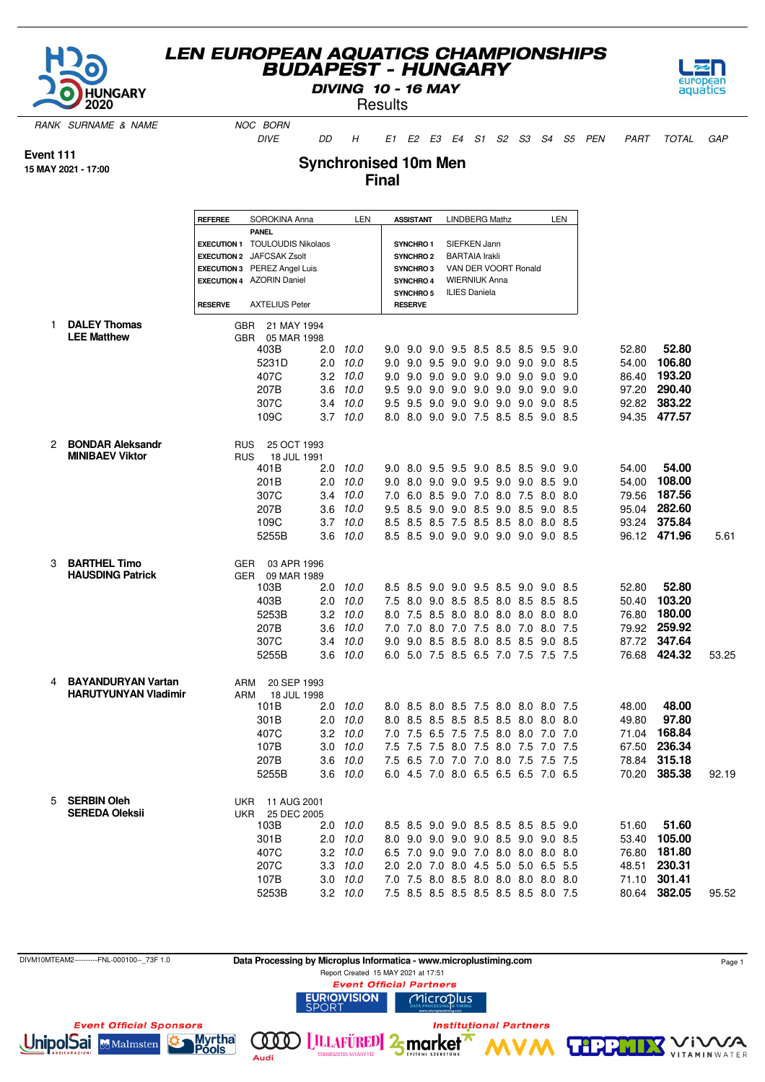

DIVING 10 - 16 MAY **Results** 

**Synchronised 10m Men**



RANK SURNAME & NAME NOC BORN

DIVE DD H E1 E2 E3 E4 S1 S2 S3 S4 S5 PEN PART TOTAL GAP

**Event 111**

**15 MAY 2021 - 17:00**

#### **Final REFEREE** SOROKINA Anna LEN **ASSISTANT** LINDBERG Mathz LEN **PANEL EXECUTION 1** TOULOUDIS Nikolaos **SYNCHRO 1** SIEFKEN Jann **EXECUTION 2** JAFCSAK Zsolt **SYNCHRO 2** BARTAIA Irakli **EXECUTION 3** PEREZ Angel Luis **SYNCHRO 3** VAN DER VOORT Ronald **EXECUTION 4** AZORIN Daniel **SYNCHRO 4** WIERNIUK Anna **SYNCHRO 5** ILIES Daniela **RESERVE** AXTELIUS Peter **RESERVE DALEY Thomas GBR** 21 MAY 1994 **LEE Matthew GBR 05 MAR 1998** 403B 2.0 10.0 9.0 9.0 9.0 9.5 8.5 8.5 8.5 9.5 9.0 52.80 **52.80** 5231D 2.0 10.0 9.0 9.0 9.5 9.0 9.0 9.0 9.0 9.0 8.5 54.00 **106.80** 407C 3.2 10.0 9.0 9.0 9.0 9.0 9.0 9.0 9.0 9.0 9.0 86.40 **193.20** 207B 3.6 10.0 9.5 9.0 9.0 9.0 9.0 9.0 9.0 9.0 9.0 97.20 **290.40** 307C 3.4 10.0 9.5 9.5 9.0 9.0 9.0 9.0 9.0 9.0 8.5 92.82 **383.22** 109C 3.7 10.0 8.0 8.0 9.0 9.0 7.5 8.5 8.5 9.0 8.5 94.35 **477.57** 2 **BONDAR Aleksandr** RUS 25 OCT 1993 **MINIBAEV Viktor** RUS 18 JUL 1991<br>401B 2.0 *10.0* 401B 2.0 10.0 9.0 8.0 9.5 9.5 9.0 8.5 8.5 9.0 9.0 54.00 **54.00** 201B 2.0 10.0 9.0 8.0 9.0 9.0 9.5 9.0 9.0 8.5 9.0 54.00 **108.00** 307C 3.4 10.0 7.0 6.0 8.5 9.0 7.0 8.0 7.5 8.0 8.0 79.56 **187.56** 207B 3.6 10.0 9.5 8.5 9.0 9.0 8.5 9.0 8.5 9.0 8.5 95.04 **282.60** 109C 3.7 10.0 8.5 8.5 8.5 7.5 8.5 8.5 8.0 8.0 8.5 93.24 **375.84** 5255B 3.6 10.0 8.5 8.5 9.0 9.0 9.0 9.0 9.0 9.0 8.5 96.12 **471.96** 5.61 3 **BARTHEL Timo** GER 03 APR 1996 **HAUSDING Patrick** GER 09 MAR 1989 103B 2.0 10.0 8.5 8.5 9.0 9.0 9.5 8.5 9.0 9.0 8.5 52.80 **52.80** 403B 2.0 10.0 7.5 8.0 9.0 8.5 8.5 8.0 8.5 8.5 8.5 50.40 **103.20** 5253B 3.2 10.0 8.0 7.5 8.5 8.0 8.0 8.0 8.0 8.0 8.0 76.80 **180.00** 207B 3.6 10.0 7.0 7.0 8.0 7.0 7.5 8.0 7.0 8.0 7.5 79.92 **259.92** 307C 3.4 10.0 9.0 9.0 8.5 8.5 8.0 8.5 8.5 9.0 8.5 87.72 **347.64** 5255B 3.6 10.0 6.0 5.0 7.5 8.5 6.5 7.0 7.5 7.5 7.5 76.68 **424.32** 53.25 **BAYANDURYAN Vartan** ARM 20 SEP 1993 **HARUTYUNYAN Vladimir** ARM 18 JUL 1998<br>101B 2.0 *10.0* 101B 2.0 10.0 8.0 8.5 8.0 8.5 7.5 8.0 8.0 8.0 7.5 48.00 **48.00** 301B 2.0 10.0 8.0 8.5 8.5 8.5 8.5 8.5 8.0 8.0 8.0 49.80 **97.80** 407C 3.2 10.0 7.0 7.5 6.5 7.5 7.5 8.0 8.0 7.0 7.0 71.04 **168.84** 107B 3.0 10.0 7.5 7.5 7.5 8.0 7.5 8.0 7.5 7.0 7.5 67.50 **236.34** 207B 3.6 10.0 7.5 6.5 7.0 7.0 7.0 8.0 7.5 7.5 7.5 78.84 **315.18** 5255B 3.6 10.0 6.0 4.5 7.0 8.0 6.5 6.5 6.5 7.0 6.5 70.20 **385.38** 92.19 5 **SERBIN Oleh** UKR 11 AUG 2001 **SEREDA Oleksii** UKR 25 DEC 2005 103B 2.0 10.0 8.5 8.5 9.0 9.0 8.5 8.5 8.5 8.5 9.0 51.60 **51.60** 301B 2.0 10.0 8.0 9.0 9.0 9.0 9.0 8.5 9.0 9.0 8.5 53.40 **105.00** 407C 3.2 10.0 6.5 7.0 9.0 9.0 7.0 8.0 8.0 8.0 8.0 76.80 **181.80** 207C 3.3 10.0 2.0 2.0 7.0 8.0 4.5 5.0 5.0 6.5 5.5 48.51 **230.31** 107B 3.0 10.0 7.0 7.5 8.0 8.5 8.0 8.0 8.0 8.0 8.0 71.10 **301.41** 5253B 3.2 10.0 7.5 8.5 8.5 8.5 8.5 8.5 8.5 8.0 7.5 80.64 **382.05** 95.52

DIVM10MTEAM2----------FNL-000100--\_73F 1.0 **Data Processing by Microplus Informatica - www.microplustiming.com** Report Created 15 MAY 2021 at 17:51**Event Official Partners URIO)VISION** MicroDlus **Event Official Sponsors Institutional Partners** 

[JLLAFÜRED] 2 market

**MVM** 

**TIPPMI** 

 $(000)$ 

Audi



VIWA

**VITAMIN** WATER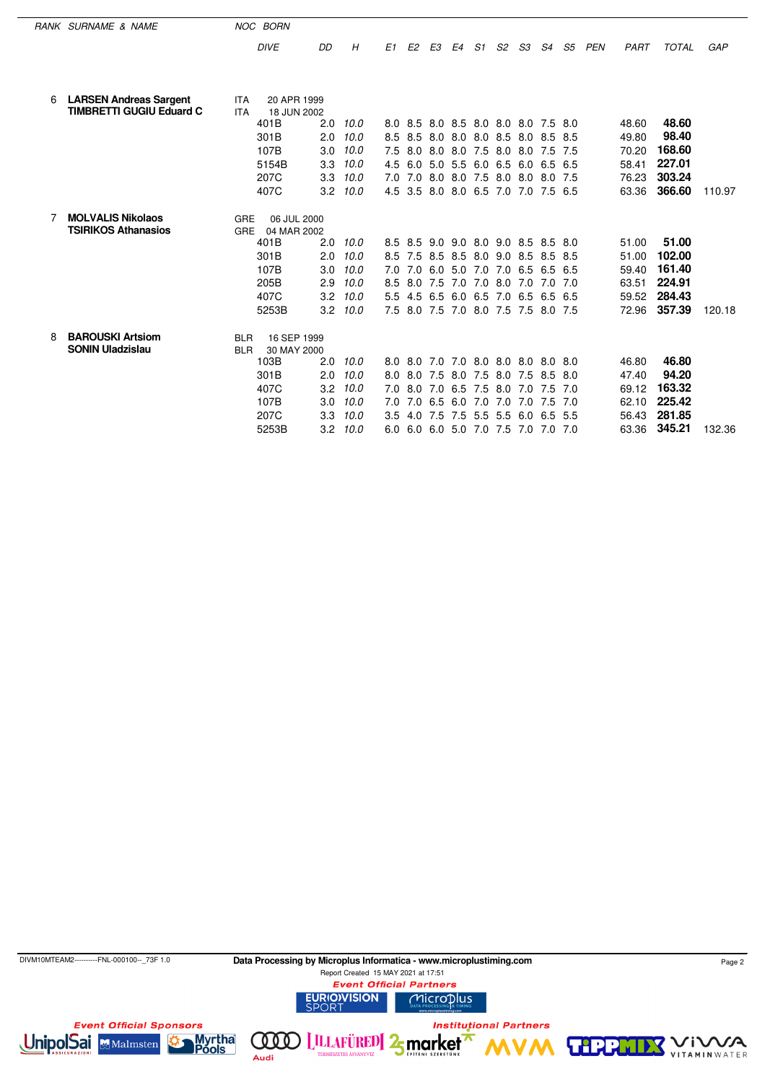|   | RANK SURNAME & NAME                                    |                          | NOC BORN                   |     |      |               |                |             |     |                                     |     |             |         |     |            |       |              |        |
|---|--------------------------------------------------------|--------------------------|----------------------------|-----|------|---------------|----------------|-------------|-----|-------------------------------------|-----|-------------|---------|-----|------------|-------|--------------|--------|
|   |                                                        |                          | <b>DIVE</b>                | DD  | Η    | E1            | E <sub>2</sub> | E3          | E4  | S1                                  | S2  | S3          | S4      | S5  | <b>PEN</b> | PART  | <b>TOTAL</b> | GAP    |
|   |                                                        |                          |                            |     |      |               |                |             |     |                                     |     |             |         |     |            |       |              |        |
| 6 | <b>LARSEN Andreas Sargent</b>                          | <b>ITA</b>               | 20 APR 1999                |     |      |               |                |             |     |                                     |     |             |         |     |            |       |              |        |
|   | <b>TIMBRETTI GUGIU Eduard C</b>                        | <b>ITA</b>               | 18 JUN 2002                |     |      |               |                |             |     |                                     |     |             |         |     |            |       |              |        |
|   |                                                        |                          | 401B                       | 2.0 | 10.0 |               |                |             |     | 8.0 8.5 8.0 8.5 8.0 8.0 8.0 7.5 8.0 |     |             |         |     |            | 48.60 | 48.60        |        |
|   |                                                        |                          | 301B                       | 2.0 | 10.0 | 8.5           | 8.5            | 8.0 8.0     |     | 8.0 8.5 8.0 8.5 8.5                 |     |             |         |     |            | 49.80 | 98.40        |        |
|   |                                                        |                          | 107B                       | 3.0 | 10.0 | 7.5           | 8.0            |             |     | 8.0 8.0 7.5 8.0 8.0 7.5 7.5         |     |             |         |     |            | 70.20 | 168.60       |        |
|   |                                                        |                          | 5154B                      | 3.3 | 10.0 | 4.5           | 6.0            |             |     | 5.0 5.5 6.0 6.5 6.0 6.5 6.5         |     |             |         |     |            | 58.41 | 227.01       |        |
|   |                                                        |                          | 207C                       | 3.3 | 10.0 | 7.0           | 7.0            |             |     | 8.0 8.0 7.5 8.0 8.0 8.0 7.5         |     |             |         |     |            | 76.23 | 303.24       |        |
|   |                                                        |                          | 407C                       | 3.2 | 10.0 |               |                |             |     | 4.5 3.5 8.0 8.0 6.5 7.0 7.0 7.5 6.5 |     |             |         |     |            | 63.36 | 366.60       | 110.97 |
|   | <b>MOLVALIS Nikolaos</b><br><b>TSIRIKOS Athanasios</b> | <b>GRE</b><br><b>GRE</b> | 06 JUL 2000<br>04 MAR 2002 |     |      |               |                |             |     |                                     |     |             |         |     |            |       |              |        |
|   |                                                        |                          | 401B                       | 2.0 | 10.0 |               |                |             |     | 8.5 8.5 9.0 9.0 8.0 9.0 8.5 8.5 8.0 |     |             |         |     |            | 51.00 | 51.00        |        |
|   |                                                        |                          | 301B                       | 2.0 | 10.0 | 8.5           | 7.5            | 8.5 8.5     |     | 8.0 9.0 8.5                         |     |             | 8.5 8.5 |     |            | 51.00 | 102.00       |        |
|   |                                                        |                          | 107B                       | 3.0 | 10.0 | 7.0           | 7.0            |             |     | 6.0 5.0 7.0 7.0 6.5 6.5 6.5         |     |             |         |     |            | 59.40 | 161.40       |        |
|   |                                                        |                          | 205B                       | 2.9 | 10.0 | 8.5           | 8.0            | 7.5         | 7.0 | 7.0 8.0                             |     | 7.0 7.0 7.0 |         |     |            | 63.51 | 224.91       |        |
|   |                                                        |                          | 407C                       | 3.2 | 10.0 | $5.5^{\circ}$ | 4.5            |             |     | 6.5 6.0 6.5 7.0 6.5 6.5 6.5         |     |             |         |     |            | 59.52 | 284.43       |        |
|   |                                                        |                          | 5253B                      | 3.2 | 10.0 |               |                |             |     | 7.5 8.0 7.5 7.0 8.0 7.5 7.5 8.0 7.5 |     |             |         |     |            | 72.96 | 357.39       | 120.18 |
| 8 | <b>BAROUSKI Artsiom</b><br><b>SONIN Uladzislau</b>     | <b>BLR</b><br><b>BLR</b> | 16 SEP 1999<br>30 MAY 2000 |     |      |               |                |             |     |                                     |     |             |         |     |            |       |              |        |
|   |                                                        |                          | 103B                       | 2.0 | 10.0 | $8.0\,8.0$    |                |             |     | 7.0 7.0 8.0 8.0 8.0 8.0 8.0         |     |             |         |     |            | 46.80 | 46.80        |        |
|   |                                                        |                          | 301B                       | 2.0 | 10.0 | 8.0           | 8.0            | 7.5         |     | 8.0 7.5 8.0 7.5                     |     |             | 8.5     | 8.0 |            | 47.40 | 94.20        |        |
|   |                                                        |                          | 407C                       | 3.2 | 10.0 | 7.0           |                |             |     | 8.0 7.0 6.5 7.5 8.0 7.0 7.5 7.0     |     |             |         |     |            | 69.12 | 163.32       |        |
|   |                                                        |                          | 107B                       | 3.0 | 10.0 | 7.0           | 7.0            | $6.5$ $6.0$ |     | 7.0                                 | 7.0 | 7.0 7.5     |         | 7.0 |            | 62.10 | 225.42       |        |
|   |                                                        |                          | 207C                       | 3.3 | 10.0 | 3.5           | 4.0            | 7.5         | 7.5 | 5.5 5.5                             |     | 6.0 6.5 5.5 |         |     |            | 56.43 | 281.85       |        |
|   |                                                        |                          | 5253B                      | 3.2 | 10.0 | 6.0           | 6.0            |             |     | 6.0 5.0 7.0 7.5 7.0 7.0 7.0         |     |             |         |     |            | 63.36 | 345.21       | 132.36 |
|   |                                                        |                          |                            |     |      |               |                |             |     |                                     |     |             |         |     |            |       |              |        |

-

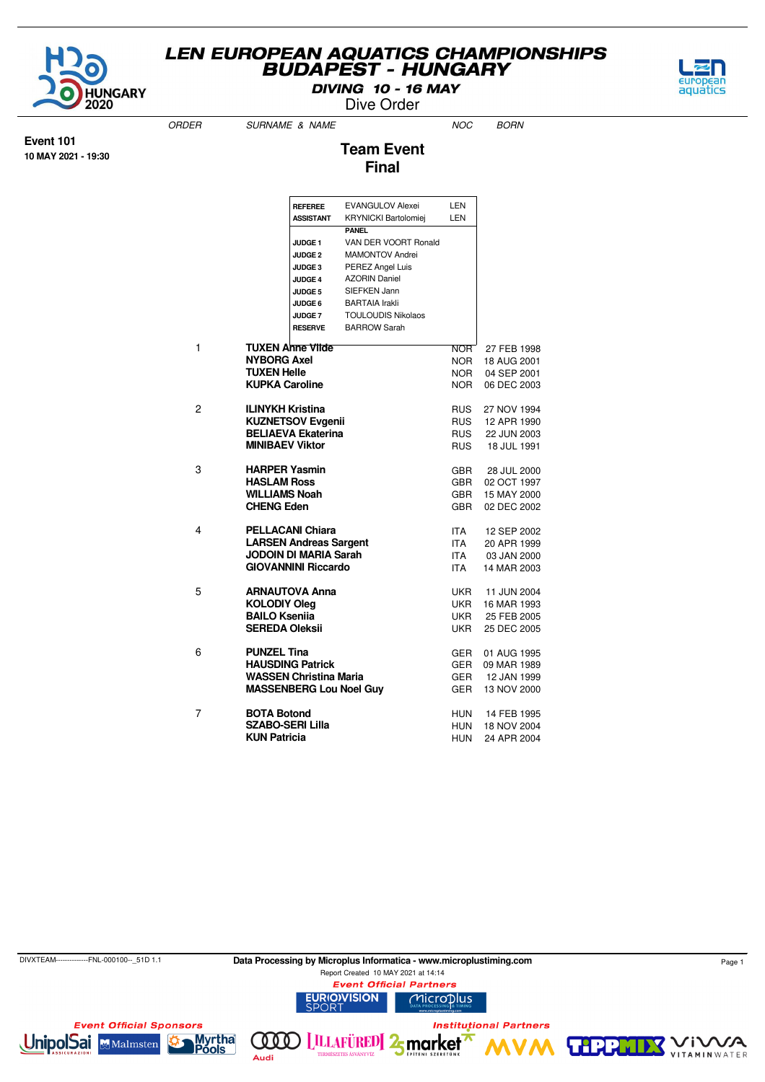

DIVING 10 - 16 MAY

Dive Order

ORDER SURNAME & NAME NOC BORN

**Event 101 10 MAY 2021 - 19:30**

| <b>Team Event</b> |       |
|-------------------|-------|
|                   | Final |

|   |                         | <b>REFEREE</b>                 | <b>EVANGULOV Alexei</b>     | LEN        |             |  |
|---|-------------------------|--------------------------------|-----------------------------|------------|-------------|--|
|   |                         | <b>ASSISTANT</b>               | <b>KRYNICKI Bartolomiej</b> | <b>LEN</b> |             |  |
|   |                         |                                | <b>PANEL</b>                |            |             |  |
|   |                         | <b>JUDGE1</b>                  | VAN DER VOORT Ronald        |            |             |  |
|   |                         | <b>JUDGE 2</b>                 | <b>MAMONTOV Andrei</b>      |            |             |  |
|   |                         | JUDGE 3                        | PEREZ Angel Luis            |            |             |  |
|   |                         | <b>JUDGE 4</b>                 | <b>AZORIN Daniel</b>        |            |             |  |
|   |                         | <b>JUDGE 5</b>                 | SIEFKEN Jann                |            |             |  |
|   |                         | <b>JUDGE 6</b>                 | <b>BARTAIA Irakli</b>       |            |             |  |
|   |                         | <b>JUDGE 7</b>                 | <b>TOULOUDIS Nikolaos</b>   |            |             |  |
|   |                         | <b>RESERVE</b>                 | <b>BARROW Sarah</b>         |            |             |  |
| 1 |                         | <b>TUXEN Anne Vilde</b>        |                             | <b>NOR</b> | 27 FEB 1998 |  |
|   | <b>NYBORG Axel</b>      |                                |                             | NOR        | 18 AUG 2001 |  |
|   | <b>TUXEN Helle</b>      |                                |                             | <b>NOR</b> | 04 SEP 2001 |  |
|   | <b>KUPKA Caroline</b>   |                                |                             | NOR.       | 06 DEC 2003 |  |
| 2 | <b>ILINYKH Kristina</b> |                                |                             | <b>RUS</b> | 27 NOV 1994 |  |
|   |                         | <b>KUZNETSOV Evgenii</b>       |                             | <b>RUS</b> | 12 APR 1990 |  |
|   |                         | <b>BELIAEVA Ekaterina</b>      |                             | RUS        | 22 JUN 2003 |  |
|   | <b>MINIBAEV Viktor</b>  |                                |                             | <b>RUS</b> | 18 JUL 1991 |  |
| 3 | <b>HARPER Yasmin</b>    |                                |                             | GBR        | 28 JUL 2000 |  |
|   | <b>HASLAM Ross</b>      |                                |                             | GBR        | 02 OCT 1997 |  |
|   | <b>WILLIAMS Noah</b>    |                                |                             | GBR        | 15 MAY 2000 |  |
|   | <b>CHENG Eden</b>       |                                |                             | <b>GBR</b> | 02 DEC 2002 |  |
| 4 |                         | <b>PELLACANI Chiara</b>        |                             | ITA        | 12 SEP 2002 |  |
|   |                         | <b>LARSEN Andreas Sargent</b>  |                             | <b>ITA</b> | 20 APR 1999 |  |
|   |                         | JODOIN DI MARIA Sarah          |                             | ITA        | 03 JAN 2000 |  |
|   |                         | <b>GIOVANNINI Riccardo</b>     |                             | ITA.       | 14 MAR 2003 |  |
| 5 |                         | ARNAUTOVA Anna                 |                             | UKR        | 11 JUN 2004 |  |
|   | <b>KOLODIY Oleg</b>     |                                |                             | UKR        | 16 MAR 1993 |  |
|   | <b>BAILO Kseniia</b>    |                                |                             | <b>UKR</b> | 25 FEB 2005 |  |
|   | <b>SEREDA Oleksii</b>   |                                |                             | <b>UKR</b> | 25 DEC 2005 |  |
| 6 | <b>PUNZEL Tina</b>      |                                |                             | <b>GER</b> | 01 AUG 1995 |  |
|   |                         | <b>HAUSDING Patrick</b>        |                             | GER        | 09 MAR 1989 |  |
|   |                         | WASSEN Christina Maria         |                             | <b>GER</b> | 12 JAN 1999 |  |
|   |                         | <b>MASSENBERG Lou Noel Guy</b> |                             | <b>GER</b> | 13 NOV 2000 |  |
| 7 | <b>BOTA Botond</b>      |                                |                             | HUN        | 14 FEB 1995 |  |
|   | <b>SZABO-SERI Lilla</b> |                                |                             | HUN        | 18 NOV 2004 |  |
|   | <b>KUN Patricia</b>     |                                |                             | <b>HUN</b> | 24 APR 2004 |  |
|   |                         |                                |                             |            |             |  |



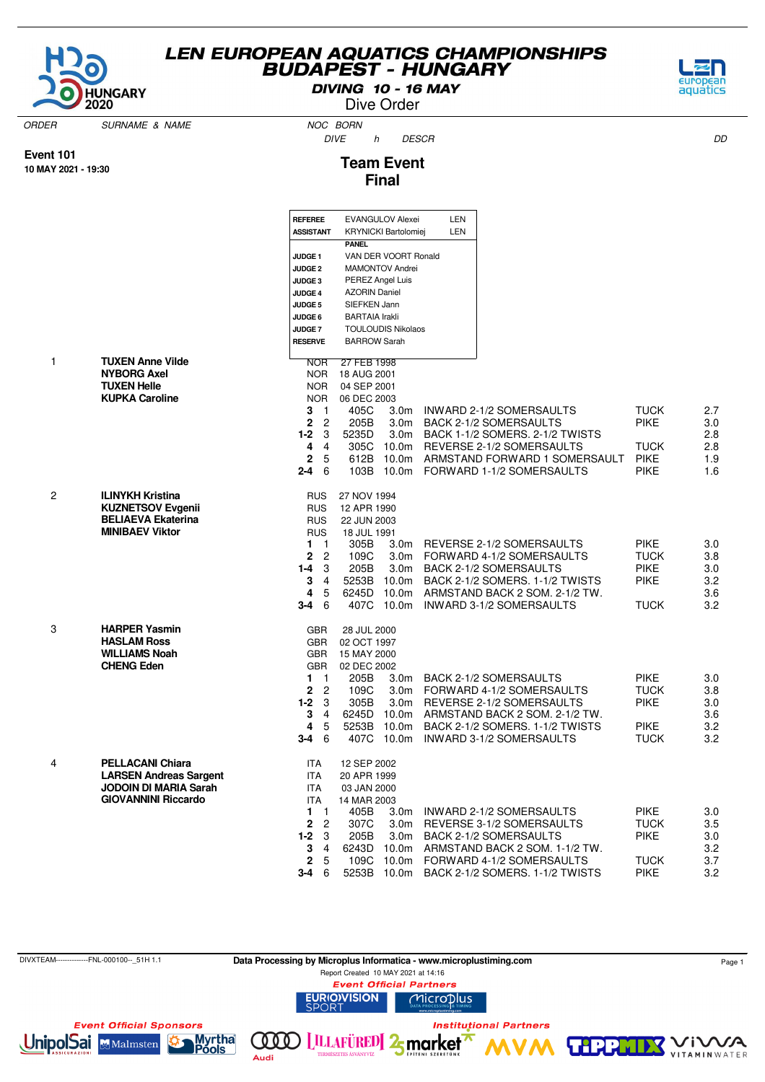

DIVING 10 - 16 MAY

Dive Order

DIVE h DESCR DD

**Event 101 10 MAY 2021 - 19:30**

|                |                               | <b>REFEREE</b>                   | <b>EVANGULOV Alexei</b>     | LEN |                                      |             |     |
|----------------|-------------------------------|----------------------------------|-----------------------------|-----|--------------------------------------|-------------|-----|
|                |                               | <b>ASSISTANT</b>                 | <b>KRYNICKI Bartolomiej</b> | LEN |                                      |             |     |
|                |                               |                                  | <b>PANEL</b>                |     |                                      |             |     |
|                |                               | JUDGE 1                          | VAN DER VOORT Ronald        |     |                                      |             |     |
|                |                               | <b>JUDGE 2</b>                   | <b>MAMONTOV Andrei</b>      |     |                                      |             |     |
|                |                               | JUDGE <sub>3</sub>               | PEREZ Angel Luis            |     |                                      |             |     |
|                |                               | <b>JUDGE 4</b>                   | <b>AZORIN Daniel</b>        |     |                                      |             |     |
|                |                               | JUDGE 5                          | SIEFKEN Jann                |     |                                      |             |     |
|                |                               | JUDGE 6                          | <b>BARTAIA Irakli</b>       |     |                                      |             |     |
|                |                               | JUDGE 7                          | <b>TOULOUDIS Nikolaos</b>   |     |                                      |             |     |
|                |                               | <b>RESERVE</b>                   | <b>BARROW Sarah</b>         |     |                                      |             |     |
|                |                               |                                  |                             |     |                                      |             |     |
| 1              | <b>TUXEN Anne Vilde</b>       | <b>NOR</b>                       | 27 FEB 1998                 |     |                                      |             |     |
|                | <b>NYBORG Axel</b>            | <b>NOR</b>                       | 18 AUG 2001                 |     |                                      |             |     |
|                | <b>TUXEN Helle</b>            | <b>NOR</b>                       | 04 SEP 2001                 |     |                                      |             |     |
|                | <b>KUPKA Caroline</b>         | <b>NOR</b>                       | 06 DEC 2003                 |     |                                      |             |     |
|                |                               | 3<br>$\overline{1}$              | 405C<br>3.0 <sub>m</sub>    |     | INWARD 2-1/2 SOMERSAULTS             | <b>TUCK</b> | 2.7 |
|                |                               | $\overline{2}$<br>$\mathbf{2}$   | 205B<br>3.0 <sub>m</sub>    |     | <b>BACK 2-1/2 SOMERSAULTS</b>        | <b>PIKE</b> | 3.0 |
|                |                               | $1-2$<br>3                       | 5235D                       |     | 3.0m BACK 1-1/2 SOMERS. 2-1/2 TWISTS |             | 2.8 |
|                |                               | 4<br>4                           | 305C<br>10.0 <sub>m</sub>   |     | REVERSE 2-1/2 SOMERSAULTS            | <b>TUCK</b> | 2.8 |
|                |                               | $\mathbf{2}$<br>5                | 612B                        |     | 10.0m ARMSTAND FORWARD 1 SOMERSAULT  | <b>PIKE</b> | 1.9 |
|                |                               | $2 - 4$<br>6                     | 103B                        |     | 10.0m FORWARD 1-1/2 SOMERSAULTS      | <b>PIKE</b> | 1.6 |
|                |                               |                                  |                             |     |                                      |             |     |
| $\overline{2}$ | <b>ILINYKH Kristina</b>       | <b>RUS</b>                       | 27 NOV 1994                 |     |                                      |             |     |
|                | <b>KUZNETSOV Evgenii</b>      | <b>RUS</b>                       | 12 APR 1990                 |     |                                      |             |     |
|                | <b>BELIAEVA Ekaterina</b>     | <b>RUS</b>                       | 22 JUN 2003                 |     |                                      |             |     |
|                | <b>MINIBAEV Viktor</b>        | <b>RUS</b>                       | 18 JUL 1991                 |     |                                      |             |     |
|                |                               | $\mathbf{1}$<br>$\overline{1}$   | 305B<br>3.0 <sub>m</sub>    |     | REVERSE 2-1/2 SOMERSAULTS            | <b>PIKE</b> | 3.0 |
|                |                               | $\overline{2}$<br>$\overline{2}$ | 109C<br>3.0 <sub>m</sub>    |     | FORWARD 4-1/2 SOMERSAULTS            | <b>TUCK</b> | 3.8 |
|                |                               | $1 - 4$<br>3                     | 205B                        |     | 3.0m BACK 2-1/2 SOMERSAULTS          | <b>PIKE</b> | 3.0 |
|                |                               | 3<br>4                           | 5253B<br>10.0 <sub>m</sub>  |     | BACK 2-1/2 SOMERS. 1-1/2 TWISTS      | <b>PIKE</b> | 3.2 |
|                |                               | 5<br>4                           | 6245D                       |     | 10.0m ARMSTAND BACK 2 SOM. 2-1/2 TW. |             | 3.6 |
|                |                               | 6<br>3-4                         | 407C                        |     | 10.0m INWARD 3-1/2 SOMERSAULTS       | <b>TUCK</b> | 3.2 |
|                |                               |                                  |                             |     |                                      |             |     |
| 3              | <b>HARPER Yasmin</b>          | <b>GBR</b>                       | 28 JUL 2000                 |     |                                      |             |     |
|                | <b>HASLAM Ross</b>            | <b>GBR</b>                       | 02 OCT 1997                 |     |                                      |             |     |
|                | <b>WILLIAMS Noah</b>          | <b>GBR</b>                       | 15 MAY 2000                 |     |                                      |             |     |
|                | <b>CHENG Eden</b>             | <b>GBR</b>                       | 02 DEC 2002                 |     |                                      |             |     |
|                |                               | $\mathbf{1}$<br>$\overline{1}$   | 205B<br>3.0m                |     | BACK 2-1/2 SOMERSAULTS               | <b>PIKE</b> | 3.0 |
|                |                               | $\overline{2}$<br>$\overline{2}$ | 109C                        |     | 3.0m FORWARD 4-1/2 SOMERSAULTS       | <b>TUCK</b> | 3.8 |
|                |                               | $1-2$<br>3                       | 305B                        |     | 3.0m REVERSE 2-1/2 SOMERSAULTS       | <b>PIKE</b> | 3.0 |
|                |                               | 3<br>$\overline{4}$              | 6245D<br>10.0 <sub>m</sub>  |     | ARMSTAND BACK 2 SOM. 2-1/2 TW.       |             | 3.6 |
|                |                               | 5<br>4                           | 5253B<br>10.0 <sub>m</sub>  |     | BACK 2-1/2 SOMERS. 1-1/2 TWISTS      | <b>PIKE</b> | 3.2 |
|                |                               | 6<br>3-4                         | 407C                        |     | 10.0m INWARD 3-1/2 SOMERSAULTS       | <b>TUCK</b> | 3.2 |
|                |                               |                                  |                             |     |                                      |             |     |
| 4              | <b>PELLACANI Chiara</b>       | <b>ITA</b>                       | 12 SEP 2002                 |     |                                      |             |     |
|                | <b>LARSEN Andreas Sargent</b> | <b>ITA</b>                       | 20 APR 1999                 |     |                                      |             |     |
|                | <b>JODOIN DI MARIA Sarah</b>  | <b>ITA</b>                       | 03 JAN 2000                 |     |                                      |             |     |
|                | <b>GIOVANNINI Riccardo</b>    | <b>ITA</b>                       | 14 MAR 2003                 |     |                                      |             |     |
|                |                               | 1<br>$\overline{1}$              | 405B<br>3.0 <sub>m</sub>    |     | INWARD 2-1/2 SOMERSAULTS             | <b>PIKE</b> | 3.0 |
|                |                               | $\overline{2}$<br>$\mathbf{2}$   | 307C<br>3.0 <sub>m</sub>    |     | REVERSE 3-1/2 SOMERSAULTS            | <b>TUCK</b> | 3.5 |
|                |                               | $1-2$<br>3                       | 205B                        |     | 3.0m BACK 2-1/2 SOMERSAULTS          | <b>PIKE</b> | 3.0 |
|                |                               | 3<br>$\overline{4}$              | 6243D<br>10.0 <sub>m</sub>  |     | ARMSTAND BACK 2 SOM. 1-1/2 TW.       |             | 3.2 |
|                |                               | $\mathbf{2}$<br>5                | 109C                        |     | 10.0m FORWARD 4-1/2 SOMERSAULTS      | <b>TUCK</b> | 3.7 |
|                |                               | 6<br>3-4                         | 5253B<br>10.0m              |     | BACK 2-1/2 SOMERS. 1-1/2 TWISTS      | <b>PIKE</b> | 3.2 |
|                |                               |                                  |                             |     |                                      |             |     |



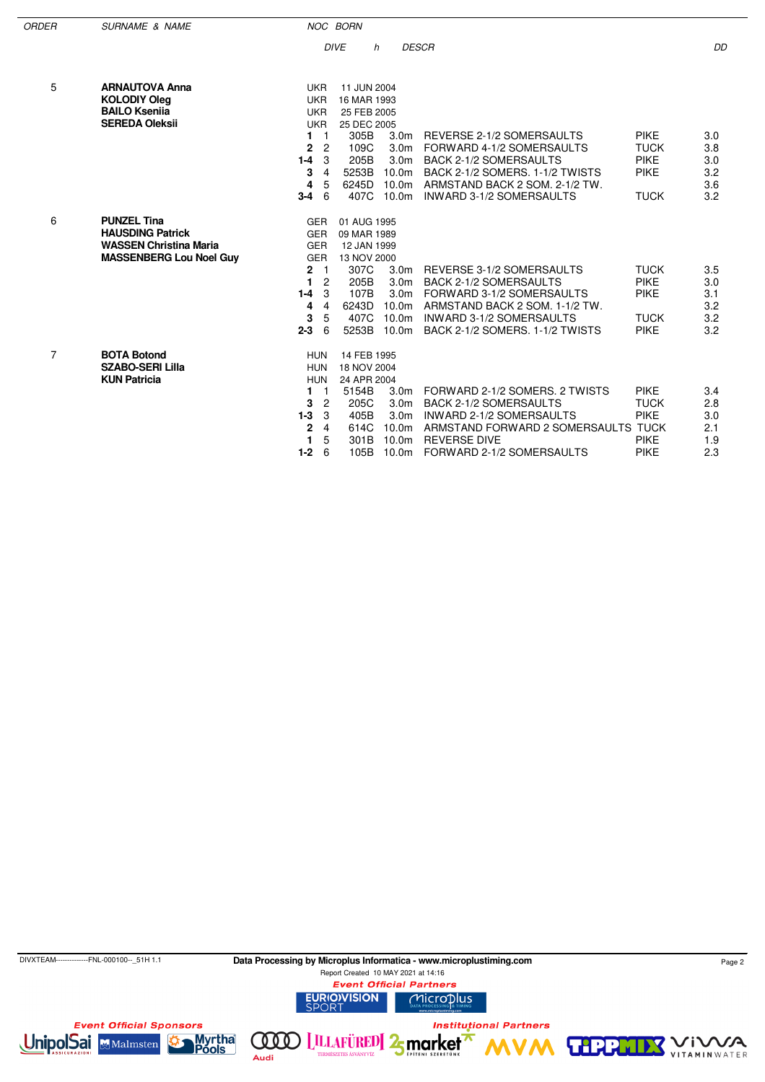| <b>ORDER</b>   | <b>SURNAME &amp; NAME</b>                                                                                        | NOC BORN                                                                                                                                                                                                                                                                                                                                                                                                                                                                                                                                                                                                              |                                        |
|----------------|------------------------------------------------------------------------------------------------------------------|-----------------------------------------------------------------------------------------------------------------------------------------------------------------------------------------------------------------------------------------------------------------------------------------------------------------------------------------------------------------------------------------------------------------------------------------------------------------------------------------------------------------------------------------------------------------------------------------------------------------------|----------------------------------------|
|                |                                                                                                                  | <b>DIVE</b><br><b>DESCR</b><br>h                                                                                                                                                                                                                                                                                                                                                                                                                                                                                                                                                                                      | DD                                     |
| 5              | <b>ARNAUTOVA Anna</b><br><b>KOLODIY Oleg</b><br><b>BAILO Ksenija</b><br><b>SEREDA Oleksii</b>                    | 11 JUN 2004<br><b>UKR</b><br><b>UKR</b><br>16 MAR 1993<br><b>UKR</b><br>25 FEB 2005<br><b>UKR</b><br>25 DEC 2005<br><b>PIKE</b><br>305B<br>3.0 <sub>m</sub><br>REVERSE 2-1/2 SOMERSAULTS<br>1.<br>$\overline{\phantom{1}}$<br>$\overline{2}$<br>2<br>109C<br>3.0m FORWARD 4-1/2 SOMERSAULTS<br><b>TUCK</b><br>$1 - 4$<br>-3<br>205B<br>3.0m BACK 2-1/2 SOMERSAULTS<br><b>PIKE</b><br>10.0m BACK 2-1/2 SOMERS, 1-1/2 TWISTS<br><b>PIKE</b><br>3<br>5253B<br>4<br>10.0m ARMSTAND BACK 2 SOM, 2-1/2 TW.<br>5<br>6245D<br>4<br>$3 - 4$<br>- 6<br>407C<br><b>TUCK</b><br>10.0 <sub>m</sub><br>INWARD 3-1/2 SOMERSAULTS     | 3.0<br>3.8<br>3.0<br>3.2<br>3.6<br>3.2 |
| 6              | <b>PUNZEL Tina</b><br><b>HAUSDING Patrick</b><br><b>WASSEN Christina Maria</b><br><b>MASSENBERG Lou Noel Guy</b> | 01 AUG 1995<br><b>GER</b><br><b>GER</b><br>09 MAR 1989<br><b>GER</b><br>12 JAN 1999<br><b>GER</b><br>13 NOV 2000<br>2<br>307C<br>3.0 <sub>m</sub><br>REVERSE 3-1/2 SOMERSAULTS<br><b>TUCK</b><br>$\overline{1}$<br>$\overline{2}$<br>1<br>205B<br>3.0 <sub>m</sub><br>BACK 2-1/2 SOMERSAULTS<br><b>PIKE</b><br>3<br>107B<br>3.0m FORWARD 3-1/2 SOMERSAULTS<br><b>PIKE</b><br>$1 - 4$<br>6243D<br>10.0m ARMSTAND BACK 2 SOM, 1-1/2 TW.<br>4<br>4<br>407C<br>INWARD 3-1/2 SOMERSAULTS<br><b>TUCK</b><br>3<br>5<br>10.0m<br>6<br>5253B<br>10.0m BACK 2-1/2 SOMERS, 1-1/2 TWISTS<br><b>PIKE</b><br>$2 - 3$                | 3.5<br>3.0<br>3.1<br>3.2<br>3.2<br>3.2 |
| $\overline{7}$ | <b>BOTA Botond</b><br><b>SZABO-SERI Lilla</b><br><b>KUN Patricia</b>                                             | 14 FEB 1995<br><b>HUN</b><br><b>HUN</b><br>18 NOV 2004<br><b>HUN</b><br>24 APR 2004<br><b>PIKE</b><br>5154B<br>3.0 <sub>m</sub><br>FORWARD 2-1/2 SOMERS, 2 TWISTS<br>1.<br>$\overline{1}$<br>$\overline{2}$<br>205C<br>3.0m BACK 2-1/2 SOMERSAULTS<br><b>TUCK</b><br>3<br>3<br><b>PIKE</b><br>$1 - 3$<br>405B<br>3.0 <sub>m</sub><br>INWARD 2-1/2 SOMERSAULTS<br>4<br>$\mathbf{2}$<br>614C<br>10.0 <sub>m</sub><br>ARMSTAND FORWARD 2 SOMERSAULTS TUCK<br>5<br>301B<br><b>REVERSE DIVE</b><br>10.0 <sub>m</sub><br><b>PIKE</b><br>$1-2$<br>6<br><b>PIKE</b><br>105B<br>10.0 <sub>m</sub><br>FORWARD 2-1/2 SOMERSAULTS | 3.4<br>2.8<br>3.0<br>2.1<br>1.9<br>2.3 |

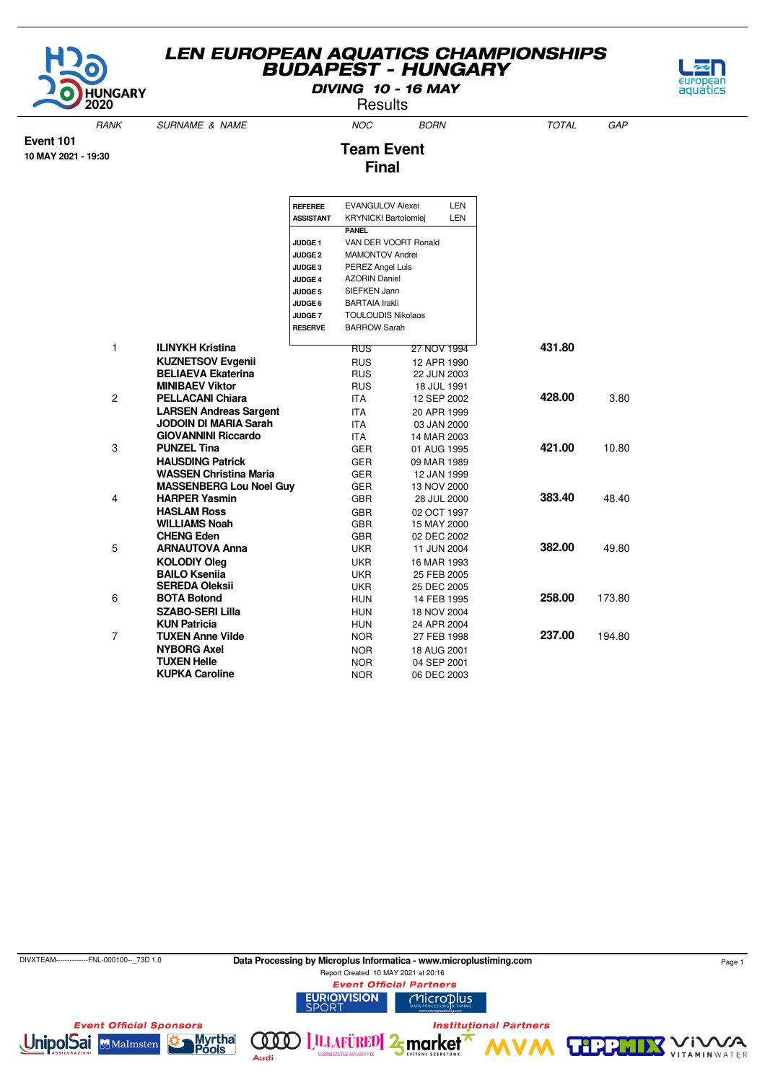

DIVING 10 - 16 MAY

**Results** 

aquatics

RANK SURNAME & NAME NOC BORN TOTAL GAP

**Event 101 10 MAY 2021 - 19:30**

#### **Team Event Final**

|                |                                | <b>REFEREE</b>   | <b>EVANGULOV Alexei</b>   |             | <b>LEN</b> |        |        |
|----------------|--------------------------------|------------------|---------------------------|-------------|------------|--------|--------|
|                |                                | <b>ASSISTANT</b> | KRYNICKI Bartolomiej      |             | LEN        |        |        |
|                |                                |                  | <b>PANEL</b>              |             |            |        |        |
|                |                                | <b>JUDGE 1</b>   | VAN DER VOORT Ronald      |             |            |        |        |
|                |                                | <b>JUDGE 2</b>   | <b>MAMONTOV Andrei</b>    |             |            |        |        |
|                |                                | <b>JUDGE 3</b>   | PEREZ Angel Luis          |             |            |        |        |
|                |                                | <b>JUDGE 4</b>   | <b>AZORIN Daniel</b>      |             |            |        |        |
|                |                                | <b>JUDGE 5</b>   | SIEFKEN Jann              |             |            |        |        |
|                |                                | <b>JUDGE 6</b>   | <b>BARTAIA Irakli</b>     |             |            |        |        |
|                |                                | <b>JUDGE 7</b>   | <b>TOULOUDIS Nikolaos</b> |             |            |        |        |
|                |                                | <b>RESERVE</b>   | <b>BARROW Sarah</b>       |             |            |        |        |
| 1              | <b>ILINYKH Kristina</b>        |                  | <b>RUS</b>                | 27 NOV 1994 |            | 431.80 |        |
|                | <b>KUZNETSOV Evgenii</b>       |                  | <b>RUS</b>                | 12 APR 1990 |            |        |        |
|                | <b>BELIAEVA Ekaterina</b>      |                  | <b>RUS</b>                | 22 JUN 2003 |            |        |        |
|                | <b>MINIBAEV Viktor</b>         |                  | <b>RUS</b>                | 18 JUL 1991 |            |        |        |
| $\overline{c}$ | <b>PELLACANI Chiara</b>        |                  | <b>ITA</b>                | 12 SEP 2002 |            | 428.00 | 3.80   |
|                | <b>LARSEN Andreas Sargent</b>  |                  | <b>ITA</b>                | 20 APR 1999 |            |        |        |
|                | <b>JODOIN DI MARIA Sarah</b>   |                  | <b>ITA</b>                | 03 JAN 2000 |            |        |        |
|                | <b>GIOVANNINI Riccardo</b>     |                  | <b>ITA</b>                | 14 MAR 2003 |            |        |        |
| 3              | <b>PUNZEL Tina</b>             |                  | <b>GER</b>                | 01 AUG 1995 |            | 421.00 | 10.80  |
|                | <b>HAUSDING Patrick</b>        |                  | <b>GER</b>                | 09 MAR 1989 |            |        |        |
|                | <b>WASSEN Christina Maria</b>  |                  | <b>GER</b>                | 12 JAN 1999 |            |        |        |
|                | <b>MASSENBERG Lou Noel Guy</b> |                  | <b>GER</b>                | 13 NOV 2000 |            |        |        |
| 4              | <b>HARPER Yasmin</b>           |                  | <b>GBR</b>                | 28 JUL 2000 |            | 383.40 | 48.40  |
|                | <b>HASLAM Ross</b>             |                  | <b>GBR</b>                | 02 OCT 1997 |            |        |        |
|                | <b>WILLIAMS Noah</b>           |                  | <b>GBR</b>                | 15 MAY 2000 |            |        |        |
|                | <b>CHENG Eden</b>              |                  | <b>GBR</b>                | 02 DEC 2002 |            |        |        |
| 5              | <b>ARNAUTOVA Anna</b>          |                  | <b>UKR</b>                | 11 JUN 2004 |            | 382.00 | 49.80  |
|                | <b>KOLODIY Oleg</b>            |                  | <b>UKR</b>                | 16 MAR 1993 |            |        |        |
|                | <b>BAILO Ksenija</b>           |                  | <b>UKR</b>                | 25 FEB 2005 |            |        |        |
|                | <b>SEREDA Oleksii</b>          |                  | <b>UKR</b>                | 25 DEC 2005 |            |        |        |
| 6              | <b>BOTA Botond</b>             |                  | <b>HUN</b>                | 14 FEB 1995 |            | 258.00 | 173.80 |
|                | <b>SZABO-SERI Lilla</b>        |                  | <b>HUN</b>                | 18 NOV 2004 |            |        |        |
|                | <b>KUN Patricia</b>            |                  | <b>HUN</b>                | 24 APR 2004 |            |        |        |
| $\overline{7}$ | <b>TUXEN Anne Vilde</b>        |                  | <b>NOR</b>                | 27 FEB 1998 |            | 237.00 | 194.80 |
|                | <b>NYBORG Axel</b>             |                  | <b>NOR</b>                | 18 AUG 2001 |            |        |        |
|                | <b>TUXEN Helle</b>             |                  | <b>NOR</b>                | 04 SEP 2001 |            |        |        |
|                | <b>KUPKA Caroline</b>          |                  | <b>NOR</b>                | 06 DEC 2003 |            |        |        |

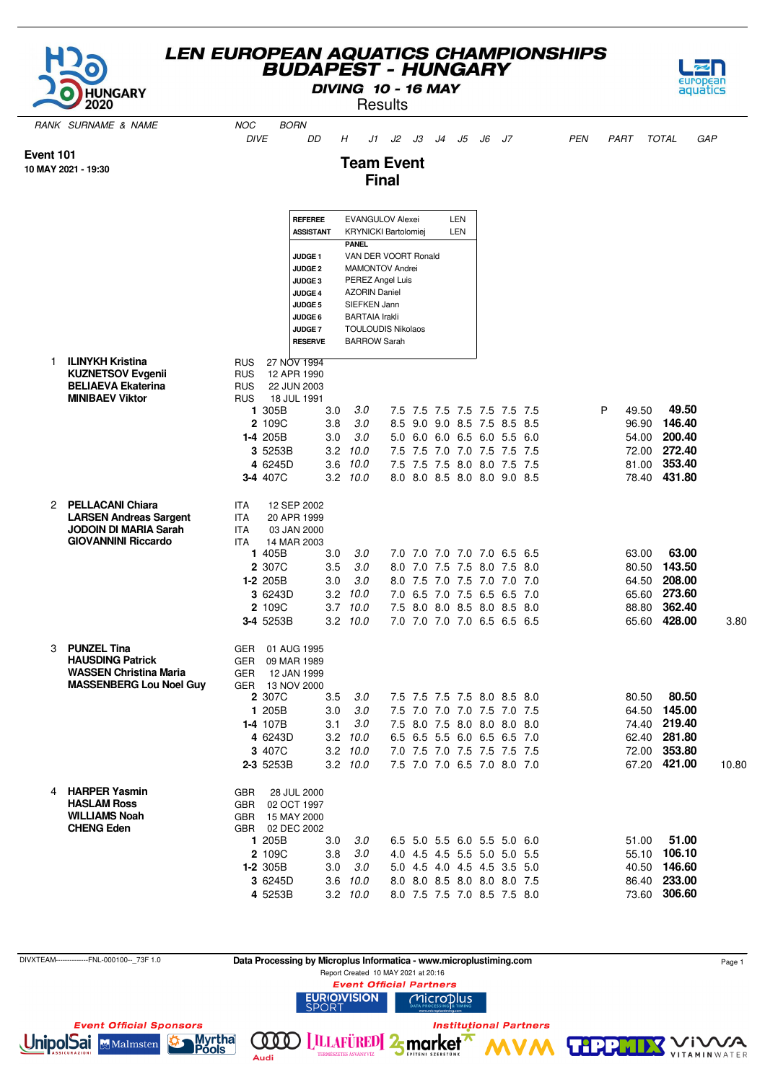

DIVING 10 - 16 MAY **Results** 



RANK SURNAME & NAME NOC BORN

**Event 101**

**10 MAY 2021 - 19:30**

DIVE DD H J1 J2 J3 J4 J5 J6 J7 PEN PART TOTAL GAP

#### **Team Event Final**

|    |                                                                                                                        |                                                           | <b>REFEREE</b><br><b>ASSISTANT</b>                                                                                                   |                                                                               | <b>EVANGULOV Alexei</b><br><b>KRYNICKI Bartolomiej</b>                                                                 |         |                                        | LEN<br>LEN          |             |  |   |                |                  |       |
|----|------------------------------------------------------------------------------------------------------------------------|-----------------------------------------------------------|--------------------------------------------------------------------------------------------------------------------------------------|-------------------------------------------------------------------------------|------------------------------------------------------------------------------------------------------------------------|---------|----------------------------------------|---------------------|-------------|--|---|----------------|------------------|-------|
|    |                                                                                                                        |                                                           | <b>JUDGE 1</b><br><b>JUDGE 2</b><br>JUDGE 3<br><b>JUDGE 4</b><br><b>JUDGE 5</b><br><b>JUDGE 6</b><br><b>JUDGE7</b><br><b>RESERVE</b> | <b>PANEL</b><br><b>AZORIN Daniel</b><br>SIEFKEN Jann<br><b>BARTAIA Irakli</b> | VAN DER VOORT Ronald<br><b>MAMONTOV Andrei</b><br>PEREZ Angel Luis<br><b>TOULOUDIS Nikolaos</b><br><b>BARROW Sarah</b> |         |                                        |                     |             |  |   |                |                  |       |
| 1. | <b>ILINYKH Kristina</b><br><b>KUZNETSOV Evgenii</b><br><b>BELIAEVA Ekaterina</b><br><b>MINIBAEV Viktor</b>             | <b>RUS</b><br><b>RUS</b><br><b>RUS</b><br><b>RUS</b>      | 27 NOV 1994<br>12 APR 1990<br>22 JUN 2003<br>18 JUL 1991                                                                             |                                                                               |                                                                                                                        |         |                                        |                     |             |  |   |                |                  |       |
|    |                                                                                                                        | 1 305B                                                    | 3.0                                                                                                                                  | 3.0                                                                           |                                                                                                                        |         | 7.5 7.5 7.5 7.5 7.5 7.5 7.5            |                     |             |  | P | 49.50          | 49.50            |       |
|    |                                                                                                                        | 2 109C                                                    | 3.8                                                                                                                                  | 3.0                                                                           |                                                                                                                        |         | 8.5 9.0 9.0 8.5 7.5 8.5 8.5            |                     |             |  |   | 96.90          | 146.40           |       |
|    |                                                                                                                        | 1-4 205B                                                  | 3.0                                                                                                                                  | 3.0                                                                           | 5.0                                                                                                                    |         | 6.0 6.0 6.5                            |                     | 6.0 5.5 6.0 |  |   | 54.00          | 200.40           |       |
|    |                                                                                                                        | 3 5253B                                                   |                                                                                                                                      | $3.2 \quad 10.0$                                                              |                                                                                                                        | 7.5 7.5 | 7.0 7.0 7.5 7.5 7.5                    |                     |             |  |   | 72.00          | 272.40           |       |
|    |                                                                                                                        | 4 6245D                                                   | 3.6                                                                                                                                  | 10.0                                                                          |                                                                                                                        |         | 7.5 7.5 7.5 8.0 8.0 7.5 7.5            |                     |             |  |   | 81.00          | 353.40           |       |
|    |                                                                                                                        | 3-4 407C                                                  |                                                                                                                                      | $3.2 \quad 10.0$                                                              |                                                                                                                        |         | 8.0 8.0 8.5 8.0 8.0 9.0 8.5            |                     |             |  |   | 78.40          | 431.80           |       |
| 2  | <b>PELLACANI Chiara</b><br><b>LARSEN Andreas Sargent</b><br><b>JODOIN DI MARIA Sarah</b><br><b>GIOVANNINI Riccardo</b> | <b>ITA</b><br><b>ITA</b><br><b>ITA</b><br>ITA.            | 12 SEP 2002<br>20 APR 1999<br>03 JAN 2000<br>14 MAR 2003                                                                             |                                                                               |                                                                                                                        |         |                                        |                     |             |  |   |                |                  |       |
|    |                                                                                                                        | 1 405B                                                    | 3.0                                                                                                                                  | 3.0                                                                           |                                                                                                                        |         | 7.0 7.0 7.0 7.0 7.0 6.5 6.5            |                     |             |  |   | 63.00          | 63.00            |       |
|    |                                                                                                                        | 2 307C                                                    | 3.5                                                                                                                                  | 3.0                                                                           |                                                                                                                        |         | 8.0 7.0 7.5 7.5<br>7.0 7.5 7.0 7.0 7.0 |                     | 8.0 7.5 8.0 |  |   | 80.50          | 143.50<br>208.00 |       |
|    |                                                                                                                        | 1-2 205B<br>3 6243D                                       | 3.0<br>3.2                                                                                                                           | 3.0<br>10.0                                                                   |                                                                                                                        | 8.0 7.5 | 7.0 6.5 7.0 7.5 6.5 6.5 7.0            |                     |             |  |   | 64.50          | 273.60           |       |
|    |                                                                                                                        | 2 109C                                                    | 3.7                                                                                                                                  | 10.0                                                                          | 7.5                                                                                                                    |         | 8.0 8.0 8.5 8.0 8.5 8.0                |                     |             |  |   | 65.60<br>88.80 | 362.40           |       |
|    |                                                                                                                        | 3-4 5253B                                                 |                                                                                                                                      | $3.2 \quad 10.0$                                                              |                                                                                                                        |         | 7.0 7.0 7.0 7.0 6.5 6.5 6.5            |                     |             |  |   | 65.60          | 428.00           | 3.80  |
| 3  | <b>PUNZEL Tina</b><br><b>HAUSDING Patrick</b><br><b>WASSEN Christina Maria</b><br><b>MASSENBERG Lou Noel Guy</b>       | GER<br><b>GER</b><br><b>GER</b><br><b>GER</b>             | 01 AUG 1995<br>09 MAR 1989<br>12 JAN 1999<br>13 NOV 2000                                                                             |                                                                               |                                                                                                                        |         |                                        |                     |             |  |   |                |                  |       |
|    |                                                                                                                        | 2 307C                                                    | 3.5                                                                                                                                  | 3.0                                                                           |                                                                                                                        |         | 7.5 7.5 7.5 7.5 8.0 8.5 8.0            |                     |             |  |   | 80.50          | 80.50            |       |
|    |                                                                                                                        | 1 205B                                                    | 3.0                                                                                                                                  | 3.0                                                                           |                                                                                                                        |         | 7.5 7.0 7.0 7.0 7.5 7.0 7.5            |                     |             |  |   | 64.50          | 145.00           |       |
|    |                                                                                                                        | 1-4 107B                                                  | 3.1                                                                                                                                  | 3.0                                                                           |                                                                                                                        |         | 7.5 8.0 7.5 8.0 8.0 8.0 8.0            |                     |             |  |   | 74.40          | 219.40           |       |
|    |                                                                                                                        | 4 6243D                                                   | 3.2                                                                                                                                  | 10.0                                                                          | 6.5                                                                                                                    | 6.5     |                                        | 5.5 6.0 6.5 6.5 7.0 |             |  |   | 62.40          | 281.80           |       |
|    |                                                                                                                        | 3 407C                                                    | 3.2                                                                                                                                  | 10.0                                                                          | 7.0                                                                                                                    | 7.5     |                                        | 7.0 7.5 7.5 7.5 7.5 |             |  |   | 72.00          | 353.80           |       |
|    |                                                                                                                        | 2-3 5253B                                                 |                                                                                                                                      | $3.2$ $10.0$                                                                  |                                                                                                                        |         | 7.5 7.0 7.0 6.5 7.0 8.0 7.0            |                     |             |  |   | 67.20          | 421.00           | 10.80 |
|    | <b>HARPER Yasmin</b><br><b>HASLAM Ross</b><br><b>WILLIAMS Noah</b><br><b>CHENG Eden</b>                                | <b>GBR</b><br><b>GBR</b><br><b>GBR</b><br>GBR 02 DEC 2002 | 28 JUL 2000<br>02 OCT 1997<br>15 MAY 2000                                                                                            |                                                                               |                                                                                                                        |         |                                        |                     |             |  |   |                |                  |       |
|    |                                                                                                                        | 1 205B                                                    | 3.0                                                                                                                                  | 3.0                                                                           |                                                                                                                        |         | 6.5 5.0 5.5 6.0 5.5 5.0 6.0            |                     |             |  |   | 51.00          | 51.00            |       |
|    |                                                                                                                        | 2 109C                                                    | 3.8                                                                                                                                  | 3.0                                                                           |                                                                                                                        |         | 4.0 4.5 4.5 5.5 5.0 5.0 5.5            |                     |             |  |   | 55.10          | 106.10           |       |
|    |                                                                                                                        | 1-2 305B                                                  | 3.0                                                                                                                                  | 3.0                                                                           |                                                                                                                        |         | 5.0 4.5 4.0 4.5 4.5 3.5 5.0            |                     |             |  |   | 40.50          | 146.60           |       |
|    |                                                                                                                        | 3 6245D                                                   |                                                                                                                                      | $3.6$ $10.0$                                                                  |                                                                                                                        |         | 8.0 8.0 8.5 8.0 8.0 8.0 7.5            |                     |             |  |   | 86.40          | 233.00           |       |
|    |                                                                                                                        | 4 5253B                                                   |                                                                                                                                      | $3.2$ $10.0$                                                                  |                                                                                                                        |         | 8.0 7.5 7.5 7.0 8.5 7.5 8.0            |                     |             |  |   |                | 73.60 306.60     |       |

DIVXTEAM--------------FNL-000100--\_73F 1.0 **Data Processing by Microplus Informatica - www.microplustiming.com** 

Report Created 10 MAY 2021 at 20:16**Event Official Partners** 

Microplus

**URIO)VISION** 

Audi



**COOD LILLAFÜRED** 2<sub>5</sub> market  $\mathbf{A}$ 

**Institutional Partners** 

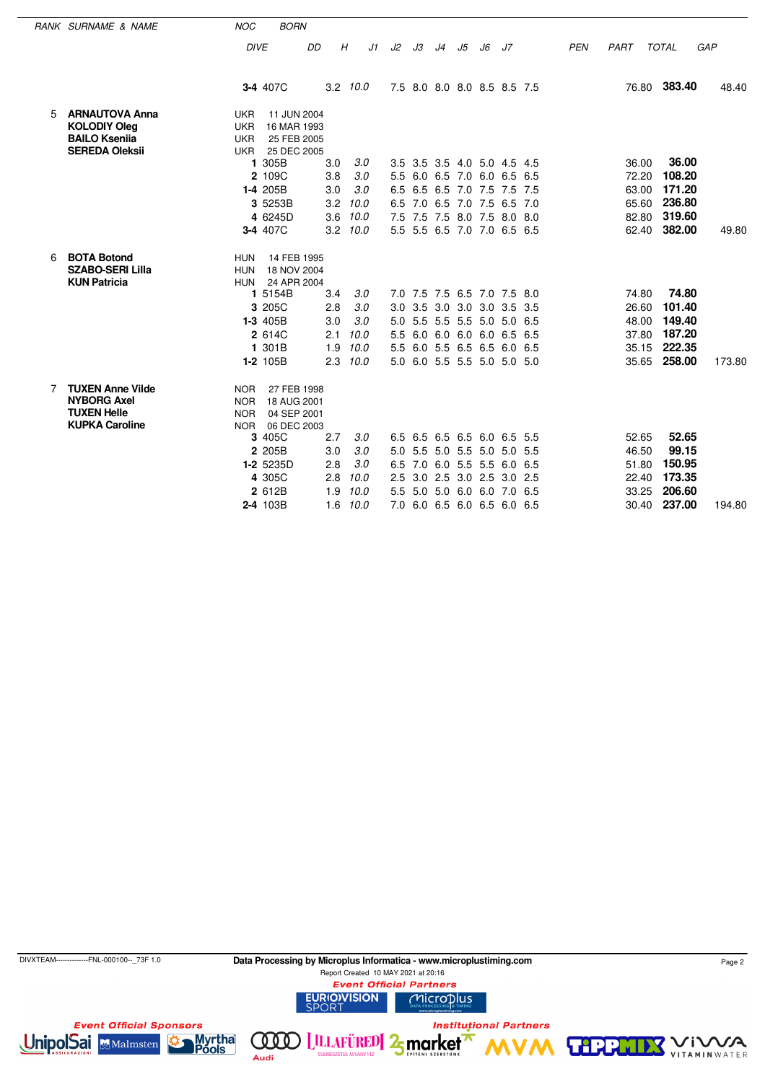|   | RANK SURNAME & NAME                                                                           | <b>NOC</b><br><b>BORN</b>                                                                                                                                                         |                                                                                     |                                                                                                                                        |                                                                                                       |                                                    |                                                                   |
|---|-----------------------------------------------------------------------------------------------|-----------------------------------------------------------------------------------------------------------------------------------------------------------------------------------|-------------------------------------------------------------------------------------|----------------------------------------------------------------------------------------------------------------------------------------|-------------------------------------------------------------------------------------------------------|----------------------------------------------------|-------------------------------------------------------------------|
|   |                                                                                               | <b>DIVE</b>                                                                                                                                                                       | DD<br>Η<br>J1                                                                       | J2<br>J3<br>J4<br>J5                                                                                                                   | J6<br>J7                                                                                              | <b>PEN</b><br>PART                                 | <b>TOTAL</b><br>GAP                                               |
|   |                                                                                               | 3-4 407C                                                                                                                                                                          | $3.2$ $10.0$                                                                        | 7.5 8.0 8.0 8.0 8.5 8.5 7.5                                                                                                            |                                                                                                       | 76.80                                              | 383.40<br>48.40                                                   |
| 5 | <b>ARNAUTOVA Anna</b><br><b>KOLODIY Oleg</b><br><b>BAILO Ksenija</b><br><b>SEREDA Oleksii</b> | 11 JUN 2004<br><b>UKR</b><br>16 MAR 1993<br><b>UKR</b><br><b>UKR</b><br>25 FEB 2005<br><b>UKR</b><br>25 DEC 2005                                                                  |                                                                                     |                                                                                                                                        |                                                                                                       |                                                    |                                                                   |
|   |                                                                                               | 1 305B<br>2 109C<br>1-4 205B<br>3 5253B<br>4 6245D<br>3-4 407C                                                                                                                    | 3.0<br>3.0<br>3.0<br>3.8<br>3.0<br>3.0<br>10.0<br>3.2<br>3.6<br>10.0<br>3.2<br>10.0 | 3.5 3.5 3.5 4.0 5.0 4.5 4.5<br>6.0 6.5 7.0<br>5.5<br>6.5<br>$6.5$ $6.5$<br>6.5<br>7.0<br>6.5<br>7.5<br>5.5 5.5 6.5 7.0 7.0 6.5 6.5     | $6.0\;6.5$<br>6.5<br>7.0 7.5<br>7.5<br>7.5<br>7.0 7.5<br>6.5 7.0<br>7.5 7.5 8.0 7.5 8.0 8.0           | 36.00<br>72.20<br>63.00<br>65.60<br>82.80<br>62.40 | 36.00<br>108.20<br>171.20<br>236.80<br>319.60<br>382.00<br>49.80  |
| 6 | <b>BOTA Botond</b><br><b>SZABO-SERI Lilla</b><br><b>KUN Patricia</b>                          | 14 FEB 1995<br><b>HUN</b><br>18 NOV 2004<br><b>HUN</b><br>24 APR 2004<br><b>HUN</b><br>1 5154B<br>3 205C<br>1-3 405B<br>2 614C<br>1 301B<br>1-2 105B                              | 3.4<br>3.0<br>2.8<br>3.0<br>3.0<br>3.0<br>10.0<br>2.1<br>1.9<br>10.0<br>2.3<br>10.0 | 7.0 7.5 7.5 6.5 7.0 7.5 8.0<br>$3.5$ $3.0$ $3.0$<br>3.0<br>5.5 5.5 5.5<br>5.0<br>$6.0\;6.0\;6.0$<br>5.5<br>5.5<br>5.0                  | $3.0$ $3.5$ $3.5$<br>5.0 5.0 6.5<br>6.0 6.5 6.5<br>6.0 5.5 6.5 6.5 6.0 6.5<br>6.0 5.5 5.5 5.0 5.0 5.0 | 74.80<br>26.60<br>48.00<br>37.80<br>35.15<br>35.65 | 74.80<br>101.40<br>149.40<br>187.20<br>222.35<br>258.00<br>173.80 |
| 7 | <b>TUXEN Anne Vilde</b><br><b>NYBORG Axel</b><br><b>TUXEN Helle</b><br><b>KUPKA Caroline</b>  | 27 FEB 1998<br><b>NOR</b><br>18 AUG 2001<br><b>NOR</b><br>04 SEP 2001<br><b>NOR</b><br>06 DEC 2003<br><b>NOR</b><br>3 405C<br>2 205B<br>1-2 5235D<br>4 305C<br>2 612B<br>2-4 103B | 2.7<br>3.0<br>3.0<br>3.0<br>3.0<br>2.8<br>2.8<br>10.0<br>1.9<br>10.0<br>10.0<br>1.6 | 6.5 6.5 6.5 6.5 6.0 6.5 5.5<br>5.0 5.5 5.0 5.5 5.0 5.0 5.5<br>6.5 7.0 6.0 5.5 5.5 6.0 6.5<br>2.5 3.0 2.5 3.0 2.5 3.0 2.5<br>5.5<br>7.0 | 5.0 5.0 6.0 6.0 7.0 6.5<br>6.0 6.5 6.0 6.5 6.0 6.5                                                    | 52.65<br>46.50<br>51.80<br>22.40<br>33.25<br>30.40 | 52.65<br>99.15<br>150.95<br>173.35<br>206.60<br>237.00<br>194.80  |

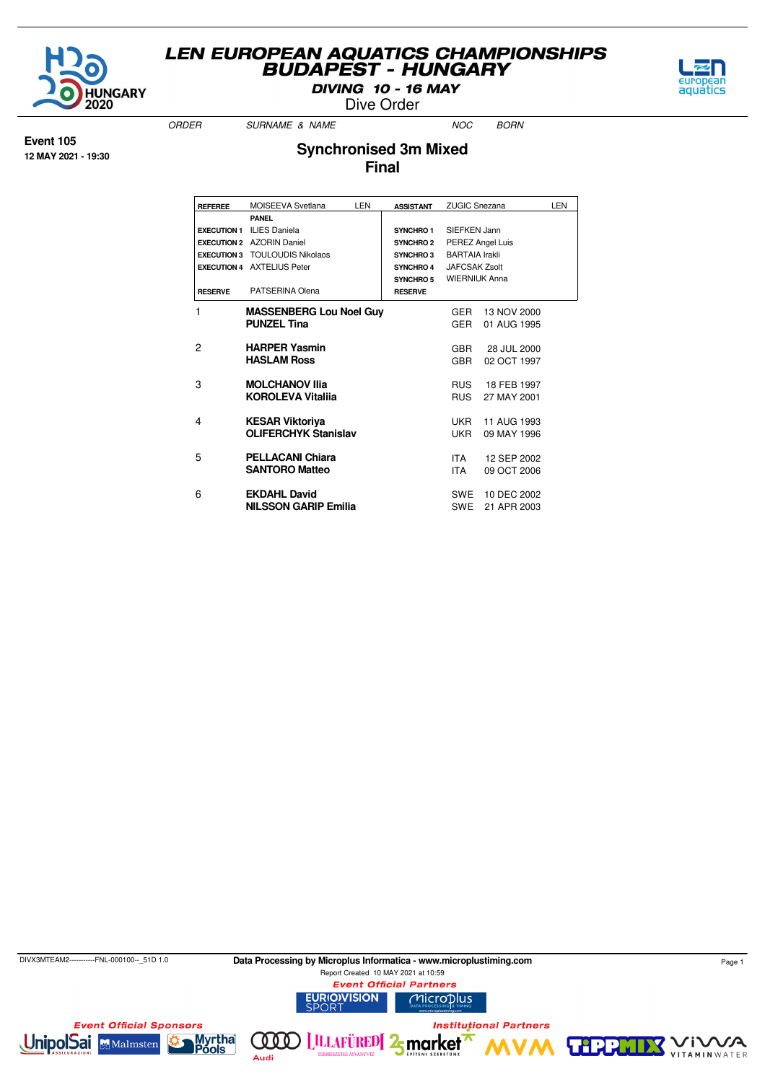

DIVING 10 - 16 MAY

Dive Order

ORDER SURNAME & NAME NOC BORN

**Event 105 12 MAY 2021 - 19:30**

**Synchronised 3m Mixed Final**

| <b>REFEREE</b>     | MOISEEVA Svetlana                                | <b>LEN</b> | <b>ASSISTANT</b>     | <b>ZUGIC Snezana</b>  |                            | <b>LEN</b> |
|--------------------|--------------------------------------------------|------------|----------------------|-----------------------|----------------------------|------------|
|                    | <b>PANEL</b>                                     |            |                      |                       |                            |            |
| <b>EXECUTION 1</b> | <b>ILIES Daniela</b>                             |            | SYNCHRO <sub>1</sub> | SIEFKEN Jann          |                            |            |
|                    | <b>EXECUTION 2 AZORIN Daniel</b>                 |            | <b>SYNCHRO 2</b>     |                       | PEREZ Angel Luis           |            |
|                    | <b>EXECUTION 3 TOULOUDIS Nikolaos</b>            |            | SYNCHRO3             | <b>BARTAIA Irakli</b> |                            |            |
|                    | <b>EXECUTION 4 AXTELIUS Peter</b>                |            | <b>SYNCHRO 4</b>     | <b>JAFCSAK Zsolt</b>  |                            |            |
|                    |                                                  |            | SYNCHRO 5            | <b>WIERNIUK Anna</b>  |                            |            |
| <b>RESERVE</b>     | PATSERINA Olena                                  |            | <b>RESERVE</b>       |                       |                            |            |
| 1                  | <b>MASSENBERG Lou Noel Guy</b>                   |            |                      | GER.                  | 13 NOV 2000                |            |
|                    | <b>PUNZEL Tina</b>                               |            |                      | <b>GER</b>            | 01 AUG 1995                |            |
| 2                  | <b>HARPER Yasmin</b>                             |            |                      | GBR                   | 28 JUL 2000                |            |
|                    | <b>HASLAM Ross</b>                               |            |                      | <b>GBR</b>            | 02 OCT 1997                |            |
| 3                  | <b>MOLCHANOV IIIa</b>                            |            |                      | RUS                   | 18 FEB 1997                |            |
|                    | <b>KOROLEVA Vitalija</b>                         |            |                      | <b>RUS</b>            | 27 MAY 2001                |            |
| 4                  | <b>KESAR Viktoriya</b>                           |            |                      | UKR                   | 11 AUG 1993                |            |
|                    | <b>OLIFERCHYK Stanislav</b>                      |            |                      | UKR.                  | 09 MAY 1996                |            |
| 5                  |                                                  |            |                      |                       |                            |            |
|                    | <b>PELLACANI Chiara</b><br><b>SANTORO Matteo</b> |            |                      | ITA.<br>ITA.          | 12 SEP 2002<br>09 OCT 2006 |            |
|                    |                                                  |            |                      |                       |                            |            |
| 6                  | <b>EKDAHL David</b>                              |            |                      | <b>SWE</b>            | 10 DEC 2002                |            |
|                    | <b>NILSSON GARIP Emilia</b>                      |            |                      | <b>SWE</b>            | 21 APR 2003                |            |



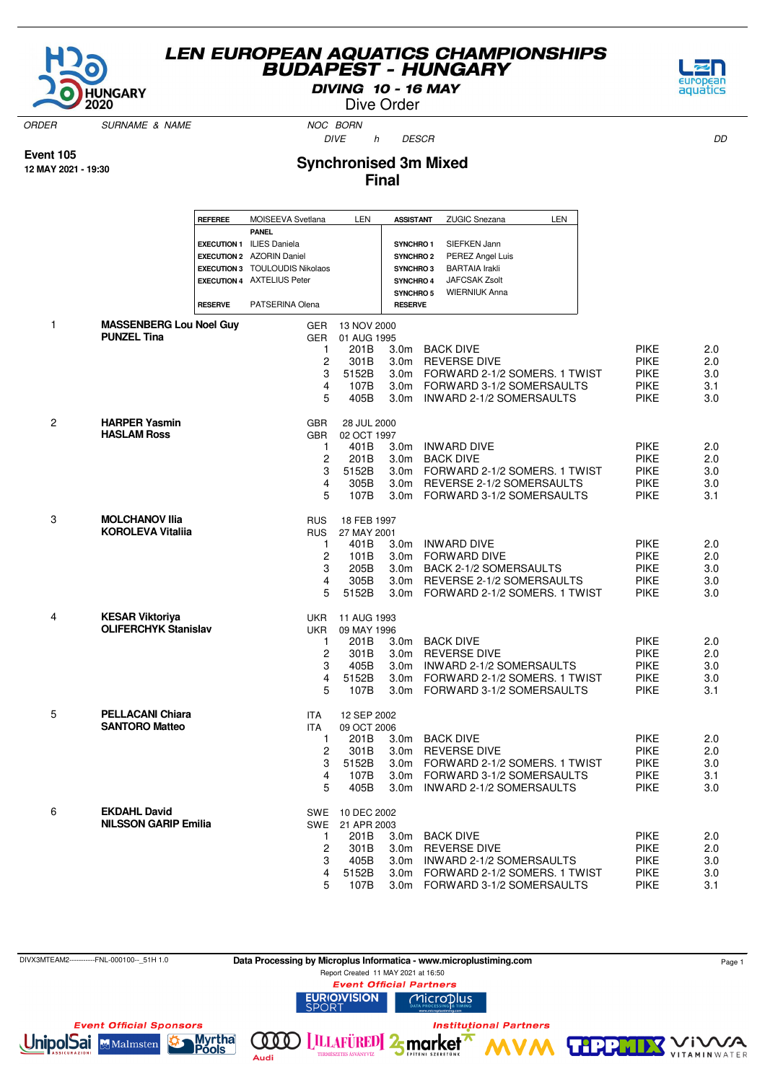

DIVING 10 - 16 MAY

Dive Order



ORDER SURNAME & NAME NOC BORN

DIVE h DESCR DD

**Event 105**

**12 MAY 2021 - 19:30**

| <b>Synchronised 3m Mixed</b> |  |
|------------------------------|--|
| Final                        |  |

|   |                                | <b>REFEREE</b> | MOISEEVA Svetlana                     | LEN                        | <b>ASSISTANT</b>       |                     | <b>ZUGIC Snezana</b>                         | LEN                                |                            |            |
|---|--------------------------------|----------------|---------------------------------------|----------------------------|------------------------|---------------------|----------------------------------------------|------------------------------------|----------------------------|------------|
|   |                                |                | <b>PANEL</b>                          |                            |                        |                     |                                              |                                    |                            |            |
|   |                                |                | <b>EXECUTION 1</b> ILIES Daniela      |                            | SYNCHRO <sub>1</sub>   |                     | SIEFKEN Jann                                 |                                    |                            |            |
|   |                                |                | <b>EXECUTION 2 AZORIN Daniel</b>      |                            | <b>SYNCHRO2</b>        |                     | PEREZ Angel Luis                             |                                    |                            |            |
|   |                                |                | <b>EXECUTION 3 TOULOUDIS Nikolaos</b> |                            | <b>SYNCHRO3</b>        |                     | <b>BARTAIA</b> Irakli                        |                                    |                            |            |
|   |                                |                | <b>EXECUTION 4 AXTELIUS Peter</b>     |                            | SYNCHRO 4<br>SYNCHRO 5 |                     | <b>JAFCSAK Zsolt</b><br><b>WIERNIUK Anna</b> |                                    |                            |            |
|   |                                | <b>RESERVE</b> | PATSERINA Olena                       |                            | <b>RESERVE</b>         |                     |                                              |                                    |                            |            |
| 1 | <b>MASSENBERG Lou Noel Guy</b> |                | <b>GER</b>                            | 13 NOV 2000                |                        |                     |                                              |                                    |                            |            |
|   | <b>PUNZEL Tina</b>             |                | GER                                   | 01 AUG 1995                |                        |                     |                                              |                                    |                            |            |
|   |                                |                | 1                                     | 201B                       |                        | 3.0m BACK DIVE      |                                              |                                    | <b>PIKE</b>                | 2.0        |
|   |                                |                | 2                                     | 301B                       | 3.0 <sub>m</sub>       | <b>REVERSE DIVE</b> |                                              |                                    | <b>PIKE</b>                | 2.0        |
|   |                                |                | 3                                     | 5152B                      |                        |                     |                                              | 3.0m FORWARD 2-1/2 SOMERS. 1 TWIST | <b>PIKE</b>                | 3.0        |
|   |                                |                | 4<br>5                                | 107B<br>405B               | 3.0 <sub>m</sub>       |                     |                                              | 3.0m FORWARD 3-1/2 SOMERSAULTS     | <b>PIKE</b><br><b>PIKE</b> | 3.1        |
|   |                                |                |                                       |                            |                        |                     |                                              | INWARD 2-1/2 SOMERSAULTS           |                            | 3.0        |
| 2 | <b>HARPER Yasmin</b>           |                | <b>GBR</b>                            | 28 JUL 2000                |                        |                     |                                              |                                    |                            |            |
|   | <b>HASLAM Ross</b>             |                | <b>GBR</b><br>1                       | 02 OCT 1997<br>401B        | 3.0 <sub>m</sub>       | INWARD DIVE         |                                              |                                    | <b>PIKE</b>                | 2.0        |
|   |                                |                | 2                                     | 201B                       | 3.0 <sub>m</sub>       | <b>BACK DIVE</b>    |                                              |                                    | <b>PIKE</b>                | 2.0        |
|   |                                |                | 3                                     | 5152B                      | 3.0 <sub>m</sub>       |                     |                                              | FORWARD 2-1/2 SOMERS. 1 TWIST      | <b>PIKE</b>                | 3.0        |
|   |                                |                | 4                                     | 305B                       | 3.0 <sub>m</sub>       |                     |                                              | REVERSE 2-1/2 SOMERSAULTS          | <b>PIKE</b>                | 3.0        |
|   |                                |                | 5                                     | 107B                       | 3.0 <sub>m</sub>       |                     |                                              | FORWARD 3-1/2 SOMERSAULTS          | <b>PIKE</b>                | 3.1        |
| 3 | <b>MOLCHANOV IIia</b>          |                | <b>RUS</b>                            | 18 FEB 1997                |                        |                     |                                              |                                    |                            |            |
|   | <b>KOROLEVA Vitalija</b>       |                | <b>RUS</b>                            | 27 MAY 2001                |                        |                     |                                              |                                    |                            |            |
|   |                                |                | 1                                     | 401B                       | 3.0 <sub>m</sub>       | INWARD DIVE         |                                              |                                    | <b>PIKE</b>                | 2.0        |
|   |                                |                | 2                                     | 101B                       | 3.0 <sub>m</sub>       | <b>FORWARD DIVE</b> |                                              |                                    | <b>PIKE</b>                | 2.0        |
|   |                                |                | 3<br>4                                | 205B<br>305B               | 3.0 <sub>m</sub>       |                     | BACK 2-1/2 SOMERSAULTS                       | 3.0m REVERSE 2-1/2 SOMERSAULTS     | <b>PIKE</b><br><b>PIKE</b> | 3.0<br>3.0 |
|   |                                |                | 5                                     | 5152B                      |                        |                     |                                              | 3.0m FORWARD 2-1/2 SOMERS. 1 TWIST | <b>PIKE</b>                | 3.0        |
| 4 | <b>KESAR Viktoriya</b>         |                |                                       |                            |                        |                     |                                              |                                    |                            |            |
|   | <b>OLIFERCHYK Stanislav</b>    |                | UKR<br><b>UKR</b>                     | 11 AUG 1993<br>09 MAY 1996 |                        |                     |                                              |                                    |                            |            |
|   |                                |                | 1                                     | 201B                       |                        | 3.0m BACK DIVE      |                                              |                                    | <b>PIKE</b>                | 2.0        |
|   |                                |                | 2                                     | 301B                       | 3.0 <sub>m</sub>       | <b>REVERSE DIVE</b> |                                              |                                    | <b>PIKE</b>                | 2.0        |
|   |                                |                | 3                                     | 405B                       | 3.0 <sub>m</sub>       |                     |                                              | INWARD 2-1/2 SOMERSAULTS           | <b>PIKE</b>                | 3.0        |
|   |                                |                | 4                                     | 5152B                      | 3.0m                   |                     |                                              | FORWARD 2-1/2 SOMERS. 1 TWIST      | <b>PIKE</b>                | 3.0        |
|   |                                |                | 5                                     | 107B                       |                        |                     |                                              | 3.0m FORWARD 3-1/2 SOMERSAULTS     | <b>PIKE</b>                | 3.1        |
| 5 | <b>PELLACANI Chiara</b>        |                | ITA                                   | 12 SEP 2002                |                        |                     |                                              |                                    |                            |            |
|   | <b>SANTORO Matteo</b>          |                | <b>ITA</b>                            | 09 OCT 2006                |                        |                     |                                              |                                    |                            |            |
|   |                                |                | 1                                     | 201B                       | 3.0m                   | <b>BACK DIVE</b>    |                                              |                                    | <b>PIKE</b>                | 2.0        |
|   |                                |                | 2<br>3                                | 301B<br>5152B              | 3.0m                   | 3.0m REVERSE DIVE   |                                              | FORWARD 2-1/2 SOMERS. 1 TWIST      | <b>PIKE</b><br><b>PIKE</b> | 2.0<br>3.0 |
|   |                                |                | 4                                     | 107B                       | 3.0 <sub>m</sub>       |                     |                                              | FORWARD 3-1/2 SOMERSAULTS          | <b>PIKE</b>                | 3.1        |
|   |                                |                | 5                                     | 405B                       |                        |                     |                                              | 3.0m INWARD 2-1/2 SOMERSAULTS      | <b>PIKE</b>                | 3.0        |
| 6 | <b>EKDAHL David</b>            |                |                                       | SWE 10 DEC 2002            |                        |                     |                                              |                                    |                            |            |
|   | <b>NILSSON GARIP Emilia</b>    |                |                                       | SWE 21 APR 2003            |                        |                     |                                              |                                    |                            |            |
|   |                                |                | $\mathbf{1}$                          | 201B                       |                        | 3.0m BACK DIVE      |                                              |                                    | PIKE                       | 2.0        |
|   |                                |                | $\overline{c}$                        | 301B                       |                        | 3.0m REVERSE DIVE   |                                              |                                    | <b>PIKE</b>                | 2.0        |
|   |                                |                | 3                                     | 405B                       |                        |                     |                                              | 3.0m INWARD 2-1/2 SOMERSAULTS      | <b>PIKE</b>                | 3.0        |
|   |                                |                | 4                                     | 5152B                      |                        |                     |                                              | 3.0m FORWARD 2-1/2 SOMERS, 1 TWIST | <b>PIKE</b>                | 3.0        |
|   |                                |                | 5                                     | 107B                       |                        |                     |                                              | 3.0m FORWARD 3-1/2 SOMERSAULTS     | <b>PIKE</b>                | 3.1        |

DIVX3MTEAM2-----------FNL-000100--\_51H 1.0 **Data Processing by Microplus Informatica - www.microplustiming.com** Page 1 Report Created 11 MAY 2021 at 16:50**Event Official Partners RIOVISION** Microplus **Event Official Sponsors Institutional Partners** 

**LILLAFÜRED** 2 market

**COO** 

Audi



 $\mathcal{N}\mathcal{A}$ **TIPP** 'iV **VITAMIN** WATER

 $\overline{M}$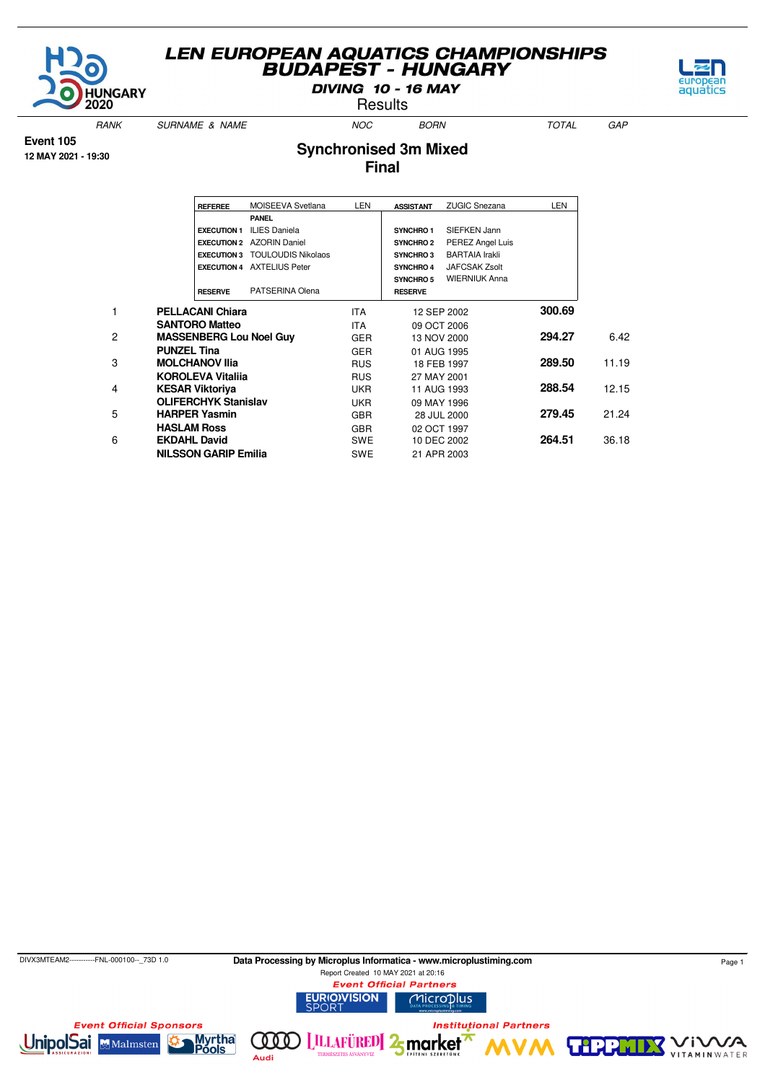

DIVING 10 - 16 MAY

**Results** 

RANK SURNAME & NAME NOC BORN TOTAL GAP

aquatics

**Event 105 12 MAY 2021 - 19:30**

### **Synchronised 3m Mixed**

**Final**

|   |                     | <b>REFEREE</b>                 | MOISEEVA Svetlana                     | LEN        | <b>ASSISTANT</b>     | <b>ZUGIC Snezana</b>  | <b>LEN</b> |       |
|---|---------------------|--------------------------------|---------------------------------------|------------|----------------------|-----------------------|------------|-------|
|   |                     |                                | <b>PANEL</b>                          |            |                      |                       |            |       |
|   |                     | <b>EXECUTION 1</b>             | <b>ILIES Daniela</b>                  |            | SYNCHRO <sub>1</sub> | SIEFKEN Jann          |            |       |
|   |                     | <b>EXECUTION 2</b>             | <b>AZORIN Daniel</b>                  |            | <b>SYNCHRO2</b>      | PEREZ Angel Luis      |            |       |
|   |                     |                                | <b>EXECUTION 3 TOULOUDIS Nikolaos</b> |            | <b>SYNCHRO3</b>      | <b>BARTAIA Irakli</b> |            |       |
|   |                     |                                | <b>EXECUTION 4 AXTELIUS Peter</b>     |            | <b>SYNCHRO 4</b>     | <b>JAFCSAK Zsolt</b>  |            |       |
|   |                     |                                |                                       |            | <b>SYNCHRO5</b>      | <b>WIERNIUK Anna</b>  |            |       |
|   |                     | <b>RESERVE</b>                 | PATSERINA Olena                       |            | <b>RESERVE</b>       |                       |            |       |
| 1 |                     | <b>PELLACANI Chiara</b>        |                                       | ITA.       |                      | 12 SEP 2002           | 300.69     |       |
|   |                     | <b>SANTORO Matteo</b>          |                                       | ITA.       | 09 OCT 2006          |                       |            |       |
| 2 |                     | <b>MASSENBERG Lou Noel Guy</b> |                                       | <b>GER</b> | 13 NOV 2000          |                       | 294.27     | 6.42  |
|   | <b>PUNZEL Tina</b>  |                                |                                       | <b>GER</b> | 01 AUG 1995          |                       |            |       |
| 3 |                     | <b>MOLCHANOV IIia</b>          |                                       | <b>RUS</b> |                      | 18 FEB 1997           | 289.50     | 11.19 |
|   |                     | <b>KOROLEVA Vitalija</b>       |                                       | <b>RUS</b> | 27 MAY 2001          |                       |            |       |
| 4 |                     | <b>KESAR Viktoriya</b>         |                                       | UKR.       | 11 AUG 1993          |                       | 288.54     | 12.15 |
|   |                     | <b>OLIFERCHYK Stanislav</b>    |                                       | <b>UKR</b> | 09 MAY 1996          |                       |            |       |
| 5 |                     | <b>HARPER Yasmin</b>           |                                       | <b>GBR</b> |                      | 28 JUL 2000           | 279.45     | 21.24 |
|   | <b>HASLAM Ross</b>  |                                |                                       | <b>GBR</b> | 02 OCT 1997          |                       |            |       |
| 6 | <b>EKDAHL David</b> |                                |                                       | <b>SWE</b> | 10 DEC 2002          |                       | 264.51     | 36.18 |
|   |                     | <b>NILSSON GARIP Emilia</b>    |                                       | <b>SWE</b> | 21 APR 2003          |                       |            |       |

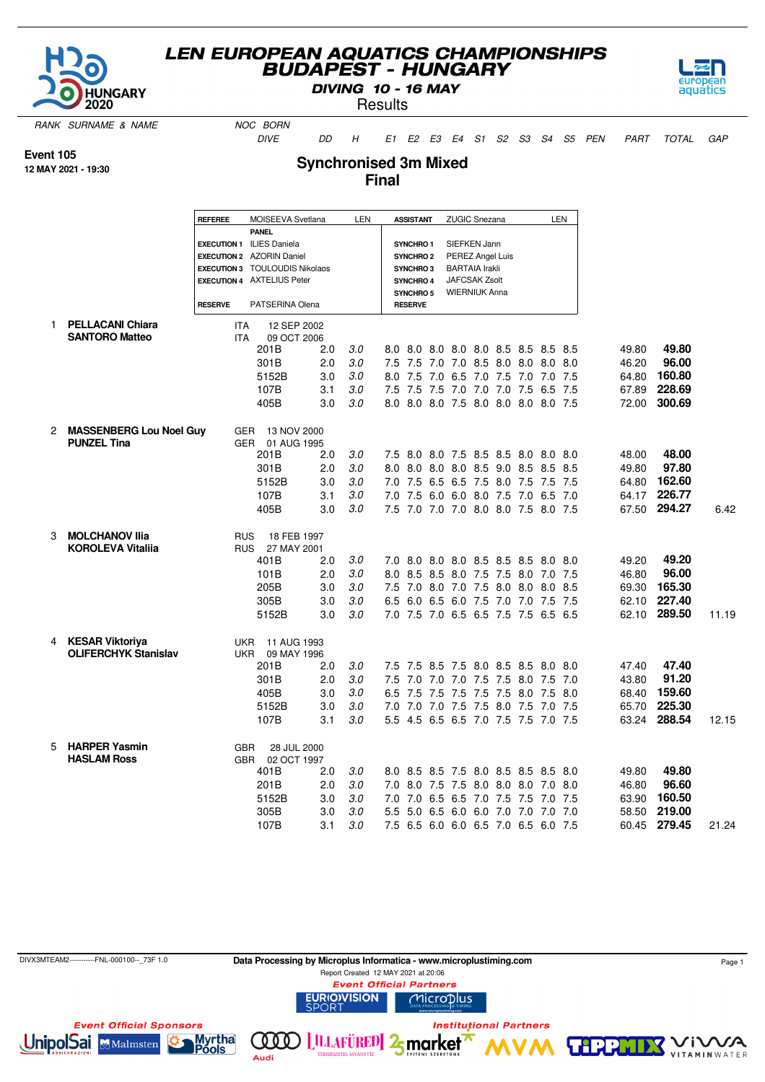

DIVING 10 - 16 MAY **Results** 



**VITAMIN** WATER

RANK SURNAME & NAME NOC BORN

DIVE DD H E1 E2 E3 E4 S1 S2 S3 S4 S5 PEN PART TOTAL GAP

**Event 105**

**12 MAY 2021 - 19:30**

|  |  | <b>Synchronised 3m Mixed</b> |
|--|--|------------------------------|
|--|--|------------------------------|

**Final**

|    |                                                       | <b>REFEREE</b>           | MOISEEVA Svetlana                                                                                                                                                  |                                 | LEN                                 | <b>ASSISTANT</b>                                                                                | <b>ZUGIC Snezana</b>                                                                                                                                                                            |  |         | <b>LEN</b> |                                           |                                              |       |
|----|-------------------------------------------------------|--------------------------|--------------------------------------------------------------------------------------------------------------------------------------------------------------------|---------------------------------|-------------------------------------|-------------------------------------------------------------------------------------------------|-------------------------------------------------------------------------------------------------------------------------------------------------------------------------------------------------|--|---------|------------|-------------------------------------------|----------------------------------------------|-------|
|    |                                                       |                          | <b>PANEL</b><br><b>EXECUTION 1 ILIES Daniela</b><br><b>EXECUTION 2 AZORIN Daniel</b><br><b>EXECUTION 3 TOULOUDIS Nikolaos</b><br><b>EXECUTION 4 AXTELIUS Peter</b> |                                 |                                     | SYNCHRO <sub>1</sub><br><b>SYNCHRO2</b><br>SYNCHRO <sub>3</sub><br>SYNCHRO 4<br><b>SYNCHRO5</b> | SIEFKEN Jann<br>PEREZ Angel Luis<br><b>BARTAIA</b> Irakli<br><b>JAFCSAK Zsolt</b><br><b>WIERNIUK Anna</b>                                                                                       |  |         |            |                                           |                                              |       |
|    |                                                       | <b>RESERVE</b>           | PATSERINA Olena                                                                                                                                                    |                                 |                                     | <b>RESERVE</b>                                                                                  |                                                                                                                                                                                                 |  |         |            |                                           |                                              |       |
| 1. | <b>PELLACANI Chiara</b><br><b>SANTORO Matteo</b>      | <b>ITA</b><br><b>ITA</b> | 12 SEP 2002<br>09 OCT 2006<br>201B<br>301B<br>5152B<br>107B<br>405B                                                                                                | 2.0<br>2.0<br>3.0<br>3.1<br>3.0 | 3.0<br>3.0<br>3.0<br>3.0<br>3.0     | 8.0 7.5                                                                                         | 8.0 8.0 8.0 8.0 8.0 8.5 8.5 8.5 8.5<br>7.5 7.5 7.0 7.0 8.5 8.0 8.0 8.0 8.0<br>7.0 6.5 7.0 7.5 7.0 7.0 7.5<br>7.5 7.5 7.5 7.0 7.0 7.0 7.5<br>8.0 8.0 8.0 7.5 8.0 8.0 8.0 8.0 7.5                 |  | 6.5 7.5 |            | 49.80<br>46.20<br>64.80<br>67.89<br>72.00 | 49.80<br>96.00<br>160.80<br>228.69<br>300.69 |       |
| 2  | <b>MASSENBERG Lou Noel Guy</b><br><b>PUNZEL Tina</b>  |                          | GER 13 NOV 2000<br>01 AUG 1995<br><b>GER</b><br>201B<br>301B<br>5152B<br>107B<br>405B                                                                              | 2.0<br>2.0<br>3.0<br>3.1<br>3.0 | 3.0<br>3.0<br>3.0<br>3.0<br>3.0     |                                                                                                 | 7.5 8.0 8.0 7.5 8.5 8.5 8.0 8.0 8.0<br>8.0 8.0 8.0 8.0 8.5 9.0 8.5 8.5 8.5<br>7.0 7.5 6.5 6.5 7.5 8.0 7.5 7.5 7.5<br>7.0 7.5 6.0 6.0 8.0 7.5 7.0 6.5 7.0<br>7.5 7.0 7.0 7.0 8.0 8.0 7.5 8.0 7.5 |  |         |            | 48.00<br>49.80<br>64.80<br>64.17<br>67.50 | 48.00<br>97.80<br>162.60<br>226.77<br>294.27 | 6.42  |
| 3  | <b>MOLCHANOV IIia</b><br><b>KOROLEVA Vitalija</b>     | <b>RUS</b>               | 18 FEB 1997<br>RUS 27 MAY 2001<br>401B<br>101B<br>205B<br>305B<br>5152B                                                                                            | 2.0<br>2.0<br>3.0<br>3.0<br>3.0 | 3.0<br>3.0<br>3.0<br>3.0<br>3.0     |                                                                                                 | 7.0 8.0 8.0 8.0 8.5 8.5 8.5 8.0 8.0<br>8.0 8.5 8.5 8.0 7.5 7.5 8.0 7.0 7.5<br>7.5 7.0 8.0 7.0 7.5 8.0 8.0 8.0 8.5<br>6.5 6.0 6.5 6.0 7.5 7.0 7.0 7.5 7.5<br>7.0 7.5 7.0 6.5 6.5 7.5 7.5 6.5 6.5 |  |         |            | 49.20<br>46.80<br>69.30<br>62.10<br>62.10 | 49.20<br>96.00<br>165.30<br>227.40<br>289.50 | 11.19 |
| 4  | <b>KESAR Viktoriya</b><br><b>OLIFERCHYK Stanislav</b> |                          | 11 AUG 1993<br><b>UKR</b><br>UKR 09 MAY 1996<br>201B<br>301B<br>405B<br>5152B<br>107B                                                                              | 2.0<br>2.0<br>3.0<br>3.0<br>3.1 | 3.0<br>3.0<br>3.0<br>3.0<br>3.0     | 6.5 7.5                                                                                         | 7.5 7.5 8.5 7.5 8.0 8.5 8.5 8.0 8.0<br>7.5 7.0 7.0 7.0 7.5 7.5 8.0 7.5 7.0<br>7.5 7.5 7.5 7.5 8.0 7.5 8.0<br>7.0 7.0 7.0 7.5 7.5 8.0 7.5 7.0 7.5<br>5.5 4.5 6.5 6.5 7.0 7.5 7.5 7.0 7.5         |  |         |            | 47.40<br>43.80<br>68.40<br>65.70<br>63.24 | 47.40<br>91.20<br>159.60<br>225.30<br>288.54 | 12.15 |
| 5. | <b>HARPER Yasmin</b><br><b>HASLAM Ross</b>            | <b>GBR</b><br><b>GBR</b> | 28 JUL 2000<br>02 OCT 1997<br>401B<br>201B<br>5152B<br>305B<br>107B                                                                                                | 2.0<br>2.0<br>3.0<br>3.0<br>3.1 | 3.0<br>3.0<br>$3.0\,$<br>3.0<br>3.0 |                                                                                                 | 8.0 8.5 8.5 7.5 8.0 8.5 8.5 8.5 8.0<br>7.0 8.0 7.5 7.5 8.0 8.0 8.0 7.0 8.0<br>7.0 7.0 6.5 6.5 7.0 7.5 7.5<br>5.5 5.0 6.5 6.0 6.0 7.0 7.0 7.0 7.0<br>7.5 6.5 6.0 6.0 6.5 7.0 6.5 6.0 7.5         |  | 7.0 7.5 |            | 49.80<br>46.80<br>63.90<br>58.50<br>60.45 | 49.80<br>96.60<br>160.50<br>219.00<br>279.45 | 21.24 |

DIVX3MTEAM2-----------FNL-000100--\_73F 1.0 **Data Processing by Microplus Informatica - www.microplustiming.com** Report Created 12 MAY 2021 at 20:06**Event Official Partners URIO)VISION** Microplus **Event Official Sponsors Institutional Partners Myrtha UnipolSai**  $\mathbf{Q}$ Malmsten **LILLAFÜRED** 2 market **TIVWA M TIPP** 

õols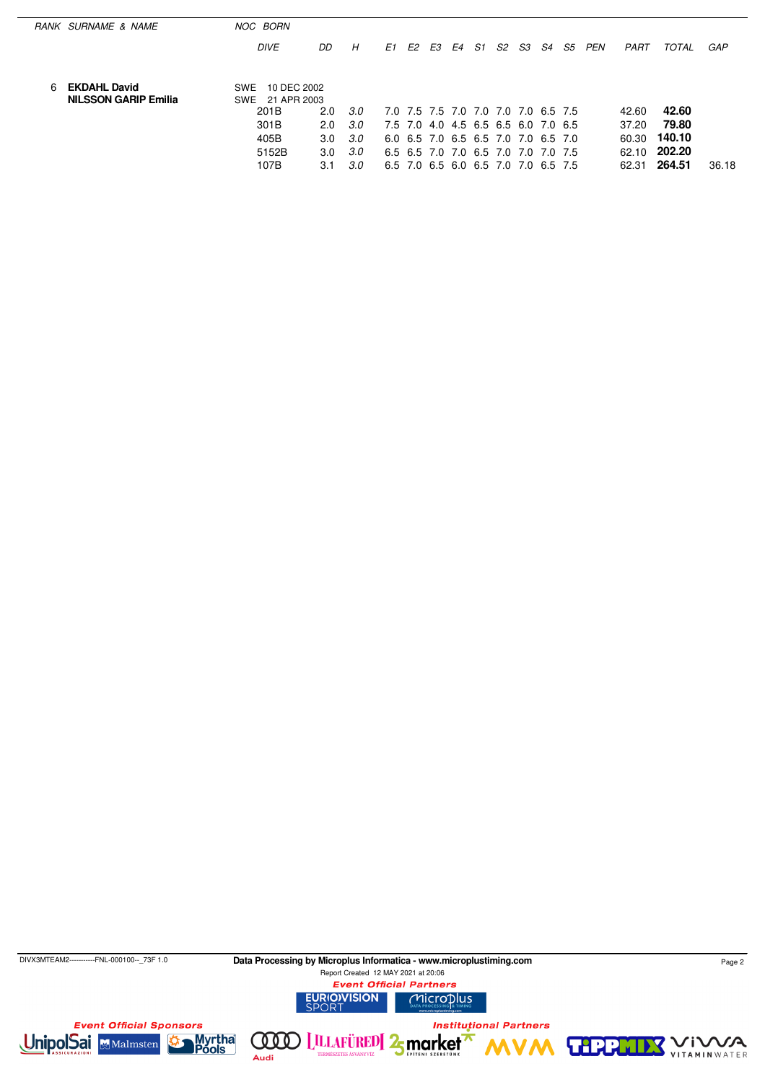| RANK SURNAME & NAME                                | NOC BORN                                      |            |            |    |         |    |    |                                                                            |    |    |         |    |            |                |                 |       |
|----------------------------------------------------|-----------------------------------------------|------------|------------|----|---------|----|----|----------------------------------------------------------------------------|----|----|---------|----|------------|----------------|-----------------|-------|
|                                                    | <b>DIVE</b>                                   | DD         | Н          | E1 | E2      | E3 | E4 | S1                                                                         | S2 | S3 | S4      | S5 | <b>PEN</b> | PART           | <b>TOTAL</b>    | GAP   |
| <b>EKDAHL David</b><br><b>NILSSON GARIP Emilia</b> | 10 DEC 2002<br>SWE<br>SWE 21 APR 2003<br>201B | 2.0        | 3.0        |    |         |    |    | 7.0 7.5 7.5 7.0 7.0 7.0 7.0 6.5 7.5                                        |    |    |         |    |            | 42.60          | 42.60           |       |
|                                                    | 301B<br>405B                                  | 2.0<br>3.0 | 3.0<br>3.0 |    |         |    |    | 7.5 7.0 4.0 4.5 6.5 6.5 6.0 7.0 6.5<br>6.0 6.5 7.0 6.5 6.5 7.0 7.0 6.5 7.0 |    |    |         |    |            | 37.20<br>60.30 | 79.80<br>140.10 |       |
|                                                    | 5152B                                         | 3.0        | 3.0        |    |         |    |    | 6.5 6.5 7.0 7.0 6.5 7.0 7.0                                                |    |    | 7.0 7.5 |    |            | 62.10          | 202.20          |       |
|                                                    | 107B                                          | 3.1        | 3.0        |    | 6.5 7.0 |    |    | 6.5 6.0 6.5 7.0 7.0 6.5 7.5                                                |    |    |         |    |            | 62.31          | 264.51          | 36.18 |

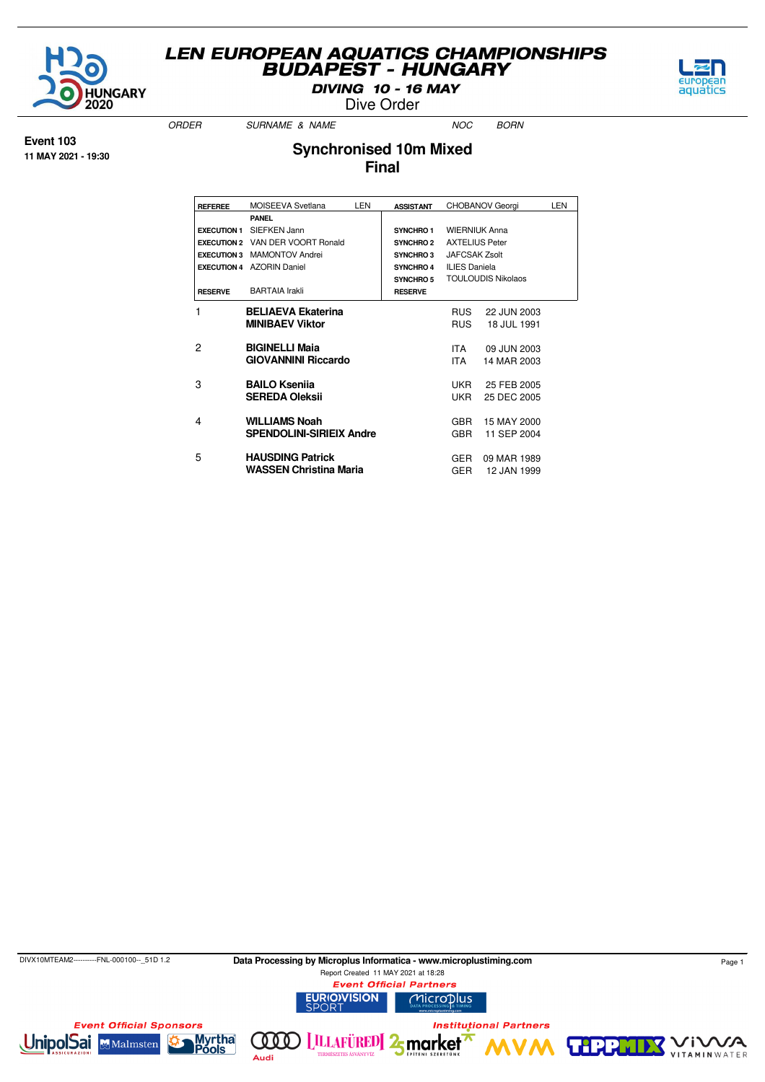

**Event 103 11 MAY 2021 - 19:30**

## **LEN EUROPEAN AQUATICS CHAMPIONSHIPS<br>BUDAPEST - HUNGARY**

DIVING 10 - 16 MAY

Dive Order

ORDER SURNAME & NAME NOC BORN

### **Synchronised 10m Mixed**

**Final**

| <b>REFEREE</b>     | MOISEEVA Svetlana                       | <b>LEN</b> | <b>ASSISTANT</b>     |                       | <b>CHOBANOV Georgi</b>    | LEN |
|--------------------|-----------------------------------------|------------|----------------------|-----------------------|---------------------------|-----|
|                    | PANFI                                   |            |                      |                       |                           |     |
| <b>EXECUTION 1</b> | SIEFKEN Jann                            |            | SYNCHRO <sub>1</sub> | <b>WIERNIUK Anna</b>  |                           |     |
|                    | <b>EXECUTION 2 VAN DER VOORT Ronald</b> |            | SYNCHRO <sub>2</sub> | <b>AXTELIUS Peter</b> |                           |     |
| <b>EXECUTION 3</b> | MAMONTOV Andrei                         |            | <b>SYNCHRO3</b>      | <b>JAFCSAK Zsolt</b>  |                           |     |
|                    | <b>EXECUTION 4 AZORIN Daniel</b>        |            | SYNCHRO 4            | <b>ILIES Daniela</b>  |                           |     |
|                    |                                         |            | SYNCHRO 5            |                       | <b>TOULOUDIS Nikolaos</b> |     |
| <b>RESERVE</b>     | <b>BARTAIA Irakli</b>                   |            | <b>RESERVE</b>       |                       |                           |     |
| 1                  | <b>BELIAEVA Ekaterina</b>               |            |                      | <b>RUS</b>            | 22 JUN 2003               |     |
|                    | <b>MINIBAEV Viktor</b>                  |            |                      | RUS.                  | 18 JUL 1991               |     |
| 2                  | <b>BIGINELLI Maia</b>                   |            |                      | <b>ITA</b>            | 09 JUN 2003               |     |
|                    | <b>GIOVANNINI Riccardo</b>              |            |                      | ITA.                  | 14 MAR 2003               |     |
| 3                  | <b>BAILO Ksenija</b>                    |            |                      | UKR                   | 25 FEB 2005               |     |
|                    | <b>SEREDA Oleksii</b>                   |            |                      | UKR.                  | 25 DEC 2005               |     |
|                    |                                         |            |                      |                       |                           |     |
| 4                  | WILLIAMS Noah                           |            |                      | <b>GBR</b>            | 15 MAY 2000               |     |
|                    | <b>SPENDOLINI-SIRIEIX Andre</b>         |            |                      | <b>GBR</b>            | 11 SEP 2004               |     |
| 5                  | <b>HAUSDING Patrick</b>                 |            |                      | <b>GFR</b>            | 09 MAR 1989               |     |
|                    | WASSEN Christina Maria                  |            |                      | GER                   | 12 JAN 1999               |     |



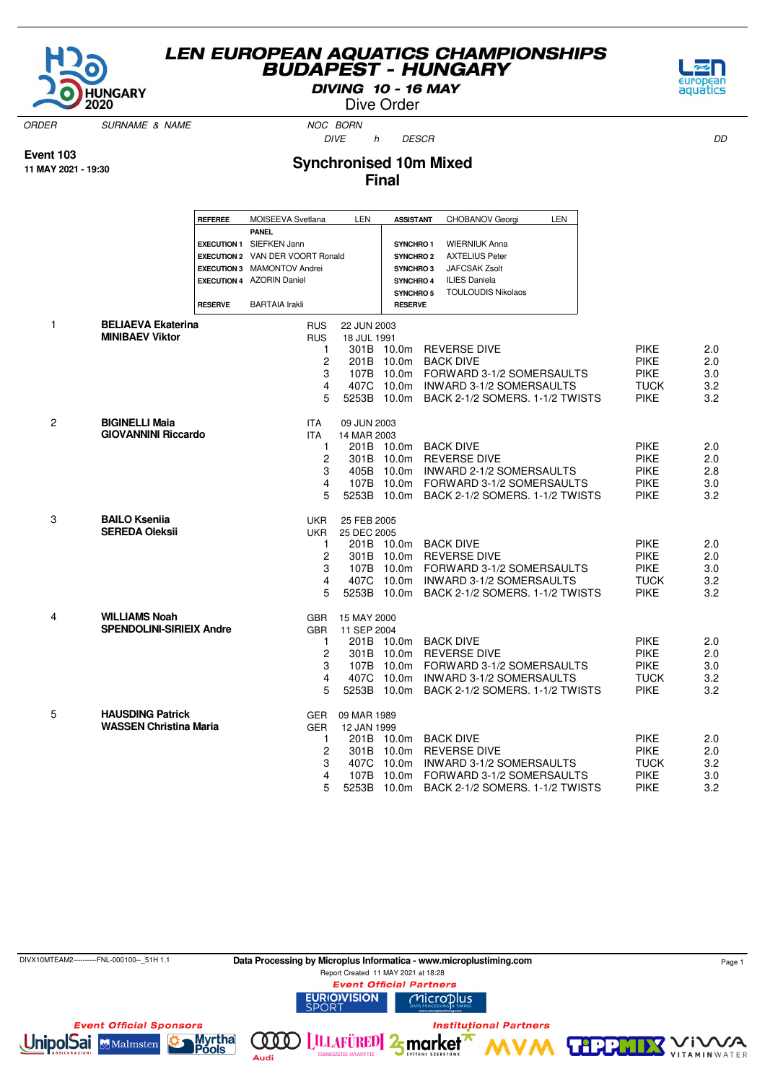

DIVING 10 - 16 MAY

Dive Order



ORDER SURNAME & NAME NOC BORN

DIVE h DESCR DD

**Event 103 11 MAY 2021 - 19:30**

| <b>Synchronised 10m Mixed</b> |  |
|-------------------------------|--|
| Final                         |  |

|                |                                 | <b>REFEREE</b> | MOISEEVA Svetlana                       | LEN         | <b>ASSISTANT</b>     | CHOBANOV Georgi                             | LEN |             |     |
|----------------|---------------------------------|----------------|-----------------------------------------|-------------|----------------------|---------------------------------------------|-----|-------------|-----|
|                |                                 |                | <b>PANEL</b>                            |             |                      |                                             |     |             |     |
|                |                                 |                | <b>EXECUTION 1 SIEFKEN Jann</b>         |             | SYNCHRO <sub>1</sub> | <b>WIERNIUK Anna</b>                        |     |             |     |
|                |                                 |                | <b>EXECUTION 2 VAN DER VOORT Ronald</b> |             | <b>SYNCHRO2</b>      | <b>AXTELIUS Peter</b>                       |     |             |     |
|                |                                 |                | <b>EXECUTION 3 MAMONTOV Andrei</b>      |             | <b>SYNCHRO3</b>      | <b>JAFCSAK Zsolt</b>                        |     |             |     |
|                |                                 |                | <b>EXECUTION 4 AZORIN Daniel</b>        |             | SYNCHRO 4            | <b>ILIES Daniela</b>                        |     |             |     |
|                |                                 |                |                                         |             | <b>SYNCHRO 5</b>     | <b>TOULOUDIS Nikolaos</b>                   |     |             |     |
|                |                                 | <b>RESERVE</b> | <b>BARTAIA Irakli</b>                   |             | <b>RESERVE</b>       |                                             |     |             |     |
| $\mathbf{1}$   | <b>BELIAEVA Ekaterina</b>       |                | <b>RUS</b>                              | 22 JUN 2003 |                      |                                             |     |             |     |
|                | <b>MINIBAEV Viktor</b>          |                | <b>RUS</b>                              | 18 JUL 1991 |                      |                                             |     |             |     |
|                |                                 |                | 1.                                      |             | 301B 10.0m           | <b>REVERSE DIVE</b>                         |     | <b>PIKE</b> | 2.0 |
|                |                                 |                | $\overline{c}$                          |             | 201B 10.0m           | <b>BACK DIVE</b>                            |     | <b>PIKE</b> | 2.0 |
|                |                                 |                | 3                                       |             | 107B 10.0m           | FORWARD 3-1/2 SOMERSAULTS                   |     | <b>PIKE</b> | 3.0 |
|                |                                 |                | 4                                       |             | 407C 10.0m           | INWARD 3-1/2 SOMERSAULTS                    |     | <b>TUCK</b> | 3.2 |
|                |                                 |                | 5                                       |             |                      | 5253B 10.0m BACK 2-1/2 SOMERS. 1-1/2 TWISTS |     | <b>PIKE</b> | 3.2 |
| $\overline{c}$ | <b>BIGINELLI Maja</b>           |                | <b>ITA</b>                              | 09 JUN 2003 |                      |                                             |     |             |     |
|                | <b>GIOVANNINI Riccardo</b>      |                | <b>ITA</b>                              | 14 MAR 2003 |                      |                                             |     |             |     |
|                |                                 |                | 1                                       |             | 201B 10.0m           | <b>BACK DIVE</b>                            |     | <b>PIKE</b> | 2.0 |
|                |                                 |                | $\overline{c}$                          |             | 301B 10.0m           | <b>REVERSE DIVE</b>                         |     | <b>PIKE</b> | 2.0 |
|                |                                 |                | 3                                       |             | 405B 10.0m           | INWARD 2-1/2 SOMERSAULTS                    |     | <b>PIKE</b> | 2.8 |
|                |                                 |                | 4                                       |             | 107B 10.0m           | FORWARD 3-1/2 SOMERSAULTS                   |     | <b>PIKE</b> | 3.0 |
|                |                                 |                | 5                                       |             | 5253B 10.0m          | BACK 2-1/2 SOMERS, 1-1/2 TWISTS             |     | <b>PIKE</b> | 3.2 |
| 3              | <b>BAILO Ksenija</b>            |                | UKR                                     | 25 FEB 2005 |                      |                                             |     |             |     |
|                | <b>SEREDA Oleksii</b>           |                | UKR                                     | 25 DEC 2005 |                      |                                             |     |             |     |
|                |                                 |                | 1.                                      |             | 201B 10.0m           | <b>BACK DIVE</b>                            |     | <b>PIKE</b> | 2.0 |
|                |                                 |                | 2                                       |             | 301B 10.0m           | <b>REVERSE DIVE</b>                         |     | <b>PIKE</b> | 2.0 |
|                |                                 |                | 3                                       | 107B        | 10.0m                | FORWARD 3-1/2 SOMERSAULTS                   |     | <b>PIKE</b> | 3.0 |
|                |                                 |                | 4                                       |             | 407C 10.0m           | INWARD 3-1/2 SOMERSAULTS                    |     | TUCK        | 3.2 |
|                |                                 |                | 5                                       |             | 5253B 10.0m          | BACK 2-1/2 SOMERS, 1-1/2 TWISTS             |     | <b>PIKE</b> | 3.2 |
| 4              | <b>WILLIAMS Noah</b>            |                | <b>GBR</b>                              | 15 MAY 2000 |                      |                                             |     |             |     |
|                | <b>SPENDOLINI-SIRIEIX Andre</b> |                | <b>GBR</b>                              | 11 SEP 2004 |                      |                                             |     |             |     |
|                |                                 |                | 1                                       |             | 201B 10.0m           | <b>BACK DIVE</b>                            |     | <b>PIKE</b> | 2.0 |
|                |                                 |                | 2                                       |             | 301B 10.0m           | REVERSE DIVE                                |     | <b>PIKE</b> | 2.0 |
|                |                                 |                | 3                                       |             | 107B 10.0m           | FORWARD 3-1/2 SOMERSAULTS                   |     | <b>PIKE</b> | 3.0 |
|                |                                 |                | 4                                       |             | 407C 10.0m           | INWARD 3-1/2 SOMERSAULTS                    |     | TUCK        | 3.2 |
|                |                                 |                | 5                                       |             |                      | 5253B 10.0m BACK 2-1/2 SOMERS. 1-1/2 TWISTS |     | <b>PIKE</b> | 3.2 |
| 5              | <b>HAUSDING Patrick</b>         |                | GER                                     | 09 MAR 1989 |                      |                                             |     |             |     |
|                | <b>WASSEN Christina Maria</b>   |                | <b>GER</b>                              | 12 JAN 1999 |                      |                                             |     |             |     |
|                |                                 |                | $\mathbf{1}$                            |             | 201B 10.0m           | <b>BACK DIVE</b>                            |     | <b>PIKE</b> | 2.0 |
|                |                                 |                | 2                                       |             | 301B 10.0m           | <b>REVERSE DIVE</b>                         |     | <b>PIKE</b> | 2.0 |
|                |                                 |                |                                         |             |                      |                                             |     |             |     |
|                |                                 |                | 3                                       |             | 407C 10.0m           | INWARD 3-1/2 SOMERSAULTS                    |     | <b>TUCK</b> | 3.2 |
|                |                                 |                | 4                                       |             | 107B 10.0m           | FORWARD 3-1/2 SOMERSAULTS                   |     | <b>PIKE</b> | 3.0 |



Audi



**VITAMIN** WATER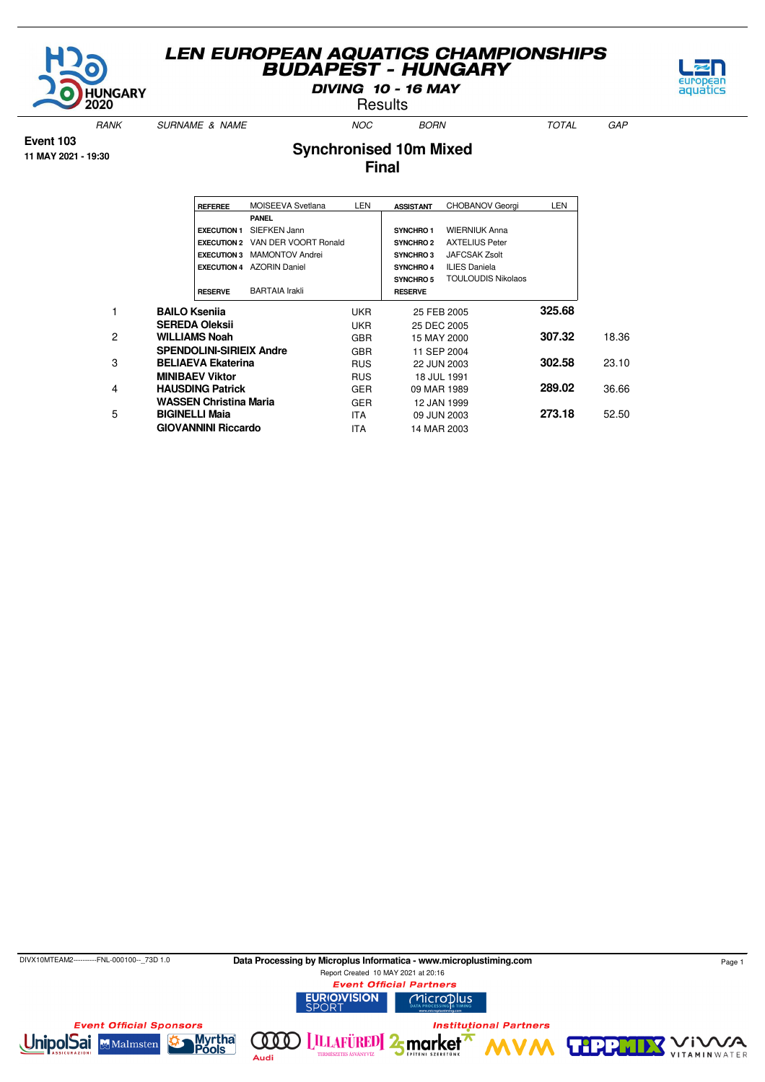

DIVING 10 - 16 MAY

**Results** 

RANK SURNAME & NAME NOC BORN TOTAL GAP

**Event 103 11 MAY 2021 - 19:30**

### **Synchronised 10m Mixed**

**Final**

|                |                       | <b>REFEREE</b>                  | MOISEEVA Svetlana                       | <b>LEN</b> | <b>ASSISTANT</b>     | <b>CHOBANOV Georgi</b>    | LEN    |
|----------------|-----------------------|---------------------------------|-----------------------------------------|------------|----------------------|---------------------------|--------|
|                |                       |                                 | <b>PANEL</b>                            |            |                      |                           |        |
|                |                       | <b>EXECUTION 1</b>              | SIEFKEN Jann                            |            | SYNCHRO <sub>1</sub> | <b>WIERNIUK Anna</b>      |        |
|                |                       |                                 | <b>EXECUTION 2 VAN DER VOORT Ronald</b> |            | <b>SYNCHRO2</b>      | <b>AXTELIUS Peter</b>     |        |
|                |                       | <b>EXECUTION 3</b>              | <b>MAMONTOV Andrei</b>                  |            | <b>SYNCHRO3</b>      | <b>JAFCSAK Zsolt</b>      |        |
|                |                       |                                 | <b>EXECUTION 4 AZORIN Daniel</b>        |            | <b>SYNCHRO 4</b>     | <b>ILIES Daniela</b>      |        |
|                |                       |                                 |                                         |            | <b>SYNCHRO5</b>      | <b>TOULOUDIS Nikolaos</b> |        |
|                |                       | <b>RESERVE</b>                  | <b>BARTAIA Irakli</b>                   |            | <b>RESERVE</b>       |                           |        |
| 1              | <b>BAILO Ksenija</b>  |                                 |                                         | UKR        |                      | 25 FEB 2005               | 325.68 |
|                |                       | <b>SEREDA Oleksii</b>           |                                         | UKR.       | 25 DEC 2005          |                           |        |
| $\overline{c}$ |                       | WILLIAMS Noah                   |                                         | <b>GBR</b> |                      | 15 MAY 2000               | 307.32 |
|                |                       | <b>SPENDOLINI-SIRIEIX Andre</b> |                                         | <b>GBR</b> |                      | 11 SEP 2004               |        |
| 3              |                       | <b>BELIAEVA Ekaterina</b>       |                                         | <b>RUS</b> |                      | 22 JUN 2003               | 302.58 |
|                |                       | <b>MINIBAEV Viktor</b>          |                                         | <b>RUS</b> |                      | 18 JUL 1991               |        |
| 4              |                       | <b>HAUSDING Patrick</b>         |                                         | GER.       | 09 MAR 1989          |                           | 289.02 |
|                |                       | <b>WASSEN Christina Maria</b>   |                                         | <b>GER</b> |                      | 12 JAN 1999               |        |
| 5              | <b>BIGINELLI Maja</b> |                                 |                                         | <b>ITA</b> |                      | 09 JUN 2003               | 273.18 |
|                |                       | <b>GIOVANNINI Riccardo</b>      |                                         | ITA        |                      | 14 MAR 2003               |        |



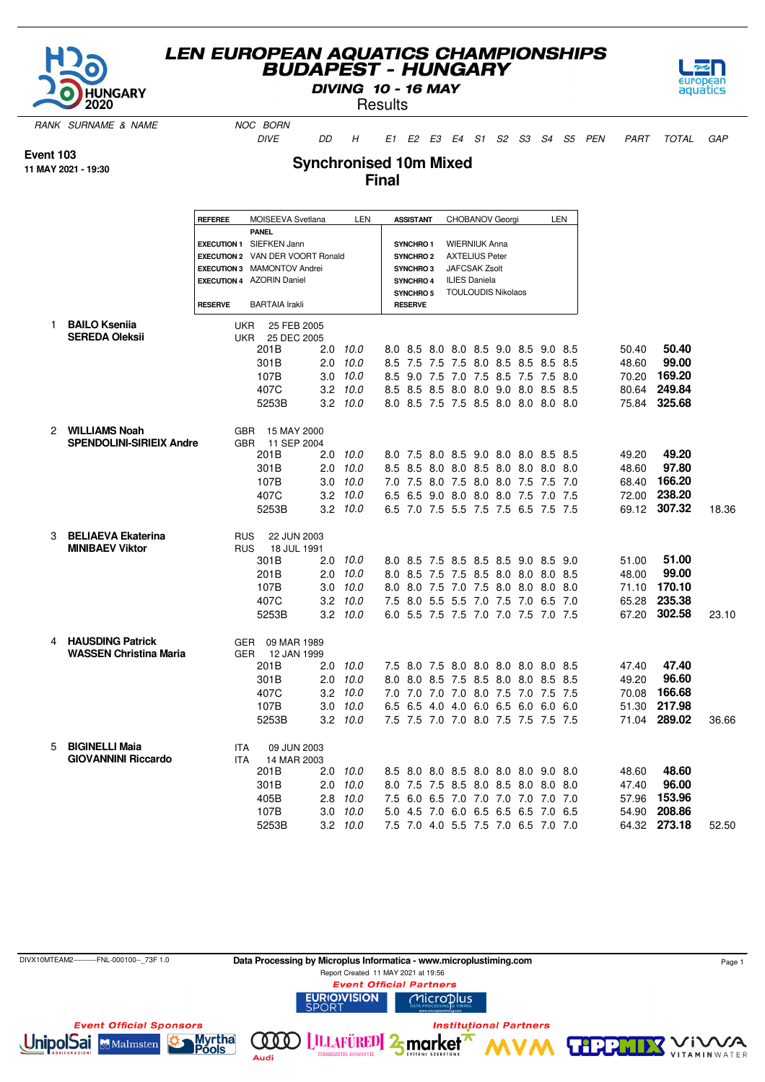

DIVING 10 - 16 MAY **Results** 



**TIVVA** 

**VITAMIN** WATER

RANK SURNAME & NAME NOC BORN

DIVE DD H E1 E2 E3 E4 S1 S2 S3 S4 S5 PEN PART TOTAL GAP

**Event 103**

**11 MAY 2021 - 19:30**

#### **Synchronised 10m Mixed Final**

|    |                                                         | <b>REFEREE</b>           | MOISEEVA Svetlana                                                                                                                                                    |     | LEN                                                                          |            | <b>ASSISTANT</b>                                                                               |     | CHOBANOV Georgi                                                                                                                                                                             |  |         | LEN |                                           |                                                    |       |
|----|---------------------------------------------------------|--------------------------|----------------------------------------------------------------------------------------------------------------------------------------------------------------------|-----|------------------------------------------------------------------------------|------------|------------------------------------------------------------------------------------------------|-----|---------------------------------------------------------------------------------------------------------------------------------------------------------------------------------------------|--|---------|-----|-------------------------------------------|----------------------------------------------------|-------|
|    |                                                         |                          | <b>PANEL</b><br><b>EXECUTION 1 SIEFKEN Jann</b><br><b>EXECUTION 2 VAN DER VOORT Ronald</b><br><b>EXECUTION 3 MAMONTOV Andrei</b><br><b>EXECUTION 4 AZORIN Daniel</b> |     |                                                                              |            | SYNCHRO <sub>1</sub><br>SYNCHRO <sub>2</sub><br>SYNCHRO <sub>3</sub><br>SYNCHRO 4<br>SYNCHRO 5 |     | <b>WIERNIUK Anna</b><br><b>AXTELIUS Peter</b><br><b>JAFCSAK Zsolt</b><br><b>ILIES Daniela</b><br><b>TOULOUDIS Nikolaos</b>                                                                  |  |         |     |                                           |                                                    |       |
|    |                                                         | <b>RESERVE</b>           | <b>BARTAIA Irakli</b>                                                                                                                                                |     |                                                                              |            | <b>RESERVE</b>                                                                                 |     |                                                                                                                                                                                             |  |         |     |                                           |                                                    |       |
| 1. | <b>BAILO Ksenija</b><br><b>SEREDA Oleksii</b>           | <b>UKR</b>               | 25 FEB 2005<br>25 DEC 2005<br>UKR<br>201B<br>301B<br>107B<br>407C<br>5253B                                                                                           |     | $2.0$ $10.0$<br>$2.0$ $10.0$<br>$3.0$ $10.0$<br>$3.2$ $10.0$<br>$3.2$ $10.0$ |            | 8.5 8.5 8.5                                                                                    |     | 8.0 8.5 8.0 8.0 8.5 9.0 8.5 9.0 8.5<br>8.5 7.5 7.5 7.5 8.0 8.5 8.5 8.5 8.5<br>8.5 9.0 7.5 7.0 7.5 8.5 7.5 7.5 8.0<br>8.0 8.0 9.0 8.0 8.5 8.5<br>8.0 8.5 7.5 7.5 8.5 8.0 8.0 8.0 8.0         |  |         |     | 50.40<br>48.60<br>70.20<br>80.64<br>75.84 | 50.40<br>99.00<br>169.20<br>249.84<br>325.68       |       |
| 2  | <b>WILLIAMS Noah</b><br><b>SPENDOLINI-SIRIEIX Andre</b> |                          | GBR 15 MAY 2000<br>GBR 11 SEP 2004<br>201B<br>301B<br>107B                                                                                                           |     | $2.0$ $10.0$<br>$2.0$ $10.0$<br>$3.0$ $10.0$                                 |            |                                                                                                |     | 8.0 7.5 8.0 8.5 9.0 8.0 8.0 8.5 8.5<br>8.5 8.5 8.0 8.0 8.5 8.0 8.0 8.0 8.0<br>7.0 7.5 8.0 7.5 8.0 8.0 7.5                                                                                   |  | 7.5 7.0 |     | 49.20<br>48.60<br>68.40                   | 49.20<br>97.80<br>166.20                           |       |
|    |                                                         |                          | 407C<br>5253B                                                                                                                                                        |     | $3.2$ $10.0$<br>$3.2$ $10.0$                                                 |            |                                                                                                |     | 6.5 6.5 9.0 8.0 8.0 8.0 7.5 7.0 7.5<br>6.5 7.0 7.5 5.5 7.5 7.5 6.5 7.5 7.5                                                                                                                  |  |         |     | 72.00<br>69.12                            | 238.20<br>307.32                                   | 18.36 |
| 3  | <b>BELIAEVA Ekaterina</b><br><b>MINIBAEV Viktor</b>     | <b>RUS</b><br><b>RUS</b> | 22 JUN 2003<br>18 JUL 1991<br>301B<br>201B<br>107B<br>407C<br>5253B                                                                                                  |     | $2.0$ $10.0$<br>$2.0$ $10.0$<br>$3.0$ $10.0$<br>$3.2$ $10.0$<br>$3.2$ $10.0$ |            | 8.0 8.5 7.5                                                                                    |     | 8.0 8.5 7.5 8.5 8.5 8.5 9.0 8.5 9.0<br>7.5 8.5 8.0 8.0 8.0 8.5<br>8.0 8.0 7.5 7.0 7.5 8.0 8.0 8.0 8.0<br>7.5 8.0 5.5 5.5 7.0 7.5 7.0 6.5 7.0<br>6.0 5.5 7.5 7.5 7.0 7.0 7.5 7.0 7.5         |  |         |     | 51.00<br>48.00<br>71.10<br>65.28<br>67.20 | 51.00<br>99.00<br>170.10<br>235.38<br>302.58       | 23.10 |
|    | 4 HAUSDING Patrick<br><b>WASSEN Christina Maria</b>     | <b>GER</b>               | GER 09 MAR 1989<br>12 JAN 1999<br>201B<br>301B<br>407C<br>107B<br>5253B                                                                                              |     | $2.0$ $10.0$<br>$2.0$ $10.0$<br>$3.2$ $10.0$<br>$3.0$ $10.0$<br>$3.2$ $10.0$ | 6.5        |                                                                                                |     | 7.5 8.0 7.5 8.0 8.0 8.0 8.0 8.0 8.5<br>8.0 8.0 8.5 7.5 8.5 8.0 8.0 8.5 8.5<br>7.0 7.0 7.0 7.0 8.0 7.5 7.0 7.5 7.5<br>6.5 4.0 4.0 6.0 6.5 6.0 6.0 6.0<br>7.5 7.5 7.0 7.0 8.0 7.5 7.5 7.5 7.5 |  |         |     | 47.40<br>49.20<br>70.08<br>51.30<br>71.04 | 47.40<br>96.60<br>166.68<br>217.98<br>289.02       | 36.66 |
| 5. | <b>BIGINELLI Maia</b><br><b>GIOVANNINI Riccardo</b>     | <b>ITA</b><br><b>ITA</b> | 09 JUN 2003<br>14 MAR 2003<br>201B<br>301B<br>405B<br>107B<br>5253B                                                                                                  | 3.0 | $2.0$ $10.0$<br>$2.0$ $10.0$<br>$2.8$ $10.0$<br>10.0<br>$3.2$ $10.0$         | 7.5<br>5.0 | 6.0                                                                                            | 6.5 | 8.5 8.0 8.0 8.5 8.0 8.0 8.0 9.0 8.0<br>8.0 7.5 7.5 8.5 8.0 8.5 8.0 8.0 8.0<br>7.0 7.0 7.0 7.0 7.0 7.0<br>4.5 7.0 6.0 6.5 6.5 6.5 7.0 6.5<br>7.5 7.0 4.0 5.5 7.5 7.0 6.5 7.0 7.0             |  |         |     | 48.60<br>47.40<br>57.96<br>54.90          | 48.60<br>96.00<br>153.96<br>208.86<br>64.32 273.18 | 52.50 |

DIVX10MTEAM2----------FNL-000100--\_73F 1.0 **Data Processing by Microplus Informatica - www.microplustiming.com** Report Created 11 MAY 2021 at 19:56**Event Official Partners URIO)VISION** Microplus **Event Official Sponsors Institutional Partners** 

**LILLAFÜRED** 2 market

VM.

**TIPP** 

 $\mathbf{Q}$ 

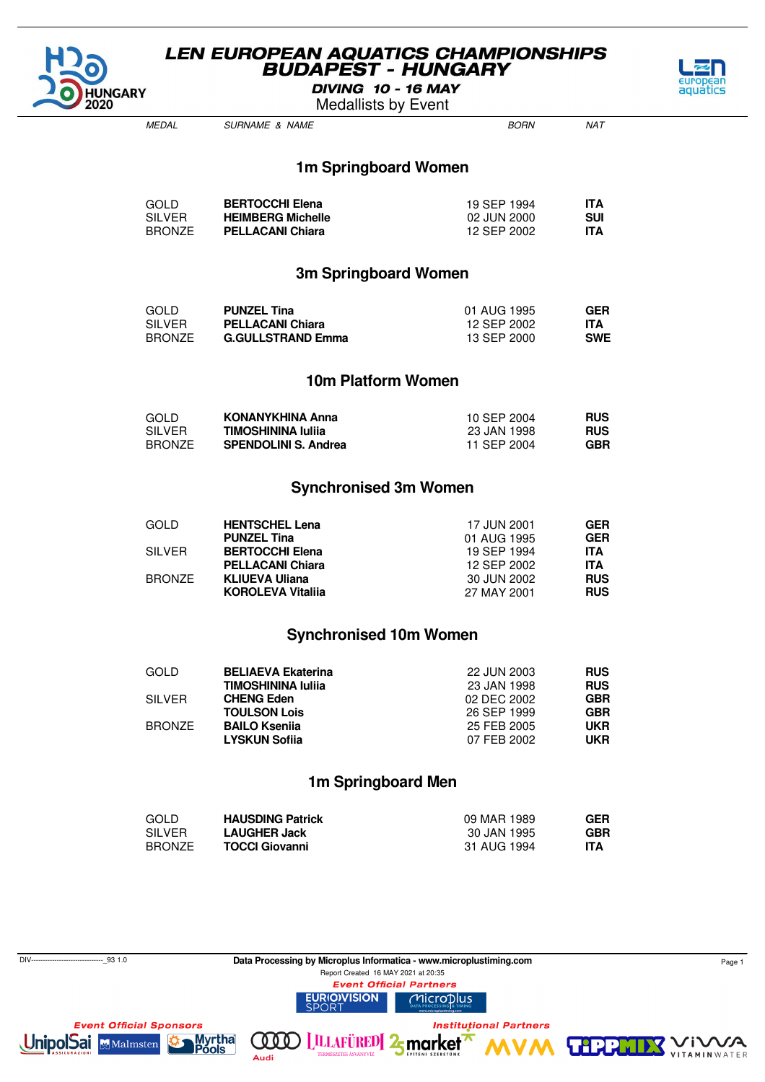

DIVING 10 - 16 MAY

Medallists by Event

aquatics

MEDAL SURNAME & NAME BORN BORN NAT

### **1m Springboard Women**

| <b>GOLD</b>   | <b>BERTOCCHI Elena</b>   | 19 SEP 1994 | ITA |
|---------------|--------------------------|-------------|-----|
| <b>SILVER</b> | <b>HEIMBERG Michelle</b> | 02 JUN 2000 | SUI |
| <b>BRONZE</b> | <b>PELLACANI Chiara</b>  | 12 SEP 2002 | ITA |

#### **3m Springboard Women**

| GOLD          | <b>PUNZEL Tina</b>       | 01 AUG 1995 | <b>GER</b> |
|---------------|--------------------------|-------------|------------|
| SILVER        | <b>PELLACANI Chiara</b>  | 12 SEP 2002 | ITA        |
| <b>BRONZE</b> | <b>G.GULLSTRAND Emma</b> | 13 SEP 2000 | <b>SWE</b> |

#### **10m Platform Women**

| GOLD          | KONANYKHINA Anna            | 10 SFP 2004 | <b>RUS</b> |
|---------------|-----------------------------|-------------|------------|
| SII VFR       | TIMOSHININA Iulija          | 23 JAN 1998 | <b>RUS</b> |
| <b>BRONZE</b> | <b>SPENDOLINI S. Andrea</b> | 11 SEP 2004 | <b>GBR</b> |

#### **Synchronised 3m Women**

| <b>GOLD</b> | <b>HENTSCHEL Lena</b>    | 17 JUN 2001 | <b>GER</b> |
|-------------|--------------------------|-------------|------------|
|             | <b>PUNZEL Tina</b>       | 01 AUG 1995 | <b>GER</b> |
| SILVER      | <b>BERTOCCHI Elena</b>   | 19 SFP 1994 | ITA        |
|             | <b>PELLACANI Chiara</b>  | 12 SEP 2002 | <b>ITA</b> |
| BRONZE      | <b>KLIUEVA Uliana</b>    | 30 JUN 2002 | <b>RUS</b> |
|             | <b>KOROLEVA Vitalija</b> | 27 MAY 2001 | <b>RUS</b> |

#### **Synchronised 10m Women**

| <b>GOLD</b>   | <b>BELIAEVA Ekaterina</b> | 22 JUN 2003 | <b>RUS</b> |
|---------------|---------------------------|-------------|------------|
|               | <b>TIMOSHININA Iulija</b> | 23 JAN 1998 | <b>RUS</b> |
| SILVER        | <b>CHENG Eden</b>         | 02 DEC 2002 | <b>GBR</b> |
|               | <b>TOULSON Lois</b>       | 26 SFP 1999 | <b>GBR</b> |
| <b>BRONZE</b> | <b>BAILO Ksenija</b>      | 25 FEB 2005 | <b>UKR</b> |
|               | <b>LYSKUN Sofila</b>      | 07 FEB 2002 | <b>UKR</b> |

#### **1m Springboard Men**

| GOLD    | <b>HAUSDING Patrick</b> | 09 MAR 1989 | GER |
|---------|-------------------------|-------------|-----|
| SII VER | <b>LAUGHER Jack</b>     | 30 JAN 1995 | GBR |
| BRON7F  | <b>TOCCI Giovanni</b>   | 31 AUG 1994 | ITA |

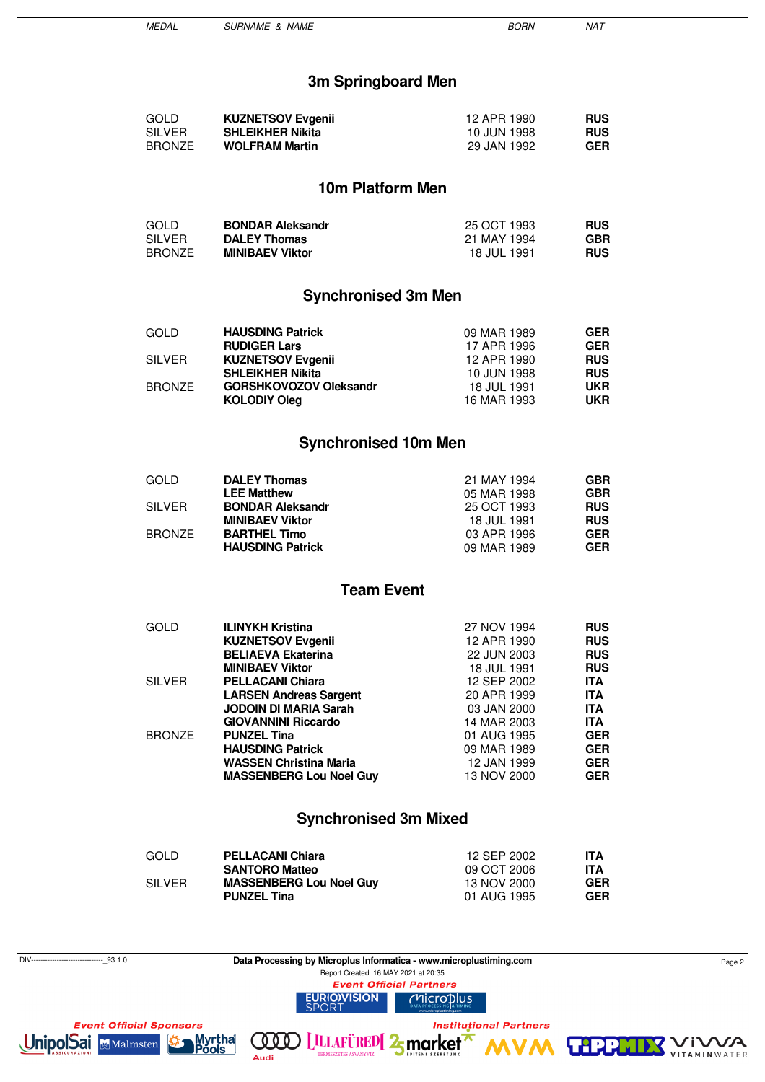#### **3m Springboard Men**

| GOLD.         | <b>KUZNETSOV Evgenii</b> | 12 APR 1990 | <b>RUS</b> |
|---------------|--------------------------|-------------|------------|
| SILVER        | <b>SHLEIKHER Nikita</b>  | 10 JUN 1998 | <b>RUS</b> |
| <b>BRONZE</b> | <b>WOLFRAM Martin</b>    | 29 JAN 1992 | <b>GER</b> |

#### **10m Platform Men**

| <b>GOLD</b>   | <b>BONDAR Aleksandr</b> | 25 OCT 1993 | <b>RUS</b> |
|---------------|-------------------------|-------------|------------|
| SILVER        | <b>DALEY Thomas</b>     | 21 MAY 1994 | <b>GBR</b> |
| <b>BRONZE</b> | <b>MINIBAEV Viktor</b>  | 18 JUL 1991 | <b>RUS</b> |

#### **Synchronised 3m Men**

| <b>GOLD</b>   | <b>HAUSDING Patrick</b>       | 09 MAR 1989 | <b>GER</b> |
|---------------|-------------------------------|-------------|------------|
|               | <b>RUDIGER Lars</b>           | 17 APR 1996 | <b>GER</b> |
| <b>SILVER</b> | <b>KUZNETSOV Evgenii</b>      | 12 APR 1990 | <b>RUS</b> |
|               | <b>SHLEIKHER Nikita</b>       | 10 JUN 1998 | <b>RUS</b> |
| <b>BRONZE</b> | <b>GORSHKOVOZOV Oleksandr</b> | 18 JUL 1991 | UKR        |
|               | <b>KOLODIY Oleg</b>           | 16 MAR 1993 | UKR        |

#### **Synchronised 10m Men**

| <b>GOLD</b>   | <b>DALEY Thomas</b>     | 21 MAY 1994 | GBR        |
|---------------|-------------------------|-------------|------------|
|               | <b>LEE Matthew</b>      | 05 MAR 1998 | GBR        |
| SILVER        | <b>BONDAR Aleksandr</b> | 25 OCT 1993 | <b>RUS</b> |
|               | <b>MINIBAEV Viktor</b>  | 18 JUL 1991 | <b>RUS</b> |
| <b>BRONZE</b> | <b>BARTHEL Timo</b>     | 03 APR 1996 | <b>GER</b> |
|               | <b>HAUSDING Patrick</b> | 09 MAR 1989 | <b>GER</b> |

#### **Team Event**

| GOLD          | <b>ILINYKH Kristina</b>        | 27 NOV 1994 | <b>RUS</b> |
|---------------|--------------------------------|-------------|------------|
|               | <b>KUZNETSOV Evgenii</b>       | 12 APR 1990 | <b>RUS</b> |
|               | <b>BELIAEVA Ekaterina</b>      | 22 JUN 2003 | <b>RUS</b> |
|               | <b>MINIBAEV Viktor</b>         | 18 JUL 1991 | <b>RUS</b> |
| SILVER        | <b>PELLACANI Chiara</b>        | 12 SEP 2002 | <b>ITA</b> |
|               | <b>LARSEN Andreas Sargent</b>  | 20 APR 1999 | <b>ITA</b> |
|               | <b>JODOIN DI MARIA Sarah</b>   | 03 JAN 2000 | <b>ITA</b> |
|               | <b>GIOVANNINI Riccardo</b>     | 14 MAR 2003 | <b>ITA</b> |
| <b>BRONZE</b> | <b>PUNZEL Tina</b>             | 01 AUG 1995 | <b>GER</b> |
|               | <b>HAUSDING Patrick</b>        | 09 MAR 1989 | <b>GER</b> |
|               | <b>WASSEN Christina Maria</b>  | 12 JAN 1999 | <b>GER</b> |
|               | <b>MASSENBERG Lou Noel Guv</b> | 13 NOV 2000 | <b>GER</b> |
|               |                                |             |            |

#### **Synchronised 3m Mixed**

| <b>GOLD</b> | <b>PELLACANI Chiara</b>        | 12 SEP 2002 | ITA        |
|-------------|--------------------------------|-------------|------------|
|             | <b>SANTORO Matteo</b>          | 09 OCT 2006 | ITA        |
| SII VFR     | <b>MASSENBERG Lou Noel Guy</b> | 13 NOV 2000 | <b>GER</b> |
|             | <b>PUNZEL Tina</b>             | 01 AUG 1995 | <b>GER</b> |

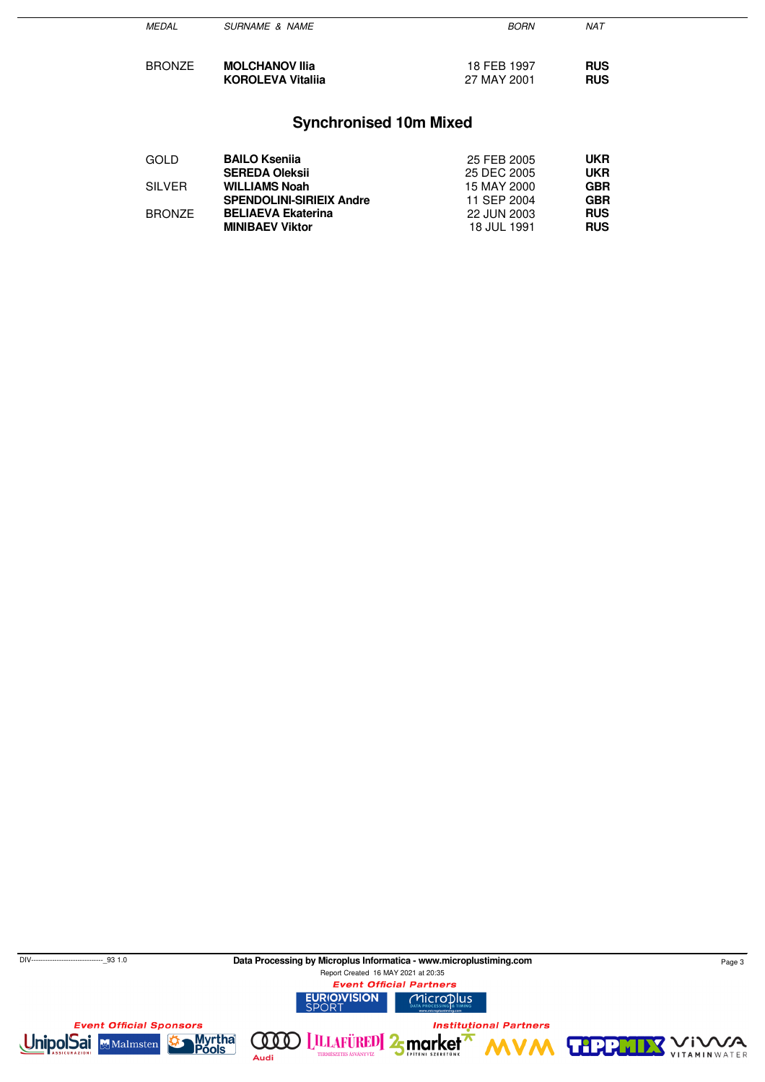| <b>MEDAL</b>  | SURNAME & NAME                                    | <i>BORN</i>                | NAT                      |
|---------------|---------------------------------------------------|----------------------------|--------------------------|
| <b>BRONZE</b> | <b>MOLCHANOV IIIa</b><br><b>KOROLEVA Vitalija</b> | 18 FEB 1997<br>27 MAY 2001 | <b>RUS</b><br><b>RUS</b> |
|               |                                                   |                            |                          |

### **Synchronised 10m Mixed**

| -GOLD   | <b>BAILO Ksenija</b>            | 25 FEB 2005 | UKR        |
|---------|---------------------------------|-------------|------------|
|         | <b>SEREDA Oleksii</b>           | 25 DEC 2005 | UKR        |
| SII VER | <b>WILLIAMS Noah</b>            | 15 MAY 2000 | GBR        |
|         | <b>SPENDOLINI-SIRIEIX Andre</b> | 11 SFP 2004 | GBR        |
| BRONZE  | <b>BELIAEVA Ekaterina</b>       | 22 JUN 2003 | <b>RUS</b> |
|         | <b>MINIBAEV Viktor</b>          | 18 JUL 1991 | <b>RUS</b> |

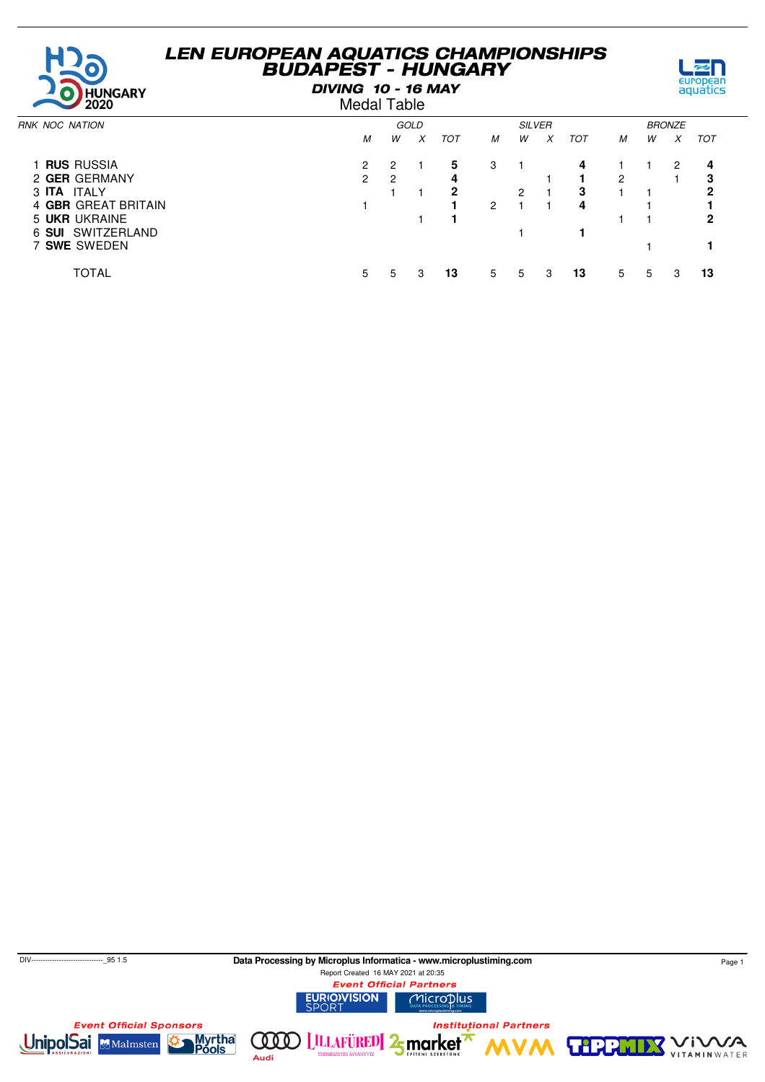

### **LEN EUROPEAN AQUATICS CHAMPIONSHIPS<br>BUDAPEST - HUNGARY** DIVING 10 - 16 MAY



| 2020                | Medal Table          |    |   |            |               |   |   |            |               |   |   |             |  |
|---------------------|----------------------|----|---|------------|---------------|---|---|------------|---------------|---|---|-------------|--|
| RNK NOC NATION      | GOLD                 |    |   |            | <b>SILVER</b> |   |   |            | <b>BRONZE</b> |   |   |             |  |
|                     | М                    | W  | X | <b>TOT</b> | М             | W | X | <b>TOT</b> | М             | W | X | TOT         |  |
| 1 <b>RUS</b> RUSSIA | $\mathcal{P}$        | 2  |   | 5          | 3             |   |   | 4          |               |   | 2 | 4           |  |
| 2 GER GERMANY       | $\mathbf{2}^{\circ}$ | 2  |   | 4          |               |   |   |            | 2             |   |   | 3           |  |
| 3 <b>ITA</b> ITALY  |                      |    |   | 2          |               | 2 |   | 3          |               |   |   | $\mathbf 2$ |  |
| 4 GBR GREAT BRITAIN |                      |    |   |            | 2             |   |   | 4          |               |   |   |             |  |
| 5 UKR UKRAINE       |                      |    |   |            |               |   |   |            |               |   |   | 2           |  |
| 6 SUI SWITZERLAND   |                      |    |   |            |               |   |   |            |               |   |   |             |  |
| 7 SWE SWEDEN        |                      |    |   |            |               |   |   |            |               |   |   |             |  |
| TOTAL               | 5.                   | 5. | 3 | 13         | 5             | 5 | 3 | 13         | 5             | 5 | 3 | 13          |  |
|                     |                      |    |   |            |               |   |   |            |               |   |   |             |  |